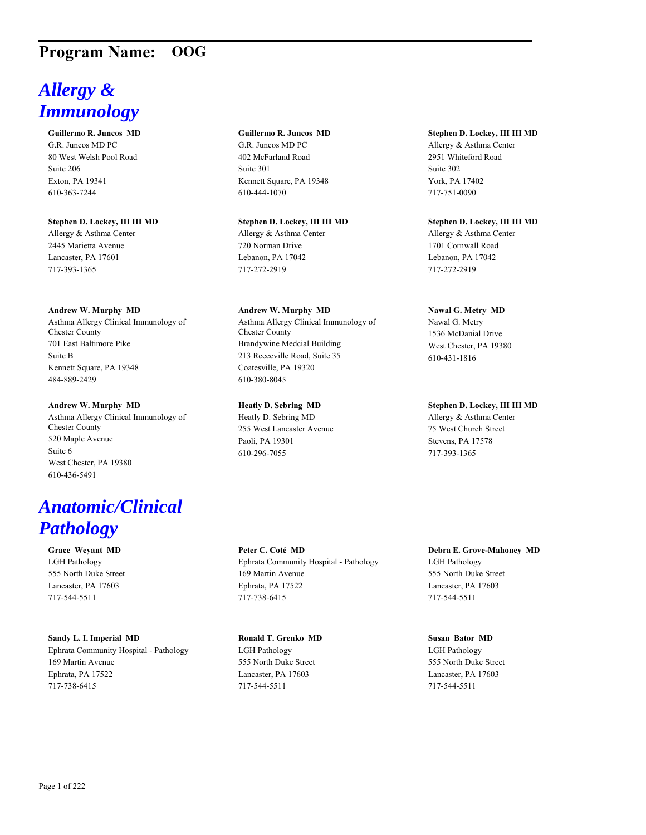# **Program Name: OOG**

# *Allergy & Immunology*

**Guillermo R. Juncos MD** G.R. Juncos MD PC 80 West Welsh Pool Road Suite 206 Exton, PA 19341 610-363-7244

**Stephen D. Lockey, III III MD** Allergy & Asthma Center 2445 Marietta Avenue Lancaster, PA 17601 717-393-1365

### **Andrew W. Murphy MD**

Asthma Allergy Clinical Immunology of Chester County 701 East Baltimore Pike Suite B Kennett Square, PA 19348 484-889-2429

### **Andrew W. Murphy MD**

Asthma Allergy Clinical Immunology of Chester County 520 Maple Avenue Suite 6 West Chester, PA 19380 610-436-5491

# *Anatomic/Clinical Pathology*

**Grace Weyant MD** LGH Pathology 555 North Duke Street Lancaster, PA 17603 717-544-5511

### **Sandy L. I. Imperial MD**

Ephrata Community Hospital - Pathology 169 Martin Avenue Ephrata, PA 17522 717-738-6415

# **Guillermo R. Juncos MD**

G.R. Juncos MD PC 402 McFarland Road Suite 301 Kennett Square, PA 19348 610-444-1070

# **Stephen D. Lockey, III III MD**

Allergy & Asthma Center 720 Norman Drive Lebanon, PA 17042 717-272-2919

**Andrew W. Murphy MD** Asthma Allergy Clinical Immunology of Chester County Brandywine Medcial Building 213 Reeceville Road, Suite 35

Coatesville, PA 19320 610-380-8045

### **Heatly D. Sebring MD**

Heatly D. Sebring MD 255 West Lancaster Avenue Paoli, PA 19301 610-296-7055

**Peter C. Coté MD** Ephrata Community Hospital - Pathology 169 Martin Avenue Ephrata, PA 17522 717-738-6415

# **Ronald T. Grenko MD**

LGH Pathology 555 North Duke Street Lancaster, PA 17603 717-544-5511

### **Stephen D. Lockey, III III MD** Allergy & Asthma Center

2951 Whiteford Road Suite 302 York, PA 17402 717-751-0090

**Stephen D. Lockey, III III MD** Allergy & Asthma Center

1701 Cornwall Road Lebanon, PA 17042 717-272-2919

# **Nawal G. Metry MD**

Nawal G. Metry 1536 McDanial Drive West Chester, PA 19380 610-431-1816

**Stephen D. Lockey, III III MD** Allergy & Asthma Center 75 West Church Street Stevens, PA 17578 717-393-1365

# **Debra E. Grove-Mahoney MD**

LGH Pathology 555 North Duke Street Lancaster, PA 17603 717-544-5511

# **Susan Bator MD** LGH Pathology 555 North Duke Street Lancaster, PA 17603 717-544-5511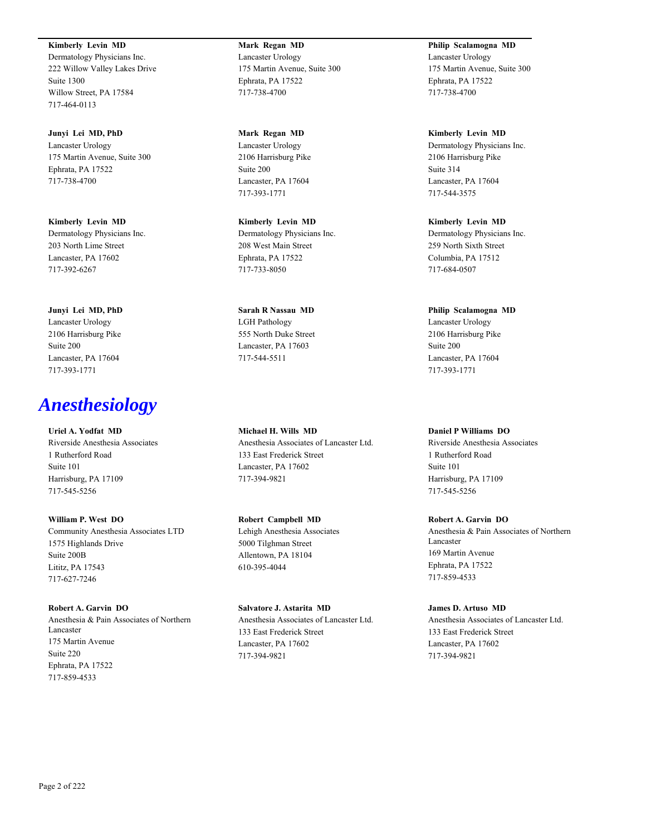**Kimberly Levin MD** Dermatology Physicians Inc. 222 Willow Valley Lakes Drive Suite 1300 Willow Street, PA 17584 717-464-0113

**Junyi Lei MD, PhD** Lancaster Urology 175 Martin Avenue, Suite 300 Ephrata, PA 17522 717-738-4700

**Kimberly Levin MD** Dermatology Physicians Inc. 203 North Lime Street Lancaster, PA 17602 717-392-6267

**Junyi Lei MD, PhD** Lancaster Urology 2106 Harrisburg Pike Suite 200 Lancaster, PA 17604 717-393-1771

# *Anesthesiology*

**Uriel A. Yodfat MD** Riverside Anesthesia Associates 1 Rutherford Road Suite 101 Harrisburg, PA 17109 717-545-5256

**William P. West DO** Community Anesthesia Associates LTD 1575 Highlands Drive Suite 200B Lititz, PA 17543 717-627-7246

**Robert A. Garvin DO** Anesthesia & Pain Associates of Northern Lancaster 175 Martin Avenue Suite 220 Ephrata, PA 17522 717-859-4533

**Mark Regan MD** Lancaster Urology 175 Martin Avenue, Suite 300 Ephrata, PA 17522 717-738-4700

**Mark Regan MD** Lancaster Urology 2106 Harrisburg Pike Suite 200 Lancaster, PA 17604 717-393-1771

**Kimberly Levin MD** Dermatology Physicians Inc. 208 West Main Street Ephrata, PA 17522 717-733-8050

**Sarah R Nassau MD** LGH Pathology 555 North Duke Street Lancaster, PA 17603 717-544-5511

**Michael H. Wills MD** Anesthesia Associates of Lancaster Ltd. 133 East Frederick Street Lancaster, PA 17602 717-394-9821

**Robert Campbell MD** Lehigh Anesthesia Associates 5000 Tilghman Street Allentown, PA 18104 610-395-4044

**Salvatore J. Astarita MD** Anesthesia Associates of Lancaster Ltd. 133 East Frederick Street Lancaster, PA 17602 717-394-9821

**Philip Scalamogna MD** Lancaster Urology 175 Martin Avenue, Suite 300 Ephrata, PA 17522 717-738-4700

**Kimberly Levin MD** Dermatology Physicians Inc. 2106 Harrisburg Pike Suite 314 Lancaster, PA 17604 717-544-3575

**Kimberly Levin MD** Dermatology Physicians Inc. 259 North Sixth Street Columbia, PA 17512 717-684-0507

**Philip Scalamogna MD** Lancaster Urology 2106 Harrisburg Pike Suite 200 Lancaster, PA 17604 717-393-1771

**Daniel P Williams DO** Riverside Anesthesia Associates

1 Rutherford Road Suite 101 Harrisburg, PA 17109 717-545-5256

**Robert A. Garvin DO** Anesthesia & Pain Associates of Northern Lancaster 169 Martin Avenue Ephrata, PA 17522 717-859-4533

**James D. Artuso MD** Anesthesia Associates of Lancaster Ltd. 133 East Frederick Street Lancaster, PA 17602 717-394-9821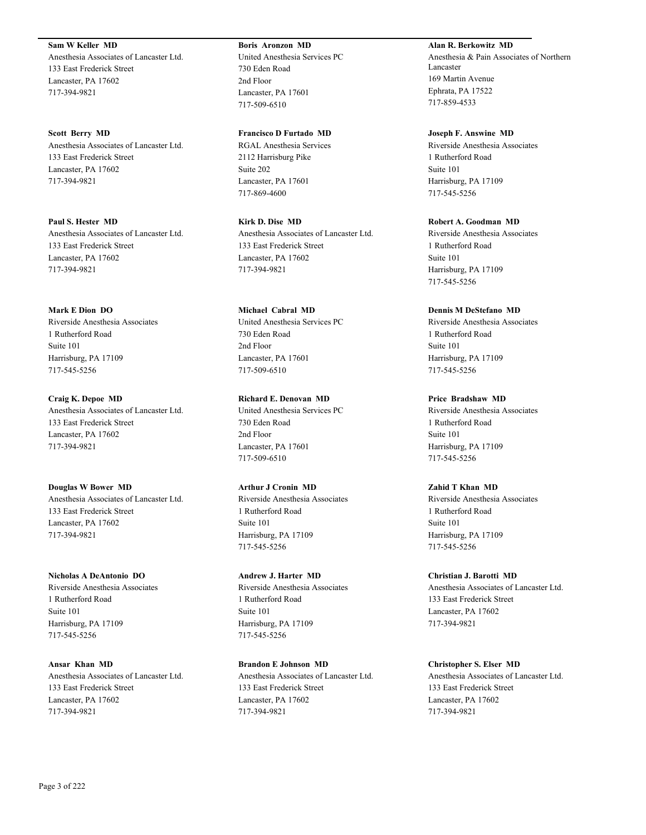**Sam W Keller MD**

Anesthesia Associates of Lancaster Ltd. 133 East Frederick Street Lancaster, PA 17602 717-394-9821

**Scott Berry MD** Anesthesia Associates of Lancaster Ltd. 133 East Frederick Street Lancaster, PA 17602 717-394-9821

**Paul S. Hester MD** Anesthesia Associates of Lancaster Ltd. 133 East Frederick Street Lancaster, PA 17602 717-394-9821

**Mark E Dion DO** Riverside Anesthesia Associates 1 Rutherford Road Suite 101 Harrisburg, PA 17109 717-545-5256

**Craig K. Depoe MD** Anesthesia Associates of Lancaster Ltd. 133 East Frederick Street Lancaster, PA 17602 717-394-9821

**Douglas W Bower MD** Anesthesia Associates of Lancaster Ltd. 133 East Frederick Street Lancaster, PA 17602 717-394-9821

**Nicholas A DeAntonio DO** Riverside Anesthesia Associates 1 Rutherford Road Suite 101 Harrisburg, PA 17109 717-545-5256

**Ansar Khan MD** Anesthesia Associates of Lancaster Ltd. 133 East Frederick Street Lancaster, PA 17602 717-394-9821

**Boris Aronzon MD** United Anesthesia Services PC 730 Eden Road 2nd Floor Lancaster, PA 17601 717-509-6510

**Francisco D Furtado MD** RGAL Anesthesia Services 2112 Harrisburg Pike Suite 202 Lancaster, PA 17601 717-869-4600

**Kirk D. Dise MD** Anesthesia Associates of Lancaster Ltd. 133 East Frederick Street Lancaster, PA 17602 717-394-9821

**Michael Cabral MD** United Anesthesia Services PC 730 Eden Road 2nd Floor Lancaster, PA 17601 717-509-6510

**Richard E. Denovan MD** United Anesthesia Services PC 730 Eden Road 2nd Floor Lancaster, PA 17601 717-509-6510

**Arthur J Cronin MD** Riverside Anesthesia Associates 1 Rutherford Road Suite 101 Harrisburg, PA 17109 717-545-5256

**Andrew J. Harter MD** Riverside Anesthesia Associates 1 Rutherford Road Suite 101 Harrisburg, PA 17109 717-545-5256

**Brandon E Johnson MD** Anesthesia Associates of Lancaster Ltd. 133 East Frederick Street Lancaster, PA 17602 717-394-9821

**Alan R. Berkowitz MD** Anesthesia & Pain Associates of Northern Lancaster 169 Martin Avenue Ephrata, PA 17522 717-859-4533

**Joseph F. Answine MD** Riverside Anesthesia Associates 1 Rutherford Road Suite 101 Harrisburg, PA 17109 717-545-5256

**Robert A. Goodman MD** Riverside Anesthesia Associates 1 Rutherford Road Suite 101 Harrisburg, PA 17109 717-545-5256

**Dennis M DeStefano MD** Riverside Anesthesia Associates 1 Rutherford Road Suite 101 Harrisburg, PA 17109 717-545-5256

**Price Bradshaw MD** Riverside Anesthesia Associates 1 Rutherford Road Suite 101 Harrisburg, PA 17109 717-545-5256

**Zahid T Khan MD** Riverside Anesthesia Associates 1 Rutherford Road Suite 101 Harrisburg, PA 17109 717-545-5256

**Christian J. Barotti MD** Anesthesia Associates of Lancaster Ltd. 133 East Frederick Street Lancaster, PA 17602 717-394-9821

**Christopher S. Elser MD** Anesthesia Associates of Lancaster Ltd. 133 East Frederick Street Lancaster, PA 17602 717-394-9821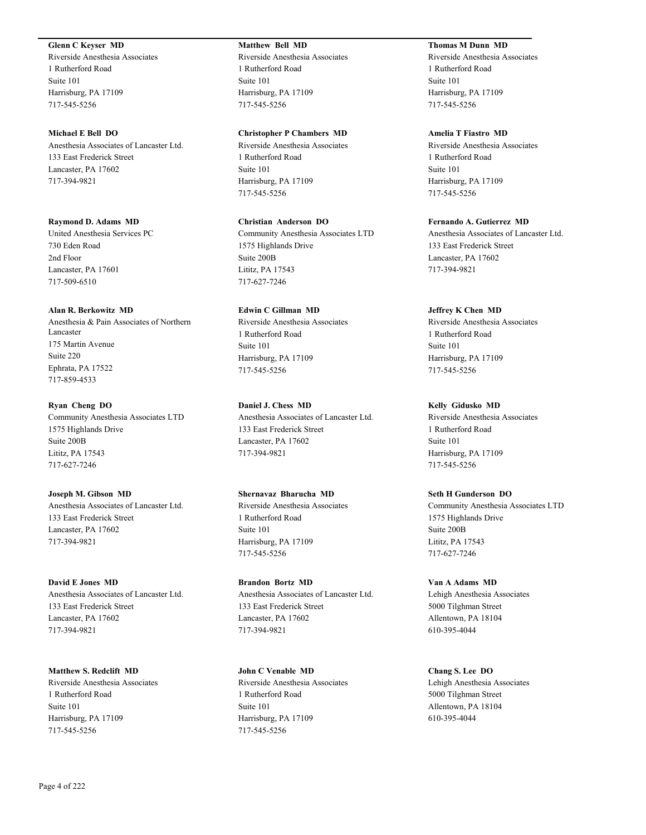### **Glenn C Keyser MD**

Riverside Anesthesia Associates 1 Rutherford Road Suite 101 Harrisburg, PA 17109 717-545-5256

### **Michael E Bell DO**

Anesthesia Associates of Lancaster Ltd. 133 East Frederick Street Lancaster, PA 17602 717-394-9821

### **Raymond D. Adams MD**

United Anesthesia Services PC 730 Eden Road 2nd Floor Lancaster, PA 17601 717-509-6510

#### **Alan R. Berkowitz MD**

Anesthesia & Pain Associates of Northern Lancaster 175 Martin Avenue Suite 220 Ephrata, PA 17522 717-859-4533

### **Ryan Cheng DO**

Community Anesthesia Associates LTD 1575 Highlands Drive Suite 200B Lititz, PA 17543 717-627-7246

**Joseph M. Gibson MD** Anesthesia Associates of Lancaster Ltd. 133 East Frederick Street Lancaster, PA 17602 717-394-9821

**David E Jones MD** Anesthesia Associates of Lancaster Ltd. 133 East Frederick Street Lancaster, PA 17602 717-394-9821

**Matthew S. Redclift MD** Riverside Anesthesia Associates 1 Rutherford Road Suite 101 Harrisburg, PA 17109 717-545-5256

# **Matthew Bell MD**

Riverside Anesthesia Associates 1 Rutherford Road Suite 101 Harrisburg, PA 17109 717-545-5256

### **Christopher P Chambers MD**

Riverside Anesthesia Associates 1 Rutherford Road Suite 101 Harrisburg, PA 17109 717-545-5256

**Christian Anderson DO**

Community Anesthesia Associates LTD 1575 Highlands Drive Suite 200B Lititz, PA 17543 717-627-7246

# **Edwin C Gillman MD**

Riverside Anesthesia Associates 1 Rutherford Road Suite 101 Harrisburg, PA 17109 717-545-5256

### **Daniel J. Chess MD**

Anesthesia Associates of Lancaster Ltd. 133 East Frederick Street Lancaster, PA 17602 717-394-9821

### **Shernavaz Bharucha MD**

Riverside Anesthesia Associates 1 Rutherford Road Suite 101 Harrisburg, PA 17109 717-545-5256

**Brandon Bortz MD** Anesthesia Associates of Lancaster Ltd. 133 East Frederick Street Lancaster, PA 17602 717-394-9821

**John C Venable MD** Riverside Anesthesia Associates 1 Rutherford Road Suite 101 Harrisburg, PA 17109 717-545-5256

# **Thomas M Dunn MD**

Riverside Anesthesia Associates 1 Rutherford Road Suite 101 Harrisburg, PA 17109 717-545-5256

# **Amelia T Fiastro MD**

Riverside Anesthesia Associates 1 Rutherford Road Suite 101 Harrisburg, PA 17109 717-545-5256

# **Fernando A. Gutierrez MD**

Anesthesia Associates of Lancaster Ltd. 133 East Frederick Street Lancaster, PA 17602 717-394-9821

### **Jeffrey K Chen MD**

Riverside Anesthesia Associates 1 Rutherford Road Suite 101 Harrisburg, PA 17109 717-545-5256

### **Kelly Gidusko MD**

Riverside Anesthesia Associates 1 Rutherford Road Suite 101 Harrisburg, PA 17109 717-545-5256

### **Seth H Gunderson DO**

Community Anesthesia Associates LTD 1575 Highlands Drive Suite 200B Lititz, PA 17543 717-627-7246

**Van A Adams MD** Lehigh Anesthesia Associates 5000 Tilghman Street Allentown, PA 18104 610-395-4044

# **Chang S. Lee DO**

Lehigh Anesthesia Associates 5000 Tilghman Street Allentown, PA 18104 610-395-4044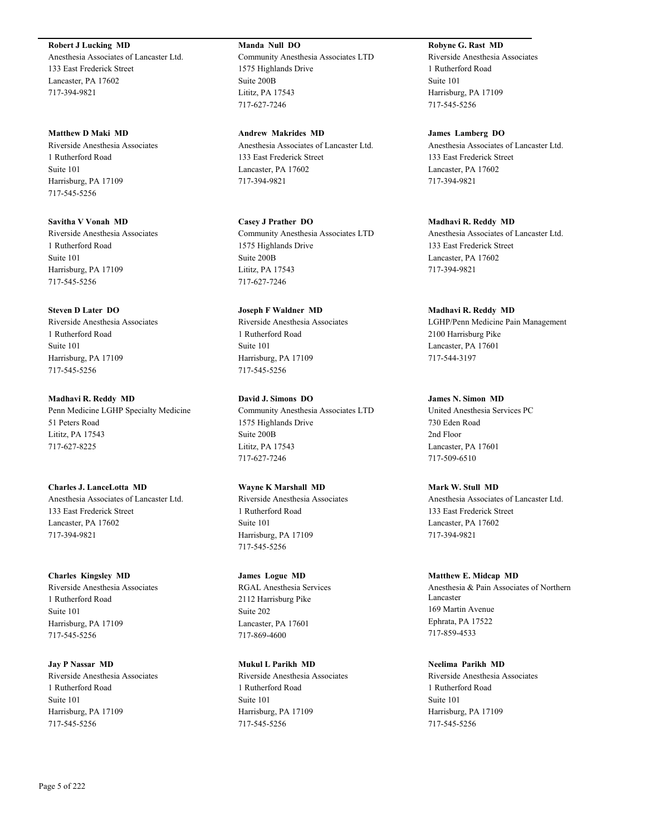**Robert J Lucking MD**

Anesthesia Associates of Lancaster Ltd. 133 East Frederick Street Lancaster, PA 17602 717-394-9821

**Matthew D Maki MD** Riverside Anesthesia Associates 1 Rutherford Road Suite 101 Harrisburg, PA 17109 717-545-5256

**Savitha V Vonah MD** Riverside Anesthesia Associates 1 Rutherford Road Suite 101 Harrisburg, PA 17109 717-545-5256

# **Steven D Later DO**

Riverside Anesthesia Associates 1 Rutherford Road Suite 101 Harrisburg, PA 17109 717-545-5256

**Madhavi R. Reddy MD** Penn Medicine LGHP Specialty Medicine 51 Peters Road Lititz, PA 17543 717-627-8225

**Charles J. LanceLotta MD** Anesthesia Associates of Lancaster Ltd. 133 East Frederick Street Lancaster, PA 17602 717-394-9821

**Charles Kingsley MD** Riverside Anesthesia Associates 1 Rutherford Road Suite 101 Harrisburg, PA 17109 717-545-5256

**Jay P Nassar MD** Riverside Anesthesia Associates 1 Rutherford Road Suite 101 Harrisburg, PA 17109 717-545-5256

**Manda Null DO** Community Anesthesia Associates LTD 1575 Highlands Drive Suite 200B Lititz, PA 17543 717-627-7246

**Andrew Makrides MD** Anesthesia Associates of Lancaster Ltd. 133 East Frederick Street Lancaster, PA 17602 717-394-9821

**Casey J Prather DO** Community Anesthesia Associates LTD 1575 Highlands Drive Suite 200B Lititz, PA 17543 717-627-7246

**Joseph F Waldner MD** Riverside Anesthesia Associates 1 Rutherford Road Suite 101 Harrisburg, PA 17109 717-545-5256

**David J. Simons DO** Community Anesthesia Associates LTD 1575 Highlands Drive Suite 200B Lititz, PA 17543 717-627-7246

**Wayne K Marshall MD** Riverside Anesthesia Associates 1 Rutherford Road Suite 101 Harrisburg, PA 17109 717-545-5256

**James Logue MD** RGAL Anesthesia Services 2112 Harrisburg Pike Suite 202 Lancaster, PA 17601 717-869-4600

**Mukul L Parikh MD** Riverside Anesthesia Associates 1 Rutherford Road Suite 101 Harrisburg, PA 17109 717-545-5256

**Robyne G. Rast MD** Riverside Anesthesia Associates 1 Rutherford Road Suite 101 Harrisburg, PA 17109 717-545-5256

**James Lamberg DO** Anesthesia Associates of Lancaster Ltd. 133 East Frederick Street Lancaster, PA 17602 717-394-9821

**Madhavi R. Reddy MD** Anesthesia Associates of Lancaster Ltd. 133 East Frederick Street Lancaster, PA 17602 717-394-9821

**Madhavi R. Reddy MD** LGHP/Penn Medicine Pain Management 2100 Harrisburg Pike Lancaster, PA 17601 717-544-3197

**James N. Simon MD** United Anesthesia Services PC 730 Eden Road 2nd Floor Lancaster, PA 17601 717-509-6510

**Mark W. Stull MD** Anesthesia Associates of Lancaster Ltd. 133 East Frederick Street Lancaster, PA 17602 717-394-9821

**Matthew E. Midcap MD** Anesthesia & Pain Associates of Northern Lancaster 169 Martin Avenue Ephrata, PA 17522 717-859-4533

**Neelima Parikh MD** Riverside Anesthesia Associates 1 Rutherford Road Suite 101 Harrisburg, PA 17109 717-545-5256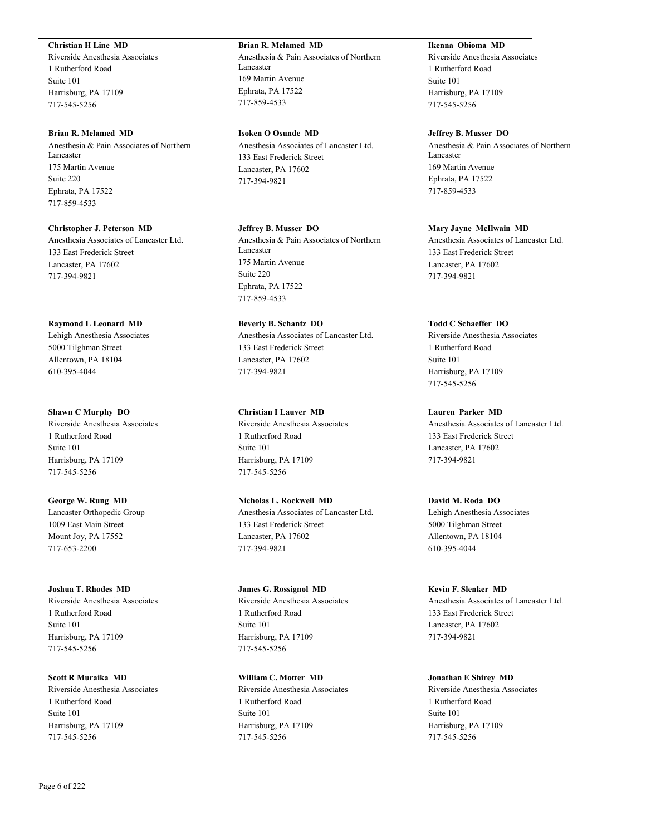### **Christian H Line MD**

Riverside Anesthesia Associates 1 Rutherford Road Suite 101 Harrisburg, PA 17109 717-545-5256

### **Brian R. Melamed MD**

Anesthesia & Pain Associates of Northern Lancaster 175 Martin Avenue Suite 220 Ephrata, PA 17522 717-859-4533

#### **Christopher J. Peterson MD**

Anesthesia Associates of Lancaster Ltd. 133 East Frederick Street Lancaster, PA 17602 717-394-9821

# **Raymond L Leonard MD**

Lehigh Anesthesia Associates 5000 Tilghman Street Allentown, PA 18104 610-395-4044

### **Shawn C Murphy DO**

Riverside Anesthesia Associates 1 Rutherford Road Suite 101 Harrisburg, PA 17109 717-545-5256

# **George W. Rung MD** Lancaster Orthopedic Group 1009 East Main Street Mount Joy, PA 17552 717-653-2200

# **Joshua T. Rhodes MD** Riverside Anesthesia Associates 1 Rutherford Road Suite 101 Harrisburg, PA 17109 717-545-5256

**Scott R Muraika MD** Riverside Anesthesia Associates 1 Rutherford Road Suite 101 Harrisburg, PA 17109 717-545-5256

# **Brian R. Melamed MD**

Anesthesia & Pain Associates of Northern Lancaster 169 Martin Avenue Ephrata, PA 17522 717-859-4533

**Isoken O Osunde MD** Anesthesia Associates of Lancaster Ltd. 133 East Frederick Street Lancaster, PA 17602 717-394-9821

**Jeffrey B. Musser DO** Anesthesia & Pain Associates of Northern Lancaster 175 Martin Avenue Suite 220 Ephrata, PA 17522 717-859-4533

**Beverly B. Schantz DO** Anesthesia Associates of Lancaster Ltd. 133 East Frederick Street Lancaster, PA 17602 717-394-9821

**Christian I Lauver MD** Riverside Anesthesia Associates 1 Rutherford Road Suite 101 Harrisburg, PA 17109 717-545-5256

**Nicholas L. Rockwell MD** Anesthesia Associates of Lancaster Ltd. 133 East Frederick Street Lancaster, PA 17602 717-394-9821

# **James G. Rossignol MD** Riverside Anesthesia Associates 1 Rutherford Road Suite 101 Harrisburg, PA 17109 717-545-5256

**William C. Motter MD** Riverside Anesthesia Associates 1 Rutherford Road Suite 101 Harrisburg, PA 17109 717-545-5256

# **Ikenna Obioma MD**

Riverside Anesthesia Associates 1 Rutherford Road Suite 101 Harrisburg, PA 17109 717-545-5256

### **Jeffrey B. Musser DO**

Anesthesia & Pain Associates of Northern Lancaster 169 Martin Avenue Ephrata, PA 17522 717-859-4533

### **Mary Jayne McIlwain MD**

Anesthesia Associates of Lancaster Ltd. 133 East Frederick Street Lancaster, PA 17602 717-394-9821

### **Todd C Schaeffer DO**

Riverside Anesthesia Associates 1 Rutherford Road Suite 101 Harrisburg, PA 17109 717-545-5256

**Lauren Parker MD**

Anesthesia Associates of Lancaster Ltd. 133 East Frederick Street Lancaster, PA 17602 717-394-9821

# **David M. Roda DO**

Lehigh Anesthesia Associates 5000 Tilghman Street Allentown, PA 18104 610-395-4044

# **Kevin F. Slenker MD**

Anesthesia Associates of Lancaster Ltd. 133 East Frederick Street Lancaster, PA 17602 717-394-9821

# **Jonathan E Shirey MD**

Riverside Anesthesia Associates 1 Rutherford Road Suite 101 Harrisburg, PA 17109 717-545-5256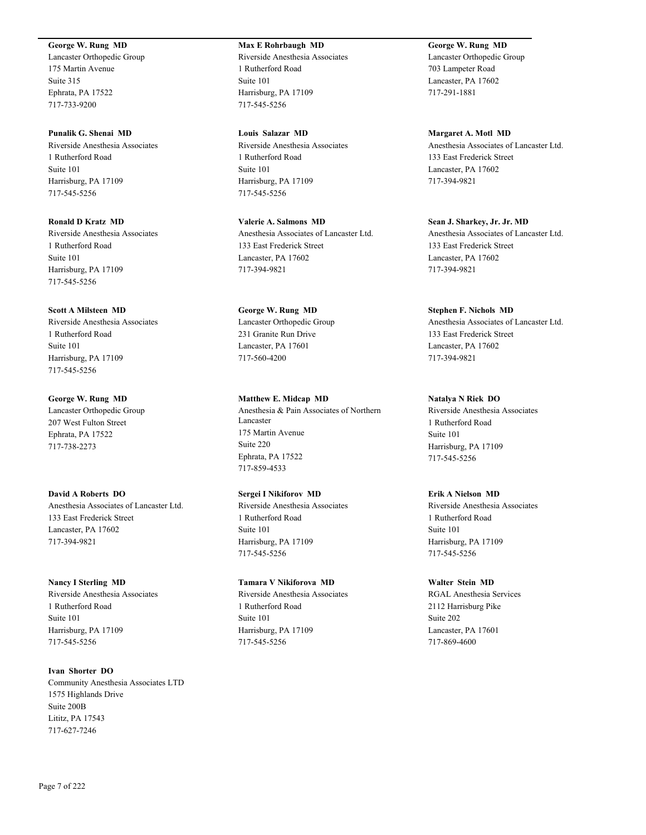# **George W. Rung MD**

Lancaster Orthopedic Group 175 Martin Avenue Suite 315 Ephrata, PA 17522 717-733-9200

**Punalik G. Shenai MD** Riverside Anesthesia Associates 1 Rutherford Road Suite 101 Harrisburg, PA 17109 717-545-5256

**Ronald D Kratz MD** Riverside Anesthesia Associates 1 Rutherford Road Suite 101 Harrisburg, PA 17109 717-545-5256

**Scott A Milsteen MD**

Riverside Anesthesia Associates 1 Rutherford Road Suite 101 Harrisburg, PA 17109 717-545-5256

**George W. Rung MD** Lancaster Orthopedic Group 207 West Fulton Street Ephrata, PA 17522 717-738-2273

**David A Roberts DO** Anesthesia Associates of Lancaster Ltd. 133 East Frederick Street Lancaster, PA 17602 717-394-9821

**Nancy I Sterling MD** Riverside Anesthesia Associates 1 Rutherford Road Suite 101 Harrisburg, PA 17109 717-545-5256

**Ivan Shorter DO** Community Anesthesia Associates LTD 1575 Highlands Drive Suite 200B Lititz, PA 17543 717-627-7246

**Max E Rohrbaugh MD** Riverside Anesthesia Associates 1 Rutherford Road Suite 101 Harrisburg, PA 17109 717-545-5256

**Louis Salazar MD** Riverside Anesthesia Associates 1 Rutherford Road Suite 101 Harrisburg, PA 17109 717-545-5256

**Valerie A. Salmons MD** Anesthesia Associates of Lancaster Ltd. 133 East Frederick Street Lancaster, PA 17602 717-394-9821

**George W. Rung MD** Lancaster Orthopedic Group 231 Granite Run Drive Lancaster, PA 17601 717-560-4200

**Matthew E. Midcap MD** Anesthesia & Pain Associates of Northern Lancaster 175 Martin Avenue Suite 220 Ephrata, PA 17522 717-859-4533

# **Sergei I Nikiforov MD**

Riverside Anesthesia Associates 1 Rutherford Road Suite 101 Harrisburg, PA 17109 717-545-5256

**Tamara V Nikiforova MD**

Riverside Anesthesia Associates 1 Rutherford Road Suite 101 Harrisburg, PA 17109 717-545-5256

**George W. Rung MD** Lancaster Orthopedic Group 703 Lampeter Road Lancaster, PA 17602 717-291-1881

**Margaret A. Motl MD** Anesthesia Associates of Lancaster Ltd. 133 East Frederick Street Lancaster, PA 17602 717-394-9821

**Sean J. Sharkey, Jr. Jr. MD** Anesthesia Associates of Lancaster Ltd. 133 East Frederick Street Lancaster, PA 17602 717-394-9821

**Stephen F. Nichols MD** Anesthesia Associates of Lancaster Ltd. 133 East Frederick Street Lancaster, PA 17602 717-394-9821

**Natalya N Riek DO**

Riverside Anesthesia Associates 1 Rutherford Road Suite 101 Harrisburg, PA 17109 717-545-5256

**Erik A Nielson MD**

Riverside Anesthesia Associates 1 Rutherford Road Suite 101 Harrisburg, PA 17109 717-545-5256

**Walter Stein MD** RGAL Anesthesia Services 2112 Harrisburg Pike Suite 202 Lancaster, PA 17601 717-869-4600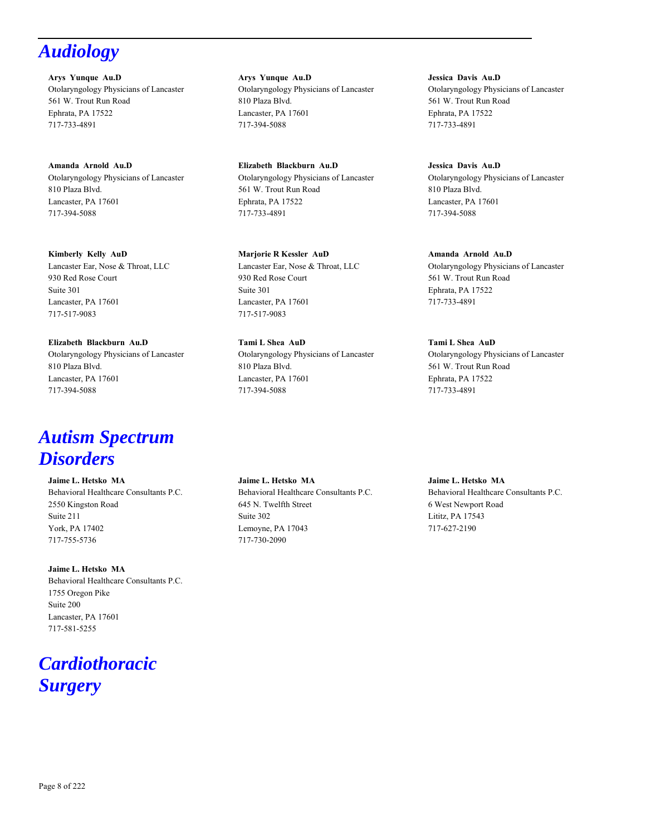# *Audiology*

**Arys Yunque Au.D** Otolaryngology Physicians of Lancaster 561 W. Trout Run Road Ephrata, PA 17522 717-733-4891

**Amanda Arnold Au.D** Otolaryngology Physicians of Lancaster 810 Plaza Blvd. Lancaster, PA 17601 717-394-5088

**Kimberly Kelly AuD** Lancaster Ear, Nose & Throat, LLC 930 Red Rose Court Suite 301 Lancaster, PA 17601 717-517-9083

**Elizabeth Blackburn Au.D** Otolaryngology Physicians of Lancaster 810 Plaza Blvd. Lancaster, PA 17601 717-394-5088

# *Autism Spectrum Disorders*

**Jaime L. Hetsko MA** Behavioral Healthcare Consultants P.C. 2550 Kingston Road Suite 211 York, PA 17402 717-755-5736

**Jaime L. Hetsko MA** Behavioral Healthcare Consultants P.C. 1755 Oregon Pike Suite 200 Lancaster, PA 17601 717-581-5255

# *Cardiothoracic Surgery*

**Arys Yunque Au.D** Otolaryngology Physicians of Lancaster 810 Plaza Blvd. Lancaster, PA 17601 717-394-5088

**Elizabeth Blackburn Au.D** Otolaryngology Physicians of Lancaster 561 W. Trout Run Road Ephrata, PA 17522 717-733-4891

**Marjorie R Kessler AuD** Lancaster Ear, Nose & Throat, LLC 930 Red Rose Court Suite 301 Lancaster, PA 17601 717-517-9083

**Tami L Shea AuD** Otolaryngology Physicians of Lancaster 810 Plaza Blvd. Lancaster, PA 17601 717-394-5088

**Jaime L. Hetsko MA** Behavioral Healthcare Consultants P.C. 645 N. Twelfth Street Suite 302 Lemoyne, PA 17043 717-730-2090

**Jessica Davis Au.D** Otolaryngology Physicians of Lancaster 561 W. Trout Run Road Ephrata, PA 17522 717-733-4891

**Jessica Davis Au.D** Otolaryngology Physicians of Lancaster 810 Plaza Blvd. Lancaster, PA 17601 717-394-5088

**Amanda Arnold Au.D** Otolaryngology Physicians of Lancaster 561 W. Trout Run Road Ephrata, PA 17522 717-733-4891

**Tami L Shea AuD** Otolaryngology Physicians of Lancaster 561 W. Trout Run Road Ephrata, PA 17522 717-733-4891

**Jaime L. Hetsko MA** Behavioral Healthcare Consultants P.C. 6 West Newport Road Lititz, PA 17543 717-627-2190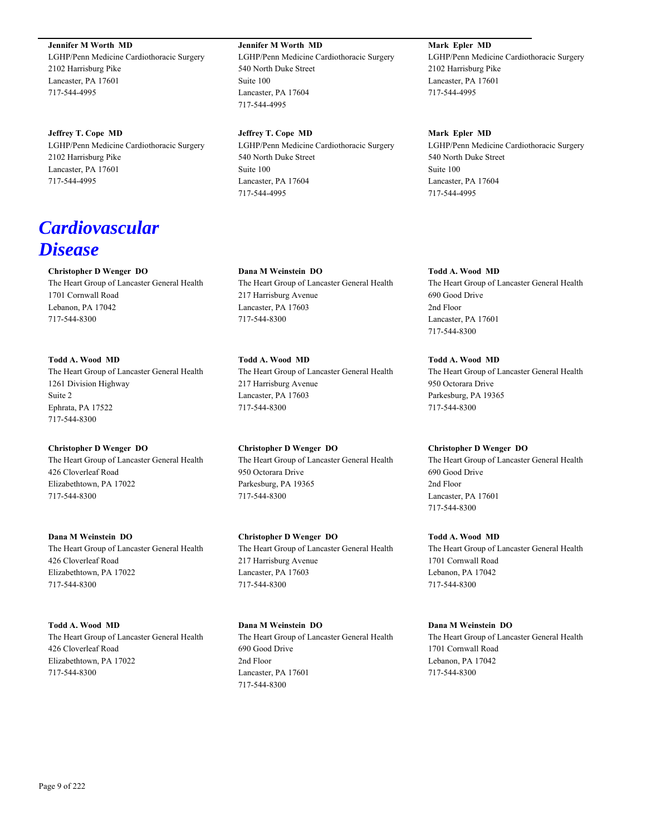**Jennifer M Worth MD**

LGHP/Penn Medicine Cardiothoracic Surgery 2102 Harrisburg Pike Lancaster, PA 17601 717-544-4995

**Jeffrey T. Cope MD** LGHP/Penn Medicine Cardiothoracic Surgery 2102 Harrisburg Pike Lancaster, PA 17601 717-544-4995

# *Cardiovascular Disease*

# **Christopher D Wenger DO**

The Heart Group of Lancaster General Health 1701 Cornwall Road Lebanon, PA 17042 717-544-8300

**Todd A. Wood MD** The Heart Group of Lancaster General Health 1261 Division Highway Suite 2 Ephrata, PA 17522 717-544-8300

**Christopher D Wenger DO** The Heart Group of Lancaster General Health 426 Cloverleaf Road Elizabethtown, PA 17022 717-544-8300

**Dana M Weinstein DO** The Heart Group of Lancaster General Health 426 Cloverleaf Road Elizabethtown, PA 17022 717-544-8300

**Todd A. Wood MD** The Heart Group of Lancaster General Health 426 Cloverleaf Road Elizabethtown, PA 17022 717-544-8300

### **Jennifer M Worth MD**

LGHP/Penn Medicine Cardiothoracic Surgery 540 North Duke Street Suite 100 Lancaster, PA 17604 717-544-4995

**Jeffrey T. Cope MD** LGHP/Penn Medicine Cardiothoracic Surgery 540 North Duke Street Suite 100 Lancaster, PA 17604 717-544-4995

**Dana M Weinstein DO** The Heart Group of Lancaster General Health 217 Harrisburg Avenue Lancaster, PA 17603 717-544-8300

**Todd A. Wood MD** The Heart Group of Lancaster General Health 217 Harrisburg Avenue Lancaster, PA 17603 717-544-8300

**Christopher D Wenger DO** The Heart Group of Lancaster General Health 950 Octorara Drive Parkesburg, PA 19365 717-544-8300

**Christopher D Wenger DO** The Heart Group of Lancaster General Health 217 Harrisburg Avenue Lancaster, PA 17603 717-544-8300

**Dana M Weinstein DO** The Heart Group of Lancaster General Health 690 Good Drive 2nd Floor Lancaster, PA 17601 717-544-8300

# **Mark Epler MD**

LGHP/Penn Medicine Cardiothoracic Surgery 2102 Harrisburg Pike Lancaster, PA 17601 717-544-4995

**Mark Epler MD**

LGHP/Penn Medicine Cardiothoracic Surgery 540 North Duke Street Suite 100 Lancaster, PA 17604 717-544-4995

**Todd A. Wood MD** The Heart Group of Lancaster General Health 690 Good Drive 2nd Floor Lancaster, PA 17601 717-544-8300

**Todd A. Wood MD** The Heart Group of Lancaster General Health 950 Octorara Drive Parkesburg, PA 19365 717-544-8300

**Christopher D Wenger DO**

The Heart Group of Lancaster General Health 690 Good Drive 2nd Floor Lancaster, PA 17601 717-544-8300

**Todd A. Wood MD** The Heart Group of Lancaster General Health 1701 Cornwall Road Lebanon, PA 17042 717-544-8300

**Dana M Weinstein DO** The Heart Group of Lancaster General Health 1701 Cornwall Road Lebanon, PA 17042 717-544-8300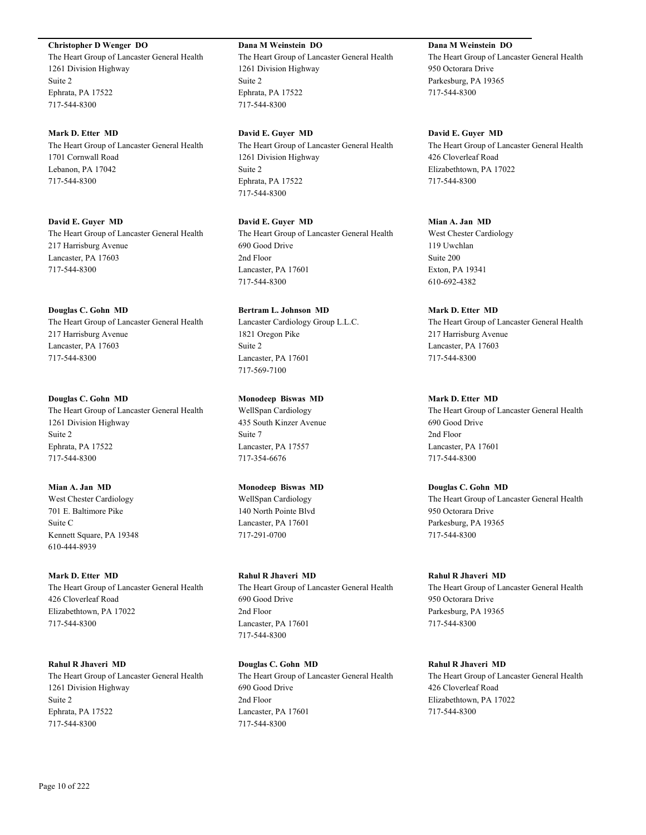# **Christopher D Wenger DO**

The Heart Group of Lancaster General Health 1261 Division Highway Suite 2 Ephrata, PA 17522 717-544-8300

#### **Mark D. Etter MD**

The Heart Group of Lancaster General Health 1701 Cornwall Road Lebanon, PA 17042 717-544-8300

**David E. Guyer MD** The Heart Group of Lancaster General Health 217 Harrisburg Avenue Lancaster, PA 17603 717-544-8300

### **Douglas C. Gohn MD**

The Heart Group of Lancaster General Health 217 Harrisburg Avenue Lancaster, PA 17603 717-544-8300

### **Douglas C. Gohn MD**

The Heart Group of Lancaster General Health 1261 Division Highway Suite 2 Ephrata, PA 17522 717-544-8300

**Mian A. Jan MD** West Chester Cardiology

701 E. Baltimore Pike Suite C Kennett Square, PA 19348 610-444-8939

#### **Mark D. Etter MD**

The Heart Group of Lancaster General Health 426 Cloverleaf Road Elizabethtown, PA 17022 717-544-8300

**Rahul R Jhaveri MD** The Heart Group of Lancaster General Health 1261 Division Highway Suite 2 Ephrata, PA 17522 717-544-8300

# **Dana M Weinstein DO**

The Heart Group of Lancaster General Health 1261 Division Highway Suite 2 Ephrata, PA 17522 717-544-8300

**David E. Guyer MD**

The Heart Group of Lancaster General Health 1261 Division Highway Suite 2 Ephrata, PA 17522 717-544-8300

**David E. Guyer MD** The Heart Group of Lancaster General Health 690 Good Drive 2nd Floor Lancaster, PA 17601 717-544-8300

**Bertram L. Johnson MD** Lancaster Cardiology Group L.L.C. 1821 Oregon Pike Suite 2 Lancaster, PA 17601 717-569-7100

**Monodeep Biswas MD**

WellSpan Cardiology 435 South Kinzer Avenue Suite 7 Lancaster, PA 17557 717-354-6676

**Monodeep Biswas MD** WellSpan Cardiology 140 North Pointe Blvd Lancaster, PA 17601 717-291-0700

**Rahul R Jhaveri MD** The Heart Group of Lancaster General Health 690 Good Drive 2nd Floor Lancaster, PA 17601 717-544-8300

**Douglas C. Gohn MD** The Heart Group of Lancaster General Health 690 Good Drive 2nd Floor Lancaster, PA 17601 717-544-8300

# **Dana M Weinstein DO** The Heart Group of Lancaster General Health 950 Octorara Drive Parkesburg, PA 19365 717-544-8300

**David E. Guyer MD** The Heart Group of Lancaster General Health 426 Cloverleaf Road Elizabethtown, PA 17022 717-544-8300

**Mian A. Jan MD** West Chester Cardiology

119 Uwchlan Suite 200 Exton, PA 19341 610-692-4382

**Mark D. Etter MD** The Heart Group of Lancaster General Health 217 Harrisburg Avenue Lancaster, PA 17603 717-544-8300

### **Mark D. Etter MD**

The Heart Group of Lancaster General Health 690 Good Drive 2nd Floor Lancaster, PA 17601 717-544-8300

**Douglas C. Gohn MD** The Heart Group of Lancaster General Health 950 Octorara Drive Parkesburg, PA 19365 717-544-8300

**Rahul R Jhaveri MD** The Heart Group of Lancaster General Health 950 Octorara Drive Parkesburg, PA 19365 717-544-8300

**Rahul R Jhaveri MD** The Heart Group of Lancaster General Health 426 Cloverleaf Road Elizabethtown, PA 17022 717-544-8300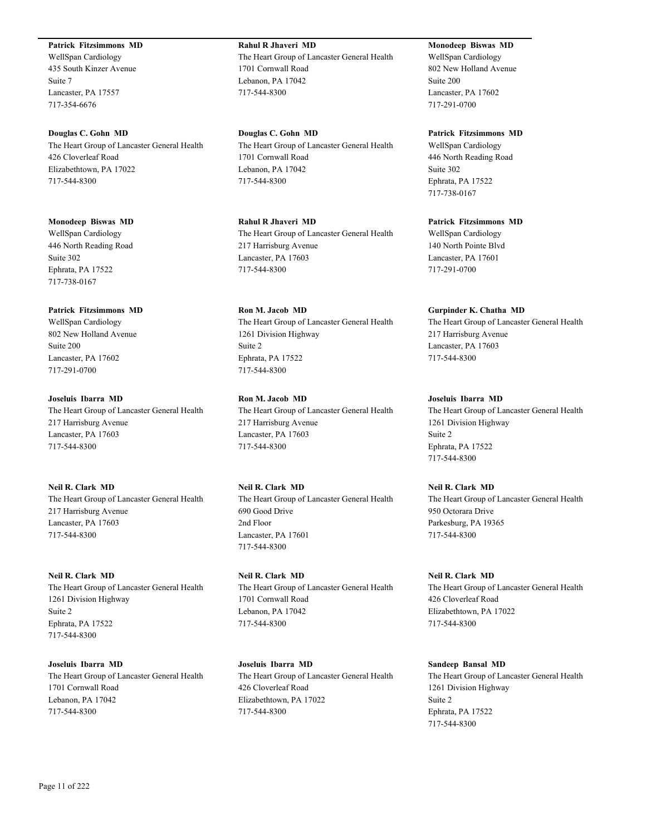### **Patrick Fitzsimmons MD**

WellSpan Cardiology 435 South Kinzer Avenue Suite 7 Lancaster, PA 17557 717-354-6676

**Douglas C. Gohn MD** The Heart Group of Lancaster General Health 426 Cloverleaf Road Elizabethtown, PA 17022 717-544-8300

**Monodeep Biswas MD** WellSpan Cardiology 446 North Reading Road Suite 302 Ephrata, PA 17522 717-738-0167

### **Patrick Fitzsimmons MD**

WellSpan Cardiology 802 New Holland Avenue Suite 200 Lancaster, PA 17602 717-291-0700

**Joseluis Ibarra MD** The Heart Group of Lancaster General Health 217 Harrisburg Avenue Lancaster, PA 17603 717-544-8300

# **Neil R. Clark MD**

The Heart Group of Lancaster General Health 217 Harrisburg Avenue Lancaster, PA 17603 717-544-8300

#### **Neil R. Clark MD**

The Heart Group of Lancaster General Health 1261 Division Highway Suite 2 Ephrata, PA 17522 717-544-8300

**Joseluis Ibarra MD** The Heart Group of Lancaster General Health 1701 Cornwall Road Lebanon, PA 17042 717-544-8300

**Rahul R Jhaveri MD** The Heart Group of Lancaster General Health 1701 Cornwall Road Lebanon, PA 17042 717-544-8300

**Douglas C. Gohn MD** The Heart Group of Lancaster General Health 1701 Cornwall Road Lebanon, PA 17042 717-544-8300

**Rahul R Jhaveri MD** The Heart Group of Lancaster General Health 217 Harrisburg Avenue Lancaster, PA 17603 717-544-8300

**Ron M. Jacob MD** The Heart Group of Lancaster General Health 1261 Division Highway Suite 2 Ephrata, PA 17522 717-544-8300

**Ron M. Jacob MD** The Heart Group of Lancaster General Health 217 Harrisburg Avenue Lancaster, PA 17603 717-544-8300

**Neil R. Clark MD** The Heart Group of Lancaster General Health 690 Good Drive 2nd Floor Lancaster, PA 17601 717-544-8300

**Neil R. Clark MD** The Heart Group of Lancaster General Health 1701 Cornwall Road Lebanon, PA 17042 717-544-8300

**Joseluis Ibarra MD** The Heart Group of Lancaster General Health 426 Cloverleaf Road Elizabethtown, PA 17022 717-544-8300

**Monodeep Biswas MD** WellSpan Cardiology 802 New Holland Avenue Suite 200 Lancaster, PA 17602 717-291-0700

### **Patrick Fitzsimmons MD**

WellSpan Cardiology 446 North Reading Road Suite 302 Ephrata, PA 17522 717-738-0167

# **Patrick Fitzsimmons MD**

WellSpan Cardiology 140 North Pointe Blvd Lancaster, PA 17601 717-291-0700

#### **Gurpinder K. Chatha MD**

The Heart Group of Lancaster General Health 217 Harrisburg Avenue Lancaster, PA 17603 717-544-8300

### **Joseluis Ibarra MD**

The Heart Group of Lancaster General Health 1261 Division Highway Suite 2 Ephrata, PA 17522 717-544-8300

**Neil R. Clark MD** The Heart Group of Lancaster General Health 950 Octorara Drive Parkesburg, PA 19365 717-544-8300

**Neil R. Clark MD** The Heart Group of Lancaster General Health 426 Cloverleaf Road Elizabethtown, PA 17022 717-544-8300

**Sandeep Bansal MD** The Heart Group of Lancaster General Health 1261 Division Highway Suite 2 Ephrata, PA 17522 717-544-8300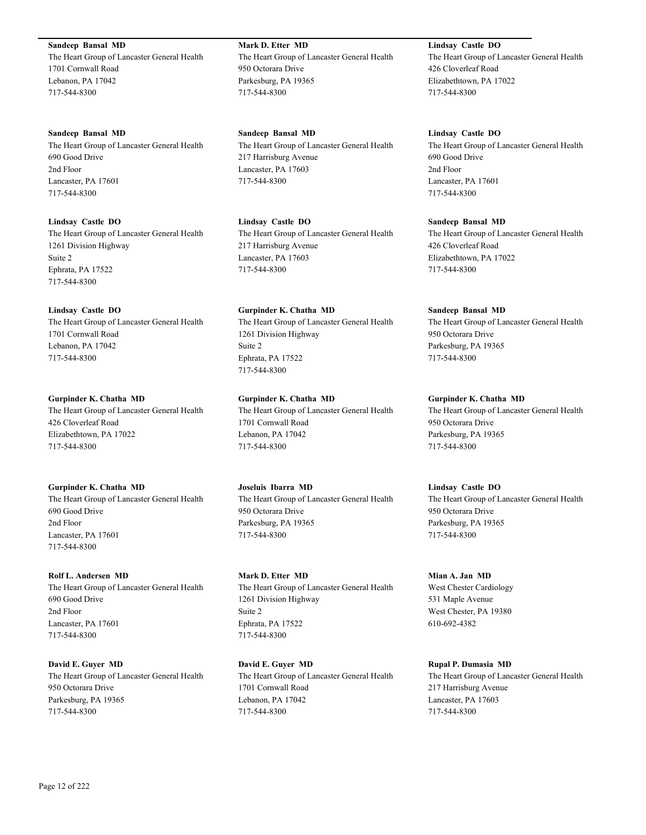**Sandeep Bansal MD** The Heart Group of Lancaster General Health 1701 Cornwall Road Lebanon, PA 17042 717-544-8300

**Sandeep Bansal MD** The Heart Group of Lancaster General Health 690 Good Drive 2nd Floor Lancaster, PA 17601 717-544-8300

**Lindsay Castle DO** The Heart Group of Lancaster General Health 1261 Division Highway Suite 2 Ephrata, PA 17522 717-544-8300

**Lindsay Castle DO** The Heart Group of Lancaster General Health 1701 Cornwall Road Lebanon, PA 17042 717-544-8300

**Gurpinder K. Chatha MD** The Heart Group of Lancaster General Health 426 Cloverleaf Road Elizabethtown, PA 17022 717-544-8300

**Gurpinder K. Chatha MD** The Heart Group of Lancaster General Health 690 Good Drive 2nd Floor Lancaster, PA 17601 717-544-8300

**Rolf L. Andersen MD** The Heart Group of Lancaster General Health 690 Good Drive 2nd Floor Lancaster, PA 17601 717-544-8300

**David E. Guyer MD** The Heart Group of Lancaster General Health 950 Octorara Drive Parkesburg, PA 19365 717-544-8300

**Mark D. Etter MD** The Heart Group of Lancaster General Health 950 Octorara Drive Parkesburg, PA 19365 717-544-8300

**Sandeep Bansal MD** The Heart Group of Lancaster General Health 217 Harrisburg Avenue Lancaster, PA 17603 717-544-8300

**Lindsay Castle DO** The Heart Group of Lancaster General Health 217 Harrisburg Avenue Lancaster, PA 17603 717-544-8300

**Gurpinder K. Chatha MD** The Heart Group of Lancaster General Health 1261 Division Highway Suite 2 Ephrata, PA 17522 717-544-8300

**Gurpinder K. Chatha MD** The Heart Group of Lancaster General Health 1701 Cornwall Road Lebanon, PA 17042 717-544-8300

**Joseluis Ibarra MD** The Heart Group of Lancaster General Health 950 Octorara Drive Parkesburg, PA 19365 717-544-8300

**Mark D. Etter MD** The Heart Group of Lancaster General Health 1261 Division Highway Suite 2 Ephrata, PA 17522 717-544-8300

**David E. Guyer MD** The Heart Group of Lancaster General Health 1701 Cornwall Road Lebanon, PA 17042 717-544-8300

**Lindsay Castle DO** The Heart Group of Lancaster General Health 426 Cloverleaf Road Elizabethtown, PA 17022 717-544-8300

**Lindsay Castle DO** The Heart Group of Lancaster General Health 690 Good Drive 2nd Floor Lancaster, PA 17601 717-544-8300

**Sandeep Bansal MD** The Heart Group of Lancaster General Health 426 Cloverleaf Road Elizabethtown, PA 17022 717-544-8300

**Sandeep Bansal MD** The Heart Group of Lancaster General Health 950 Octorara Drive Parkesburg, PA 19365 717-544-8300

**Gurpinder K. Chatha MD** The Heart Group of Lancaster General Health 950 Octorara Drive Parkesburg, PA 19365 717-544-8300

**Lindsay Castle DO** The Heart Group of Lancaster General Health 950 Octorara Drive Parkesburg, PA 19365 717-544-8300

**Mian A. Jan MD** West Chester Cardiology 531 Maple Avenue West Chester, PA 19380 610-692-4382

**Rupal P. Dumasia MD** The Heart Group of Lancaster General Health 217 Harrisburg Avenue Lancaster, PA 17603 717-544-8300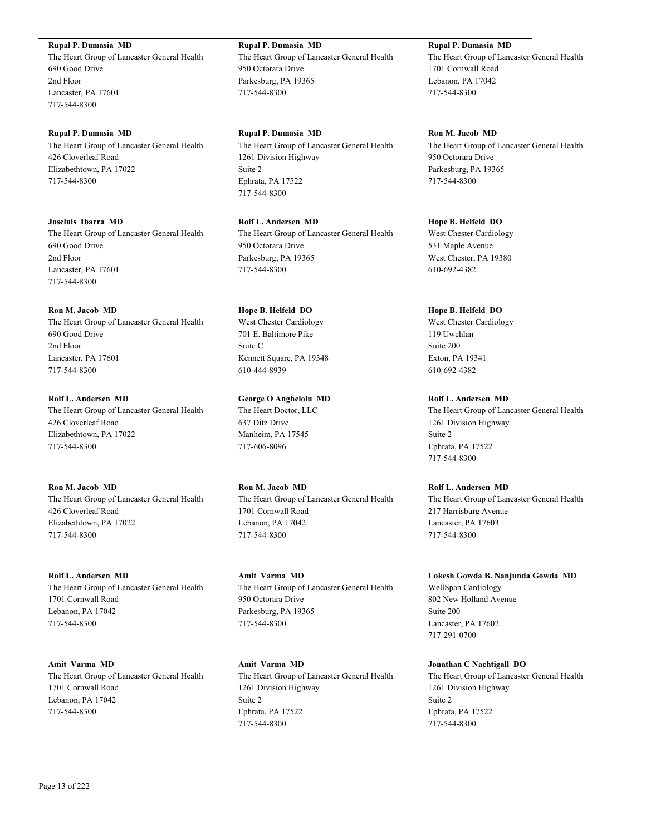**Rupal P. Dumasia MD**

The Heart Group of Lancaster General Health 690 Good Drive 2nd Floor Lancaster, PA 17601 717-544-8300

**Rupal P. Dumasia MD** The Heart Group of Lancaster General Health 426 Cloverleaf Road Elizabethtown, PA 17022 717-544-8300

**Joseluis Ibarra MD** The Heart Group of Lancaster General Health 690 Good Drive 2nd Floor Lancaster, PA 17601 717-544-8300

**Ron M. Jacob MD** The Heart Group of Lancaster General Health 690 Good Drive 2nd Floor Lancaster, PA 17601 717-544-8300

**Rolf L. Andersen MD** The Heart Group of Lancaster General Health 426 Cloverleaf Road Elizabethtown, PA 17022 717-544-8300

**Ron M. Jacob MD** The Heart Group of Lancaster General Health 426 Cloverleaf Road Elizabethtown, PA 17022 717-544-8300

**Rolf L. Andersen MD** The Heart Group of Lancaster General Health 1701 Cornwall Road Lebanon, PA 17042 717-544-8300

**Amit Varma MD** The Heart Group of Lancaster General Health 1701 Cornwall Road Lebanon, PA 17042 717-544-8300

**Rupal P. Dumasia MD** The Heart Group of Lancaster General Health 950 Octorara Drive Parkesburg, PA 19365 717-544-8300

**Rupal P. Dumasia MD** The Heart Group of Lancaster General Health 1261 Division Highway Suite 2 Ephrata, PA 17522 717-544-8300

**Rolf L. Andersen MD** The Heart Group of Lancaster General Health 950 Octorara Drive Parkesburg, PA 19365 717-544-8300

**Hope B. Helfeld DO** West Chester Cardiology 701 E. Baltimore Pike Suite C Kennett Square, PA 19348 610-444-8939

**George O Angheloiu MD** The Heart Doctor, LLC 637 Ditz Drive Manheim, PA 17545 717-606-8096

**Ron M. Jacob MD** The Heart Group of Lancaster General Health 1701 Cornwall Road Lebanon, PA 17042 717-544-8300

**Amit Varma MD** The Heart Group of Lancaster General Health 950 Octorara Drive Parkesburg, PA 19365 717-544-8300

**Amit Varma MD** The Heart Group of Lancaster General Health 1261 Division Highway Suite 2 Ephrata, PA 17522 717-544-8300

**Rupal P. Dumasia MD** The Heart Group of Lancaster General Health 1701 Cornwall Road Lebanon, PA 17042 717-544-8300

**Ron M. Jacob MD** The Heart Group of Lancaster General Health 950 Octorara Drive Parkesburg, PA 19365 717-544-8300

**Hope B. Helfeld DO** West Chester Cardiology 531 Maple Avenue West Chester, PA 19380 610-692-4382

**Hope B. Helfeld DO** West Chester Cardiology 119 Uwchlan Suite 200 Exton, PA 19341 610-692-4382

**Rolf L. Andersen MD** The Heart Group of Lancaster General Health 1261 Division Highway Suite 2 Ephrata, PA 17522 717-544-8300

**Rolf L. Andersen MD** The Heart Group of Lancaster General Health 217 Harrisburg Avenue Lancaster, PA 17603 717-544-8300

**Lokesh Gowda B. Nanjunda Gowda MD** WellSpan Cardiology 802 New Holland Avenue Suite 200 Lancaster, PA 17602 717-291-0700

**Jonathan C Nachtigall DO** The Heart Group of Lancaster General Health 1261 Division Highway Suite 2 Ephrata, PA 17522 717-544-8300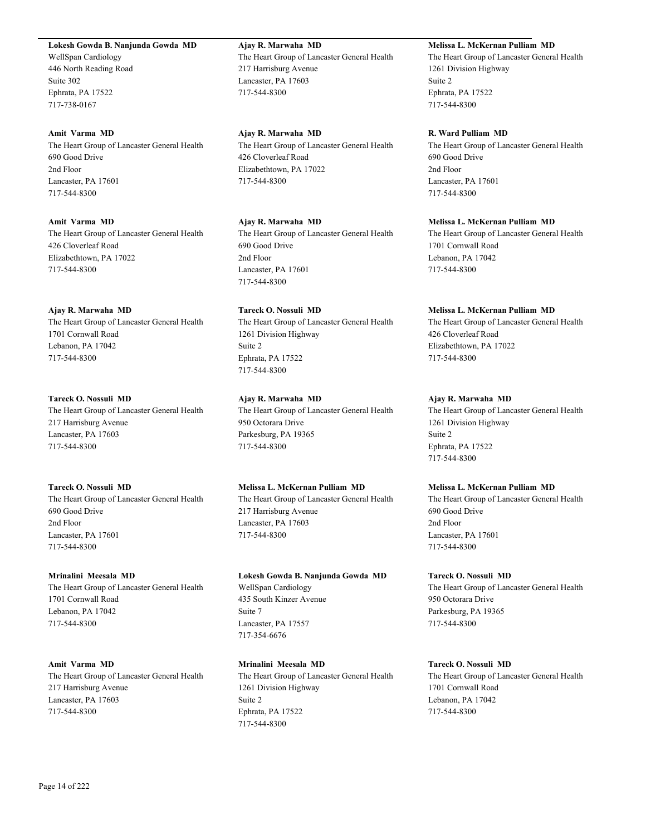**Lokesh Gowda B. Nanjunda Gowda MD**

WellSpan Cardiology 446 North Reading Road Suite 302 Ephrata, PA 17522 717-738-0167

### **Amit Varma MD**

The Heart Group of Lancaster General Health 690 Good Drive 2nd Floor Lancaster, PA 17601 717-544-8300

### **Amit Varma MD**

The Heart Group of Lancaster General Health 426 Cloverleaf Road Elizabethtown, PA 17022 717-544-8300

### **Ajay R. Marwaha MD**

The Heart Group of Lancaster General Health 1701 Cornwall Road Lebanon, PA 17042 717-544-8300

### **Tareck O. Nossuli MD**

The Heart Group of Lancaster General Health 217 Harrisburg Avenue Lancaster, PA 17603 717-544-8300

# **Tareck O. Nossuli MD**

The Heart Group of Lancaster General Health 690 Good Drive 2nd Floor Lancaster, PA 17601 717-544-8300

### **Mrinalini Meesala MD**

The Heart Group of Lancaster General Health 1701 Cornwall Road Lebanon, PA 17042 717-544-8300

# **Amit Varma MD**

The Heart Group of Lancaster General Health 217 Harrisburg Avenue Lancaster, PA 17603 717-544-8300

**Ajay R. Marwaha MD** The Heart Group of Lancaster General Health 217 Harrisburg Avenue Lancaster, PA 17603 717-544-8300

**Ajay R. Marwaha MD** The Heart Group of Lancaster General Health 426 Cloverleaf Road Elizabethtown, PA 17022 717-544-8300

**Ajay R. Marwaha MD** The Heart Group of Lancaster General Health 690 Good Drive 2nd Floor Lancaster, PA 17601 717-544-8300

# **Tareck O. Nossuli MD** The Heart Group of Lancaster General Health 1261 Division Highway Suite 2 Ephrata, PA 17522 717-544-8300

**Ajay R. Marwaha MD** The Heart Group of Lancaster General Health 950 Octorara Drive Parkesburg, PA 19365 717-544-8300

# **Melissa L. McKernan Pulliam MD**

The Heart Group of Lancaster General Health 217 Harrisburg Avenue Lancaster, PA 17603 717-544-8300

**Lokesh Gowda B. Nanjunda Gowda MD** WellSpan Cardiology 435 South Kinzer Avenue Suite 7 Lancaster, PA 17557 717-354-6676

**Mrinalini Meesala MD** The Heart Group of Lancaster General Health 1261 Division Highway Suite 2 Ephrata, PA 17522 717-544-8300

### **Melissa L. McKernan Pulliam MD**

The Heart Group of Lancaster General Health 1261 Division Highway Suite 2 Ephrata, PA 17522 717-544-8300

### **R. Ward Pulliam MD**

The Heart Group of Lancaster General Health 690 Good Drive 2nd Floor Lancaster, PA 17601 717-544-8300

### **Melissa L. McKernan Pulliam MD**

The Heart Group of Lancaster General Health 1701 Cornwall Road Lebanon, PA 17042 717-544-8300

### **Melissa L. McKernan Pulliam MD**

The Heart Group of Lancaster General Health 426 Cloverleaf Road Elizabethtown, PA 17022 717-544-8300

### **Ajay R. Marwaha MD**

The Heart Group of Lancaster General Health 1261 Division Highway Suite 2 Ephrata, PA 17522 717-544-8300

### **Melissa L. McKernan Pulliam MD**

The Heart Group of Lancaster General Health 690 Good Drive 2nd Floor Lancaster, PA 17601 717-544-8300

### **Tareck O. Nossuli MD**

The Heart Group of Lancaster General Health 950 Octorara Drive Parkesburg, PA 19365 717-544-8300

# **Tareck O. Nossuli MD**

The Heart Group of Lancaster General Health 1701 Cornwall Road Lebanon, PA 17042 717-544-8300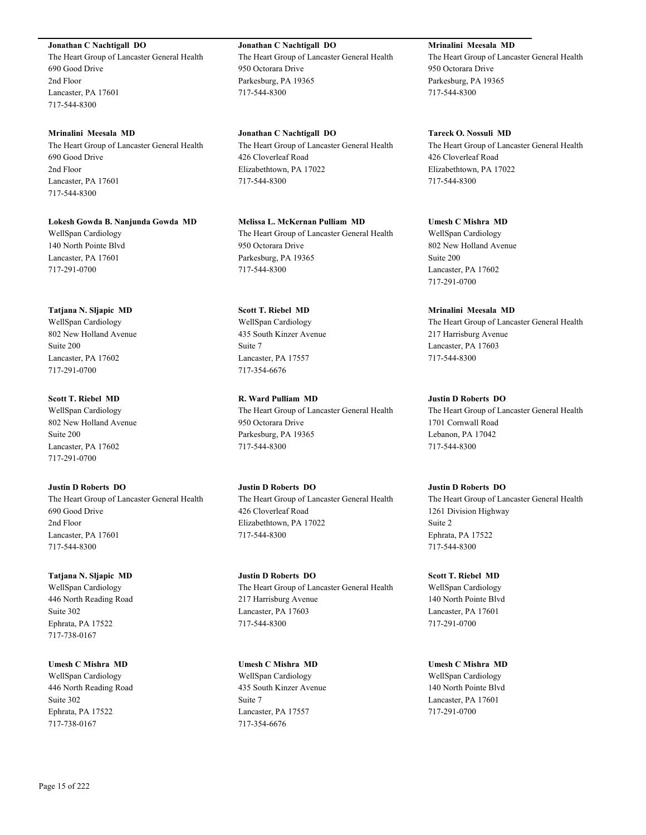**Jonathan C Nachtigall DO**

The Heart Group of Lancaster General Health 690 Good Drive 2nd Floor Lancaster, PA 17601 717-544-8300

**Mrinalini Meesala MD** The Heart Group of Lancaster General Health 690 Good Drive 2nd Floor Lancaster, PA 17601 717-544-8300

**Lokesh Gowda B. Nanjunda Gowda MD** WellSpan Cardiology 140 North Pointe Blvd Lancaster, PA 17601 717-291-0700

**Tatjana N. Sljapic MD** WellSpan Cardiology 802 New Holland Avenue Suite 200 Lancaster, PA 17602

717-291-0700

**Scott T. Riebel MD** WellSpan Cardiology 802 New Holland Avenue Suite 200 Lancaster, PA 17602 717-291-0700

**Justin D Roberts DO** The Heart Group of Lancaster General Health 690 Good Drive 2nd Floor Lancaster, PA 17601 717-544-8300

**Tatjana N. Sljapic MD** WellSpan Cardiology 446 North Reading Road Suite 302 Ephrata, PA 17522 717-738-0167

**Umesh C Mishra MD** WellSpan Cardiology 446 North Reading Road Suite 302 Ephrata, PA 17522 717-738-0167

**Jonathan C Nachtigall DO** The Heart Group of Lancaster General Health 950 Octorara Drive Parkesburg, PA 19365 717-544-8300

**Jonathan C Nachtigall DO** The Heart Group of Lancaster General Health 426 Cloverleaf Road Elizabethtown, PA 17022 717-544-8300

**Melissa L. McKernan Pulliam MD** The Heart Group of Lancaster General Health 950 Octorara Drive Parkesburg, PA 19365 717-544-8300

**Scott T. Riebel MD** WellSpan Cardiology 435 South Kinzer Avenue Suite 7 Lancaster, PA 17557 717-354-6676

**R. Ward Pulliam MD** The Heart Group of Lancaster General Health 950 Octorara Drive Parkesburg, PA 19365 717-544-8300

**Justin D Roberts DO** The Heart Group of Lancaster General Health 426 Cloverleaf Road Elizabethtown, PA 17022 717-544-8300

**Justin D Roberts DO** The Heart Group of Lancaster General Health 217 Harrisburg Avenue Lancaster, PA 17603 717-544-8300

**Umesh C Mishra MD** WellSpan Cardiology 435 South Kinzer Avenue Suite 7 Lancaster, PA 17557 717-354-6676

**Mrinalini Meesala MD** The Heart Group of Lancaster General Health 950 Octorara Drive Parkesburg, PA 19365 717-544-8300

**Tareck O. Nossuli MD** The Heart Group of Lancaster General Health 426 Cloverleaf Road Elizabethtown, PA 17022 717-544-8300

**Umesh C Mishra MD** WellSpan Cardiology 802 New Holland Avenue Suite 200 Lancaster, PA 17602 717-291-0700

**Mrinalini Meesala MD** The Heart Group of Lancaster General Health 217 Harrisburg Avenue Lancaster, PA 17603 717-544-8300

**Justin D Roberts DO** The Heart Group of Lancaster General Health 1701 Cornwall Road Lebanon, PA 17042 717-544-8300

**Justin D Roberts DO** The Heart Group of Lancaster General Health 1261 Division Highway Suite 2 Ephrata, PA 17522 717-544-8300

**Scott T. Riebel MD** WellSpan Cardiology 140 North Pointe Blvd Lancaster, PA 17601 717-291-0700

**Umesh C Mishra MD** WellSpan Cardiology 140 North Pointe Blvd Lancaster, PA 17601 717-291-0700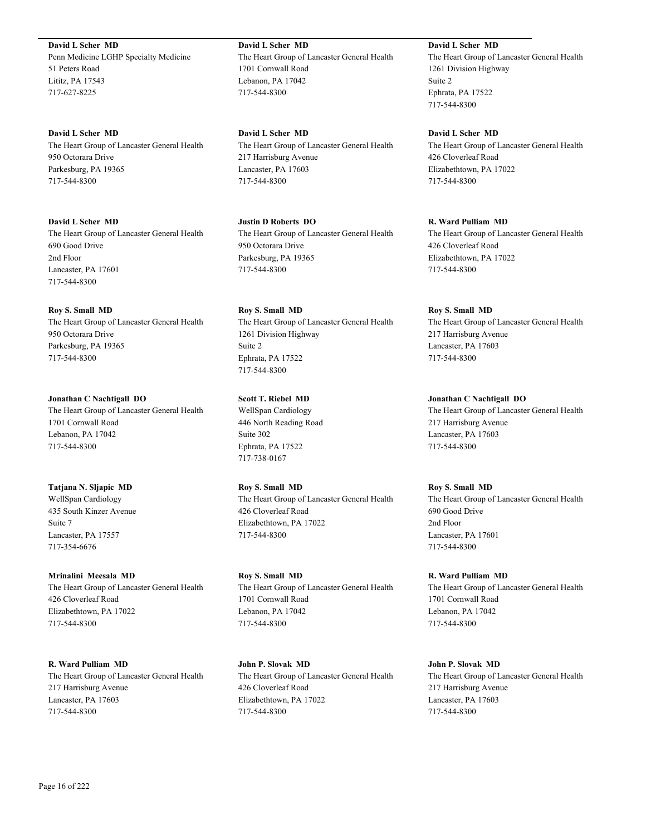**David L Scher MD** Penn Medicine LGHP Specialty Medicine 51 Peters Road Lititz, PA 17543 717-627-8225

**David L Scher MD** The Heart Group of Lancaster General Health 950 Octorara Drive Parkesburg, PA 19365 717-544-8300

**David L Scher MD** The Heart Group of Lancaster General Health 690 Good Drive 2nd Floor Lancaster, PA 17601 717-544-8300

**Roy S. Small MD** The Heart Group of Lancaster General Health 950 Octorara Drive Parkesburg, PA 19365 717-544-8300

**Jonathan C Nachtigall DO** The Heart Group of Lancaster General Health 1701 Cornwall Road Lebanon, PA 17042 717-544-8300

**Tatjana N. Sljapic MD** WellSpan Cardiology 435 South Kinzer Avenue Suite 7 Lancaster, PA 17557 717-354-6676

**Mrinalini Meesala MD** The Heart Group of Lancaster General Health 426 Cloverleaf Road Elizabethtown, PA 17022 717-544-8300

**R. Ward Pulliam MD** The Heart Group of Lancaster General Health 217 Harrisburg Avenue Lancaster, PA 17603 717-544-8300

**David L Scher MD** The Heart Group of Lancaster General Health 1701 Cornwall Road Lebanon, PA 17042 717-544-8300

**David L Scher MD** The Heart Group of Lancaster General Health 217 Harrisburg Avenue Lancaster, PA 17603 717-544-8300

**Justin D Roberts DO** The Heart Group of Lancaster General Health 950 Octorara Drive Parkesburg, PA 19365 717-544-8300

**Roy S. Small MD** The Heart Group of Lancaster General Health 1261 Division Highway Suite 2 Ephrata, PA 17522 717-544-8300

**Scott T. Riebel MD** WellSpan Cardiology 446 North Reading Road Suite 302 Ephrata, PA 17522 717-738-0167

**Roy S. Small MD** The Heart Group of Lancaster General Health 426 Cloverleaf Road Elizabethtown, PA 17022 717-544-8300

**Roy S. Small MD** The Heart Group of Lancaster General Health 1701 Cornwall Road Lebanon, PA 17042 717-544-8300

**John P. Slovak MD** The Heart Group of Lancaster General Health 426 Cloverleaf Road Elizabethtown, PA 17022 717-544-8300

**David L Scher MD** The Heart Group of Lancaster General Health 1261 Division Highway Suite 2 Ephrata, PA 17522 717-544-8300

**David L Scher MD** The Heart Group of Lancaster General Health 426 Cloverleaf Road Elizabethtown, PA 17022 717-544-8300

**R. Ward Pulliam MD** The Heart Group of Lancaster General Health 426 Cloverleaf Road Elizabethtown, PA 17022 717-544-8300

**Roy S. Small MD** The Heart Group of Lancaster General Health 217 Harrisburg Avenue Lancaster, PA 17603 717-544-8300

**Jonathan C Nachtigall DO** The Heart Group of Lancaster General Health 217 Harrisburg Avenue Lancaster, PA 17603 717-544-8300

**Roy S. Small MD** The Heart Group of Lancaster General Health 690 Good Drive 2nd Floor Lancaster, PA 17601 717-544-8300

**R. Ward Pulliam MD** The Heart Group of Lancaster General Health 1701 Cornwall Road Lebanon, PA 17042 717-544-8300

**John P. Slovak MD** The Heart Group of Lancaster General Health 217 Harrisburg Avenue Lancaster, PA 17603 717-544-8300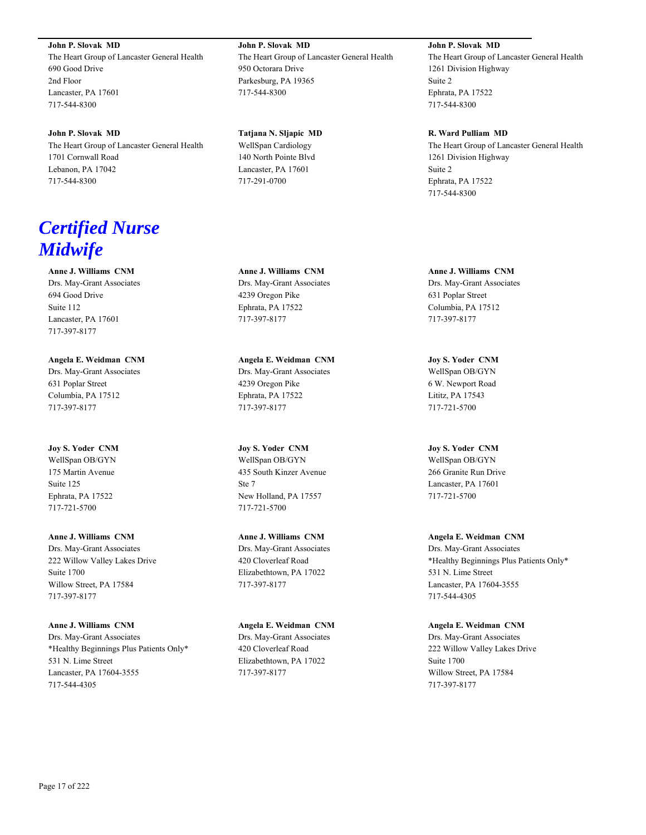**John P. Slovak MD** The Heart Group of Lancaster General Health 690 Good Drive 2nd Floor Lancaster, PA 17601 717-544-8300

**John P. Slovak MD** The Heart Group of Lancaster General Health 1701 Cornwall Road Lebanon, PA 17042 717-544-8300

# *Certified Nurse Midwife*

**Anne J. Williams CNM** Drs. May-Grant Associates 694 Good Drive Suite 112 Lancaster, PA 17601 717-397-8177

**Angela E. Weidman CNM** Drs. May-Grant Associates 631 Poplar Street Columbia, PA 17512 717-397-8177

**Joy S. Yoder CNM** WellSpan OB/GYN 175 Martin Avenue Suite 125 Ephrata, PA 17522 717-721-5700

**Anne J. Williams CNM** Drs. May-Grant Associates 222 Willow Valley Lakes Drive Suite 1700 Willow Street, PA 17584 717-397-8177

**Anne J. Williams CNM** Drs. May-Grant Associates \*Healthy Beginnings Plus Patients Only\* 531 N. Lime Street Lancaster, PA 17604-3555 717-544-4305

**John P. Slovak MD** The Heart Group of Lancaster General Health 950 Octorara Drive Parkesburg, PA 19365 717-544-8300

**Tatjana N. Sljapic MD** WellSpan Cardiology 140 North Pointe Blvd Lancaster, PA 17601 717-291-0700

**Anne J. Williams CNM** Drs. May-Grant Associates 4239 Oregon Pike Ephrata, PA 17522 717-397-8177

**Angela E. Weidman CNM** Drs. May-Grant Associates 4239 Oregon Pike Ephrata, PA 17522 717-397-8177

**Joy S. Yoder CNM** WellSpan OB/GYN 435 South Kinzer Avenue Ste 7 New Holland, PA 17557 717-721-5700

**Anne J. Williams CNM** Drs. May-Grant Associates 420 Cloverleaf Road Elizabethtown, PA 17022 717-397-8177

**Angela E. Weidman CNM** Drs. May-Grant Associates 420 Cloverleaf Road Elizabethtown, PA 17022 717-397-8177

**John P. Slovak MD**

The Heart Group of Lancaster General Health 1261 Division Highway Suite 2 Ephrata, PA 17522 717-544-8300

**R. Ward Pulliam MD** The Heart Group of Lancaster General Health 1261 Division Highway Suite 2 Ephrata, PA 17522 717-544-8300

**Anne J. Williams CNM** Drs. May-Grant Associates 631 Poplar Street Columbia, PA 17512 717-397-8177

**Joy S. Yoder CNM** WellSpan OB/GYN 6 W. Newport Road Lititz, PA 17543 717-721-5700

**Joy S. Yoder CNM** WellSpan OB/GYN 266 Granite Run Drive Lancaster, PA 17601 717-721-5700

**Angela E. Weidman CNM** Drs. May-Grant Associates \*Healthy Beginnings Plus Patients Only\* 531 N. Lime Street Lancaster, PA 17604-3555 717-544-4305

**Angela E. Weidman CNM** Drs. May-Grant Associates 222 Willow Valley Lakes Drive Suite 1700 Willow Street, PA 17584 717-397-8177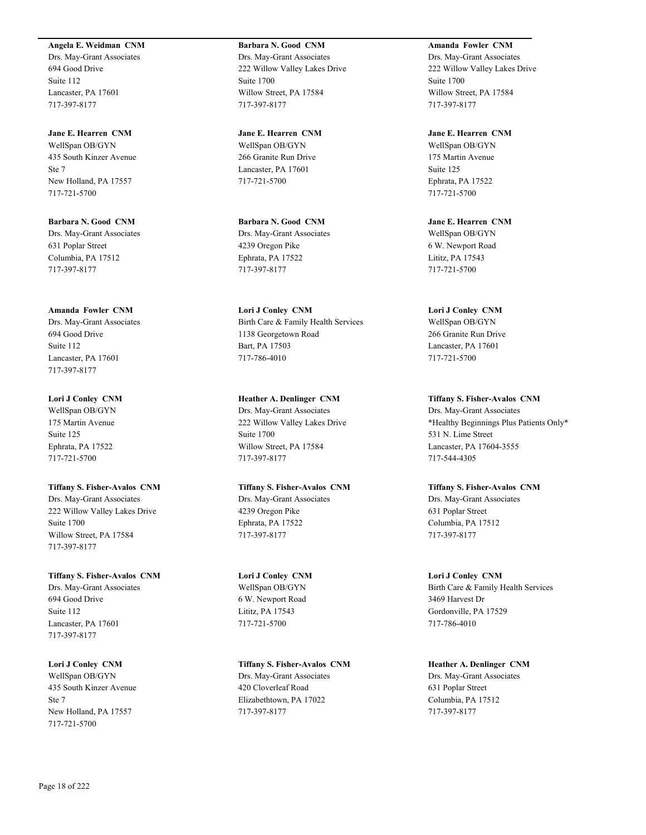### **Angela E. Weidman CNM**

Drs. May-Grant Associates 694 Good Drive Suite 112 Lancaster, PA 17601 717-397-8177

**Jane E. Hearren CNM** WellSpan OB/GYN 435 South Kinzer Avenue Ste 7 New Holland, PA 17557 717-721-5700

**Barbara N. Good CNM** Drs. May-Grant Associates 631 Poplar Street Columbia, PA 17512 717-397-8177

**Amanda Fowler CNM** Drs. May-Grant Associates 694 Good Drive Suite 112 Lancaster, PA 17601 717-397-8177

**Lori J Conley CNM** WellSpan OB/GYN 175 Martin Avenue Suite 125 Ephrata, PA 17522 717-721-5700

**Tiffany S. Fisher-Avalos CNM** Drs. May-Grant Associates 222 Willow Valley Lakes Drive Suite 1700 Willow Street, PA 17584 717-397-8177

**Tiffany S. Fisher-Avalos CNM** Drs. May-Grant Associates 694 Good Drive Suite 112 Lancaster, PA 17601 717-397-8177

**Lori J Conley CNM** WellSpan OB/GYN 435 South Kinzer Avenue Ste 7 New Holland, PA 17557 717-721-5700

**Barbara N. Good CNM** Drs. May-Grant Associates 222 Willow Valley Lakes Drive Suite 1700 Willow Street, PA 17584 717-397-8177

**Jane E. Hearren CNM** WellSpan OB/GYN 266 Granite Run Drive Lancaster, PA 17601 717-721-5700

**Barbara N. Good CNM** Drs. May-Grant Associates 4239 Oregon Pike Ephrata, PA 17522 717-397-8177

**Lori J Conley CNM** Birth Care & Family Health Services 1138 Georgetown Road Bart, PA 17503 717-786-4010

**Heather A. Denlinger CNM** Drs. May-Grant Associates 222 Willow Valley Lakes Drive Suite 1700 Willow Street, PA 17584 717-397-8177

**Tiffany S. Fisher-Avalos CNM** Drs. May-Grant Associates 4239 Oregon Pike Ephrata, PA 17522 717-397-8177

**Lori J Conley CNM** WellSpan OB/GYN 6 W. Newport Road Lititz, PA 17543 717-721-5700

**Tiffany S. Fisher-Avalos CNM** Drs. May-Grant Associates 420 Cloverleaf Road Elizabethtown, PA 17022 717-397-8177

**Amanda Fowler CNM** Drs. May-Grant Associates 222 Willow Valley Lakes Drive Suite 1700 Willow Street, PA 17584 717-397-8177

**Jane E. Hearren CNM** WellSpan OB/GYN 175 Martin Avenue Suite 125 Ephrata, PA 17522 717-721-5700

**Jane E. Hearren CNM** WellSpan OB/GYN 6 W. Newport Road Lititz, PA 17543 717-721-5700

**Lori J Conley CNM** WellSpan OB/GYN 266 Granite Run Drive Lancaster, PA 17601 717-721-5700

**Tiffany S. Fisher-Avalos CNM** Drs. May-Grant Associates \*Healthy Beginnings Plus Patients Only\* 531 N. Lime Street Lancaster, PA 17604-3555 717-544-4305

**Tiffany S. Fisher-Avalos CNM** Drs. May-Grant Associates 631 Poplar Street Columbia, PA 17512 717-397-8177

**Lori J Conley CNM** Birth Care & Family Health Services 3469 Harvest Dr Gordonville, PA 17529 717-786-4010

**Heather A. Denlinger CNM** Drs. May-Grant Associates 631 Poplar Street Columbia, PA 17512 717-397-8177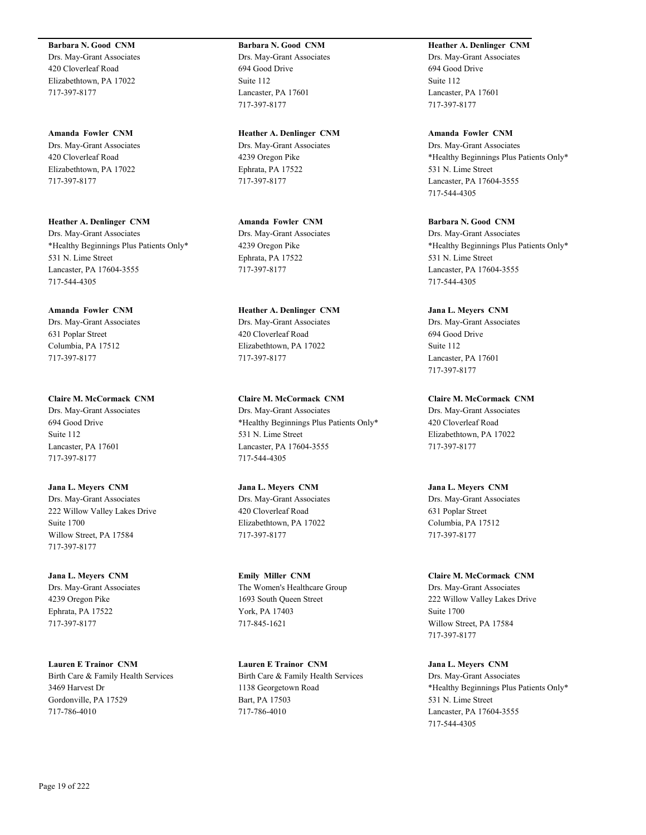**Barbara N. Good CNM**

Drs. May-Grant Associates 420 Cloverleaf Road Elizabethtown, PA 17022 717-397-8177

**Amanda Fowler CNM** Drs. May-Grant Associates 420 Cloverleaf Road Elizabethtown, PA 17022 717-397-8177

**Heather A. Denlinger CNM** Drs. May-Grant Associates \*Healthy Beginnings Plus Patients Only\* 531 N. Lime Street Lancaster, PA 17604-3555 717-544-4305

**Amanda Fowler CNM** Drs. May-Grant Associates 631 Poplar Street Columbia, PA 17512 717-397-8177

**Claire M. McCormack CNM** Drs. May-Grant Associates 694 Good Drive Suite 112 Lancaster, PA 17601 717-397-8177

**Jana L. Meyers CNM** Drs. May-Grant Associates 222 Willow Valley Lakes Drive Suite 1700 Willow Street, PA 17584 717-397-8177

**Jana L. Meyers CNM** Drs. May-Grant Associates 4239 Oregon Pike Ephrata, PA 17522 717-397-8177

**Lauren E Trainor CNM** Birth Care & Family Health Services 3469 Harvest Dr Gordonville, PA 17529 717-786-4010

**Barbara N. Good CNM** Drs. May-Grant Associates 694 Good Drive Suite 112 Lancaster, PA 17601 717-397-8177

**Heather A. Denlinger CNM** Drs. May-Grant Associates 4239 Oregon Pike Ephrata, PA 17522 717-397-8177

**Amanda Fowler CNM** Drs. May-Grant Associates 4239 Oregon Pike Ephrata, PA 17522 717-397-8177

**Heather A. Denlinger CNM** Drs. May-Grant Associates 420 Cloverleaf Road Elizabethtown, PA 17022 717-397-8177

**Claire M. McCormack CNM** Drs. May-Grant Associates \*Healthy Beginnings Plus Patients Only\* 531 N. Lime Street Lancaster, PA 17604-3555 717-544-4305

**Jana L. Meyers CNM** Drs. May-Grant Associates 420 Cloverleaf Road Elizabethtown, PA 17022 717-397-8177

**Emily Miller CNM** The Women's Healthcare Group 1693 South Queen Street York, PA 17403 717-845-1621

**Lauren E Trainor CNM** Birth Care & Family Health Services 1138 Georgetown Road Bart, PA 17503 717-786-4010

**Heather A. Denlinger CNM** Drs. May-Grant Associates 694 Good Drive Suite 112 Lancaster, PA 17601 717-397-8177

**Amanda Fowler CNM** Drs. May-Grant Associates \*Healthy Beginnings Plus Patients Only\* 531 N. Lime Street Lancaster, PA 17604-3555 717-544-4305

**Barbara N. Good CNM** Drs. May-Grant Associates \*Healthy Beginnings Plus Patients Only\* 531 N. Lime Street Lancaster, PA 17604-3555 717-544-4305

**Jana L. Meyers CNM** Drs. May-Grant Associates 694 Good Drive Suite 112 Lancaster, PA 17601 717-397-8177

**Claire M. McCormack CNM** Drs. May-Grant Associates 420 Cloverleaf Road Elizabethtown, PA 17022 717-397-8177

**Jana L. Meyers CNM** Drs. May-Grant Associates 631 Poplar Street Columbia, PA 17512 717-397-8177

**Claire M. McCormack CNM** Drs. May-Grant Associates 222 Willow Valley Lakes Drive Suite 1700 Willow Street, PA 17584 717-397-8177

**Jana L. Meyers CNM** Drs. May-Grant Associates \*Healthy Beginnings Plus Patients Only\* 531 N. Lime Street Lancaster, PA 17604-3555 717-544-4305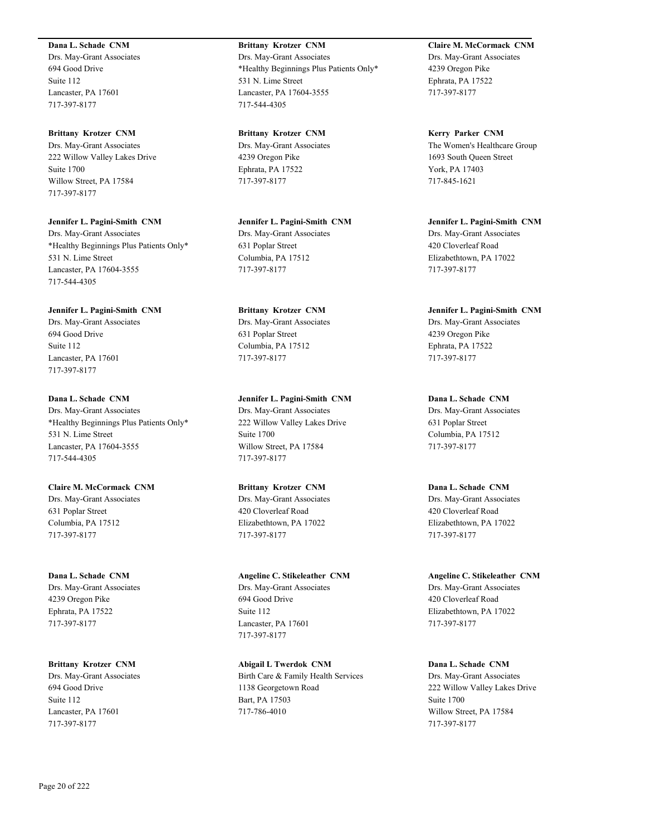### **Dana L. Schade CNM**

Drs. May-Grant Associates 694 Good Drive Suite 112 Lancaster, PA 17601 717-397-8177

### **Brittany Krotzer CNM**

Drs. May-Grant Associates 222 Willow Valley Lakes Drive Suite 1700 Willow Street, PA 17584 717-397-8177

### **Jennifer L. Pagini-Smith CNM**

Drs. May-Grant Associates \*Healthy Beginnings Plus Patients Only\* 531 N. Lime Street Lancaster, PA 17604-3555 717-544-4305

### **Jennifer L. Pagini-Smith CNM**

Drs. May-Grant Associates 694 Good Drive Suite 112 Lancaster, PA 17601 717-397-8177

# **Dana L. Schade CNM**

Drs. May-Grant Associates \*Healthy Beginnings Plus Patients Only\* 531 N. Lime Street Lancaster, PA 17604-3555 717-544-4305

# **Claire M. McCormack CNM**

Drs. May-Grant Associates 631 Poplar Street Columbia, PA 17512 717-397-8177

# **Dana L. Schade CNM** Drs. May-Grant Associates 4239 Oregon Pike Ephrata, PA 17522

717-397-8177

717-397-8177

**Brittany Krotzer CNM** Drs. May-Grant Associates 694 Good Drive Suite 112 Lancaster, PA 17601

# **Brittany Krotzer CNM** Drs. May-Grant Associates \*Healthy Beginnings Plus Patients Only\* 531 N. Lime Street Lancaster, PA 17604-3555 717-544-4305

**Brittany Krotzer CNM** Drs. May-Grant Associates 4239 Oregon Pike Ephrata, PA 17522 717-397-8177

# **Jennifer L. Pagini-Smith CNM** Drs. May-Grant Associates 631 Poplar Street Columbia, PA 17512 717-397-8177

# **Brittany Krotzer CNM** Drs. May-Grant Associates 631 Poplar Street Columbia, PA 17512 717-397-8177

# **Jennifer L. Pagini-Smith CNM**

Drs. May-Grant Associates 222 Willow Valley Lakes Drive Suite 1700 Willow Street, PA 17584 717-397-8177

# **Brittany Krotzer CNM** Drs. May-Grant Associates 420 Cloverleaf Road Elizabethtown, PA 17022 717-397-8177

# **Angeline C. Stikeleather CNM** Drs. May-Grant Associates 694 Good Drive Suite 112 Lancaster, PA 17601 717-397-8177

**Abigail L Twerdok CNM** Birth Care & Family Health Services 1138 Georgetown Road Bart, PA 17503 717-786-4010

**Claire M. McCormack CNM** Drs. May-Grant Associates 4239 Oregon Pike Ephrata, PA 17522 717-397-8177

**Kerry Parker CNM** The Women's Healthcare Group 1693 South Queen Street York, PA 17403 717-845-1621

**Jennifer L. Pagini-Smith CNM** Drs. May-Grant Associates 420 Cloverleaf Road Elizabethtown, PA 17022 717-397-8177

# **Jennifer L. Pagini-Smith CNM** Drs. May-Grant Associates 4239 Oregon Pike Ephrata, PA 17522 717-397-8177

**Dana L. Schade CNM** Drs. May-Grant Associates 631 Poplar Street Columbia, PA 17512 717-397-8177

# **Dana L. Schade CNM** Drs. May-Grant Associates 420 Cloverleaf Road Elizabethtown, PA 17022 717-397-8177

**Angeline C. Stikeleather CNM** Drs. May-Grant Associates 420 Cloverleaf Road Elizabethtown, PA 17022 717-397-8177

**Dana L. Schade CNM** Drs. May-Grant Associates 222 Willow Valley Lakes Drive Suite 1700 Willow Street, PA 17584 717-397-8177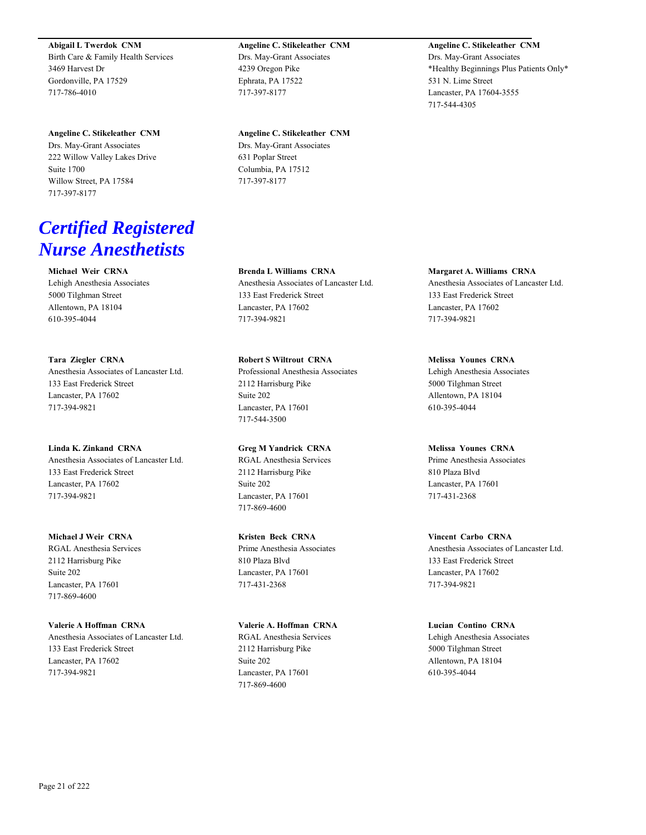**Abigail L Twerdok CNM** Birth Care & Family Health Services 3469 Harvest Dr Gordonville, PA 17529 717-786-4010

**Angeline C. Stikeleather CNM** Drs. May-Grant Associates 222 Willow Valley Lakes Drive Suite 1700 Willow Street, PA 17584 717-397-8177

# *Certified Registered Nurse Anesthetists*

**Michael Weir CRNA** Lehigh Anesthesia Associates 5000 Tilghman Street Allentown, PA 18104 610-395-4044

**Tara Ziegler CRNA** Anesthesia Associates of Lancaster Ltd. 133 East Frederick Street Lancaster, PA 17602 717-394-9821

**Linda K. Zinkand CRNA** Anesthesia Associates of Lancaster Ltd. 133 East Frederick Street Lancaster, PA 17602 717-394-9821

**Michael J Weir CRNA** RGAL Anesthesia Services 2112 Harrisburg Pike Suite 202 Lancaster, PA 17601 717-869-4600

**Valerie A Hoffman CRNA** Anesthesia Associates of Lancaster Ltd. 133 East Frederick Street Lancaster, PA 17602 717-394-9821

**Angeline C. Stikeleather CNM** Drs. May-Grant Associates 4239 Oregon Pike Ephrata, PA 17522 717-397-8177

**Angeline C. Stikeleather CNM** Drs. May-Grant Associates 631 Poplar Street Columbia, PA 17512 717-397-8177

**Brenda L Williams CRNA** Anesthesia Associates of Lancaster Ltd. 133 East Frederick Street Lancaster, PA 17602 717-394-9821

**Robert S Wiltrout CRNA** Professional Anesthesia Associates 2112 Harrisburg Pike Suite 202 Lancaster, PA 17601 717-544-3500

**Greg M Yandrick CRNA** RGAL Anesthesia Services 2112 Harrisburg Pike Suite 202 Lancaster, PA 17601 717-869-4600

**Kristen Beck CRNA** Prime Anesthesia Associates 810 Plaza Blvd Lancaster, PA 17601 717-431-2368

**Valerie A. Hoffman CRNA** RGAL Anesthesia Services 2112 Harrisburg Pike Suite 202 Lancaster, PA 17601 717-869-4600

**Angeline C. Stikeleather CNM** Drs. May-Grant Associates \*Healthy Beginnings Plus Patients Only\* 531 N. Lime Street Lancaster, PA 17604-3555 717-544-4305

**Margaret A. Williams CRNA** Anesthesia Associates of Lancaster Ltd. 133 East Frederick Street Lancaster, PA 17602 717-394-9821

**Melissa Younes CRNA** Lehigh Anesthesia Associates 5000 Tilghman Street Allentown, PA 18104 610-395-4044

**Melissa Younes CRNA** Prime Anesthesia Associates 810 Plaza Blvd Lancaster, PA 17601 717-431-2368

**Vincent Carbo CRNA** Anesthesia Associates of Lancaster Ltd. 133 East Frederick Street Lancaster, PA 17602 717-394-9821

**Lucian Contino CRNA** Lehigh Anesthesia Associates 5000 Tilghman Street Allentown, PA 18104 610-395-4044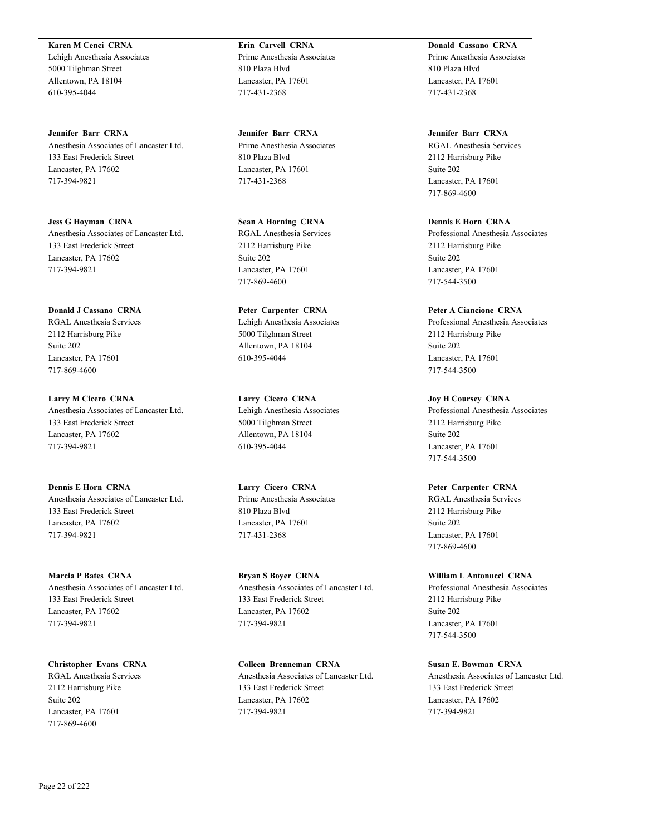**Karen M Cenci CRNA** Lehigh Anesthesia Associates 5000 Tilghman Street Allentown, PA 18104 610-395-4044

**Jennifer Barr CRNA** Anesthesia Associates of Lancaster Ltd. 133 East Frederick Street Lancaster, PA 17602 717-394-9821

**Jess G Hoyman CRNA** Anesthesia Associates of Lancaster Ltd. 133 East Frederick Street Lancaster, PA 17602 717-394-9821

**Donald J Cassano CRNA** RGAL Anesthesia Services 2112 Harrisburg Pike Suite 202 Lancaster, PA 17601 717-869-4600

**Larry M Cicero CRNA** Anesthesia Associates of Lancaster Ltd. 133 East Frederick Street Lancaster, PA 17602 717-394-9821

**Dennis E Horn CRNA** Anesthesia Associates of Lancaster Ltd. 133 East Frederick Street Lancaster, PA 17602 717-394-9821

**Marcia P Bates CRNA** Anesthesia Associates of Lancaster Ltd. 133 East Frederick Street Lancaster, PA 17602 717-394-9821

**Christopher Evans CRNA** RGAL Anesthesia Services 2112 Harrisburg Pike Suite 202 Lancaster, PA 17601 717-869-4600

**Erin Carvell CRNA** Prime Anesthesia Associates 810 Plaza Blvd Lancaster, PA 17601 717-431-2368

**Jennifer Barr CRNA** Prime Anesthesia Associates 810 Plaza Blvd Lancaster, PA 17601 717-431-2368

**Sean A Horning CRNA** RGAL Anesthesia Services 2112 Harrisburg Pike Suite 202 Lancaster, PA 17601 717-869-4600

**Peter Carpenter CRNA** Lehigh Anesthesia Associates 5000 Tilghman Street Allentown, PA 18104 610-395-4044

**Larry Cicero CRNA** Lehigh Anesthesia Associates 5000 Tilghman Street Allentown, PA 18104 610-395-4044

**Larry Cicero CRNA** Prime Anesthesia Associates 810 Plaza Blvd Lancaster, PA 17601 717-431-2368

**Bryan S Boyer CRNA** Anesthesia Associates of Lancaster Ltd. 133 East Frederick Street Lancaster, PA 17602 717-394-9821

**Colleen Brenneman CRNA** Anesthesia Associates of Lancaster Ltd. 133 East Frederick Street Lancaster, PA 17602 717-394-9821

**Donald Cassano CRNA** Prime Anesthesia Associates 810 Plaza Blvd Lancaster, PA 17601 717-431-2368

**Jennifer Barr CRNA** RGAL Anesthesia Services 2112 Harrisburg Pike Suite 202 Lancaster, PA 17601 717-869-4600

**Dennis E Horn CRNA** Professional Anesthesia Associates 2112 Harrisburg Pike Suite 202 Lancaster, PA 17601 717-544-3500

**Peter A Ciancione CRNA** Professional Anesthesia Associates 2112 Harrisburg Pike Suite 202 Lancaster, PA 17601 717-544-3500

**Joy H Coursey CRNA** Professional Anesthesia Associates 2112 Harrisburg Pike Suite 202 Lancaster, PA 17601 717-544-3500

**Peter Carpenter CRNA** RGAL Anesthesia Services 2112 Harrisburg Pike Suite 202 Lancaster, PA 17601 717-869-4600

**William L Antonucci CRNA** Professional Anesthesia Associates 2112 Harrisburg Pike Suite 202 Lancaster, PA 17601 717-544-3500

**Susan E. Bowman CRNA** Anesthesia Associates of Lancaster Ltd. 133 East Frederick Street Lancaster, PA 17602 717-394-9821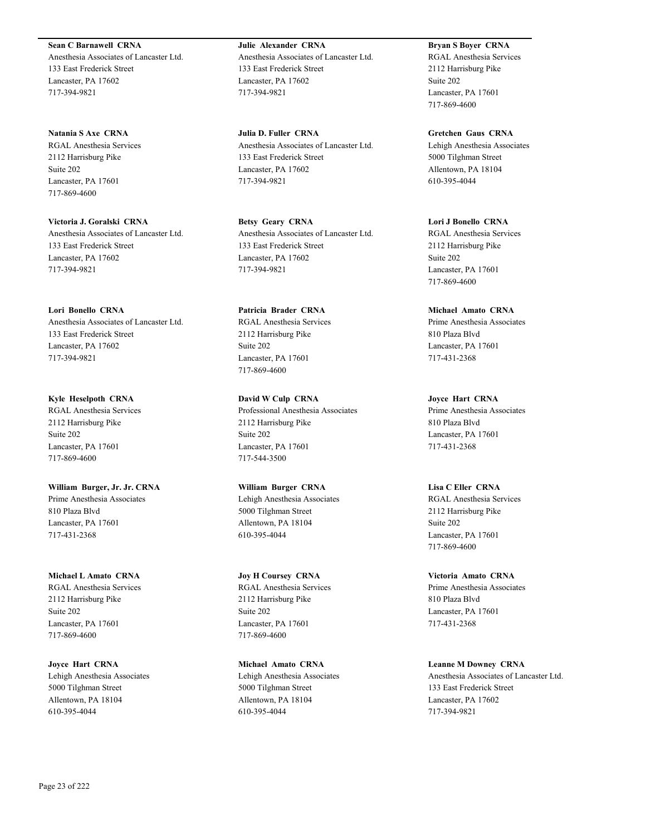**Sean C Barnawell CRNA** Anesthesia Associates of Lancaster Ltd. 133 East Frederick Street Lancaster, PA 17602 717-394-9821

**Natania S Axe CRNA** RGAL Anesthesia Services 2112 Harrisburg Pike Suite 202 Lancaster, PA 17601 717-869-4600

**Victoria J. Goralski CRNA** Anesthesia Associates of Lancaster Ltd. 133 East Frederick Street Lancaster, PA 17602 717-394-9821

**Lori Bonello CRNA** Anesthesia Associates of Lancaster Ltd. 133 East Frederick Street Lancaster, PA 17602 717-394-9821

**Kyle Heselpoth CRNA** RGAL Anesthesia Services 2112 Harrisburg Pike Suite 202 Lancaster, PA 17601 717-869-4600

**William Burger, Jr. Jr. CRNA** Prime Anesthesia Associates 810 Plaza Blvd Lancaster, PA 17601 717-431-2368

**Michael L Amato CRNA** RGAL Anesthesia Services 2112 Harrisburg Pike Suite 202 Lancaster, PA 17601 717-869-4600

**Joyce Hart CRNA** Lehigh Anesthesia Associates 5000 Tilghman Street Allentown, PA 18104 610-395-4044

**Julie Alexander CRNA** Anesthesia Associates of Lancaster Ltd. 133 East Frederick Street Lancaster, PA 17602 717-394-9821

**Julia D. Fuller CRNA** Anesthesia Associates of Lancaster Ltd. 133 East Frederick Street Lancaster, PA 17602 717-394-9821

**Betsy Geary CRNA** Anesthesia Associates of Lancaster Ltd. 133 East Frederick Street Lancaster, PA 17602 717-394-9821

**Patricia Brader CRNA** RGAL Anesthesia Services 2112 Harrisburg Pike Suite 202 Lancaster, PA 17601 717-869-4600

**David W Culp CRNA** Professional Anesthesia Associates 2112 Harrisburg Pike Suite 202 Lancaster, PA 17601 717-544-3500

**William Burger CRNA** Lehigh Anesthesia Associates 5000 Tilghman Street Allentown, PA 18104 610-395-4044

**Joy H Coursey CRNA** RGAL Anesthesia Services 2112 Harrisburg Pike Suite 202 Lancaster, PA 17601 717-869-4600

**Michael Amato CRNA** Lehigh Anesthesia Associates 5000 Tilghman Street Allentown, PA 18104 610-395-4044

**Bryan S Boyer CRNA** RGAL Anesthesia Services 2112 Harrisburg Pike Suite 202 Lancaster, PA 17601 717-869-4600

**Gretchen Gaus CRNA** Lehigh Anesthesia Associates 5000 Tilghman Street Allentown, PA 18104 610-395-4044

**Lori J Bonello CRNA** RGAL Anesthesia Services 2112 Harrisburg Pike Suite 202 Lancaster, PA 17601 717-869-4600

**Michael Amato CRNA** Prime Anesthesia Associates 810 Plaza Blvd Lancaster, PA 17601 717-431-2368

**Joyce Hart CRNA** Prime Anesthesia Associates 810 Plaza Blvd Lancaster, PA 17601 717-431-2368

**Lisa C Eller CRNA** RGAL Anesthesia Services 2112 Harrisburg Pike Suite 202 Lancaster, PA 17601 717-869-4600

**Victoria Amato CRNA** Prime Anesthesia Associates 810 Plaza Blvd Lancaster, PA 17601 717-431-2368

**Leanne M Downey CRNA** Anesthesia Associates of Lancaster Ltd. 133 East Frederick Street Lancaster, PA 17602 717-394-9821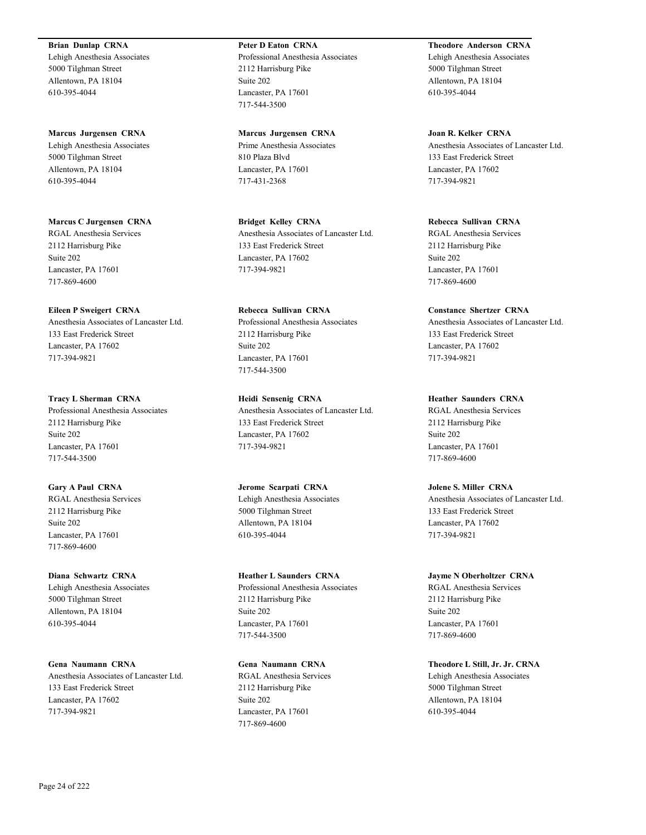### **Brian Dunlap CRNA**

Lehigh Anesthesia Associates 5000 Tilghman Street Allentown, PA 18104 610-395-4044

**Marcus Jurgensen CRNA**

Lehigh Anesthesia Associates 5000 Tilghman Street Allentown, PA 18104 610-395-4044

**Marcus C Jurgensen CRNA** RGAL Anesthesia Services 2112 Harrisburg Pike Suite 202 Lancaster, PA 17601 717-869-4600

**Eileen P Sweigert CRNA** Anesthesia Associates of Lancaster Ltd. 133 East Frederick Street Lancaster, PA 17602 717-394-9821

**Tracy L Sherman CRNA** Professional Anesthesia Associates 2112 Harrisburg Pike Suite 202 Lancaster, PA 17601 717-544-3500

**Gary A Paul CRNA** RGAL Anesthesia Services 2112 Harrisburg Pike Suite 202 Lancaster, PA 17601 717-869-4600

**Diana Schwartz CRNA** Lehigh Anesthesia Associates 5000 Tilghman Street Allentown, PA 18104 610-395-4044

**Gena Naumann CRNA** Anesthesia Associates of Lancaster Ltd. 133 East Frederick Street Lancaster, PA 17602 717-394-9821

**Peter D Eaton CRNA** Professional Anesthesia Associates 2112 Harrisburg Pike Suite 202 Lancaster, PA 17601 717-544-3500

**Marcus Jurgensen CRNA** Prime Anesthesia Associates 810 Plaza Blvd Lancaster, PA 17601 717-431-2368

**Bridget Kelley CRNA** Anesthesia Associates of Lancaster Ltd. 133 East Frederick Street Lancaster, PA 17602 717-394-9821

**Rebecca Sullivan CRNA** Professional Anesthesia Associates 2112 Harrisburg Pike Suite 202 Lancaster, PA 17601 717-544-3500

**Heidi Sensenig CRNA** Anesthesia Associates of Lancaster Ltd. 133 East Frederick Street Lancaster, PA 17602 717-394-9821

**Jerome Scarpati CRNA** Lehigh Anesthesia Associates 5000 Tilghman Street Allentown, PA 18104 610-395-4044

**Heather L Saunders CRNA** Professional Anesthesia Associates 2112 Harrisburg Pike Suite 202 Lancaster, PA 17601 717-544-3500

**Gena Naumann CRNA** RGAL Anesthesia Services 2112 Harrisburg Pike Suite 202 Lancaster, PA 17601 717-869-4600

**Theodore Anderson CRNA** Lehigh Anesthesia Associates 5000 Tilghman Street Allentown, PA 18104 610-395-4044

**Joan R. Kelker CRNA** Anesthesia Associates of Lancaster Ltd. 133 East Frederick Street Lancaster, PA 17602 717-394-9821

**Rebecca Sullivan CRNA** RGAL Anesthesia Services 2112 Harrisburg Pike Suite 202 Lancaster, PA 17601 717-869-4600

**Constance Shertzer CRNA** Anesthesia Associates of Lancaster Ltd. 133 East Frederick Street Lancaster, PA 17602 717-394-9821

**Heather Saunders CRNA** RGAL Anesthesia Services 2112 Harrisburg Pike Suite 202 Lancaster, PA 17601 717-869-4600

**Jolene S. Miller CRNA** Anesthesia Associates of Lancaster Ltd. 133 East Frederick Street Lancaster, PA 17602 717-394-9821

**Jayme N Oberholtzer CRNA** RGAL Anesthesia Services 2112 Harrisburg Pike Suite 202 Lancaster, PA 17601 717-869-4600

**Theodore L Still, Jr. Jr. CRNA** Lehigh Anesthesia Associates 5000 Tilghman Street Allentown, PA 18104 610-395-4044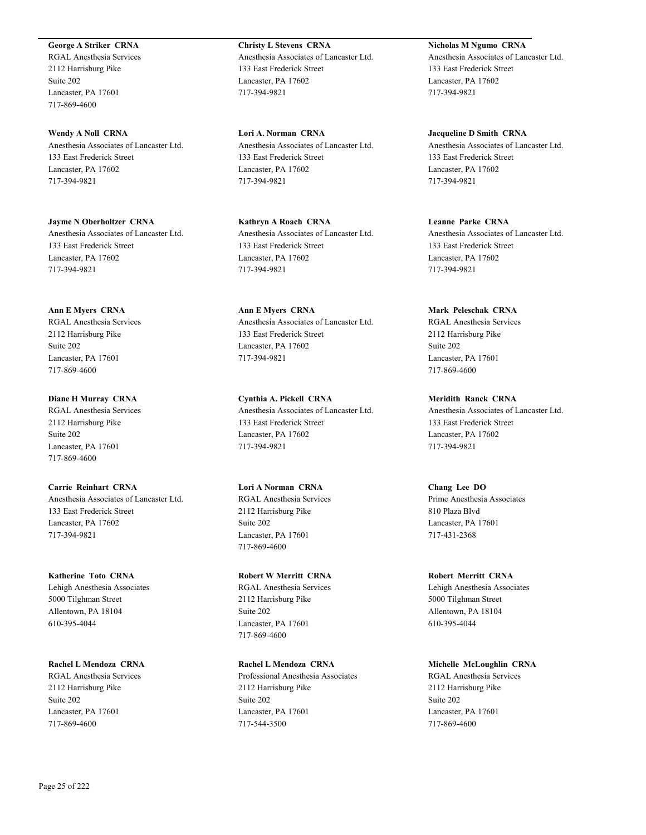### **George A Striker CRNA**

RGAL Anesthesia Services 2112 Harrisburg Pike Suite 202 Lancaster, PA 17601 717-869-4600

**Wendy A Noll CRNA** Anesthesia Associates of Lancaster Ltd. 133 East Frederick Street Lancaster, PA 17602 717-394-9821

**Jayme N Oberholtzer CRNA** Anesthesia Associates of Lancaster Ltd. 133 East Frederick Street Lancaster, PA 17602 717-394-9821

**Ann E Myers CRNA** RGAL Anesthesia Services 2112 Harrisburg Pike Suite 202 Lancaster, PA 17601

717-869-4600

**Diane H Murray CRNA** RGAL Anesthesia Services 2112 Harrisburg Pike Suite 202 Lancaster, PA 17601 717-869-4600

**Carrie Reinhart CRNA** Anesthesia Associates of Lancaster Ltd. 133 East Frederick Street Lancaster, PA 17602 717-394-9821

**Katherine Toto CRNA** Lehigh Anesthesia Associates 5000 Tilghman Street Allentown, PA 18104 610-395-4044

**Rachel L Mendoza CRNA** RGAL Anesthesia Services 2112 Harrisburg Pike Suite 202 Lancaster, PA 17601 717-869-4600

**Christy L Stevens CRNA** Anesthesia Associates of Lancaster Ltd. 133 East Frederick Street Lancaster, PA 17602 717-394-9821

**Lori A. Norman CRNA** Anesthesia Associates of Lancaster Ltd. 133 East Frederick Street Lancaster, PA 17602 717-394-9821

**Kathryn A Roach CRNA** Anesthesia Associates of Lancaster Ltd. 133 East Frederick Street Lancaster, PA 17602 717-394-9821

**Ann E Myers CRNA** Anesthesia Associates of Lancaster Ltd. 133 East Frederick Street Lancaster, PA 17602 717-394-9821

**Cynthia A. Pickell CRNA** Anesthesia Associates of Lancaster Ltd. 133 East Frederick Street Lancaster, PA 17602 717-394-9821

**Lori A Norman CRNA** RGAL Anesthesia Services 2112 Harrisburg Pike Suite 202 Lancaster, PA 17601 717-869-4600

**Robert W Merritt CRNA** RGAL Anesthesia Services

2112 Harrisburg Pike Suite 202 Lancaster, PA 17601 717-869-4600

**Rachel L Mendoza CRNA** Professional Anesthesia Associates 2112 Harrisburg Pike Suite 202 Lancaster, PA 17601 717-544-3500

**Nicholas M Ngumo CRNA** Anesthesia Associates of Lancaster Ltd. 133 East Frederick Street Lancaster, PA 17602 717-394-9821

**Jacqueline D Smith CRNA** Anesthesia Associates of Lancaster Ltd. 133 East Frederick Street Lancaster, PA 17602 717-394-9821

**Leanne Parke CRNA** Anesthesia Associates of Lancaster Ltd. 133 East Frederick Street Lancaster, PA 17602 717-394-9821

**Mark Peleschak CRNA** RGAL Anesthesia Services 2112 Harrisburg Pike Suite 202 Lancaster, PA 17601 717-869-4600

**Meridith Ranck CRNA** Anesthesia Associates of Lancaster Ltd. 133 East Frederick Street Lancaster, PA 17602 717-394-9821

**Chang Lee DO** Prime Anesthesia Associates 810 Plaza Blvd Lancaster, PA 17601 717-431-2368

**Robert Merritt CRNA** Lehigh Anesthesia Associates 5000 Tilghman Street Allentown, PA 18104 610-395-4044

**Michelle McLoughlin CRNA** RGAL Anesthesia Services 2112 Harrisburg Pike Suite 202 Lancaster, PA 17601 717-869-4600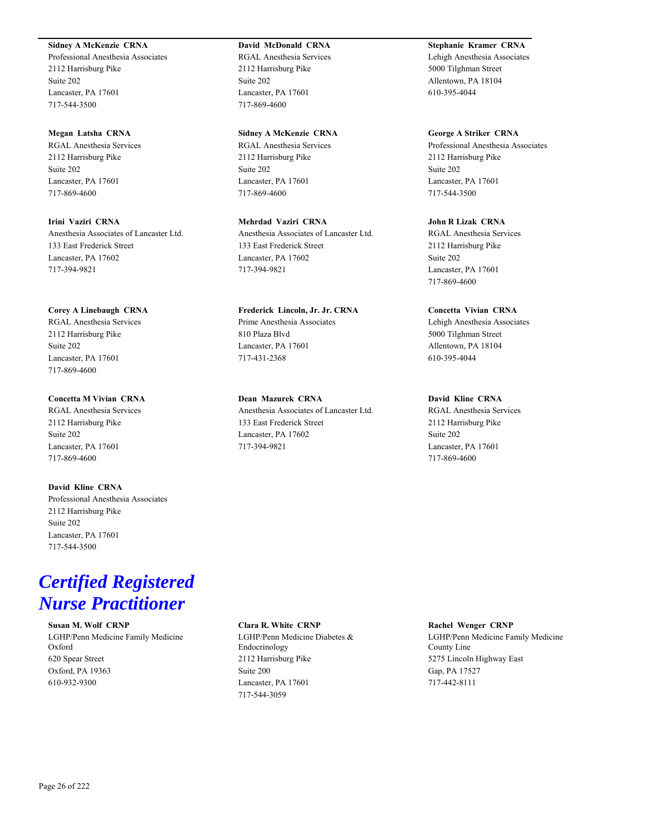# **Sidney A McKenzie CRNA**

Professional Anesthesia Associates 2112 Harrisburg Pike Suite 202 Lancaster, PA 17601 717-544-3500

### **Megan Latsha CRNA**

RGAL Anesthesia Services 2112 Harrisburg Pike Suite 202 Lancaster, PA 17601 717-869-4600

**Irini Vaziri CRNA** Anesthesia Associates of Lancaster Ltd. 133 East Frederick Street Lancaster, PA 17602 717-394-9821

### **Corey A Linebaugh CRNA**

RGAL Anesthesia Services 2112 Harrisburg Pike Suite 202 Lancaster, PA 17601 717-869-4600

# **Concetta M Vivian CRNA**

RGAL Anesthesia Services 2112 Harrisburg Pike Suite 202 Lancaster, PA 17601 717-869-4600

# **David Kline CRNA**

Professional Anesthesia Associates 2112 Harrisburg Pike Suite 202 Lancaster, PA 17601 717-544-3500

# **David McDonald CRNA**

RGAL Anesthesia Services 2112 Harrisburg Pike Suite 202 Lancaster, PA 17601 717-869-4600

### **Sidney A McKenzie CRNA**

RGAL Anesthesia Services 2112 Harrisburg Pike Suite 202 Lancaster, PA 17601 717-869-4600

# **Mehrdad Vaziri CRNA**

Anesthesia Associates of Lancaster Ltd. 133 East Frederick Street Lancaster, PA 17602 717-394-9821

### **Frederick Lincoln, Jr. Jr. CRNA** Prime Anesthesia Associates

810 Plaza Blvd Lancaster, PA 17601 717-431-2368

# **Dean Mazurek CRNA** Anesthesia Associates of Lancaster Ltd. 133 East Frederick Street Lancaster, PA 17602 717-394-9821

**Stephanie Kramer CRNA** Lehigh Anesthesia Associates 5000 Tilghman Street Allentown, PA 18104 610-395-4044

### **George A Striker CRNA**

Professional Anesthesia Associates 2112 Harrisburg Pike Suite 202 Lancaster, PA 17601 717-544-3500

# **John R Lizak CRNA**

RGAL Anesthesia Services 2112 Harrisburg Pike Suite 202 Lancaster, PA 17601 717-869-4600

### **Concetta Vivian CRNA**

Lehigh Anesthesia Associates 5000 Tilghman Street Allentown, PA 18104 610-395-4044

# **David Kline CRNA**

RGAL Anesthesia Services 2112 Harrisburg Pike Suite 202 Lancaster, PA 17601 717-869-4600

# *Certified Registered Nurse Practitioner*

# **Susan M. Wolf CRNP**

LGHP/Penn Medicine Family Medicine Oxford 620 Spear Street Oxford, PA 19363 610-932-9300

### **Clara R. White CRNP**

LGHP/Penn Medicine Diabetes & Endocrinology 2112 Harrisburg Pike Suite 200 Lancaster, PA 17601 717-544-3059

#### **Rachel Wenger CRNP**

LGHP/Penn Medicine Family Medicine County Line 5275 Lincoln Highway East Gap, PA 17527 717-442-8111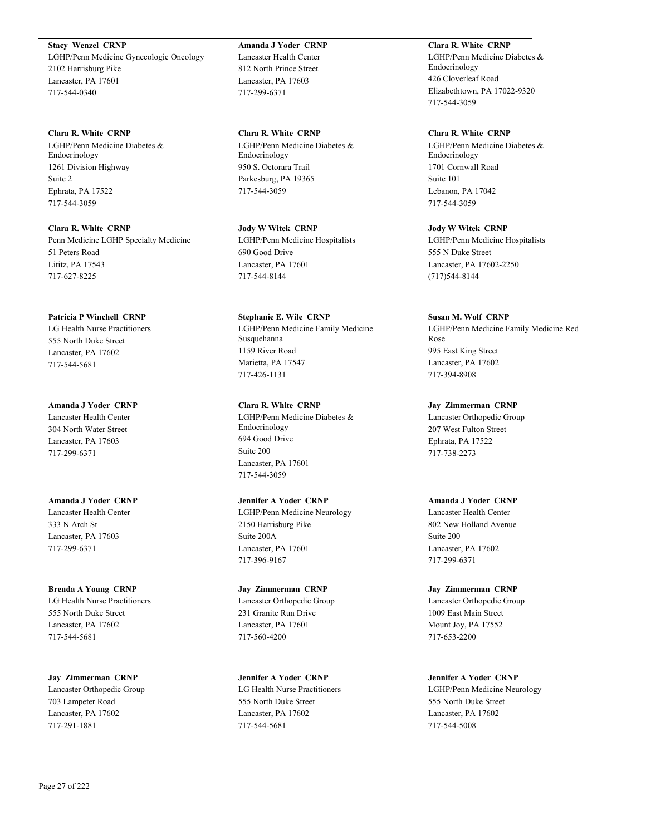**Stacy Wenzel CRNP** LGHP/Penn Medicine Gynecologic Oncology 2102 Harrisburg Pike Lancaster, PA 17601 717-544-0340

**Clara R. White CRNP** LGHP/Penn Medicine Diabetes & Endocrinology 1261 Division Highway Suite 2 Ephrata, PA 17522 717-544-3059

**Clara R. White CRNP** Penn Medicine LGHP Specialty Medicine 51 Peters Road Lititz, PA 17543 717-627-8225

**Patricia P Winchell CRNP** LG Health Nurse Practitioners 555 North Duke Street Lancaster, PA 17602 717-544-5681

**Amanda J Yoder CRNP** Lancaster Health Center 304 North Water Street Lancaster, PA 17603 717-299-6371

**Amanda J Yoder CRNP** Lancaster Health Center 333 N Arch St Lancaster, PA 17603 717-299-6371

**Brenda A Young CRNP** LG Health Nurse Practitioners 555 North Duke Street Lancaster, PA 17602 717-544-5681

**Jay Zimmerman CRNP** Lancaster Orthopedic Group 703 Lampeter Road Lancaster, PA 17602 717-291-1881

**Amanda J Yoder CRNP** Lancaster Health Center 812 North Prince Street Lancaster, PA 17603 717-299-6371

**Clara R. White CRNP** LGHP/Penn Medicine Diabetes & Endocrinology 950 S. Octorara Trail Parkesburg, PA 19365 717-544-3059

**Jody W Witek CRNP** LGHP/Penn Medicine Hospitalists 690 Good Drive Lancaster, PA 17601 717-544-8144

**Stephanie E. Wile CRNP** LGHP/Penn Medicine Family Medicine Susquehanna 1159 River Road Marietta, PA 17547 717-426-1131

**Clara R. White CRNP** LGHP/Penn Medicine Diabetes & Endocrinology 694 Good Drive Suite 200 Lancaster, PA 17601 717-544-3059

**Jennifer A Yoder CRNP** LGHP/Penn Medicine Neurology 2150 Harrisburg Pike Suite 200A Lancaster, PA 17601 717-396-9167

**Jay Zimmerman CRNP** Lancaster Orthopedic Group 231 Granite Run Drive Lancaster, PA 17601 717-560-4200

**Jennifer A Yoder CRNP** LG Health Nurse Practitioners 555 North Duke Street Lancaster, PA 17602 717-544-5681

**Clara R. White CRNP** LGHP/Penn Medicine Diabetes & Endocrinology 426 Cloverleaf Road Elizabethtown, PA 17022-9320 717-544-3059

**Clara R. White CRNP** LGHP/Penn Medicine Diabetes & Endocrinology 1701 Cornwall Road Suite 101 Lebanon, PA 17042 717-544-3059

**Jody W Witek CRNP** LGHP/Penn Medicine Hospitalists 555 N Duke Street Lancaster, PA 17602-2250 (717)544-8144

**Susan M. Wolf CRNP** LGHP/Penn Medicine Family Medicine Red Rose

995 East King Street Lancaster, PA 17602 717-394-8908

**Jay Zimmerman CRNP**

Lancaster Orthopedic Group 207 West Fulton Street Ephrata, PA 17522 717-738-2273

**Amanda J Yoder CRNP**

Lancaster Health Center 802 New Holland Avenue Suite 200 Lancaster, PA 17602 717-299-6371

**Jay Zimmerman CRNP** Lancaster Orthopedic Group 1009 East Main Street Mount Joy, PA 17552 717-653-2200

**Jennifer A Yoder CRNP** LGHP/Penn Medicine Neurology 555 North Duke Street Lancaster, PA 17602 717-544-5008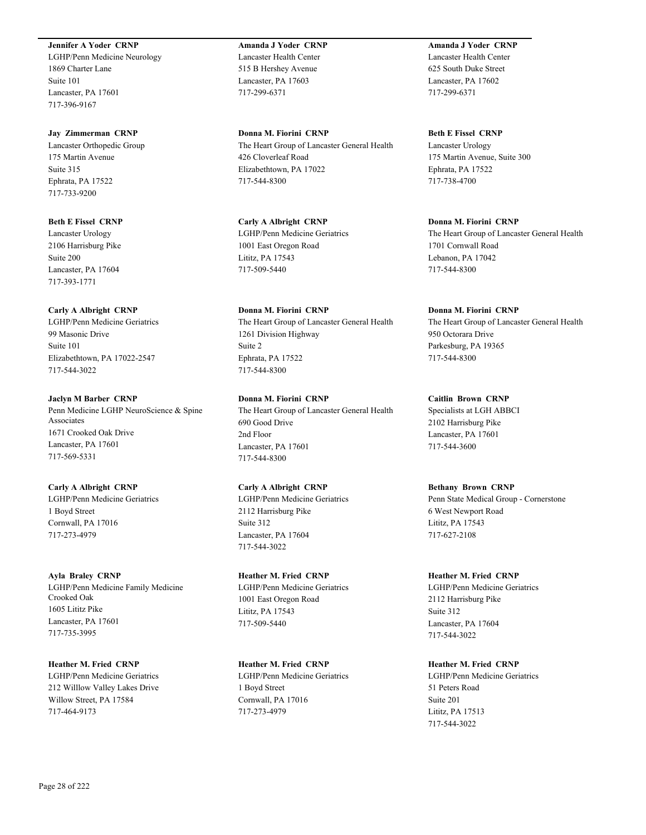### **Jennifer A Yoder CRNP**

LGHP/Penn Medicine Neurology 1869 Charter Lane Suite 101 Lancaster, PA 17601 717-396-9167

### **Jay Zimmerman CRNP**

Lancaster Orthopedic Group 175 Martin Avenue Suite 315 Ephrata, PA 17522 717-733-9200

# **Beth E Fissel CRNP**

Lancaster Urology 2106 Harrisburg Pike Suite 200 Lancaster, PA 17604 717-393-1771

### **Carly A Albright CRNP**

LGHP/Penn Medicine Geriatrics 99 Masonic Drive Suite 101 Elizabethtown, PA 17022-2547 717-544-3022

# **Jaclyn M Barber CRNP**

Penn Medicine LGHP NeuroScience & Spine Associates 1671 Crooked Oak Drive Lancaster, PA 17601 717-569-5331

### **Carly A Albright CRNP**

LGHP/Penn Medicine Geriatrics 1 Boyd Street Cornwall, PA 17016 717-273-4979

# **Ayla Braley CRNP**

LGHP/Penn Medicine Family Medicine Crooked Oak 1605 Lititz Pike Lancaster, PA 17601 717-735-3995

# **Heather M. Fried CRNP**

LGHP/Penn Medicine Geriatrics 212 Willlow Valley Lakes Drive Willow Street, PA 17584 717-464-9173

# **Amanda J Yoder CRNP** Lancaster Health Center 515 B Hershey Avenue Lancaster, PA 17603 717-299-6371

**Donna M. Fiorini CRNP** The Heart Group of Lancaster General Health 426 Cloverleaf Road Elizabethtown, PA 17022 717-544-8300

**Carly A Albright CRNP** LGHP/Penn Medicine Geriatrics 1001 East Oregon Road Lititz, PA 17543 717-509-5440

# **Donna M. Fiorini CRNP**

The Heart Group of Lancaster General Health 1261 Division Highway Suite 2 Ephrata, PA 17522 717-544-8300

**Donna M. Fiorini CRNP**

The Heart Group of Lancaster General Health 690 Good Drive 2nd Floor Lancaster, PA 17601 717-544-8300

# **Carly A Albright CRNP**

LGHP/Penn Medicine Geriatrics 2112 Harrisburg Pike Suite 312 Lancaster, PA 17604 717-544-3022

# **Heather M. Fried CRNP**

LGHP/Penn Medicine Geriatrics 1001 East Oregon Road Lititz, PA 17543 717-509-5440

# **Heather M. Fried CRNP**

LGHP/Penn Medicine Geriatrics 1 Boyd Street Cornwall, PA 17016 717-273-4979

# **Amanda J Yoder CRNP** Lancaster Health Center 625 South Duke Street Lancaster, PA 17602 717-299-6371

**Beth E Fissel CRNP** Lancaster Urology 175 Martin Avenue, Suite 300 Ephrata, PA 17522 717-738-4700

# **Donna M. Fiorini CRNP**

The Heart Group of Lancaster General Health 1701 Cornwall Road Lebanon, PA 17042 717-544-8300

# **Donna M. Fiorini CRNP**

The Heart Group of Lancaster General Health 950 Octorara Drive Parkesburg, PA 19365 717-544-8300

# **Caitlin Brown CRNP**

Specialists at LGH ABBCI 2102 Harrisburg Pike Lancaster, PA 17601 717-544-3600

# **Bethany Brown CRNP**

Penn State Medical Group - Cornerstone 6 West Newport Road Lititz, PA 17543 717-627-2108

# **Heather M. Fried CRNP**

LGHP/Penn Medicine Geriatrics 2112 Harrisburg Pike Suite 312 Lancaster, PA 17604 717-544-3022

# **Heather M. Fried CRNP**

LGHP/Penn Medicine Geriatrics 51 Peters Road Suite 201 Lititz, PA 17513 717-544-3022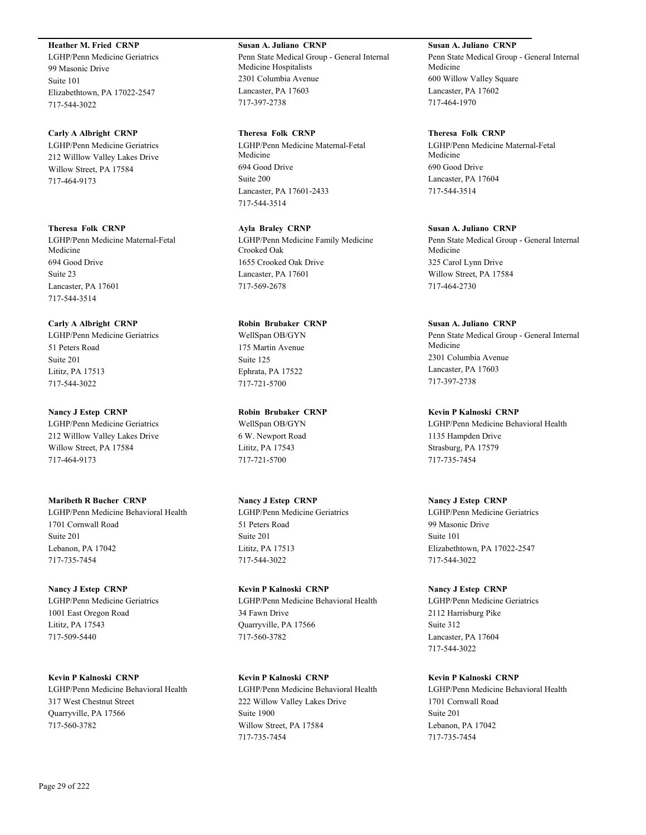# **Heather M. Fried CRNP**

LGHP/Penn Medicine Geriatrics 99 Masonic Drive Suite 101 Elizabethtown, PA 17022-2547 717-544-3022

### **Carly A Albright CRNP**

LGHP/Penn Medicine Geriatrics 212 Willlow Valley Lakes Drive Willow Street, PA 17584 717-464-9173

### **Theresa Folk CRNP**

LGHP/Penn Medicine Maternal-Fetal Medicine 694 Good Drive Suite 23 Lancaster, PA 17601 717-544-3514

# **Carly A Albright CRNP**

LGHP/Penn Medicine Geriatrics 51 Peters Road Suite 201 Lititz, PA 17513 717-544-3022

# **Nancy J Estep CRNP**

LGHP/Penn Medicine Geriatrics 212 Willlow Valley Lakes Drive Willow Street, PA 17584 717-464-9173

### **Maribeth R Bucher CRNP**

LGHP/Penn Medicine Behavioral Health 1701 Cornwall Road Suite 201 Lebanon, PA 17042 717-735-7454

# **Nancy J Estep CRNP**

LGHP/Penn Medicine Geriatrics 1001 East Oregon Road Lititz, PA 17543 717-509-5440

# **Kevin P Kalnoski CRNP**

LGHP/Penn Medicine Behavioral Health 317 West Chestnut Street Quarryville, PA 17566 717-560-3782

# **Susan A. Juliano CRNP**

Penn State Medical Group - General Internal Medicine Hospitalists 2301 Columbia Avenue Lancaster, PA 17603 717-397-2738

### **Theresa Folk CRNP**

LGHP/Penn Medicine Maternal-Fetal Medicine 694 Good Drive Suite 200 Lancaster, PA 17601-2433 717-544-3514

**Ayla Braley CRNP** LGHP/Penn Medicine Family Medicine Crooked Oak 1655 Crooked Oak Drive Lancaster, PA 17601 717-569-2678

### **Robin Brubaker CRNP**

WellSpan OB/GYN 175 Martin Avenue Suite 125 Ephrata, PA 17522 717-721-5700

# **Robin Brubaker CRNP**

WellSpan OB/GYN 6 W. Newport Road Lititz, PA 17543 717-721-5700

# **Nancy J Estep CRNP**

LGHP/Penn Medicine Geriatrics 51 Peters Road Suite 201 Lititz, PA 17513 717-544-3022

# **Kevin P Kalnoski CRNP** LGHP/Penn Medicine Behavioral Health 34 Fawn Drive Quarryville, PA 17566 717-560-3782

**Kevin P Kalnoski CRNP** LGHP/Penn Medicine Behavioral Health 222 Willow Valley Lakes Drive Suite 1900 Willow Street, PA 17584 717-735-7454

# **Susan A. Juliano CRNP** Penn State Medical Group - General Internal Medicine 600 Willow Valley Square Lancaster, PA 17602 717-464-1970

### **Theresa Folk CRNP**

LGHP/Penn Medicine Maternal-Fetal Medicine 690 Good Drive Lancaster, PA 17604 717-544-3514

# **Susan A. Juliano CRNP** Penn State Medical Group - General Internal Medicine 325 Carol Lynn Drive

Willow Street, PA 17584 717-464-2730

### **Susan A. Juliano CRNP**

Penn State Medical Group - General Internal Medicine 2301 Columbia Avenue Lancaster, PA 17603 717-397-2738

### **Kevin P Kalnoski CRNP**

LGHP/Penn Medicine Behavioral Health 1135 Hampden Drive Strasburg, PA 17579 717-735-7454

### **Nancy J Estep CRNP**

LGHP/Penn Medicine Geriatrics 99 Masonic Drive Suite 101 Elizabethtown, PA 17022-2547 717-544-3022

# **Nancy J Estep CRNP**

LGHP/Penn Medicine Geriatrics 2112 Harrisburg Pike Suite 312 Lancaster, PA 17604 717-544-3022

# **Kevin P Kalnoski CRNP**

LGHP/Penn Medicine Behavioral Health 1701 Cornwall Road Suite 201 Lebanon, PA 17042 717-735-7454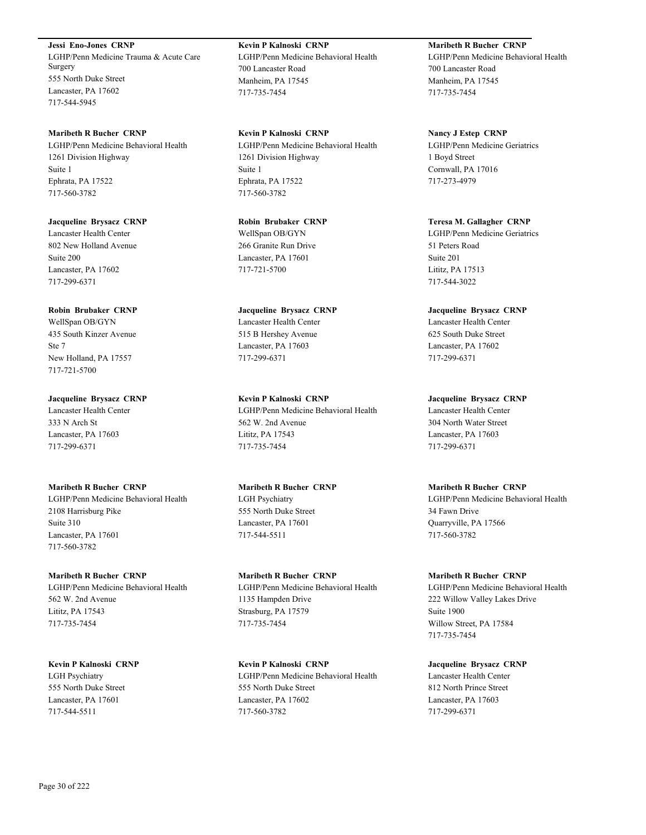**Jessi Eno-Jones CRNP** LGHP/Penn Medicine Trauma & Acute Care Surgery 555 North Duke Street Lancaster, PA 17602 717-544-5945

**Maribeth R Bucher CRNP** LGHP/Penn Medicine Behavioral Health 1261 Division Highway Suite 1 Ephrata, PA 17522 717-560-3782

**Jacqueline Brysacz CRNP** Lancaster Health Center 802 New Holland Avenue Suite 200 Lancaster, PA 17602 717-299-6371

**Robin Brubaker CRNP**

WellSpan OB/GYN 435 South Kinzer Avenue Ste 7 New Holland, PA 17557 717-721-5700

**Jacqueline Brysacz CRNP** Lancaster Health Center 333 N Arch St Lancaster, PA 17603 717-299-6371

**Maribeth R Bucher CRNP** LGHP/Penn Medicine Behavioral Health 2108 Harrisburg Pike Suite 310 Lancaster, PA 17601 717-560-3782

**Maribeth R Bucher CRNP** LGHP/Penn Medicine Behavioral Health 562 W. 2nd Avenue Lititz, PA 17543 717-735-7454

**Kevin P Kalnoski CRNP** LGH Psychiatry 555 North Duke Street Lancaster, PA 17601 717-544-5511

**Kevin P Kalnoski CRNP** LGHP/Penn Medicine Behavioral Health 700 Lancaster Road Manheim, PA 17545 717-735-7454

**Kevin P Kalnoski CRNP** LGHP/Penn Medicine Behavioral Health 1261 Division Highway Suite 1 Ephrata, PA 17522 717-560-3782

**Robin Brubaker CRNP** WellSpan OB/GYN 266 Granite Run Drive Lancaster, PA 17601 717-721-5700

**Jacqueline Brysacz CRNP** Lancaster Health Center 515 B Hershey Avenue Lancaster, PA 17603 717-299-6371

**Kevin P Kalnoski CRNP** LGHP/Penn Medicine Behavioral Health 562 W. 2nd Avenue Lititz, PA 17543 717-735-7454

**Maribeth R Bucher CRNP** LGH Psychiatry 555 North Duke Street Lancaster, PA 17601 717-544-5511

**Maribeth R Bucher CRNP** LGHP/Penn Medicine Behavioral Health 1135 Hampden Drive Strasburg, PA 17579 717-735-7454

**Kevin P Kalnoski CRNP** LGHP/Penn Medicine Behavioral Health 555 North Duke Street Lancaster, PA 17602 717-560-3782

**Maribeth R Bucher CRNP** LGHP/Penn Medicine Behavioral Health 700 Lancaster Road Manheim, PA 17545 717-735-7454

**Nancy J Estep CRNP** LGHP/Penn Medicine Geriatrics 1 Boyd Street Cornwall, PA 17016 717-273-4979

**Teresa M. Gallagher CRNP** LGHP/Penn Medicine Geriatrics 51 Peters Road Suite 201 Lititz, PA 17513 717-544-3022

**Jacqueline Brysacz CRNP** Lancaster Health Center 625 South Duke Street Lancaster, PA 17602 717-299-6371

**Jacqueline Brysacz CRNP** Lancaster Health Center 304 North Water Street Lancaster, PA 17603 717-299-6371

**Maribeth R Bucher CRNP** LGHP/Penn Medicine Behavioral Health 34 Fawn Drive Quarryville, PA 17566 717-560-3782

**Maribeth R Bucher CRNP** LGHP/Penn Medicine Behavioral Health 222 Willow Valley Lakes Drive Suite 1900 Willow Street, PA 17584 717-735-7454

**Jacqueline Brysacz CRNP** Lancaster Health Center 812 North Prince Street Lancaster, PA 17603 717-299-6371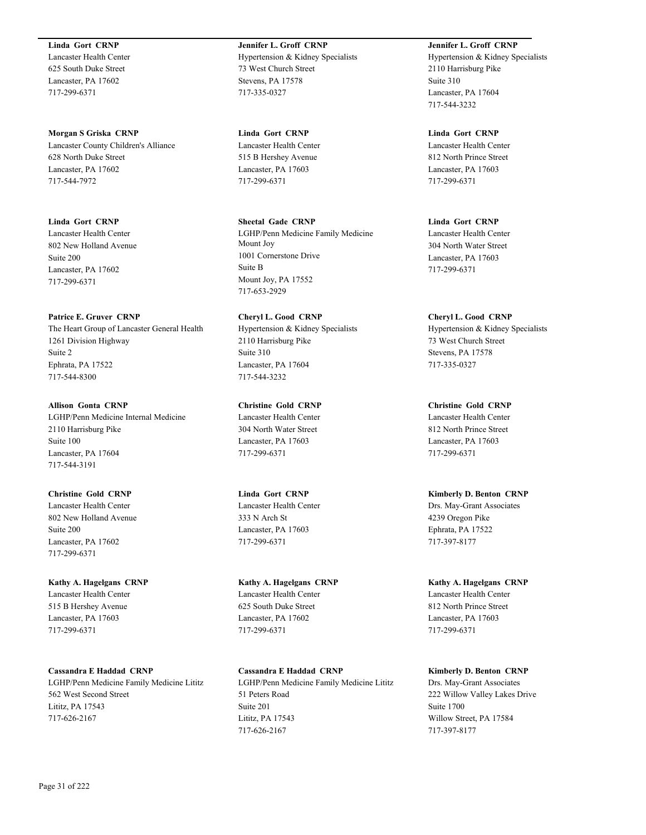**Linda Gort CRNP** Lancaster Health Center 625 South Duke Street

Lancaster, PA 17602 717-299-6371

**Morgan S Griska CRNP** Lancaster County Children's Alliance 628 North Duke Street Lancaster, PA 17602 717-544-7972

**Linda Gort CRNP** Lancaster Health Center 802 New Holland Avenue Suite 200 Lancaster, PA 17602 717-299-6371

**Patrice E. Gruver CRNP** The Heart Group of Lancaster General Health 1261 Division Highway Suite 2 Ephrata, PA 17522 717-544-8300

**Allison Gonta CRNP** LGHP/Penn Medicine Internal Medicine 2110 Harrisburg Pike Suite 100 Lancaster, PA 17604 717-544-3191

**Christine Gold CRNP** Lancaster Health Center 802 New Holland Avenue Suite 200 Lancaster, PA 17602 717-299-6371

**Kathy A. Hagelgans CRNP** Lancaster Health Center 515 B Hershey Avenue Lancaster, PA 17603 717-299-6371

**Cassandra E Haddad CRNP** LGHP/Penn Medicine Family Medicine Lititz 562 West Second Street Lititz, PA 17543 717-626-2167

**Jennifer L. Groff CRNP** Hypertension & Kidney Specialists 73 West Church Street Stevens, PA 17578 717-335-0327

**Linda Gort CRNP** Lancaster Health Center 515 B Hershey Avenue Lancaster, PA 17603 717-299-6371

**Sheetal Gade CRNP** LGHP/Penn Medicine Family Medicine Mount Joy 1001 Cornerstone Drive Suite B Mount Joy, PA 17552 717-653-2929

**Cheryl L. Good CRNP** Hypertension & Kidney Specialists 2110 Harrisburg Pike Suite 310 Lancaster, PA 17604 717-544-3232

**Christine Gold CRNP** Lancaster Health Center 304 North Water Street Lancaster, PA 17603 717-299-6371

**Linda Gort CRNP** Lancaster Health Center 333 N Arch St Lancaster, PA 17603 717-299-6371

**Kathy A. Hagelgans CRNP** Lancaster Health Center 625 South Duke Street Lancaster, PA 17602 717-299-6371

**Cassandra E Haddad CRNP** LGHP/Penn Medicine Family Medicine Lititz 51 Peters Road Suite 201 Lititz, PA 17543 717-626-2167

**Jennifer L. Groff CRNP** Hypertension & Kidney Specialists 2110 Harrisburg Pike Suite 310 Lancaster, PA 17604 717-544-3232

**Linda Gort CRNP** Lancaster Health Center 812 North Prince Street Lancaster, PA 17603 717-299-6371

**Linda Gort CRNP** Lancaster Health Center 304 North Water Street Lancaster, PA 17603

717-299-6371

**Cheryl L. Good CRNP** Hypertension & Kidney Specialists 73 West Church Street Stevens, PA 17578 717-335-0327

**Christine Gold CRNP** Lancaster Health Center 812 North Prince Street Lancaster, PA 17603 717-299-6371

**Kimberly D. Benton CRNP** Drs. May-Grant Associates 4239 Oregon Pike Ephrata, PA 17522 717-397-8177

**Kathy A. Hagelgans CRNP** Lancaster Health Center 812 North Prince Street Lancaster, PA 17603 717-299-6371

**Kimberly D. Benton CRNP** Drs. May-Grant Associates 222 Willow Valley Lakes Drive Suite 1700 Willow Street, PA 17584 717-397-8177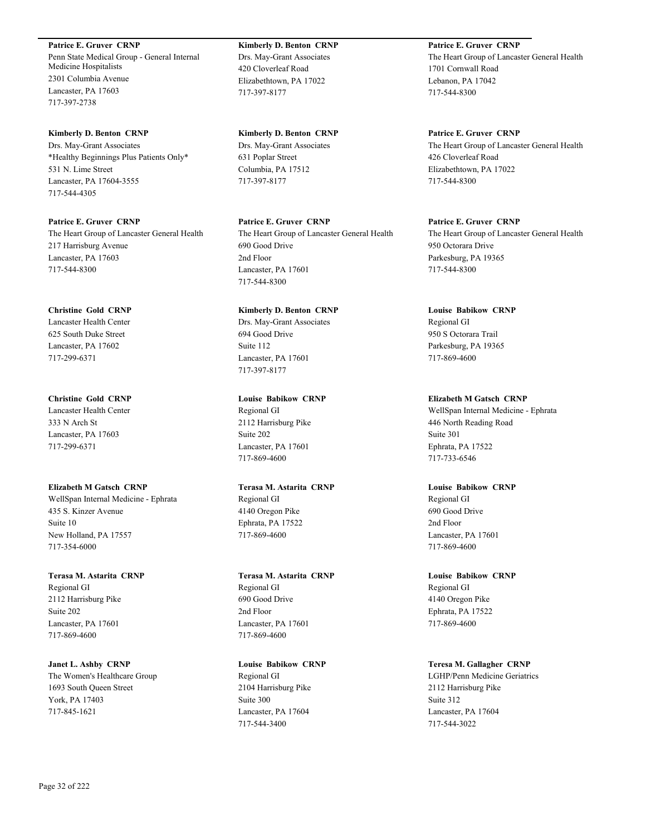**Patrice E. Gruver CRNP** Penn State Medical Group - General Internal Medicine Hospitalists 2301 Columbia Avenue Lancaster, PA 17603 717-397-2738

**Kimberly D. Benton CRNP** Drs. May-Grant Associates \*Healthy Beginnings Plus Patients Only\* 531 N. Lime Street Lancaster, PA 17604-3555 717-544-4305

**Patrice E. Gruver CRNP** The Heart Group of Lancaster General Health 217 Harrisburg Avenue Lancaster, PA 17603 717-544-8300

**Christine Gold CRNP** Lancaster Health Center 625 South Duke Street Lancaster, PA 17602 717-299-6371

**Christine Gold CRNP** Lancaster Health Center 333 N Arch St Lancaster, PA 17603 717-299-6371

**Elizabeth M Gatsch CRNP** WellSpan Internal Medicine - Ephrata 435 S. Kinzer Avenue Suite 10 New Holland, PA 17557 717-354-6000

**Terasa M. Astarita CRNP** Regional GI 2112 Harrisburg Pike Suite 202 Lancaster, PA 17601 717-869-4600

**Janet L. Ashby CRNP** The Women's Healthcare Group 1693 South Queen Street York, PA 17403 717-845-1621

**Kimberly D. Benton CRNP** Drs. May-Grant Associates 420 Cloverleaf Road Elizabethtown, PA 17022 717-397-8177

**Kimberly D. Benton CRNP** Drs. May-Grant Associates 631 Poplar Street Columbia, PA 17512 717-397-8177

**Patrice E. Gruver CRNP** The Heart Group of Lancaster General Health 690 Good Drive 2nd Floor Lancaster, PA 17601 717-544-8300

**Kimberly D. Benton CRNP** Drs. May-Grant Associates 694 Good Drive Suite 112 Lancaster, PA 17601 717-397-8177

**Louise Babikow CRNP** Regional GI 2112 Harrisburg Pike Suite 202 Lancaster, PA 17601 717-869-4600

**Terasa M. Astarita CRNP** Regional GI 4140 Oregon Pike Ephrata, PA 17522 717-869-4600

**Terasa M. Astarita CRNP** Regional GI 690 Good Drive 2nd Floor Lancaster, PA 17601 717-869-4600

**Louise Babikow CRNP** Regional GI 2104 Harrisburg Pike Suite 300 Lancaster, PA 17604 717-544-3400

**Patrice E. Gruver CRNP** The Heart Group of Lancaster General Health 1701 Cornwall Road Lebanon, PA 17042 717-544-8300

**Patrice E. Gruver CRNP** The Heart Group of Lancaster General Health 426 Cloverleaf Road Elizabethtown, PA 17022 717-544-8300

**Patrice E. Gruver CRNP** The Heart Group of Lancaster General Health 950 Octorara Drive Parkesburg, PA 19365 717-544-8300

**Louise Babikow CRNP** Regional GI 950 S Octorara Trail Parkesburg, PA 19365 717-869-4600

**Elizabeth M Gatsch CRNP** WellSpan Internal Medicine - Ephrata 446 North Reading Road Suite 301 Ephrata, PA 17522 717-733-6546

**Louise Babikow CRNP** Regional GI 690 Good Drive 2nd Floor Lancaster, PA 17601 717-869-4600

**Louise Babikow CRNP** Regional GI 4140 Oregon Pike Ephrata, PA 17522 717-869-4600

**Teresa M. Gallagher CRNP** LGHP/Penn Medicine Geriatrics 2112 Harrisburg Pike Suite 312 Lancaster, PA 17604 717-544-3022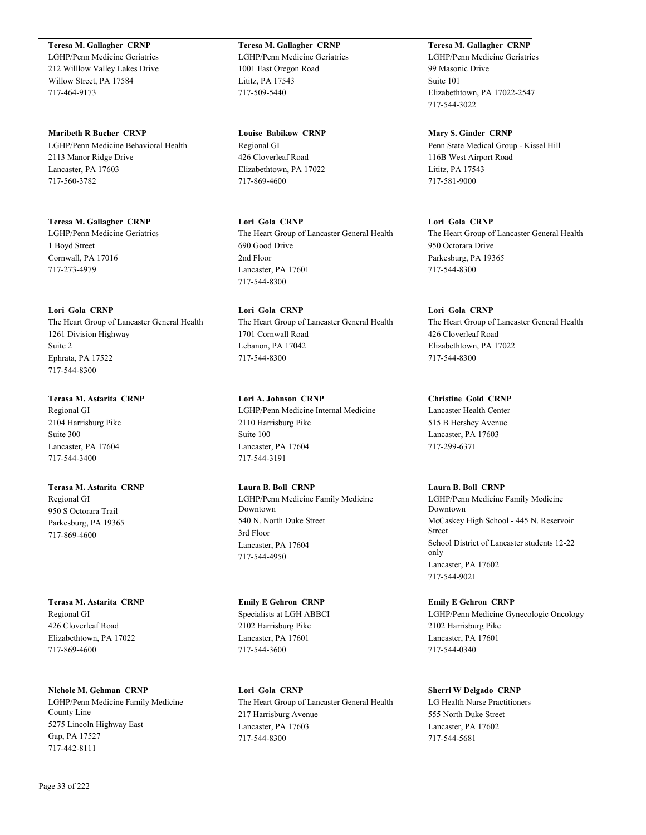**Teresa M. Gallagher CRNP** LGHP/Penn Medicine Geriatrics 212 Willlow Valley Lakes Drive Willow Street, PA 17584 717-464-9173

**Maribeth R Bucher CRNP** LGHP/Penn Medicine Behavioral Health 2113 Manor Ridge Drive Lancaster, PA 17603 717-560-3782

**Teresa M. Gallagher CRNP** LGHP/Penn Medicine Geriatrics 1 Boyd Street Cornwall, PA 17016 717-273-4979

# **Lori Gola CRNP**

The Heart Group of Lancaster General Health 1261 Division Highway Suite 2 Ephrata, PA 17522 717-544-8300

# **Terasa M. Astarita CRNP**

Regional GI 2104 Harrisburg Pike Suite 300 Lancaster, PA 17604 717-544-3400

# **Terasa M. Astarita CRNP**

Regional GI 950 S Octorara Trail Parkesburg, PA 19365 717-869-4600

**Terasa M. Astarita CRNP** Regional GI 426 Cloverleaf Road Elizabethtown, PA 17022 717-869-4600

**Nichole M. Gehman CRNP**

LGHP/Penn Medicine Family Medicine County Line 5275 Lincoln Highway East Gap, PA 17527 717-442-8111

**Teresa M. Gallagher CRNP** LGHP/Penn Medicine Geriatrics 1001 East Oregon Road Lititz, PA 17543 717-509-5440

**Louise Babikow CRNP** Regional GI 426 Cloverleaf Road Elizabethtown, PA 17022 717-869-4600

**Lori Gola CRNP** The Heart Group of Lancaster General Health 690 Good Drive 2nd Floor Lancaster, PA 17601 717-544-8300

**Lori Gola CRNP** The Heart Group of Lancaster General Health 1701 Cornwall Road Lebanon, PA 17042 717-544-8300

**Lori A. Johnson CRNP** LGHP/Penn Medicine Internal Medicine 2110 Harrisburg Pike Suite 100 Lancaster, PA 17604 717-544-3191

**Laura B. Boll CRNP** LGHP/Penn Medicine Family Medicine Downtown 540 N. North Duke Street 3rd Floor Lancaster, PA 17604 717-544-4950

**Emily E Gehron CRNP** Specialists at LGH ABBCI 2102 Harrisburg Pike Lancaster, PA 17601 717-544-3600

**Lori Gola CRNP** The Heart Group of Lancaster General Health 217 Harrisburg Avenue Lancaster, PA 17603 717-544-8300

**Teresa M. Gallagher CRNP** LGHP/Penn Medicine Geriatrics 99 Masonic Drive Suite 101 Elizabethtown, PA 17022-2547 717-544-3022

**Mary S. Ginder CRNP** Penn State Medical Group - Kissel Hill 116B West Airport Road Lititz, PA 17543 717-581-9000

**Lori Gola CRNP** The Heart Group of Lancaster General Health 950 Octorara Drive Parkesburg, PA 19365 717-544-8300

**Lori Gola CRNP** The Heart Group of Lancaster General Health 426 Cloverleaf Road Elizabethtown, PA 17022 717-544-8300

**Christine Gold CRNP** Lancaster Health Center 515 B Hershey Avenue Lancaster, PA 17603 717-299-6371

Lancaster, PA 17602

**Laura B. Boll CRNP** LGHP/Penn Medicine Family Medicine Downtown McCaskey High School - 445 N. Reservoir Street School District of Lancaster students 12-22 only

717-544-9021 **Emily E Gehron CRNP** LGHP/Penn Medicine Gynecologic Oncology 2102 Harrisburg Pike Lancaster, PA 17601 717-544-0340

**Sherri W Delgado CRNP** LG Health Nurse Practitioners 555 North Duke Street Lancaster, PA 17602 717-544-5681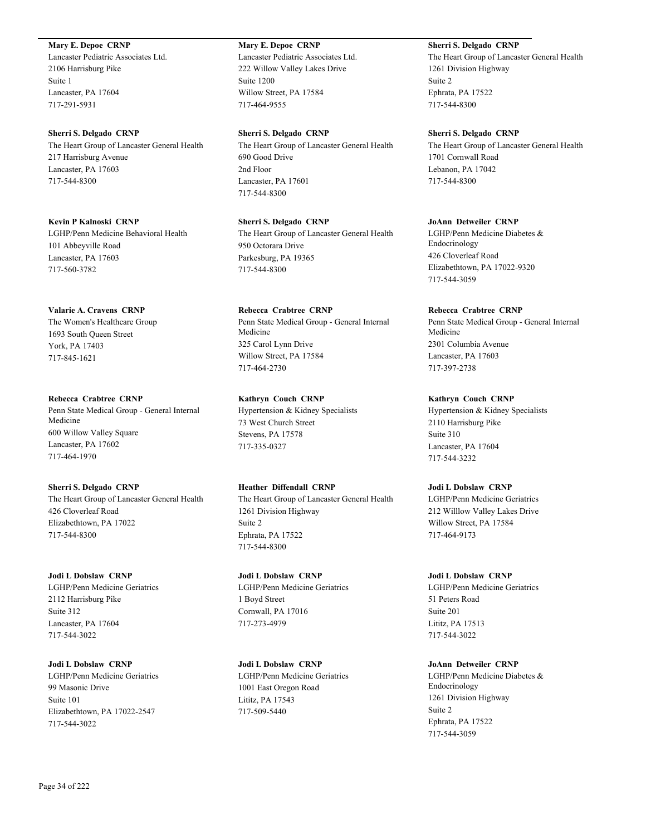**Mary E. Depoe CRNP**

Lancaster Pediatric Associates Ltd. 2106 Harrisburg Pike Suite 1 Lancaster, PA 17604 717-291-5931

**Sherri S. Delgado CRNP** The Heart Group of Lancaster General Health 217 Harrisburg Avenue Lancaster, PA 17603 717-544-8300

**Kevin P Kalnoski CRNP** LGHP/Penn Medicine Behavioral Health 101 Abbeyville Road Lancaster, PA 17603 717-560-3782

**Valarie A. Cravens CRNP** The Women's Healthcare Group 1693 South Queen Street York, PA 17403 717-845-1621

**Rebecca Crabtree CRNP** Penn State Medical Group - General Internal Medicine 600 Willow Valley Square Lancaster, PA 17602 717-464-1970

**Sherri S. Delgado CRNP** The Heart Group of Lancaster General Health 426 Cloverleaf Road Elizabethtown, PA 17022 717-544-8300

**Jodi L Dobslaw CRNP** LGHP/Penn Medicine Geriatrics 2112 Harrisburg Pike Suite 312 Lancaster, PA 17604 717-544-3022

**Jodi L Dobslaw CRNP** LGHP/Penn Medicine Geriatrics 99 Masonic Drive Suite 101 Elizabethtown, PA 17022-2547 717-544-3022

**Mary E. Depoe CRNP**

Lancaster Pediatric Associates Ltd. 222 Willow Valley Lakes Drive Suite 1200 Willow Street, PA 17584 717-464-9555

**Sherri S. Delgado CRNP** The Heart Group of Lancaster General Health 690 Good Drive 2nd Floor Lancaster, PA 17601 717-544-8300

**Sherri S. Delgado CRNP** The Heart Group of Lancaster General Health 950 Octorara Drive Parkesburg, PA 19365 717-544-8300

**Rebecca Crabtree CRNP** Penn State Medical Group - General Internal Medicine 325 Carol Lynn Drive Willow Street, PA 17584 717-464-2730

**Kathryn Couch CRNP** Hypertension & Kidney Specialists 73 West Church Street Stevens, PA 17578 717-335-0327

**Heather Diffendall CRNP** The Heart Group of Lancaster General Health 1261 Division Highway Suite 2 Ephrata, PA 17522 717-544-8300

**Jodi L Dobslaw CRNP** LGHP/Penn Medicine Geriatrics 1 Boyd Street Cornwall, PA 17016 717-273-4979

**Jodi L Dobslaw CRNP** LGHP/Penn Medicine Geriatrics 1001 East Oregon Road Lititz, PA 17543 717-509-5440

**Sherri S. Delgado CRNP**

The Heart Group of Lancaster General Health 1261 Division Highway Suite 2 Ephrata, PA 17522 717-544-8300

**Sherri S. Delgado CRNP** The Heart Group of Lancaster General Health 1701 Cornwall Road Lebanon, PA 17042 717-544-8300

**JoAnn Detweiler CRNP** LGHP/Penn Medicine Diabetes & Endocrinology 426 Cloverleaf Road Elizabethtown, PA 17022-9320 717-544-3059

**Rebecca Crabtree CRNP** Penn State Medical Group - General Internal Medicine 2301 Columbia Avenue Lancaster, PA 17603 717-397-2738

**Kathryn Couch CRNP** Hypertension & Kidney Specialists 2110 Harrisburg Pike Suite 310 Lancaster, PA 17604 717-544-3232

**Jodi L Dobslaw CRNP** LGHP/Penn Medicine Geriatrics 212 Willlow Valley Lakes Drive Willow Street, PA 17584 717-464-9173

**Jodi L Dobslaw CRNP** LGHP/Penn Medicine Geriatrics 51 Peters Road Suite 201 Lititz, PA 17513 717-544-3022

**JoAnn Detweiler CRNP** LGHP/Penn Medicine Diabetes & Endocrinology 1261 Division Highway Suite 2 Ephrata, PA 17522 717-544-3059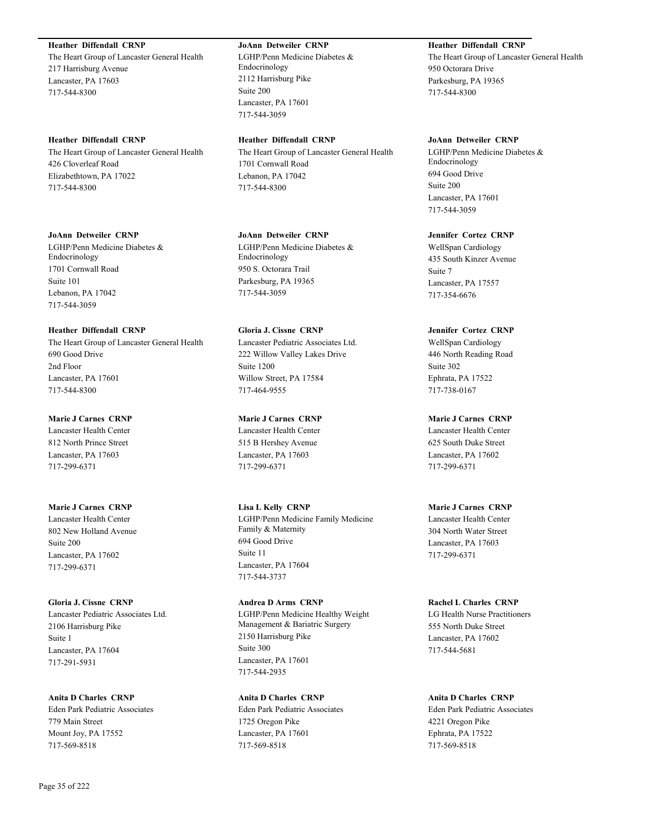# **Heather Diffendall CRNP**

The Heart Group of Lancaster General Health 217 Harrisburg Avenue Lancaster, PA 17603 717-544-8300

# **Heather Diffendall CRNP**

The Heart Group of Lancaster General Health 426 Cloverleaf Road Elizabethtown, PA 17022 717-544-8300

### **JoAnn Detweiler CRNP**

LGHP/Penn Medicine Diabetes & Endocrinology 1701 Cornwall Road Suite 101 Lebanon, PA 17042 717-544-3059

### **Heather Diffendall CRNP**

The Heart Group of Lancaster General Health 690 Good Drive 2nd Floor Lancaster, PA 17601 717-544-8300

# **Marie J Carnes CRNP**

Lancaster Health Center 812 North Prince Street Lancaster, PA 17603 717-299-6371

# **Marie J Carnes CRNP**

Lancaster Health Center 802 New Holland Avenue Suite 200 Lancaster, PA 17602 717-299-6371

# **Gloria J. Cissne CRNP**

Lancaster Pediatric Associates Ltd. 2106 Harrisburg Pike Suite 1 Lancaster, PA 17604 717-291-5931

**Anita D Charles CRNP** Eden Park Pediatric Associates 779 Main Street Mount Joy, PA 17552 717-569-8518

### **JoAnn Detweiler CRNP**

LGHP/Penn Medicine Diabetes & Endocrinology 2112 Harrisburg Pike Suite 200 Lancaster, PA 17601 717-544-3059

# **Heather Diffendall CRNP**

The Heart Group of Lancaster General Health 1701 Cornwall Road Lebanon, PA 17042 717-544-8300

### **JoAnn Detweiler CRNP**

LGHP/Penn Medicine Diabetes & Endocrinology 950 S. Octorara Trail Parkesburg, PA 19365 717-544-3059

### **Gloria J. Cissne CRNP**

Lancaster Pediatric Associates Ltd. 222 Willow Valley Lakes Drive Suite 1200 Willow Street, PA 17584 717-464-9555

# **Marie J Carnes CRNP**

Lancaster Health Center 515 B Hershey Avenue Lancaster, PA 17603 717-299-6371

## **Lisa L Kelly CRNP** LGHP/Penn Medicine Family Medicine Family & Maternity 694 Good Drive Suite 11 Lancaster, PA 17604 717-544-3737

# **Andrea D Arms CRNP** LGHP/Penn Medicine Healthy Weight Management & Bariatric Surgery 2150 Harrisburg Pike Suite 300 Lancaster, PA 17601 717-544-2935

**Anita D Charles CRNP** Eden Park Pediatric Associates 1725 Oregon Pike Lancaster, PA 17601 717-569-8518

# **Heather Diffendall CRNP**

The Heart Group of Lancaster General Health 950 Octorara Drive Parkesburg, PA 19365 717-544-8300

### **JoAnn Detweiler CRNP**

LGHP/Penn Medicine Diabetes & Endocrinology 694 Good Drive Suite 200 Lancaster, PA 17601 717-544-3059

### **Jennifer Cortez CRNP**

WellSpan Cardiology 435 South Kinzer Avenue Suite 7 Lancaster, PA 17557 717-354-6676

### **Jennifer Cortez CRNP**

WellSpan Cardiology 446 North Reading Road Suite 302 Ephrata, PA 17522 717-738-0167

### **Marie J Carnes CRNP**

Lancaster Health Center 625 South Duke Street Lancaster, PA 17602 717-299-6371

### **Marie J Carnes CRNP**

Lancaster Health Center 304 North Water Street Lancaster, PA 17603 717-299-6371

### **Rachel L Charles CRNP**

LG Health Nurse Practitioners 555 North Duke Street Lancaster, PA 17602 717-544-5681

### **Anita D Charles CRNP**

Eden Park Pediatric Associates 4221 Oregon Pike Ephrata, PA 17522 717-569-8518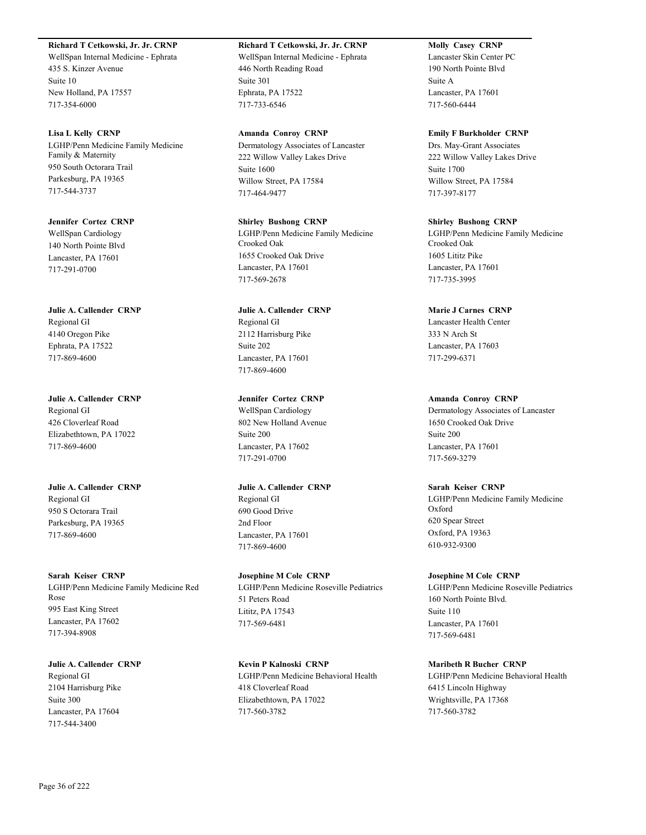# **Richard T Cetkowski, Jr. Jr. CRNP**

WellSpan Internal Medicine - Ephrata 435 S. Kinzer Avenue Suite 10 New Holland, PA 17557 717-354-6000

**Lisa L Kelly CRNP** LGHP/Penn Medicine Family Medicine Family & Maternity 950 South Octorara Trail Parkesburg, PA 19365 717-544-3737

**Jennifer Cortez CRNP** WellSpan Cardiology 140 North Pointe Blvd Lancaster, PA 17601 717-291-0700

**Julie A. Callender CRNP** Regional GI 4140 Oregon Pike Ephrata, PA 17522 717-869-4600

**Julie A. Callender CRNP** Regional GI 426 Cloverleaf Road Elizabethtown, PA 17022 717-869-4600

**Julie A. Callender CRNP** Regional GI 950 S Octorara Trail Parkesburg, PA 19365 717-869-4600

**Sarah Keiser CRNP** LGHP/Penn Medicine Family Medicine Red Rose 995 East King Street Lancaster, PA 17602 717-394-8908

**Julie A. Callender CRNP** Regional GI 2104 Harrisburg Pike Suite 300 Lancaster, PA 17604 717-544-3400

**Richard T Cetkowski, Jr. Jr. CRNP** WellSpan Internal Medicine - Ephrata 446 North Reading Road Suite 301 Ephrata, PA 17522 717-733-6546

**Amanda Conroy CRNP** Dermatology Associates of Lancaster 222 Willow Valley Lakes Drive Suite 1600 Willow Street, PA 17584 717-464-9477

**Shirley Bushong CRNP** LGHP/Penn Medicine Family Medicine Crooked Oak 1655 Crooked Oak Drive Lancaster, PA 17601 717-569-2678

**Julie A. Callender CRNP** Regional GI 2112 Harrisburg Pike Suite 202 Lancaster, PA 17601 717-869-4600

**Jennifer Cortez CRNP** WellSpan Cardiology 802 New Holland Avenue Suite 200 Lancaster, PA 17602 717-291-0700

**Julie A. Callender CRNP** Regional GI 690 Good Drive 2nd Floor Lancaster, PA 17601 717-869-4600

**Josephine M Cole CRNP** LGHP/Penn Medicine Roseville Pediatrics 51 Peters Road Lititz, PA 17543 717-569-6481

**Kevin P Kalnoski CRNP** LGHP/Penn Medicine Behavioral Health 418 Cloverleaf Road Elizabethtown, PA 17022 717-560-3782

**Molly Casey CRNP**

Lancaster Skin Center PC 190 North Pointe Blvd Suite A Lancaster, PA 17601 717-560-6444

**Emily F Burkholder CRNP** Drs. May-Grant Associates

222 Willow Valley Lakes Drive Suite 1700 Willow Street, PA 17584 717-397-8177

**Shirley Bushong CRNP** LGHP/Penn Medicine Family Medicine Crooked Oak 1605 Lititz Pike Lancaster, PA 17601 717-735-3995

**Marie J Carnes CRNP** Lancaster Health Center 333 N Arch St Lancaster, PA 17603 717-299-6371

**Amanda Conroy CRNP** Dermatology Associates of Lancaster 1650 Crooked Oak Drive Suite 200 Lancaster, PA 17601 717-569-3279

**Sarah Keiser CRNP** LGHP/Penn Medicine Family Medicine Oxford 620 Spear Street Oxford, PA 19363 610-932-9300

**Josephine M Cole CRNP** LGHP/Penn Medicine Roseville Pediatrics 160 North Pointe Blvd. Suite 110 Lancaster, PA 17601 717-569-6481

**Maribeth R Bucher CRNP** LGHP/Penn Medicine Behavioral Health 6415 Lincoln Highway Wrightsville, PA 17368 717-560-3782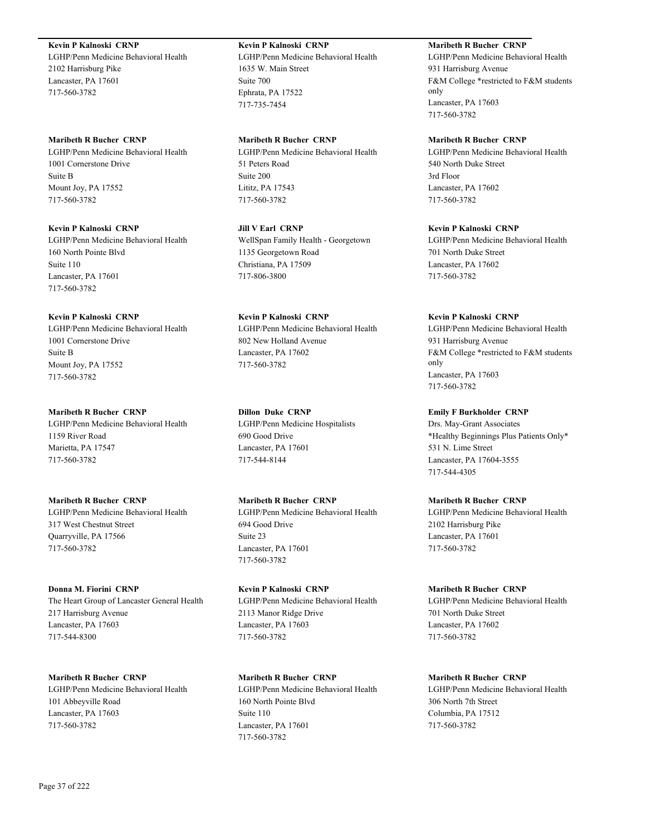# **Kevin P Kalnoski CRNP**

LGHP/Penn Medicine Behavioral Health 2102 Harrisburg Pike Lancaster, PA 17601 717-560-3782

## **Maribeth R Bucher CRNP**

LGHP/Penn Medicine Behavioral Health 1001 Cornerstone Drive Suite B Mount Joy, PA 17552 717-560-3782

# **Kevin P Kalnoski CRNP**

LGHP/Penn Medicine Behavioral Health 160 North Pointe Blvd Suite 110 Lancaster, PA 17601 717-560-3782

# **Kevin P Kalnoski CRNP**

LGHP/Penn Medicine Behavioral Health 1001 Cornerstone Drive Suite B Mount Joy, PA 17552 717-560-3782

# **Maribeth R Bucher CRNP**

LGHP/Penn Medicine Behavioral Health 1159 River Road Marietta, PA 17547 717-560-3782

# **Maribeth R Bucher CRNP** LGHP/Penn Medicine Behavioral Health 317 West Chestnut Street Quarryville, PA 17566 717-560-3782

# **Donna M. Fiorini CRNP** The Heart Group of Lancaster General Health 217 Harrisburg Avenue Lancaster, PA 17603 717-544-8300

# **Maribeth R Bucher CRNP**

LGHP/Penn Medicine Behavioral Health 101 Abbeyville Road Lancaster, PA 17603 717-560-3782

# **Kevin P Kalnoski CRNP**

LGHP/Penn Medicine Behavioral Health 1635 W. Main Street Suite 700 Ephrata, PA 17522 717-735-7454

# **Maribeth R Bucher CRNP**

LGHP/Penn Medicine Behavioral Health 51 Peters Road Suite 200 Lititz, PA 17543 717-560-3782

# **Jill V Earl CRNP**

WellSpan Family Health - Georgetown 1135 Georgetown Road Christiana, PA 17509 717-806-3800

# **Kevin P Kalnoski CRNP**

LGHP/Penn Medicine Behavioral Health 802 New Holland Avenue Lancaster, PA 17602 717-560-3782

# **Dillon Duke CRNP**

LGHP/Penn Medicine Hospitalists 690 Good Drive Lancaster, PA 17601 717-544-8144

# **Maribeth R Bucher CRNP**

LGHP/Penn Medicine Behavioral Health 694 Good Drive Suite 23 Lancaster, PA 17601 717-560-3782

# **Kevin P Kalnoski CRNP** LGHP/Penn Medicine Behavioral Health 2113 Manor Ridge Drive Lancaster, PA 17603 717-560-3782

**Maribeth R Bucher CRNP** LGHP/Penn Medicine Behavioral Health 160 North Pointe Blvd Suite 110 Lancaster, PA 17601 717-560-3782

# **Maribeth R Bucher CRNP**

LGHP/Penn Medicine Behavioral Health 931 Harrisburg Avenue F&M College \*restricted to F&M students only Lancaster, PA 17603 717-560-3782

# **Maribeth R Bucher CRNP**

LGHP/Penn Medicine Behavioral Health 540 North Duke Street 3rd Floor Lancaster, PA 17602 717-560-3782

# **Kevin P Kalnoski CRNP**

LGHP/Penn Medicine Behavioral Health 701 North Duke Street Lancaster, PA 17602 717-560-3782

# **Kevin P Kalnoski CRNP**

LGHP/Penn Medicine Behavioral Health 931 Harrisburg Avenue F&M College \*restricted to F&M students only Lancaster, PA 17603 717-560-3782

# **Emily F Burkholder CRNP**

Drs. May-Grant Associates \*Healthy Beginnings Plus Patients Only\* 531 N. Lime Street Lancaster, PA 17604-3555 717-544-4305

# **Maribeth R Bucher CRNP**

LGHP/Penn Medicine Behavioral Health 2102 Harrisburg Pike Lancaster, PA 17601 717-560-3782

# **Maribeth R Bucher CRNP**

LGHP/Penn Medicine Behavioral Health 701 North Duke Street Lancaster, PA 17602 717-560-3782

# **Maribeth R Bucher CRNP**

LGHP/Penn Medicine Behavioral Health 306 North 7th Street Columbia, PA 17512 717-560-3782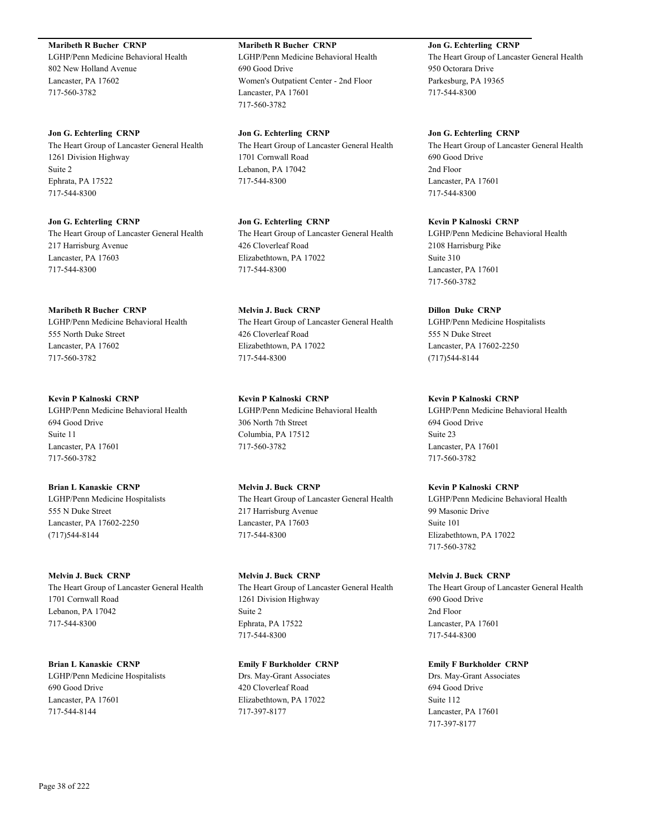**Maribeth R Bucher CRNP**

LGHP/Penn Medicine Behavioral Health 802 New Holland Avenue Lancaster, PA 17602 717-560-3782

**Jon G. Echterling CRNP** The Heart Group of Lancaster General Health 1261 Division Highway Suite 2 Ephrata, PA 17522 717-544-8300

**Jon G. Echterling CRNP** The Heart Group of Lancaster General Health 217 Harrisburg Avenue Lancaster, PA 17603 717-544-8300

**Maribeth R Bucher CRNP** LGHP/Penn Medicine Behavioral Health 555 North Duke Street Lancaster, PA 17602 717-560-3782

**Kevin P Kalnoski CRNP** LGHP/Penn Medicine Behavioral Health 694 Good Drive Suite 11 Lancaster, PA 17601 717-560-3782

**Brian L Kanaskie CRNP** LGHP/Penn Medicine Hospitalists 555 N Duke Street Lancaster, PA 17602-2250 (717)544-8144

**Melvin J. Buck CRNP** The Heart Group of Lancaster General Health 1701 Cornwall Road Lebanon, PA 17042 717-544-8300

**Brian L Kanaskie CRNP** LGHP/Penn Medicine Hospitalists 690 Good Drive Lancaster, PA 17601 717-544-8144

**Maribeth R Bucher CRNP** LGHP/Penn Medicine Behavioral Health 690 Good Drive Women's Outpatient Center - 2nd Floor Lancaster, PA 17601 717-560-3782

**Jon G. Echterling CRNP** The Heart Group of Lancaster General Health 1701 Cornwall Road Lebanon, PA 17042 717-544-8300

**Jon G. Echterling CRNP** The Heart Group of Lancaster General Health 426 Cloverleaf Road Elizabethtown, PA 17022 717-544-8300

**Melvin J. Buck CRNP** The Heart Group of Lancaster General Health 426 Cloverleaf Road Elizabethtown, PA 17022 717-544-8300

**Kevin P Kalnoski CRNP** LGHP/Penn Medicine Behavioral Health 306 North 7th Street Columbia, PA 17512 717-560-3782

**Melvin J. Buck CRNP** The Heart Group of Lancaster General Health 217 Harrisburg Avenue Lancaster, PA 17603 717-544-8300

**Melvin J. Buck CRNP** The Heart Group of Lancaster General Health 1261 Division Highway Suite 2 Ephrata, PA 17522 717-544-8300

**Emily F Burkholder CRNP** Drs. May-Grant Associates 420 Cloverleaf Road Elizabethtown, PA 17022 717-397-8177

**Jon G. Echterling CRNP** The Heart Group of Lancaster General Health 950 Octorara Drive Parkesburg, PA 19365 717-544-8300

**Jon G. Echterling CRNP** The Heart Group of Lancaster General Health 690 Good Drive 2nd Floor Lancaster, PA 17601 717-544-8300

**Kevin P Kalnoski CRNP** LGHP/Penn Medicine Behavioral Health 2108 Harrisburg Pike Suite 310 Lancaster, PA 17601 717-560-3782

**Dillon Duke CRNP** LGHP/Penn Medicine Hospitalists 555 N Duke Street Lancaster, PA 17602-2250 (717)544-8144

**Kevin P Kalnoski CRNP** LGHP/Penn Medicine Behavioral Health 694 Good Drive Suite 23 Lancaster, PA 17601 717-560-3782

**Kevin P Kalnoski CRNP** LGHP/Penn Medicine Behavioral Health 99 Masonic Drive Suite 101 Elizabethtown, PA 17022 717-560-3782

**Melvin J. Buck CRNP** The Heart Group of Lancaster General Health 690 Good Drive 2nd Floor Lancaster, PA 17601 717-544-8300

**Emily F Burkholder CRNP** Drs. May-Grant Associates 694 Good Drive Suite 112 Lancaster, PA 17601 717-397-8177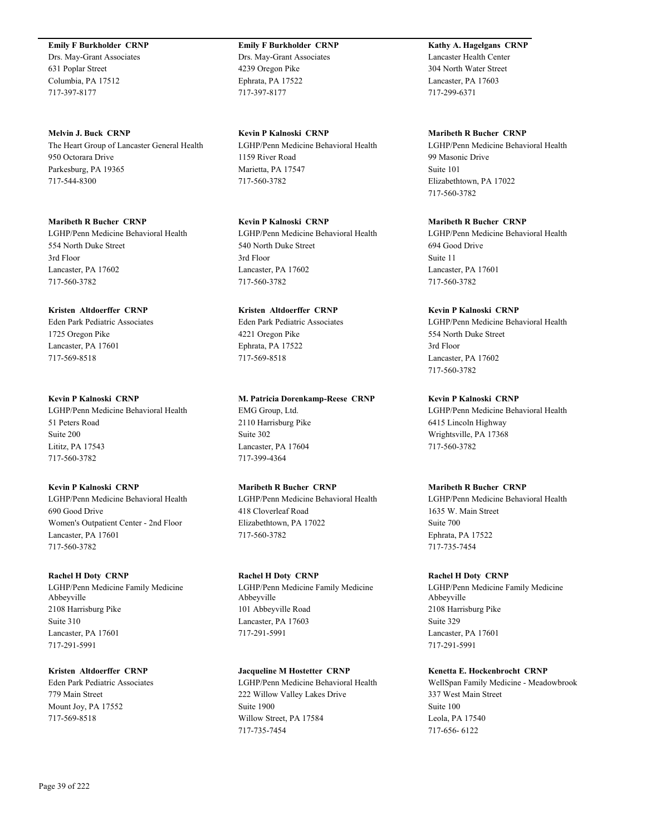**Emily F Burkholder CRNP**

Drs. May-Grant Associates 631 Poplar Street Columbia, PA 17512 717-397-8177

**Melvin J. Buck CRNP** The Heart Group of Lancaster General Health 950 Octorara Drive Parkesburg, PA 19365 717-544-8300

**Maribeth R Bucher CRNP** LGHP/Penn Medicine Behavioral Health 554 North Duke Street 3rd Floor Lancaster, PA 17602 717-560-3782

**Kristen Altdoerffer CRNP** Eden Park Pediatric Associates 1725 Oregon Pike Lancaster, PA 17601 717-569-8518

**Kevin P Kalnoski CRNP** LGHP/Penn Medicine Behavioral Health 51 Peters Road Suite 200 Lititz, PA 17543 717-560-3782

**Kevin P Kalnoski CRNP** LGHP/Penn Medicine Behavioral Health 690 Good Drive Women's Outpatient Center - 2nd Floor Lancaster, PA 17601 717-560-3782

**Rachel H Doty CRNP** LGHP/Penn Medicine Family Medicine Abbeyville 2108 Harrisburg Pike Suite 310 Lancaster, PA 17601 717-291-5991

**Kristen Altdoerffer CRNP** Eden Park Pediatric Associates 779 Main Street Mount Joy, PA 17552 717-569-8518

**Emily F Burkholder CRNP** Drs. May-Grant Associates 4239 Oregon Pike Ephrata, PA 17522 717-397-8177

**Kevin P Kalnoski CRNP** LGHP/Penn Medicine Behavioral Health 1159 River Road Marietta, PA 17547 717-560-3782

**Kevin P Kalnoski CRNP** LGHP/Penn Medicine Behavioral Health 540 North Duke Street 3rd Floor Lancaster, PA 17602 717-560-3782

**Kristen Altdoerffer CRNP** Eden Park Pediatric Associates 4221 Oregon Pike Ephrata, PA 17522 717-569-8518

**M. Patricia Dorenkamp-Reese CRNP** EMG Group, Ltd. 2110 Harrisburg Pike Suite 302 Lancaster, PA 17604 717-399-4364

**Maribeth R Bucher CRNP** LGHP/Penn Medicine Behavioral Health 418 Cloverleaf Road Elizabethtown, PA 17022 717-560-3782

**Rachel H Doty CRNP** LGHP/Penn Medicine Family Medicine Abbeyville 101 Abbeyville Road Lancaster, PA 17603 717-291-5991

**Jacqueline M Hostetter CRNP** LGHP/Penn Medicine Behavioral Health 222 Willow Valley Lakes Drive Suite 1900 Willow Street, PA 17584 717-735-7454

**Kathy A. Hagelgans CRNP** Lancaster Health Center 304 North Water Street Lancaster, PA 17603 717-299-6371

**Maribeth R Bucher CRNP**

LGHP/Penn Medicine Behavioral Health 99 Masonic Drive Suite 101 Elizabethtown, PA 17022 717-560-3782

**Maribeth R Bucher CRNP** LGHP/Penn Medicine Behavioral Health 694 Good Drive Suite 11 Lancaster, PA 17601 717-560-3782

**Kevin P Kalnoski CRNP** LGHP/Penn Medicine Behavioral Health 554 North Duke Street 3rd Floor Lancaster, PA 17602 717-560-3782

**Kevin P Kalnoski CRNP** LGHP/Penn Medicine Behavioral Health 6415 Lincoln Highway Wrightsville, PA 17368 717-560-3782

**Maribeth R Bucher CRNP** LGHP/Penn Medicine Behavioral Health 1635 W. Main Street Suite 700 Ephrata, PA 17522 717-735-7454

**Rachel H Doty CRNP** LGHP/Penn Medicine Family Medicine Abbeyville 2108 Harrisburg Pike Suite 329 Lancaster, PA 17601 717-291-5991

**Kenetta E. Hockenbrocht CRNP** WellSpan Family Medicine - Meadowbrook 337 West Main Street Suite 100 Leola, PA 17540 717-656- 6122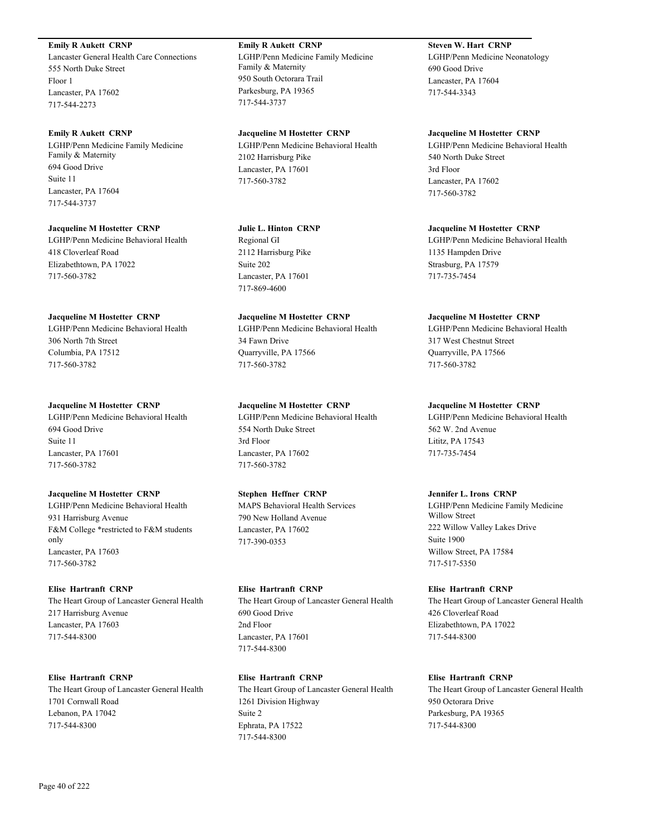## **Emily R Aukett CRNP**

Lancaster General Health Care Connections 555 North Duke Street Floor 1 Lancaster, PA 17602 717-544-2273

### **Emily R Aukett CRNP**

LGHP/Penn Medicine Family Medicine Family & Maternity 694 Good Drive Suite 11 Lancaster, PA 17604 717-544-3737

#### **Jacqueline M Hostetter CRNP**

LGHP/Penn Medicine Behavioral Health 418 Cloverleaf Road Elizabethtown, PA 17022 717-560-3782

### **Jacqueline M Hostetter CRNP**

LGHP/Penn Medicine Behavioral Health 306 North 7th Street Columbia, PA 17512 717-560-3782

### **Jacqueline M Hostetter CRNP**

LGHP/Penn Medicine Behavioral Health 694 Good Drive Suite 11 Lancaster, PA 17601 717-560-3782

### **Jacqueline M Hostetter CRNP**

LGHP/Penn Medicine Behavioral Health 931 Harrisburg Avenue F&M College \*restricted to F&M students only Lancaster, PA 17603 717-560-3782

### **Elise Hartranft CRNP**

The Heart Group of Lancaster General Health 217 Harrisburg Avenue Lancaster, PA 17603 717-544-8300

### **Elise Hartranft CRNP**

The Heart Group of Lancaster General Health 1701 Cornwall Road Lebanon, PA 17042 717-544-8300

# **Emily R Aukett CRNP** LGHP/Penn Medicine Family Medicine Family & Maternity 950 South Octorara Trail Parkesburg, PA 19365 717-544-3737

**Jacqueline M Hostetter CRNP** LGHP/Penn Medicine Behavioral Health 2102 Harrisburg Pike Lancaster, PA 17601 717-560-3782

### **Julie L. Hinton CRNP**

Regional GI 2112 Harrisburg Pike Suite 202 Lancaster, PA 17601 717-869-4600

### **Jacqueline M Hostetter CRNP**

LGHP/Penn Medicine Behavioral Health 34 Fawn Drive Quarryville, PA 17566 717-560-3782

### **Jacqueline M Hostetter CRNP**

LGHP/Penn Medicine Behavioral Health 554 North Duke Street 3rd Floor Lancaster, PA 17602 717-560-3782

# **Stephen Heffner CRNP**

MAPS Behavioral Health Services 790 New Holland Avenue Lancaster, PA 17602 717-390-0353

### **Elise Hartranft CRNP**

The Heart Group of Lancaster General Health 690 Good Drive 2nd Floor Lancaster, PA 17601 717-544-8300

# **Elise Hartranft CRNP**

The Heart Group of Lancaster General Health 1261 Division Highway Suite 2 Ephrata, PA 17522 717-544-8300

**Steven W. Hart CRNP** LGHP/Penn Medicine Neonatology 690 Good Drive Lancaster, PA 17604 717-544-3343

### **Jacqueline M Hostetter CRNP**

LGHP/Penn Medicine Behavioral Health 540 North Duke Street 3rd Floor Lancaster, PA 17602 717-560-3782

### **Jacqueline M Hostetter CRNP**

LGHP/Penn Medicine Behavioral Health 1135 Hampden Drive Strasburg, PA 17579 717-735-7454

### **Jacqueline M Hostetter CRNP**

LGHP/Penn Medicine Behavioral Health 317 West Chestnut Street Quarryville, PA 17566 717-560-3782

### **Jacqueline M Hostetter CRNP**

LGHP/Penn Medicine Behavioral Health 562 W. 2nd Avenue Lititz, PA 17543 717-735-7454

### **Jennifer L. Irons CRNP**

LGHP/Penn Medicine Family Medicine Willow Street 222 Willow Valley Lakes Drive Suite 1900 Willow Street, PA 17584 717-517-5350

### **Elise Hartranft CRNP**

The Heart Group of Lancaster General Health 426 Cloverleaf Road Elizabethtown, PA 17022 717-544-8300

# **Elise Hartranft CRNP**

The Heart Group of Lancaster General Health 950 Octorara Drive Parkesburg, PA 19365 717-544-8300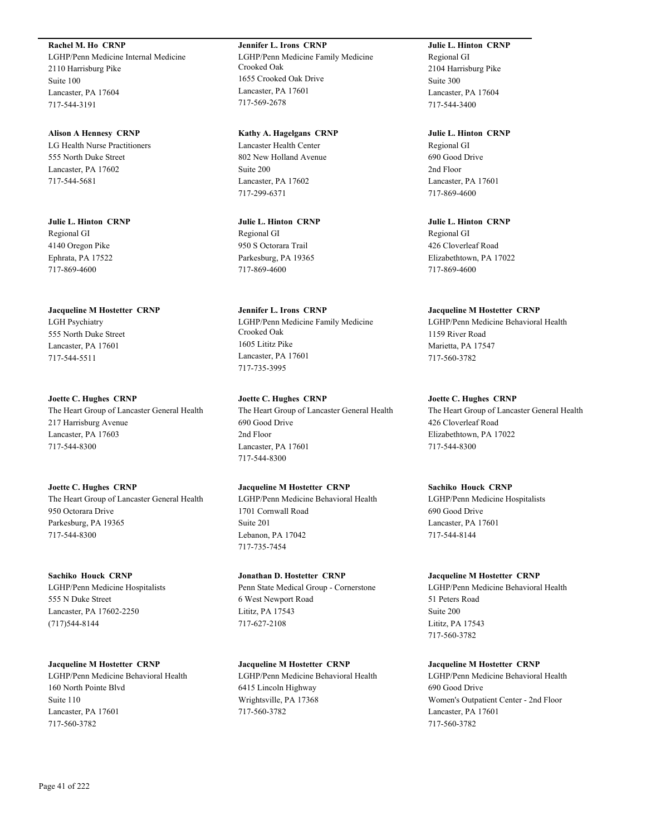# **Rachel M. Ho CRNP**

LGHP/Penn Medicine Internal Medicine 2110 Harrisburg Pike Suite 100 Lancaster, PA 17604 717-544-3191

### **Alison A Hennesy CRNP**

LG Health Nurse Practitioners 555 North Duke Street Lancaster, PA 17602 717-544-5681

**Julie L. Hinton CRNP** Regional GI 4140 Oregon Pike Ephrata, PA 17522 717-869-4600

# **Jacqueline M Hostetter CRNP**

LGH Psychiatry 555 North Duke Street Lancaster, PA 17601 717-544-5511

# **Joette C. Hughes CRNP**

The Heart Group of Lancaster General Health 217 Harrisburg Avenue Lancaster, PA 17603 717-544-8300

# **Joette C. Hughes CRNP**

The Heart Group of Lancaster General Health 950 Octorara Drive Parkesburg, PA 19365 717-544-8300

### **Sachiko Houck CRNP**

LGHP/Penn Medicine Hospitalists 555 N Duke Street Lancaster, PA 17602-2250 (717)544-8144

# **Jacqueline M Hostetter CRNP**

LGHP/Penn Medicine Behavioral Health 160 North Pointe Blvd Suite 110 Lancaster, PA 17601 717-560-3782

# **Jennifer L. Irons CRNP**

LGHP/Penn Medicine Family Medicine Crooked Oak 1655 Crooked Oak Drive Lancaster, PA 17601 717-569-2678

### **Kathy A. Hagelgans CRNP**

Lancaster Health Center 802 New Holland Avenue Suite 200 Lancaster, PA 17602 717-299-6371

# **Julie L. Hinton CRNP** Regional GI 950 S Octorara Trail Parkesburg, PA 19365 717-869-4600

**Jennifer L. Irons CRNP** LGHP/Penn Medicine Family Medicine Crooked Oak 1605 Lititz Pike Lancaster, PA 17601 717-735-3995

# **Joette C. Hughes CRNP** The Heart Group of Lancaster General Health 690 Good Drive 2nd Floor Lancaster, PA 17601 717-544-8300

# **Jacqueline M Hostetter CRNP**

LGHP/Penn Medicine Behavioral Health 1701 Cornwall Road Suite 201 Lebanon, PA 17042 717-735-7454

# **Jonathan D. Hostetter CRNP**

Penn State Medical Group - Cornerstone 6 West Newport Road Lititz, PA 17543 717-627-2108

# **Jacqueline M Hostetter CRNP**

LGHP/Penn Medicine Behavioral Health 6415 Lincoln Highway Wrightsville, PA 17368 717-560-3782

# **Julie L. Hinton CRNP** Regional GI 2104 Harrisburg Pike Suite 300 Lancaster, PA 17604 717-544-3400

**Julie L. Hinton CRNP** Regional GI 690 Good Drive 2nd Floor Lancaster, PA 17601 717-869-4600

**Julie L. Hinton CRNP** Regional GI 426 Cloverleaf Road Elizabethtown, PA 17022 717-869-4600

# **Jacqueline M Hostetter CRNP**

LGHP/Penn Medicine Behavioral Health 1159 River Road Marietta, PA 17547 717-560-3782

# **Joette C. Hughes CRNP**

The Heart Group of Lancaster General Health 426 Cloverleaf Road Elizabethtown, PA 17022 717-544-8300

# **Sachiko Houck CRNP**

LGHP/Penn Medicine Hospitalists 690 Good Drive Lancaster, PA 17601 717-544-8144

### **Jacqueline M Hostetter CRNP**

LGHP/Penn Medicine Behavioral Health 51 Peters Road Suite 200 Lititz, PA 17543 717-560-3782

# **Jacqueline M Hostetter CRNP**

LGHP/Penn Medicine Behavioral Health 690 Good Drive Women's Outpatient Center - 2nd Floor Lancaster, PA 17601 717-560-3782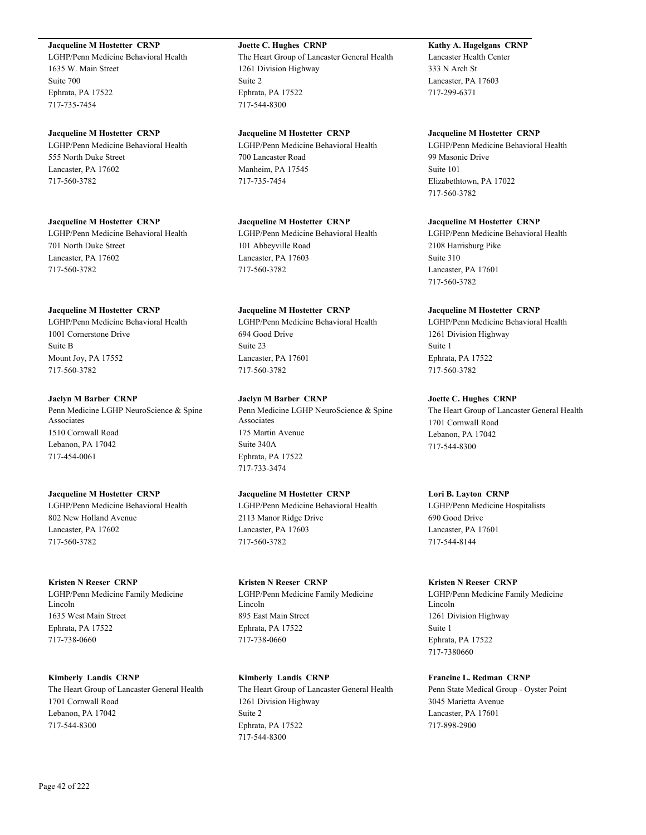# **Jacqueline M Hostetter CRNP**

LGHP/Penn Medicine Behavioral Health 1635 W. Main Street Suite 700 Ephrata, PA 17522 717-735-7454

### **Jacqueline M Hostetter CRNP**

LGHP/Penn Medicine Behavioral Health 555 North Duke Street Lancaster, PA 17602 717-560-3782

### **Jacqueline M Hostetter CRNP**

LGHP/Penn Medicine Behavioral Health 701 North Duke Street Lancaster, PA 17602 717-560-3782

### **Jacqueline M Hostetter CRNP**

LGHP/Penn Medicine Behavioral Health 1001 Cornerstone Drive Suite B Mount Joy, PA 17552 717-560-3782

### **Jaclyn M Barber CRNP**

Penn Medicine LGHP NeuroScience & Spine Associates 1510 Cornwall Road Lebanon, PA 17042 717-454-0061

# **Jacqueline M Hostetter CRNP**

LGHP/Penn Medicine Behavioral Health 802 New Holland Avenue Lancaster, PA 17602 717-560-3782

### **Kristen N Reeser CRNP**

LGHP/Penn Medicine Family Medicine Lincoln 1635 West Main Street Ephrata, PA 17522 717-738-0660

### **Kimberly Landis CRNP**

The Heart Group of Lancaster General Health 1701 Cornwall Road Lebanon, PA 17042 717-544-8300

# **Joette C. Hughes CRNP**

The Heart Group of Lancaster General Health 1261 Division Highway Suite 2 Ephrata, PA 17522 717-544-8300

### **Jacqueline M Hostetter CRNP** LGHP/Penn Medicine Behavioral Health

700 Lancaster Road Manheim, PA 17545 717-735-7454

### **Jacqueline M Hostetter CRNP**

LGHP/Penn Medicine Behavioral Health 101 Abbeyville Road Lancaster, PA 17603 717-560-3782

# **Jacqueline M Hostetter CRNP**

LGHP/Penn Medicine Behavioral Health 694 Good Drive Suite 23 Lancaster, PA 17601 717-560-3782

# **Jaclyn M Barber CRNP**

Penn Medicine LGHP NeuroScience & Spine Associates 175 Martin Avenue Suite 340A Ephrata, PA 17522 717-733-3474

# **Jacqueline M Hostetter CRNP**

LGHP/Penn Medicine Behavioral Health 2113 Manor Ridge Drive Lancaster, PA 17603 717-560-3782

### **Kristen N Reeser CRNP**

LGHP/Penn Medicine Family Medicine Lincoln 895 East Main Street Ephrata, PA 17522 717-738-0660

# **Kimberly Landis CRNP** The Heart Group of Lancaster General Health 1261 Division Highway Suite 2 Ephrata, PA 17522 717-544-8300

**Kathy A. Hagelgans CRNP** Lancaster Health Center 333 N Arch St Lancaster, PA 17603 717-299-6371

### **Jacqueline M Hostetter CRNP**

LGHP/Penn Medicine Behavioral Health 99 Masonic Drive Suite 101 Elizabethtown, PA 17022 717-560-3782

### **Jacqueline M Hostetter CRNP**

LGHP/Penn Medicine Behavioral Health 2108 Harrisburg Pike Suite 310 Lancaster, PA 17601 717-560-3782

### **Jacqueline M Hostetter CRNP**

LGHP/Penn Medicine Behavioral Health 1261 Division Highway Suite 1 Ephrata, PA 17522 717-560-3782

# **Joette C. Hughes CRNP**

The Heart Group of Lancaster General Health 1701 Cornwall Road Lebanon, PA 17042 717-544-8300

# **Lori B. Layton CRNP**

LGHP/Penn Medicine Hospitalists 690 Good Drive Lancaster, PA 17601 717-544-8144

### **Kristen N Reeser CRNP**

LGHP/Penn Medicine Family Medicine Lincoln 1261 Division Highway Suite 1 Ephrata, PA 17522 717-7380660

# **Francine L. Redman CRNP**

Penn State Medical Group - Oyster Point 3045 Marietta Avenue Lancaster, PA 17601 717-898-2900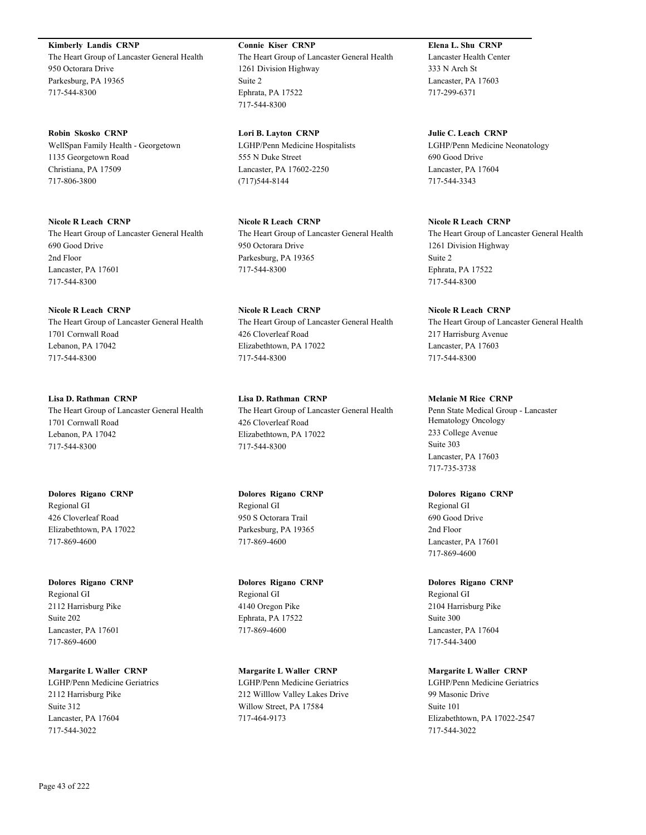**Kimberly Landis CRNP** The Heart Group of Lancaster General Health 950 Octorara Drive Parkesburg, PA 19365 717-544-8300

**Robin Skosko CRNP** WellSpan Family Health - Georgetown 1135 Georgetown Road Christiana, PA 17509 717-806-3800

**Nicole R Leach CRNP** The Heart Group of Lancaster General Health 690 Good Drive 2nd Floor Lancaster, PA 17601 717-544-8300

**Nicole R Leach CRNP** The Heart Group of Lancaster General Health 1701 Cornwall Road Lebanon, PA 17042 717-544-8300

**Lisa D. Rathman CRNP** The Heart Group of Lancaster General Health 1701 Cornwall Road Lebanon, PA 17042 717-544-8300

**Dolores Rigano CRNP** Regional GI 426 Cloverleaf Road Elizabethtown, PA 17022 717-869-4600

**Dolores Rigano CRNP** Regional GI 2112 Harrisburg Pike Suite 202 Lancaster, PA 17601 717-869-4600

**Margarite L Waller CRNP** LGHP/Penn Medicine Geriatrics 2112 Harrisburg Pike Suite 312 Lancaster, PA 17604 717-544-3022

**Connie Kiser CRNP** The Heart Group of Lancaster General Health 1261 Division Highway Suite 2 Ephrata, PA 17522 717-544-8300

**Lori B. Layton CRNP** LGHP/Penn Medicine Hospitalists 555 N Duke Street Lancaster, PA 17602-2250 (717)544-8144

**Nicole R Leach CRNP** The Heart Group of Lancaster General Health 950 Octorara Drive Parkesburg, PA 19365 717-544-8300

**Nicole R Leach CRNP** The Heart Group of Lancaster General Health 426 Cloverleaf Road Elizabethtown, PA 17022 717-544-8300

**Lisa D. Rathman CRNP** The Heart Group of Lancaster General Health 426 Cloverleaf Road Elizabethtown, PA 17022 717-544-8300

**Dolores Rigano CRNP** Regional GI 950 S Octorara Trail Parkesburg, PA 19365 717-869-4600

**Dolores Rigano CRNP** Regional GI 4140 Oregon Pike Ephrata, PA 17522 717-869-4600

**Margarite L Waller CRNP** LGHP/Penn Medicine Geriatrics 212 Willlow Valley Lakes Drive Willow Street, PA 17584 717-464-9173

**Elena L. Shu CRNP** Lancaster Health Center 333 N Arch St Lancaster, PA 17603 717-299-6371

**Julie C. Leach CRNP** LGHP/Penn Medicine Neonatology 690 Good Drive Lancaster, PA 17604 717-544-3343

**Nicole R Leach CRNP** The Heart Group of Lancaster General Health 1261 Division Highway Suite 2 Ephrata, PA 17522 717-544-8300

**Nicole R Leach CRNP** The Heart Group of Lancaster General Health 217 Harrisburg Avenue Lancaster, PA 17603 717-544-8300

**Melanie M Rice CRNP** Penn State Medical Group - Lancaster Hematology Oncology 233 College Avenue Suite 303 Lancaster, PA 17603 717-735-3738

**Dolores Rigano CRNP** Regional GI 690 Good Drive 2nd Floor Lancaster, PA 17601 717-869-4600

**Dolores Rigano CRNP** Regional GI 2104 Harrisburg Pike Suite 300 Lancaster, PA 17604 717-544-3400

**Margarite L Waller CRNP** LGHP/Penn Medicine Geriatrics 99 Masonic Drive Suite 101 Elizabethtown, PA 17022-2547 717-544-3022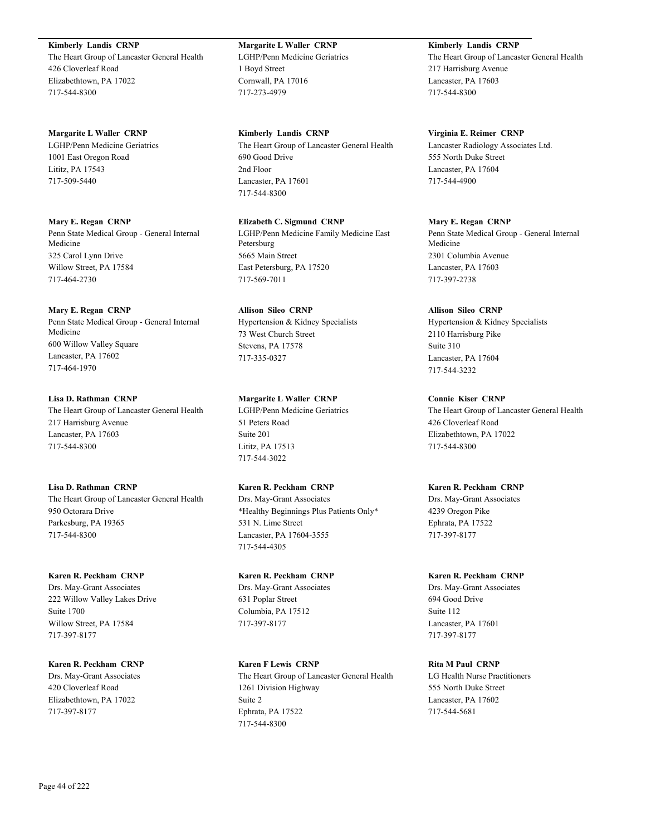**Kimberly Landis CRNP**

The Heart Group of Lancaster General Health 426 Cloverleaf Road Elizabethtown, PA 17022 717-544-8300

**Margarite L Waller CRNP**

LGHP/Penn Medicine Geriatrics 1001 East Oregon Road Lititz, PA 17543 717-509-5440

**Mary E. Regan CRNP**

Penn State Medical Group - General Internal Medicine 325 Carol Lynn Drive Willow Street, PA 17584 717-464-2730

# **Mary E. Regan CRNP**

Penn State Medical Group - General Internal Medicine 600 Willow Valley Square Lancaster, PA 17602 717-464-1970

# **Lisa D. Rathman CRNP**

The Heart Group of Lancaster General Health 217 Harrisburg Avenue Lancaster, PA 17603 717-544-8300

**Lisa D. Rathman CRNP**

The Heart Group of Lancaster General Health 950 Octorara Drive Parkesburg, PA 19365 717-544-8300

# **Karen R. Peckham CRNP**

Drs. May-Grant Associates 222 Willow Valley Lakes Drive Suite 1700 Willow Street, PA 17584 717-397-8177

**Karen R. Peckham CRNP** Drs. May-Grant Associates 420 Cloverleaf Road Elizabethtown, PA 17022 717-397-8177

**Margarite L Waller CRNP** LGHP/Penn Medicine Geriatrics 1 Boyd Street Cornwall, PA 17016 717-273-4979

**Kimberly Landis CRNP** The Heart Group of Lancaster General Health 690 Good Drive 2nd Floor Lancaster, PA 17601 717-544-8300

**Elizabeth C. Sigmund CRNP** LGHP/Penn Medicine Family Medicine East Petersburg 5665 Main Street East Petersburg, PA 17520 717-569-7011

**Allison Sileo CRNP** Hypertension & Kidney Specialists 73 West Church Street Stevens, PA 17578 717-335-0327

# **Margarite L Waller CRNP**

LGHP/Penn Medicine Geriatrics 51 Peters Road Suite 201 Lititz, PA 17513 717-544-3022

# **Karen R. Peckham CRNP**

Drs. May-Grant Associates \*Healthy Beginnings Plus Patients Only\* 531 N. Lime Street Lancaster, PA 17604-3555 717-544-4305

# **Karen R. Peckham CRNP**

Drs. May-Grant Associates 631 Poplar Street Columbia, PA 17512 717-397-8177

**Karen F Lewis CRNP** The Heart Group of Lancaster General Health 1261 Division Highway Suite 2 Ephrata, PA 17522 717-544-8300

# **Kimberly Landis CRNP**

The Heart Group of Lancaster General Health 217 Harrisburg Avenue Lancaster, PA 17603 717-544-8300

# **Virginia E. Reimer CRNP**

Lancaster Radiology Associates Ltd. 555 North Duke Street Lancaster, PA 17604 717-544-4900

# **Mary E. Regan CRNP**

Penn State Medical Group - General Internal Medicine 2301 Columbia Avenue Lancaster, PA 17603 717-397-2738

# **Allison Sileo CRNP**

Hypertension & Kidney Specialists 2110 Harrisburg Pike Suite 310 Lancaster, PA 17604 717-544-3232

# **Connie Kiser CRNP**

The Heart Group of Lancaster General Health 426 Cloverleaf Road Elizabethtown, PA 17022 717-544-8300

# **Karen R. Peckham CRNP**

Drs. May-Grant Associates 4239 Oregon Pike Ephrata, PA 17522 717-397-8177

# **Karen R. Peckham CRNP**

Drs. May-Grant Associates 694 Good Drive Suite 112 Lancaster, PA 17601 717-397-8177

# **Rita M Paul CRNP**

LG Health Nurse Practitioners 555 North Duke Street Lancaster, PA 17602 717-544-5681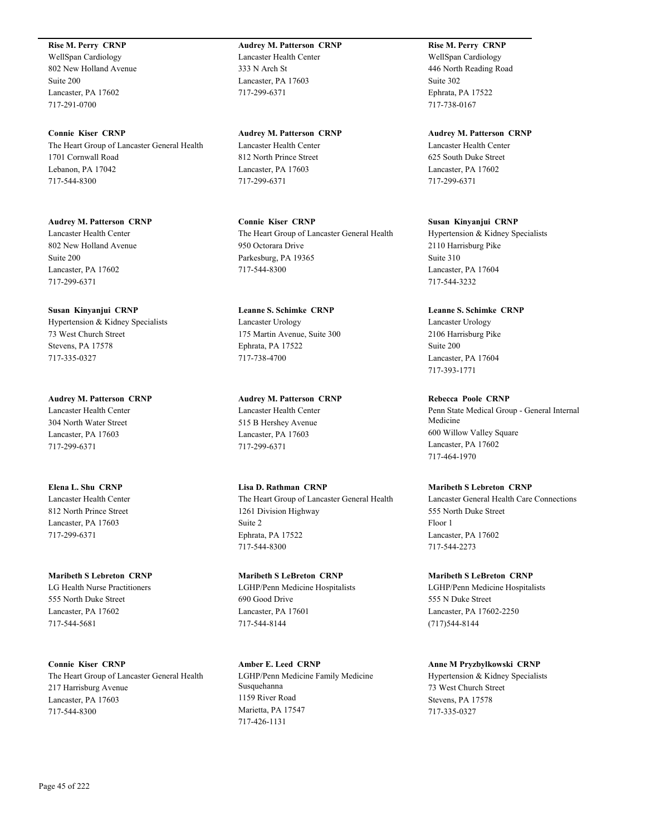### **Rise M. Perry CRNP**

WellSpan Cardiology 802 New Holland Avenue Suite 200 Lancaster, PA 17602 717-291-0700

**Connie Kiser CRNP** The Heart Group of Lancaster General Health 1701 Cornwall Road Lebanon, PA 17042 717-544-8300

**Audrey M. Patterson CRNP** Lancaster Health Center 802 New Holland Avenue Suite 200 Lancaster, PA 17602 717-299-6371

**Susan Kinyanjui CRNP** Hypertension & Kidney Specialists 73 West Church Street Stevens, PA 17578 717-335-0327

**Audrey M. Patterson CRNP** Lancaster Health Center 304 North Water Street Lancaster, PA 17603 717-299-6371

**Elena L. Shu CRNP** Lancaster Health Center 812 North Prince Street Lancaster, PA 17603 717-299-6371

**Maribeth S Lebreton CRNP** LG Health Nurse Practitioners 555 North Duke Street Lancaster, PA 17602 717-544-5681

**Connie Kiser CRNP** The Heart Group of Lancaster General Health 217 Harrisburg Avenue Lancaster, PA 17603 717-544-8300

**Audrey M. Patterson CRNP** Lancaster Health Center 333 N Arch St Lancaster, PA 17603 717-299-6371

**Audrey M. Patterson CRNP** Lancaster Health Center 812 North Prince Street Lancaster, PA 17603 717-299-6371

**Connie Kiser CRNP** The Heart Group of Lancaster General Health 950 Octorara Drive Parkesburg, PA 19365 717-544-8300

**Leanne S. Schimke CRNP** Lancaster Urology 175 Martin Avenue, Suite 300 Ephrata, PA 17522 717-738-4700

**Audrey M. Patterson CRNP** Lancaster Health Center 515 B Hershey Avenue Lancaster, PA 17603 717-299-6371

**Lisa D. Rathman CRNP** The Heart Group of Lancaster General Health 1261 Division Highway Suite 2 Ephrata, PA 17522 717-544-8300

**Maribeth S LeBreton CRNP** LGHP/Penn Medicine Hospitalists 690 Good Drive Lancaster, PA 17601 717-544-8144

**Amber E. Leed CRNP** LGHP/Penn Medicine Family Medicine Susquehanna 1159 River Road Marietta, PA 17547 717-426-1131

**Rise M. Perry CRNP** WellSpan Cardiology 446 North Reading Road Suite 302 Ephrata, PA 17522 717-738-0167

**Audrey M. Patterson CRNP** Lancaster Health Center 625 South Duke Street Lancaster, PA 17602 717-299-6371

**Susan Kinyanjui CRNP** Hypertension & Kidney Specialists 2110 Harrisburg Pike Suite 310 Lancaster, PA 17604 717-544-3232

**Leanne S. Schimke CRNP** Lancaster Urology 2106 Harrisburg Pike Suite 200 Lancaster, PA 17604 717-393-1771

**Rebecca Poole CRNP** Penn State Medical Group - General Internal Medicine 600 Willow Valley Square Lancaster, PA 17602 717-464-1970

**Maribeth S Lebreton CRNP** Lancaster General Health Care Connections 555 North Duke Street Floor 1 Lancaster, PA 17602 717-544-2273

**Maribeth S LeBreton CRNP** LGHP/Penn Medicine Hospitalists 555 N Duke Street Lancaster, PA 17602-2250 (717)544-8144

**Anne M Pryzbylkowski CRNP** Hypertension & Kidney Specialists 73 West Church Street Stevens, PA 17578 717-335-0327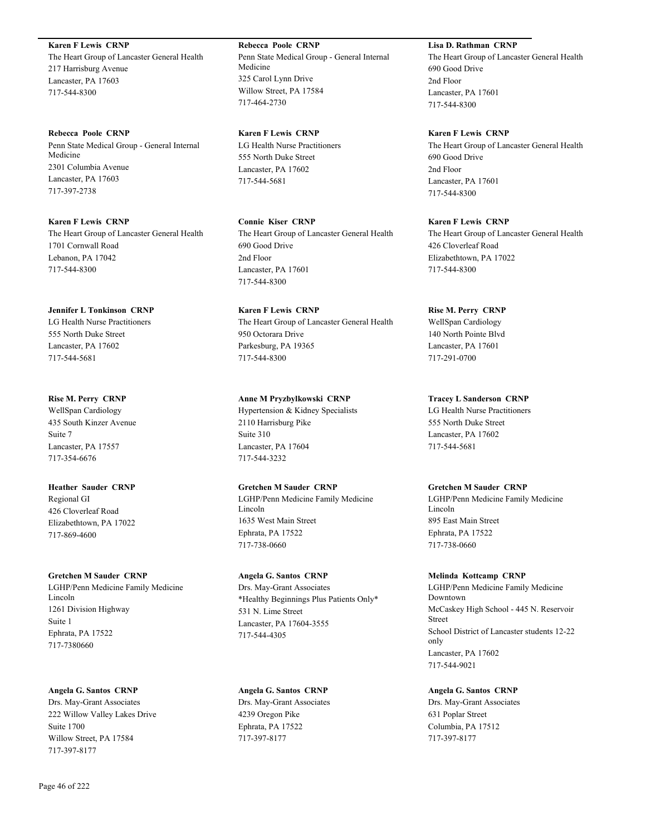**Karen F Lewis CRNP** The Heart Group of Lancaster General Health 217 Harrisburg Avenue Lancaster, PA 17603 717-544-8300

**Rebecca Poole CRNP** Penn State Medical Group - General Internal Medicine 2301 Columbia Avenue Lancaster, PA 17603 717-397-2738

**Karen F Lewis CRNP** The Heart Group of Lancaster General Health 1701 Cornwall Road Lebanon, PA 17042 717-544-8300

**Jennifer L Tonkinson CRNP** LG Health Nurse Practitioners 555 North Duke Street Lancaster, PA 17602 717-544-5681

**Rise M. Perry CRNP** WellSpan Cardiology 435 South Kinzer Avenue Suite 7 Lancaster, PA 17557 717-354-6676

**Heather Sauder CRNP** Regional GI 426 Cloverleaf Road Elizabethtown, PA 17022 717-869-4600

**Gretchen M Sauder CRNP**

LGHP/Penn Medicine Family Medicine Lincoln 1261 Division Highway Suite 1 Ephrata, PA 17522 717-7380660

**Angela G. Santos CRNP** Drs. May-Grant Associates 222 Willow Valley Lakes Drive Suite 1700 Willow Street, PA 17584 717-397-8177

**Rebecca Poole CRNP** Penn State Medical Group - General Internal Medicine 325 Carol Lynn Drive Willow Street, PA 17584 717-464-2730

**Karen F Lewis CRNP** LG Health Nurse Practitioners 555 North Duke Street Lancaster, PA 17602 717-544-5681

**Connie Kiser CRNP** The Heart Group of Lancaster General Health 690 Good Drive 2nd Floor Lancaster, PA 17601 717-544-8300

**Karen F Lewis CRNP** The Heart Group of Lancaster General Health 950 Octorara Drive Parkesburg, PA 19365 717-544-8300

**Anne M Pryzbylkowski CRNP** Hypertension & Kidney Specialists 2110 Harrisburg Pike Suite 310 Lancaster, PA 17604 717-544-3232

**Gretchen M Sauder CRNP** LGHP/Penn Medicine Family Medicine Lincoln 1635 West Main Street Ephrata, PA 17522 717-738-0660

**Angela G. Santos CRNP** Drs. May-Grant Associates \*Healthy Beginnings Plus Patients Only\* 531 N. Lime Street Lancaster, PA 17604-3555 717-544-4305

**Angela G. Santos CRNP** Drs. May-Grant Associates 4239 Oregon Pike Ephrata, PA 17522 717-397-8177

# **Lisa D. Rathman CRNP**

The Heart Group of Lancaster General Health 690 Good Drive 2nd Floor Lancaster, PA 17601 717-544-8300

**Karen F Lewis CRNP** The Heart Group of Lancaster General Health 690 Good Drive 2nd Floor Lancaster, PA 17601 717-544-8300

**Karen F Lewis CRNP** The Heart Group of Lancaster General Health 426 Cloverleaf Road Elizabethtown, PA 17022 717-544-8300

**Rise M. Perry CRNP** WellSpan Cardiology 140 North Pointe Blvd Lancaster, PA 17601 717-291-0700

**Tracey L Sanderson CRNP** LG Health Nurse Practitioners 555 North Duke Street Lancaster, PA 17602 717-544-5681

**Gretchen M Sauder CRNP** LGHP/Penn Medicine Family Medicine Lincoln 895 East Main Street

Ephrata, PA 17522 717-738-0660

**Melinda Kottcamp CRNP** LGHP/Penn Medicine Family Medicine Downtown McCaskey High School - 445 N. Reservoir Street School District of Lancaster students 12-22 only Lancaster, PA 17602 717-544-9021

**Angela G. Santos CRNP** Drs. May-Grant Associates 631 Poplar Street Columbia, PA 17512 717-397-8177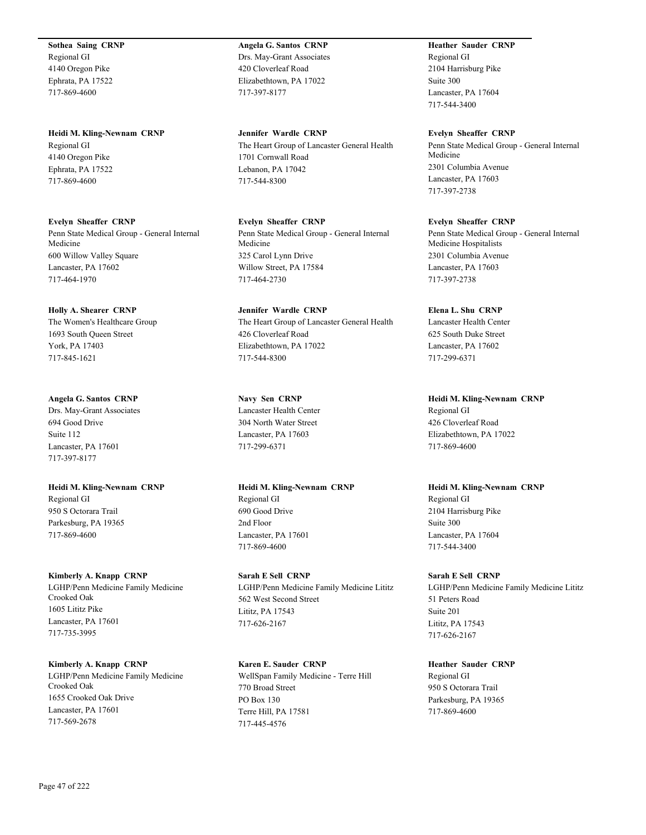**Sothea Saing CRNP** Regional GI 4140 Oregon Pike Ephrata, PA 17522 717-869-4600

**Heidi M. Kling-Newnam CRNP** Regional GI 4140 Oregon Pike Ephrata, PA 17522 717-869-4600

**Evelyn Sheaffer CRNP** Penn State Medical Group - General Internal Medicine 600 Willow Valley Square Lancaster, PA 17602 717-464-1970

**Holly A. Shearer CRNP** The Women's Healthcare Group 1693 South Queen Street York, PA 17403 717-845-1621

**Angela G. Santos CRNP** Drs. May-Grant Associates 694 Good Drive Suite 112 Lancaster, PA 17601 717-397-8177

**Heidi M. Kling-Newnam CRNP** Regional GI 950 S Octorara Trail Parkesburg, PA 19365 717-869-4600

**Kimberly A. Knapp CRNP** LGHP/Penn Medicine Family Medicine Crooked Oak 1605 Lititz Pike Lancaster, PA 17601 717-735-3995

**Kimberly A. Knapp CRNP** LGHP/Penn Medicine Family Medicine Crooked Oak 1655 Crooked Oak Drive Lancaster, PA 17601 717-569-2678

**Angela G. Santos CRNP** Drs. May-Grant Associates 420 Cloverleaf Road Elizabethtown, PA 17022 717-397-8177

**Jennifer Wardle CRNP** The Heart Group of Lancaster General Health 1701 Cornwall Road Lebanon, PA 17042 717-544-8300

**Evelyn Sheaffer CRNP** Penn State Medical Group - General Internal Medicine 325 Carol Lynn Drive Willow Street, PA 17584 717-464-2730

**Jennifer Wardle CRNP** The Heart Group of Lancaster General Health 426 Cloverleaf Road Elizabethtown, PA 17022 717-544-8300

**Navy Sen CRNP** Lancaster Health Center 304 North Water Street Lancaster, PA 17603 717-299-6371

**Heidi M. Kling-Newnam CRNP** Regional GI 690 Good Drive 2nd Floor Lancaster, PA 17601 717-869-4600

**Sarah E Sell CRNP** LGHP/Penn Medicine Family Medicine Lititz 562 West Second Street Lititz, PA 17543 717-626-2167

**Karen E. Sauder CRNP** WellSpan Family Medicine - Terre Hill 770 Broad Street PO Box 130 Terre Hill, PA 17581 717-445-4576

**Heather Sauder CRNP** Regional GI 2104 Harrisburg Pike Suite 300 Lancaster, PA 17604 717-544-3400

**Evelyn Sheaffer CRNP** Penn State Medical Group - General Internal Medicine 2301 Columbia Avenue Lancaster, PA 17603 717-397-2738

**Evelyn Sheaffer CRNP** Penn State Medical Group - General Internal Medicine Hospitalists 2301 Columbia Avenue Lancaster, PA 17603 717-397-2738

**Elena L. Shu CRNP** Lancaster Health Center 625 South Duke Street Lancaster, PA 17602 717-299-6371

**Heidi M. Kling-Newnam CRNP** Regional GI 426 Cloverleaf Road Elizabethtown, PA 17022 717-869-4600

**Heidi M. Kling-Newnam CRNP** Regional GI 2104 Harrisburg Pike Suite 300 Lancaster, PA 17604 717-544-3400

**Sarah E Sell CRNP** LGHP/Penn Medicine Family Medicine Lititz 51 Peters Road Suite 201 Lititz, PA 17543 717-626-2167

**Heather Sauder CRNP** Regional GI 950 S Octorara Trail Parkesburg, PA 19365 717-869-4600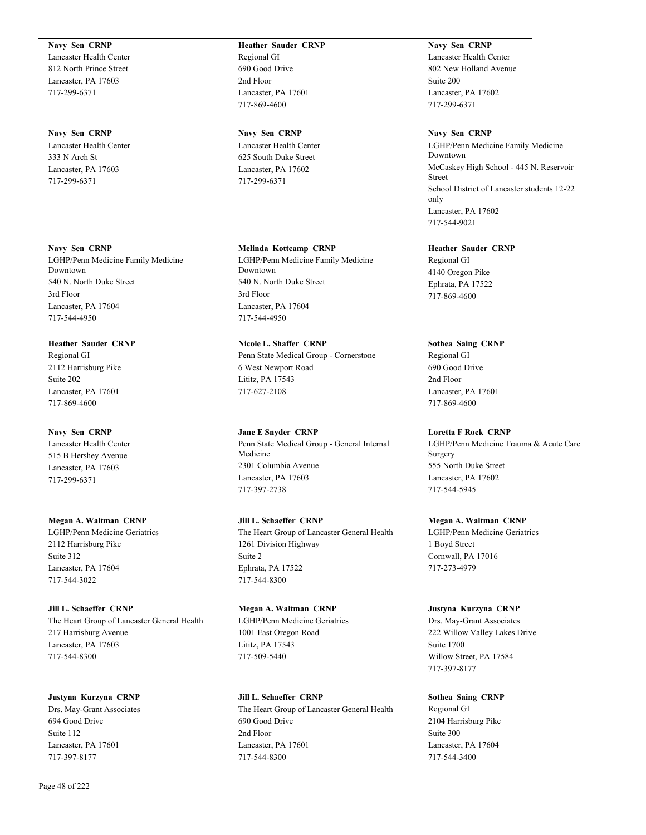**Navy Sen CRNP** Lancaster Health Center 812 North Prince Street Lancaster, PA 17603

717-299-6371

**Navy Sen CRNP** Lancaster Health Center 333 N Arch St Lancaster, PA 17603 717-299-6371

**Navy Sen CRNP** LGHP/Penn Medicine Family Medicine Downtown 540 N. North Duke Street 3rd Floor Lancaster, PA 17604 717-544-4950

**Heather Sauder CRNP** Regional GI 2112 Harrisburg Pike Suite 202 Lancaster, PA 17601 717-869-4600

**Navy Sen CRNP** Lancaster Health Center 515 B Hershey Avenue Lancaster, PA 17603 717-299-6371

**Megan A. Waltman CRNP** LGHP/Penn Medicine Geriatrics 2112 Harrisburg Pike Suite 312 Lancaster, PA 17604 717-544-3022

**Jill L. Schaeffer CRNP** The Heart Group of Lancaster General Health 217 Harrisburg Avenue Lancaster, PA 17603 717-544-8300

**Justyna Kurzyna CRNP** Drs. May-Grant Associates 694 Good Drive Suite 112 Lancaster, PA 17601 717-397-8177

**Navy Sen CRNP** Lancaster Health Center 625 South Duke Street Lancaster, PA 17602 717-299-6371

**Melinda Kottcamp CRNP** LGHP/Penn Medicine Family Medicine Downtown 540 N. North Duke Street 3rd Floor Lancaster, PA 17604 717-544-4950

**Nicole L. Shaffer CRNP** Penn State Medical Group - Cornerstone 6 West Newport Road Lititz, PA 17543 717-627-2108

**Jane E Snyder CRNP** Penn State Medical Group - General Internal Medicine 2301 Columbia Avenue Lancaster, PA 17603 717-397-2738

**Jill L. Schaeffer CRNP** The Heart Group of Lancaster General Health 1261 Division Highway Suite 2 Ephrata, PA 17522 717-544-8300

**Megan A. Waltman CRNP** LGHP/Penn Medicine Geriatrics 1001 East Oregon Road Lititz, PA 17543 717-509-5440

**Jill L. Schaeffer CRNP** The Heart Group of Lancaster General Health 690 Good Drive 2nd Floor Lancaster, PA 17601 717-544-8300

**Navy Sen CRNP** Lancaster Health Center 802 New Holland Avenue Suite 200 Lancaster, PA 17602 717-299-6371

**Navy Sen CRNP** LGHP/Penn Medicine Family Medicine Downtown McCaskey High School - 445 N. Reservoir Street School District of Lancaster students 12-22 only Lancaster, PA 17602 717-544-9021

**Heather Sauder CRNP** Regional GI 4140 Oregon Pike Ephrata, PA 17522 717-869-4600

**Sothea Saing CRNP** Regional GI 690 Good Drive 2nd Floor

Lancaster, PA 17601

717-869-4600 **Loretta F Rock CRNP** LGHP/Penn Medicine Trauma & Acute Care Surgery 555 North Duke Street Lancaster, PA 17602 717-544-5945

**Megan A. Waltman CRNP** LGHP/Penn Medicine Geriatrics 1 Boyd Street Cornwall, PA 17016 717-273-4979

**Justyna Kurzyna CRNP** Drs. May-Grant Associates 222 Willow Valley Lakes Drive Suite 1700 Willow Street, PA 17584 717-397-8177

**Sothea Saing CRNP** Regional GI 2104 Harrisburg Pike Suite 300 Lancaster, PA 17604 717-544-3400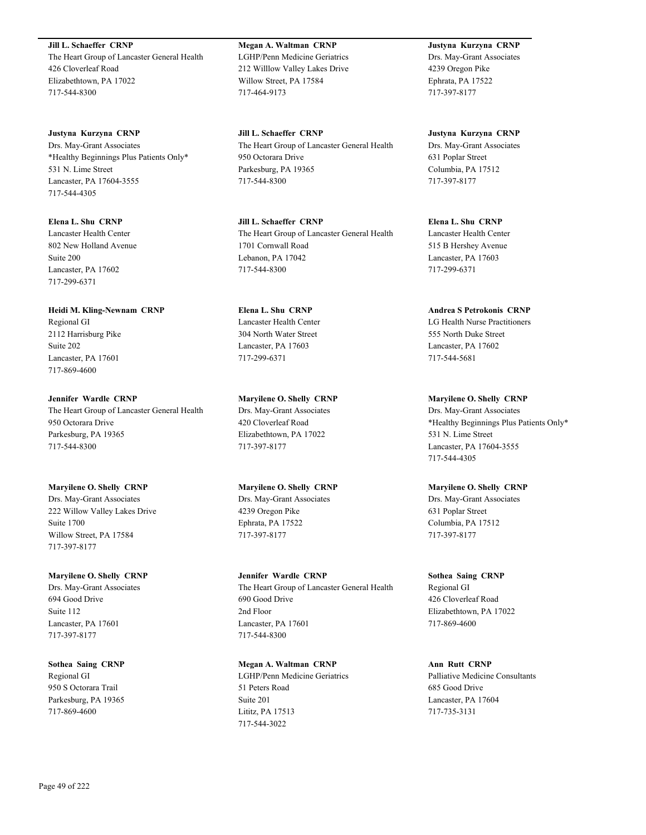**Jill L. Schaeffer CRNP** The Heart Group of Lancaster General Health 426 Cloverleaf Road Elizabethtown, PA 17022 717-544-8300

**Justyna Kurzyna CRNP** Drs. May-Grant Associates \*Healthy Beginnings Plus Patients Only\* 531 N. Lime Street Lancaster, PA 17604-3555 717-544-4305

**Elena L. Shu CRNP** Lancaster Health Center 802 New Holland Avenue Suite 200 Lancaster, PA 17602 717-299-6371

**Heidi M. Kling-Newnam CRNP** Regional GI 2112 Harrisburg Pike Suite 202 Lancaster, PA 17601 717-869-4600

**Jennifer Wardle CRNP** The Heart Group of Lancaster General Health 950 Octorara Drive Parkesburg, PA 19365 717-544-8300

**Maryilene O. Shelly CRNP** Drs. May-Grant Associates 222 Willow Valley Lakes Drive Suite 1700 Willow Street, PA 17584 717-397-8177

**Maryilene O. Shelly CRNP** Drs. May-Grant Associates 694 Good Drive

Suite 112 Lancaster, PA 17601 717-397-8177

**Sothea Saing CRNP** Regional GI 950 S Octorara Trail Parkesburg, PA 19365 717-869-4600

**Megan A. Waltman CRNP** LGHP/Penn Medicine Geriatrics 212 Willlow Valley Lakes Drive Willow Street, PA 17584 717-464-9173

**Jill L. Schaeffer CRNP** The Heart Group of Lancaster General Health 950 Octorara Drive Parkesburg, PA 19365 717-544-8300

**Jill L. Schaeffer CRNP** The Heart Group of Lancaster General Health 1701 Cornwall Road Lebanon, PA 17042 717-544-8300

**Elena L. Shu CRNP** Lancaster Health Center 304 North Water Street Lancaster, PA 17603 717-299-6371

**Maryilene O. Shelly CRNP** Drs. May-Grant Associates 420 Cloverleaf Road Elizabethtown, PA 17022 717-397-8177

**Maryilene O. Shelly CRNP** Drs. May-Grant Associates 4239 Oregon Pike Ephrata, PA 17522 717-397-8177

**Jennifer Wardle CRNP** The Heart Group of Lancaster General Health 690 Good Drive 2nd Floor Lancaster, PA 17601 717-544-8300

**Megan A. Waltman CRNP** LGHP/Penn Medicine Geriatrics 51 Peters Road Suite 201 Lititz, PA 17513 717-544-3022

**Justyna Kurzyna CRNP** Drs. May-Grant Associates 4239 Oregon Pike Ephrata, PA 17522 717-397-8177

**Justyna Kurzyna CRNP** Drs. May-Grant Associates 631 Poplar Street Columbia, PA 17512 717-397-8177

**Elena L. Shu CRNP** Lancaster Health Center 515 B Hershey Avenue Lancaster, PA 17603 717-299-6371

**Andrea S Petrokonis CRNP** LG Health Nurse Practitioners 555 North Duke Street Lancaster, PA 17602 717-544-5681

**Maryilene O. Shelly CRNP** Drs. May-Grant Associates \*Healthy Beginnings Plus Patients Only\* 531 N. Lime Street Lancaster, PA 17604-3555 717-544-4305

**Maryilene O. Shelly CRNP** Drs. May-Grant Associates 631 Poplar Street Columbia, PA 17512 717-397-8177

**Sothea Saing CRNP** Regional GI 426 Cloverleaf Road Elizabethtown, PA 17022 717-869-4600

**Ann Rutt CRNP** Palliative Medicine Consultants 685 Good Drive Lancaster, PA 17604 717-735-3131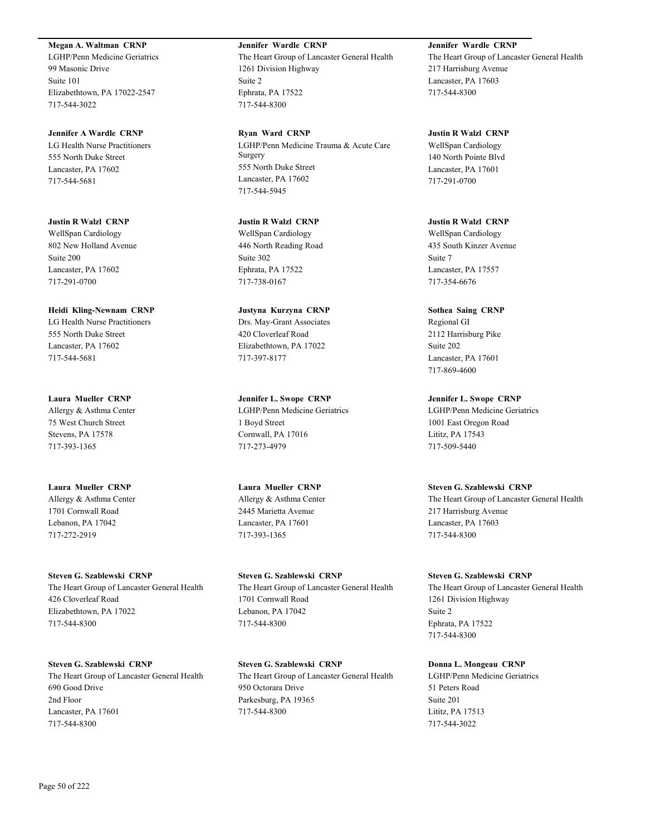**Megan A. Waltman CRNP**

LGHP/Penn Medicine Geriatrics 99 Masonic Drive Suite 101 Elizabethtown, PA 17022-2547 717-544-3022

**Jennifer A Wardle CRNP** LG Health Nurse Practitioners 555 North Duke Street Lancaster, PA 17602 717-544-5681

**Justin R Walzl CRNP** WellSpan Cardiology 802 New Holland Avenue Suite 200 Lancaster, PA 17602 717-291-0700

**Heidi Kling-Newnam CRNP** LG Health Nurse Practitioners 555 North Duke Street Lancaster, PA 17602 717-544-5681

**Laura Mueller CRNP** Allergy & Asthma Center 75 West Church Street Stevens, PA 17578 717-393-1365

**Laura Mueller CRNP** Allergy & Asthma Center 1701 Cornwall Road Lebanon, PA 17042 717-272-2919

**Steven G. Szablewski CRNP** The Heart Group of Lancaster General Health 426 Cloverleaf Road Elizabethtown, PA 17022 717-544-8300

**Steven G. Szablewski CRNP** The Heart Group of Lancaster General Health 690 Good Drive 2nd Floor Lancaster, PA 17601 717-544-8300

**Jennifer Wardle CRNP** The Heart Group of Lancaster General Health 1261 Division Highway Suite 2 Ephrata, PA 17522 717-544-8300

**Ryan Ward CRNP** LGHP/Penn Medicine Trauma & Acute Care **Surgery** 555 North Duke Street Lancaster, PA 17602 717-544-5945

**Justin R Walzl CRNP** WellSpan Cardiology 446 North Reading Road Suite 302 Ephrata, PA 17522 717-738-0167

**Justyna Kurzyna CRNP** Drs. May-Grant Associates 420 Cloverleaf Road Elizabethtown, PA 17022 717-397-8177

**Jennifer L. Swope CRNP** LGHP/Penn Medicine Geriatrics 1 Boyd Street Cornwall, PA 17016 717-273-4979

**Laura Mueller CRNP** Allergy & Asthma Center 2445 Marietta Avenue Lancaster, PA 17601 717-393-1365

**Steven G. Szablewski CRNP** The Heart Group of Lancaster General Health 1701 Cornwall Road Lebanon, PA 17042 717-544-8300

**Steven G. Szablewski CRNP** The Heart Group of Lancaster General Health 950 Octorara Drive Parkesburg, PA 19365 717-544-8300

**Jennifer Wardle CRNP** The Heart Group of Lancaster General Health 217 Harrisburg Avenue Lancaster, PA 17603 717-544-8300

**Justin R Walzl CRNP** WellSpan Cardiology 140 North Pointe Blvd Lancaster, PA 17601 717-291-0700

**Justin R Walzl CRNP** WellSpan Cardiology 435 South Kinzer Avenue Suite 7 Lancaster, PA 17557 717-354-6676

**Sothea Saing CRNP** Regional GI 2112 Harrisburg Pike Suite 202 Lancaster, PA 17601 717-869-4600

**Jennifer L. Swope CRNP** LGHP/Penn Medicine Geriatrics 1001 East Oregon Road Lititz, PA 17543 717-509-5440

**Steven G. Szablewski CRNP** The Heart Group of Lancaster General Health 217 Harrisburg Avenue Lancaster, PA 17603 717-544-8300

**Steven G. Szablewski CRNP** The Heart Group of Lancaster General Health 1261 Division Highway Suite 2 Ephrata, PA 17522 717-544-8300

**Donna L. Mongeau CRNP** LGHP/Penn Medicine Geriatrics 51 Peters Road Suite 201 Lititz, PA 17513 717-544-3022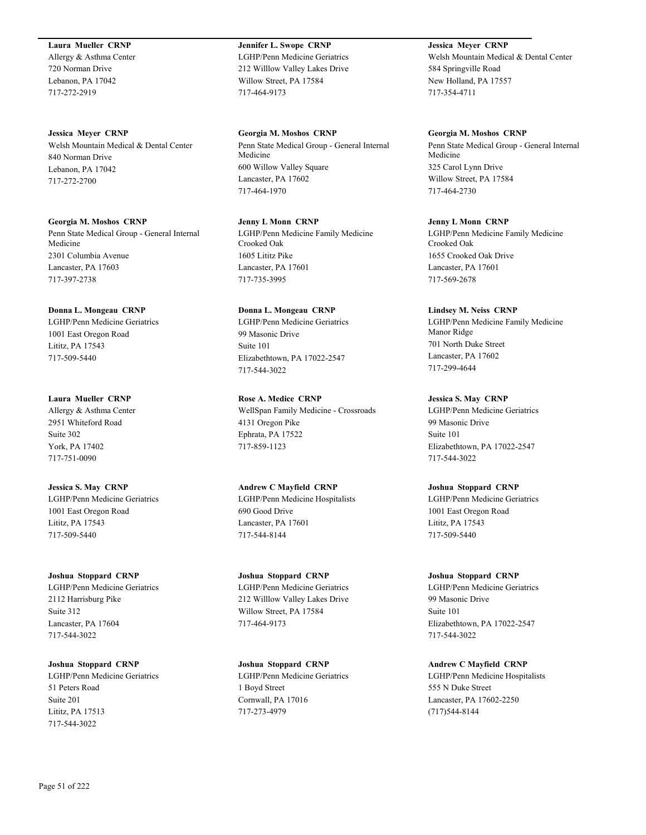### **Laura Mueller CRNP**

Allergy & Asthma Center 720 Norman Drive Lebanon, PA 17042 717-272-2919

**Jessica Meyer CRNP** Welsh Mountain Medical & Dental Center 840 Norman Drive Lebanon, PA 17042 717-272-2700

**Georgia M. Moshos CRNP** Penn State Medical Group - General Internal Medicine 2301 Columbia Avenue Lancaster, PA 17603 717-397-2738

**Donna L. Mongeau CRNP** LGHP/Penn Medicine Geriatrics 1001 East Oregon Road Lititz, PA 17543 717-509-5440

**Laura Mueller CRNP** Allergy & Asthma Center 2951 Whiteford Road Suite 302 York, PA 17402 717-751-0090

**Jessica S. May CRNP** LGHP/Penn Medicine Geriatrics 1001 East Oregon Road Lititz, PA 17543 717-509-5440

**Joshua Stoppard CRNP** LGHP/Penn Medicine Geriatrics 2112 Harrisburg Pike Suite 312 Lancaster, PA 17604 717-544-3022

**Joshua Stoppard CRNP** LGHP/Penn Medicine Geriatrics 51 Peters Road Suite 201 Lititz, PA 17513 717-544-3022

**Jennifer L. Swope CRNP** LGHP/Penn Medicine Geriatrics 212 Willlow Valley Lakes Drive Willow Street, PA 17584 717-464-9173

**Georgia M. Moshos CRNP** Penn State Medical Group - General Internal Medicine 600 Willow Valley Square Lancaster, PA 17602 717-464-1970

**Jenny L Monn CRNP** LGHP/Penn Medicine Family Medicine Crooked Oak 1605 Lititz Pike Lancaster, PA 17601 717-735-3995

**Donna L. Mongeau CRNP** LGHP/Penn Medicine Geriatrics 99 Masonic Drive Suite 101 Elizabethtown, PA 17022-2547 717-544-3022

**Rose A. Medice CRNP** WellSpan Family Medicine - Crossroads 4131 Oregon Pike Ephrata, PA 17522 717-859-1123

**Andrew C Mayfield CRNP** LGHP/Penn Medicine Hospitalists 690 Good Drive Lancaster, PA 17601 717-544-8144

**Joshua Stoppard CRNP** LGHP/Penn Medicine Geriatrics 212 Willlow Valley Lakes Drive Willow Street, PA 17584 717-464-9173

**Joshua Stoppard CRNP** LGHP/Penn Medicine Geriatrics 1 Boyd Street Cornwall, PA 17016 717-273-4979

**Jessica Meyer CRNP** Welsh Mountain Medical & Dental Center 584 Springville Road New Holland, PA 17557 717-354-4711

**Georgia M. Moshos CRNP** Penn State Medical Group - General Internal Medicine 325 Carol Lynn Drive Willow Street, PA 17584 717-464-2730

**Jenny L Monn CRNP** LGHP/Penn Medicine Family Medicine Crooked Oak 1655 Crooked Oak Drive Lancaster, PA 17601 717-569-2678

**Lindsey M. Neiss CRNP** LGHP/Penn Medicine Family Medicine Manor Ridge 701 North Duke Street Lancaster, PA 17602 717-299-4644

**Jessica S. May CRNP** LGHP/Penn Medicine Geriatrics 99 Masonic Drive Suite 101 Elizabethtown, PA 17022-2547 717-544-3022

**Joshua Stoppard CRNP** LGHP/Penn Medicine Geriatrics 1001 East Oregon Road Lititz, PA 17543 717-509-5440

**Joshua Stoppard CRNP** LGHP/Penn Medicine Geriatrics 99 Masonic Drive Suite 101 Elizabethtown, PA 17022-2547 717-544-3022

**Andrew C Mayfield CRNP** LGHP/Penn Medicine Hospitalists 555 N Duke Street Lancaster, PA 17602-2250 (717)544-8144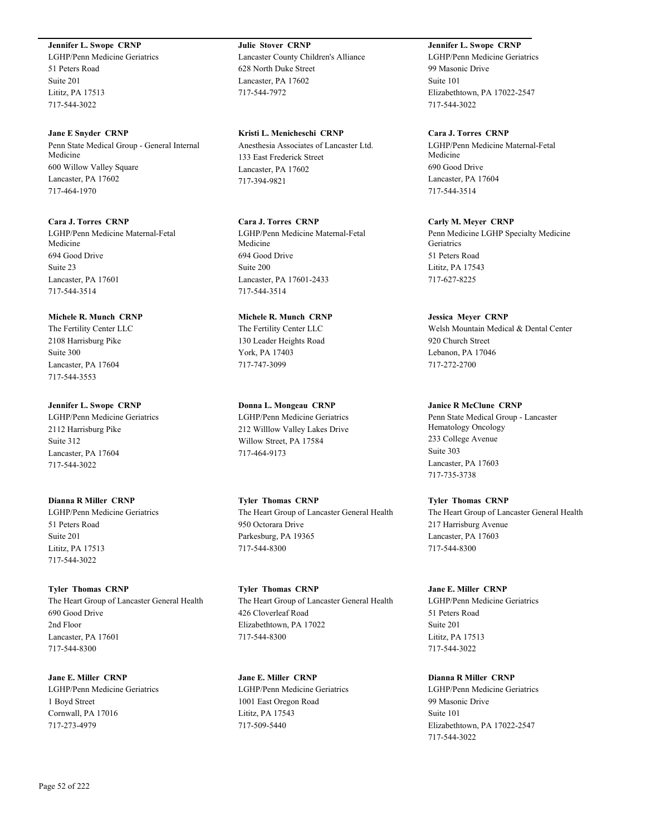### **Jennifer L. Swope CRNP**

LGHP/Penn Medicine Geriatrics 51 Peters Road Suite 201 Lititz, PA 17513 717-544-3022

### **Jane E Snyder CRNP**

Penn State Medical Group - General Internal Medicine 600 Willow Valley Square Lancaster, PA 17602 717-464-1970

# **Cara J. Torres CRNP**

LGHP/Penn Medicine Maternal-Fetal Medicine 694 Good Drive Suite 23 Lancaster, PA 17601 717-544-3514

# **Michele R. Munch CRNP**

The Fertility Center LLC 2108 Harrisburg Pike Suite 300 Lancaster, PA 17604 717-544-3553

### **Jennifer L. Swope CRNP**

LGHP/Penn Medicine Geriatrics 2112 Harrisburg Pike Suite 312 Lancaster, PA 17604 717-544-3022

# **Dianna R Miller CRNP**

LGHP/Penn Medicine Geriatrics 51 Peters Road Suite 201 Lititz, PA 17513 717-544-3022

**Tyler Thomas CRNP** The Heart Group of Lancaster General Health 690 Good Drive 2nd Floor Lancaster, PA 17601 717-544-8300

**Jane E. Miller CRNP** LGHP/Penn Medicine Geriatrics 1 Boyd Street Cornwall, PA 17016 717-273-4979

**Julie Stover CRNP** Lancaster County Children's Alliance 628 North Duke Street Lancaster, PA 17602 717-544-7972

**Kristi L. Menicheschi CRNP** Anesthesia Associates of Lancaster Ltd. 133 East Frederick Street Lancaster, PA 17602 717-394-9821

# **Cara J. Torres CRNP**

LGHP/Penn Medicine Maternal-Fetal Medicine 694 Good Drive Suite 200 Lancaster, PA 17601-2433 717-544-3514

# **Michele R. Munch CRNP**

The Fertility Center LLC 130 Leader Heights Road York, PA 17403 717-747-3099

### **Donna L. Mongeau CRNP**

LGHP/Penn Medicine Geriatrics 212 Willlow Valley Lakes Drive Willow Street, PA 17584 717-464-9173

**Tyler Thomas CRNP** The Heart Group of Lancaster General Health 950 Octorara Drive Parkesburg, PA 19365 717-544-8300

**Tyler Thomas CRNP** The Heart Group of Lancaster General Health 426 Cloverleaf Road Elizabethtown, PA 17022 717-544-8300

**Jane E. Miller CRNP** LGHP/Penn Medicine Geriatrics 1001 East Oregon Road Lititz, PA 17543 717-509-5440

# **Jennifer L. Swope CRNP**

LGHP/Penn Medicine Geriatrics 99 Masonic Drive Suite 101 Elizabethtown, PA 17022-2547 717-544-3022

# **Cara J. Torres CRNP**

LGHP/Penn Medicine Maternal-Fetal Medicine 690 Good Drive Lancaster, PA 17604 717-544-3514

### **Carly M. Meyer CRNP**

Penn Medicine LGHP Specialty Medicine **Geriatrics** 51 Peters Road Lititz, PA 17543 717-627-8225

### **Jessica Meyer CRNP**

Welsh Mountain Medical & Dental Center 920 Church Street Lebanon, PA 17046 717-272-2700

### **Janice R McClune CRNP**

Penn State Medical Group - Lancaster Hematology Oncology 233 College Avenue Suite 303 Lancaster, PA 17603 717-735-3738

# **Tyler Thomas CRNP**

The Heart Group of Lancaster General Health 217 Harrisburg Avenue Lancaster, PA 17603 717-544-8300

# **Jane E. Miller CRNP**

LGHP/Penn Medicine Geriatrics 51 Peters Road Suite 201 Lititz, PA 17513 717-544-3022

### **Dianna R Miller CRNP**

LGHP/Penn Medicine Geriatrics 99 Masonic Drive Suite 101 Elizabethtown, PA 17022-2547 717-544-3022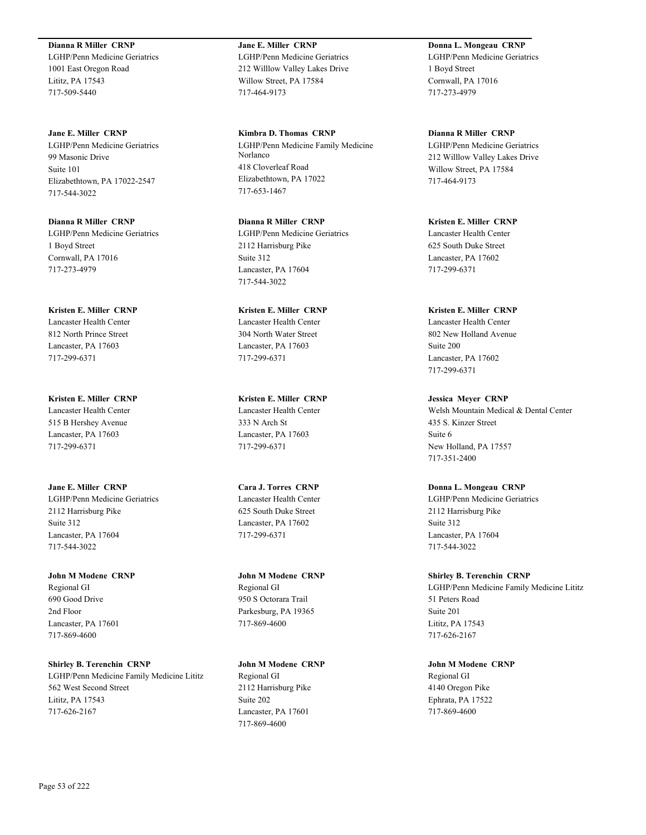**Dianna R Miller CRNP** LGHP/Penn Medicine Geriatrics 1001 East Oregon Road Lititz, PA 17543 717-509-5440

**Jane E. Miller CRNP** LGHP/Penn Medicine Geriatrics 99 Masonic Drive Suite 101 Elizabethtown, PA 17022-2547 717-544-3022

**Dianna R Miller CRNP** LGHP/Penn Medicine Geriatrics 1 Boyd Street Cornwall, PA 17016 717-273-4979

**Kristen E. Miller CRNP** Lancaster Health Center 812 North Prince Street Lancaster, PA 17603 717-299-6371

**Kristen E. Miller CRNP** Lancaster Health Center 515 B Hershey Avenue Lancaster, PA 17603 717-299-6371

**Jane E. Miller CRNP** LGHP/Penn Medicine Geriatrics 2112 Harrisburg Pike Suite 312 Lancaster, PA 17604 717-544-3022

**John M Modene CRNP** Regional GI 690 Good Drive 2nd Floor Lancaster, PA 17601 717-869-4600

**Shirley B. Terenchin CRNP** LGHP/Penn Medicine Family Medicine Lititz 562 West Second Street Lititz, PA 17543 717-626-2167

**Jane E. Miller CRNP** LGHP/Penn Medicine Geriatrics 212 Willlow Valley Lakes Drive Willow Street, PA 17584 717-464-9173

**Kimbra D. Thomas CRNP** LGHP/Penn Medicine Family Medicine Norlanco 418 Cloverleaf Road Elizabethtown, PA 17022 717-653-1467

**Dianna R Miller CRNP** LGHP/Penn Medicine Geriatrics 2112 Harrisburg Pike Suite 312 Lancaster, PA 17604 717-544-3022

**Kristen E. Miller CRNP** Lancaster Health Center 304 North Water Street Lancaster, PA 17603 717-299-6371

**Kristen E. Miller CRNP** Lancaster Health Center 333 N Arch St Lancaster, PA 17603 717-299-6371

**Cara J. Torres CRNP** Lancaster Health Center 625 South Duke Street Lancaster, PA 17602 717-299-6371

**John M Modene CRNP** Regional GI 950 S Octorara Trail Parkesburg, PA 19365 717-869-4600

**John M Modene CRNP** Regional GI 2112 Harrisburg Pike Suite 202 Lancaster, PA 17601 717-869-4600

**Donna L. Mongeau CRNP** LGHP/Penn Medicine Geriatrics 1 Boyd Street Cornwall, PA 17016 717-273-4979

**Dianna R Miller CRNP** LGHP/Penn Medicine Geriatrics 212 Willlow Valley Lakes Drive Willow Street, PA 17584 717-464-9173

**Kristen E. Miller CRNP** Lancaster Health Center 625 South Duke Street Lancaster, PA 17602 717-299-6371

**Kristen E. Miller CRNP** Lancaster Health Center 802 New Holland Avenue Suite 200 Lancaster, PA 17602 717-299-6371

**Jessica Meyer CRNP** Welsh Mountain Medical & Dental Center 435 S. Kinzer Street Suite 6 New Holland, PA 17557 717-351-2400

**Donna L. Mongeau CRNP** LGHP/Penn Medicine Geriatrics 2112 Harrisburg Pike Suite 312 Lancaster, PA 17604 717-544-3022

**Shirley B. Terenchin CRNP** LGHP/Penn Medicine Family Medicine Lititz 51 Peters Road Suite 201 Lititz, PA 17543 717-626-2167

**John M Modene CRNP** Regional GI 4140 Oregon Pike Ephrata, PA 17522 717-869-4600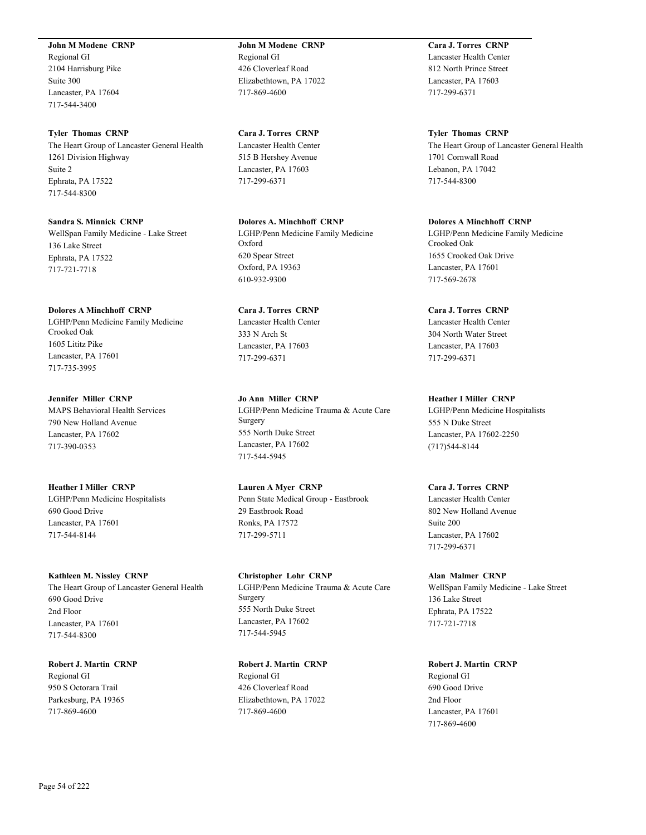**John M Modene CRNP**

Regional GI 2104 Harrisburg Pike Suite 300 Lancaster, PA 17604 717-544-3400

### **Tyler Thomas CRNP**

The Heart Group of Lancaster General Health 1261 Division Highway Suite 2 Ephrata, PA 17522 717-544-8300

**Sandra S. Minnick CRNP** WellSpan Family Medicine - Lake Street 136 Lake Street Ephrata, PA 17522 717-721-7718

### **Dolores A Minchhoff CRNP**

LGHP/Penn Medicine Family Medicine Crooked Oak 1605 Lititz Pike Lancaster, PA 17601 717-735-3995

# **Jennifer Miller CRNP**

MAPS Behavioral Health Services 790 New Holland Avenue Lancaster, PA 17602 717-390-0353

**Heather I Miller CRNP** LGHP/Penn Medicine Hospitalists 690 Good Drive Lancaster, PA 17601 717-544-8144

### **Kathleen M. Nissley CRNP**

The Heart Group of Lancaster General Health 690 Good Drive 2nd Floor Lancaster, PA 17601 717-544-8300

**Robert J. Martin CRNP** Regional GI 950 S Octorara Trail Parkesburg, PA 19365 717-869-4600

**John M Modene CRNP** Regional GI 426 Cloverleaf Road Elizabethtown, PA 17022 717-869-4600

**Cara J. Torres CRNP** Lancaster Health Center 515 B Hershey Avenue Lancaster, PA 17603 717-299-6371

**Dolores A. Minchhoff CRNP** LGHP/Penn Medicine Family Medicine Oxford 620 Spear Street Oxford, PA 19363 610-932-9300

# **Cara J. Torres CRNP** Lancaster Health Center 333 N Arch St Lancaster, PA 17603 717-299-6371

**Jo Ann Miller CRNP** LGHP/Penn Medicine Trauma & Acute Care Surgery 555 North Duke Street Lancaster, PA 17602 717-544-5945

**Lauren A Myer CRNP** Penn State Medical Group - Eastbrook 29 Eastbrook Road Ronks, PA 17572 717-299-5711

**Christopher Lohr CRNP** LGHP/Penn Medicine Trauma & Acute Care Surgery 555 North Duke Street Lancaster, PA 17602 717-544-5945

**Robert J. Martin CRNP** Regional GI 426 Cloverleaf Road Elizabethtown, PA 17022 717-869-4600

**Cara J. Torres CRNP** Lancaster Health Center 812 North Prince Street Lancaster, PA 17603 717-299-6371

**Tyler Thomas CRNP** The Heart Group of Lancaster General Health 1701 Cornwall Road Lebanon, PA 17042 717-544-8300

**Dolores A Minchhoff CRNP** LGHP/Penn Medicine Family Medicine Crooked Oak 1655 Crooked Oak Drive Lancaster, PA 17601 717-569-2678

**Cara J. Torres CRNP**

Lancaster Health Center 304 North Water Street Lancaster, PA 17603 717-299-6371

**Heather I Miller CRNP**

LGHP/Penn Medicine Hospitalists 555 N Duke Street Lancaster, PA 17602-2250 (717)544-8144

**Cara J. Torres CRNP** Lancaster Health Center 802 New Holland Avenue Suite 200 Lancaster, PA 17602

717-299-6371

**Alan Malmer CRNP** WellSpan Family Medicine - Lake Street 136 Lake Street Ephrata, PA 17522 717-721-7718

**Robert J. Martin CRNP** Regional GI 690 Good Drive 2nd Floor Lancaster, PA 17601 717-869-4600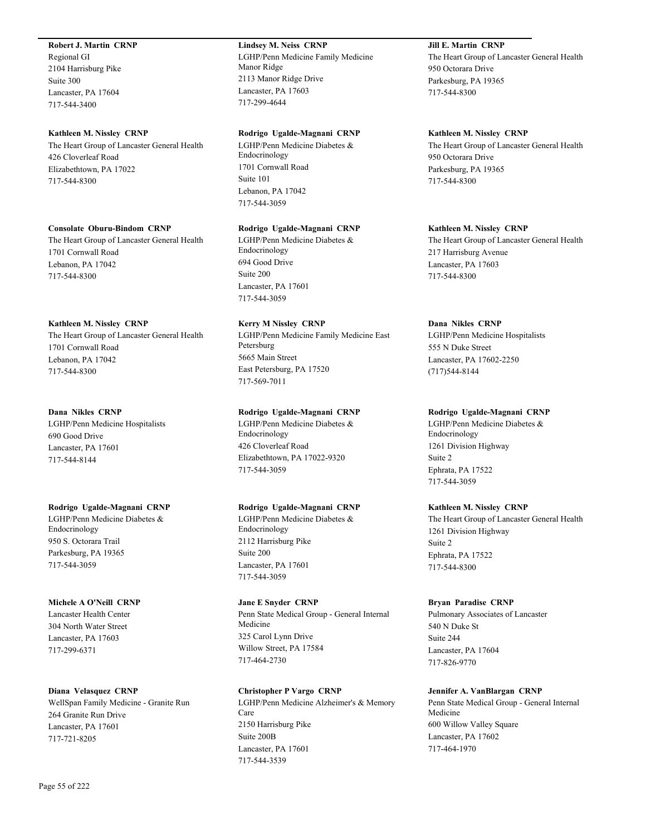### **Robert J. Martin CRNP**

Regional GI 2104 Harrisburg Pike Suite 300 Lancaster, PA 17604 717-544-3400

### **Kathleen M. Nissley CRNP**

The Heart Group of Lancaster General Health 426 Cloverleaf Road Elizabethtown, PA 17022 717-544-8300

**Consolate Oburu-Bindom CRNP** The Heart Group of Lancaster General Health 1701 Cornwall Road Lebanon, PA 17042 717-544-8300

# **Kathleen M. Nissley CRNP**

The Heart Group of Lancaster General Health 1701 Cornwall Road Lebanon, PA 17042 717-544-8300

### **Dana Nikles CRNP**

LGHP/Penn Medicine Hospitalists 690 Good Drive Lancaster, PA 17601 717-544-8144

### **Rodrigo Ugalde-Magnani CRNP**

LGHP/Penn Medicine Diabetes & Endocrinology 950 S. Octorara Trail Parkesburg, PA 19365 717-544-3059

# **Michele A O'Neill CRNP**

Lancaster Health Center 304 North Water Street Lancaster, PA 17603 717-299-6371

### **Diana Velasquez CRNP**

WellSpan Family Medicine - Granite Run 264 Granite Run Drive Lancaster, PA 17601 717-721-8205

# **Lindsey M. Neiss CRNP**

LGHP/Penn Medicine Family Medicine Manor Ridge 2113 Manor Ridge Drive Lancaster, PA 17603 717-299-4644

### **Rodrigo Ugalde-Magnani CRNP**

LGHP/Penn Medicine Diabetes & Endocrinology 1701 Cornwall Road Suite 101 Lebanon, PA 17042 717-544-3059

### **Rodrigo Ugalde-Magnani CRNP**

LGHP/Penn Medicine Diabetes & Endocrinology 694 Good Drive Suite 200 Lancaster, PA 17601 717-544-3059

# **Kerry M Nissley CRNP**

LGHP/Penn Medicine Family Medicine East Petersburg 5665 Main Street East Petersburg, PA 17520 717-569-7011

# **Rodrigo Ugalde-Magnani CRNP**

LGHP/Penn Medicine Diabetes & Endocrinology 426 Cloverleaf Road Elizabethtown, PA 17022-9320 717-544-3059

### **Rodrigo Ugalde-Magnani CRNP**

LGHP/Penn Medicine Diabetes & Endocrinology 2112 Harrisburg Pike Suite 200 Lancaster, PA 17601 717-544-3059

### **Jane E Snyder CRNP**

Penn State Medical Group - General Internal Medicine 325 Carol Lynn Drive Willow Street, PA 17584 717-464-2730

### **Christopher P Vargo CRNP**

LGHP/Penn Medicine Alzheimer's & Memory Care 2150 Harrisburg Pike Suite 200B Lancaster, PA 17601 717-544-3539

# **Jill E. Martin CRNP**

The Heart Group of Lancaster General Health 950 Octorara Drive Parkesburg, PA 19365 717-544-8300

### **Kathleen M. Nissley CRNP**

The Heart Group of Lancaster General Health 950 Octorara Drive Parkesburg, PA 19365 717-544-8300

### **Kathleen M. Nissley CRNP**

The Heart Group of Lancaster General Health 217 Harrisburg Avenue Lancaster, PA 17603 717-544-8300

### **Dana Nikles CRNP**

LGHP/Penn Medicine Hospitalists 555 N Duke Street Lancaster, PA 17602-2250 (717)544-8144

### **Rodrigo Ugalde-Magnani CRNP**

LGHP/Penn Medicine Diabetes & Endocrinology 1261 Division Highway Suite 2 Ephrata, PA 17522 717-544-3059

### **Kathleen M. Nissley CRNP**

The Heart Group of Lancaster General Health 1261 Division Highway Suite 2 Ephrata, PA 17522 717-544-8300

### **Bryan Paradise CRNP**

Pulmonary Associates of Lancaster 540 N Duke St Suite 244 Lancaster, PA 17604 717-826-9770

### **Jennifer A. VanBlargan CRNP**

Penn State Medical Group - General Internal Medicine 600 Willow Valley Square Lancaster, PA 17602 717-464-1970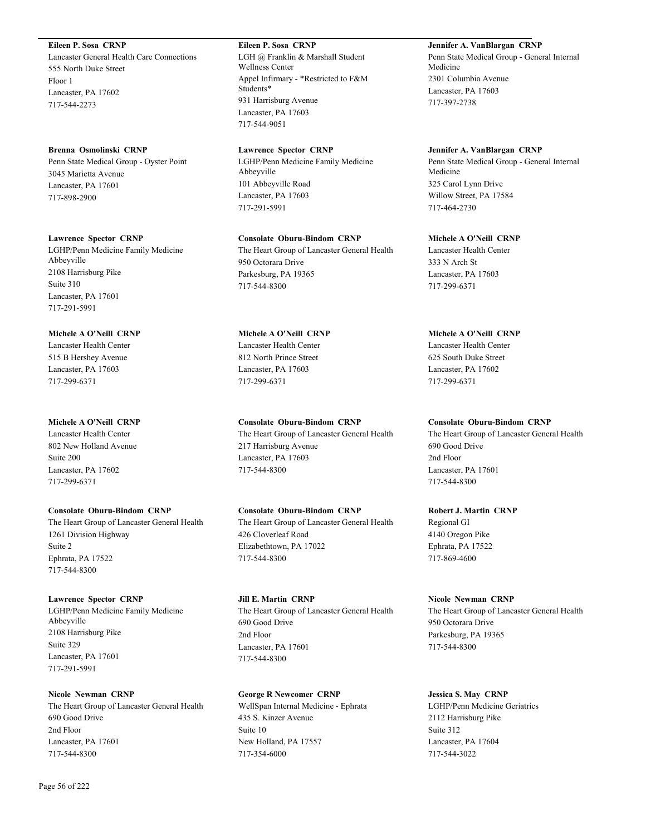**Eileen P. Sosa CRNP**

Lancaster General Health Care Connections 555 North Duke Street Floor 1 Lancaster, PA 17602 717-544-2273

### **Brenna Osmolinski CRNP**

Penn State Medical Group - Oyster Point 3045 Marietta Avenue Lancaster, PA 17601 717-898-2900

### **Lawrence Spector CRNP**

LGHP/Penn Medicine Family Medicine Abbeyville 2108 Harrisburg Pike Suite 310 Lancaster, PA 17601 717-291-5991

# **Michele A O'Neill CRNP**

Lancaster Health Center 515 B Hershey Avenue Lancaster, PA 17603 717-299-6371

# **Michele A O'Neill CRNP**

Lancaster Health Center 802 New Holland Avenue Suite 200 Lancaster, PA 17602 717-299-6371

### **Consolate Oburu-Bindom CRNP**

The Heart Group of Lancaster General Health 1261 Division Highway Suite 2 Ephrata, PA 17522 717-544-8300

# **Lawrence Spector CRNP**

LGHP/Penn Medicine Family Medicine Abbeyville 2108 Harrisburg Pike Suite 329 Lancaster, PA 17601 717-291-5991

# **Nicole Newman CRNP**

The Heart Group of Lancaster General Health 690 Good Drive 2nd Floor Lancaster, PA 17601 717-544-8300

**Eileen P. Sosa CRNP** LGH @ Franklin & Marshall Student Wellness Center Appel Infirmary - \*Restricted to F&M Students\* 931 Harrisburg Avenue Lancaster, PA 17603 717-544-9051

### **Lawrence Spector CRNP**

LGHP/Penn Medicine Family Medicine Abbeyville 101 Abbeyville Road Lancaster, PA 17603 717-291-5991

# **Consolate Oburu-Bindom CRNP**

The Heart Group of Lancaster General Health 950 Octorara Drive Parkesburg, PA 19365 717-544-8300

# **Michele A O'Neill CRNP** Lancaster Health Center 812 North Prince Street Lancaster, PA 17603 717-299-6371

# **Consolate Oburu-Bindom CRNP**

The Heart Group of Lancaster General Health 217 Harrisburg Avenue Lancaster, PA 17603 717-544-8300

# **Consolate Oburu-Bindom CRNP**

The Heart Group of Lancaster General Health 426 Cloverleaf Road Elizabethtown, PA 17022 717-544-8300

# **Jill E. Martin CRNP**

The Heart Group of Lancaster General Health 690 Good Drive 2nd Floor Lancaster, PA 17601 717-544-8300

# **George R Newcomer CRNP**

WellSpan Internal Medicine - Ephrata 435 S. Kinzer Avenue Suite 10 New Holland, PA 17557 717-354-6000

# **Jennifer A. VanBlargan CRNP** Penn State Medical Group - General Internal Medicine 2301 Columbia Avenue Lancaster, PA 17603 717-397-2738

### **Jennifer A. VanBlargan CRNP**

Penn State Medical Group - General Internal Medicine 325 Carol Lynn Drive Willow Street, PA 17584 717-464-2730

# **Michele A O'Neill CRNP**

Lancaster Health Center 333 N Arch St Lancaster, PA 17603 717-299-6371

# **Michele A O'Neill CRNP**

Lancaster Health Center 625 South Duke Street Lancaster, PA 17602 717-299-6371

### **Consolate Oburu-Bindom CRNP**

The Heart Group of Lancaster General Health 690 Good Drive 2nd Floor Lancaster, PA 17601 717-544-8300

### **Robert J. Martin CRNP**

Regional GI 4140 Oregon Pike Ephrata, PA 17522 717-869-4600

### **Nicole Newman CRNP**

The Heart Group of Lancaster General Health 950 Octorara Drive Parkesburg, PA 19365 717-544-8300

# **Jessica S. May CRNP**

LGHP/Penn Medicine Geriatrics 2112 Harrisburg Pike Suite 312 Lancaster, PA 17604 717-544-3022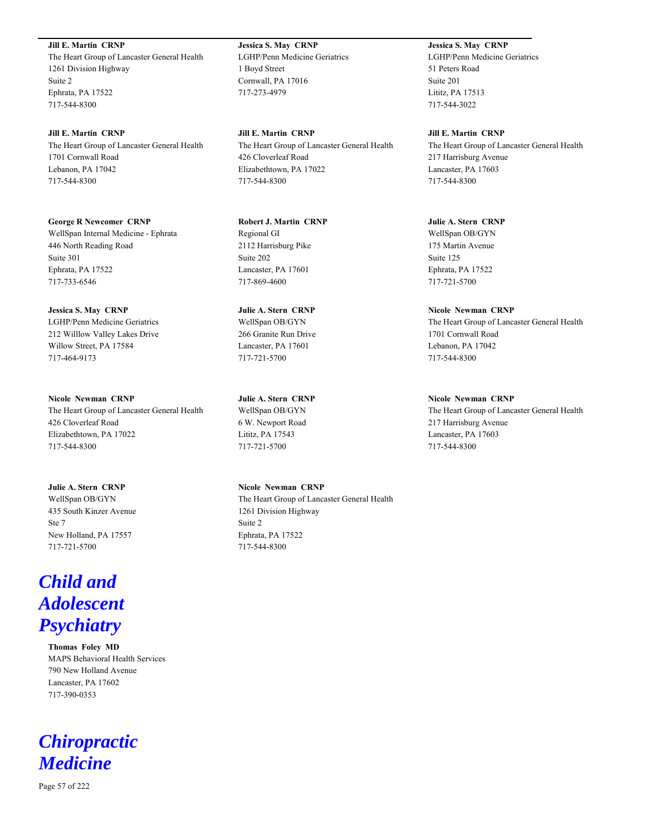**Jill E. Martin CRNP**

The Heart Group of Lancaster General Health 1261 Division Highway Suite 2 Ephrata, PA 17522 717-544-8300

**Jill E. Martin CRNP** The Heart Group of Lancaster General Health 1701 Cornwall Road Lebanon, PA 17042 717-544-8300

**George R Newcomer CRNP** WellSpan Internal Medicine - Ephrata 446 North Reading Road Suite 301 Ephrata, PA 17522 717-733-6546

**Jessica S. May CRNP** LGHP/Penn Medicine Geriatrics 212 Willlow Valley Lakes Drive Willow Street, PA 17584 717-464-9173

**Nicole Newman CRNP** The Heart Group of Lancaster General Health 426 Cloverleaf Road Elizabethtown, PA 17022 717-544-8300

**Julie A. Stern CRNP** WellSpan OB/GYN 435 South Kinzer Avenue Ste 7 New Holland, PA 17557 717-721-5700

# *Child and Adolescent Psychiatry*

**Thomas Foley MD** MAPS Behavioral Health Services 790 New Holland Avenue Lancaster, PA 17602 717-390-0353

# *Chiropractic Medicine*

**Jessica S. May CRNP** LGHP/Penn Medicine Geriatrics 1 Boyd Street Cornwall, PA 17016 717-273-4979

**Jill E. Martin CRNP** The Heart Group of Lancaster General Health 426 Cloverleaf Road Elizabethtown, PA 17022 717-544-8300

**Robert J. Martin CRNP** Regional GI 2112 Harrisburg Pike Suite 202 Lancaster, PA 17601 717-869-4600

**Julie A. Stern CRNP** WellSpan OB/GYN 266 Granite Run Drive Lancaster, PA 17601 717-721-5700

**Julie A. Stern CRNP** WellSpan OB/GYN 6 W. Newport Road Lititz, PA 17543 717-721-5700

**Nicole Newman CRNP** The Heart Group of Lancaster General Health 1261 Division Highway Suite 2 Ephrata, PA 17522 717-544-8300

**Jessica S. May CRNP** LGHP/Penn Medicine Geriatrics 51 Peters Road Suite 201 Lititz, PA 17513 717-544-3022

**Jill E. Martin CRNP** The Heart Group of Lancaster General Health 217 Harrisburg Avenue Lancaster, PA 17603 717-544-8300

**Julie A. Stern CRNP** WellSpan OB/GYN 175 Martin Avenue Suite 125 Ephrata, PA 17522 717-721-5700

**Nicole Newman CRNP** The Heart Group of Lancaster General Health 1701 Cornwall Road Lebanon, PA 17042 717-544-8300

**Nicole Newman CRNP** The Heart Group of Lancaster General Health 217 Harrisburg Avenue Lancaster, PA 17603 717-544-8300

Page 57 of 222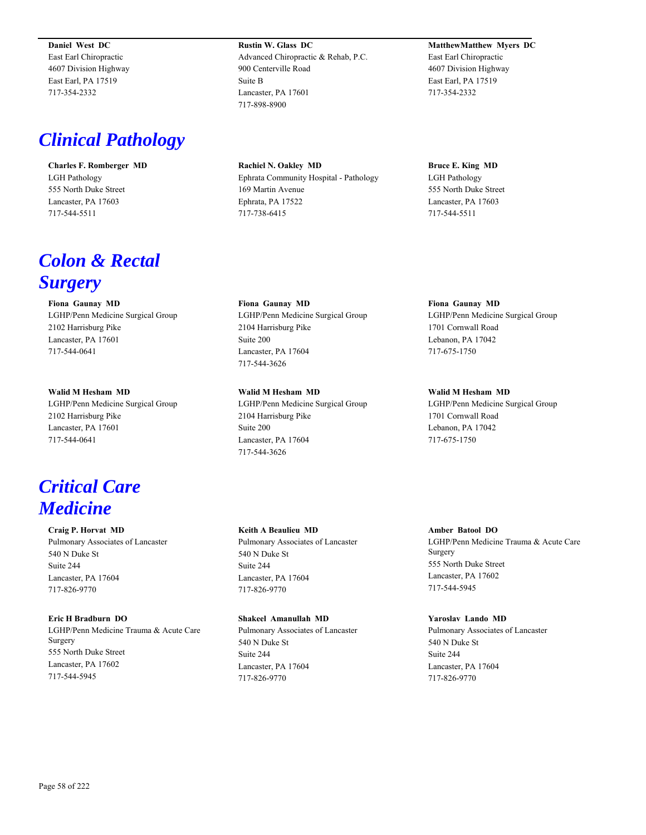**Daniel West DC** East Earl Chiropractic 4607 Division Highway East Earl, PA 17519 717-354-2332

# *Clinical Pathology*

**Charles F. Romberger MD** LGH Pathology 555 North Duke Street Lancaster, PA 17603 717-544-5511

# *Colon & Rectal Surgery*

**Fiona Gaunay MD** LGHP/Penn Medicine Surgical Group 2102 Harrisburg Pike Lancaster, PA 17601 717-544-0641

**Walid M Hesham MD** LGHP/Penn Medicine Surgical Group 2102 Harrisburg Pike Lancaster, PA 17601 717-544-0641

# *Critical Care Medicine*

**Craig P. Horvat MD** Pulmonary Associates of Lancaster 540 N Duke St Suite 244 Lancaster, PA 17604 717-826-9770

# **Eric H Bradburn DO** LGHP/Penn Medicine Trauma & Acute Care Surgery 555 North Duke Street Lancaster, PA 17602 717-544-5945

**Rustin W. Glass DC** Advanced Chiropractic & Rehab, P.C. 900 Centerville Road Suite B Lancaster, PA 17601 717-898-8900

**Rachiel N. Oakley MD** Ephrata Community Hospital - Pathology 169 Martin Avenue Ephrata, PA 17522 717-738-6415

**Fiona Gaunay MD** LGHP/Penn Medicine Surgical Group 2104 Harrisburg Pike Suite 200 Lancaster, PA 17604 717-544-3626

**Walid M Hesham MD** LGHP/Penn Medicine Surgical Group 2104 Harrisburg Pike Suite 200 Lancaster, PA 17604 717-544-3626

### **Keith A Beaulieu MD**

Pulmonary Associates of Lancaster 540 N Duke St Suite 244 Lancaster, PA 17604 717-826-9770

### **Shakeel Amanullah MD**

Pulmonary Associates of Lancaster 540 N Duke St Suite 244 Lancaster, PA 17604 717-826-9770

# **MatthewMatthew Myers DC** East Earl Chiropractic 4607 Division Highway East Earl, PA 17519 717-354-2332

**Bruce E. King MD** LGH Pathology 555 North Duke Street Lancaster, PA 17603 717-544-5511

**Fiona Gaunay MD** LGHP/Penn Medicine Surgical Group 1701 Cornwall Road Lebanon, PA 17042 717-675-1750

**Walid M Hesham MD** LGHP/Penn Medicine Surgical Group 1701 Cornwall Road Lebanon, PA 17042 717-675-1750

# **Amber Batool DO**

LGHP/Penn Medicine Trauma & Acute Care Surgery 555 North Duke Street Lancaster, PA 17602 717-544-5945

### **Yaroslav Lando MD**

Pulmonary Associates of Lancaster 540 N Duke St Suite 244 Lancaster, PA 17604 717-826-9770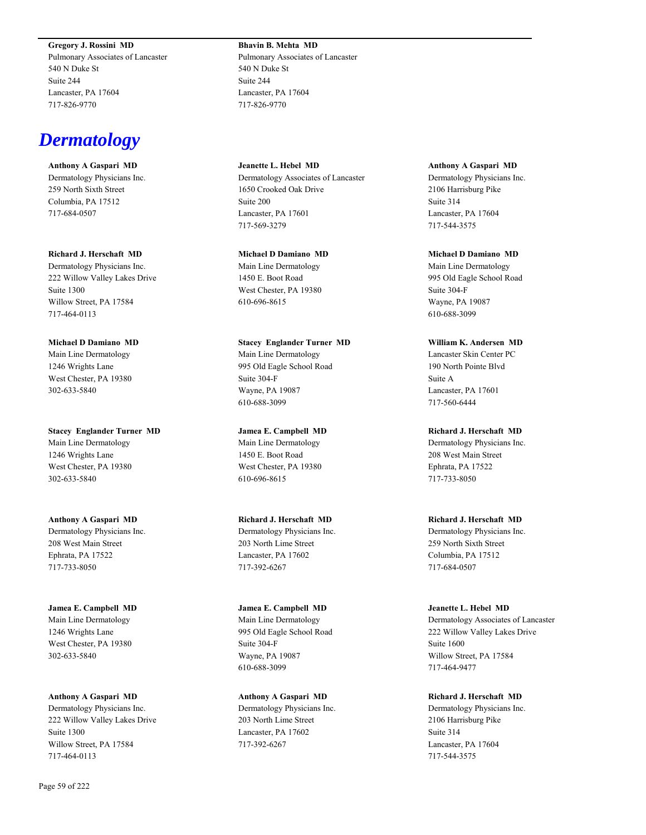**Gregory J. Rossini MD**

Pulmonary Associates of Lancaster 540 N Duke St Suite 244 Lancaster, PA 17604 717-826-9770

# *Dermatology*

**Anthony A Gaspari MD** Dermatology Physicians Inc. 259 North Sixth Street Columbia, PA 17512 717-684-0507

**Richard J. Herschaft MD** Dermatology Physicians Inc. 222 Willow Valley Lakes Drive Suite 1300 Willow Street, PA 17584 717-464-0113

**Michael D Damiano MD** Main Line Dermatology 1246 Wrights Lane West Chester, PA 19380 302-633-5840

**Stacey Englander Turner MD** Main Line Dermatology 1246 Wrights Lane West Chester, PA 19380 302-633-5840

**Anthony A Gaspari MD** Dermatology Physicians Inc. 208 West Main Street Ephrata, PA 17522 717-733-8050

**Jamea E. Campbell MD** Main Line Dermatology 1246 Wrights Lane West Chester, PA 19380 302-633-5840

**Anthony A Gaspari MD** Dermatology Physicians Inc. 222 Willow Valley Lakes Drive Suite 1300 Willow Street, PA 17584 717-464-0113

**Bhavin B. Mehta MD** Pulmonary Associates of Lancaster 540 N Duke St Suite 244 Lancaster, PA 17604 717-826-9770

**Jeanette L. Hebel MD** Dermatology Associates of Lancaster 1650 Crooked Oak Drive Suite 200 Lancaster, PA 17601 717-569-3279

**Michael D Damiano MD** Main Line Dermatology 1450 E. Boot Road West Chester, PA 19380 610-696-8615

**Stacey Englander Turner MD** Main Line Dermatology 995 Old Eagle School Road Suite 304-F Wayne, PA 19087 610-688-3099

**Jamea E. Campbell MD** Main Line Dermatology 1450 E. Boot Road West Chester, PA 19380 610-696-8615

**Richard J. Herschaft MD** Dermatology Physicians Inc. 203 North Lime Street Lancaster, PA 17602 717-392-6267

**Jamea E. Campbell MD** Main Line Dermatology 995 Old Eagle School Road Suite 304-F Wayne, PA 19087 610-688-3099

**Anthony A Gaspari MD** Dermatology Physicians Inc. 203 North Lime Street Lancaster, PA 17602 717-392-6267

**Anthony A Gaspari MD** Dermatology Physicians Inc. 2106 Harrisburg Pike Suite 314 Lancaster, PA 17604 717-544-3575

**Michael D Damiano MD** Main Line Dermatology 995 Old Eagle School Road Suite 304-F Wayne, PA 19087 610-688-3099

**William K. Andersen MD** Lancaster Skin Center PC 190 North Pointe Blvd Suite A Lancaster, PA 17601 717-560-6444

**Richard J. Herschaft MD** Dermatology Physicians Inc. 208 West Main Street Ephrata, PA 17522 717-733-8050

**Richard J. Herschaft MD** Dermatology Physicians Inc. 259 North Sixth Street Columbia, PA 17512 717-684-0507

**Jeanette L. Hebel MD** Dermatology Associates of Lancaster 222 Willow Valley Lakes Drive Suite 1600 Willow Street, PA 17584 717-464-9477

**Richard J. Herschaft MD** Dermatology Physicians Inc. 2106 Harrisburg Pike Suite 314 Lancaster, PA 17604 717-544-3575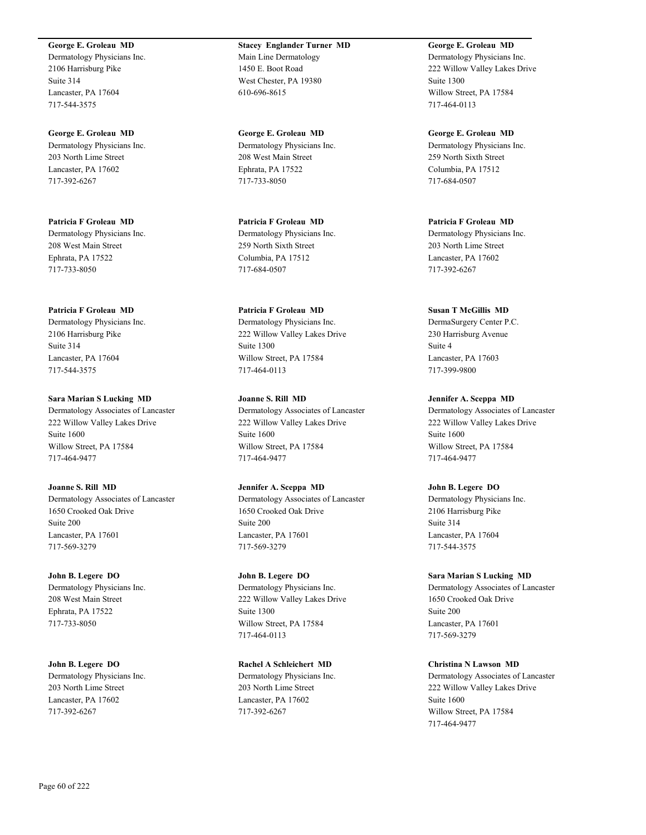**George E. Groleau MD**

Dermatology Physicians Inc. 2106 Harrisburg Pike Suite 314 Lancaster, PA 17604 717-544-3575

**George E. Groleau MD** Dermatology Physicians Inc. 203 North Lime Street Lancaster, PA 17602 717-392-6267

**Patricia F Groleau MD** Dermatology Physicians Inc. 208 West Main Street Ephrata, PA 17522 717-733-8050

**Patricia F Groleau MD** Dermatology Physicians Inc. 2106 Harrisburg Pike Suite 314 Lancaster, PA 17604 717-544-3575

**Sara Marian S Lucking MD** Dermatology Associates of Lancaster 222 Willow Valley Lakes Drive Suite 1600 Willow Street, PA 17584 717-464-9477

**Joanne S. Rill MD** Dermatology Associates of Lancaster 1650 Crooked Oak Drive Suite 200 Lancaster, PA 17601 717-569-3279

**John B. Legere DO** Dermatology Physicians Inc. 208 West Main Street Ephrata, PA 17522 717-733-8050

**John B. Legere DO** Dermatology Physicians Inc. 203 North Lime Street Lancaster, PA 17602 717-392-6267

**Stacey Englander Turner MD** Main Line Dermatology 1450 E. Boot Road West Chester, PA 19380 610-696-8615

**George E. Groleau MD** Dermatology Physicians Inc. 208 West Main Street Ephrata, PA 17522 717-733-8050

**Patricia F Groleau MD** Dermatology Physicians Inc. 259 North Sixth Street Columbia, PA 17512 717-684-0507

**Patricia F Groleau MD** Dermatology Physicians Inc. 222 Willow Valley Lakes Drive Suite 1300 Willow Street, PA 17584 717-464-0113

**Joanne S. Rill MD** Dermatology Associates of Lancaster 222 Willow Valley Lakes Drive Suite 1600 Willow Street, PA 17584 717-464-9477

**Jennifer A. Sceppa MD** Dermatology Associates of Lancaster 1650 Crooked Oak Drive Suite 200 Lancaster, PA 17601 717-569-3279

**John B. Legere DO** Dermatology Physicians Inc. 222 Willow Valley Lakes Drive Suite 1300 Willow Street, PA 17584 717-464-0113

**Rachel A Schleichert MD** Dermatology Physicians Inc. 203 North Lime Street Lancaster, PA 17602 717-392-6267

**George E. Groleau MD** Dermatology Physicians Inc. 222 Willow Valley Lakes Drive Suite 1300 Willow Street, PA 17584 717-464-0113

**George E. Groleau MD** Dermatology Physicians Inc. 259 North Sixth Street Columbia, PA 17512 717-684-0507

**Patricia F Groleau MD** Dermatology Physicians Inc. 203 North Lime Street Lancaster, PA 17602 717-392-6267

**Susan T McGillis MD** DermaSurgery Center P.C. 230 Harrisburg Avenue Suite 4 Lancaster, PA 17603 717-399-9800

**Jennifer A. Sceppa MD** Dermatology Associates of Lancaster 222 Willow Valley Lakes Drive Suite 1600 Willow Street, PA 17584 717-464-9477

**John B. Legere DO** Dermatology Physicians Inc. 2106 Harrisburg Pike Suite 314 Lancaster, PA 17604 717-544-3575

**Sara Marian S Lucking MD** Dermatology Associates of Lancaster 1650 Crooked Oak Drive Suite 200 Lancaster, PA 17601 717-569-3279

**Christina N Lawson MD** Dermatology Associates of Lancaster 222 Willow Valley Lakes Drive Suite 1600 Willow Street, PA 17584 717-464-9477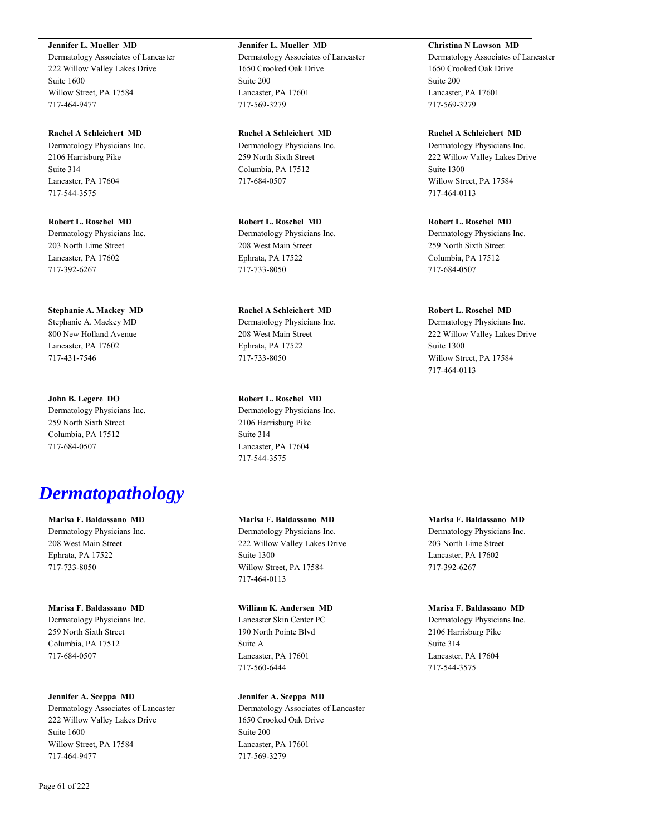**Jennifer L. Mueller MD**

Dermatology Associates of Lancaster 222 Willow Valley Lakes Drive Suite 1600 Willow Street, PA 17584 717-464-9477

**Rachel A Schleichert MD** Dermatology Physicians Inc. 2106 Harrisburg Pike Suite 314 Lancaster, PA 17604 717-544-3575

**Robert L. Roschel MD** Dermatology Physicians Inc. 203 North Lime Street Lancaster, PA 17602 717-392-6267

**Stephanie A. Mackey MD** Stephanie A. Mackey MD 800 New Holland Avenue Lancaster, PA 17602 717-431-7546

**John B. Legere DO** Dermatology Physicians Inc. 259 North Sixth Street Columbia, PA 17512 717-684-0507

# *Dermatopathology*

**Marisa F. Baldassano MD** Dermatology Physicians Inc. 208 West Main Street Ephrata, PA 17522 717-733-8050

**Marisa F. Baldassano MD** Dermatology Physicians Inc. 259 North Sixth Street Columbia, PA 17512 717-684-0507

### **Jennifer A. Sceppa MD**

Dermatology Associates of Lancaster 222 Willow Valley Lakes Drive Suite 1600 Willow Street, PA 17584 717-464-9477

**Jennifer L. Mueller MD** Dermatology Associates of Lancaster 1650 Crooked Oak Drive Suite 200 Lancaster, PA 17601 717-569-3279

**Rachel A Schleichert MD** Dermatology Physicians Inc. 259 North Sixth Street Columbia, PA 17512 717-684-0507

**Robert L. Roschel MD** Dermatology Physicians Inc. 208 West Main Street Ephrata, PA 17522 717-733-8050

**Rachel A Schleichert MD** Dermatology Physicians Inc. 208 West Main Street Ephrata, PA 17522 717-733-8050

**Robert L. Roschel MD** Dermatology Physicians Inc. 2106 Harrisburg Pike Suite 314 Lancaster, PA 17604 717-544-3575

# **Marisa F. Baldassano MD**

Dermatology Physicians Inc. 222 Willow Valley Lakes Drive Suite 1300 Willow Street, PA 17584 717-464-0113

### **William K. Andersen MD**

Lancaster Skin Center PC 190 North Pointe Blvd Suite A Lancaster, PA 17601 717-560-6444

# **Jennifer A. Sceppa MD**

Dermatology Associates of Lancaster 1650 Crooked Oak Drive Suite 200 Lancaster, PA 17601 717-569-3279

**Christina N Lawson MD** Dermatology Associates of Lancaster

1650 Crooked Oak Drive Suite 200 Lancaster, PA 17601 717-569-3279

**Rachel A Schleichert MD** Dermatology Physicians Inc. 222 Willow Valley Lakes Drive Suite 1300 Willow Street, PA 17584 717-464-0113

**Robert L. Roschel MD** Dermatology Physicians Inc. 259 North Sixth Street Columbia, PA 17512 717-684-0507

**Robert L. Roschel MD**

Dermatology Physicians Inc. 222 Willow Valley Lakes Drive Suite 1300 Willow Street, PA 17584 717-464-0113

**Marisa F. Baldassano MD**

Dermatology Physicians Inc. 203 North Lime Street Lancaster, PA 17602 717-392-6267

**Marisa F. Baldassano MD**

Dermatology Physicians Inc. 2106 Harrisburg Pike Suite 314 Lancaster, PA 17604 717-544-3575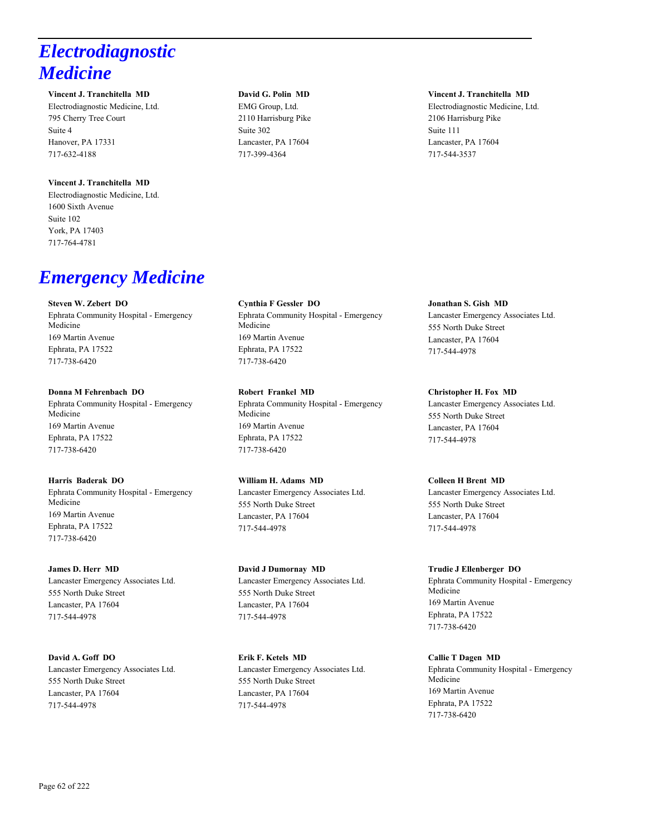# *Electrodiagnostic Medicine*

### **Vincent J. Tranchitella MD**

Electrodiagnostic Medicine, Ltd. 795 Cherry Tree Court Suite 4 Hanover, PA 17331 717-632-4188

# **Vincent J. Tranchitella MD**

Electrodiagnostic Medicine, Ltd. 1600 Sixth Avenue Suite 102 York, PA 17403 717-764-4781

# *Emergency Medicine*

### **Steven W. Zebert DO**

Ephrata Community Hospital - Emergency Medicine 169 Martin Avenue Ephrata, PA 17522 717-738-6420

### **Donna M Fehrenbach DO**

Ephrata Community Hospital - Emergency Medicine 169 Martin Avenue Ephrata, PA 17522 717-738-6420

### **Harris Baderak DO**

Ephrata Community Hospital - Emergency Medicine 169 Martin Avenue Ephrata, PA 17522 717-738-6420

### **James D. Herr MD**

Lancaster Emergency Associates Ltd. 555 North Duke Street Lancaster, PA 17604 717-544-4978

### **David A. Goff DO**

Lancaster Emergency Associates Ltd. 555 North Duke Street Lancaster, PA 17604 717-544-4978

### **David G. Polin MD**

EMG Group, Ltd. 2110 Harrisburg Pike Suite 302 Lancaster, PA 17604 717-399-4364

**Cynthia F Gessler DO** Ephrata Community Hospital - Emergency Medicine 169 Martin Avenue Ephrata, PA 17522 717-738-6420

**Robert Frankel MD** Ephrata Community Hospital - Emergency Medicine 169 Martin Avenue Ephrata, PA 17522 717-738-6420

# **William H. Adams MD**

Lancaster Emergency Associates Ltd. 555 North Duke Street Lancaster, PA 17604 717-544-4978

### **David J Dumornay MD**

Lancaster Emergency Associates Ltd. 555 North Duke Street Lancaster, PA 17604 717-544-4978

**Erik F. Ketels MD** Lancaster Emergency Associates Ltd. 555 North Duke Street Lancaster, PA 17604 717-544-4978

### **Vincent J. Tranchitella MD**

Electrodiagnostic Medicine, Ltd. 2106 Harrisburg Pike Suite 111 Lancaster, PA 17604 717-544-3537

# **Jonathan S. Gish MD** Lancaster Emergency Associates Ltd. 555 North Duke Street Lancaster, PA 17604 717-544-4978

**Christopher H. Fox MD** Lancaster Emergency Associates Ltd. 555 North Duke Street Lancaster, PA 17604 717-544-4978

# **Colleen H Brent MD**

Lancaster Emergency Associates Ltd. 555 North Duke Street Lancaster, PA 17604 717-544-4978

### **Trudie J Ellenberger DO**

Ephrata Community Hospital - Emergency Medicine 169 Martin Avenue Ephrata, PA 17522 717-738-6420

### **Callie T Dagen MD**

Ephrata Community Hospital - Emergency Medicine 169 Martin Avenue Ephrata, PA 17522 717-738-6420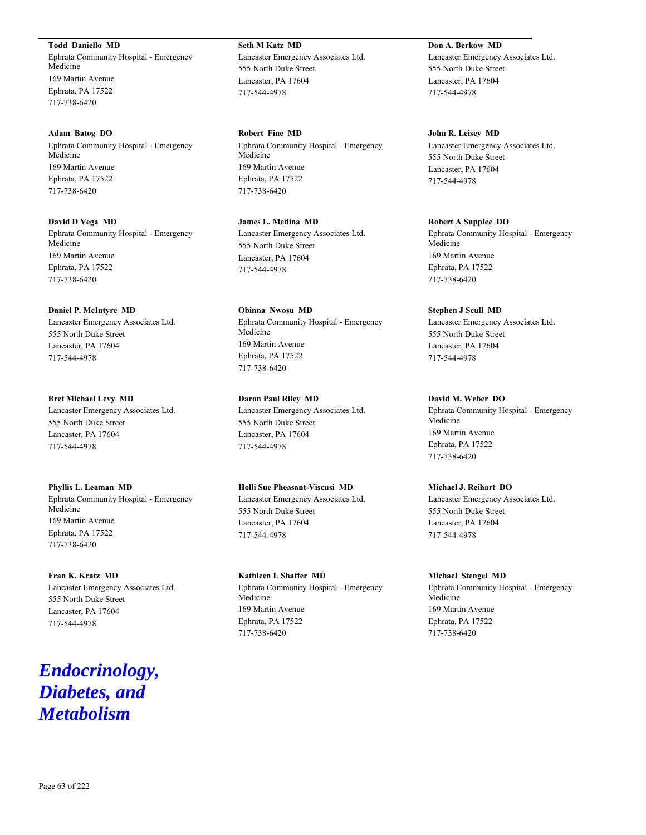**Todd Daniello MD** Ephrata Community Hospital - Emergency Medicine 169 Martin Avenue Ephrata, PA 17522 717-738-6420

**Adam Batog DO** Ephrata Community Hospital - Emergency Medicine 169 Martin Avenue Ephrata, PA 17522 717-738-6420

**David D Vega MD** Ephrata Community Hospital - Emergency Medicine 169 Martin Avenue Ephrata, PA 17522 717-738-6420

**Daniel P. McIntyre MD** Lancaster Emergency Associates Ltd. 555 North Duke Street Lancaster, PA 17604 717-544-4978

**Bret Michael Levy MD** Lancaster Emergency Associates Ltd. 555 North Duke Street Lancaster, PA 17604 717-544-4978

**Phyllis L. Leaman MD** Ephrata Community Hospital - Emergency Medicine 169 Martin Avenue Ephrata, PA 17522 717-738-6420

**Fran K. Kratz MD** Lancaster Emergency Associates Ltd. 555 North Duke Street Lancaster, PA 17604 717-544-4978

# *Endocrinology, Diabetes, and Metabolism*

**Seth M Katz MD** Lancaster Emergency Associates Ltd. 555 North Duke Street Lancaster, PA 17604 717-544-4978

**Robert Fine MD** Ephrata Community Hospital - Emergency Medicine 169 Martin Avenue Ephrata, PA 17522 717-738-6420

**James L. Medina MD** Lancaster Emergency Associates Ltd. 555 North Duke Street Lancaster, PA 17604 717-544-4978

**Obinna Nwosu MD** Ephrata Community Hospital - Emergency Medicine 169 Martin Avenue Ephrata, PA 17522 717-738-6420

**Daron Paul Riley MD** Lancaster Emergency Associates Ltd. 555 North Duke Street Lancaster, PA 17604 717-544-4978

**Holli Sue Pheasant-Viscusi MD** Lancaster Emergency Associates Ltd. 555 North Duke Street Lancaster, PA 17604 717-544-4978

**Kathleen L Shaffer MD** Ephrata Community Hospital - Emergency Medicine 169 Martin Avenue Ephrata, PA 17522 717-738-6420

**Don A. Berkow MD** Lancaster Emergency Associates Ltd. 555 North Duke Street Lancaster, PA 17604 717-544-4978

**John R. Leisey MD** Lancaster Emergency Associates Ltd. 555 North Duke Street Lancaster, PA 17604 717-544-4978

**Robert A Supplee DO** Ephrata Community Hospital - Emergency Medicine 169 Martin Avenue Ephrata, PA 17522 717-738-6420

**Stephen J Scull MD** Lancaster Emergency Associates Ltd. 555 North Duke Street Lancaster, PA 17604 717-544-4978

**David M. Weber DO** Ephrata Community Hospital - Emergency Medicine 169 Martin Avenue Ephrata, PA 17522 717-738-6420

**Michael J. Reihart DO** Lancaster Emergency Associates Ltd. 555 North Duke Street Lancaster, PA 17604 717-544-4978

**Michael Stengel MD** Ephrata Community Hospital - Emergency Medicine 169 Martin Avenue Ephrata, PA 17522 717-738-6420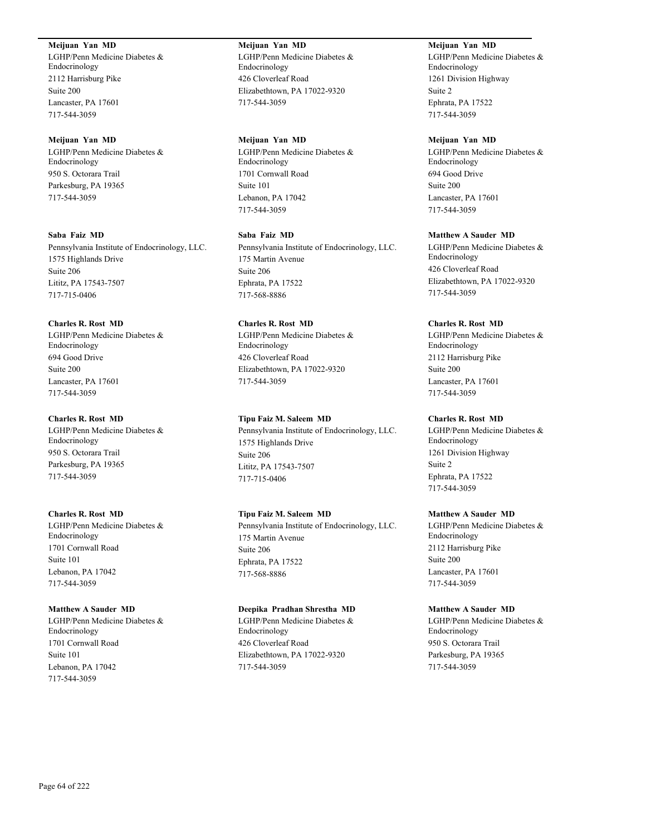# **Meijuan Yan MD**

LGHP/Penn Medicine Diabetes & Endocrinology 2112 Harrisburg Pike Suite 200 Lancaster, PA 17601 717-544-3059

### **Meijuan Yan MD**

LGHP/Penn Medicine Diabetes & Endocrinology 950 S. Octorara Trail Parkesburg, PA 19365 717-544-3059

# **Saba Faiz MD**

Pennsylvania Institute of Endocrinology, LLC. 1575 Highlands Drive Suite 206 Lititz, PA 17543-7507 717-715-0406

# **Charles R. Rost MD**

LGHP/Penn Medicine Diabetes & Endocrinology 694 Good Drive Suite 200 Lancaster, PA 17601 717-544-3059

### **Charles R. Rost MD**

LGHP/Penn Medicine Diabetes & Endocrinology 950 S. Octorara Trail Parkesburg, PA 19365 717-544-3059

### **Charles R. Rost MD**

LGHP/Penn Medicine Diabetes & Endocrinology 1701 Cornwall Road Suite 101 Lebanon, PA 17042 717-544-3059

### **Matthew A Sauder MD**

LGHP/Penn Medicine Diabetes & Endocrinology 1701 Cornwall Road Suite 101 Lebanon, PA 17042 717-544-3059

# **Meijuan Yan MD** LGHP/Penn Medicine Diabetes & Endocrinology 426 Cloverleaf Road Elizabethtown, PA 17022-9320 717-544-3059

### **Meijuan Yan MD**

LGHP/Penn Medicine Diabetes & Endocrinology 1701 Cornwall Road Suite 101 Lebanon, PA 17042 717-544-3059

### **Saba Faiz MD**

Pennsylvania Institute of Endocrinology, LLC. 175 Martin Avenue Suite 206 Ephrata, PA 17522 717-568-8886

# **Charles R. Rost MD** LGHP/Penn Medicine Diabetes & Endocrinology 426 Cloverleaf Road Elizabethtown, PA 17022-9320 717-544-3059

# **Tipu Faiz M. Saleem MD**

Pennsylvania Institute of Endocrinology, LLC. 1575 Highlands Drive Suite 206 Lititz, PA 17543-7507 717-715-0406

# **Tipu Faiz M. Saleem MD**

Pennsylvania Institute of Endocrinology, LLC. 175 Martin Avenue Suite 206 Ephrata, PA 17522 717-568-8886

# **Deepika Pradhan Shrestha MD**

LGHP/Penn Medicine Diabetes & Endocrinology 426 Cloverleaf Road Elizabethtown, PA 17022-9320 717-544-3059

**Meijuan Yan MD** LGHP/Penn Medicine Diabetes & Endocrinology 1261 Division Highway Suite 2 Ephrata, PA 17522 717-544-3059

### **Meijuan Yan MD**

LGHP/Penn Medicine Diabetes & Endocrinology 694 Good Drive Suite 200 Lancaster, PA 17601 717-544-3059

# **Matthew A Sauder MD**

LGHP/Penn Medicine Diabetes & Endocrinology 426 Cloverleaf Road Elizabethtown, PA 17022-9320 717-544-3059

# **Charles R. Rost MD**

LGHP/Penn Medicine Diabetes & Endocrinology 2112 Harrisburg Pike Suite 200 Lancaster, PA 17601 717-544-3059

### **Charles R. Rost MD**

LGHP/Penn Medicine Diabetes & Endocrinology 1261 Division Highway Suite 2 Ephrata, PA 17522 717-544-3059

### **Matthew A Sauder MD**

LGHP/Penn Medicine Diabetes & Endocrinology 2112 Harrisburg Pike Suite 200 Lancaster, PA 17601 717-544-3059

### **Matthew A Sauder MD**

LGHP/Penn Medicine Diabetes & Endocrinology 950 S. Octorara Trail Parkesburg, PA 19365 717-544-3059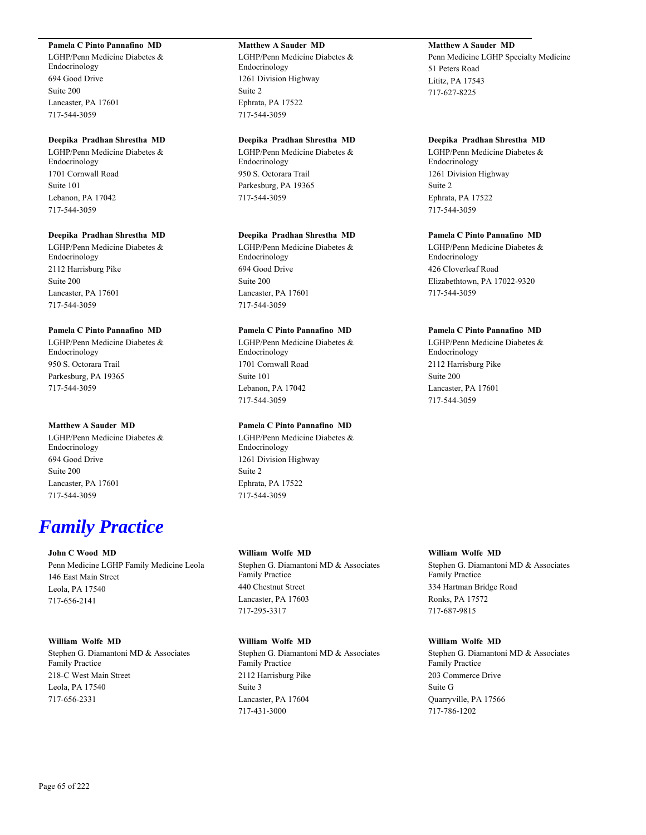# **Pamela C Pinto Pannafino MD**

LGHP/Penn Medicine Diabetes & Endocrinology 694 Good Drive Suite 200 Lancaster, PA 17601 717-544-3059

### **Deepika Pradhan Shrestha MD**

LGHP/Penn Medicine Diabetes & Endocrinology 1701 Cornwall Road Suite 101 Lebanon, PA 17042 717-544-3059

### **Deepika Pradhan Shrestha MD**

LGHP/Penn Medicine Diabetes & Endocrinology 2112 Harrisburg Pike Suite 200 Lancaster, PA 17601 717-544-3059

### **Pamela C Pinto Pannafino MD**

LGHP/Penn Medicine Diabetes & Endocrinology 950 S. Octorara Trail Parkesburg, PA 19365 717-544-3059

### **Matthew A Sauder MD**

LGHP/Penn Medicine Diabetes & Endocrinology 694 Good Drive Suite 200 Lancaster, PA 17601 717-544-3059

# *Family Practice*

### **John C Wood MD**

Penn Medicine LGHP Family Medicine Leola 146 East Main Street Leola, PA 17540 717-656-2141

### **William Wolfe MD**

Stephen G. Diamantoni MD & Associates Family Practice 218-C West Main Street Leola, PA 17540 717-656-2331

# **Matthew A Sauder MD**

LGHP/Penn Medicine Diabetes & Endocrinology 1261 Division Highway Suite 2 Ephrata, PA 17522 717-544-3059

# **Deepika Pradhan Shrestha MD**

LGHP/Penn Medicine Diabetes & Endocrinology 950 S. Octorara Trail Parkesburg, PA 19365 717-544-3059

#### **Deepika Pradhan Shrestha MD**

LGHP/Penn Medicine Diabetes & Endocrinology 694 Good Drive Suite 200 Lancaster, PA 17601 717-544-3059

# **Pamela C Pinto Pannafino MD**

LGHP/Penn Medicine Diabetes & Endocrinology 1701 Cornwall Road Suite 101 Lebanon, PA 17042 717-544-3059

### **Pamela C Pinto Pannafino MD**

LGHP/Penn Medicine Diabetes & Endocrinology 1261 Division Highway Suite 2 Ephrata, PA 17522 717-544-3059

### **William Wolfe MD**

Stephen G. Diamantoni MD & Associates Family Practice 440 Chestnut Street Lancaster, PA 17603 717-295-3317

### **William Wolfe MD**

Stephen G. Diamantoni MD & Associates Family Practice 2112 Harrisburg Pike Suite 3 Lancaster, PA 17604 717-431-3000

# **Matthew A Sauder MD**

Penn Medicine LGHP Specialty Medicine 51 Peters Road Lititz, PA 17543 717-627-8225

#### **Deepika Pradhan Shrestha MD**

LGHP/Penn Medicine Diabetes & Endocrinology 1261 Division Highway Suite 2 Ephrata, PA 17522 717-544-3059

### **Pamela C Pinto Pannafino MD**

LGHP/Penn Medicine Diabetes & Endocrinology 426 Cloverleaf Road Elizabethtown, PA 17022-9320 717-544-3059

### **Pamela C Pinto Pannafino MD**

LGHP/Penn Medicine Diabetes & Endocrinology 2112 Harrisburg Pike Suite 200 Lancaster, PA 17601 717-544-3059

### **William Wolfe MD**

Stephen G. Diamantoni MD & Associates Family Practice 334 Hartman Bridge Road Ronks, PA 17572 717-687-9815

### **William Wolfe MD**

Stephen G. Diamantoni MD & Associates Family Practice 203 Commerce Drive Suite G Quarryville, PA 17566 717-786-1202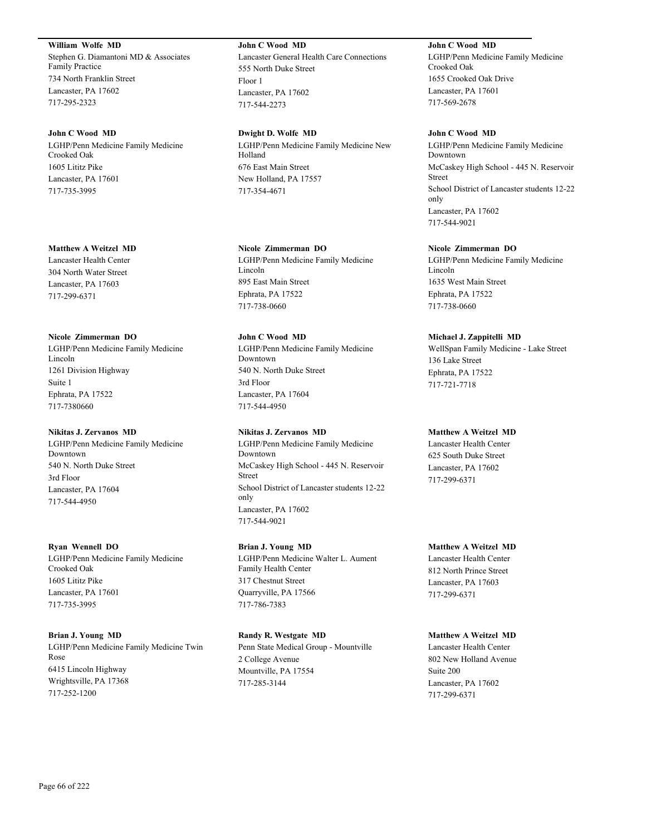**William Wolfe MD**

Stephen G. Diamantoni MD & Associates Family Practice 734 North Franklin Street Lancaster, PA 17602 717-295-2323

### **John C Wood MD**

LGHP/Penn Medicine Family Medicine Crooked Oak 1605 Lititz Pike Lancaster, PA 17601 717-735-3995

### **Matthew A Weitzel MD**

Lancaster Health Center 304 North Water Street Lancaster, PA 17603 717-299-6371

### **Nicole Zimmerman DO**

LGHP/Penn Medicine Family Medicine Lincoln 1261 Division Highway Suite 1 Ephrata, PA 17522 717-7380660

### **Nikitas J. Zervanos MD**

LGHP/Penn Medicine Family Medicine Downtown 540 N. North Duke Street 3rd Floor Lancaster, PA 17604 717-544-4950

### **Ryan Wennell DO**

LGHP/Penn Medicine Family Medicine Crooked Oak 1605 Lititz Pike Lancaster, PA 17601 717-735-3995

### **Brian J. Young MD**

LGHP/Penn Medicine Family Medicine Twin Rose 6415 Lincoln Highway Wrightsville, PA 17368 717-252-1200

# **John C Wood MD**

Lancaster General Health Care Connections 555 North Duke Street Floor 1 Lancaster, PA 17602 717-544-2273

**Dwight D. Wolfe MD** LGHP/Penn Medicine Family Medicine New Holland 676 East Main Street New Holland, PA 17557 717-354-4671

# **Nicole Zimmerman DO**

LGHP/Penn Medicine Family Medicine Lincoln 895 East Main Street Ephrata, PA 17522 717-738-0660

# **John C Wood MD**

LGHP/Penn Medicine Family Medicine Downtown 540 N. North Duke Street 3rd Floor Lancaster, PA 17604 717-544-4950

# **Nikitas J. Zervanos MD**

LGHP/Penn Medicine Family Medicine Downtown McCaskey High School - 445 N. Reservoir Street School District of Lancaster students 12-22 only Lancaster, PA 17602 717-544-9021

### **Brian J. Young MD**

LGHP/Penn Medicine Walter L. Aument Family Health Center 317 Chestnut Street Quarryville, PA 17566 717-786-7383

# **Randy R. Westgate MD**

Penn State Medical Group - Mountville 2 College Avenue Mountville, PA 17554 717-285-3144

**John C Wood MD** LGHP/Penn Medicine Family Medicine Crooked Oak 1655 Crooked Oak Drive Lancaster, PA 17601 717-569-2678

### **John C Wood MD**

LGHP/Penn Medicine Family Medicine Downtown McCaskey High School - 445 N. Reservoir Street School District of Lancaster students 12-22 only Lancaster, PA 17602 717-544-9021

# **Nicole Zimmerman DO**

LGHP/Penn Medicine Family Medicine Lincoln 1635 West Main Street Ephrata, PA 17522 717-738-0660

# **Michael J. Zappitelli MD**

WellSpan Family Medicine - Lake Street 136 Lake Street Ephrata, PA 17522 717-721-7718

# **Matthew A Weitzel MD**

Lancaster Health Center 625 South Duke Street Lancaster, PA 17602 717-299-6371

# **Matthew A Weitzel MD**

Lancaster Health Center 812 North Prince Street Lancaster, PA 17603 717-299-6371

### **Matthew A Weitzel MD**

Lancaster Health Center 802 New Holland Avenue Suite 200 Lancaster, PA 17602 717-299-6371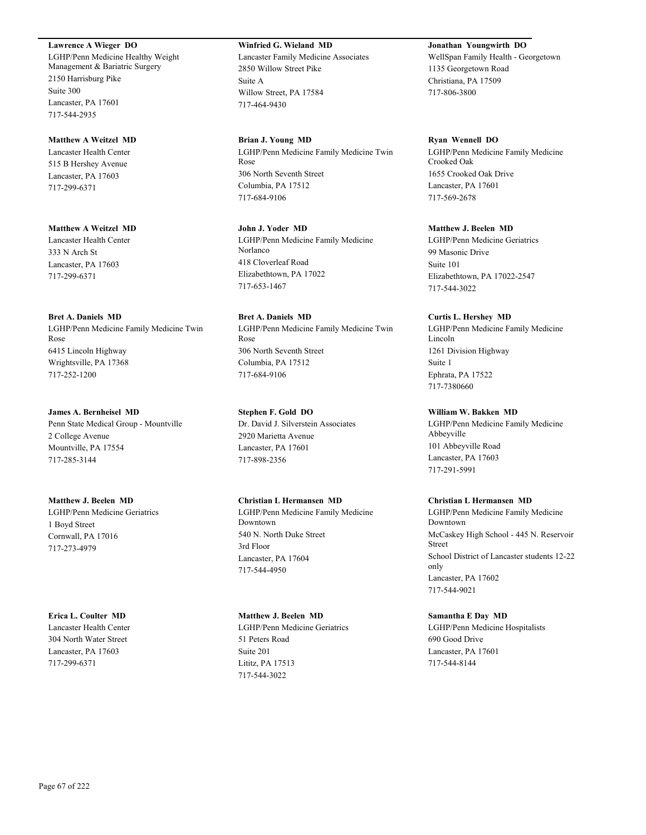### **Lawrence A Wieger DO**

LGHP/Penn Medicine Healthy Weight Management & Bariatric Surgery 2150 Harrisburg Pike Suite 300 Lancaster, PA 17601 717-544-2935

# **Matthew A Weitzel MD**

Lancaster Health Center 515 B Hershey Avenue Lancaster, PA 17603 717-299-6371

# **Matthew A Weitzel MD**

Lancaster Health Center 333 N Arch St Lancaster, PA 17603 717-299-6371

### **Bret A. Daniels MD**

LGHP/Penn Medicine Family Medicine Twin Rose 6415 Lincoln Highway Wrightsville, PA 17368 717-252-1200

### **James A. Bernheisel MD**

Penn State Medical Group - Mountville 2 College Avenue Mountville, PA 17554 717-285-3144

### **Matthew J. Beelen MD**

LGHP/Penn Medicine Geriatrics 1 Boyd Street Cornwall, PA 17016 717-273-4979

# **Erica L. Coulter MD**

Lancaster Health Center 304 North Water Street Lancaster, PA 17603 717-299-6371

# **Winfried G. Wieland MD**

Lancaster Family Medicine Associates 2850 Willow Street Pike Suite A Willow Street, PA 17584 717-464-9430

### **Brian J. Young MD**

LGHP/Penn Medicine Family Medicine Twin Rose 306 North Seventh Street Columbia, PA 17512 717-684-9106

# **John J. Yoder MD** LGHP/Penn Medicine Family Medicine Norlanco 418 Cloverleaf Road Elizabethtown, PA 17022 717-653-1467

**Bret A. Daniels MD** LGHP/Penn Medicine Family Medicine Twin Rose 306 North Seventh Street Columbia, PA 17512 717-684-9106

# **Stephen F. Gold DO**

Dr. David J. Silverstein Associates 2920 Marietta Avenue Lancaster, PA 17601 717-898-2356

# **Christian L Hermansen MD**

LGHP/Penn Medicine Family Medicine Downtown 540 N. North Duke Street 3rd Floor Lancaster, PA 17604 717-544-4950

### **Matthew J. Beelen MD**

LGHP/Penn Medicine Geriatrics 51 Peters Road Suite 201 Lititz, PA 17513 717-544-3022

# **Jonathan Youngwirth DO**

WellSpan Family Health - Georgetown 1135 Georgetown Road Christiana, PA 17509 717-806-3800

### **Ryan Wennell DO**

LGHP/Penn Medicine Family Medicine Crooked Oak 1655 Crooked Oak Drive Lancaster, PA 17601 717-569-2678

# **Matthew J. Beelen MD**

LGHP/Penn Medicine Geriatrics 99 Masonic Drive Suite 101 Elizabethtown, PA 17022-2547 717-544-3022

### **Curtis L. Hershey MD**

LGHP/Penn Medicine Family Medicine Lincoln 1261 Division Highway Suite 1 Ephrata, PA 17522 717-7380660

# **William W. Bakken MD**

LGHP/Penn Medicine Family Medicine Abbeyville 101 Abbeyville Road Lancaster, PA 17603 717-291-5991

### **Christian L Hermansen MD**

LGHP/Penn Medicine Family Medicine Downtown McCaskey High School - 445 N. Reservoir Street School District of Lancaster students 12-22 only Lancaster, PA 17602 717-544-9021

### **Samantha E Day MD**

LGHP/Penn Medicine Hospitalists 690 Good Drive Lancaster, PA 17601 717-544-8144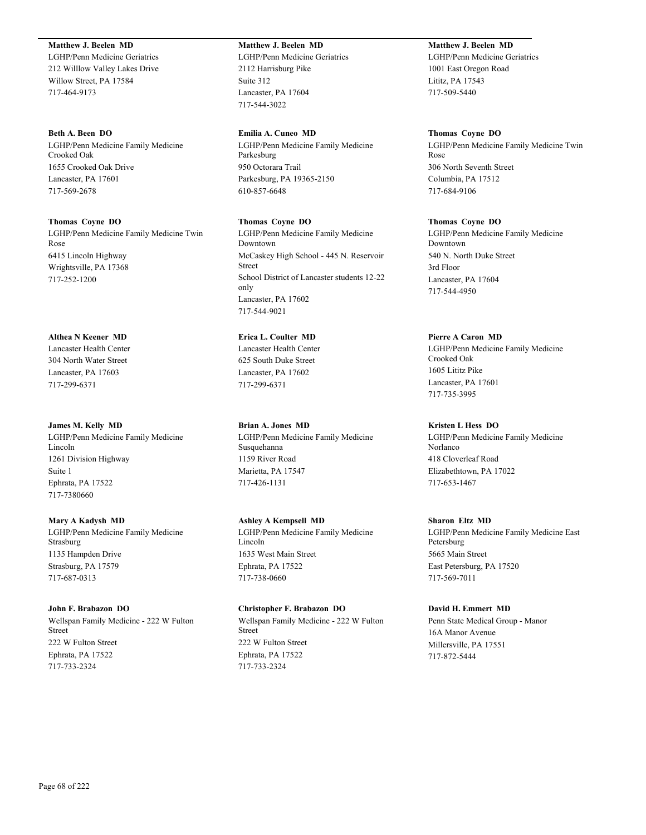# **Matthew J. Beelen MD**

LGHP/Penn Medicine Geriatrics 212 Willlow Valley Lakes Drive Willow Street, PA 17584 717-464-9173

### **Beth A. Been DO**

LGHP/Penn Medicine Family Medicine Crooked Oak 1655 Crooked Oak Drive Lancaster, PA 17601 717-569-2678

### **Thomas Coyne DO**

LGHP/Penn Medicine Family Medicine Twin Rose 6415 Lincoln Highway Wrightsville, PA 17368 717-252-1200

### **Althea N Keener MD**

Lancaster Health Center 304 North Water Street Lancaster, PA 17603 717-299-6371

#### **James M. Kelly MD**

LGHP/Penn Medicine Family Medicine Lincoln 1261 Division Highway Suite 1 Ephrata, PA 17522 717-7380660

### **Mary A Kadysh MD**

LGHP/Penn Medicine Family Medicine Strasburg 1135 Hampden Drive Strasburg, PA 17579 717-687-0313

### **John F. Brabazon DO**

Wellspan Family Medicine - 222 W Fulton Street 222 W Fulton Street Ephrata, PA 17522 717-733-2324

# **Matthew J. Beelen MD**

LGHP/Penn Medicine Geriatrics 2112 Harrisburg Pike Suite 312 Lancaster, PA 17604 717-544-3022

### **Emilia A. Cuneo MD**

LGHP/Penn Medicine Family Medicine Parkesburg 950 Octorara Trail Parkesburg, PA 19365-2150 610-857-6648

### **Thomas Coyne DO**

LGHP/Penn Medicine Family Medicine Downtown McCaskey High School - 445 N. Reservoir Street School District of Lancaster students 12-22 only Lancaster, PA 17602 717-544-9021

# **Erica L. Coulter MD**

Lancaster Health Center 625 South Duke Street Lancaster, PA 17602 717-299-6371

### **Brian A. Jones MD**

LGHP/Penn Medicine Family Medicine Susquehanna 1159 River Road Marietta, PA 17547 717-426-1131

# **Ashley A Kempsell MD**

LGHP/Penn Medicine Family Medicine Lincoln 1635 West Main Street Ephrata, PA 17522 717-738-0660

### **Christopher F. Brabazon DO**

Wellspan Family Medicine - 222 W Fulton Street 222 W Fulton Street Ephrata, PA 17522 717-733-2324

# **Matthew J. Beelen MD**

LGHP/Penn Medicine Geriatrics 1001 East Oregon Road Lititz, PA 17543 717-509-5440

### **Thomas Coyne DO**

LGHP/Penn Medicine Family Medicine Twin Rose 306 North Seventh Street Columbia, PA 17512 717-684-9106

### **Thomas Coyne DO**

LGHP/Penn Medicine Family Medicine Downtown 540 N. North Duke Street 3rd Floor Lancaster, PA 17604 717-544-4950

### **Pierre A Caron MD**

LGHP/Penn Medicine Family Medicine Crooked Oak 1605 Lititz Pike Lancaster, PA 17601 717-735-3995

### **Kristen L Hess DO**

LGHP/Penn Medicine Family Medicine Norlanco 418 Cloverleaf Road Elizabethtown, PA 17022 717-653-1467

# **Sharon Eltz MD**

LGHP/Penn Medicine Family Medicine East Petersburg 5665 Main Street East Petersburg, PA 17520 717-569-7011

### **David H. Emmert MD**

Penn State Medical Group - Manor 16A Manor Avenue Millersville, PA 17551 717-872-5444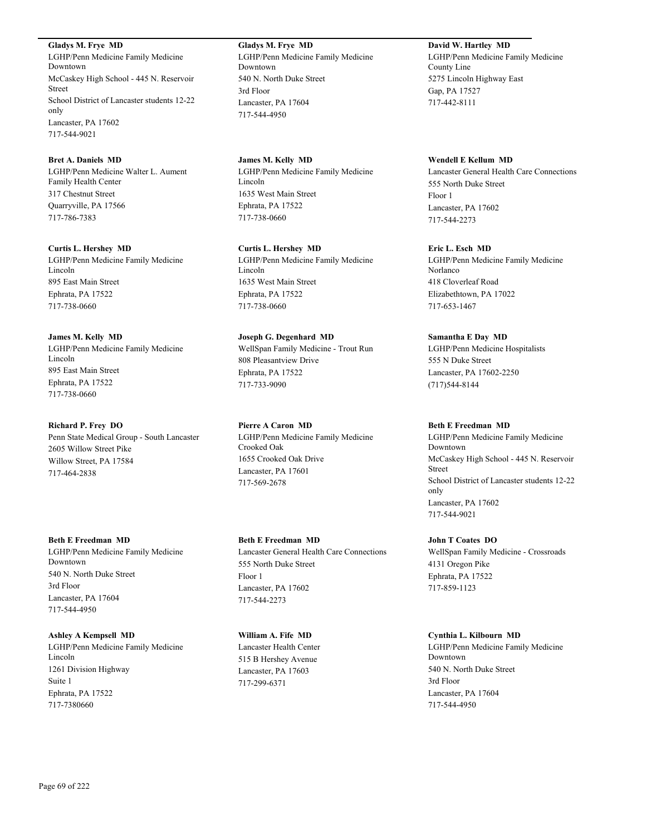**Gladys M. Frye MD** LGHP/Penn Medicine Family Medicine Downtown McCaskey High School - 445 N. Reservoir Street School District of Lancaster students 12-22 only Lancaster, PA 17602 717-544-9021

**Bret A. Daniels MD** LGHP/Penn Medicine Walter L. Aument Family Health Center 317 Chestnut Street Quarryville, PA 17566 717-786-7383

**Curtis L. Hershey MD** LGHP/Penn Medicine Family Medicine Lincoln 895 East Main Street Ephrata, PA 17522 717-738-0660

**James M. Kelly MD** LGHP/Penn Medicine Family Medicine Lincoln 895 East Main Street Ephrata, PA 17522 717-738-0660

**Richard P. Frey DO** Penn State Medical Group - South Lancaster 2605 Willow Street Pike Willow Street, PA 17584 717-464-2838

**Beth E Freedman MD** LGHP/Penn Medicine Family Medicine Downtown 540 N. North Duke Street 3rd Floor Lancaster, PA 17604 717-544-4950

**Ashley A Kempsell MD** LGHP/Penn Medicine Family Medicine Lincoln 1261 Division Highway Suite 1 Ephrata, PA 17522 717-7380660

**Gladys M. Frye MD** LGHP/Penn Medicine Family Medicine Downtown 540 N. North Duke Street 3rd Floor Lancaster, PA 17604 717-544-4950

**James M. Kelly MD** LGHP/Penn Medicine Family Medicine Lincoln 1635 West Main Street Ephrata, PA 17522 717-738-0660

**Curtis L. Hershey MD** LGHP/Penn Medicine Family Medicine Lincoln 1635 West Main Street Ephrata, PA 17522 717-738-0660

**Joseph G. Degenhard MD** WellSpan Family Medicine - Trout Run 808 Pleasantview Drive Ephrata, PA 17522 717-733-9090

**Pierre A Caron MD** LGHP/Penn Medicine Family Medicine Crooked Oak 1655 Crooked Oak Drive Lancaster, PA 17601 717-569-2678

**Beth E Freedman MD** Lancaster General Health Care Connections 555 North Duke Street Floor 1 Lancaster, PA 17602 717-544-2273

**William A. Fife MD** Lancaster Health Center 515 B Hershey Avenue Lancaster, PA 17603 717-299-6371

**David W. Hartley MD** LGHP/Penn Medicine Family Medicine County Line 5275 Lincoln Highway East Gap, PA 17527 717-442-8111

**Wendell E Kellum MD** Lancaster General Health Care Connections 555 North Duke Street Floor 1 Lancaster, PA 17602 717-544-2273

**Eric L. Esch MD** LGHP/Penn Medicine Family Medicine Norlanco 418 Cloverleaf Road Elizabethtown, PA 17022 717-653-1467

**Samantha E Day MD** LGHP/Penn Medicine Hospitalists 555 N Duke Street Lancaster, PA 17602-2250 (717)544-8144

**Beth E Freedman MD** LGHP/Penn Medicine Family Medicine Downtown McCaskey High School - 445 N. Reservoir Street School District of Lancaster students 12-22 only Lancaster, PA 17602 717-544-9021

**John T Coates DO** WellSpan Family Medicine - Crossroads 4131 Oregon Pike Ephrata, PA 17522 717-859-1123

**Cynthia L. Kilbourn MD** LGHP/Penn Medicine Family Medicine Downtown 540 N. North Duke Street 3rd Floor Lancaster, PA 17604 717-544-4950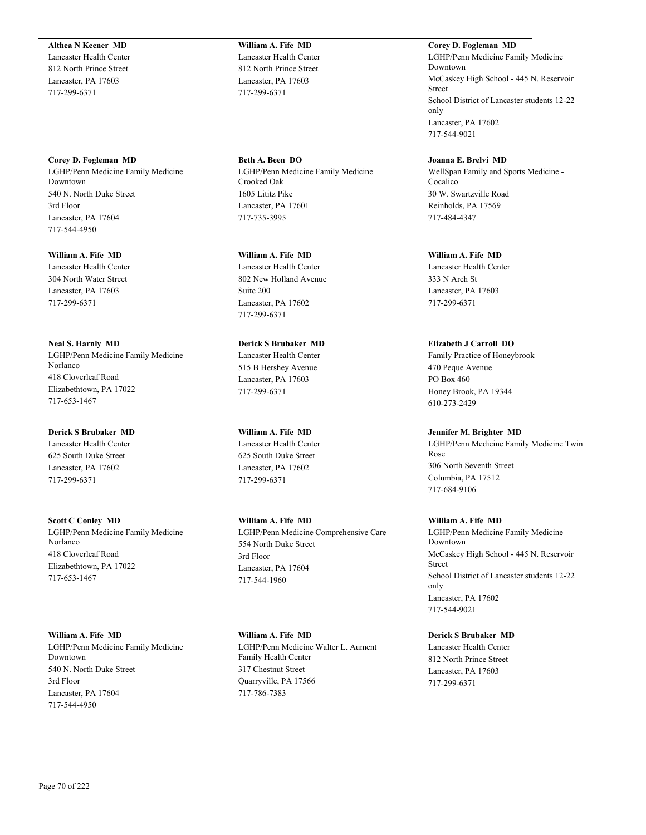**Althea N Keener MD**

Lancaster Health Center 812 North Prince Street Lancaster, PA 17603 717-299-6371

**Corey D. Fogleman MD** LGHP/Penn Medicine Family Medicine Downtown 540 N. North Duke Street 3rd Floor Lancaster, PA 17604 717-544-4950

**William A. Fife MD** Lancaster Health Center 304 North Water Street Lancaster, PA 17603 717-299-6371

**Neal S. Harnly MD** LGHP/Penn Medicine Family Medicine Norlanco 418 Cloverleaf Road Elizabethtown, PA 17022 717-653-1467

**Derick S Brubaker MD** Lancaster Health Center 625 South Duke Street Lancaster, PA 17602 717-299-6371

**Scott C Conley MD** LGHP/Penn Medicine Family Medicine Norlanco 418 Cloverleaf Road Elizabethtown, PA 17022 717-653-1467

**William A. Fife MD** LGHP/Penn Medicine Family Medicine Downtown 540 N. North Duke Street 3rd Floor Lancaster, PA 17604 717-544-4950

**William A. Fife MD** Lancaster Health Center 812 North Prince Street Lancaster, PA 17603 717-299-6371

**Beth A. Been DO** LGHP/Penn Medicine Family Medicine Crooked Oak 1605 Lititz Pike Lancaster, PA 17601 717-735-3995

**William A. Fife MD** Lancaster Health Center 802 New Holland Avenue Suite 200 Lancaster, PA 17602 717-299-6371

**Derick S Brubaker MD** Lancaster Health Center 515 B Hershey Avenue Lancaster, PA 17603 717-299-6371

**William A. Fife MD** Lancaster Health Center 625 South Duke Street Lancaster, PA 17602 717-299-6371

**William A. Fife MD** LGHP/Penn Medicine Comprehensive Care 554 North Duke Street 3rd Floor Lancaster, PA 17604 717-544-1960

**William A. Fife MD** LGHP/Penn Medicine Walter L. Aument Family Health Center 317 Chestnut Street Quarryville, PA 17566 717-786-7383

**Corey D. Fogleman MD** LGHP/Penn Medicine Family Medicine Downtown McCaskey High School - 445 N. Reservoir Street School District of Lancaster students 12-22 only Lancaster, PA 17602 717-544-9021

**Joanna E. Brelvi MD** WellSpan Family and Sports Medicine - Cocalico 30 W. Swartzville Road Reinholds, PA 17569 717-484-4347

**William A. Fife MD** Lancaster Health Center 333 N Arch St Lancaster, PA 17603 717-299-6371

**Elizabeth J Carroll DO** Family Practice of Honeybrook 470 Peque Avenue PO Box 460 Honey Brook, PA 19344 610-273-2429

**Jennifer M. Brighter MD** LGHP/Penn Medicine Family Medicine Twin Rose 306 North Seventh Street Columbia, PA 17512 717-684-9106

**William A. Fife MD** LGHP/Penn Medicine Family Medicine Downtown McCaskey High School - 445 N. Reservoir Street School District of Lancaster students 12-22 only Lancaster, PA 17602 717-544-9021

**Derick S Brubaker MD** Lancaster Health Center 812 North Prince Street Lancaster, PA 17603 717-299-6371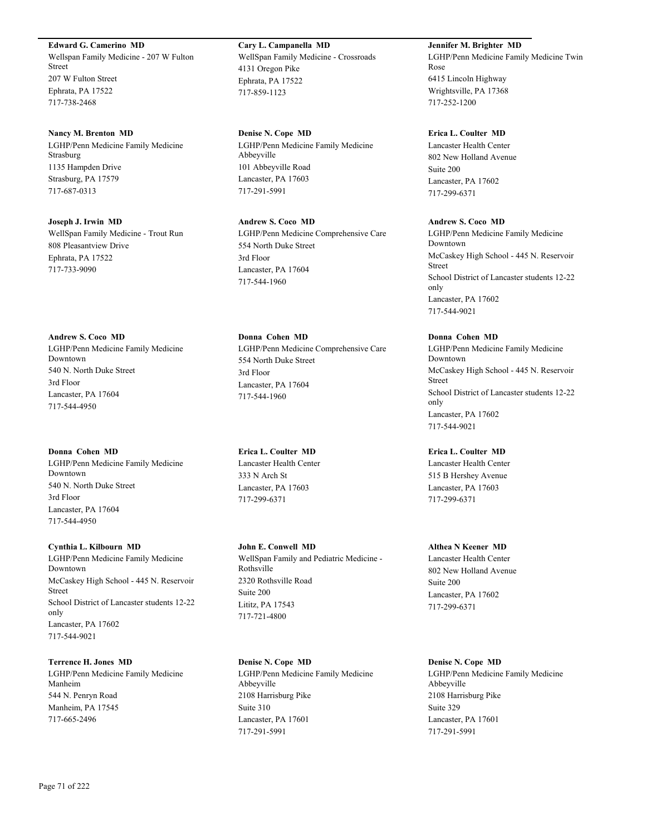### **Edward G. Camerino MD**

Wellspan Family Medicine - 207 W Fulton Street 207 W Fulton Street Ephrata, PA 17522 717-738-2468

### **Nancy M. Brenton MD**

LGHP/Penn Medicine Family Medicine Strasburg 1135 Hampden Drive Strasburg, PA 17579 717-687-0313

**Joseph J. Irwin MD** WellSpan Family Medicine - Trout Run 808 Pleasantview Drive Ephrata, PA 17522 717-733-9090

**Andrew S. Coco MD** LGHP/Penn Medicine Family Medicine Downtown 540 N. North Duke Street 3rd Floor Lancaster, PA 17604 717-544-4950

# **Donna Cohen MD**

LGHP/Penn Medicine Family Medicine Downtown 540 N. North Duke Street 3rd Floor Lancaster, PA 17604 717-544-4950

### **Cynthia L. Kilbourn MD**

LGHP/Penn Medicine Family Medicine Downtown McCaskey High School - 445 N. Reservoir Street School District of Lancaster students 12-22 only Lancaster, PA 17602 717-544-9021

# **Terrence H. Jones MD**

LGHP/Penn Medicine Family Medicine Manheim 544 N. Penryn Road Manheim, PA 17545 717-665-2496

**Cary L. Campanella MD** WellSpan Family Medicine - Crossroads 4131 Oregon Pike Ephrata, PA 17522 717-859-1123

**Denise N. Cope MD** LGHP/Penn Medicine Family Medicine Abbeyville 101 Abbeyville Road Lancaster, PA 17603 717-291-5991

**Andrew S. Coco MD** LGHP/Penn Medicine Comprehensive Care 554 North Duke Street 3rd Floor Lancaster, PA 17604 717-544-1960

**Donna Cohen MD** LGHP/Penn Medicine Comprehensive Care 554 North Duke Street 3rd Floor Lancaster, PA 17604 717-544-1960

**Erica L. Coulter MD** Lancaster Health Center 333 N Arch St Lancaster, PA 17603 717-299-6371

**John E. Conwell MD** WellSpan Family and Pediatric Medicine - Rothsville 2320 Rothsville Road Suite 200 Lititz, PA 17543 717-721-4800

**Denise N. Cope MD** LGHP/Penn Medicine Family Medicine Abbeyville 2108 Harrisburg Pike Suite 310 Lancaster, PA 17601 717-291-5991

**Jennifer M. Brighter MD** LGHP/Penn Medicine Family Medicine Twin Rose 6415 Lincoln Highway Wrightsville, PA 17368 717-252-1200

### **Erica L. Coulter MD**

Lancaster Health Center 802 New Holland Avenue Suite 200 Lancaster, PA 17602 717-299-6371

### **Andrew S. Coco MD**

LGHP/Penn Medicine Family Medicine Downtown McCaskey High School - 445 N. Reservoir Street School District of Lancaster students 12-22 only Lancaster, PA 17602 717-544-9021

**Donna Cohen MD**

LGHP/Penn Medicine Family Medicine Downtown McCaskey High School - 445 N. Reservoir Street School District of Lancaster students 12-22 only Lancaster, PA 17602 717-544-9021

**Erica L. Coulter MD**

Lancaster Health Center 515 B Hershey Avenue Lancaster, PA 17603 717-299-6371

### **Althea N Keener MD**

Lancaster Health Center 802 New Holland Avenue Suite 200 Lancaster, PA 17602 717-299-6371

# **Denise N. Cope MD**

LGHP/Penn Medicine Family Medicine Abbeyville 2108 Harrisburg Pike Suite 329 Lancaster, PA 17601 717-291-5991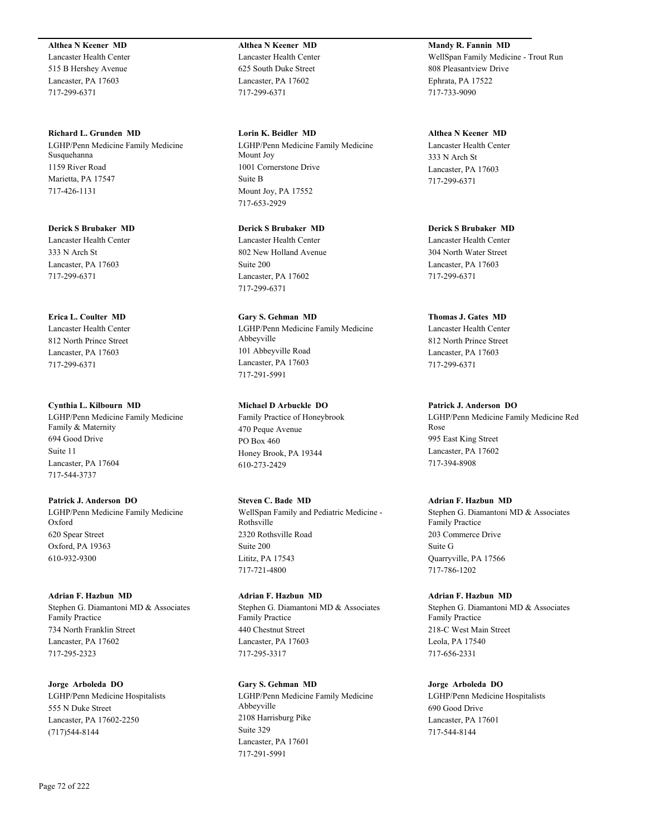### **Althea N Keener MD**

Lancaster Health Center 515 B Hershey Avenue Lancaster, PA 17603 717-299-6371

**Richard L. Grunden MD** LGHP/Penn Medicine Family Medicine Susquehanna 1159 River Road Marietta, PA 17547 717-426-1131

**Derick S Brubaker MD** Lancaster Health Center 333 N Arch St Lancaster, PA 17603 717-299-6371

**Erica L. Coulter MD**

Lancaster Health Center 812 North Prince Street Lancaster, PA 17603 717-299-6371

**Cynthia L. Kilbourn MD** LGHP/Penn Medicine Family Medicine Family & Maternity 694 Good Drive Suite 11 Lancaster, PA 17604 717-544-3737

**Patrick J. Anderson DO** LGHP/Penn Medicine Family Medicine Oxford 620 Spear Street Oxford, PA 19363 610-932-9300

**Adrian F. Hazbun MD** Stephen G. Diamantoni MD & Associates Family Practice 734 North Franklin Street Lancaster, PA 17602 717-295-2323

**Jorge Arboleda DO** LGHP/Penn Medicine Hospitalists 555 N Duke Street Lancaster, PA 17602-2250 (717)544-8144

**Althea N Keener MD** Lancaster Health Center 625 South Duke Street Lancaster, PA 17602 717-299-6371

**Lorin K. Beidler MD** LGHP/Penn Medicine Family Medicine Mount Joy 1001 Cornerstone Drive Suite B Mount Joy, PA 17552 717-653-2929

**Derick S Brubaker MD** Lancaster Health Center 802 New Holland Avenue Suite 200 Lancaster, PA 17602 717-299-6371

**Gary S. Gehman MD** LGHP/Penn Medicine Family Medicine Abbeyville 101 Abbeyville Road Lancaster, PA 17603 717-291-5991

Family Practice of Honeybrook 470 Peque Avenue PO Box 460 Honey Brook, PA 19344 610-273-2429 **Steven C. Bade MD**

**Michael D Arbuckle DO**

WellSpan Family and Pediatric Medicine - Rothsville 2320 Rothsville Road Suite 200 Lititz, PA 17543 717-721-4800

**Adrian F. Hazbun MD** Stephen G. Diamantoni MD & Associates Family Practice 440 Chestnut Street Lancaster, PA 17603 717-295-3317

**Gary S. Gehman MD** LGHP/Penn Medicine Family Medicine Abbeyville 2108 Harrisburg Pike Suite 329 Lancaster, PA 17601 717-291-5991

**Mandy R. Fannin MD** WellSpan Family Medicine - Trout Run 808 Pleasantview Drive Ephrata, PA 17522 717-733-9090

**Althea N Keener MD** Lancaster Health Center 333 N Arch St Lancaster, PA 17603 717-299-6371

**Derick S Brubaker MD** Lancaster Health Center 304 North Water Street Lancaster, PA 17603 717-299-6371

**Thomas J. Gates MD** Lancaster Health Center 812 North Prince Street Lancaster, PA 17603

717-299-6371

**Patrick J. Anderson DO**

LGHP/Penn Medicine Family Medicine Red Rose 995 East King Street Lancaster, PA 17602 717-394-8908

### **Adrian F. Hazbun MD**

Stephen G. Diamantoni MD & Associates Family Practice 203 Commerce Drive Suite G Quarryville, PA 17566 717-786-1202

**Adrian F. Hazbun MD** Stephen G. Diamantoni MD & Associates Family Practice 218-C West Main Street Leola, PA 17540 717-656-2331

**Jorge Arboleda DO**

LGHP/Penn Medicine Hospitalists 690 Good Drive Lancaster, PA 17601 717-544-8144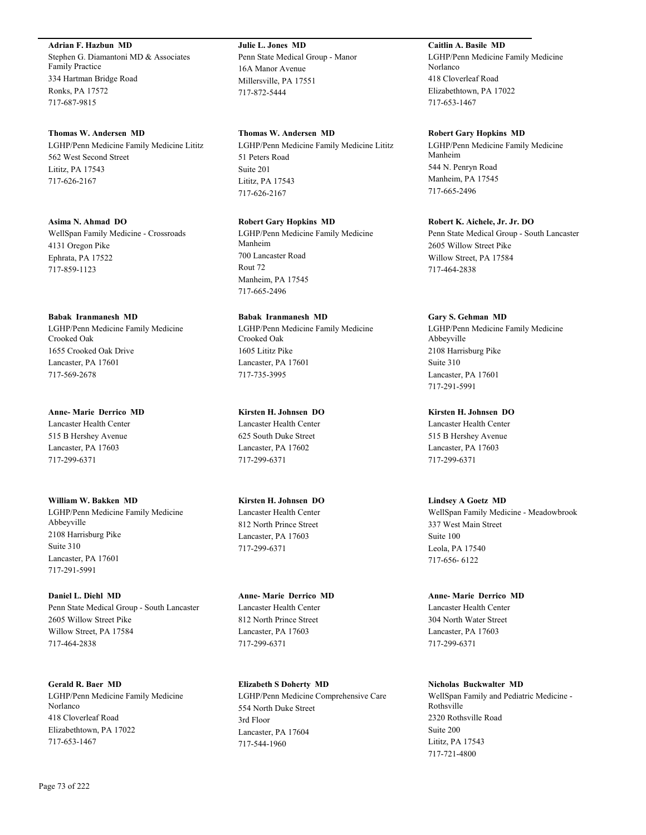**Adrian F. Hazbun MD**

Stephen G. Diamantoni MD & Associates Family Practice 334 Hartman Bridge Road Ronks, PA 17572 717-687-9815

#### **Thomas W. Andersen MD**

LGHP/Penn Medicine Family Medicine Lititz 562 West Second Street Lititz, PA 17543 717-626-2167

**Asima N. Ahmad DO**

WellSpan Family Medicine - Crossroads 4131 Oregon Pike Ephrata, PA 17522 717-859-1123

**Babak Iranmanesh MD**

LGHP/Penn Medicine Family Medicine Crooked Oak 1655 Crooked Oak Drive Lancaster, PA 17601 717-569-2678

**Anne- Marie Derrico MD** Lancaster Health Center

515 B Hershey Avenue Lancaster, PA 17603 717-299-6371

**William W. Bakken MD** LGHP/Penn Medicine Family Medicine Abbeyville 2108 Harrisburg Pike Suite 310 Lancaster, PA 17601 717-291-5991

**Daniel L. Diehl MD** Penn State Medical Group - South Lancaster 2605 Willow Street Pike Willow Street, PA 17584 717-464-2838

**Gerald R. Baer MD** LGHP/Penn Medicine Family Medicine Norlanco 418 Cloverleaf Road Elizabethtown, PA 17022 717-653-1467

**Julie L. Jones MD** Penn State Medical Group - Manor 16A Manor Avenue Millersville, PA 17551 717-872-5444

**Thomas W. Andersen MD** LGHP/Penn Medicine Family Medicine Lititz 51 Peters Road Suite 201 Lititz, PA 17543 717-626-2167

**Robert Gary Hopkins MD** LGHP/Penn Medicine Family Medicine Manheim 700 Lancaster Road Rout 72 Manheim, PA 17545 717-665-2496

**Babak Iranmanesh MD** LGHP/Penn Medicine Family Medicine Crooked Oak 1605 Lititz Pike Lancaster, PA 17601 717-735-3995

**Kirsten H. Johnsen DO** Lancaster Health Center 625 South Duke Street Lancaster, PA 17602 717-299-6371

**Kirsten H. Johnsen DO** Lancaster Health Center 812 North Prince Street Lancaster, PA 17603 717-299-6371

**Anne- Marie Derrico MD** Lancaster Health Center 812 North Prince Street Lancaster, PA 17603 717-299-6371

**Elizabeth S Doherty MD** LGHP/Penn Medicine Comprehensive Care 554 North Duke Street 3rd Floor Lancaster, PA 17604 717-544-1960

**Caitlin A. Basile MD** LGHP/Penn Medicine Family Medicine Norlanco 418 Cloverleaf Road Elizabethtown, PA 17022 717-653-1467

**Robert Gary Hopkins MD**

LGHP/Penn Medicine Family Medicine Manheim 544 N. Penryn Road Manheim, PA 17545 717-665-2496

**Robert K. Aichele, Jr. Jr. DO** Penn State Medical Group - South Lancaster 2605 Willow Street Pike Willow Street, PA 17584 717-464-2838

**Gary S. Gehman MD** LGHP/Penn Medicine Family Medicine Abbeyville 2108 Harrisburg Pike Suite 310 Lancaster, PA 17601 717-291-5991

**Kirsten H. Johnsen DO** Lancaster Health Center 515 B Hershey Avenue Lancaster, PA 17603 717-299-6371

**Lindsey A Goetz MD** WellSpan Family Medicine - Meadowbrook 337 West Main Street Suite 100 Leola, PA 17540 717-656- 6122

**Anne- Marie Derrico MD** Lancaster Health Center 304 North Water Street Lancaster, PA 17603 717-299-6371

**Nicholas Buckwalter MD** WellSpan Family and Pediatric Medicine - Rothsville 2320 Rothsville Road Suite 200 Lititz, PA 17543 717-721-4800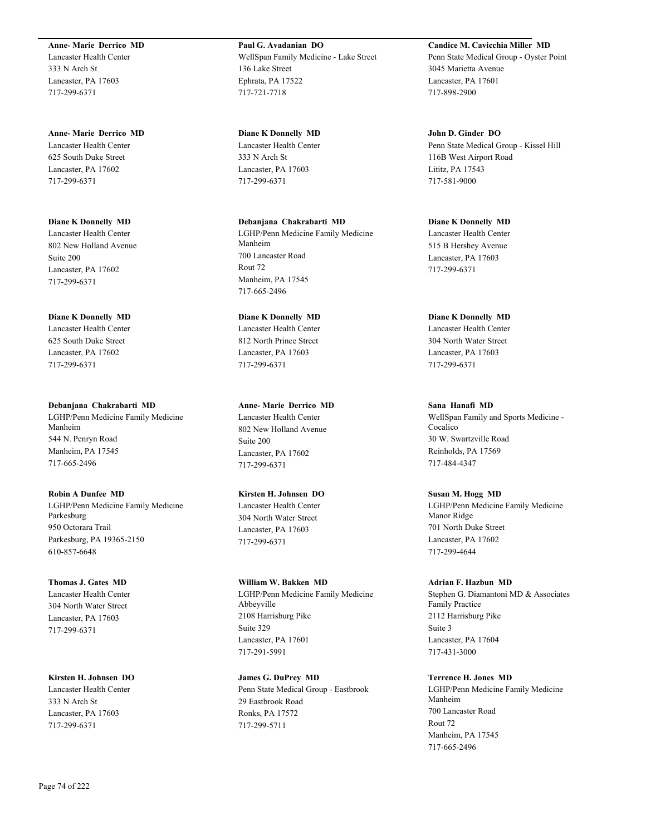#### **Anne- Marie Derrico MD**

Lancaster Health Center 333 N Arch St Lancaster, PA 17603 717-299-6371

## **Anne- Marie Derrico MD**

Lancaster Health Center 625 South Duke Street Lancaster, PA 17602 717-299-6371

#### **Diane K Donnelly MD**

Lancaster Health Center 802 New Holland Avenue Suite 200 Lancaster, PA 17602 717-299-6371

#### **Diane K Donnelly MD**

Lancaster Health Center 625 South Duke Street Lancaster, PA 17602 717-299-6371

#### **Debanjana Chakrabarti MD**

LGHP/Penn Medicine Family Medicine Manheim 544 N. Penryn Road Manheim, PA 17545 717-665-2496

## **Robin A Dunfee MD**

LGHP/Penn Medicine Family Medicine Parkesburg 950 Octorara Trail Parkesburg, PA 19365-2150 610-857-6648

#### **Thomas J. Gates MD**

Lancaster Health Center 304 North Water Street Lancaster, PA 17603 717-299-6371

## **Kirsten H. Johnsen DO** Lancaster Health Center 333 N Arch St Lancaster, PA 17603 717-299-6371

**Paul G. Avadanian DO** WellSpan Family Medicine - Lake Street 136 Lake Street Ephrata, PA 17522 717-721-7718

**Diane K Donnelly MD** Lancaster Health Center 333 N Arch St Lancaster, PA 17603 717-299-6371

#### **Debanjana Chakrabarti MD**

LGHP/Penn Medicine Family Medicine Manheim 700 Lancaster Road Rout 72 Manheim, PA 17545 717-665-2496

## **Diane K Donnelly MD**

Lancaster Health Center 812 North Prince Street Lancaster, PA 17603 717-299-6371

#### **Anne- Marie Derrico MD**

Lancaster Health Center 802 New Holland Avenue Suite 200 Lancaster, PA 17602 717-299-6371

## **Kirsten H. Johnsen DO**

Lancaster Health Center 304 North Water Street Lancaster, PA 17603 717-299-6371

## **William W. Bakken MD** LGHP/Penn Medicine Family Medicine Abbeyville 2108 Harrisburg Pike Suite 329 Lancaster, PA 17601 717-291-5991

**James G. DuPrey MD** Penn State Medical Group - Eastbrook 29 Eastbrook Road Ronks, PA 17572 717-299-5711

#### **Candice M. Cavicchia Miller MD** Penn State Medical Group - Oyster Point

3045 Marietta Avenue Lancaster, PA 17601 717-898-2900

## **John D. Ginder DO** Penn State Medical Group - Kissel Hill 116B West Airport Road Lititz, PA 17543 717-581-9000

## **Diane K Donnelly MD** Lancaster Health Center

515 B Hershey Avenue Lancaster, PA 17603 717-299-6371

## **Diane K Donnelly MD**

Lancaster Health Center 304 North Water Street Lancaster, PA 17603 717-299-6371

## **Sana Hanafi MD**

WellSpan Family and Sports Medicine - Cocalico 30 W. Swartzville Road Reinholds, PA 17569 717-484-4347

## **Susan M. Hogg MD**

LGHP/Penn Medicine Family Medicine Manor Ridge 701 North Duke Street Lancaster, PA 17602 717-299-4644

#### **Adrian F. Hazbun MD**

Stephen G. Diamantoni MD & Associates Family Practice 2112 Harrisburg Pike Suite 3 Lancaster, PA 17604 717-431-3000

## **Terrence H. Jones MD**

LGHP/Penn Medicine Family Medicine Manheim 700 Lancaster Road Rout 72 Manheim, PA 17545 717-665-2496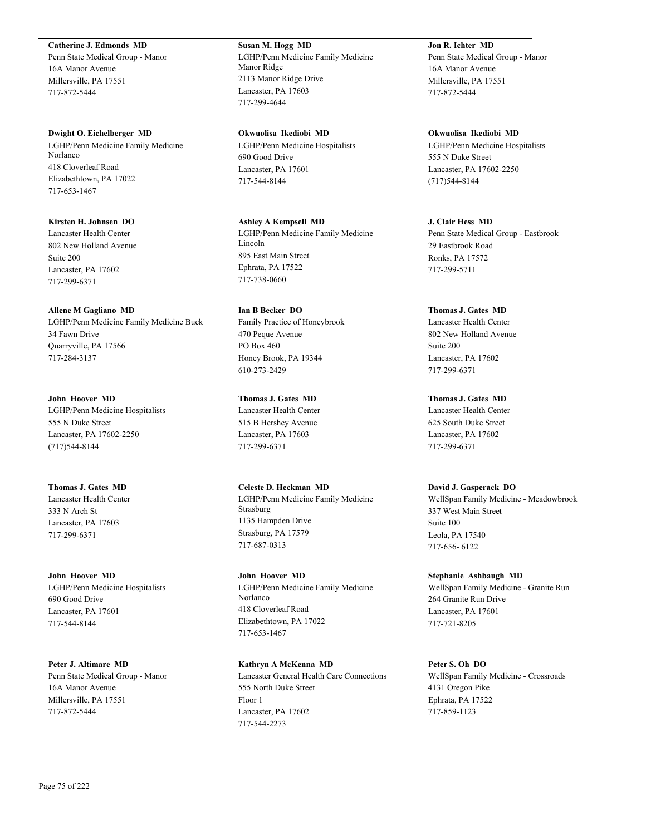**Catherine J. Edmonds MD**

Penn State Medical Group - Manor 16A Manor Avenue Millersville, PA 17551 717-872-5444

**Dwight O. Eichelberger MD** LGHP/Penn Medicine Family Medicine Norlanco 418 Cloverleaf Road Elizabethtown, PA 17022 717-653-1467

**Kirsten H. Johnsen DO** Lancaster Health Center 802 New Holland Avenue Suite 200 Lancaster, PA 17602 717-299-6371

**Allene M Gagliano MD** LGHP/Penn Medicine Family Medicine Buck 34 Fawn Drive Quarryville, PA 17566 717-284-3137

**John Hoover MD** LGHP/Penn Medicine Hospitalists 555 N Duke Street Lancaster, PA 17602-2250 (717)544-8144

**Thomas J. Gates MD** Lancaster Health Center 333 N Arch St Lancaster, PA 17603 717-299-6371

**John Hoover MD** LGHP/Penn Medicine Hospitalists 690 Good Drive Lancaster, PA 17601 717-544-8144

**Peter J. Altimare MD** Penn State Medical Group - Manor 16A Manor Avenue Millersville, PA 17551 717-872-5444

**Susan M. Hogg MD** LGHP/Penn Medicine Family Medicine Manor Ridge 2113 Manor Ridge Drive Lancaster, PA 17603 717-299-4644

**Okwuolisa Ikediobi MD** LGHP/Penn Medicine Hospitalists 690 Good Drive Lancaster, PA 17601 717-544-8144

**Ashley A Kempsell MD** LGHP/Penn Medicine Family Medicine Lincoln 895 East Main Street Ephrata, PA 17522 717-738-0660

**Ian B Becker DO** Family Practice of Honeybrook 470 Peque Avenue PO Box 460 Honey Brook, PA 19344 610-273-2429

**Thomas J. Gates MD** Lancaster Health Center 515 B Hershey Avenue Lancaster, PA 17603 717-299-6371

**Celeste D. Heckman MD** LGHP/Penn Medicine Family Medicine Strasburg 1135 Hampden Drive Strasburg, PA 17579 717-687-0313

**John Hoover MD** LGHP/Penn Medicine Family Medicine Norlanco 418 Cloverleaf Road Elizabethtown, PA 17022 717-653-1467

**Kathryn A McKenna MD** Lancaster General Health Care Connections 555 North Duke Street Floor 1 Lancaster, PA 17602 717-544-2273

**Jon R. Ichter MD** Penn State Medical Group - Manor 16A Manor Avenue Millersville, PA 17551 717-872-5444

**Okwuolisa Ikediobi MD** LGHP/Penn Medicine Hospitalists 555 N Duke Street Lancaster, PA 17602-2250 (717)544-8144

**J. Clair Hess MD** Penn State Medical Group - Eastbrook 29 Eastbrook Road Ronks, PA 17572 717-299-5711

**Thomas J. Gates MD** Lancaster Health Center 802 New Holland Avenue Suite 200 Lancaster, PA 17602 717-299-6371

**Thomas J. Gates MD** Lancaster Health Center 625 South Duke Street Lancaster, PA 17602 717-299-6371

**David J. Gasperack DO** WellSpan Family Medicine - Meadowbrook 337 West Main Street Suite 100 Leola, PA 17540 717-656- 6122

**Stephanie Ashbaugh MD** WellSpan Family Medicine - Granite Run 264 Granite Run Drive Lancaster, PA 17601 717-721-8205

**Peter S. Oh DO** WellSpan Family Medicine - Crossroads 4131 Oregon Pike Ephrata, PA 17522 717-859-1123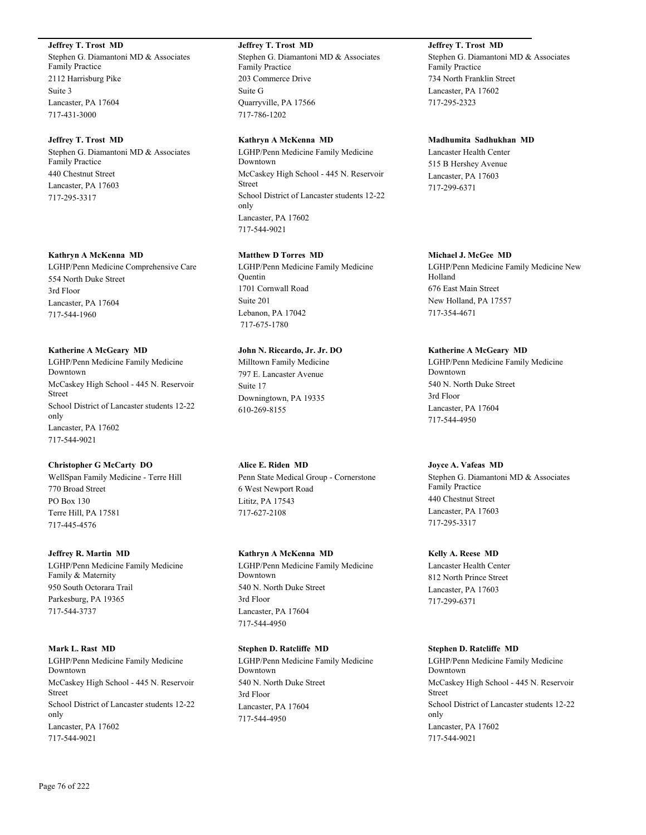## **Jeffrey T. Trost MD**

Stephen G. Diamantoni MD & Associates Family Practice 2112 Harrisburg Pike Suite 3 Lancaster, PA 17604 717-431-3000

#### **Jeffrey T. Trost MD**

Stephen G. Diamantoni MD & Associates Family Practice 440 Chestnut Street Lancaster, PA 17603 717-295-3317

#### **Kathryn A McKenna MD**

LGHP/Penn Medicine Comprehensive Care 554 North Duke Street 3rd Floor Lancaster, PA 17604 717-544-1960

#### **Katherine A McGeary MD**

LGHP/Penn Medicine Family Medicine Downtown McCaskey High School - 445 N. Reservoir Street School District of Lancaster students 12-22 only Lancaster, PA 17602 717-544-9021

## **Christopher G McCarty DO**

WellSpan Family Medicine - Terre Hill 770 Broad Street PO Box 130 Terre Hill, PA 17581 717-445-4576

#### **Jeffrey R. Martin MD**

LGHP/Penn Medicine Family Medicine Family & Maternity 950 South Octorara Trail Parkesburg, PA 19365 717-544-3737

## **Mark L. Rast MD**

LGHP/Penn Medicine Family Medicine Downtown McCaskey High School - 445 N. Reservoir Street School District of Lancaster students 12-22 only Lancaster, PA 17602 717-544-9021

**Jeffrey T. Trost MD** Stephen G. Diamantoni MD & Associates Family Practice 203 Commerce Drive Suite G Quarryville, PA 17566 717-786-1202

#### **Kathryn A McKenna MD**

LGHP/Penn Medicine Family Medicine Downtown McCaskey High School - 445 N. Reservoir Street School District of Lancaster students 12-22 only Lancaster, PA 17602 717-544-9021

## **Matthew D Torres MD**

LGHP/Penn Medicine Family Medicine **Quentin** 1701 Cornwall Road Suite 201 Lebanon, PA 17042 717-675-1780

## **John N. Riccardo, Jr. Jr. DO**

Milltown Family Medicine 797 E. Lancaster Avenue Suite 17 Downingtown, PA 19335 610-269-8155

## **Alice E. Riden MD**

Penn State Medical Group - Cornerstone 6 West Newport Road Lititz, PA 17543 717-627-2108

#### **Kathryn A McKenna MD**

LGHP/Penn Medicine Family Medicine Downtown 540 N. North Duke Street 3rd Floor Lancaster, PA 17604 717-544-4950

## **Stephen D. Ratcliffe MD**

LGHP/Penn Medicine Family Medicine Downtown 540 N. North Duke Street 3rd Floor Lancaster, PA 17604 717-544-4950

**Jeffrey T. Trost MD** Stephen G. Diamantoni MD & Associates Family Practice 734 North Franklin Street Lancaster, PA 17602 717-295-2323

## **Madhumita Sadhukhan MD**

Lancaster Health Center 515 B Hershey Avenue Lancaster, PA 17603 717-299-6371

#### **Michael J. McGee MD**

LGHP/Penn Medicine Family Medicine New Holland 676 East Main Street New Holland, PA 17557 717-354-4671

#### **Katherine A McGeary MD**

LGHP/Penn Medicine Family Medicine Downtown 540 N. North Duke Street 3rd Floor Lancaster, PA 17604 717-544-4950

#### **Joyce A. Vafeas MD**

Stephen G. Diamantoni MD & Associates Family Practice 440 Chestnut Street Lancaster, PA 17603 717-295-3317

#### **Kelly A. Reese MD**

Lancaster Health Center 812 North Prince Street Lancaster, PA 17603 717-299-6371

## **Stephen D. Ratcliffe MD**

LGHP/Penn Medicine Family Medicine Downtown McCaskey High School - 445 N. Reservoir Street School District of Lancaster students 12-22 only Lancaster, PA 17602 717-544-9021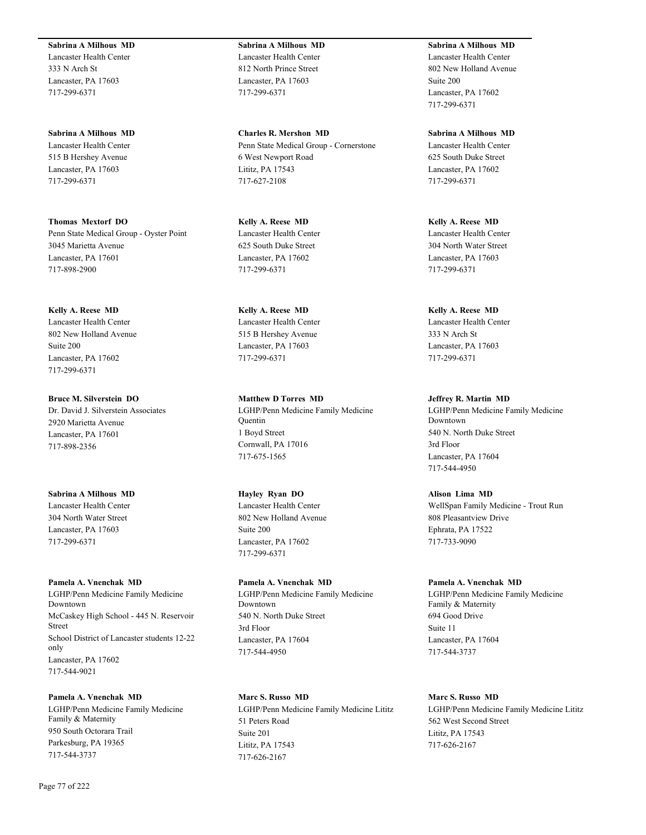**Sabrina A Milhous MD** Lancaster Health Center

333 N Arch St Lancaster, PA 17603 717-299-6371

**Sabrina A Milhous MD** Lancaster Health Center 515 B Hershey Avenue Lancaster, PA 17603 717-299-6371

**Thomas Mextorf DO** Penn State Medical Group - Oyster Point 3045 Marietta Avenue Lancaster, PA 17601 717-898-2900

**Kelly A. Reese MD** Lancaster Health Center 802 New Holland Avenue Suite 200 Lancaster, PA 17602 717-299-6371

**Bruce M. Silverstein DO** Dr. David J. Silverstein Associates 2920 Marietta Avenue Lancaster, PA 17601 717-898-2356

**Sabrina A Milhous MD** Lancaster Health Center 304 North Water Street Lancaster, PA 17603 717-299-6371

**Pamela A. Vnenchak MD**

LGHP/Penn Medicine Family Medicine Downtown McCaskey High School - 445 N. Reservoir Street School District of Lancaster students 12-22 only Lancaster, PA 17602 717-544-9021

**Pamela A. Vnenchak MD** LGHP/Penn Medicine Family Medicine Family & Maternity 950 South Octorara Trail Parkesburg, PA 19365 717-544-3737

**Sabrina A Milhous MD** Lancaster Health Center 812 North Prince Street Lancaster, PA 17603 717-299-6371

**Charles R. Mershon MD** Penn State Medical Group - Cornerstone 6 West Newport Road Lititz, PA 17543 717-627-2108

**Kelly A. Reese MD** Lancaster Health Center 625 South Duke Street Lancaster, PA 17602 717-299-6371

**Kelly A. Reese MD** Lancaster Health Center 515 B Hershey Avenue Lancaster, PA 17603 717-299-6371

**Matthew D Torres MD** LGHP/Penn Medicine Family Medicine **Quentin** 1 Boyd Street Cornwall, PA 17016 717-675-1565

**Hayley Ryan DO** Lancaster Health Center 802 New Holland Avenue Suite 200 Lancaster, PA 17602 717-299-6371

**Pamela A. Vnenchak MD** LGHP/Penn Medicine Family Medicine Downtown 540 N. North Duke Street 3rd Floor Lancaster, PA 17604 717-544-4950

**Marc S. Russo MD** LGHP/Penn Medicine Family Medicine Lititz 51 Peters Road Suite 201 Lititz, PA 17543 717-626-2167

**Sabrina A Milhous MD** Lancaster Health Center 802 New Holland Avenue Suite 200 Lancaster, PA 17602 717-299-6371

**Sabrina A Milhous MD** Lancaster Health Center 625 South Duke Street Lancaster, PA 17602 717-299-6371

**Kelly A. Reese MD** Lancaster Health Center 304 North Water Street Lancaster, PA 17603 717-299-6371

**Kelly A. Reese MD** Lancaster Health Center 333 N Arch St Lancaster, PA 17603 717-299-6371

**Jeffrey R. Martin MD** LGHP/Penn Medicine Family Medicine Downtown 540 N. North Duke Street 3rd Floor Lancaster, PA 17604 717-544-4950

**Alison Lima MD** WellSpan Family Medicine - Trout Run 808 Pleasantview Drive Ephrata, PA 17522 717-733-9090

**Pamela A. Vnenchak MD** LGHP/Penn Medicine Family Medicine Family & Maternity 694 Good Drive Suite 11 Lancaster, PA 17604 717-544-3737

**Marc S. Russo MD** LGHP/Penn Medicine Family Medicine Lititz 562 West Second Street Lititz, PA 17543 717-626-2167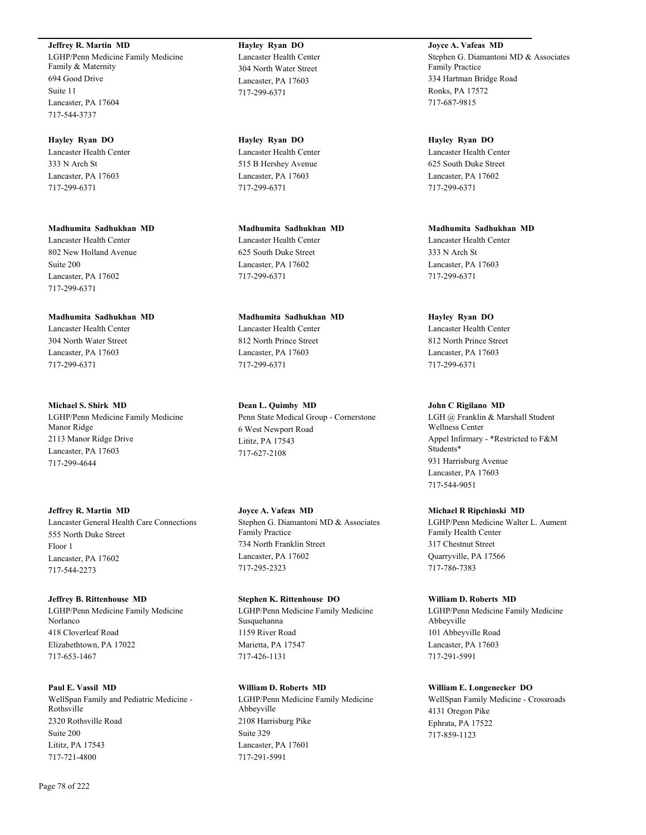**Jeffrey R. Martin MD** LGHP/Penn Medicine Family Medicine Family & Maternity 694 Good Drive Suite 11 Lancaster, PA 17604 717-544-3737

**Hayley Ryan DO** Lancaster Health Center 333 N Arch St Lancaster, PA 17603 717-299-6371

**Madhumita Sadhukhan MD** Lancaster Health Center 802 New Holland Avenue Suite 200 Lancaster, PA 17602 717-299-6371

**Madhumita Sadhukhan MD** Lancaster Health Center 304 North Water Street Lancaster, PA 17603 717-299-6371

**Michael S. Shirk MD** LGHP/Penn Medicine Family Medicine Manor Ridge 2113 Manor Ridge Drive Lancaster, PA 17603 717-299-4644

**Jeffrey R. Martin MD** Lancaster General Health Care Connections 555 North Duke Street Floor 1 Lancaster, PA 17602 717-544-2273

**Jeffrey B. Rittenhouse MD** LGHP/Penn Medicine Family Medicine Norlanco 418 Cloverleaf Road Elizabethtown, PA 17022 717-653-1467

**Paul E. Vassil MD** WellSpan Family and Pediatric Medicine - Rothsville 2320 Rothsville Road Suite 200 Lititz, PA 17543 717-721-4800

**Hayley Ryan DO** Lancaster Health Center 304 North Water Street Lancaster, PA 17603 717-299-6371

**Hayley Ryan DO** Lancaster Health Center 515 B Hershey Avenue Lancaster, PA 17603 717-299-6371

**Madhumita Sadhukhan MD** Lancaster Health Center 625 South Duke Street Lancaster, PA 17602 717-299-6371

**Madhumita Sadhukhan MD** Lancaster Health Center 812 North Prince Street Lancaster, PA 17603 717-299-6371

**Dean L. Quimby MD** Penn State Medical Group - Cornerstone 6 West Newport Road Lititz, PA 17543 717-627-2108

**Joyce A. Vafeas MD** Stephen G. Diamantoni MD & Associates Family Practice 734 North Franklin Street Lancaster, PA 17602 717-295-2323

**Stephen K. Rittenhouse DO** LGHP/Penn Medicine Family Medicine Susquehanna 1159 River Road Marietta, PA 17547 717-426-1131

**William D. Roberts MD** LGHP/Penn Medicine Family Medicine Abbeyville 2108 Harrisburg Pike Suite 329 Lancaster, PA 17601 717-291-5991

**Joyce A. Vafeas MD** Stephen G. Diamantoni MD & Associates Family Practice 334 Hartman Bridge Road Ronks, PA 17572 717-687-9815

**Hayley Ryan DO** Lancaster Health Center 625 South Duke Street Lancaster, PA 17602 717-299-6371

**Madhumita Sadhukhan MD** Lancaster Health Center 333 N Arch St Lancaster, PA 17603 717-299-6371

**Hayley Ryan DO** Lancaster Health Center 812 North Prince Street Lancaster, PA 17603 717-299-6371

**John C Rigilano MD**

LGH @ Franklin & Marshall Student Wellness Center Appel Infirmary - \*Restricted to F&M Students\* 931 Harrisburg Avenue Lancaster, PA 17603 717-544-9051

**Michael R Ripchinski MD**

LGHP/Penn Medicine Walter L. Aument Family Health Center 317 Chestnut Street Quarryville, PA 17566 717-786-7383

**William D. Roberts MD** LGHP/Penn Medicine Family Medicine Abbeyville 101 Abbeyville Road Lancaster, PA 17603 717-291-5991

**William E. Longenecker DO**

WellSpan Family Medicine - Crossroads 4131 Oregon Pike Ephrata, PA 17522 717-859-1123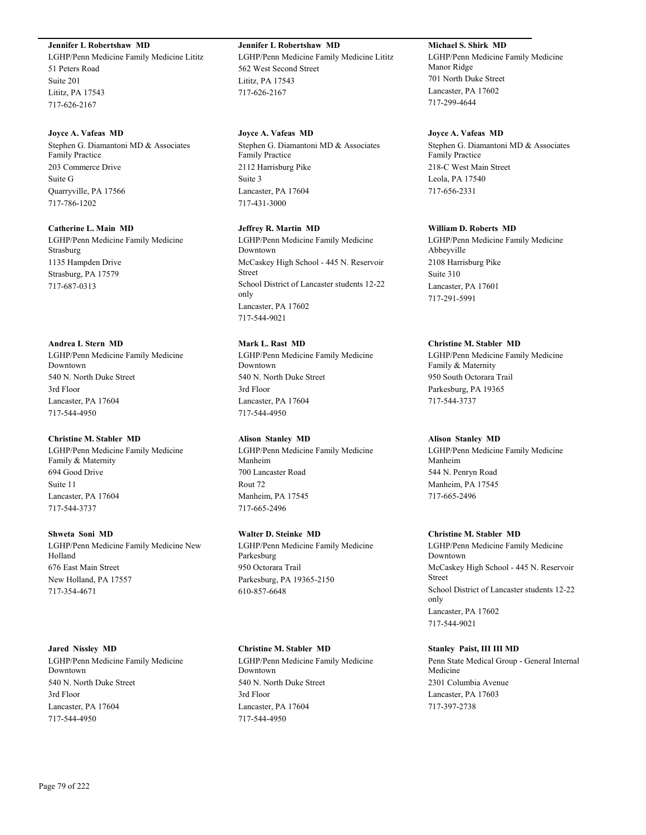## **Jennifer L Robertshaw MD**

LGHP/Penn Medicine Family Medicine Lititz 51 Peters Road Suite 201 Lititz, PA 17543 717-626-2167

#### **Joyce A. Vafeas MD**

Stephen G. Diamantoni MD & Associates Family Practice 203 Commerce Drive Suite G Quarryville, PA 17566 717-786-1202

#### **Catherine L. Main MD**

LGHP/Penn Medicine Family Medicine Strasburg 1135 Hampden Drive Strasburg, PA 17579 717-687-0313

#### **Andrea L Stern MD**

LGHP/Penn Medicine Family Medicine Downtown 540 N. North Duke Street 3rd Floor Lancaster, PA 17604 717-544-4950

#### **Christine M. Stabler MD**

LGHP/Penn Medicine Family Medicine Family & Maternity 694 Good Drive Suite 11 Lancaster, PA 17604 717-544-3737

#### **Shweta Soni MD**

LGHP/Penn Medicine Family Medicine New Holland 676 East Main Street New Holland, PA 17557 717-354-4671

#### **Jared Nissley MD**

LGHP/Penn Medicine Family Medicine Downtown 540 N. North Duke Street 3rd Floor Lancaster, PA 17604 717-544-4950

## **Jennifer L Robertshaw MD** LGHP/Penn Medicine Family Medicine Lititz 562 West Second Street

Lititz, PA 17543 717-626-2167

#### **Joyce A. Vafeas MD**

Stephen G. Diamantoni MD & Associates Family Practice 2112 Harrisburg Pike Suite 3 Lancaster, PA 17604 717-431-3000

#### **Jeffrey R. Martin MD**

LGHP/Penn Medicine Family Medicine Downtown McCaskey High School - 445 N. Reservoir Street School District of Lancaster students 12-22 only Lancaster, PA 17602 717-544-9021

## **Mark L. Rast MD**

LGHP/Penn Medicine Family Medicine Downtown 540 N. North Duke Street 3rd Floor Lancaster, PA 17604 717-544-4950

## **Alison Stanley MD**

LGHP/Penn Medicine Family Medicine Manheim 700 Lancaster Road Rout 72 Manheim, PA 17545 717-665-2496

#### **Walter D. Steinke MD**

LGHP/Penn Medicine Family Medicine Parkesburg 950 Octorara Trail Parkesburg, PA 19365-2150 610-857-6648

#### **Christine M. Stabler MD**

LGHP/Penn Medicine Family Medicine Downtown 540 N. North Duke Street 3rd Floor Lancaster, PA 17604 717-544-4950

## **Michael S. Shirk MD**

LGHP/Penn Medicine Family Medicine Manor Ridge 701 North Duke Street Lancaster, PA 17602 717-299-4644

#### **Joyce A. Vafeas MD**

Stephen G. Diamantoni MD & Associates Family Practice 218-C West Main Street Leola, PA 17540 717-656-2331

#### **William D. Roberts MD**

LGHP/Penn Medicine Family Medicine Abbeyville 2108 Harrisburg Pike Suite 310 Lancaster, PA 17601 717-291-5991

## **Christine M. Stabler MD**

LGHP/Penn Medicine Family Medicine Family & Maternity 950 South Octorara Trail Parkesburg, PA 19365 717-544-3737

#### **Alison Stanley MD**

LGHP/Penn Medicine Family Medicine Manheim 544 N. Penryn Road Manheim, PA 17545 717-665-2496

#### **Christine M. Stabler MD**

LGHP/Penn Medicine Family Medicine Downtown McCaskey High School - 445 N. Reservoir Street School District of Lancaster students 12-22 only Lancaster, PA 17602 717-544-9021

#### **Stanley Paist, III III MD**

Penn State Medical Group - General Internal Medicine 2301 Columbia Avenue Lancaster, PA 17603 717-397-2738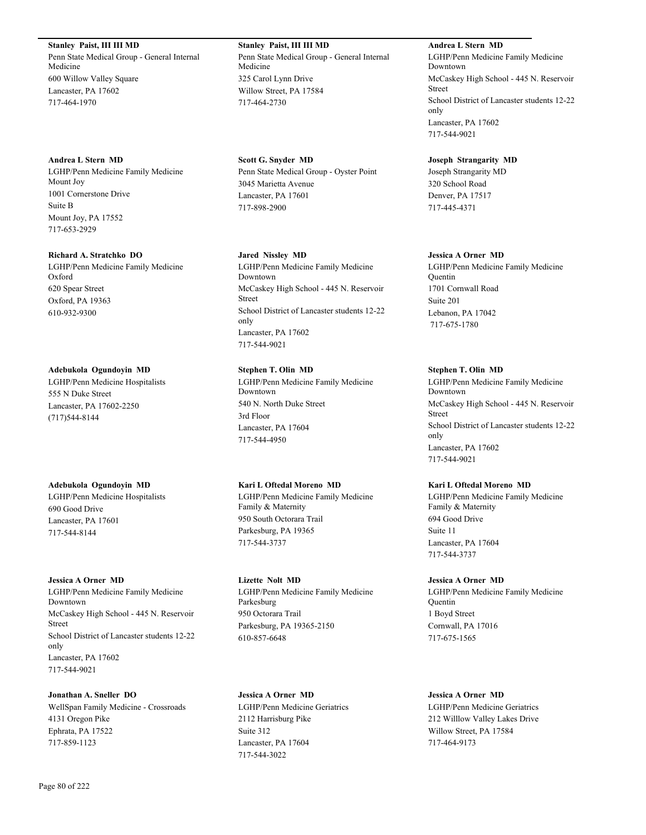**Stanley Paist, III III MD** Penn State Medical Group - General Internal Medicine 600 Willow Valley Square Lancaster, PA 17602 717-464-1970

**Andrea L Stern MD** LGHP/Penn Medicine Family Medicine Mount Joy 1001 Cornerstone Drive Suite B Mount Joy, PA 17552 717-653-2929

**Richard A. Stratchko DO**

LGHP/Penn Medicine Family Medicine Oxford 620 Spear Street Oxford, PA 19363 610-932-9300

### **Adebukola Ogundoyin MD**

LGHP/Penn Medicine Hospitalists 555 N Duke Street Lancaster, PA 17602-2250 (717)544-8144

## **Adebukola Ogundoyin MD**

LGHP/Penn Medicine Hospitalists 690 Good Drive Lancaster, PA 17601 717-544-8144

#### **Jessica A Orner MD**

LGHP/Penn Medicine Family Medicine Downtown McCaskey High School - 445 N. Reservoir Street School District of Lancaster students 12-22 only Lancaster, PA 17602 717-544-9021

**Jonathan A. Sneller DO** WellSpan Family Medicine - Crossroads 4131 Oregon Pike Ephrata, PA 17522 717-859-1123

**Stanley Paist, III III MD** Penn State Medical Group - General Internal Medicine 325 Carol Lynn Drive Willow Street, PA 17584 717-464-2730

**Scott G. Snyder MD** Penn State Medical Group - Oyster Point 3045 Marietta Avenue Lancaster, PA 17601 717-898-2900

## **Jared Nissley MD**

LGHP/Penn Medicine Family Medicine Downtown McCaskey High School - 445 N. Reservoir Street School District of Lancaster students 12-22 only Lancaster, PA 17602 717-544-9021

## **Stephen T. Olin MD**

LGHP/Penn Medicine Family Medicine Downtown 540 N. North Duke Street 3rd Floor Lancaster, PA 17604 717-544-4950

## **Kari L Oftedal Moreno MD**

LGHP/Penn Medicine Family Medicine Family & Maternity 950 South Octorara Trail Parkesburg, PA 19365 717-544-3737

**Lizette Nolt MD** LGHP/Penn Medicine Family Medicine Parkesburg 950 Octorara Trail Parkesburg, PA 19365-2150 610-857-6648

**Jessica A Orner MD** LGHP/Penn Medicine Geriatrics 2112 Harrisburg Pike Suite 312 Lancaster, PA 17604 717-544-3022

**Andrea L Stern MD** LGHP/Penn Medicine Family Medicine Downtown McCaskey High School - 445 N. Reservoir Street School District of Lancaster students 12-22 only Lancaster, PA 17602 717-544-9021

**Joseph Strangarity MD** Joseph Strangarity MD 320 School Road Denver, PA 17517 717-445-4371

## **Jessica A Orner MD**

LGHP/Penn Medicine Family Medicine Quentin 1701 Cornwall Road Suite 201 Lebanon, PA 17042 717-675-1780

## **Stephen T. Olin MD**

LGHP/Penn Medicine Family Medicine Downtown McCaskey High School - 445 N. Reservoir Street School District of Lancaster students 12-22 only Lancaster, PA 17602 717-544-9021

## **Kari L Oftedal Moreno MD**

LGHP/Penn Medicine Family Medicine Family & Maternity 694 Good Drive Suite 11 Lancaster, PA 17604 717-544-3737

#### **Jessica A Orner MD**

LGHP/Penn Medicine Family Medicine Quentin 1 Boyd Street Cornwall, PA 17016 717-675-1565

## **Jessica A Orner MD**

LGHP/Penn Medicine Geriatrics 212 Willlow Valley Lakes Drive Willow Street, PA 17584 717-464-9173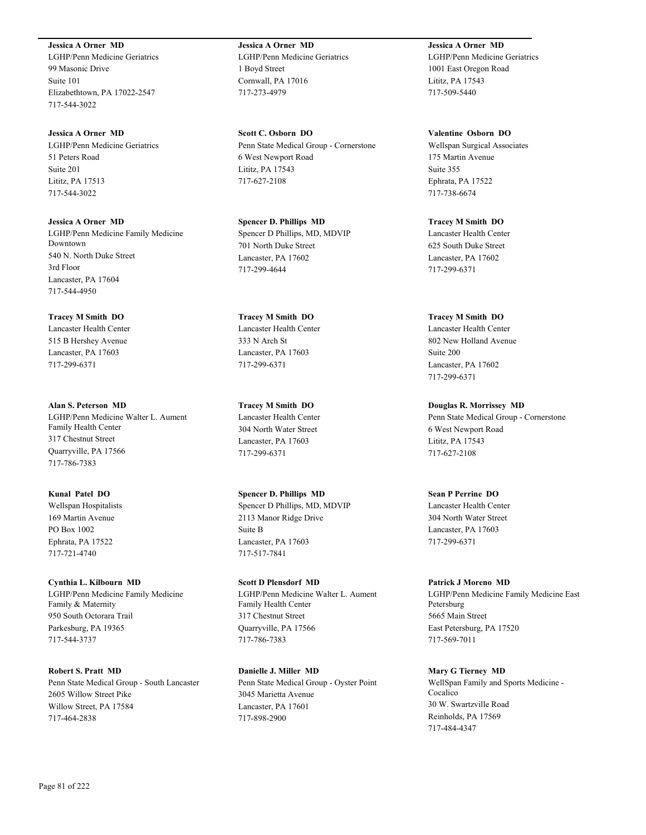**Jessica A Orner MD** LGHP/Penn Medicine Geriatrics 99 Masonic Drive Suite 101 Elizabethtown, PA 17022-2547 717-544-3022

**Jessica A Orner MD** LGHP/Penn Medicine Geriatrics 51 Peters Road Suite 201 Lititz, PA 17513 717-544-3022

**Jessica A Orner MD** LGHP/Penn Medicine Family Medicine Downtown 540 N. North Duke Street 3rd Floor Lancaster, PA 17604 717-544-4950

**Tracey M Smith DO** Lancaster Health Center 515 B Hershey Avenue Lancaster, PA 17603 717-299-6371

**Alan S. Peterson MD** LGHP/Penn Medicine Walter L. Aument Family Health Center 317 Chestnut Street Quarryville, PA 17566 717-786-7383

**Kunal Patel DO** Wellspan Hospitalists 169 Martin Avenue PO Box 1002 Ephrata, PA 17522 717-721-4740

**Cynthia L. Kilbourn MD** LGHP/Penn Medicine Family Medicine Family & Maternity 950 South Octorara Trail Parkesburg, PA 19365 717-544-3737

**Robert S. Pratt MD** Penn State Medical Group - South Lancaster 2605 Willow Street Pike Willow Street, PA 17584 717-464-2838

**Jessica A Orner MD** LGHP/Penn Medicine Geriatrics 1 Boyd Street Cornwall, PA 17016 717-273-4979

**Scott C. Osborn DO** Penn State Medical Group - Cornerstone 6 West Newport Road Lititz, PA 17543 717-627-2108

**Spencer D. Phillips MD** Spencer D Phillips, MD, MDVIP 701 North Duke Street Lancaster, PA 17602 717-299-4644

**Tracey M Smith DO** Lancaster Health Center 333 N Arch St Lancaster, PA 17603 717-299-6371

**Tracey M Smith DO** Lancaster Health Center 304 North Water Street Lancaster, PA 17603 717-299-6371

**Spencer D. Phillips MD** Spencer D Phillips, MD, MDVIP 2113 Manor Ridge Drive Suite B Lancaster, PA 17603 717-517-7841

**Scott D Plensdorf MD** LGHP/Penn Medicine Walter L. Aument Family Health Center 317 Chestnut Street Quarryville, PA 17566 717-786-7383

**Danielle J. Miller MD** Penn State Medical Group - Oyster Point 3045 Marietta Avenue Lancaster, PA 17601 717-898-2900

**Jessica A Orner MD** LGHP/Penn Medicine Geriatrics 1001 East Oregon Road Lititz, PA 17543 717-509-5440

**Valentine Osborn DO** Wellspan Surgical Associates 175 Martin Avenue Suite 355 Ephrata, PA 17522 717-738-6674

**Tracey M Smith DO** Lancaster Health Center 625 South Duke Street Lancaster, PA 17602 717-299-6371

**Tracey M Smith DO** Lancaster Health Center 802 New Holland Avenue Suite 200 Lancaster, PA 17602 717-299-6371

**Douglas R. Morrissey MD** Penn State Medical Group - Cornerstone 6 West Newport Road Lititz, PA 17543 717-627-2108

**Sean P Perrine DO** Lancaster Health Center 304 North Water Street Lancaster, PA 17603 717-299-6371

**Patrick J Moreno MD** LGHP/Penn Medicine Family Medicine East Petersburg 5665 Main Street East Petersburg, PA 17520 717-569-7011

**Mary G Tierney MD** WellSpan Family and Sports Medicine - Cocalico 30 W. Swartzville Road Reinholds, PA 17569 717-484-4347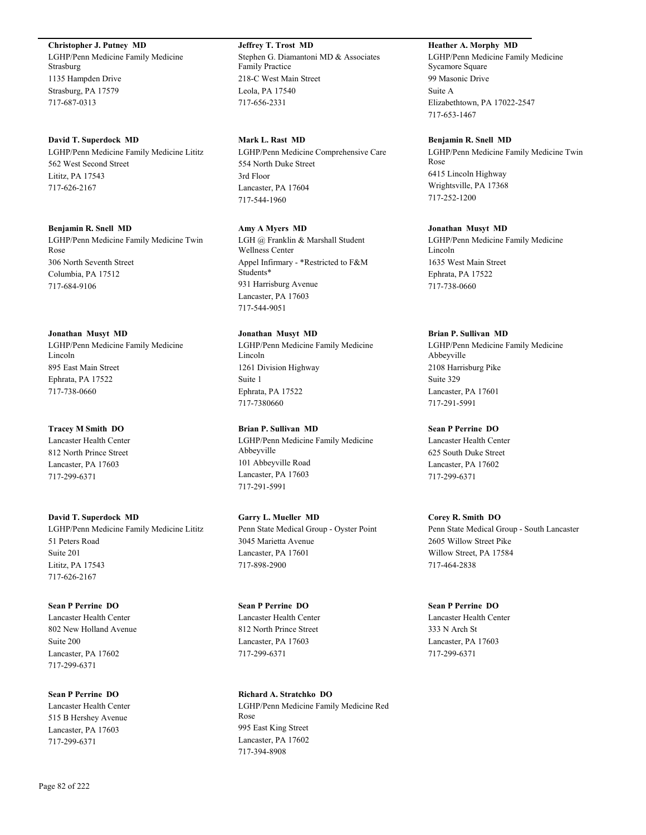**Christopher J. Putney MD**

LGHP/Penn Medicine Family Medicine Strasburg 1135 Hampden Drive Strasburg, PA 17579 717-687-0313

#### **David T. Superdock MD**

LGHP/Penn Medicine Family Medicine Lititz 562 West Second Street Lititz, PA 17543 717-626-2167

#### **Benjamin R. Snell MD**

LGHP/Penn Medicine Family Medicine Twin Rose 306 North Seventh Street Columbia, PA 17512 717-684-9106

#### **Jonathan Musyt MD**

LGHP/Penn Medicine Family Medicine Lincoln 895 East Main Street Ephrata, PA 17522 717-738-0660

#### **Tracey M Smith DO**

Lancaster Health Center 812 North Prince Street Lancaster, PA 17603 717-299-6371

**David T. Superdock MD** LGHP/Penn Medicine Family Medicine Lititz 51 Peters Road Suite 201 Lititz, PA 17543 717-626-2167

**Sean P Perrine DO** Lancaster Health Center 802 New Holland Avenue Suite 200 Lancaster, PA 17602 717-299-6371

**Sean P Perrine DO** Lancaster Health Center 515 B Hershey Avenue Lancaster, PA 17603 717-299-6371

**Jeffrey T. Trost MD** Stephen G. Diamantoni MD & Associates Family Practice 218-C West Main Street Leola, PA 17540 717-656-2331

## **Mark L. Rast MD**

LGHP/Penn Medicine Comprehensive Care 554 North Duke Street 3rd Floor Lancaster, PA 17604 717-544-1960

#### **Amy A Myers MD**

LGH @ Franklin & Marshall Student Wellness Center Appel Infirmary - \*Restricted to F&M Students\* 931 Harrisburg Avenue Lancaster, PA 17603 717-544-9051

#### **Jonathan Musyt MD**

LGHP/Penn Medicine Family Medicine Lincoln 1261 Division Highway Suite 1 Ephrata, PA 17522 717-7380660

## **Brian P. Sullivan MD** LGHP/Penn Medicine Family Medicine Abbeyville 101 Abbeyville Road Lancaster, PA 17603 717-291-5991

**Garry L. Mueller MD** Penn State Medical Group - Oyster Point 3045 Marietta Avenue Lancaster, PA 17601 717-898-2900

**Sean P Perrine DO** Lancaster Health Center 812 North Prince Street Lancaster, PA 17603 717-299-6371

**Richard A. Stratchko DO** LGHP/Penn Medicine Family Medicine Red Rose 995 East King Street Lancaster, PA 17602 717-394-8908

## **Heather A. Morphy MD**

LGHP/Penn Medicine Family Medicine Sycamore Square 99 Masonic Drive Suite A Elizabethtown, PA 17022-2547 717-653-1467

#### **Benjamin R. Snell MD**

LGHP/Penn Medicine Family Medicine Twin Rose 6415 Lincoln Highway Wrightsville, PA 17368 717-252-1200

#### **Jonathan Musyt MD**

LGHP/Penn Medicine Family Medicine Lincoln 1635 West Main Street Ephrata, PA 17522 717-738-0660

#### **Brian P. Sullivan MD**

LGHP/Penn Medicine Family Medicine Abbeyville 2108 Harrisburg Pike Suite 329 Lancaster, PA 17601 717-291-5991

#### **Sean P Perrine DO**

Lancaster Health Center 625 South Duke Street Lancaster, PA 17602 717-299-6371

#### **Corey R. Smith DO**

Penn State Medical Group - South Lancaster 2605 Willow Street Pike Willow Street, PA 17584 717-464-2838

## **Sean P Perrine DO**

Lancaster Health Center 333 N Arch St Lancaster, PA 17603 717-299-6371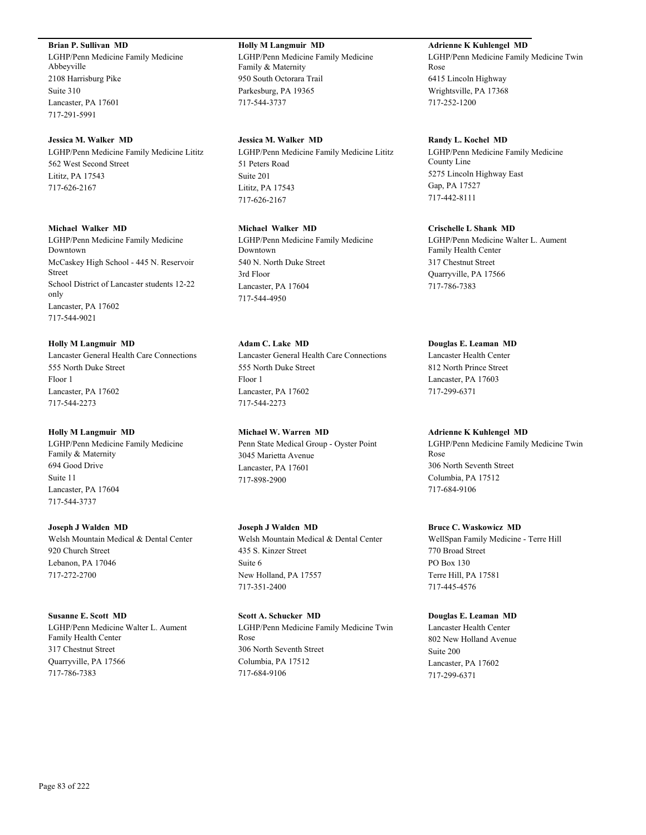### **Brian P. Sullivan MD**

LGHP/Penn Medicine Family Medicine Abbeyville 2108 Harrisburg Pike Suite 310 Lancaster, PA 17601 717-291-5991

#### **Jessica M. Walker MD**

LGHP/Penn Medicine Family Medicine Lititz 562 West Second Street Lititz, PA 17543 717-626-2167

#### **Michael Walker MD**

LGHP/Penn Medicine Family Medicine Downtown McCaskey High School - 445 N. Reservoir Street School District of Lancaster students 12-22 only Lancaster, PA 17602 717-544-9021

#### **Holly M Langmuir MD**

Lancaster General Health Care Connections 555 North Duke Street Floor 1 Lancaster, PA 17602 717-544-2273

#### **Holly M Langmuir MD**

LGHP/Penn Medicine Family Medicine Family & Maternity 694 Good Drive Suite 11 Lancaster, PA 17604 717-544-3737

## **Joseph J Walden MD** Welsh Mountain Medical & Dental Center 920 Church Street Lebanon, PA 17046 717-272-2700

#### **Susanne E. Scott MD**

LGHP/Penn Medicine Walter L. Aument Family Health Center 317 Chestnut Street Quarryville, PA 17566 717-786-7383

## **Holly M Langmuir MD** LGHP/Penn Medicine Family Medicine Family & Maternity

950 South Octorara Trail Parkesburg, PA 19365 717-544-3737

## **Jessica M. Walker MD**

LGHP/Penn Medicine Family Medicine Lititz 51 Peters Road Suite 201 Lititz, PA 17543 717-626-2167

## **Michael Walker MD**

LGHP/Penn Medicine Family Medicine Downtown 540 N. North Duke Street 3rd Floor Lancaster, PA 17604 717-544-4950

## **Adam C. Lake MD**

Lancaster General Health Care Connections 555 North Duke Street Floor 1 Lancaster, PA 17602 717-544-2273

#### **Michael W. Warren MD**

Penn State Medical Group - Oyster Point 3045 Marietta Avenue Lancaster, PA 17601 717-898-2900

### **Joseph J Walden MD**

Welsh Mountain Medical & Dental Center 435 S. Kinzer Street Suite 6 New Holland, PA 17557 717-351-2400

## **Scott A. Schucker MD**

LGHP/Penn Medicine Family Medicine Twin Rose 306 North Seventh Street Columbia, PA 17512 717-684-9106

## **Adrienne K Kuhlengel MD**

LGHP/Penn Medicine Family Medicine Twin Rose 6415 Lincoln Highway Wrightsville, PA 17368 717-252-1200

#### **Randy L. Kochel MD**

LGHP/Penn Medicine Family Medicine County Line 5275 Lincoln Highway East Gap, PA 17527 717-442-8111

#### **Crischelle L Shank MD**

LGHP/Penn Medicine Walter L. Aument Family Health Center 317 Chestnut Street Quarryville, PA 17566 717-786-7383

#### **Douglas E. Leaman MD**

Lancaster Health Center 812 North Prince Street Lancaster, PA 17603 717-299-6371

#### **Adrienne K Kuhlengel MD**

LGHP/Penn Medicine Family Medicine Twin Rose 306 North Seventh Street Columbia, PA 17512 717-684-9106

#### **Bruce C. Waskowicz MD**

WellSpan Family Medicine - Terre Hill 770 Broad Street PO Box 130 Terre Hill, PA 17581 717-445-4576

#### **Douglas E. Leaman MD**

Lancaster Health Center 802 New Holland Avenue Suite 200 Lancaster, PA 17602 717-299-6371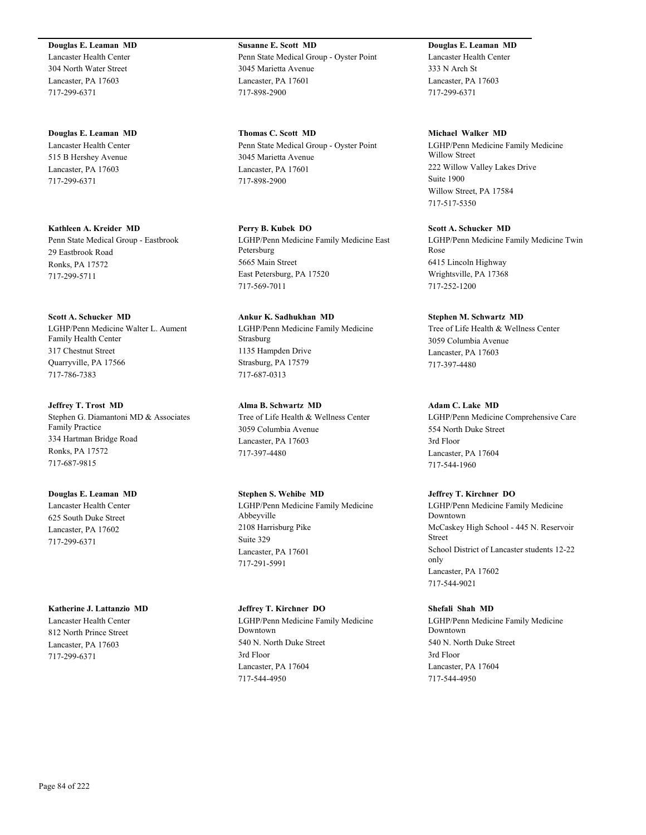**Douglas E. Leaman MD** Lancaster Health Center 304 North Water Street Lancaster, PA 17603 717-299-6371

**Douglas E. Leaman MD** Lancaster Health Center 515 B Hershey Avenue Lancaster, PA 17603 717-299-6371

**Kathleen A. Kreider MD** Penn State Medical Group - Eastbrook 29 Eastbrook Road Ronks, PA 17572 717-299-5711

**Scott A. Schucker MD** LGHP/Penn Medicine Walter L. Aument Family Health Center 317 Chestnut Street Quarryville, PA 17566 717-786-7383

### **Jeffrey T. Trost MD** Stephen G. Diamantoni MD & Associates Family Practice 334 Hartman Bridge Road Ronks, PA 17572 717-687-9815

## **Douglas E. Leaman MD** Lancaster Health Center 625 South Duke Street Lancaster, PA 17602 717-299-6371

**Katherine J. Lattanzio MD**

Lancaster Health Center 812 North Prince Street Lancaster, PA 17603 717-299-6371

**Susanne E. Scott MD** Penn State Medical Group - Oyster Point 3045 Marietta Avenue Lancaster, PA 17601 717-898-2900

**Thomas C. Scott MD** Penn State Medical Group - Oyster Point 3045 Marietta Avenue Lancaster, PA 17601 717-898-2900

**Perry B. Kubek DO** LGHP/Penn Medicine Family Medicine East Petersburg 5665 Main Street East Petersburg, PA 17520 717-569-7011

**Ankur K. Sadhukhan MD** LGHP/Penn Medicine Family Medicine Strasburg 1135 Hampden Drive Strasburg, PA 17579 717-687-0313

**Alma B. Schwartz MD** Tree of Life Health & Wellness Center 3059 Columbia Avenue Lancaster, PA 17603 717-397-4480

**Stephen S. Wehibe MD** LGHP/Penn Medicine Family Medicine Abbeyville 2108 Harrisburg Pike Suite 329 Lancaster, PA 17601 717-291-5991

**Jeffrey T. Kirchner DO** LGHP/Penn Medicine Family Medicine Downtown 540 N. North Duke Street 3rd Floor Lancaster, PA 17604 717-544-4950

**Douglas E. Leaman MD** Lancaster Health Center 333 N Arch St Lancaster, PA 17603 717-299-6371

**Michael Walker MD** LGHP/Penn Medicine Family Medicine Willow Street 222 Willow Valley Lakes Drive Suite 1900 Willow Street, PA 17584 717-517-5350

**Scott A. Schucker MD** LGHP/Penn Medicine Family Medicine Twin Rose 6415 Lincoln Highway Wrightsville, PA 17368 717-252-1200

## **Stephen M. Schwartz MD**

Tree of Life Health & Wellness Center 3059 Columbia Avenue Lancaster, PA 17603 717-397-4480

## **Adam C. Lake MD**

LGHP/Penn Medicine Comprehensive Care 554 North Duke Street 3rd Floor Lancaster, PA 17604 717-544-1960

## **Jeffrey T. Kirchner DO**

LGHP/Penn Medicine Family Medicine Downtown McCaskey High School - 445 N. Reservoir Street School District of Lancaster students 12-22 only Lancaster, PA 17602 717-544-9021

## **Shefali Shah MD**

LGHP/Penn Medicine Family Medicine Downtown 540 N. North Duke Street 3rd Floor Lancaster, PA 17604 717-544-4950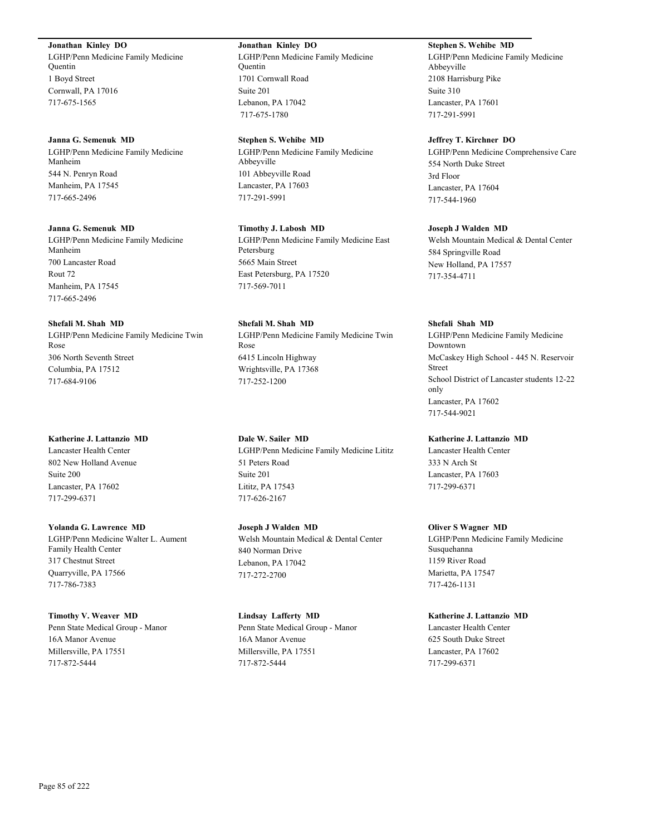**Jonathan Kinley DO**

LGHP/Penn Medicine Family Medicine Quentin 1 Boyd Street Cornwall, PA 17016 717-675-1565

#### **Janna G. Semenuk MD** LGHP/Penn Medicine Family Medicine Manheim

544 N. Penryn Road Manheim, PA 17545 717-665-2496

## **Janna G. Semenuk MD**

LGHP/Penn Medicine Family Medicine Manheim 700 Lancaster Road Rout 72 Manheim, PA 17545 717-665-2496

## **Shefali M. Shah MD**

LGHP/Penn Medicine Family Medicine Twin Rose 306 North Seventh Street Columbia, PA 17512 717-684-9106

## **Katherine J. Lattanzio MD**

Lancaster Health Center 802 New Holland Avenue Suite 200 Lancaster, PA 17602 717-299-6371

## **Yolanda G. Lawrence MD** LGHP/Penn Medicine Walter L. Aument Family Health Center 317 Chestnut Street Quarryville, PA 17566 717-786-7383

## **Timothy V. Weaver MD** Penn State Medical Group - Manor 16A Manor Avenue Millersville, PA 17551 717-872-5444

## **Jonathan Kinley DO**

LGHP/Penn Medicine Family Medicine Quentin 1701 Cornwall Road Suite 201 Lebanon, PA 17042 717-675-1780

## **Stephen S. Wehibe MD**

LGHP/Penn Medicine Family Medicine Abbeyville 101 Abbeyville Road Lancaster, PA 17603 717-291-5991

## **Timothy J. Labosh MD** LGHP/Penn Medicine Family Medicine East Petersburg 5665 Main Street East Petersburg, PA 17520 717-569-7011

**Shefali M. Shah MD** LGHP/Penn Medicine Family Medicine Twin Rose 6415 Lincoln Highway Wrightsville, PA 17368 717-252-1200

## **Dale W. Sailer MD** LGHP/Penn Medicine Family Medicine Lititz 51 Peters Road Suite 201 Lititz, PA 17543 717-626-2167

**Joseph J Walden MD** Welsh Mountain Medical & Dental Center 840 Norman Drive Lebanon, PA 17042 717-272-2700

## **Lindsay Lafferty MD**

Penn State Medical Group - Manor 16A Manor Avenue Millersville, PA 17551 717-872-5444

## **Stephen S. Wehibe MD**

LGHP/Penn Medicine Family Medicine Abbeyville 2108 Harrisburg Pike Suite 310 Lancaster, PA 17601 717-291-5991

## **Jeffrey T. Kirchner DO**

LGHP/Penn Medicine Comprehensive Care 554 North Duke Street 3rd Floor Lancaster, PA 17604 717-544-1960

## **Joseph J Walden MD**

Welsh Mountain Medical & Dental Center 584 Springville Road New Holland, PA 17557 717-354-4711

## **Shefali Shah MD**

LGHP/Penn Medicine Family Medicine Downtown McCaskey High School - 445 N. Reservoir Street School District of Lancaster students 12-22 only Lancaster, PA 17602 717-544-9021

## **Katherine J. Lattanzio MD**

Lancaster Health Center 333 N Arch St Lancaster, PA 17603 717-299-6371

## **Oliver S Wagner MD**

LGHP/Penn Medicine Family Medicine Susquehanna 1159 River Road Marietta, PA 17547 717-426-1131

## **Katherine J. Lattanzio MD**

Lancaster Health Center 625 South Duke Street Lancaster, PA 17602 717-299-6371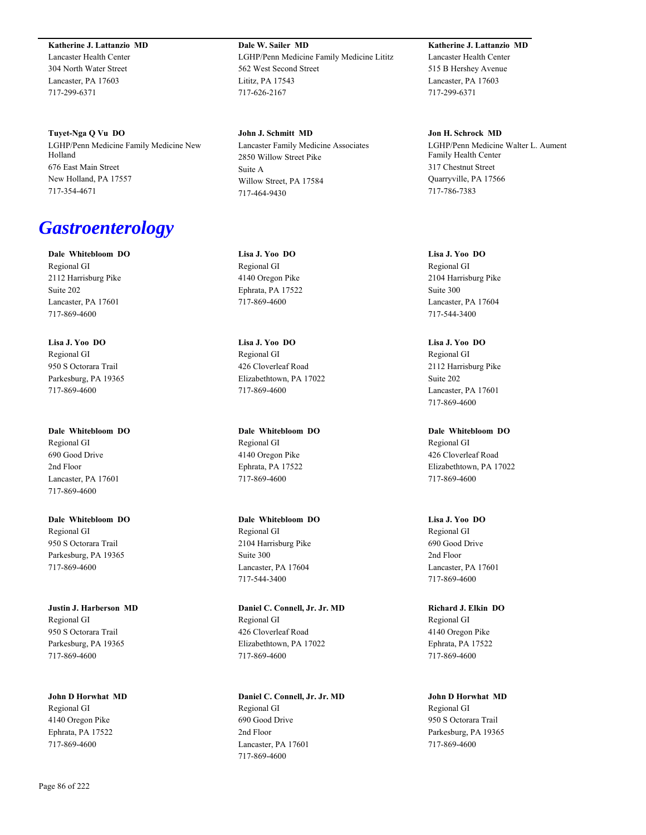**Katherine J. Lattanzio MD**

Lancaster Health Center 304 North Water Street Lancaster, PA 17603 717-299-6371

**Tuyet-Nga Q Vu DO** LGHP/Penn Medicine Family Medicine New Holland 676 East Main Street New Holland, PA 17557 717-354-4671

# *Gastroenterology*

**Dale Whitebloom DO** Regional GI 2112 Harrisburg Pike Suite 202 Lancaster, PA 17601 717-869-4600

**Lisa J. Yoo DO** Regional GI 950 S Octorara Trail Parkesburg, PA 19365 717-869-4600

**Dale Whitebloom DO** Regional GI 690 Good Drive 2nd Floor Lancaster, PA 17601 717-869-4600

**Dale Whitebloom DO** Regional GI 950 S Octorara Trail Parkesburg, PA 19365 717-869-4600

**Justin J. Harberson MD** Regional GI 950 S Octorara Trail Parkesburg, PA 19365 717-869-4600

**John D Horwhat MD** Regional GI 4140 Oregon Pike Ephrata, PA 17522 717-869-4600

**Dale W. Sailer MD** LGHP/Penn Medicine Family Medicine Lititz 562 West Second Street Lititz, PA 17543 717-626-2167

**John J. Schmitt MD** Lancaster Family Medicine Associates 2850 Willow Street Pike Suite A Willow Street, PA 17584 717-464-9430

**Lisa J. Yoo DO** Regional GI 4140 Oregon Pike Ephrata, PA 17522 717-869-4600

**Lisa J. Yoo DO** Regional GI 426 Cloverleaf Road Elizabethtown, PA 17022 717-869-4600

**Dale Whitebloom DO** Regional GI 4140 Oregon Pike Ephrata, PA 17522 717-869-4600

**Dale Whitebloom DO** Regional GI 2104 Harrisburg Pike Suite 300 Lancaster, PA 17604 717-544-3400

**Daniel C. Connell, Jr. Jr. MD** Regional GI 426 Cloverleaf Road Elizabethtown, PA 17022 717-869-4600

**Daniel C. Connell, Jr. Jr. MD** Regional GI 690 Good Drive 2nd Floor Lancaster, PA 17601 717-869-4600

**Katherine J. Lattanzio MD** Lancaster Health Center 515 B Hershey Avenue Lancaster, PA 17603 717-299-6371

**Jon H. Schrock MD** LGHP/Penn Medicine Walter L. Aument Family Health Center 317 Chestnut Street Quarryville, PA 17566 717-786-7383

**Lisa J. Yoo DO** Regional GI 2104 Harrisburg Pike Suite 300 Lancaster, PA 17604 717-544-3400

**Lisa J. Yoo DO** Regional GI 2112 Harrisburg Pike Suite 202 Lancaster, PA 17601 717-869-4600

**Dale Whitebloom DO** Regional GI 426 Cloverleaf Road Elizabethtown, PA 17022 717-869-4600

**Lisa J. Yoo DO** Regional GI 690 Good Drive 2nd Floor Lancaster, PA 17601 717-869-4600

**Richard J. Elkin DO** Regional GI 4140 Oregon Pike Ephrata, PA 17522 717-869-4600

**John D Horwhat MD** Regional GI 950 S Octorara Trail Parkesburg, PA 19365 717-869-4600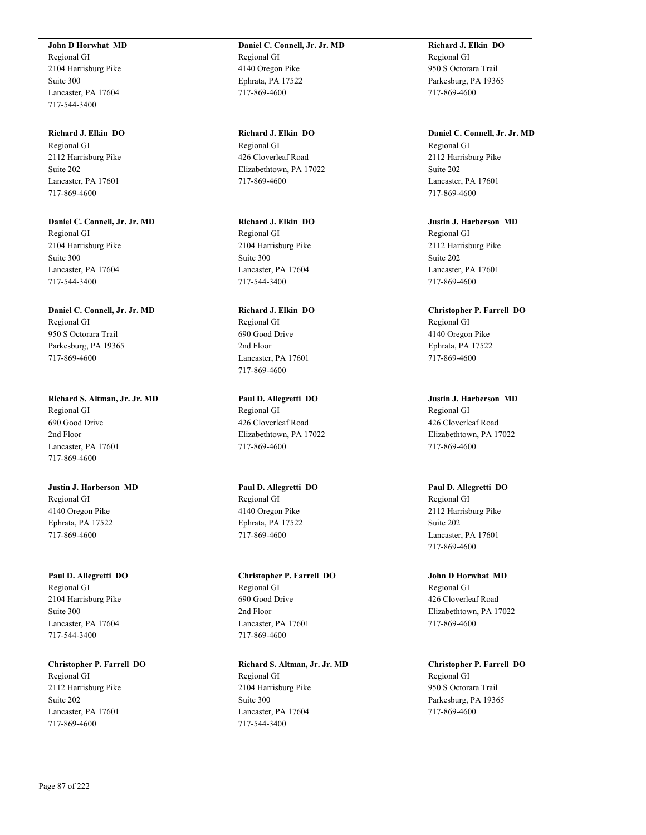**John D Horwhat MD**

Regional GI 2104 Harrisburg Pike Suite 300 Lancaster, PA 17604 717-544-3400

**Richard J. Elkin DO** Regional GI 2112 Harrisburg Pike Suite 202 Lancaster, PA 17601 717-869-4600

**Daniel C. Connell, Jr. Jr. MD** Regional GI 2104 Harrisburg Pike Suite 300 Lancaster, PA 17604 717-544-3400

**Daniel C. Connell, Jr. Jr. MD** Regional GI 950 S Octorara Trail Parkesburg, PA 19365 717-869-4600

**Richard S. Altman, Jr. Jr. MD** Regional GI 690 Good Drive 2nd Floor Lancaster, PA 17601 717-869-4600

**Justin J. Harberson MD** Regional GI 4140 Oregon Pike Ephrata, PA 17522 717-869-4600

**Paul D. Allegretti DO** Regional GI 2104 Harrisburg Pike Suite 300 Lancaster, PA 17604 717-544-3400

**Christopher P. Farrell DO** Regional GI 2112 Harrisburg Pike Suite 202 Lancaster, PA 17601 717-869-4600

**Daniel C. Connell, Jr. Jr. MD** Regional GI 4140 Oregon Pike Ephrata, PA 17522 717-869-4600

**Richard J. Elkin DO** Regional GI 426 Cloverleaf Road Elizabethtown, PA 17022 717-869-4600

**Richard J. Elkin DO** Regional GI 2104 Harrisburg Pike Suite 300 Lancaster, PA 17604 717-544-3400

**Richard J. Elkin DO** Regional GI 690 Good Drive 2nd Floor Lancaster, PA 17601 717-869-4600

**Paul D. Allegretti DO** Regional GI 426 Cloverleaf Road Elizabethtown, PA 17022 717-869-4600

**Paul D. Allegretti DO** Regional GI 4140 Oregon Pike Ephrata, PA 17522 717-869-4600

**Christopher P. Farrell DO** Regional GI 690 Good Drive 2nd Floor Lancaster, PA 17601 717-869-4600

**Richard S. Altman, Jr. Jr. MD** Regional GI 2104 Harrisburg Pike Suite 300 Lancaster, PA 17604 717-544-3400

**Richard J. Elkin DO** Regional GI 950 S Octorara Trail Parkesburg, PA 19365 717-869-4600

**Daniel C. Connell, Jr. Jr. MD** Regional GI 2112 Harrisburg Pike Suite 202 Lancaster, PA 17601 717-869-4600

**Justin J. Harberson MD** Regional GI 2112 Harrisburg Pike Suite 202 Lancaster, PA 17601 717-869-4600

**Christopher P. Farrell DO** Regional GI 4140 Oregon Pike Ephrata, PA 17522 717-869-4600

**Justin J. Harberson MD** Regional GI 426 Cloverleaf Road Elizabethtown, PA 17022 717-869-4600

**Paul D. Allegretti DO** Regional GI 2112 Harrisburg Pike Suite 202 Lancaster, PA 17601 717-869-4600

**John D Horwhat MD** Regional GI 426 Cloverleaf Road Elizabethtown, PA 17022 717-869-4600

**Christopher P. Farrell DO** Regional GI 950 S Octorara Trail Parkesburg, PA 19365 717-869-4600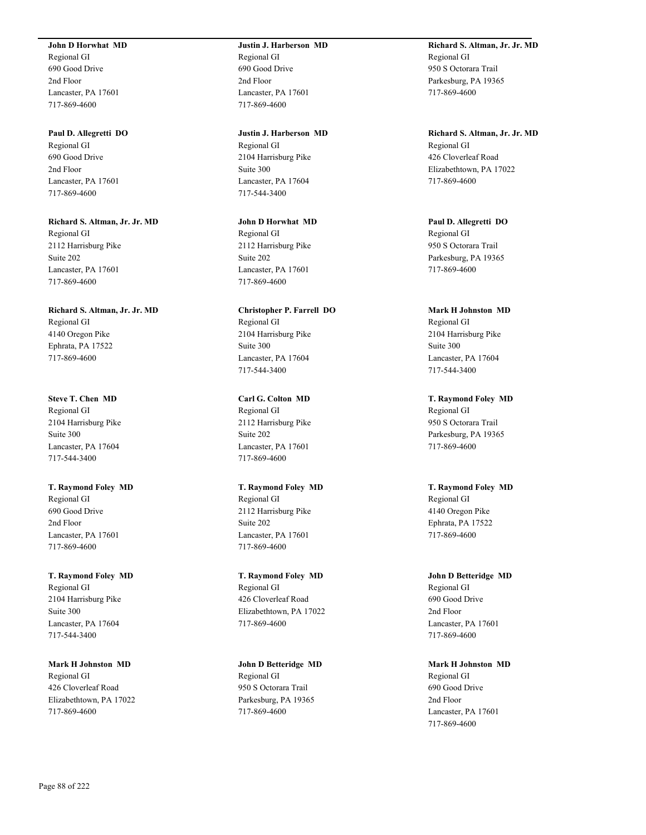#### **John D Horwhat MD**

Regional GI 690 Good Drive 2nd Floor Lancaster, PA 17601 717-869-4600

#### **Paul D. Allegretti DO**

Regional GI 690 Good Drive 2nd Floor Lancaster, PA 17601 717-869-4600

**Richard S. Altman, Jr. Jr. MD** Regional GI 2112 Harrisburg Pike Suite 202 Lancaster, PA 17601 717-869-4600

**Richard S. Altman, Jr. Jr. MD** Regional GI 4140 Oregon Pike Ephrata, PA 17522 717-869-4600

**Steve T. Chen MD** Regional GI 2104 Harrisburg Pike Suite 300 Lancaster, PA 17604 717-544-3400

**T. Raymond Foley MD** Regional GI 690 Good Drive 2nd Floor Lancaster, PA 17601 717-869-4600

**T. Raymond Foley MD** Regional GI 2104 Harrisburg Pike Suite 300 Lancaster, PA 17604 717-544-3400

**Mark H Johnston MD** Regional GI 426 Cloverleaf Road Elizabethtown, PA 17022 717-869-4600

## **Justin J. Harberson MD** Regional GI 690 Good Drive 2nd Floor Lancaster, PA 17601 717-869-4600

**Justin J. Harberson MD** Regional GI 2104 Harrisburg Pike Suite 300 Lancaster, PA 17604 717-544-3400

**John D Horwhat MD** Regional GI 2112 Harrisburg Pike Suite 202 Lancaster, PA 17601 717-869-4600

**Christopher P. Farrell DO** Regional GI 2104 Harrisburg Pike Suite 300 Lancaster, PA 17604 717-544-3400

**Carl G. Colton MD** Regional GI 2112 Harrisburg Pike Suite 202 Lancaster, PA 17601 717-869-4600

**T. Raymond Foley MD** Regional GI 2112 Harrisburg Pike Suite 202 Lancaster, PA 17601 717-869-4600

**T. Raymond Foley MD** Regional GI 426 Cloverleaf Road Elizabethtown, PA 17022 717-869-4600

**John D Betteridge MD** Regional GI 950 S Octorara Trail Parkesburg, PA 19365 717-869-4600

**Richard S. Altman, Jr. Jr. MD** Regional GI 950 S Octorara Trail Parkesburg, PA 19365 717-869-4600

**Richard S. Altman, Jr. Jr. MD** Regional GI 426 Cloverleaf Road Elizabethtown, PA 17022 717-869-4600

**Paul D. Allegretti DO** Regional GI 950 S Octorara Trail Parkesburg, PA 19365 717-869-4600

**Mark H Johnston MD** Regional GI 2104 Harrisburg Pike Suite 300 Lancaster, PA 17604 717-544-3400

**T. Raymond Foley MD** Regional GI 950 S Octorara Trail Parkesburg, PA 19365 717-869-4600

**T. Raymond Foley MD** Regional GI 4140 Oregon Pike Ephrata, PA 17522 717-869-4600

**John D Betteridge MD** Regional GI 690 Good Drive 2nd Floor Lancaster, PA 17601 717-869-4600

**Mark H Johnston MD** Regional GI 690 Good Drive 2nd Floor Lancaster, PA 17601 717-869-4600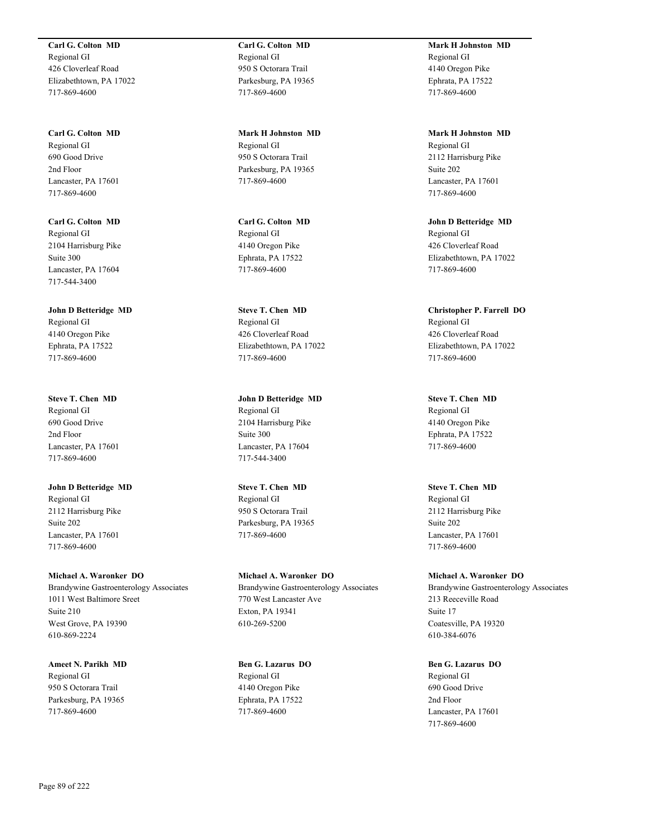**Carl G. Colton MD** Regional GI 426 Cloverleaf Road Elizabethtown, PA 17022 717-869-4600

**Carl G. Colton MD** Regional GI 690 Good Drive 2nd Floor Lancaster, PA 17601 717-869-4600

**Carl G. Colton MD** Regional GI 2104 Harrisburg Pike Suite 300 Lancaster, PA 17604 717-544-3400

**John D Betteridge MD** Regional GI 4140 Oregon Pike Ephrata, PA 17522 717-869-4600

**Steve T. Chen MD** Regional GI 690 Good Drive 2nd Floor Lancaster, PA 17601 717-869-4600

**John D Betteridge MD** Regional GI 2112 Harrisburg Pike Suite 202 Lancaster, PA 17601 717-869-4600

**Michael A. Waronker DO** Brandywine Gastroenterology Associates 1011 West Baltimore Sreet Suite 210 West Grove, PA 19390 610-869-2224

**Ameet N. Parikh MD** Regional GI 950 S Octorara Trail Parkesburg, PA 19365 717-869-4600

**Carl G. Colton MD** Regional GI 950 S Octorara Trail Parkesburg, PA 19365 717-869-4600

**Mark H Johnston MD** Regional GI 950 S Octorara Trail Parkesburg, PA 19365 717-869-4600

**Carl G. Colton MD** Regional GI 4140 Oregon Pike Ephrata, PA 17522 717-869-4600

**Steve T. Chen MD** Regional GI 426 Cloverleaf Road Elizabethtown, PA 17022 717-869-4600

**John D Betteridge MD** Regional GI 2104 Harrisburg Pike Suite 300 Lancaster, PA 17604 717-544-3400

**Steve T. Chen MD** Regional GI 950 S Octorara Trail Parkesburg, PA 19365 717-869-4600

**Michael A. Waronker DO** Brandywine Gastroenterology Associates 770 West Lancaster Ave Exton, PA 19341 610-269-5200

**Ben G. Lazarus DO** Regional GI 4140 Oregon Pike Ephrata, PA 17522 717-869-4600

**Mark H Johnston MD** Regional GI 4140 Oregon Pike Ephrata, PA 17522 717-869-4600

**Mark H Johnston MD** Regional GI 2112 Harrisburg Pike Suite 202 Lancaster, PA 17601 717-869-4600

**John D Betteridge MD** Regional GI 426 Cloverleaf Road Elizabethtown, PA 17022 717-869-4600

**Christopher P. Farrell DO** Regional GI 426 Cloverleaf Road Elizabethtown, PA 17022 717-869-4600

**Steve T. Chen MD** Regional GI 4140 Oregon Pike Ephrata, PA 17522 717-869-4600

**Steve T. Chen MD** Regional GI 2112 Harrisburg Pike Suite 202 Lancaster, PA 17601 717-869-4600

**Michael A. Waronker DO** Brandywine Gastroenterology Associates 213 Reeceville Road Suite 17 Coatesville, PA 19320 610-384-6076

**Ben G. Lazarus DO** Regional GI 690 Good Drive 2nd Floor Lancaster, PA 17601 717-869-4600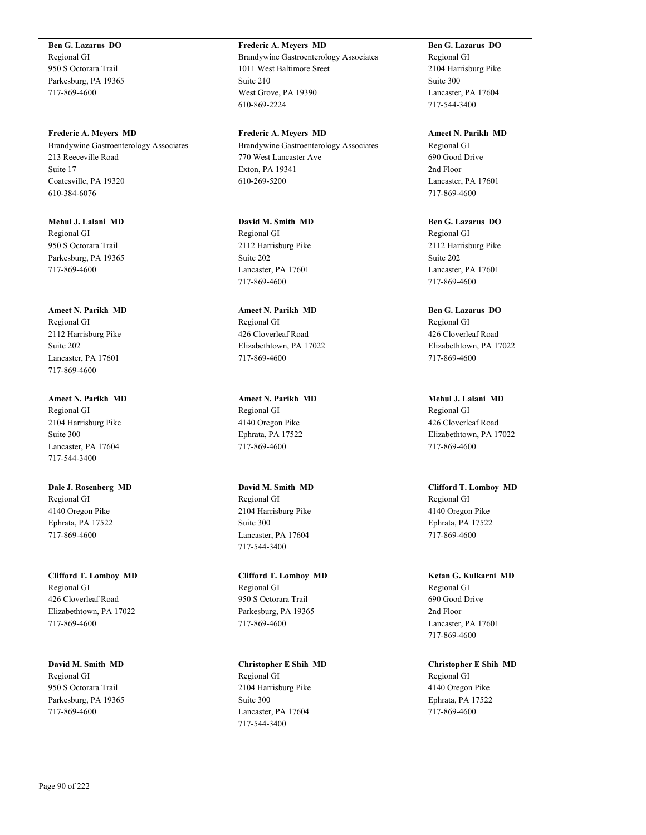**Ben G. Lazarus DO** Regional GI 950 S Octorara Trail Parkesburg, PA 19365 717-869-4600

**Frederic A. Meyers MD** Brandywine Gastroenterology Associates 213 Reeceville Road Suite 17 Coatesville, PA 19320 610-384-6076

**Mehul J. Lalani MD** Regional GI 950 S Octorara Trail Parkesburg, PA 19365 717-869-4600

**Ameet N. Parikh MD** Regional GI 2112 Harrisburg Pike Suite 202 Lancaster, PA 17601 717-869-4600

**Ameet N. Parikh MD** Regional GI 2104 Harrisburg Pike Suite 300 Lancaster, PA 17604 717-544-3400

**Dale J. Rosenberg MD** Regional GI 4140 Oregon Pike Ephrata, PA 17522 717-869-4600

**Clifford T. Lomboy MD** Regional GI 426 Cloverleaf Road Elizabethtown, PA 17022 717-869-4600

**David M. Smith MD** Regional GI 950 S Octorara Trail Parkesburg, PA 19365 717-869-4600

**Frederic A. Meyers MD** Brandywine Gastroenterology Associates 1011 West Baltimore Sreet Suite 210 West Grove, PA 19390 610-869-2224

**Frederic A. Meyers MD** Brandywine Gastroenterology Associates 770 West Lancaster Ave Exton, PA 19341 610-269-5200

**David M. Smith MD** Regional GI 2112 Harrisburg Pike Suite 202 Lancaster, PA 17601 717-869-4600

**Ameet N. Parikh MD** Regional GI 426 Cloverleaf Road Elizabethtown, PA 17022 717-869-4600

**Ameet N. Parikh MD** Regional GI 4140 Oregon Pike Ephrata, PA 17522 717-869-4600

**David M. Smith MD** Regional GI 2104 Harrisburg Pike Suite 300 Lancaster, PA 17604 717-544-3400

**Clifford T. Lomboy MD** Regional GI 950 S Octorara Trail Parkesburg, PA 19365 717-869-4600

**Christopher E Shih MD** Regional GI 2104 Harrisburg Pike Suite 300 Lancaster, PA 17604 717-544-3400

**Ben G. Lazarus DO** Regional GI 2104 Harrisburg Pike Suite 300 Lancaster, PA 17604 717-544-3400

**Ameet N. Parikh MD** Regional GI 690 Good Drive 2nd Floor Lancaster, PA 17601 717-869-4600

**Ben G. Lazarus DO** Regional GI 2112 Harrisburg Pike Suite 202 Lancaster, PA 17601 717-869-4600

**Ben G. Lazarus DO** Regional GI 426 Cloverleaf Road Elizabethtown, PA 17022 717-869-4600

**Mehul J. Lalani MD** Regional GI 426 Cloverleaf Road Elizabethtown, PA 17022 717-869-4600

**Clifford T. Lomboy MD** Regional GI 4140 Oregon Pike Ephrata, PA 17522 717-869-4600

**Ketan G. Kulkarni MD** Regional GI 690 Good Drive 2nd Floor Lancaster, PA 17601 717-869-4600

**Christopher E Shih MD** Regional GI 4140 Oregon Pike Ephrata, PA 17522 717-869-4600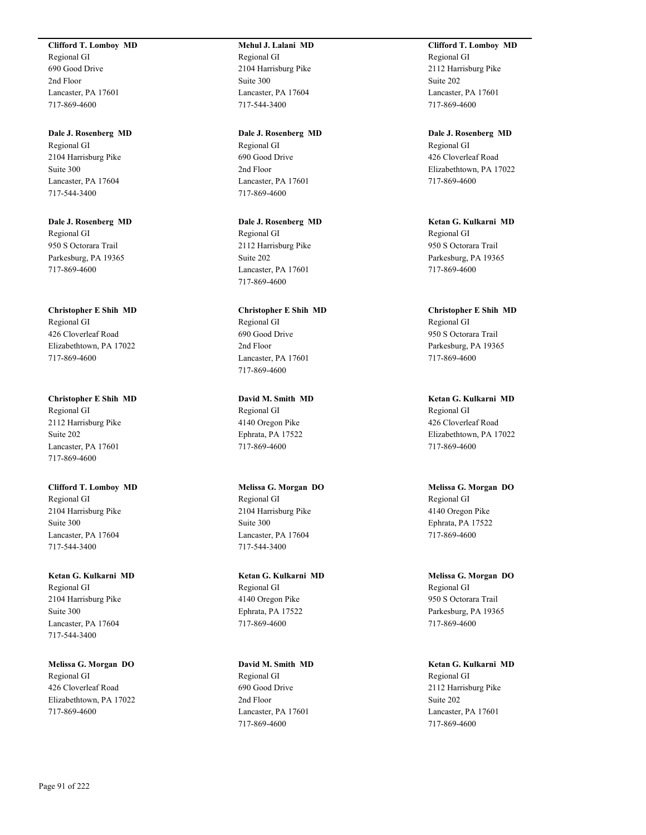#### **Clifford T. Lomboy MD**

Regional GI 690 Good Drive 2nd Floor Lancaster, PA 17601 717-869-4600

## **Dale J. Rosenberg MD**

Regional GI 2104 Harrisburg Pike Suite 300 Lancaster, PA 17604 717-544-3400

**Dale J. Rosenberg MD** Regional GI 950 S Octorara Trail Parkesburg, PA 19365 717-869-4600

**Christopher E Shih MD** Regional GI 426 Cloverleaf Road Elizabethtown, PA 17022 717-869-4600

**Christopher E Shih MD** Regional GI 2112 Harrisburg Pike Suite 202 Lancaster, PA 17601 717-869-4600

**Clifford T. Lomboy MD** Regional GI 2104 Harrisburg Pike Suite 300 Lancaster, PA 17604 717-544-3400

**Ketan G. Kulkarni MD** Regional GI 2104 Harrisburg Pike Suite 300 Lancaster, PA 17604 717-544-3400

**Melissa G. Morgan DO** Regional GI 426 Cloverleaf Road Elizabethtown, PA 17022 717-869-4600

## **Mehul J. Lalani MD** Regional GI 2104 Harrisburg Pike Suite 300 Lancaster, PA 17604 717-544-3400

**Dale J. Rosenberg MD** Regional GI 690 Good Drive 2nd Floor Lancaster, PA 17601 717-869-4600

**Dale J. Rosenberg MD** Regional GI 2112 Harrisburg Pike Suite 202 Lancaster, PA 17601 717-869-4600

**Christopher E Shih MD** Regional GI 690 Good Drive 2nd Floor Lancaster, PA 17601 717-869-4600

**David M. Smith MD** Regional GI 4140 Oregon Pike Ephrata, PA 17522 717-869-4600

**Melissa G. Morgan DO** Regional GI 2104 Harrisburg Pike Suite 300 Lancaster, PA 17604 717-544-3400

**Ketan G. Kulkarni MD** Regional GI 4140 Oregon Pike Ephrata, PA 17522 717-869-4600

**David M. Smith MD** Regional GI 690 Good Drive 2nd Floor Lancaster, PA 17601 717-869-4600

**Clifford T. Lomboy MD** Regional GI 2112 Harrisburg Pike Suite 202 Lancaster, PA 17601 717-869-4600

**Dale J. Rosenberg MD** Regional GI 426 Cloverleaf Road Elizabethtown, PA 17022 717-869-4600

**Ketan G. Kulkarni MD** Regional GI 950 S Octorara Trail Parkesburg, PA 19365 717-869-4600

**Christopher E Shih MD** Regional GI 950 S Octorara Trail Parkesburg, PA 19365 717-869-4600

**Ketan G. Kulkarni MD** Regional GI 426 Cloverleaf Road Elizabethtown, PA 17022 717-869-4600

**Melissa G. Morgan DO** Regional GI 4140 Oregon Pike Ephrata, PA 17522 717-869-4600

**Melissa G. Morgan DO** Regional GI 950 S Octorara Trail Parkesburg, PA 19365 717-869-4600

**Ketan G. Kulkarni MD** Regional GI 2112 Harrisburg Pike Suite 202 Lancaster, PA 17601 717-869-4600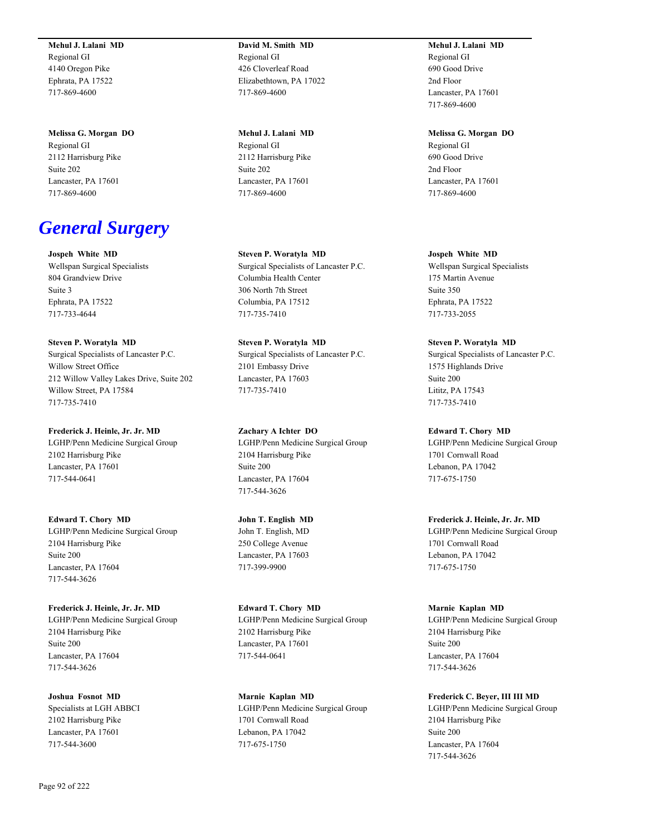**Mehul J. Lalani MD** Regional GI 4140 Oregon Pike Ephrata, PA 17522 717-869-4600

**Melissa G. Morgan DO** Regional GI 2112 Harrisburg Pike Suite 202 Lancaster, PA 17601 717-869-4600

# *General Surgery*

**Jospeh White MD** Wellspan Surgical Specialists 804 Grandview Drive Suite 3 Ephrata, PA 17522 717-733-4644

**Steven P. Woratyla MD** Surgical Specialists of Lancaster P.C. Willow Street Office 212 Willow Valley Lakes Drive, Suite 202 Willow Street, PA 17584 717-735-7410

**Frederick J. Heinle, Jr. Jr. MD** LGHP/Penn Medicine Surgical Group 2102 Harrisburg Pike Lancaster, PA 17601 717-544-0641

**Edward T. Chory MD** LGHP/Penn Medicine Surgical Group 2104 Harrisburg Pike Suite 200 Lancaster, PA 17604 717-544-3626

**Frederick J. Heinle, Jr. Jr. MD** LGHP/Penn Medicine Surgical Group 2104 Harrisburg Pike Suite 200 Lancaster, PA 17604 717-544-3626

**Joshua Fosnot MD** Specialists at LGH ABBCI 2102 Harrisburg Pike Lancaster, PA 17601 717-544-3600

**David M. Smith MD** Regional GI 426 Cloverleaf Road Elizabethtown, PA 17022 717-869-4600

**Mehul J. Lalani MD** Regional GI 2112 Harrisburg Pike Suite 202 Lancaster, PA 17601 717-869-4600

**Steven P. Woratyla MD** Surgical Specialists of Lancaster P.C. Columbia Health Center 306 North 7th Street Columbia, PA 17512 717-735-7410

**Steven P. Woratyla MD** Surgical Specialists of Lancaster P.C. 2101 Embassy Drive Lancaster, PA 17603 717-735-7410

**Zachary A Ichter DO** LGHP/Penn Medicine Surgical Group 2104 Harrisburg Pike Suite 200 Lancaster, PA 17604 717-544-3626

**John T. English MD** John T. English, MD 250 College Avenue Lancaster, PA 17603 717-399-9900

**Edward T. Chory MD** LGHP/Penn Medicine Surgical Group 2102 Harrisburg Pike Lancaster, PA 17601 717-544-0641

**Marnie Kaplan MD** LGHP/Penn Medicine Surgical Group 1701 Cornwall Road Lebanon, PA 17042 717-675-1750

**Mehul J. Lalani MD** Regional GI 690 Good Drive 2nd Floor Lancaster, PA 17601 717-869-4600

**Melissa G. Morgan DO** Regional GI

690 Good Drive 2nd Floor Lancaster, PA 17601 717-869-4600

**Jospeh White MD** Wellspan Surgical Specialists 175 Martin Avenue Suite 350 Ephrata, PA 17522 717-733-2055

**Steven P. Woratyla MD** Surgical Specialists of Lancaster P.C. 1575 Highlands Drive Suite 200 Lititz, PA 17543 717-735-7410

**Edward T. Chory MD** LGHP/Penn Medicine Surgical Group 1701 Cornwall Road Lebanon, PA 17042 717-675-1750

**Frederick J. Heinle, Jr. Jr. MD** LGHP/Penn Medicine Surgical Group 1701 Cornwall Road Lebanon, PA 17042 717-675-1750

**Marnie Kaplan MD** LGHP/Penn Medicine Surgical Group 2104 Harrisburg Pike Suite 200 Lancaster, PA 17604 717-544-3626

**Frederick C. Beyer, III III MD** LGHP/Penn Medicine Surgical Group 2104 Harrisburg Pike Suite 200 Lancaster, PA 17604 717-544-3626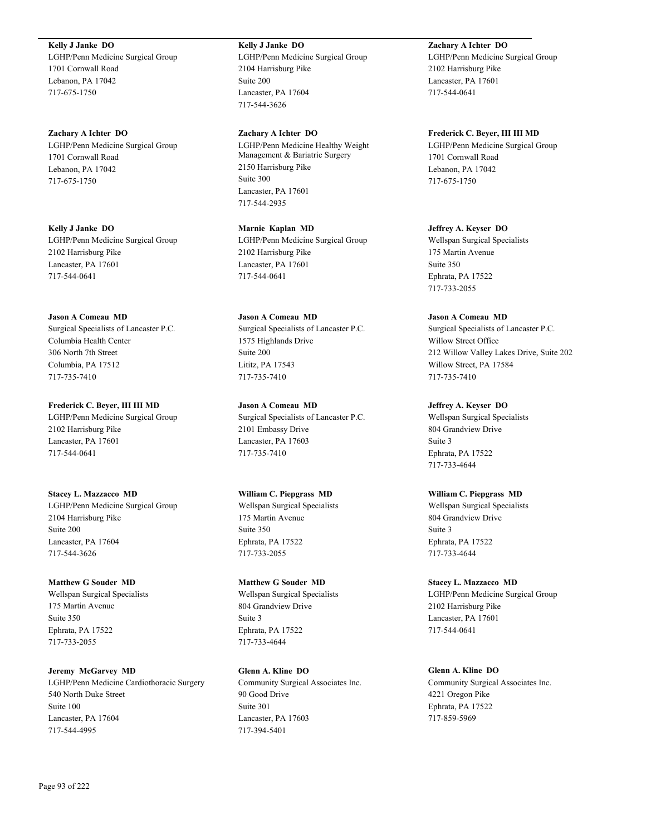**Kelly J Janke DO** LGHP/Penn Medicine Surgical Group 1701 Cornwall Road Lebanon, PA 17042 717-675-1750

**Zachary A Ichter DO** LGHP/Penn Medicine Surgical Group 1701 Cornwall Road Lebanon, PA 17042 717-675-1750

**Kelly J Janke DO** LGHP/Penn Medicine Surgical Group 2102 Harrisburg Pike Lancaster, PA 17601 717-544-0641

**Jason A Comeau MD** Surgical Specialists of Lancaster P.C. Columbia Health Center 306 North 7th Street Columbia, PA 17512 717-735-7410

**Frederick C. Beyer, III III MD** LGHP/Penn Medicine Surgical Group 2102 Harrisburg Pike Lancaster, PA 17601 717-544-0641

**Stacey L. Mazzacco MD** LGHP/Penn Medicine Surgical Group 2104 Harrisburg Pike Suite 200 Lancaster, PA 17604 717-544-3626

**Matthew G Souder MD** Wellspan Surgical Specialists 175 Martin Avenue Suite 350 Ephrata, PA 17522 717-733-2055

**Jeremy McGarvey MD** LGHP/Penn Medicine Cardiothoracic Surgery 540 North Duke Street Suite 100 Lancaster, PA 17604 717-544-4995

**Kelly J Janke DO** LGHP/Penn Medicine Surgical Group 2104 Harrisburg Pike Suite 200 Lancaster, PA 17604 717-544-3626

**Zachary A Ichter DO** LGHP/Penn Medicine Healthy Weight Management & Bariatric Surgery 2150 Harrisburg Pike Suite 300 Lancaster, PA 17601 717-544-2935

**Marnie Kaplan MD** LGHP/Penn Medicine Surgical Group 2102 Harrisburg Pike Lancaster, PA 17601 717-544-0641

**Jason A Comeau MD** Surgical Specialists of Lancaster P.C. 1575 Highlands Drive Suite 200 Lititz, PA 17543 717-735-7410

**Jason A Comeau MD** Surgical Specialists of Lancaster P.C. 2101 Embassy Drive Lancaster, PA 17603 717-735-7410

**William C. Piepgrass MD** Wellspan Surgical Specialists 175 Martin Avenue Suite 350 Ephrata, PA 17522 717-733-2055

**Matthew G Souder MD** Wellspan Surgical Specialists 804 Grandview Drive Suite 3 Ephrata, PA 17522 717-733-4644

**Glenn A. Kline DO** Community Surgical Associates Inc. 90 Good Drive Suite 301 Lancaster, PA 17603 717-394-5401

**Zachary A Ichter DO** LGHP/Penn Medicine Surgical Group 2102 Harrisburg Pike Lancaster, PA 17601 717-544-0641

**Frederick C. Beyer, III III MD** LGHP/Penn Medicine Surgical Group 1701 Cornwall Road Lebanon, PA 17042 717-675-1750

**Jeffrey A. Keyser DO** Wellspan Surgical Specialists 175 Martin Avenue Suite 350 Ephrata, PA 17522 717-733-2055

**Jason A Comeau MD** Surgical Specialists of Lancaster P.C. Willow Street Office 212 Willow Valley Lakes Drive, Suite 202 Willow Street, PA 17584 717-735-7410

**Jeffrey A. Keyser DO** Wellspan Surgical Specialists 804 Grandview Drive Suite 3 Ephrata, PA 17522 717-733-4644

**William C. Piepgrass MD** Wellspan Surgical Specialists 804 Grandview Drive Suite 3 Ephrata, PA 17522 717-733-4644

**Stacey L. Mazzacco MD** LGHP/Penn Medicine Surgical Group 2102 Harrisburg Pike Lancaster, PA 17601 717-544-0641

**Glenn A. Kline DO** Community Surgical Associates Inc. 4221 Oregon Pike Ephrata, PA 17522 717-859-5969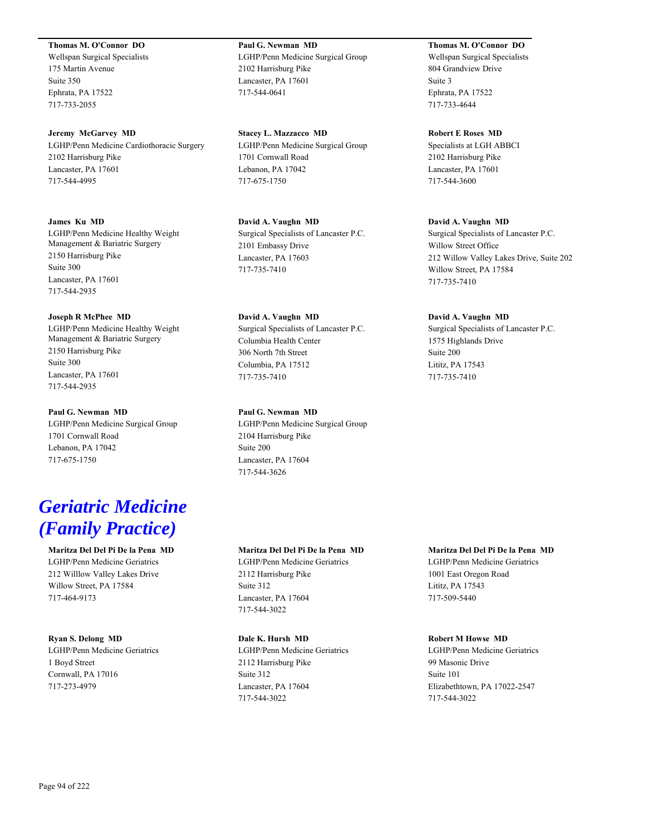## **Thomas M. O'Connor DO**

Wellspan Surgical Specialists 175 Martin Avenue Suite 350 Ephrata, PA 17522 717-733-2055

**Jeremy McGarvey MD** LGHP/Penn Medicine Cardiothoracic Surgery 2102 Harrisburg Pike Lancaster, PA 17601 717-544-4995

**James Ku MD**

LGHP/Penn Medicine Healthy Weight Management & Bariatric Surgery 2150 Harrisburg Pike Suite 300 Lancaster, PA 17601 717-544-2935

#### **Joseph R McPhee MD**

LGHP/Penn Medicine Healthy Weight Management & Bariatric Surgery 2150 Harrisburg Pike Suite 300 Lancaster, PA 17601 717-544-2935

#### **Paul G. Newman MD**

LGHP/Penn Medicine Surgical Group 1701 Cornwall Road Lebanon, PA 17042 717-675-1750

# *Geriatric Medicine (Family Practice)*

**Maritza Del Del Pi De la Pena MD** LGHP/Penn Medicine Geriatrics 212 Willlow Valley Lakes Drive Willow Street, PA 17584 717-464-9173

#### **Ryan S. Delong MD**

LGHP/Penn Medicine Geriatrics 1 Boyd Street Cornwall, PA 17016 717-273-4979

## **Paul G. Newman MD** LGHP/Penn Medicine Surgical Group 2102 Harrisburg Pike Lancaster, PA 17601 717-544-0641

**Stacey L. Mazzacco MD** LGHP/Penn Medicine Surgical Group 1701 Cornwall Road Lebanon, PA 17042 717-675-1750

**David A. Vaughn MD** Surgical Specialists of Lancaster P.C. 2101 Embassy Drive Lancaster, PA 17603 717-735-7410

**David A. Vaughn MD** Surgical Specialists of Lancaster P.C. Columbia Health Center 306 North 7th Street Columbia, PA 17512 717-735-7410

## **Paul G. Newman MD**

LGHP/Penn Medicine Surgical Group 2104 Harrisburg Pike Suite 200 Lancaster, PA 17604 717-544-3626

#### **Maritza Del Del Pi De la Pena MD**

LGHP/Penn Medicine Geriatrics 2112 Harrisburg Pike Suite 312 Lancaster, PA 17604 717-544-3022

## **Dale K. Hursh MD**

LGHP/Penn Medicine Geriatrics 2112 Harrisburg Pike Suite 312 Lancaster, PA 17604 717-544-3022

**Thomas M. O'Connor DO**

Wellspan Surgical Specialists 804 Grandview Drive Suite 3 Ephrata, PA 17522 717-733-4644

## **Robert E Roses MD**

Specialists at LGH ABBCI 2102 Harrisburg Pike Lancaster, PA 17601 717-544-3600

#### **David A. Vaughn MD**

Surgical Specialists of Lancaster P.C. Willow Street Office 212 Willow Valley Lakes Drive, Suite 202 Willow Street, PA 17584 717-735-7410

#### **David A. Vaughn MD**

Surgical Specialists of Lancaster P.C. 1575 Highlands Drive Suite 200 Lititz, PA 17543 717-735-7410

#### **Maritza Del Del Pi De la Pena MD**

LGHP/Penn Medicine Geriatrics 1001 East Oregon Road Lititz, PA 17543 717-509-5440

#### **Robert M Howse MD**

LGHP/Penn Medicine Geriatrics 99 Masonic Drive Suite 101 Elizabethtown, PA 17022-2547 717-544-3022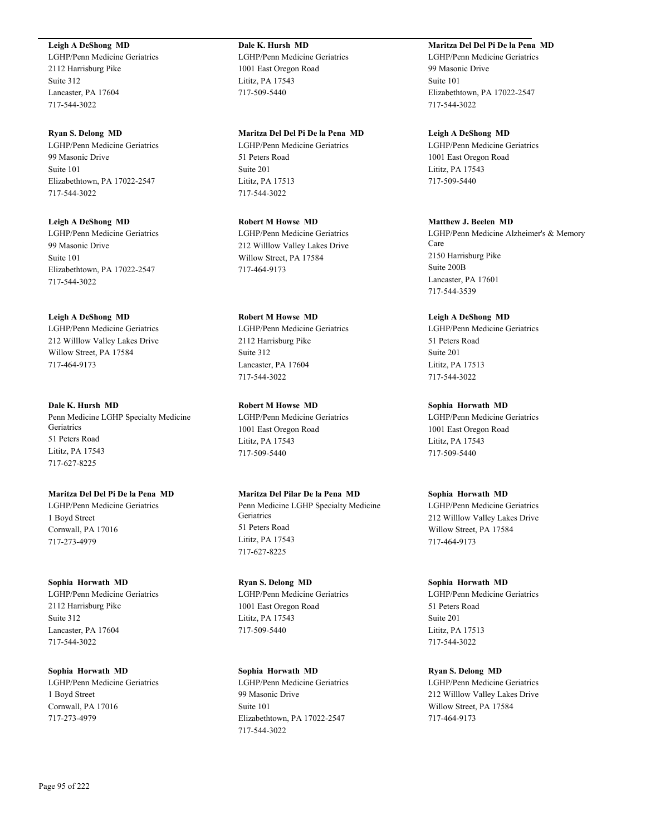## **Leigh A DeShong MD**

LGHP/Penn Medicine Geriatrics 2112 Harrisburg Pike Suite 312 Lancaster, PA 17604 717-544-3022

**Ryan S. Delong MD** LGHP/Penn Medicine Geriatrics 99 Masonic Drive Suite 101 Elizabethtown, PA 17022-2547 717-544-3022

**Leigh A DeShong MD** LGHP/Penn Medicine Geriatrics 99 Masonic Drive Suite 101 Elizabethtown, PA 17022-2547 717-544-3022

**Leigh A DeShong MD** LGHP/Penn Medicine Geriatrics 212 Willlow Valley Lakes Drive Willow Street, PA 17584 717-464-9173

**Dale K. Hursh MD** Penn Medicine LGHP Specialty Medicine **Geriatrics** 51 Peters Road Lititz, PA 17543 717-627-8225

**Maritza Del Del Pi De la Pena MD** LGHP/Penn Medicine Geriatrics 1 Boyd Street Cornwall, PA 17016 717-273-4979

**Sophia Horwath MD** LGHP/Penn Medicine Geriatrics 2112 Harrisburg Pike Suite 312 Lancaster, PA 17604 717-544-3022

**Sophia Horwath MD** LGHP/Penn Medicine Geriatrics 1 Boyd Street Cornwall, PA 17016 717-273-4979

**Dale K. Hursh MD** LGHP/Penn Medicine Geriatrics 1001 East Oregon Road Lititz, PA 17543 717-509-5440

**Maritza Del Del Pi De la Pena MD**

LGHP/Penn Medicine Geriatrics 51 Peters Road Suite 201 Lititz, PA 17513 717-544-3022

**Robert M Howse MD** LGHP/Penn Medicine Geriatrics 212 Willlow Valley Lakes Drive Willow Street, PA 17584 717-464-9173

**Robert M Howse MD** LGHP/Penn Medicine Geriatrics 2112 Harrisburg Pike Suite 312 Lancaster, PA 17604 717-544-3022

**Robert M Howse MD** LGHP/Penn Medicine Geriatrics 1001 East Oregon Road Lititz, PA 17543 717-509-5440

**Maritza Del Pilar De la Pena MD** Penn Medicine LGHP Specialty Medicine **Geriatrics** 51 Peters Road Lititz, PA 17543 717-627-8225

**Ryan S. Delong MD** LGHP/Penn Medicine Geriatrics 1001 East Oregon Road Lititz, PA 17543 717-509-5440

**Sophia Horwath MD** LGHP/Penn Medicine Geriatrics 99 Masonic Drive Suite 101 Elizabethtown, PA 17022-2547 717-544-3022

**Maritza Del Del Pi De la Pena MD**

LGHP/Penn Medicine Geriatrics 99 Masonic Drive Suite 101 Elizabethtown, PA 17022-2547 717-544-3022

**Leigh A DeShong MD** LGHP/Penn Medicine Geriatrics 1001 East Oregon Road Lititz, PA 17543 717-509-5440

#### **Matthew J. Beelen MD**

LGHP/Penn Medicine Alzheimer's & Memory Care 2150 Harrisburg Pike Suite 200B Lancaster, PA 17601 717-544-3539

**Leigh A DeShong MD**

LGHP/Penn Medicine Geriatrics 51 Peters Road Suite 201 Lititz, PA 17513 717-544-3022

## **Sophia Horwath MD**

LGHP/Penn Medicine Geriatrics 1001 East Oregon Road Lititz, PA 17543 717-509-5440

**Sophia Horwath MD**

LGHP/Penn Medicine Geriatrics 212 Willlow Valley Lakes Drive Willow Street, PA 17584 717-464-9173

**Sophia Horwath MD** LGHP/Penn Medicine Geriatrics 51 Peters Road Suite 201 Lititz, PA 17513 717-544-3022

**Ryan S. Delong MD** LGHP/Penn Medicine Geriatrics 212 Willlow Valley Lakes Drive Willow Street, PA 17584 717-464-9173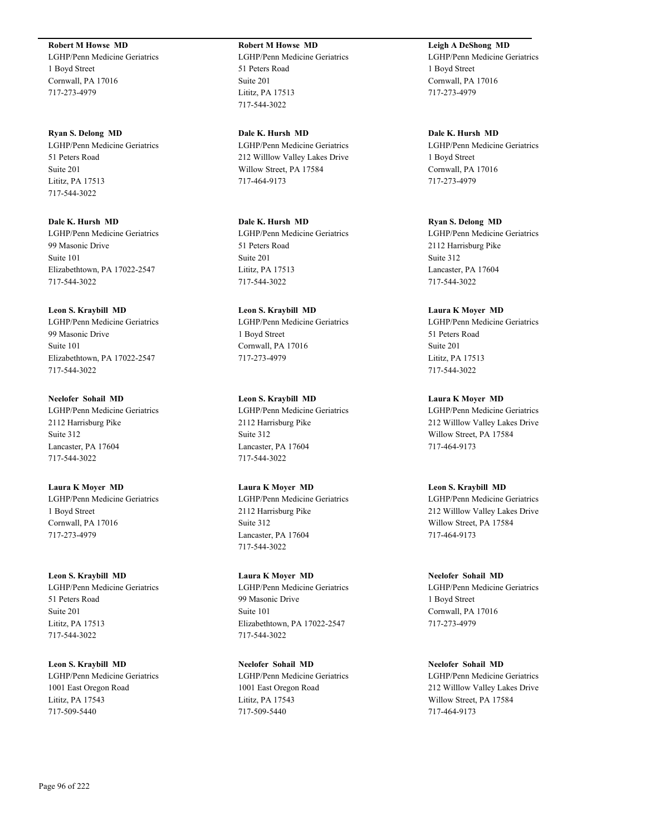**Robert M Howse MD**

LGHP/Penn Medicine Geriatrics 1 Boyd Street Cornwall, PA 17016 717-273-4979

**Ryan S. Delong MD** LGHP/Penn Medicine Geriatrics 51 Peters Road Suite 201 Lititz, PA 17513 717-544-3022

**Dale K. Hursh MD** LGHP/Penn Medicine Geriatrics 99 Masonic Drive Suite 101 Elizabethtown, PA 17022-2547 717-544-3022

**Leon S. Kraybill MD** LGHP/Penn Medicine Geriatrics 99 Masonic Drive Suite 101 Elizabethtown, PA 17022-2547 717-544-3022

**Neelofer Sohail MD** LGHP/Penn Medicine Geriatrics 2112 Harrisburg Pike Suite 312 Lancaster, PA 17604 717-544-3022

**Laura K Moyer MD** LGHP/Penn Medicine Geriatrics 1 Boyd Street Cornwall, PA 17016 717-273-4979

**Leon S. Kraybill MD** LGHP/Penn Medicine Geriatrics 51 Peters Road Suite 201 Lititz, PA 17513 717-544-3022

**Leon S. Kraybill MD** LGHP/Penn Medicine Geriatrics 1001 East Oregon Road Lititz, PA 17543 717-509-5440

**Robert M Howse MD** LGHP/Penn Medicine Geriatrics 51 Peters Road Suite 201 Lititz, PA 17513 717-544-3022

**Dale K. Hursh MD** LGHP/Penn Medicine Geriatrics 212 Willlow Valley Lakes Drive Willow Street, PA 17584 717-464-9173

**Dale K. Hursh MD** LGHP/Penn Medicine Geriatrics 51 Peters Road Suite 201 Lititz, PA 17513 717-544-3022

**Leon S. Kraybill MD** LGHP/Penn Medicine Geriatrics 1 Boyd Street Cornwall, PA 17016 717-273-4979

**Leon S. Kraybill MD** LGHP/Penn Medicine Geriatrics 2112 Harrisburg Pike Suite 312 Lancaster, PA 17604 717-544-3022

**Laura K Moyer MD** LGHP/Penn Medicine Geriatrics 2112 Harrisburg Pike Suite 312 Lancaster, PA 17604 717-544-3022

**Laura K Moyer MD** LGHP/Penn Medicine Geriatrics 99 Masonic Drive Suite 101 Elizabethtown, PA 17022-2547 717-544-3022

**Neelofer Sohail MD** LGHP/Penn Medicine Geriatrics 1001 East Oregon Road Lititz, PA 17543 717-509-5440

**Leigh A DeShong MD** LGHP/Penn Medicine Geriatrics 1 Boyd Street Cornwall, PA 17016 717-273-4979

**Dale K. Hursh MD** LGHP/Penn Medicine Geriatrics 1 Boyd Street Cornwall, PA 17016 717-273-4979

**Ryan S. Delong MD** LGHP/Penn Medicine Geriatrics 2112 Harrisburg Pike Suite 312 Lancaster, PA 17604 717-544-3022

**Laura K Moyer MD** LGHP/Penn Medicine Geriatrics 51 Peters Road Suite 201 Lititz, PA 17513 717-544-3022

**Laura K Moyer MD** LGHP/Penn Medicine Geriatrics 212 Willlow Valley Lakes Drive Willow Street, PA 17584 717-464-9173

**Leon S. Kraybill MD** LGHP/Penn Medicine Geriatrics 212 Willlow Valley Lakes Drive Willow Street, PA 17584 717-464-9173

**Neelofer Sohail MD** LGHP/Penn Medicine Geriatrics 1 Boyd Street Cornwall, PA 17016 717-273-4979

**Neelofer Sohail MD** LGHP/Penn Medicine Geriatrics 212 Willlow Valley Lakes Drive Willow Street, PA 17584 717-464-9173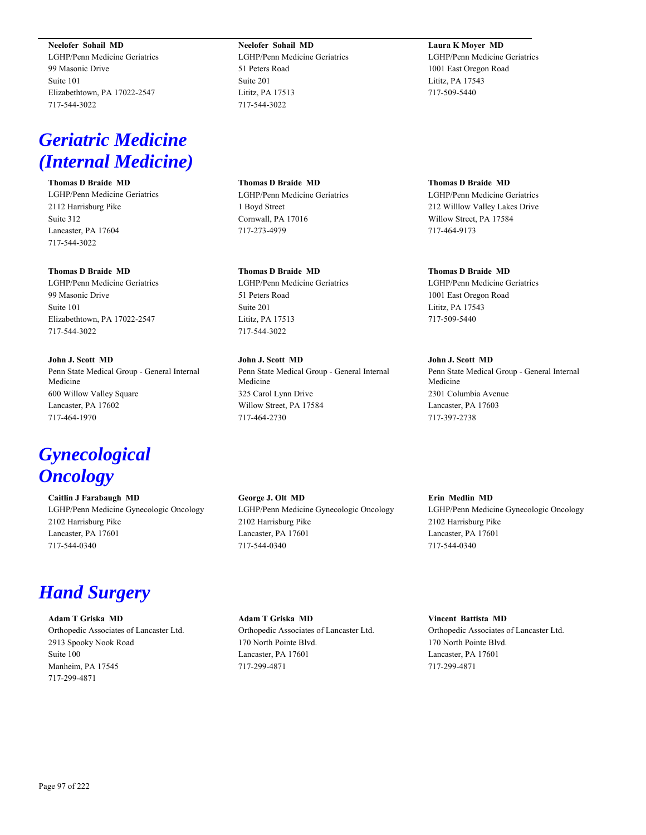**Neelofer Sohail MD**

LGHP/Penn Medicine Geriatrics 99 Masonic Drive Suite 101 Elizabethtown, PA 17022-2547 717-544-3022

# *Geriatric Medicine (Internal Medicine)*

**Thomas D Braide MD** LGHP/Penn Medicine Geriatrics 2112 Harrisburg Pike Suite 312 Lancaster, PA 17604 717-544-3022

## **Thomas D Braide MD**

LGHP/Penn Medicine Geriatrics 99 Masonic Drive Suite 101 Elizabethtown, PA 17022-2547 717-544-3022

**John J. Scott MD** Penn State Medical Group - General Internal Medicine 600 Willow Valley Square Lancaster, PA 17602 717-464-1970

# *Gynecological Oncology*

**Caitlin J Farabaugh MD** LGHP/Penn Medicine Gynecologic Oncology 2102 Harrisburg Pike Lancaster, PA 17601 717-544-0340

## *Hand Surgery*

**Adam T Griska MD** Orthopedic Associates of Lancaster Ltd. 2913 Spooky Nook Road Suite 100 Manheim, PA 17545 717-299-4871

**Neelofer Sohail MD** LGHP/Penn Medicine Geriatrics 51 Peters Road Suite 201 Lititz, PA 17513 717-544-3022

**Thomas D Braide MD** LGHP/Penn Medicine Geriatrics 1 Boyd Street Cornwall, PA 17016 717-273-4979

**Thomas D Braide MD** LGHP/Penn Medicine Geriatrics 51 Peters Road Suite 201 Lititz, PA 17513 717-544-3022

**John J. Scott MD** Penn State Medical Group - General Internal Medicine 325 Carol Lynn Drive Willow Street, PA 17584 717-464-2730

**George J. Olt MD** LGHP/Penn Medicine Gynecologic Oncology 2102 Harrisburg Pike Lancaster, PA 17601 717-544-0340

**Adam T Griska MD** Orthopedic Associates of Lancaster Ltd. 170 North Pointe Blvd. Lancaster, PA 17601 717-299-4871

**Laura K Moyer MD** LGHP/Penn Medicine Geriatrics 1001 East Oregon Road Lititz, PA 17543 717-509-5440

**Thomas D Braide MD** LGHP/Penn Medicine Geriatrics 212 Willlow Valley Lakes Drive Willow Street, PA 17584 717-464-9173

**Thomas D Braide MD** LGHP/Penn Medicine Geriatrics 1001 East Oregon Road Lititz, PA 17543 717-509-5440

**John J. Scott MD** Penn State Medical Group - General Internal Medicine 2301 Columbia Avenue Lancaster, PA 17603 717-397-2738

**Erin Medlin MD** LGHP/Penn Medicine Gynecologic Oncology 2102 Harrisburg Pike Lancaster, PA 17601 717-544-0340

**Vincent Battista MD** Orthopedic Associates of Lancaster Ltd. 170 North Pointe Blvd. Lancaster, PA 17601 717-299-4871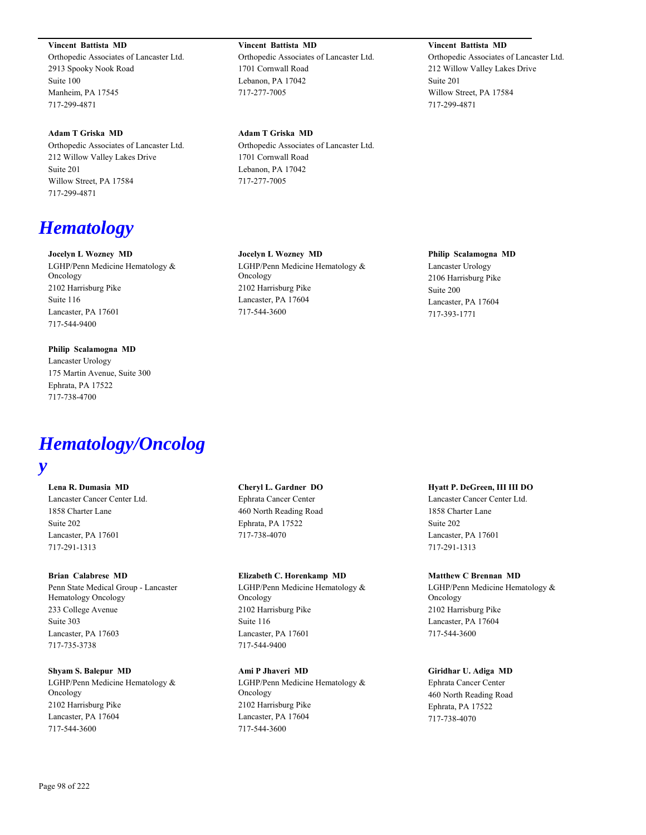**Vincent Battista MD**

Orthopedic Associates of Lancaster Ltd. 2913 Spooky Nook Road Suite 100 Manheim, PA 17545 717-299-4871

**Adam T Griska MD** Orthopedic Associates of Lancaster Ltd. 212 Willow Valley Lakes Drive Suite 201 Willow Street, PA 17584 717-299-4871

# *Hematology*

## **Jocelyn L Wozney MD**

LGHP/Penn Medicine Hematology & Oncology 2102 Harrisburg Pike Suite 116 Lancaster, PA 17601 717-544-9400

## **Philip Scalamogna MD**

Lancaster Urology 175 Martin Avenue, Suite 300 Ephrata, PA 17522 717-738-4700

# *Hematology/Oncolog*

## *y*

## **Lena R. Dumasia MD**

Lancaster Cancer Center Ltd. 1858 Charter Lane Suite 202 Lancaster, PA 17601 717-291-1313

#### **Brian Calabrese MD**

Penn State Medical Group - Lancaster Hematology Oncology 233 College Avenue Suite 303 Lancaster, PA 17603 717-735-3738

## **Shyam S. Balepur MD**

LGHP/Penn Medicine Hematology & Oncology 2102 Harrisburg Pike Lancaster, PA 17604 717-544-3600

**Vincent Battista MD** Orthopedic Associates of Lancaster Ltd. 1701 Cornwall Road Lebanon, PA 17042 717-277-7005

## **Adam T Griska MD**

Orthopedic Associates of Lancaster Ltd. 1701 Cornwall Road Lebanon, PA 17042 717-277-7005

## **Jocelyn L Wozney MD**

LGHP/Penn Medicine Hematology & Oncology 2102 Harrisburg Pike Lancaster, PA 17604 717-544-3600

## **Philip Scalamogna MD**

**Vincent Battista MD**

Willow Street, PA 17584

Suite 201

717-299-4871

Orthopedic Associates of Lancaster Ltd. 212 Willow Valley Lakes Drive

Lancaster Urology 2106 Harrisburg Pike Suite 200 Lancaster, PA 17604 717-393-1771

## **Cheryl L. Gardner DO**

Ephrata Cancer Center 460 North Reading Road Ephrata, PA 17522 717-738-4070

## **Elizabeth C. Horenkamp MD**

LGHP/Penn Medicine Hematology & Oncology 2102 Harrisburg Pike Suite 116 Lancaster, PA 17601 717-544-9400

## **Ami P Jhaveri MD**

LGHP/Penn Medicine Hematology & Oncology 2102 Harrisburg Pike Lancaster, PA 17604 717-544-3600

#### **Hyatt P. DeGreen, III III DO**

Lancaster Cancer Center Ltd. 1858 Charter Lane Suite 202 Lancaster, PA 17601 717-291-1313

#### **Matthew C Brennan MD**

LGHP/Penn Medicine Hematology & Oncology 2102 Harrisburg Pike Lancaster, PA 17604 717-544-3600

## **Giridhar U. Adiga MD**

Ephrata Cancer Center 460 North Reading Road Ephrata, PA 17522 717-738-4070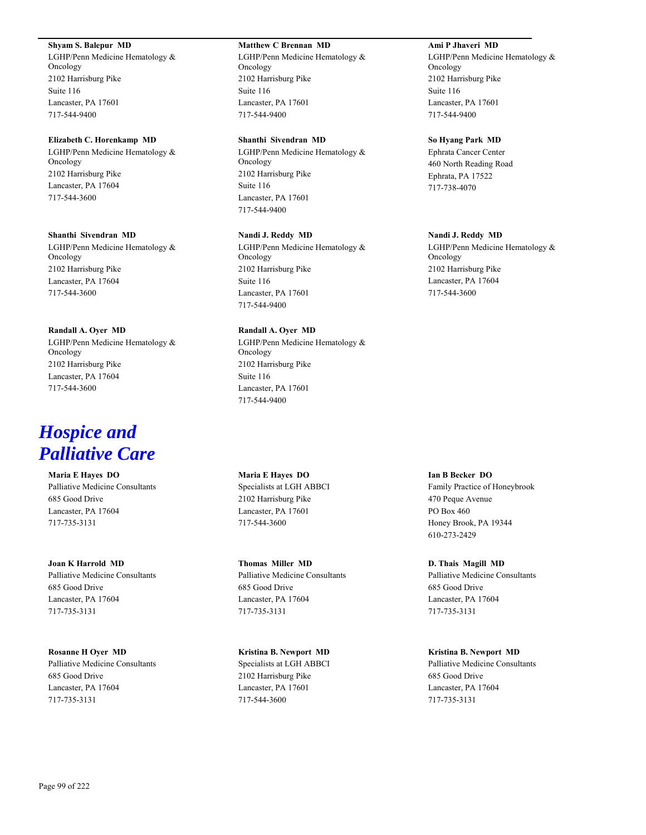#### **Shyam S. Balepur MD**

LGHP/Penn Medicine Hematology & Oncology 2102 Harrisburg Pike Suite 116 Lancaster, PA 17601 717-544-9400

#### **Elizabeth C. Horenkamp MD**

LGHP/Penn Medicine Hematology & Oncology 2102 Harrisburg Pike Lancaster, PA 17604 717-544-3600

## **Shanthi Sivendran MD**

LGHP/Penn Medicine Hematology & Oncology 2102 Harrisburg Pike Lancaster, PA 17604 717-544-3600

#### **Randall A. Oyer MD**

LGHP/Penn Medicine Hematology & Oncology 2102 Harrisburg Pike Lancaster, PA 17604 717-544-3600

# *Hospice and Palliative Care*

**Maria E Hayes DO** Palliative Medicine Consultants 685 Good Drive Lancaster, PA 17604 717-735-3131

## **Joan K Harrold MD** Palliative Medicine Consultants 685 Good Drive Lancaster, PA 17604 717-735-3131

**Rosanne H Oyer MD** Palliative Medicine Consultants 685 Good Drive Lancaster, PA 17604 717-735-3131

#### **Matthew C Brennan MD**

LGHP/Penn Medicine Hematology & Oncology 2102 Harrisburg Pike Suite 116 Lancaster, PA 17601 717-544-9400

## **Shanthi Sivendran MD**

LGHP/Penn Medicine Hematology & Oncology 2102 Harrisburg Pike Suite 116 Lancaster, PA 17601 717-544-9400

#### **Nandi J. Reddy MD**

LGHP/Penn Medicine Hematology & Oncology 2102 Harrisburg Pike Suite 116 Lancaster, PA 17601 717-544-9400

## **Randall A. Oyer MD**

LGHP/Penn Medicine Hematology & Oncology 2102 Harrisburg Pike Suite 116 Lancaster, PA 17601 717-544-9400

**Maria E Hayes DO** Specialists at LGH ABBCI 2102 Harrisburg Pike Lancaster, PA 17601 717-544-3600

**Thomas Miller MD** Palliative Medicine Consultants 685 Good Drive Lancaster, PA 17604 717-735-3131

**Kristina B. Newport MD** Specialists at LGH ABBCI 2102 Harrisburg Pike Lancaster, PA 17601 717-544-3600

#### **Ami P Jhaveri MD**

LGHP/Penn Medicine Hematology & Oncology 2102 Harrisburg Pike Suite 116 Lancaster, PA 17601 717-544-9400

#### **So Hyang Park MD**

Ephrata Cancer Center 460 North Reading Road Ephrata, PA 17522 717-738-4070

## **Nandi J. Reddy MD**

LGHP/Penn Medicine Hematology & Oncology 2102 Harrisburg Pike Lancaster, PA 17604 717-544-3600

#### **Ian B Becker DO**

Family Practice of Honeybrook 470 Peque Avenue PO Box 460 Honey Brook, PA 19344 610-273-2429

**D. Thais Magill MD** Palliative Medicine Consultants 685 Good Drive Lancaster, PA 17604 717-735-3131

#### **Kristina B. Newport MD**

Palliative Medicine Consultants 685 Good Drive Lancaster, PA 17604 717-735-3131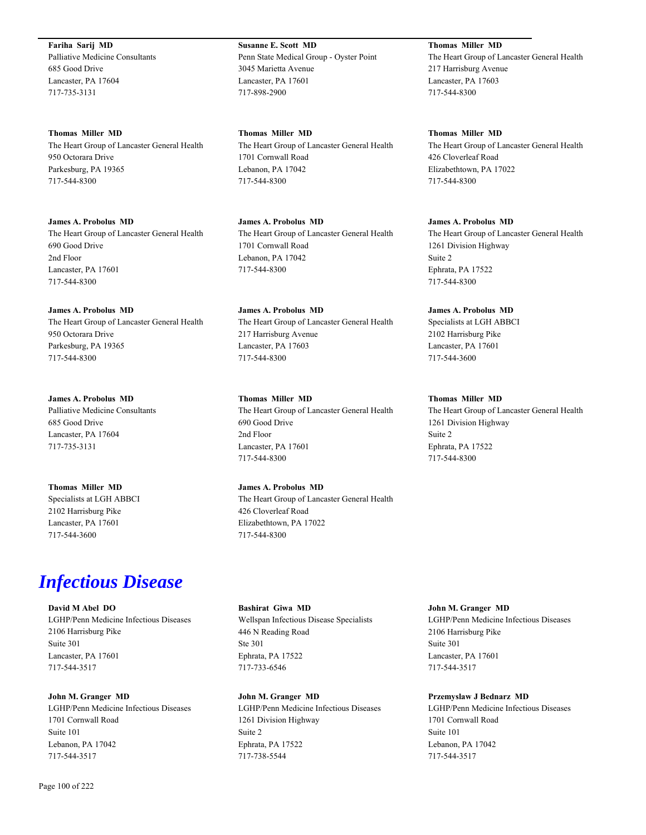**Fariha Sarij MD** Palliative Medicine Consultants 685 Good Drive Lancaster, PA 17604 717-735-3131

**Thomas Miller MD** The Heart Group of Lancaster General Health 950 Octorara Drive Parkesburg, PA 19365 717-544-8300

**James A. Probolus MD** The Heart Group of Lancaster General Health 690 Good Drive 2nd Floor Lancaster, PA 17601 717-544-8300

**James A. Probolus MD** The Heart Group of Lancaster General Health 950 Octorara Drive Parkesburg, PA 19365 717-544-8300

**James A. Probolus MD** Palliative Medicine Consultants 685 Good Drive Lancaster, PA 17604 717-735-3131

**Thomas Miller MD** Specialists at LGH ABBCI 2102 Harrisburg Pike Lancaster, PA 17601 717-544-3600

# *Infectious Disease*

**David M Abel DO** LGHP/Penn Medicine Infectious Diseases 2106 Harrisburg Pike Suite 301 Lancaster, PA 17601 717-544-3517

**John M. Granger MD** LGHP/Penn Medicine Infectious Diseases 1701 Cornwall Road Suite 101 Lebanon, PA 17042 717-544-3517

**Susanne E. Scott MD** Penn State Medical Group - Oyster Point 3045 Marietta Avenue Lancaster, PA 17601 717-898-2900

**Thomas Miller MD** The Heart Group of Lancaster General Health 1701 Cornwall Road Lebanon, PA 17042 717-544-8300

**James A. Probolus MD** The Heart Group of Lancaster General Health 1701 Cornwall Road Lebanon, PA 17042 717-544-8300

**James A. Probolus MD** The Heart Group of Lancaster General Health 217 Harrisburg Avenue Lancaster, PA 17603 717-544-8300

**Thomas Miller MD** The Heart Group of Lancaster General Health 690 Good Drive 2nd Floor Lancaster, PA 17601 717-544-8300

**James A. Probolus MD** The Heart Group of Lancaster General Health 426 Cloverleaf Road Elizabethtown, PA 17022 717-544-8300

**Thomas Miller MD** The Heart Group of Lancaster General Health 217 Harrisburg Avenue Lancaster, PA 17603 717-544-8300

**Thomas Miller MD** The Heart Group of Lancaster General Health 426 Cloverleaf Road Elizabethtown, PA 17022 717-544-8300

**James A. Probolus MD** The Heart Group of Lancaster General Health 1261 Division Highway Suite 2 Ephrata, PA 17522 717-544-8300

**James A. Probolus MD** Specialists at LGH ABBCI 2102 Harrisburg Pike Lancaster, PA 17601 717-544-3600

**Thomas Miller MD** The Heart Group of Lancaster General Health 1261 Division Highway Suite 2 Ephrata, PA 17522 717-544-8300

**Bashirat Giwa MD** Wellspan Infectious Disease Specialists 446 N Reading Road Ste 301 Ephrata, PA 17522 717-733-6546

**John M. Granger MD** LGHP/Penn Medicine Infectious Diseases 1261 Division Highway Suite 2 Ephrata, PA 17522 717-738-5544

**John M. Granger MD** LGHP/Penn Medicine Infectious Diseases 2106 Harrisburg Pike Suite 301 Lancaster, PA 17601 717-544-3517

**Przemyslaw J Bednarz MD** LGHP/Penn Medicine Infectious Diseases 1701 Cornwall Road Suite 101 Lebanon, PA 17042 717-544-3517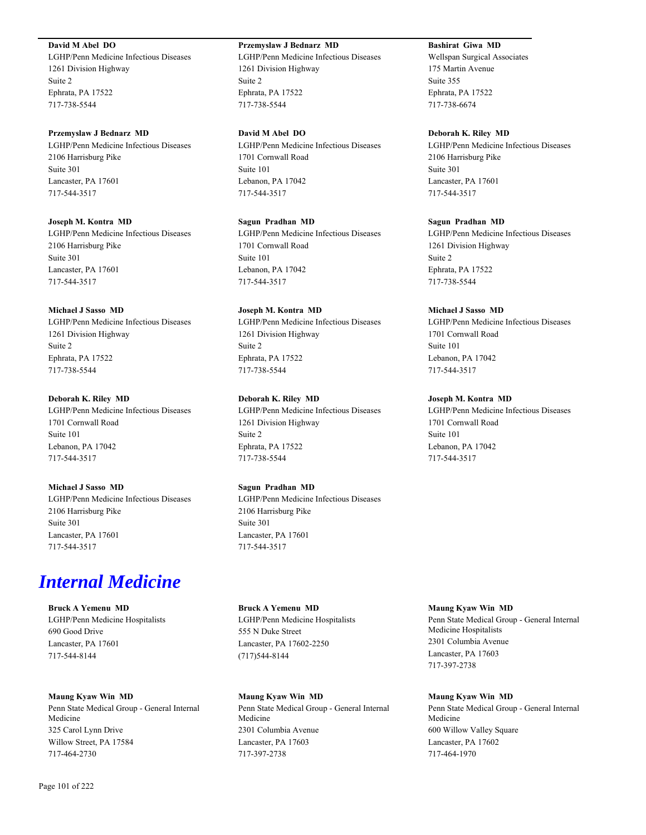## **David M Abel DO**

LGHP/Penn Medicine Infectious Diseases 1261 Division Highway Suite 2 Ephrata, PA 17522 717-738-5544

#### **Przemyslaw J Bednarz MD**

LGHP/Penn Medicine Infectious Diseases 2106 Harrisburg Pike Suite 301 Lancaster, PA 17601 717-544-3517

#### **Joseph M. Kontra MD**

LGHP/Penn Medicine Infectious Diseases 2106 Harrisburg Pike Suite 301 Lancaster, PA 17601 717-544-3517

#### **Michael J Sasso MD**

LGHP/Penn Medicine Infectious Diseases 1261 Division Highway Suite 2 Ephrata, PA 17522 717-738-5544

## **Deborah K. Riley MD**

LGHP/Penn Medicine Infectious Diseases 1701 Cornwall Road Suite 101 Lebanon, PA 17042 717-544-3517

### **Michael J Sasso MD**

LGHP/Penn Medicine Infectious Diseases 2106 Harrisburg Pike Suite 301 Lancaster, PA 17601 717-544-3517

# *Internal Medicine*

**Bruck A Yemenu MD** LGHP/Penn Medicine Hospitalists 690 Good Drive Lancaster, PA 17601 717-544-8144

#### **Maung Kyaw Win MD**

Penn State Medical Group - General Internal Medicine 325 Carol Lynn Drive Willow Street, PA 17584 717-464-2730

## **Przemyslaw J Bednarz MD**

LGHP/Penn Medicine Infectious Diseases 1261 Division Highway Suite 2 Ephrata, PA 17522 717-738-5544

## **David M Abel DO**

LGHP/Penn Medicine Infectious Diseases 1701 Cornwall Road Suite 101 Lebanon, PA 17042 717-544-3517

## **Sagun Pradhan MD**

LGHP/Penn Medicine Infectious Diseases 1701 Cornwall Road Suite 101 Lebanon, PA 17042 717-544-3517

## **Joseph M. Kontra MD**

LGHP/Penn Medicine Infectious Diseases 1261 Division Highway Suite 2 Ephrata, PA 17522 717-738-5544

## **Deborah K. Riley MD**

LGHP/Penn Medicine Infectious Diseases 1261 Division Highway Suite 2 Ephrata, PA 17522 717-738-5544

## **Sagun Pradhan MD**

LGHP/Penn Medicine Infectious Diseases 2106 Harrisburg Pike Suite 301 Lancaster, PA 17601 717-544-3517

## **Bruck A Yemenu MD** LGHP/Penn Medicine Hospitalists 555 N Duke Street Lancaster, PA 17602-2250 (717)544-8144

## **Maung Kyaw Win MD**

Penn State Medical Group - General Internal Medicine 2301 Columbia Avenue Lancaster, PA 17603 717-397-2738

## **Bashirat Giwa MD**

Wellspan Surgical Associates 175 Martin Avenue Suite 355 Ephrata, PA 17522 717-738-6674

#### **Deborah K. Riley MD**

LGHP/Penn Medicine Infectious Diseases 2106 Harrisburg Pike Suite 301 Lancaster, PA 17601 717-544-3517

#### **Sagun Pradhan MD**

LGHP/Penn Medicine Infectious Diseases 1261 Division Highway Suite 2 Ephrata, PA 17522 717-738-5544

#### **Michael J Sasso MD**

LGHP/Penn Medicine Infectious Diseases 1701 Cornwall Road Suite 101 Lebanon, PA 17042 717-544-3517

## **Joseph M. Kontra MD**

LGHP/Penn Medicine Infectious Diseases 1701 Cornwall Road Suite 101 Lebanon, PA 17042 717-544-3517

## **Maung Kyaw Win MD**

Penn State Medical Group - General Internal Medicine Hospitalists 2301 Columbia Avenue Lancaster, PA 17603 717-397-2738

#### **Maung Kyaw Win MD**

Penn State Medical Group - General Internal Medicine 600 Willow Valley Square Lancaster, PA 17602 717-464-1970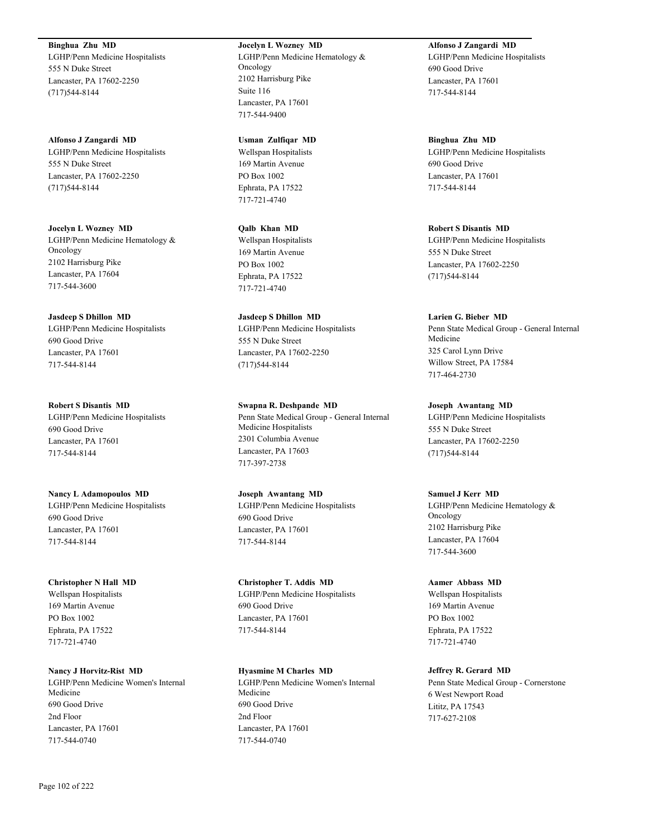**Binghua Zhu MD**

LGHP/Penn Medicine Hospitalists 555 N Duke Street Lancaster, PA 17602-2250 (717)544-8144

**Alfonso J Zangardi MD** LGHP/Penn Medicine Hospitalists 555 N Duke Street Lancaster, PA 17602-2250 (717)544-8144

**Jocelyn L Wozney MD** LGHP/Penn Medicine Hematology & Oncology 2102 Harrisburg Pike Lancaster, PA 17604 717-544-3600

**Jasdeep S Dhillon MD** LGHP/Penn Medicine Hospitalists 690 Good Drive Lancaster, PA 17601 717-544-8144

**Robert S Disantis MD** LGHP/Penn Medicine Hospitalists 690 Good Drive Lancaster, PA 17601 717-544-8144

**Nancy L Adamopoulos MD** LGHP/Penn Medicine Hospitalists 690 Good Drive Lancaster, PA 17601 717-544-8144

**Christopher N Hall MD** Wellspan Hospitalists 169 Martin Avenue PO Box 1002 Ephrata, PA 17522 717-721-4740

**Nancy J Horvitz-Rist MD** LGHP/Penn Medicine Women's Internal Medicine 690 Good Drive 2nd Floor Lancaster, PA 17601 717-544-0740

**Jocelyn L Wozney MD** LGHP/Penn Medicine Hematology & Oncology 2102 Harrisburg Pike Suite 116 Lancaster, PA 17601 717-544-9400

**Usman Zulfiqar MD** Wellspan Hospitalists 169 Martin Avenue PO Box 1002 Ephrata, PA 17522 717-721-4740

**Qalb Khan MD** Wellspan Hospitalists 169 Martin Avenue PO Box 1002 Ephrata, PA 17522 717-721-4740

**Jasdeep S Dhillon MD** LGHP/Penn Medicine Hospitalists 555 N Duke Street Lancaster, PA 17602-2250 (717)544-8144

**Swapna R. Deshpande MD** Penn State Medical Group - General Internal Medicine Hospitalists 2301 Columbia Avenue Lancaster, PA 17603 717-397-2738

**Joseph Awantang MD** LGHP/Penn Medicine Hospitalists 690 Good Drive Lancaster, PA 17601 717-544-8144

**Christopher T. Addis MD** LGHP/Penn Medicine Hospitalists 690 Good Drive Lancaster, PA 17601 717-544-8144

**Hyasmine M Charles MD** LGHP/Penn Medicine Women's Internal Medicine 690 Good Drive 2nd Floor Lancaster, PA 17601 717-544-0740

**Alfonso J Zangardi MD** LGHP/Penn Medicine Hospitalists 690 Good Drive Lancaster, PA 17601 717-544-8144

**Binghua Zhu MD** LGHP/Penn Medicine Hospitalists 690 Good Drive Lancaster, PA 17601 717-544-8144

**Robert S Disantis MD** LGHP/Penn Medicine Hospitalists 555 N Duke Street Lancaster, PA 17602-2250 (717)544-8144

**Larien G. Bieber MD** Penn State Medical Group - General Internal Medicine 325 Carol Lynn Drive Willow Street, PA 17584 717-464-2730

**Joseph Awantang MD** LGHP/Penn Medicine Hospitalists 555 N Duke Street Lancaster, PA 17602-2250 (717)544-8144

**Samuel J Kerr MD** LGHP/Penn Medicine Hematology & Oncology 2102 Harrisburg Pike Lancaster, PA 17604 717-544-3600

**Aamer Abbass MD** Wellspan Hospitalists 169 Martin Avenue PO Box 1002 Ephrata, PA 17522 717-721-4740

**Jeffrey R. Gerard MD** Penn State Medical Group - Cornerstone 6 West Newport Road Lititz, PA 17543 717-627-2108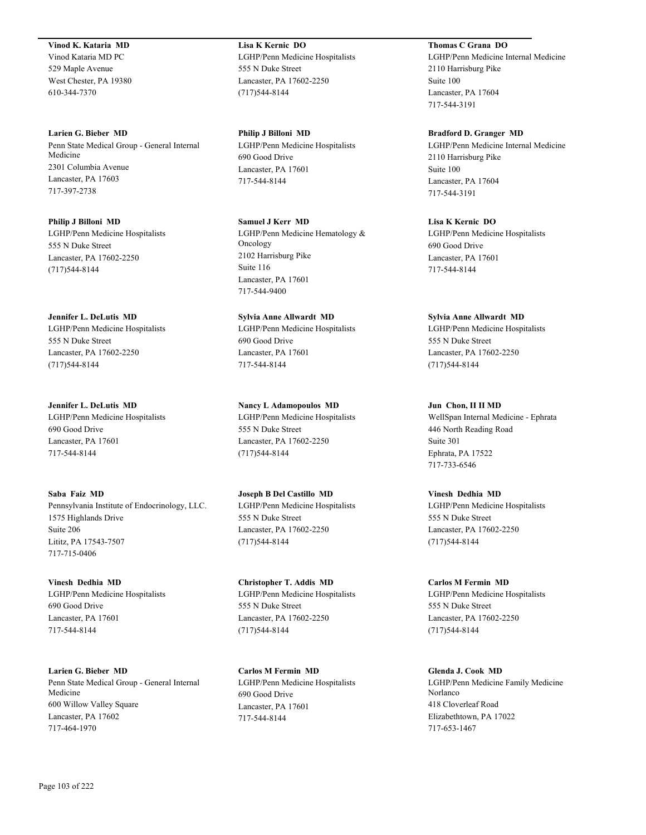**Vinod K. Kataria MD** Vinod Kataria MD PC 529 Maple Avenue West Chester, PA 19380 610-344-7370

**Larien G. Bieber MD** Penn State Medical Group - General Internal Medicine 2301 Columbia Avenue Lancaster, PA 17603 717-397-2738

**Philip J Billoni MD** LGHP/Penn Medicine Hospitalists 555 N Duke Street Lancaster, PA 17602-2250 (717)544-8144

**Jennifer L. DeLutis MD** LGHP/Penn Medicine Hospitalists 555 N Duke Street Lancaster, PA 17602-2250 (717)544-8144

**Jennifer L. DeLutis MD** LGHP/Penn Medicine Hospitalists 690 Good Drive Lancaster, PA 17601 717-544-8144

**Saba Faiz MD** Pennsylvania Institute of Endocrinology, LLC. 1575 Highlands Drive Suite 206 Lititz, PA 17543-7507 717-715-0406

**Vinesh Dedhia MD** LGHP/Penn Medicine Hospitalists 690 Good Drive Lancaster, PA 17601 717-544-8144

**Larien G. Bieber MD** Penn State Medical Group - General Internal Medicine 600 Willow Valley Square Lancaster, PA 17602 717-464-1970

**Lisa K Kernic DO** LGHP/Penn Medicine Hospitalists 555 N Duke Street Lancaster, PA 17602-2250 (717)544-8144

**Philip J Billoni MD** LGHP/Penn Medicine Hospitalists 690 Good Drive Lancaster, PA 17601 717-544-8144

**Samuel J Kerr MD** LGHP/Penn Medicine Hematology & Oncology 2102 Harrisburg Pike Suite 116 Lancaster, PA 17601 717-544-9400

**Sylvia Anne Allwardt MD** LGHP/Penn Medicine Hospitalists 690 Good Drive Lancaster, PA 17601 717-544-8144

**Nancy L Adamopoulos MD** LGHP/Penn Medicine Hospitalists 555 N Duke Street Lancaster, PA 17602-2250 (717)544-8144

**Joseph B Del Castillo MD** LGHP/Penn Medicine Hospitalists 555 N Duke Street Lancaster, PA 17602-2250 (717)544-8144

**Christopher T. Addis MD** LGHP/Penn Medicine Hospitalists 555 N Duke Street Lancaster, PA 17602-2250 (717)544-8144

**Carlos M Fermin MD** LGHP/Penn Medicine Hospitalists 690 Good Drive Lancaster, PA 17601 717-544-8144

**Thomas C Grana DO**

LGHP/Penn Medicine Internal Medicine 2110 Harrisburg Pike Suite 100 Lancaster, PA 17604 717-544-3191

**Bradford D. Granger MD** LGHP/Penn Medicine Internal Medicine 2110 Harrisburg Pike Suite 100 Lancaster, PA 17604 717-544-3191

**Lisa K Kernic DO** LGHP/Penn Medicine Hospitalists 690 Good Drive Lancaster, PA 17601 717-544-8144

**Sylvia Anne Allwardt MD** LGHP/Penn Medicine Hospitalists 555 N Duke Street Lancaster, PA 17602-2250 (717)544-8144

**Jun Chon, II II MD** WellSpan Internal Medicine - Ephrata 446 North Reading Road Suite 301 Ephrata, PA 17522 717-733-6546

**Vinesh Dedhia MD** LGHP/Penn Medicine Hospitalists 555 N Duke Street Lancaster, PA 17602-2250 (717)544-8144

**Carlos M Fermin MD** LGHP/Penn Medicine Hospitalists 555 N Duke Street Lancaster, PA 17602-2250 (717)544-8144

**Glenda J. Cook MD** LGHP/Penn Medicine Family Medicine Norlanco 418 Cloverleaf Road Elizabethtown, PA 17022 717-653-1467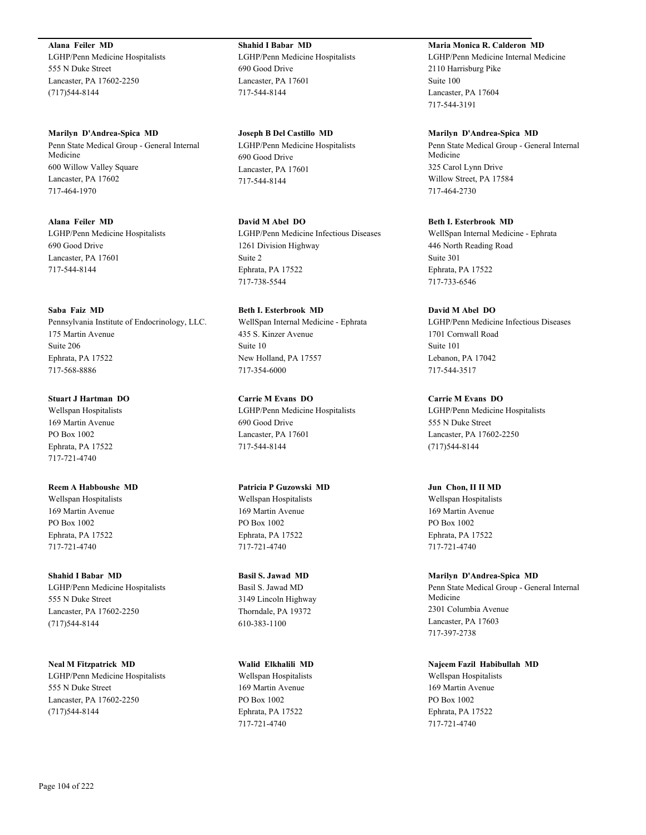**Alana Feiler MD** LGHP/Penn Medicine Hospitalists 555 N Duke Street Lancaster, PA 17602-2250 (717)544-8144

**Marilyn D'Andrea-Spica MD** Penn State Medical Group - General Internal Medicine 600 Willow Valley Square Lancaster, PA 17602 717-464-1970

**Alana Feiler MD** LGHP/Penn Medicine Hospitalists 690 Good Drive Lancaster, PA 17601 717-544-8144

**Saba Faiz MD** Pennsylvania Institute of Endocrinology, LLC. 175 Martin Avenue Suite 206 Ephrata, PA 17522 717-568-8886

**Stuart J Hartman DO** Wellspan Hospitalists 169 Martin Avenue PO Box 1002 Ephrata, PA 17522 717-721-4740

**Reem A Habboushe MD** Wellspan Hospitalists 169 Martin Avenue PO Box 1002 Ephrata, PA 17522 717-721-4740

**Shahid I Babar MD** LGHP/Penn Medicine Hospitalists 555 N Duke Street Lancaster, PA 17602-2250 (717)544-8144

**Neal M Fitzpatrick MD** LGHP/Penn Medicine Hospitalists 555 N Duke Street Lancaster, PA 17602-2250 (717)544-8144

**Shahid I Babar MD** LGHP/Penn Medicine Hospitalists 690 Good Drive Lancaster, PA 17601 717-544-8144

**Joseph B Del Castillo MD** LGHP/Penn Medicine Hospitalists 690 Good Drive Lancaster, PA 17601 717-544-8144

**David M Abel DO** LGHP/Penn Medicine Infectious Diseases 1261 Division Highway Suite 2 Ephrata, PA 17522 717-738-5544

**Beth I. Esterbrook MD** WellSpan Internal Medicine - Ephrata 435 S. Kinzer Avenue Suite 10 New Holland, PA 17557 717-354-6000

**Carrie M Evans DO** LGHP/Penn Medicine Hospitalists 690 Good Drive Lancaster, PA 17601 717-544-8144

**Patricia P Guzowski MD** Wellspan Hospitalists 169 Martin Avenue PO Box 1002 Ephrata, PA 17522 717-721-4740

**Basil S. Jawad MD** Basil S. Jawad MD 3149 Lincoln Highway Thorndale, PA 19372 610-383-1100

**Walid Elkhalili MD** Wellspan Hospitalists 169 Martin Avenue PO Box 1002 Ephrata, PA 17522 717-721-4740

**Maria Monica R. Calderon MD**

LGHP/Penn Medicine Internal Medicine 2110 Harrisburg Pike Suite 100 Lancaster, PA 17604 717-544-3191

**Marilyn D'Andrea-Spica MD** Penn State Medical Group - General Internal Medicine 325 Carol Lynn Drive Willow Street, PA 17584 717-464-2730

**Beth I. Esterbrook MD** WellSpan Internal Medicine - Ephrata 446 North Reading Road Suite 301 Ephrata, PA 17522 717-733-6546

**David M Abel DO** LGHP/Penn Medicine Infectious Diseases 1701 Cornwall Road Suite 101 Lebanon, PA 17042 717-544-3517

**Carrie M Evans DO** LGHP/Penn Medicine Hospitalists 555 N Duke Street Lancaster, PA 17602-2250 (717)544-8144

**Jun Chon, II II MD** Wellspan Hospitalists 169 Martin Avenue PO Box 1002 Ephrata, PA 17522 717-721-4740

**Marilyn D'Andrea-Spica MD** Penn State Medical Group - General Internal Medicine 2301 Columbia Avenue Lancaster, PA 17603 717-397-2738

**Najeem Fazil Habibullah MD** Wellspan Hospitalists 169 Martin Avenue PO Box 1002 Ephrata, PA 17522 717-721-4740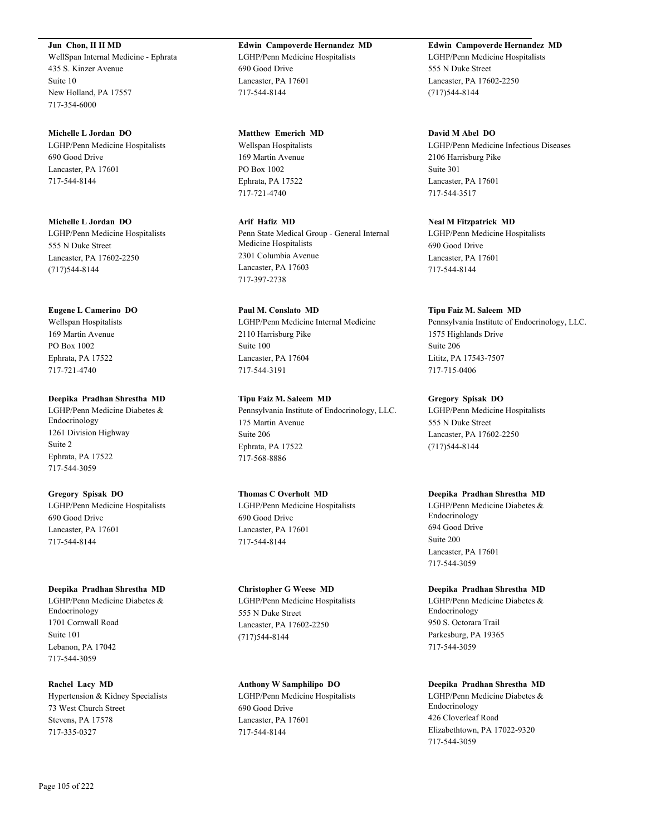**Jun Chon, II II MD** WellSpan Internal Medicine - Ephrata 435 S. Kinzer Avenue Suite 10 New Holland, PA 17557 717-354-6000

**Michelle L Jordan DO** LGHP/Penn Medicine Hospitalists 690 Good Drive Lancaster, PA 17601 717-544-8144

**Michelle L Jordan DO** LGHP/Penn Medicine Hospitalists 555 N Duke Street Lancaster, PA 17602-2250 (717)544-8144

**Eugene L Camerino DO** Wellspan Hospitalists 169 Martin Avenue PO Box 1002 Ephrata, PA 17522 717-721-4740

**Deepika Pradhan Shrestha MD** LGHP/Penn Medicine Diabetes & Endocrinology 1261 Division Highway Suite 2 Ephrata, PA 17522 717-544-3059

**Gregory Spisak DO** LGHP/Penn Medicine Hospitalists 690 Good Drive Lancaster, PA 17601 717-544-8144

**Deepika Pradhan Shrestha MD** LGHP/Penn Medicine Diabetes & Endocrinology 1701 Cornwall Road Suite 101 Lebanon, PA 17042

**Rachel Lacy MD** Hypertension & Kidney Specialists 73 West Church Street Stevens, PA 17578 717-335-0327

**Edwin Campoverde Hernandez MD** LGHP/Penn Medicine Hospitalists

690 Good Drive Lancaster, PA 17601 717-544-8144

**Matthew Emerich MD** Wellspan Hospitalists 169 Martin Avenue PO Box 1002 Ephrata, PA 17522 717-721-4740

**Arif Hafiz MD** Penn State Medical Group - General Internal Medicine Hospitalists 2301 Columbia Avenue Lancaster, PA 17603 717-397-2738

**Paul M. Conslato MD** LGHP/Penn Medicine Internal Medicine 2110 Harrisburg Pike Suite 100 Lancaster, PA 17604 717-544-3191

**Tipu Faiz M. Saleem MD** Pennsylvania Institute of Endocrinology, LLC. 175 Martin Avenue Suite 206 Ephrata, PA 17522 717-568-8886

**Thomas C Overholt MD** LGHP/Penn Medicine Hospitalists 690 Good Drive Lancaster, PA 17601 717-544-8144

**Christopher G Weese MD** LGHP/Penn Medicine Hospitalists 555 N Duke Street Lancaster, PA 17602-2250 (717)544-8144

**Anthony W Samphilipo DO** LGHP/Penn Medicine Hospitalists 690 Good Drive Lancaster, PA 17601 717-544-8144

**Edwin Campoverde Hernandez MD** LGHP/Penn Medicine Hospitalists 555 N Duke Street Lancaster, PA 17602-2250 (717)544-8144

**David M Abel DO** LGHP/Penn Medicine Infectious Diseases 2106 Harrisburg Pike Suite 301 Lancaster, PA 17601 717-544-3517

**Neal M Fitzpatrick MD** LGHP/Penn Medicine Hospitalists 690 Good Drive Lancaster, PA 17601 717-544-8144

**Tipu Faiz M. Saleem MD** Pennsylvania Institute of Endocrinology, LLC. 1575 Highlands Drive Suite 206 Lititz, PA 17543-7507 717-715-0406

**Gregory Spisak DO** LGHP/Penn Medicine Hospitalists 555 N Duke Street Lancaster, PA 17602-2250 (717)544-8144

**Deepika Pradhan Shrestha MD** LGHP/Penn Medicine Diabetes & Endocrinology 694 Good Drive Suite 200 Lancaster, PA 17601 717-544-3059

**Deepika Pradhan Shrestha MD** LGHP/Penn Medicine Diabetes & Endocrinology 950 S. Octorara Trail Parkesburg, PA 19365 717-544-3059

**Deepika Pradhan Shrestha MD** LGHP/Penn Medicine Diabetes & Endocrinology 426 Cloverleaf Road Elizabethtown, PA 17022-9320 717-544-3059

717-544-3059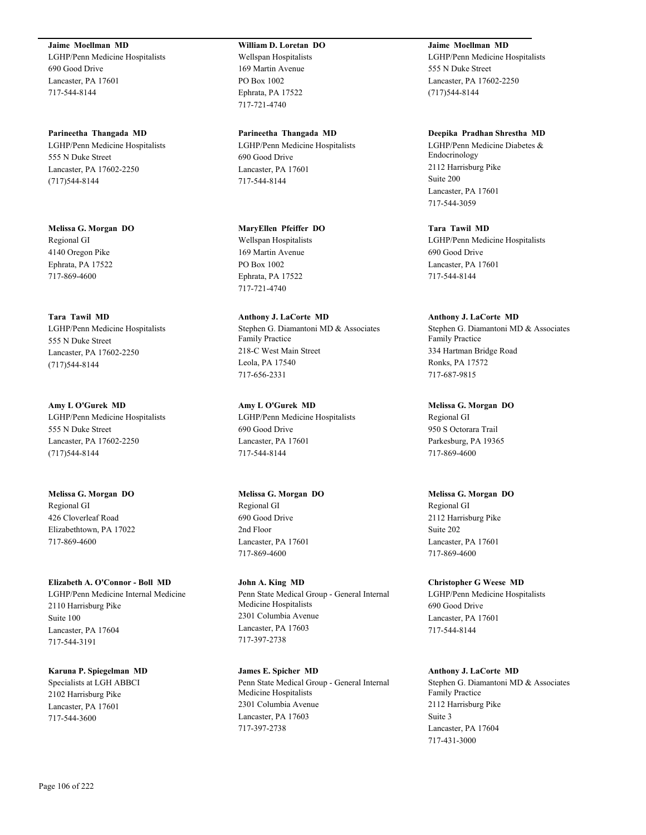**Jaime Moellman MD** LGHP/Penn Medicine Hospitalists 690 Good Drive Lancaster, PA 17601 717-544-8144

**Parineetha Thangada MD** LGHP/Penn Medicine Hospitalists 555 N Duke Street Lancaster, PA 17602-2250 (717)544-8144

**Melissa G. Morgan DO** Regional GI 4140 Oregon Pike Ephrata, PA 17522 717-869-4600

**Tara Tawil MD** LGHP/Penn Medicine Hospitalists 555 N Duke Street Lancaster, PA 17602-2250 (717)544-8144

**Amy L O'Gurek MD** LGHP/Penn Medicine Hospitalists 555 N Duke Street Lancaster, PA 17602-2250 (717)544-8144

**Melissa G. Morgan DO** Regional GI 426 Cloverleaf Road Elizabethtown, PA 17022 717-869-4600

**Elizabeth A. O'Connor - Boll MD** LGHP/Penn Medicine Internal Medicine 2110 Harrisburg Pike Suite 100 Lancaster, PA 17604 717-544-3191

**Karuna P. Spiegelman MD** Specialists at LGH ABBCI 2102 Harrisburg Pike Lancaster, PA 17601 717-544-3600

**William D. Loretan DO** Wellspan Hospitalists 169 Martin Avenue PO Box 1002 Ephrata, PA 17522 717-721-4740

**Parineetha Thangada MD** LGHP/Penn Medicine Hospitalists 690 Good Drive Lancaster, PA 17601 717-544-8144

**MaryEllen Pfeiffer DO** Wellspan Hospitalists 169 Martin Avenue PO Box 1002 Ephrata, PA 17522 717-721-4740

**Anthony J. LaCorte MD** Stephen G. Diamantoni MD & Associates Family Practice 218-C West Main Street Leola, PA 17540 717-656-2331

**Amy L O'Gurek MD** LGHP/Penn Medicine Hospitalists 690 Good Drive Lancaster, PA 17601 717-544-8144

**Melissa G. Morgan DO** Regional GI 690 Good Drive 2nd Floor Lancaster, PA 17601 717-869-4600

**John A. King MD** Penn State Medical Group - General Internal Medicine Hospitalists 2301 Columbia Avenue Lancaster, PA 17603 717-397-2738

**James E. Spicher MD** Penn State Medical Group - General Internal Medicine Hospitalists 2301 Columbia Avenue Lancaster, PA 17603 717-397-2738

**Jaime Moellman MD** LGHP/Penn Medicine Hospitalists 555 N Duke Street Lancaster, PA 17602-2250 (717)544-8144

**Deepika Pradhan Shrestha MD** LGHP/Penn Medicine Diabetes & Endocrinology 2112 Harrisburg Pike Suite 200 Lancaster, PA 17601 717-544-3059

**Tara Tawil MD** LGHP/Penn Medicine Hospitalists 690 Good Drive Lancaster, PA 17601 717-544-8144

**Anthony J. LaCorte MD** Stephen G. Diamantoni MD & Associates Family Practice 334 Hartman Bridge Road Ronks, PA 17572 717-687-9815

**Melissa G. Morgan DO** Regional GI 950 S Octorara Trail Parkesburg, PA 19365 717-869-4600

**Melissa G. Morgan DO** Regional GI 2112 Harrisburg Pike Suite 202 Lancaster, PA 17601 717-869-4600

**Christopher G Weese MD** LGHP/Penn Medicine Hospitalists 690 Good Drive Lancaster, PA 17601 717-544-8144

**Anthony J. LaCorte MD** Stephen G. Diamantoni MD & Associates Family Practice 2112 Harrisburg Pike Suite 3 Lancaster, PA 17604 717-431-3000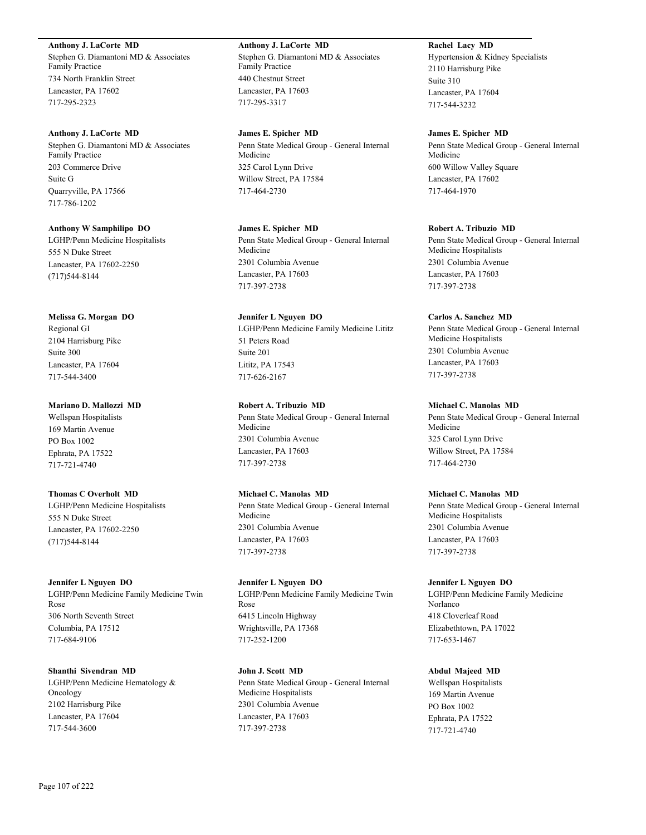#### **Anthony J. LaCorte MD**

Stephen G. Diamantoni MD & Associates Family Practice 734 North Franklin Street Lancaster, PA 17602 717-295-2323

#### **Anthony J. LaCorte MD**

Stephen G. Diamantoni MD & Associates Family Practice 203 Commerce Drive Suite G Quarryville, PA 17566 717-786-1202

#### **Anthony W Samphilipo DO**

LGHP/Penn Medicine Hospitalists 555 N Duke Street Lancaster, PA 17602-2250 (717)544-8144

#### **Melissa G. Morgan DO**

Regional GI 2104 Harrisburg Pike Suite 300 Lancaster, PA 17604 717-544-3400

#### **Mariano D. Mallozzi MD**

Wellspan Hospitalists 169 Martin Avenue PO Box 1002 Ephrata, PA 17522 717-721-4740

## **Thomas C Overholt MD**

LGHP/Penn Medicine Hospitalists 555 N Duke Street Lancaster, PA 17602-2250 (717)544-8144

#### **Jennifer L Nguyen DO**

LGHP/Penn Medicine Family Medicine Twin Rose 306 North Seventh Street Columbia, PA 17512 717-684-9106

**Shanthi Sivendran MD** LGHP/Penn Medicine Hematology & Oncology 2102 Harrisburg Pike Lancaster, PA 17604 717-544-3600

## **Anthony J. LaCorte MD** Stephen G. Diamantoni MD & Associates Family Practice 440 Chestnut Street Lancaster, PA 17603 717-295-3317

**James E. Spicher MD** Penn State Medical Group - General Internal Medicine 325 Carol Lynn Drive Willow Street, PA 17584 717-464-2730

## **James E. Spicher MD** Penn State Medical Group - General Internal Medicine 2301 Columbia Avenue Lancaster, PA 17603 717-397-2738

## **Jennifer L Nguyen DO** LGHP/Penn Medicine Family Medicine Lititz 51 Peters Road Suite 201 Lititz, PA 17543 717-626-2167

## **Robert A. Tribuzio MD**

Penn State Medical Group - General Internal Medicine 2301 Columbia Avenue Lancaster, PA 17603 717-397-2738

## **Michael C. Manolas MD**

Penn State Medical Group - General Internal Medicine 2301 Columbia Avenue Lancaster, PA 17603 717-397-2738

## **Jennifer L Nguyen DO** LGHP/Penn Medicine Family Medicine Twin Rose 6415 Lincoln Highway Wrightsville, PA 17368 717-252-1200

**John J. Scott MD** Penn State Medical Group - General Internal Medicine Hospitalists 2301 Columbia Avenue Lancaster, PA 17603 717-397-2738

## **Rachel Lacy MD** Hypertension & Kidney Specialists 2110 Harrisburg Pike Suite 310 Lancaster, PA 17604 717-544-3232

#### **James E. Spicher MD**

Penn State Medical Group - General Internal Medicine 600 Willow Valley Square Lancaster, PA 17602 717-464-1970

#### **Robert A. Tribuzio MD**

Penn State Medical Group - General Internal Medicine Hospitalists 2301 Columbia Avenue Lancaster, PA 17603 717-397-2738

## **Carlos A. Sanchez MD**

Penn State Medical Group - General Internal Medicine Hospitalists 2301 Columbia Avenue Lancaster, PA 17603 717-397-2738

#### **Michael C. Manolas MD**

Penn State Medical Group - General Internal Medicine 325 Carol Lynn Drive Willow Street, PA 17584 717-464-2730

#### **Michael C. Manolas MD**

Penn State Medical Group - General Internal Medicine Hospitalists 2301 Columbia Avenue Lancaster, PA 17603 717-397-2738

#### **Jennifer L Nguyen DO**

LGHP/Penn Medicine Family Medicine Norlanco 418 Cloverleaf Road Elizabethtown, PA 17022 717-653-1467

#### **Abdul Majeed MD**

Wellspan Hospitalists 169 Martin Avenue PO Box 1002 Ephrata, PA 17522 717-721-4740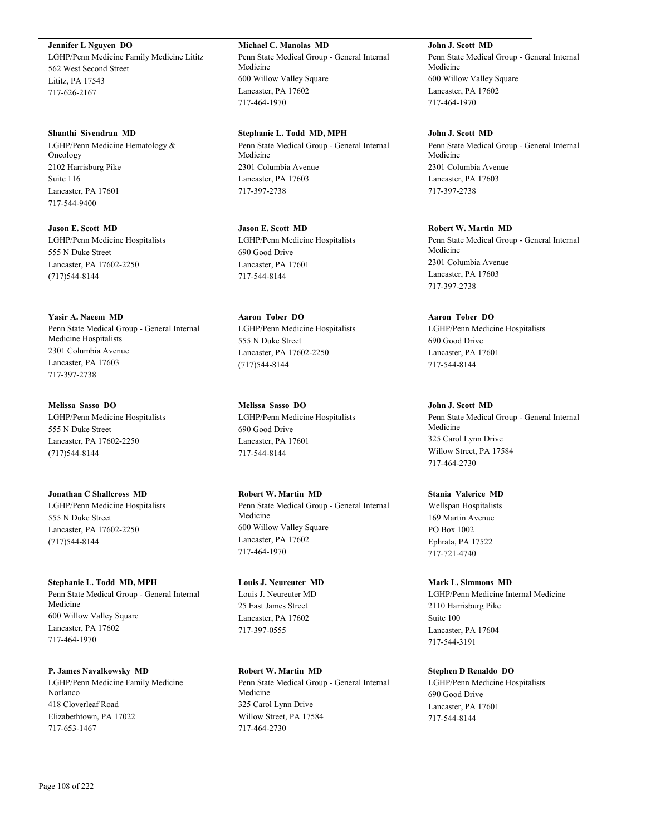**Jennifer L Nguyen DO** LGHP/Penn Medicine Family Medicine Lititz 562 West Second Street Lititz, PA 17543 717-626-2167

**Shanthi Sivendran MD** LGHP/Penn Medicine Hematology & Oncology 2102 Harrisburg Pike Suite 116 Lancaster, PA 17601 717-544-9400

**Jason E. Scott MD** LGHP/Penn Medicine Hospitalists 555 N Duke Street Lancaster, PA 17602-2250 (717)544-8144

**Yasir A. Naeem MD** Penn State Medical Group - General Internal Medicine Hospitalists 2301 Columbia Avenue Lancaster, PA 17603 717-397-2738

**Melissa Sasso DO** LGHP/Penn Medicine Hospitalists 555 N Duke Street Lancaster, PA 17602-2250 (717)544-8144

**Jonathan C Shallcross MD** LGHP/Penn Medicine Hospitalists 555 N Duke Street Lancaster, PA 17602-2250 (717)544-8144

**Stephanie L. Todd MD, MPH** Penn State Medical Group - General Internal Medicine 600 Willow Valley Square Lancaster, PA 17602 717-464-1970

**P. James Navalkowsky MD** LGHP/Penn Medicine Family Medicine Norlanco 418 Cloverleaf Road Elizabethtown, PA 17022 717-653-1467

**Michael C. Manolas MD** Penn State Medical Group - General Internal Medicine 600 Willow Valley Square Lancaster, PA 17602 717-464-1970

**Stephanie L. Todd MD, MPH** Penn State Medical Group - General Internal Medicine 2301 Columbia Avenue Lancaster, PA 17603 717-397-2738

**Jason E. Scott MD** LGHP/Penn Medicine Hospitalists 690 Good Drive Lancaster, PA 17601 717-544-8144

**Aaron Tober DO** LGHP/Penn Medicine Hospitalists 555 N Duke Street Lancaster, PA 17602-2250 (717)544-8144

**Melissa Sasso DO** LGHP/Penn Medicine Hospitalists 690 Good Drive Lancaster, PA 17601 717-544-8144

**Robert W. Martin MD** Penn State Medical Group - General Internal Medicine 600 Willow Valley Square Lancaster, PA 17602 717-464-1970

**Louis J. Neureuter MD** Louis J. Neureuter MD 25 East James Street Lancaster, PA 17602 717-397-0555

**Robert W. Martin MD** Penn State Medical Group - General Internal Medicine 325 Carol Lynn Drive Willow Street, PA 17584 717-464-2730

**John J. Scott MD** Penn State Medical Group - General Internal Medicine 600 Willow Valley Square Lancaster, PA 17602 717-464-1970

**John J. Scott MD** Penn State Medical Group - General Internal Medicine 2301 Columbia Avenue Lancaster, PA 17603 717-397-2738

**Robert W. Martin MD** Penn State Medical Group - General Internal Medicine 2301 Columbia Avenue Lancaster, PA 17603 717-397-2738

**Aaron Tober DO** LGHP/Penn Medicine Hospitalists 690 Good Drive Lancaster, PA 17601 717-544-8144

**John J. Scott MD** Penn State Medical Group - General Internal Medicine 325 Carol Lynn Drive Willow Street, PA 17584 717-464-2730

**Stania Valerice MD** Wellspan Hospitalists 169 Martin Avenue PO Box 1002 Ephrata, PA 17522 717-721-4740

**Mark L. Simmons MD** LGHP/Penn Medicine Internal Medicine 2110 Harrisburg Pike Suite 100 Lancaster, PA 17604 717-544-3191

**Stephen D Renaldo DO** LGHP/Penn Medicine Hospitalists 690 Good Drive Lancaster, PA 17601 717-544-8144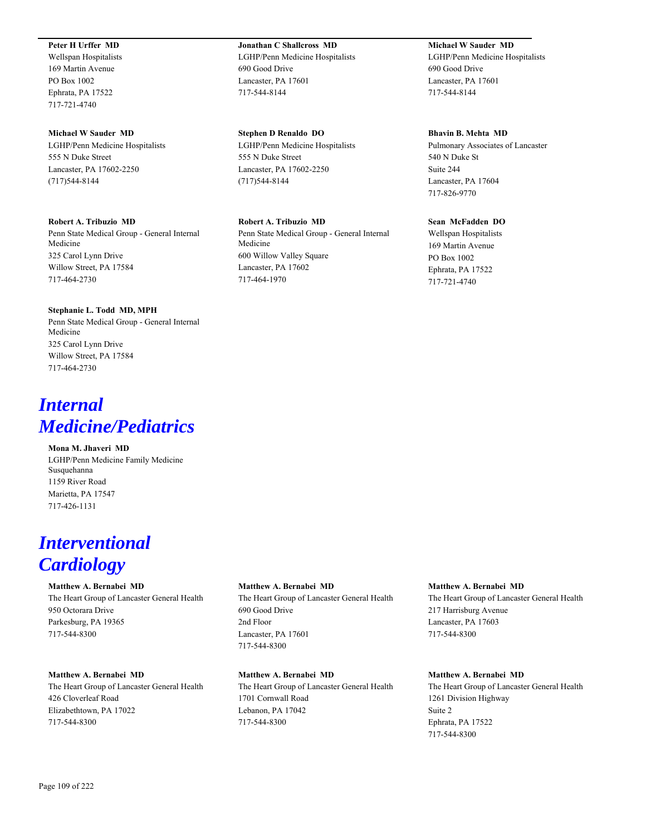# **Peter H Urffer MD**

Wellspan Hospitalists 169 Martin Avenue PO Box 1002 Ephrata, PA 17522 717-721-4740

#### **Michael W Sauder MD**

LGHP/Penn Medicine Hospitalists 555 N Duke Street Lancaster, PA 17602-2250 (717)544-8144

#### **Robert A. Tribuzio MD**

Penn State Medical Group - General Internal Medicine 325 Carol Lynn Drive Willow Street, PA 17584 717-464-2730

#### **Stephanie L. Todd MD, MPH**

Penn State Medical Group - General Internal Medicine 325 Carol Lynn Drive Willow Street, PA 17584 717-464-2730

# *Internal Medicine/Pediatrics*

**Mona M. Jhaveri MD** LGHP/Penn Medicine Family Medicine Susquehanna 1159 River Road Marietta, PA 17547 717-426-1131

# *Interventional Cardiology*

#### **Matthew A. Bernabei MD**

The Heart Group of Lancaster General Health 950 Octorara Drive Parkesburg, PA 19365 717-544-8300

#### **Matthew A. Bernabei MD**

The Heart Group of Lancaster General Health 426 Cloverleaf Road Elizabethtown, PA 17022 717-544-8300

# **Jonathan C Shallcross MD** LGHP/Penn Medicine Hospitalists 690 Good Drive Lancaster, PA 17601 717-544-8144

**Stephen D Renaldo DO** LGHP/Penn Medicine Hospitalists 555 N Duke Street Lancaster, PA 17602-2250 (717)544-8144

#### **Robert A. Tribuzio MD**

Penn State Medical Group - General Internal Medicine 600 Willow Valley Square Lancaster, PA 17602 717-464-1970

# **Michael W Sauder MD**

LGHP/Penn Medicine Hospitalists 690 Good Drive Lancaster, PA 17601 717-544-8144

#### **Bhavin B. Mehta MD**

Pulmonary Associates of Lancaster 540 N Duke St Suite 244 Lancaster, PA 17604 717-826-9770

#### **Sean McFadden DO**

Wellspan Hospitalists 169 Martin Avenue PO Box 1002 Ephrata, PA 17522 717-721-4740

#### **Matthew A. Bernabei MD**

The Heart Group of Lancaster General Health 690 Good Drive 2nd Floor Lancaster, PA 17601 717-544-8300

# **Matthew A. Bernabei MD**

The Heart Group of Lancaster General Health 1701 Cornwall Road Lebanon, PA 17042 717-544-8300

#### **Matthew A. Bernabei MD**

The Heart Group of Lancaster General Health 217 Harrisburg Avenue Lancaster, PA 17603 717-544-8300

# **Matthew A. Bernabei MD**

The Heart Group of Lancaster General Health 1261 Division Highway Suite 2 Ephrata, PA 17522 717-544-8300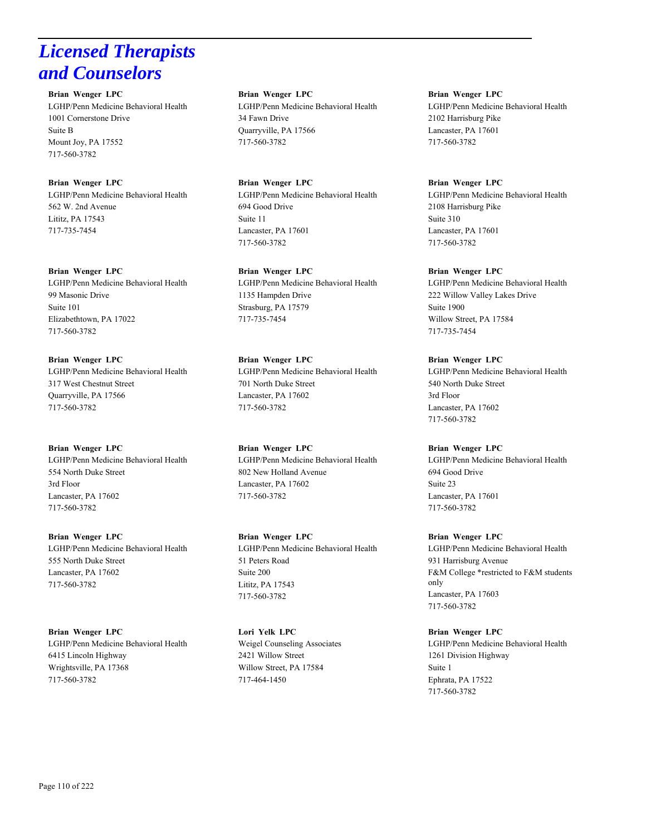# *Licensed Therapists and Counselors*

**Brian Wenger LPC** LGHP/Penn Medicine Behavioral Health 1001 Cornerstone Drive Suite B Mount Joy, PA 17552 717-560-3782

**Brian Wenger LPC** LGHP/Penn Medicine Behavioral Health 562 W. 2nd Avenue Lititz, PA 17543 717-735-7454

**Brian Wenger LPC** LGHP/Penn Medicine Behavioral Health 99 Masonic Drive Suite 101 Elizabethtown, PA 17022 717-560-3782

**Brian Wenger LPC** LGHP/Penn Medicine Behavioral Health 317 West Chestnut Street Quarryville, PA 17566 717-560-3782

**Brian Wenger LPC** LGHP/Penn Medicine Behavioral Health 554 North Duke Street 3rd Floor Lancaster, PA 17602 717-560-3782

**Brian Wenger LPC** LGHP/Penn Medicine Behavioral Health 555 North Duke Street Lancaster, PA 17602 717-560-3782

**Brian Wenger LPC** LGHP/Penn Medicine Behavioral Health 6415 Lincoln Highway Wrightsville, PA 17368 717-560-3782

**Brian Wenger LPC** LGHP/Penn Medicine Behavioral Health 34 Fawn Drive Quarryville, PA 17566 717-560-3782

**Brian Wenger LPC** LGHP/Penn Medicine Behavioral Health 694 Good Drive Suite 11 Lancaster, PA 17601 717-560-3782

**Brian Wenger LPC** LGHP/Penn Medicine Behavioral Health 1135 Hampden Drive Strasburg, PA 17579 717-735-7454

**Brian Wenger LPC** LGHP/Penn Medicine Behavioral Health 701 North Duke Street Lancaster, PA 17602 717-560-3782

**Brian Wenger LPC** LGHP/Penn Medicine Behavioral Health 802 New Holland Avenue Lancaster, PA 17602 717-560-3782

**Brian Wenger LPC** LGHP/Penn Medicine Behavioral Health 51 Peters Road Suite 200 Lititz, PA 17543 717-560-3782

**Lori Yelk LPC** Weigel Counseling Associates 2421 Willow Street Willow Street, PA 17584 717-464-1450

**Brian Wenger LPC** LGHP/Penn Medicine Behavioral Health 2102 Harrisburg Pike Lancaster, PA 17601 717-560-3782

**Brian Wenger LPC** LGHP/Penn Medicine Behavioral Health 2108 Harrisburg Pike Suite 310 Lancaster, PA 17601 717-560-3782

**Brian Wenger LPC** LGHP/Penn Medicine Behavioral Health 222 Willow Valley Lakes Drive Suite 1900 Willow Street, PA 17584 717-735-7454

**Brian Wenger LPC** LGHP/Penn Medicine Behavioral Health 540 North Duke Street 3rd Floor Lancaster, PA 17602 717-560-3782

**Brian Wenger LPC** LGHP/Penn Medicine Behavioral Health 694 Good Drive Suite 23 Lancaster, PA 17601 717-560-3782

**Brian Wenger LPC** LGHP/Penn Medicine Behavioral Health 931 Harrisburg Avenue F&M College \*restricted to F&M students only Lancaster, PA 17603 717-560-3782

**Brian Wenger LPC** LGHP/Penn Medicine Behavioral Health 1261 Division Highway Suite 1 Ephrata, PA 17522 717-560-3782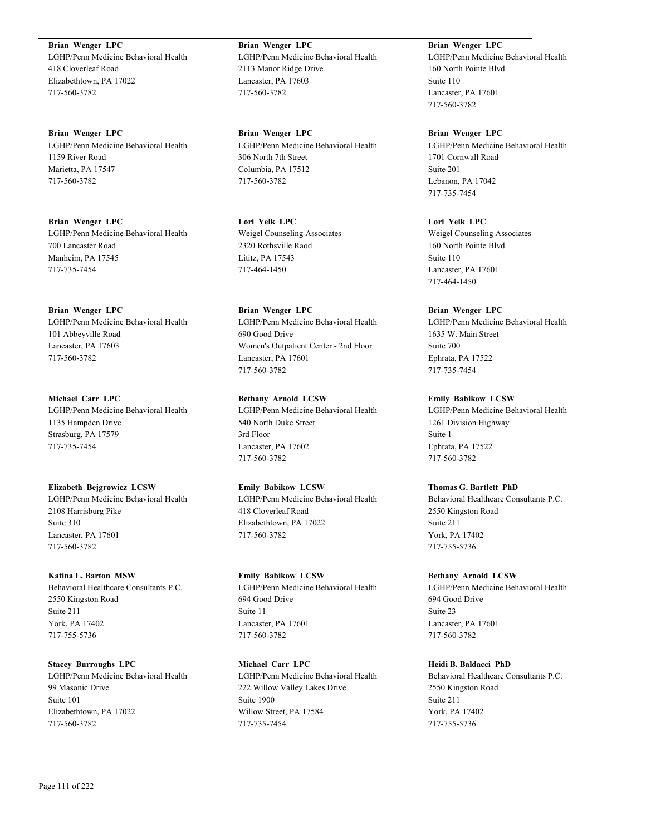**Brian Wenger LPC** LGHP/Penn Medicine Behavioral Health 418 Cloverleaf Road Elizabethtown, PA 17022 717-560-3782

**Brian Wenger LPC** LGHP/Penn Medicine Behavioral Health 1159 River Road Marietta, PA 17547 717-560-3782

**Brian Wenger LPC** LGHP/Penn Medicine Behavioral Health 700 Lancaster Road Manheim, PA 17545 717-735-7454

**Brian Wenger LPC** LGHP/Penn Medicine Behavioral Health 101 Abbeyville Road Lancaster, PA 17603 717-560-3782

**Michael Carr LPC** LGHP/Penn Medicine Behavioral Health 1135 Hampden Drive Strasburg, PA 17579 717-735-7454

**Elizabeth Bejgrowicz LCSW** LGHP/Penn Medicine Behavioral Health 2108 Harrisburg Pike Suite 310 Lancaster, PA 17601 717-560-3782

**Katina L. Barton MSW** Behavioral Healthcare Consultants P.C. 2550 Kingston Road Suite 211 York, PA 17402 717-755-5736

**Stacey Burroughs LPC** LGHP/Penn Medicine Behavioral Health 99 Masonic Drive Suite 101 Elizabethtown, PA 17022 717-560-3782

**Brian Wenger LPC** LGHP/Penn Medicine Behavioral Health 2113 Manor Ridge Drive Lancaster, PA 17603 717-560-3782

**Brian Wenger LPC** LGHP/Penn Medicine Behavioral Health 306 North 7th Street Columbia, PA 17512 717-560-3782

**Lori Yelk LPC** Weigel Counseling Associates 2320 Rothsville Raod Lititz, PA 17543 717-464-1450

**Brian Wenger LPC** LGHP/Penn Medicine Behavioral Health 690 Good Drive Women's Outpatient Center - 2nd Floor Lancaster, PA 17601 717-560-3782

**Bethany Arnold LCSW** LGHP/Penn Medicine Behavioral Health 540 North Duke Street 3rd Floor Lancaster, PA 17602 717-560-3782

**Emily Babikow LCSW** LGHP/Penn Medicine Behavioral Health 418 Cloverleaf Road Elizabethtown, PA 17022 717-560-3782

**Emily Babikow LCSW** LGHP/Penn Medicine Behavioral Health 694 Good Drive Suite 11 Lancaster, PA 17601 717-560-3782

**Michael Carr LPC** LGHP/Penn Medicine Behavioral Health 222 Willow Valley Lakes Drive Suite 1900 Willow Street, PA 17584 717-735-7454

**Brian Wenger LPC** LGHP/Penn Medicine Behavioral Health 160 North Pointe Blvd Suite 110 Lancaster, PA 17601 717-560-3782

**Brian Wenger LPC** LGHP/Penn Medicine Behavioral Health 1701 Cornwall Road Suite 201 Lebanon, PA 17042 717-735-7454

**Lori Yelk LPC** Weigel Counseling Associates 160 North Pointe Blvd. Suite 110 Lancaster, PA 17601 717-464-1450

**Brian Wenger LPC** LGHP/Penn Medicine Behavioral Health 1635 W. Main Street Suite 700 Ephrata, PA 17522 717-735-7454

**Emily Babikow LCSW** LGHP/Penn Medicine Behavioral Health 1261 Division Highway Suite 1 Ephrata, PA 17522 717-560-3782

**Thomas G. Bartlett PhD** Behavioral Healthcare Consultants P.C. 2550 Kingston Road Suite 211 York, PA 17402 717-755-5736

**Bethany Arnold LCSW** LGHP/Penn Medicine Behavioral Health 694 Good Drive Suite 23 Lancaster, PA 17601 717-560-3782

**Heidi B. Baldacci PhD** Behavioral Healthcare Consultants P.C. 2550 Kingston Road Suite 211 York, PA 17402 717-755-5736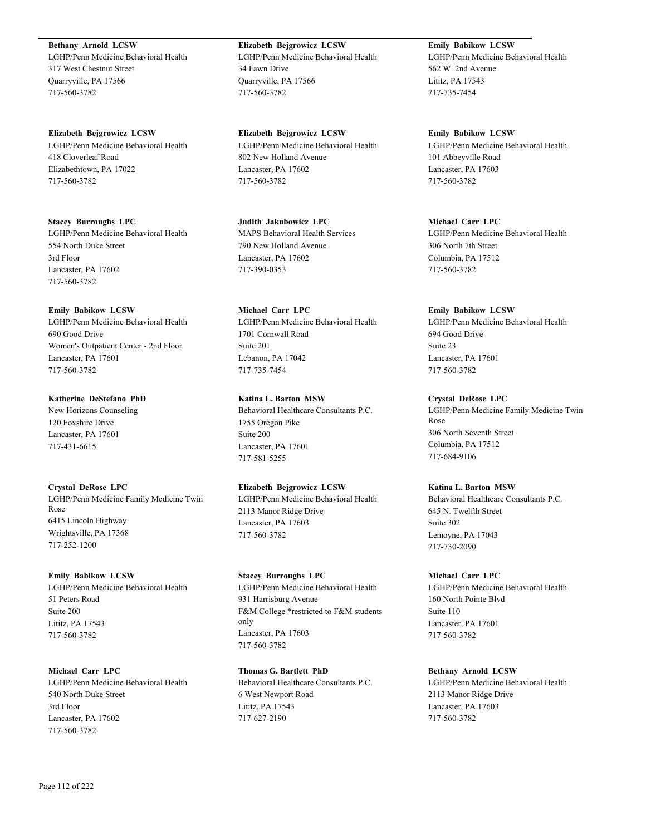**Bethany Arnold LCSW** LGHP/Penn Medicine Behavioral Health 317 West Chestnut Street Quarryville, PA 17566 717-560-3782

**Elizabeth Bejgrowicz LCSW** LGHP/Penn Medicine Behavioral Health 418 Cloverleaf Road Elizabethtown, PA 17022 717-560-3782

**Stacey Burroughs LPC** LGHP/Penn Medicine Behavioral Health 554 North Duke Street 3rd Floor Lancaster, PA 17602 717-560-3782

**Emily Babikow LCSW** LGHP/Penn Medicine Behavioral Health 690 Good Drive Women's Outpatient Center - 2nd Floor Lancaster, PA 17601 717-560-3782

**Katherine DeStefano PhD** New Horizons Counseling 120 Foxshire Drive Lancaster, PA 17601 717-431-6615

**Crystal DeRose LPC** LGHP/Penn Medicine Family Medicine Twin Rose 6415 Lincoln Highway Wrightsville, PA 17368 717-252-1200

**Emily Babikow LCSW** LGHP/Penn Medicine Behavioral Health 51 Peters Road Suite 200 Lititz, PA 17543 717-560-3782

**Michael Carr LPC** LGHP/Penn Medicine Behavioral Health 540 North Duke Street 3rd Floor Lancaster, PA 17602 717-560-3782

**Elizabeth Bejgrowicz LCSW** LGHP/Penn Medicine Behavioral Health 34 Fawn Drive Quarryville, PA 17566 717-560-3782

**Elizabeth Bejgrowicz LCSW** LGHP/Penn Medicine Behavioral Health 802 New Holland Avenue Lancaster, PA 17602 717-560-3782

**Judith Jakubowicz LPC** MAPS Behavioral Health Services 790 New Holland Avenue Lancaster, PA 17602 717-390-0353

**Michael Carr LPC** LGHP/Penn Medicine Behavioral Health 1701 Cornwall Road Suite 201 Lebanon, PA 17042 717-735-7454

**Katina L. Barton MSW** Behavioral Healthcare Consultants P.C. 1755 Oregon Pike Suite 200 Lancaster, PA 17601 717-581-5255

**Elizabeth Bejgrowicz LCSW** LGHP/Penn Medicine Behavioral Health 2113 Manor Ridge Drive Lancaster, PA 17603 717-560-3782

**Stacey Burroughs LPC** LGHP/Penn Medicine Behavioral Health 931 Harrisburg Avenue F&M College \*restricted to F&M students only Lancaster, PA 17603 717-560-3782

**Thomas G. Bartlett PhD** Behavioral Healthcare Consultants P.C. 6 West Newport Road Lititz, PA 17543 717-627-2190

**Emily Babikow LCSW** LGHP/Penn Medicine Behavioral Health 562 W. 2nd Avenue Lititz, PA 17543 717-735-7454

**Emily Babikow LCSW** LGHP/Penn Medicine Behavioral Health 101 Abbeyville Road Lancaster, PA 17603 717-560-3782

**Michael Carr LPC** LGHP/Penn Medicine Behavioral Health 306 North 7th Street Columbia, PA 17512 717-560-3782

**Emily Babikow LCSW** LGHP/Penn Medicine Behavioral Health 694 Good Drive Suite 23 Lancaster, PA 17601 717-560-3782

**Crystal DeRose LPC** LGHP/Penn Medicine Family Medicine Twin Rose 306 North Seventh Street Columbia, PA 17512 717-684-9106

**Katina L. Barton MSW** Behavioral Healthcare Consultants P.C. 645 N. Twelfth Street Suite 302 Lemoyne, PA 17043 717-730-2090

**Michael Carr LPC** LGHP/Penn Medicine Behavioral Health 160 North Pointe Blvd Suite 110 Lancaster, PA 17601 717-560-3782

**Bethany Arnold LCSW** LGHP/Penn Medicine Behavioral Health 2113 Manor Ridge Drive Lancaster, PA 17603 717-560-3782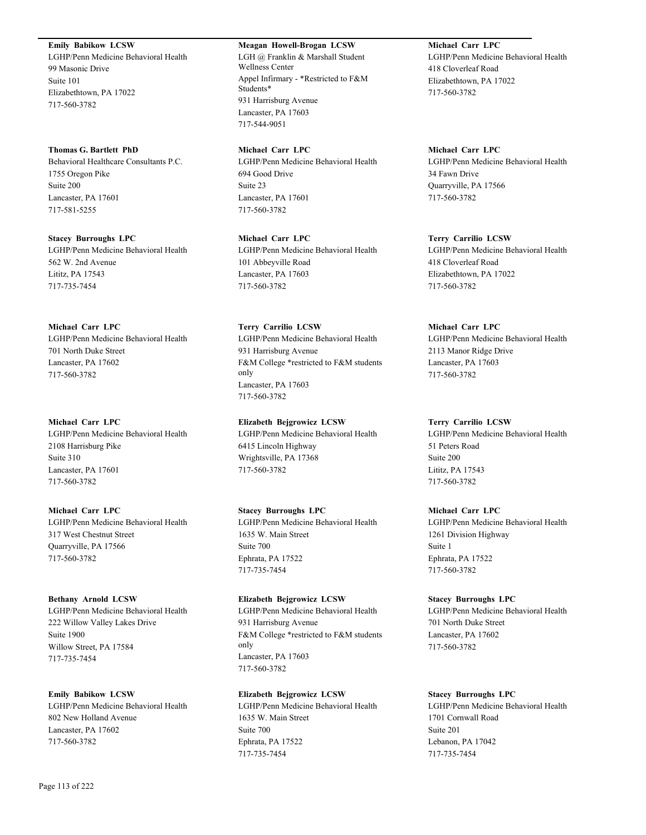**Emily Babikow LCSW** LGHP/Penn Medicine Behavioral Health

99 Masonic Drive Suite 101 Elizabethtown, PA 17022 717-560-3782

# **Thomas G. Bartlett PhD**

Behavioral Healthcare Consultants P.C. 1755 Oregon Pike Suite 200 Lancaster, PA 17601 717-581-5255

**Stacey Burroughs LPC** LGHP/Penn Medicine Behavioral Health 562 W. 2nd Avenue Lititz, PA 17543 717-735-7454

# **Michael Carr LPC**

LGHP/Penn Medicine Behavioral Health 701 North Duke Street Lancaster, PA 17602 717-560-3782

# **Michael Carr LPC**

LGHP/Penn Medicine Behavioral Health 2108 Harrisburg Pike Suite 310 Lancaster, PA 17601 717-560-3782

# **Michael Carr LPC**

LGHP/Penn Medicine Behavioral Health 317 West Chestnut Street Quarryville, PA 17566 717-560-3782

# **Bethany Arnold LCSW**

LGHP/Penn Medicine Behavioral Health 222 Willow Valley Lakes Drive Suite 1900 Willow Street, PA 17584 717-735-7454

# **Emily Babikow LCSW**

LGHP/Penn Medicine Behavioral Health 802 New Holland Avenue Lancaster, PA 17602 717-560-3782

# **Meagan Howell-Brogan LCSW**

LGH @ Franklin & Marshall Student Wellness Center Appel Infirmary - \*Restricted to F&M Students\* 931 Harrisburg Avenue Lancaster, PA 17603 717-544-9051

# **Michael Carr LPC**

LGHP/Penn Medicine Behavioral Health 694 Good Drive Suite 23 Lancaster, PA 17601 717-560-3782

**Michael Carr LPC** LGHP/Penn Medicine Behavioral Health 101 Abbeyville Road Lancaster, PA 17603 717-560-3782

**Terry Carrilio LCSW** LGHP/Penn Medicine Behavioral Health 931 Harrisburg Avenue F&M College \*restricted to F&M students only Lancaster, PA 17603 717-560-3782

**Elizabeth Bejgrowicz LCSW** LGHP/Penn Medicine Behavioral Health 6415 Lincoln Highway Wrightsville, PA 17368 717-560-3782

# **Stacey Burroughs LPC**

LGHP/Penn Medicine Behavioral Health 1635 W. Main Street Suite 700 Ephrata, PA 17522 717-735-7454

# **Elizabeth Bejgrowicz LCSW**

LGHP/Penn Medicine Behavioral Health 931 Harrisburg Avenue F&M College \*restricted to F&M students only Lancaster, PA 17603 717-560-3782

# **Elizabeth Bejgrowicz LCSW**

LGHP/Penn Medicine Behavioral Health 1635 W. Main Street Suite 700 Ephrata, PA 17522 717-735-7454

**Michael Carr LPC** LGHP/Penn Medicine Behavioral Health 418 Cloverleaf Road Elizabethtown, PA 17022 717-560-3782

# **Michael Carr LPC**

LGHP/Penn Medicine Behavioral Health 34 Fawn Drive Quarryville, PA 17566 717-560-3782

# **Terry Carrilio LCSW**

LGHP/Penn Medicine Behavioral Health 418 Cloverleaf Road Elizabethtown, PA 17022 717-560-3782

# **Michael Carr LPC**

LGHP/Penn Medicine Behavioral Health 2113 Manor Ridge Drive Lancaster, PA 17603 717-560-3782

# **Terry Carrilio LCSW**

LGHP/Penn Medicine Behavioral Health 51 Peters Road Suite 200 Lititz, PA 17543 717-560-3782

# **Michael Carr LPC**

LGHP/Penn Medicine Behavioral Health 1261 Division Highway Suite 1 Ephrata, PA 17522 717-560-3782

# **Stacey Burroughs LPC**

LGHP/Penn Medicine Behavioral Health 701 North Duke Street Lancaster, PA 17602 717-560-3782

# **Stacey Burroughs LPC**

LGHP/Penn Medicine Behavioral Health 1701 Cornwall Road Suite 201 Lebanon, PA 17042 717-735-7454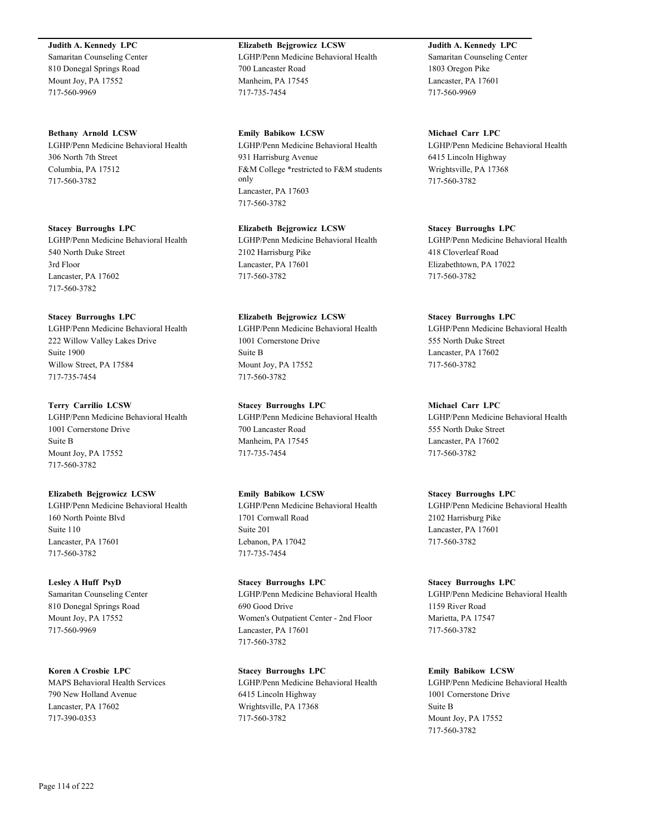#### **Judith A. Kennedy LPC**

Samaritan Counseling Center 810 Donegal Springs Road Mount Joy, PA 17552 717-560-9969

**Bethany Arnold LCSW** LGHP/Penn Medicine Behavioral Health 306 North 7th Street Columbia, PA 17512 717-560-3782

**Stacey Burroughs LPC** LGHP/Penn Medicine Behavioral Health 540 North Duke Street 3rd Floor Lancaster, PA 17602 717-560-3782

#### **Stacey Burroughs LPC**

LGHP/Penn Medicine Behavioral Health 222 Willow Valley Lakes Drive Suite 1900 Willow Street, PA 17584 717-735-7454

#### **Terry Carrilio LCSW**

LGHP/Penn Medicine Behavioral Health 1001 Cornerstone Drive Suite B Mount Joy, PA 17552 717-560-3782

#### **Elizabeth Bejgrowicz LCSW**

LGHP/Penn Medicine Behavioral Health 160 North Pointe Blvd Suite 110 Lancaster, PA 17601 717-560-3782

# **Lesley A Huff PsyD**

Samaritan Counseling Center 810 Donegal Springs Road Mount Joy, PA 17552 717-560-9969

**Koren A Crosbie LPC** MAPS Behavioral Health Services 790 New Holland Avenue Lancaster, PA 17602 717-390-0353

**Elizabeth Bejgrowicz LCSW** LGHP/Penn Medicine Behavioral Health 700 Lancaster Road Manheim, PA 17545 717-735-7454

**Emily Babikow LCSW** LGHP/Penn Medicine Behavioral Health 931 Harrisburg Avenue F&M College \*restricted to F&M students only Lancaster, PA 17603 717-560-3782

**Elizabeth Bejgrowicz LCSW** LGHP/Penn Medicine Behavioral Health 2102 Harrisburg Pike Lancaster, PA 17601 717-560-3782

**Elizabeth Bejgrowicz LCSW**

LGHP/Penn Medicine Behavioral Health 1001 Cornerstone Drive Suite B Mount Joy, PA 17552 717-560-3782

**Stacey Burroughs LPC**

LGHP/Penn Medicine Behavioral Health 700 Lancaster Road Manheim, PA 17545 717-735-7454

**Emily Babikow LCSW** LGHP/Penn Medicine Behavioral Health 1701 Cornwall Road Suite 201 Lebanon, PA 17042 717-735-7454

**Stacey Burroughs LPC** LGHP/Penn Medicine Behavioral Health 690 Good Drive Women's Outpatient Center - 2nd Floor Lancaster, PA 17601 717-560-3782

**Stacey Burroughs LPC** LGHP/Penn Medicine Behavioral Health 6415 Lincoln Highway Wrightsville, PA 17368 717-560-3782

**Judith A. Kennedy LPC** Samaritan Counseling Center 1803 Oregon Pike Lancaster, PA 17601 717-560-9969

**Michael Carr LPC** LGHP/Penn Medicine Behavioral Health 6415 Lincoln Highway Wrightsville, PA 17368 717-560-3782

**Stacey Burroughs LPC** LGHP/Penn Medicine Behavioral Health 418 Cloverleaf Road Elizabethtown, PA 17022 717-560-3782

#### **Stacey Burroughs LPC**

LGHP/Penn Medicine Behavioral Health 555 North Duke Street Lancaster, PA 17602 717-560-3782

## **Michael Carr LPC**

LGHP/Penn Medicine Behavioral Health 555 North Duke Street Lancaster, PA 17602 717-560-3782

#### **Stacey Burroughs LPC**

LGHP/Penn Medicine Behavioral Health 2102 Harrisburg Pike Lancaster, PA 17601 717-560-3782

**Stacey Burroughs LPC**

LGHP/Penn Medicine Behavioral Health 1159 River Road Marietta, PA 17547 717-560-3782

**Emily Babikow LCSW**

LGHP/Penn Medicine Behavioral Health 1001 Cornerstone Drive Suite B Mount Joy, PA 17552 717-560-3782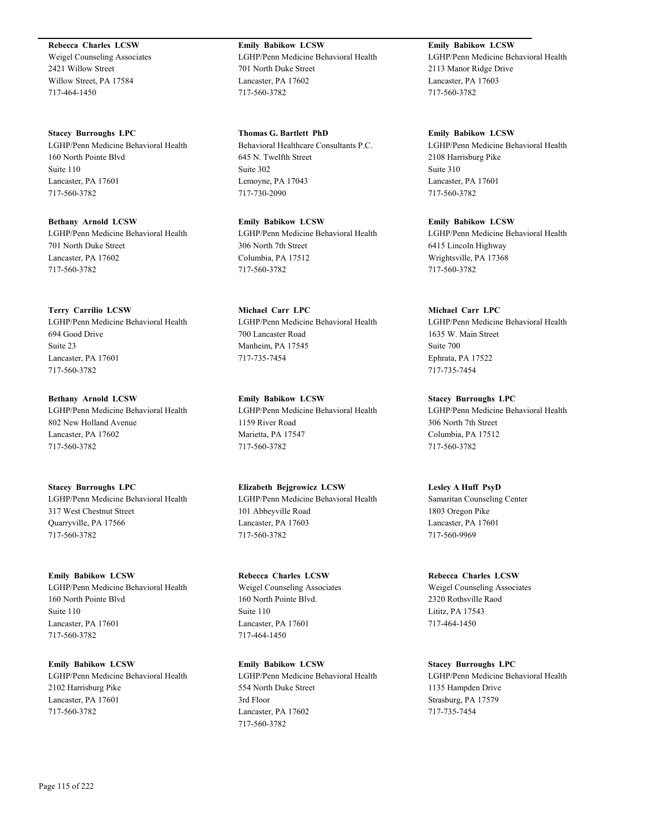**Rebecca Charles LCSW**

Weigel Counseling Associates 2421 Willow Street Willow Street, PA 17584 717-464-1450

**Stacey Burroughs LPC** LGHP/Penn Medicine Behavioral Health 160 North Pointe Blvd Suite 110 Lancaster, PA 17601 717-560-3782

**Bethany Arnold LCSW** LGHP/Penn Medicine Behavioral Health 701 North Duke Street Lancaster, PA 17602 717-560-3782

**Terry Carrilio LCSW** LGHP/Penn Medicine Behavioral Health 694 Good Drive Suite 23 Lancaster, PA 17601 717-560-3782

**Bethany Arnold LCSW** LGHP/Penn Medicine Behavioral Health 802 New Holland Avenue Lancaster, PA 17602 717-560-3782

**Stacey Burroughs LPC** LGHP/Penn Medicine Behavioral Health 317 West Chestnut Street Quarryville, PA 17566 717-560-3782

**Emily Babikow LCSW** LGHP/Penn Medicine Behavioral Health 160 North Pointe Blvd Suite 110 Lancaster, PA 17601 717-560-3782

**Emily Babikow LCSW** LGHP/Penn Medicine Behavioral Health 2102 Harrisburg Pike Lancaster, PA 17601 717-560-3782

**Emily Babikow LCSW** LGHP/Penn Medicine Behavioral Health 701 North Duke Street Lancaster, PA 17602 717-560-3782

**Thomas G. Bartlett PhD** Behavioral Healthcare Consultants P.C. 645 N. Twelfth Street Suite 302 Lemoyne, PA 17043 717-730-2090

**Emily Babikow LCSW** LGHP/Penn Medicine Behavioral Health 306 North 7th Street Columbia, PA 17512 717-560-3782

**Michael Carr LPC** LGHP/Penn Medicine Behavioral Health 700 Lancaster Road Manheim, PA 17545 717-735-7454

**Emily Babikow LCSW** LGHP/Penn Medicine Behavioral Health 1159 River Road Marietta, PA 17547 717-560-3782

**Elizabeth Bejgrowicz LCSW** LGHP/Penn Medicine Behavioral Health 101 Abbeyville Road Lancaster, PA 17603 717-560-3782

**Rebecca Charles LCSW** Weigel Counseling Associates 160 North Pointe Blvd. Suite 110 Lancaster, PA 17601 717-464-1450

**Emily Babikow LCSW** LGHP/Penn Medicine Behavioral Health 554 North Duke Street 3rd Floor Lancaster, PA 17602 717-560-3782

**Emily Babikow LCSW** LGHP/Penn Medicine Behavioral Health 2113 Manor Ridge Drive Lancaster, PA 17603 717-560-3782

**Emily Babikow LCSW** LGHP/Penn Medicine Behavioral Health 2108 Harrisburg Pike Suite 310 Lancaster, PA 17601 717-560-3782

**Emily Babikow LCSW** LGHP/Penn Medicine Behavioral Health 6415 Lincoln Highway Wrightsville, PA 17368 717-560-3782

**Michael Carr LPC** LGHP/Penn Medicine Behavioral Health 1635 W. Main Street Suite 700 Ephrata, PA 17522 717-735-7454

**Stacey Burroughs LPC** LGHP/Penn Medicine Behavioral Health 306 North 7th Street Columbia, PA 17512 717-560-3782

**Lesley A Huff PsyD** Samaritan Counseling Center 1803 Oregon Pike Lancaster, PA 17601 717-560-9969

**Rebecca Charles LCSW** Weigel Counseling Associates 2320 Rothsville Raod Lititz, PA 17543 717-464-1450

**Stacey Burroughs LPC** LGHP/Penn Medicine Behavioral Health 1135 Hampden Drive Strasburg, PA 17579 717-735-7454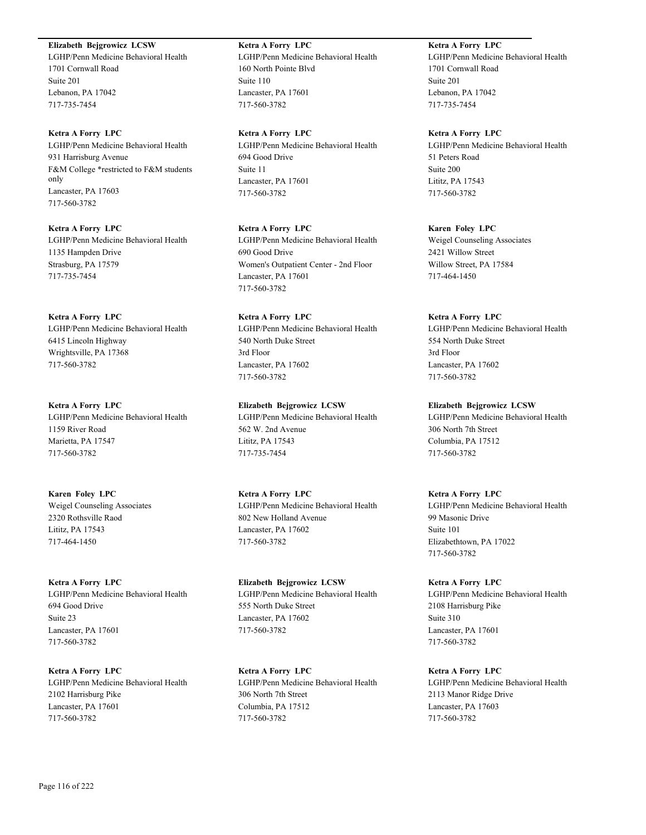# **Elizabeth Bejgrowicz LCSW**

LGHP/Penn Medicine Behavioral Health 1701 Cornwall Road Suite 201 Lebanon, PA 17042 717-735-7454

# **Ketra A Forry LPC** LGHP/Penn Medicine Behavioral Health 931 Harrisburg Avenue F&M College \*restricted to F&M students only Lancaster, PA 17603 717-560-3782

**Ketra A Forry LPC** LGHP/Penn Medicine Behavioral Health 1135 Hampden Drive Strasburg, PA 17579 717-735-7454

# **Ketra A Forry LPC** LGHP/Penn Medicine Behavioral Health 6415 Lincoln Highway Wrightsville, PA 17368 717-560-3782

**Ketra A Forry LPC** LGHP/Penn Medicine Behavioral Health 1159 River Road Marietta, PA 17547 717-560-3782

**Karen Foley LPC** Weigel Counseling Associates 2320 Rothsville Raod Lititz, PA 17543 717-464-1450

**Ketra A Forry LPC** LGHP/Penn Medicine Behavioral Health 694 Good Drive Suite 23 Lancaster, PA 17601 717-560-3782

**Ketra A Forry LPC** LGHP/Penn Medicine Behavioral Health 2102 Harrisburg Pike Lancaster, PA 17601 717-560-3782

**Ketra A Forry LPC** LGHP/Penn Medicine Behavioral Health 160 North Pointe Blvd Suite 110 Lancaster, PA 17601 717-560-3782

**Ketra A Forry LPC** LGHP/Penn Medicine Behavioral Health 694 Good Drive Suite 11 Lancaster, PA 17601 717-560-3782

**Ketra A Forry LPC** LGHP/Penn Medicine Behavioral Health 690 Good Drive Women's Outpatient Center - 2nd Floor Lancaster, PA 17601 717-560-3782

**Ketra A Forry LPC** LGHP/Penn Medicine Behavioral Health 540 North Duke Street 3rd Floor Lancaster, PA 17602 717-560-3782

**Elizabeth Bejgrowicz LCSW** LGHP/Penn Medicine Behavioral Health 562 W. 2nd Avenue Lititz, PA 17543 717-735-7454

**Ketra A Forry LPC** LGHP/Penn Medicine Behavioral Health 802 New Holland Avenue Lancaster, PA 17602 717-560-3782

**Elizabeth Bejgrowicz LCSW** LGHP/Penn Medicine Behavioral Health 555 North Duke Street Lancaster, PA 17602 717-560-3782

**Ketra A Forry LPC** LGHP/Penn Medicine Behavioral Health 306 North 7th Street Columbia, PA 17512 717-560-3782

**Ketra A Forry LPC** LGHP/Penn Medicine Behavioral Health 1701 Cornwall Road Suite 201 Lebanon, PA 17042 717-735-7454

**Ketra A Forry LPC** LGHP/Penn Medicine Behavioral Health 51 Peters Road Suite 200 Lititz, PA 17543 717-560-3782

**Karen Foley LPC** Weigel Counseling Associates 2421 Willow Street Willow Street, PA 17584 717-464-1450

#### **Ketra A Forry LPC**

LGHP/Penn Medicine Behavioral Health 554 North Duke Street 3rd Floor Lancaster, PA 17602 717-560-3782

#### **Elizabeth Bejgrowicz LCSW**

LGHP/Penn Medicine Behavioral Health 306 North 7th Street Columbia, PA 17512 717-560-3782

**Ketra A Forry LPC**

LGHP/Penn Medicine Behavioral Health 99 Masonic Drive Suite 101 Elizabethtown, PA 17022 717-560-3782

**Ketra A Forry LPC** LGHP/Penn Medicine Behavioral Health 2108 Harrisburg Pike Suite 310 Lancaster, PA 17601 717-560-3782

**Ketra A Forry LPC** LGHP/Penn Medicine Behavioral Health 2113 Manor Ridge Drive Lancaster, PA 17603 717-560-3782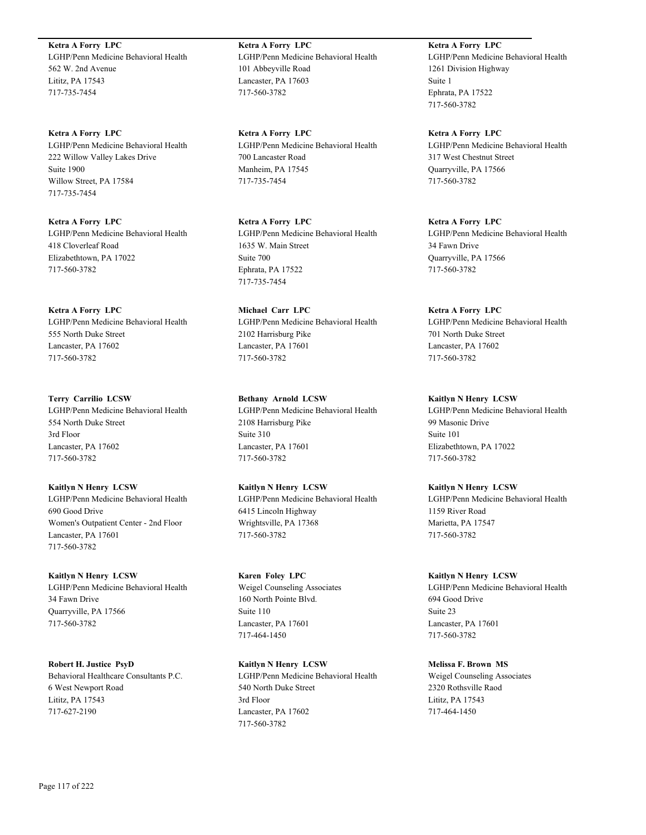**Ketra A Forry LPC** LGHP/Penn Medicine Behavioral Health 562 W. 2nd Avenue Lititz, PA 17543 717-735-7454

**Ketra A Forry LPC** LGHP/Penn Medicine Behavioral Health 222 Willow Valley Lakes Drive Suite 1900 Willow Street, PA 17584 717-735-7454

**Ketra A Forry LPC** LGHP/Penn Medicine Behavioral Health 418 Cloverleaf Road Elizabethtown, PA 17022 717-560-3782

**Ketra A Forry LPC** LGHP/Penn Medicine Behavioral Health 555 North Duke Street Lancaster, PA 17602 717-560-3782

**Terry Carrilio LCSW** LGHP/Penn Medicine Behavioral Health 554 North Duke Street 3rd Floor Lancaster, PA 17602 717-560-3782

**Kaitlyn N Henry LCSW** LGHP/Penn Medicine Behavioral Health 690 Good Drive Women's Outpatient Center - 2nd Floor Lancaster, PA 17601 717-560-3782

**Kaitlyn N Henry LCSW** LGHP/Penn Medicine Behavioral Health 34 Fawn Drive Quarryville, PA 17566 717-560-3782

**Robert H. Justice PsyD** Behavioral Healthcare Consultants P.C. 6 West Newport Road Lititz, PA 17543 717-627-2190

**Ketra A Forry LPC** LGHP/Penn Medicine Behavioral Health 101 Abbeyville Road Lancaster, PA 17603 717-560-3782

**Ketra A Forry LPC** LGHP/Penn Medicine Behavioral Health 700 Lancaster Road Manheim, PA 17545 717-735-7454

**Ketra A Forry LPC** LGHP/Penn Medicine Behavioral Health 1635 W. Main Street Suite 700 Ephrata, PA 17522 717-735-7454

**Michael Carr LPC** LGHP/Penn Medicine Behavioral Health 2102 Harrisburg Pike Lancaster, PA 17601 717-560-3782

**Bethany Arnold LCSW** LGHP/Penn Medicine Behavioral Health 2108 Harrisburg Pike Suite 310 Lancaster, PA 17601 717-560-3782

**Kaitlyn N Henry LCSW** LGHP/Penn Medicine Behavioral Health 6415 Lincoln Highway Wrightsville, PA 17368 717-560-3782

**Karen Foley LPC** Weigel Counseling Associates 160 North Pointe Blvd. Suite 110 Lancaster, PA 17601 717-464-1450

**Kaitlyn N Henry LCSW** LGHP/Penn Medicine Behavioral Health 540 North Duke Street 3rd Floor Lancaster, PA 17602 717-560-3782

**Ketra A Forry LPC** LGHP/Penn Medicine Behavioral Health 1261 Division Highway Suite 1 Ephrata, PA 17522 717-560-3782

**Ketra A Forry LPC** LGHP/Penn Medicine Behavioral Health 317 West Chestnut Street Quarryville, PA 17566 717-560-3782

**Ketra A Forry LPC** LGHP/Penn Medicine Behavioral Health 34 Fawn Drive Quarryville, PA 17566 717-560-3782

**Ketra A Forry LPC** LGHP/Penn Medicine Behavioral Health 701 North Duke Street Lancaster, PA 17602 717-560-3782

**Kaitlyn N Henry LCSW** LGHP/Penn Medicine Behavioral Health 99 Masonic Drive Suite 101 Elizabethtown, PA 17022 717-560-3782

**Kaitlyn N Henry LCSW** LGHP/Penn Medicine Behavioral Health 1159 River Road Marietta, PA 17547 717-560-3782

**Kaitlyn N Henry LCSW** LGHP/Penn Medicine Behavioral Health 694 Good Drive Suite 23 Lancaster, PA 17601 717-560-3782

**Melissa F. Brown MS** Weigel Counseling Associates 2320 Rothsville Raod Lititz, PA 17543 717-464-1450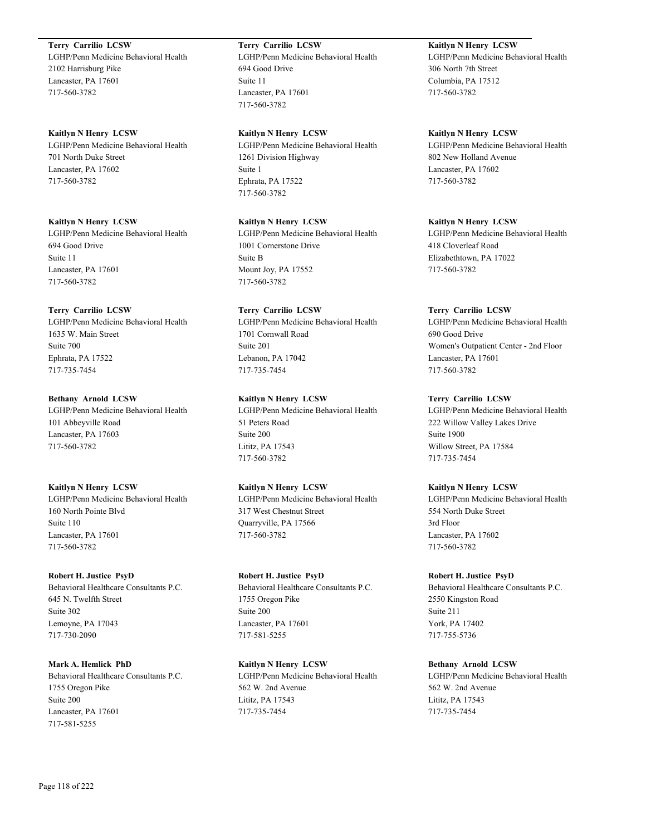**Terry Carrilio LCSW**

LGHP/Penn Medicine Behavioral Health 2102 Harrisburg Pike Lancaster, PA 17601 717-560-3782

#### **Kaitlyn N Henry LCSW**

LGHP/Penn Medicine Behavioral Health 701 North Duke Street Lancaster, PA 17602 717-560-3782

#### **Kaitlyn N Henry LCSW**

LGHP/Penn Medicine Behavioral Health 694 Good Drive Suite 11 Lancaster, PA 17601 717-560-3782

# **Terry Carrilio LCSW**

LGHP/Penn Medicine Behavioral Health 1635 W. Main Street Suite 700 Ephrata, PA 17522 717-735-7454

# **Bethany Arnold LCSW**

LGHP/Penn Medicine Behavioral Health 101 Abbeyville Road Lancaster, PA 17603 717-560-3782

#### **Kaitlyn N Henry LCSW**

LGHP/Penn Medicine Behavioral Health 160 North Pointe Blvd Suite 110 Lancaster, PA 17601 717-560-3782

#### **Robert H. Justice PsyD**

Behavioral Healthcare Consultants P.C. 645 N. Twelfth Street Suite 302 Lemoyne, PA 17043 717-730-2090

# **Mark A. Hemlick PhD**

Behavioral Healthcare Consultants P.C. 1755 Oregon Pike Suite 200 Lancaster, PA 17601 717-581-5255

# **Terry Carrilio LCSW**

LGHP/Penn Medicine Behavioral Health 694 Good Drive Suite 11 Lancaster, PA 17601 717-560-3782

#### **Kaitlyn N Henry LCSW**

LGHP/Penn Medicine Behavioral Health 1261 Division Highway Suite 1 Ephrata, PA 17522 717-560-3782

# **Kaitlyn N Henry LCSW**

LGHP/Penn Medicine Behavioral Health 1001 Cornerstone Drive Suite B Mount Joy, PA 17552 717-560-3782

# **Terry Carrilio LCSW**

LGHP/Penn Medicine Behavioral Health 1701 Cornwall Road Suite 201 Lebanon, PA 17042 717-735-7454

# **Kaitlyn N Henry LCSW**

LGHP/Penn Medicine Behavioral Health 51 Peters Road Suite 200 Lititz, PA 17543 717-560-3782

# **Kaitlyn N Henry LCSW**

LGHP/Penn Medicine Behavioral Health 317 West Chestnut Street Quarryville, PA 17566 717-560-3782

#### **Robert H. Justice PsyD**

Behavioral Healthcare Consultants P.C. 1755 Oregon Pike Suite 200 Lancaster, PA 17601 717-581-5255

# **Kaitlyn N Henry LCSW**

LGHP/Penn Medicine Behavioral Health 562 W. 2nd Avenue Lititz, PA 17543 717-735-7454

# **Kaitlyn N Henry LCSW**

LGHP/Penn Medicine Behavioral Health 306 North 7th Street Columbia, PA 17512 717-560-3782

#### **Kaitlyn N Henry LCSW**

LGHP/Penn Medicine Behavioral Health 802 New Holland Avenue Lancaster, PA 17602 717-560-3782

## **Kaitlyn N Henry LCSW**

LGHP/Penn Medicine Behavioral Health 418 Cloverleaf Road Elizabethtown, PA 17022 717-560-3782

## **Terry Carrilio LCSW**

LGHP/Penn Medicine Behavioral Health 690 Good Drive Women's Outpatient Center - 2nd Floor Lancaster, PA 17601 717-560-3782

# **Terry Carrilio LCSW**

LGHP/Penn Medicine Behavioral Health 222 Willow Valley Lakes Drive Suite 1900 Willow Street, PA 17584 717-735-7454

# **Kaitlyn N Henry LCSW**

LGHP/Penn Medicine Behavioral Health 554 North Duke Street 3rd Floor Lancaster, PA 17602 717-560-3782

# **Robert H. Justice PsyD**

Behavioral Healthcare Consultants P.C. 2550 Kingston Road Suite 211 York, PA 17402 717-755-5736

# **Bethany Arnold LCSW**

LGHP/Penn Medicine Behavioral Health 562 W. 2nd Avenue Lititz, PA 17543 717-735-7454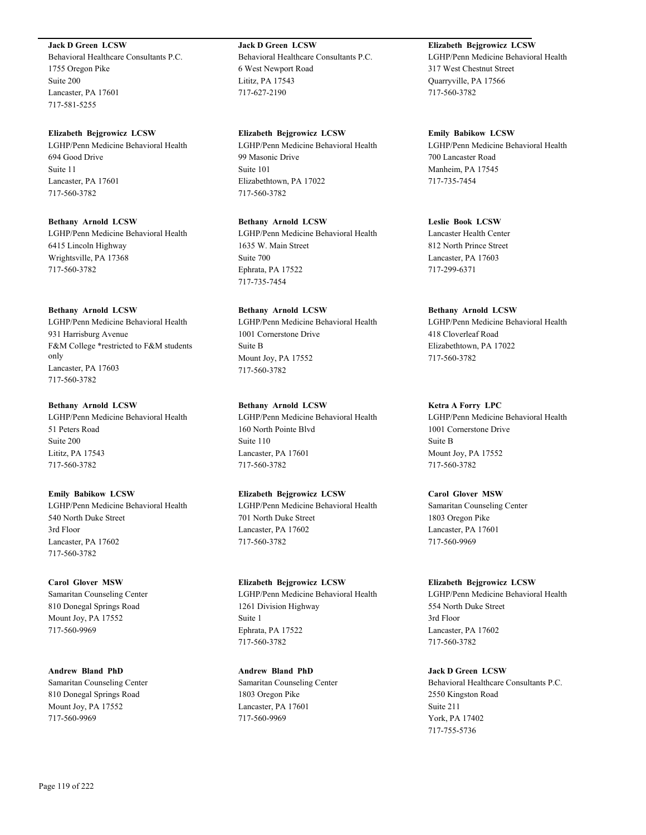## **Jack D Green LCSW**

Behavioral Healthcare Consultants P.C. 1755 Oregon Pike Suite 200 Lancaster, PA 17601 717-581-5255

#### **Elizabeth Bejgrowicz LCSW**

LGHP/Penn Medicine Behavioral Health 694 Good Drive Suite 11 Lancaster, PA 17601 717-560-3782

#### **Bethany Arnold LCSW**

LGHP/Penn Medicine Behavioral Health 6415 Lincoln Highway Wrightsville, PA 17368 717-560-3782

#### **Bethany Arnold LCSW**

LGHP/Penn Medicine Behavioral Health 931 Harrisburg Avenue F&M College \*restricted to F&M students only Lancaster, PA 17603 717-560-3782

#### **Bethany Arnold LCSW**

LGHP/Penn Medicine Behavioral Health 51 Peters Road Suite 200 Lititz, PA 17543 717-560-3782

# **Emily Babikow LCSW**

LGHP/Penn Medicine Behavioral Health 540 North Duke Street 3rd Floor Lancaster, PA 17602 717-560-3782

#### **Carol Glover MSW**

Samaritan Counseling Center 810 Donegal Springs Road Mount Joy, PA 17552 717-560-9969

**Andrew Bland PhD** Samaritan Counseling Center 810 Donegal Springs Road Mount Joy, PA 17552 717-560-9969

# **Jack D Green LCSW** Behavioral Healthcare Consultants P.C. 6 West Newport Road Lititz, PA 17543 717-627-2190

**Elizabeth Bejgrowicz LCSW** LGHP/Penn Medicine Behavioral Health 99 Masonic Drive Suite 101 Elizabethtown, PA 17022 717-560-3782

**Bethany Arnold LCSW** LGHP/Penn Medicine Behavioral Health 1635 W. Main Street Suite 700 Ephrata, PA 17522 717-735-7454

# **Bethany Arnold LCSW** LGHP/Penn Medicine Behavioral Health 1001 Cornerstone Drive Suite B Mount Joy, PA 17552 717-560-3782

# **Bethany Arnold LCSW**

LGHP/Penn Medicine Behavioral Health 160 North Pointe Blvd Suite 110 Lancaster, PA 17601 717-560-3782

# **Elizabeth Bejgrowicz LCSW**

LGHP/Penn Medicine Behavioral Health 701 North Duke Street Lancaster, PA 17602 717-560-3782

#### **Elizabeth Bejgrowicz LCSW**

LGHP/Penn Medicine Behavioral Health 1261 Division Highway Suite 1 Ephrata, PA 17522 717-560-3782

# **Andrew Bland PhD** Samaritan Counseling Center 1803 Oregon Pike Lancaster, PA 17601 717-560-9969

# **Elizabeth Bejgrowicz LCSW**

LGHP/Penn Medicine Behavioral Health 317 West Chestnut Street Quarryville, PA 17566 717-560-3782

**Emily Babikow LCSW** LGHP/Penn Medicine Behavioral Health 700 Lancaster Road Manheim, PA 17545 717-735-7454

# **Leslie Book LCSW**

Lancaster Health Center 812 North Prince Street Lancaster, PA 17603 717-299-6371

## **Bethany Arnold LCSW**

LGHP/Penn Medicine Behavioral Health 418 Cloverleaf Road Elizabethtown, PA 17022 717-560-3782

#### **Ketra A Forry LPC**

LGHP/Penn Medicine Behavioral Health 1001 Cornerstone Drive Suite B Mount Joy, PA 17552 717-560-3782

# **Carol Glover MSW**

Samaritan Counseling Center 1803 Oregon Pike Lancaster, PA 17601 717-560-9969

#### **Elizabeth Bejgrowicz LCSW**

LGHP/Penn Medicine Behavioral Health 554 North Duke Street 3rd Floor Lancaster, PA 17602 717-560-3782

#### **Jack D Green LCSW**

Behavioral Healthcare Consultants P.C. 2550 Kingston Road Suite 211 York, PA 17402 717-755-5736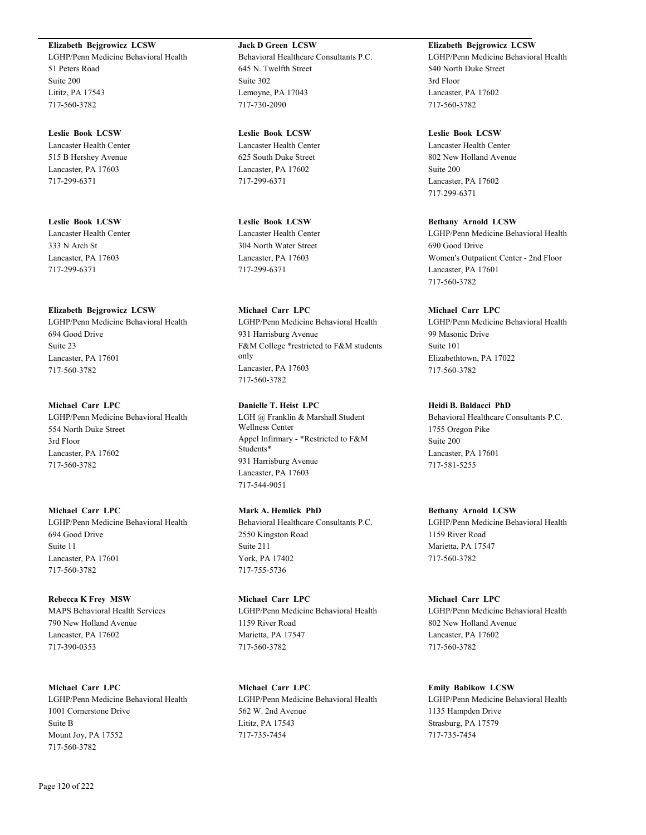#### **Elizabeth Bejgrowicz LCSW**

LGHP/Penn Medicine Behavioral Health 51 Peters Road Suite 200 Lititz, PA 17543 717-560-3782

**Leslie Book LCSW** Lancaster Health Center 515 B Hershey Avenue Lancaster, PA 17603 717-299-6371

**Leslie Book LCSW** Lancaster Health Center 333 N Arch St Lancaster, PA 17603 717-299-6371

# **Elizabeth Bejgrowicz LCSW**

LGHP/Penn Medicine Behavioral Health 694 Good Drive Suite 23 Lancaster, PA 17601 717-560-3782

#### **Michael Carr LPC**

LGHP/Penn Medicine Behavioral Health 554 North Duke Street 3rd Floor Lancaster, PA 17602 717-560-3782

# **Michael Carr LPC**

LGHP/Penn Medicine Behavioral Health 694 Good Drive Suite 11 Lancaster, PA 17601 717-560-3782

**Rebecca K Frey MSW** MAPS Behavioral Health Services 790 New Holland Avenue Lancaster, PA 17602 717-390-0353

**Michael Carr LPC** LGHP/Penn Medicine Behavioral Health 1001 Cornerstone Drive Suite B Mount Joy, PA 17552 717-560-3782

**Jack D Green LCSW** Behavioral Healthcare Consultants P.C. 645 N. Twelfth Street Suite 302 Lemoyne, PA 17043 717-730-2090

**Leslie Book LCSW** Lancaster Health Center 625 South Duke Street Lancaster, PA 17602 717-299-6371

**Leslie Book LCSW** Lancaster Health Center 304 North Water Street Lancaster, PA 17603 717-299-6371

# **Michael Carr LPC**

LGHP/Penn Medicine Behavioral Health 931 Harrisburg Avenue F&M College \*restricted to F&M students only Lancaster, PA 17603 717-560-3782

# **Danielle T. Heist LPC**

LGH @ Franklin & Marshall Student Wellness Center Appel Infirmary - \*Restricted to F&M Students\* 931 Harrisburg Avenue Lancaster, PA 17603 717-544-9051

# **Mark A. Hemlick PhD**

Behavioral Healthcare Consultants P.C. 2550 Kingston Road Suite 211 York, PA 17402 717-755-5736

**Michael Carr LPC** LGHP/Penn Medicine Behavioral Health 1159 River Road Marietta, PA 17547 717-560-3782

**Michael Carr LPC** LGHP/Penn Medicine Behavioral Health 562 W. 2nd Avenue Lititz, PA 17543 717-735-7454

**Elizabeth Bejgrowicz LCSW**

LGHP/Penn Medicine Behavioral Health 540 North Duke Street 3rd Floor Lancaster, PA 17602 717-560-3782

#### **Leslie Book LCSW**

Lancaster Health Center 802 New Holland Avenue Suite 200 Lancaster, PA 17602 717-299-6371

#### **Bethany Arnold LCSW**

LGHP/Penn Medicine Behavioral Health 690 Good Drive Women's Outpatient Center - 2nd Floor Lancaster, PA 17601 717-560-3782

# **Michael Carr LPC**

LGHP/Penn Medicine Behavioral Health 99 Masonic Drive Suite 101 Elizabethtown, PA 17022 717-560-3782

#### **Heidi B. Baldacci PhD**

Behavioral Healthcare Consultants P.C. 1755 Oregon Pike Suite 200 Lancaster, PA 17601 717-581-5255

#### **Bethany Arnold LCSW**

LGHP/Penn Medicine Behavioral Health 1159 River Road Marietta, PA 17547 717-560-3782

#### **Michael Carr LPC**

LGHP/Penn Medicine Behavioral Health 802 New Holland Avenue Lancaster, PA 17602 717-560-3782

#### **Emily Babikow LCSW**

LGHP/Penn Medicine Behavioral Health 1135 Hampden Drive Strasburg, PA 17579 717-735-7454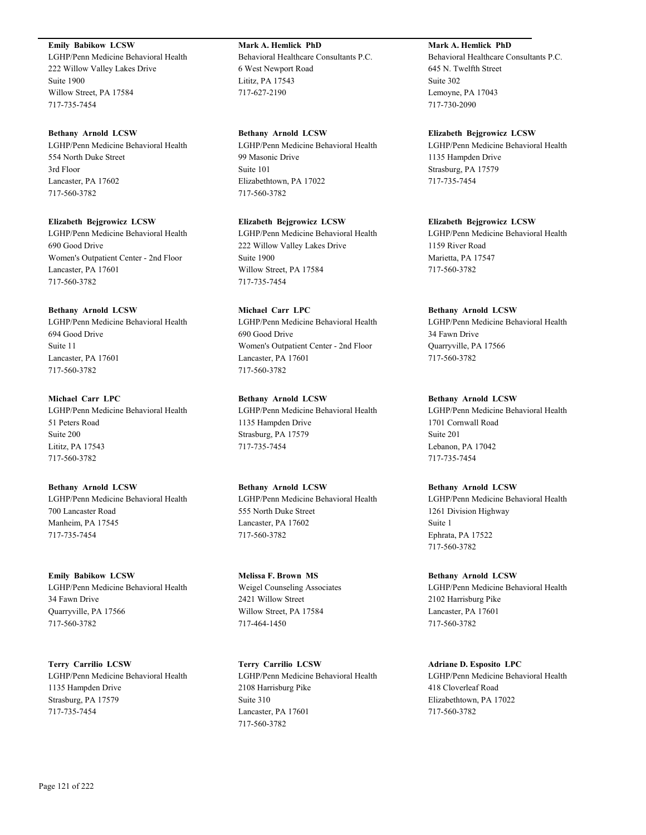# **Emily Babikow LCSW**

LGHP/Penn Medicine Behavioral Health 222 Willow Valley Lakes Drive Suite 1900 Willow Street, PA 17584 717-735-7454

#### **Bethany Arnold LCSW**

LGHP/Penn Medicine Behavioral Health 554 North Duke Street 3rd Floor Lancaster, PA 17602 717-560-3782

**Elizabeth Bejgrowicz LCSW**

LGHP/Penn Medicine Behavioral Health 690 Good Drive Women's Outpatient Center - 2nd Floor Lancaster, PA 17601 717-560-3782

#### **Bethany Arnold LCSW**

LGHP/Penn Medicine Behavioral Health 694 Good Drive Suite 11 Lancaster, PA 17601 717-560-3782

**Michael Carr LPC** LGHP/Penn Medicine Behavioral Health 51 Peters Road Suite 200 Lititz, PA 17543 717-560-3782

**Bethany Arnold LCSW** LGHP/Penn Medicine Behavioral Health 700 Lancaster Road Manheim, PA 17545 717-735-7454

**Emily Babikow LCSW** LGHP/Penn Medicine Behavioral Health 34 Fawn Drive Quarryville, PA 17566 717-560-3782

**Terry Carrilio LCSW** LGHP/Penn Medicine Behavioral Health 1135 Hampden Drive Strasburg, PA 17579 717-735-7454

**Mark A. Hemlick PhD** Behavioral Healthcare Consultants P.C. 6 West Newport Road Lititz, PA 17543 717-627-2190

**Bethany Arnold LCSW** LGHP/Penn Medicine Behavioral Health 99 Masonic Drive Suite 101 Elizabethtown, PA 17022 717-560-3782

**Elizabeth Bejgrowicz LCSW** LGHP/Penn Medicine Behavioral Health 222 Willow Valley Lakes Drive Suite 1900 Willow Street, PA 17584 717-735-7454

**Michael Carr LPC** LGHP/Penn Medicine Behavioral Health 690 Good Drive Women's Outpatient Center - 2nd Floor Lancaster, PA 17601 717-560-3782

**Bethany Arnold LCSW** LGHP/Penn Medicine Behavioral Health 1135 Hampden Drive Strasburg, PA 17579 717-735-7454

**Bethany Arnold LCSW** LGHP/Penn Medicine Behavioral Health 555 North Duke Street Lancaster, PA 17602 717-560-3782

**Melissa F. Brown MS** Weigel Counseling Associates 2421 Willow Street Willow Street, PA 17584 717-464-1450

**Terry Carrilio LCSW** LGHP/Penn Medicine Behavioral Health 2108 Harrisburg Pike Suite 310 Lancaster, PA 17601 717-560-3782

**Mark A. Hemlick PhD**

Behavioral Healthcare Consultants P.C. 645 N. Twelfth Street Suite 302 Lemoyne, PA 17043 717-730-2090

**Elizabeth Bejgrowicz LCSW** LGHP/Penn Medicine Behavioral Health 1135 Hampden Drive Strasburg, PA 17579 717-735-7454

**Elizabeth Bejgrowicz LCSW** LGHP/Penn Medicine Behavioral Health 1159 River Road Marietta, PA 17547 717-560-3782

**Bethany Arnold LCSW** LGHP/Penn Medicine Behavioral Health 34 Fawn Drive Quarryville, PA 17566 717-560-3782

**Bethany Arnold LCSW** LGHP/Penn Medicine Behavioral Health 1701 Cornwall Road Suite 201 Lebanon, PA 17042 717-735-7454

**Bethany Arnold LCSW** LGHP/Penn Medicine Behavioral Health 1261 Division Highway Suite 1 Ephrata, PA 17522 717-560-3782

**Bethany Arnold LCSW** LGHP/Penn Medicine Behavioral Health 2102 Harrisburg Pike Lancaster, PA 17601 717-560-3782

**Adriane D. Esposito LPC** LGHP/Penn Medicine Behavioral Health 418 Cloverleaf Road Elizabethtown, PA 17022 717-560-3782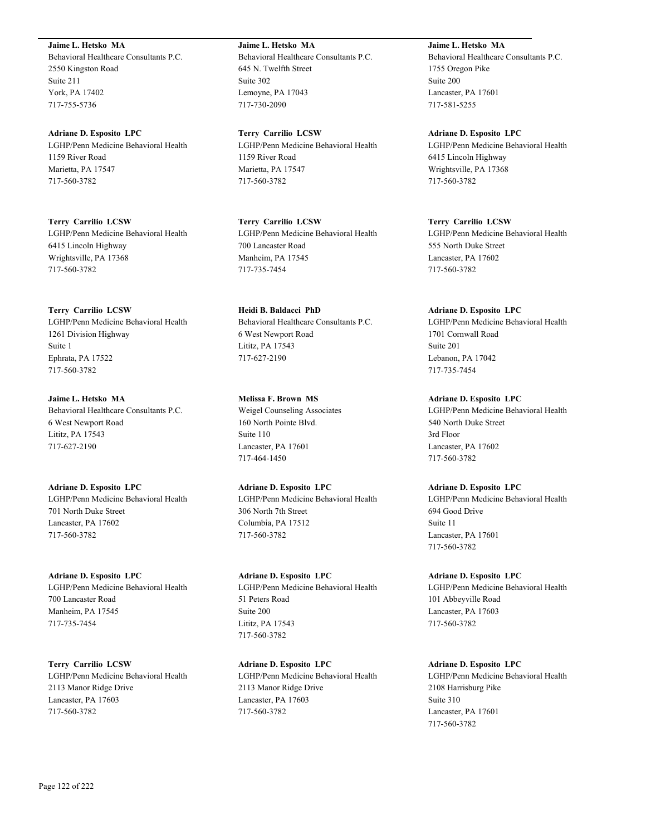**Jaime L. Hetsko MA** Behavioral Healthcare Consultants P.C. 2550 Kingston Road Suite 211 York, PA 17402 717-755-5736

**Adriane D. Esposito LPC** LGHP/Penn Medicine Behavioral Health 1159 River Road Marietta, PA 17547 717-560-3782

**Terry Carrilio LCSW** LGHP/Penn Medicine Behavioral Health 6415 Lincoln Highway Wrightsville, PA 17368 717-560-3782

**Terry Carrilio LCSW** LGHP/Penn Medicine Behavioral Health 1261 Division Highway Suite 1 Ephrata, PA 17522 717-560-3782

**Jaime L. Hetsko MA** Behavioral Healthcare Consultants P.C. 6 West Newport Road Lititz, PA 17543 717-627-2190

**Adriane D. Esposito LPC** LGHP/Penn Medicine Behavioral Health 701 North Duke Street Lancaster, PA 17602 717-560-3782

**Adriane D. Esposito LPC** LGHP/Penn Medicine Behavioral Health 700 Lancaster Road Manheim, PA 17545 717-735-7454

**Terry Carrilio LCSW** LGHP/Penn Medicine Behavioral Health 2113 Manor Ridge Drive Lancaster, PA 17603 717-560-3782

**Jaime L. Hetsko MA** Behavioral Healthcare Consultants P.C. 645 N. Twelfth Street Suite 302 Lemoyne, PA 17043 717-730-2090

**Terry Carrilio LCSW** LGHP/Penn Medicine Behavioral Health 1159 River Road Marietta, PA 17547 717-560-3782

**Terry Carrilio LCSW** LGHP/Penn Medicine Behavioral Health 700 Lancaster Road Manheim, PA 17545 717-735-7454

**Heidi B. Baldacci PhD** Behavioral Healthcare Consultants P.C. 6 West Newport Road Lititz, PA 17543 717-627-2190

**Melissa F. Brown MS** Weigel Counseling Associates 160 North Pointe Blvd. Suite 110 Lancaster, PA 17601 717-464-1450

**Adriane D. Esposito LPC** LGHP/Penn Medicine Behavioral Health 306 North 7th Street Columbia, PA 17512 717-560-3782

**Adriane D. Esposito LPC** LGHP/Penn Medicine Behavioral Health 51 Peters Road Suite 200 Lititz, PA 17543 717-560-3782

**Adriane D. Esposito LPC** LGHP/Penn Medicine Behavioral Health 2113 Manor Ridge Drive Lancaster, PA 17603 717-560-3782

**Jaime L. Hetsko MA** Behavioral Healthcare Consultants P.C. 1755 Oregon Pike Suite 200 Lancaster, PA 17601 717-581-5255

**Adriane D. Esposito LPC** LGHP/Penn Medicine Behavioral Health 6415 Lincoln Highway Wrightsville, PA 17368 717-560-3782

**Terry Carrilio LCSW** LGHP/Penn Medicine Behavioral Health 555 North Duke Street Lancaster, PA 17602 717-560-3782

**Adriane D. Esposito LPC** LGHP/Penn Medicine Behavioral Health 1701 Cornwall Road Suite 201 Lebanon, PA 17042 717-735-7454

**Adriane D. Esposito LPC** LGHP/Penn Medicine Behavioral Health 540 North Duke Street 3rd Floor Lancaster, PA 17602 717-560-3782

**Adriane D. Esposito LPC** LGHP/Penn Medicine Behavioral Health 694 Good Drive Suite 11 Lancaster, PA 17601 717-560-3782

**Adriane D. Esposito LPC** LGHP/Penn Medicine Behavioral Health 101 Abbeyville Road Lancaster, PA 17603 717-560-3782

**Adriane D. Esposito LPC** LGHP/Penn Medicine Behavioral Health 2108 Harrisburg Pike Suite 310 Lancaster, PA 17601 717-560-3782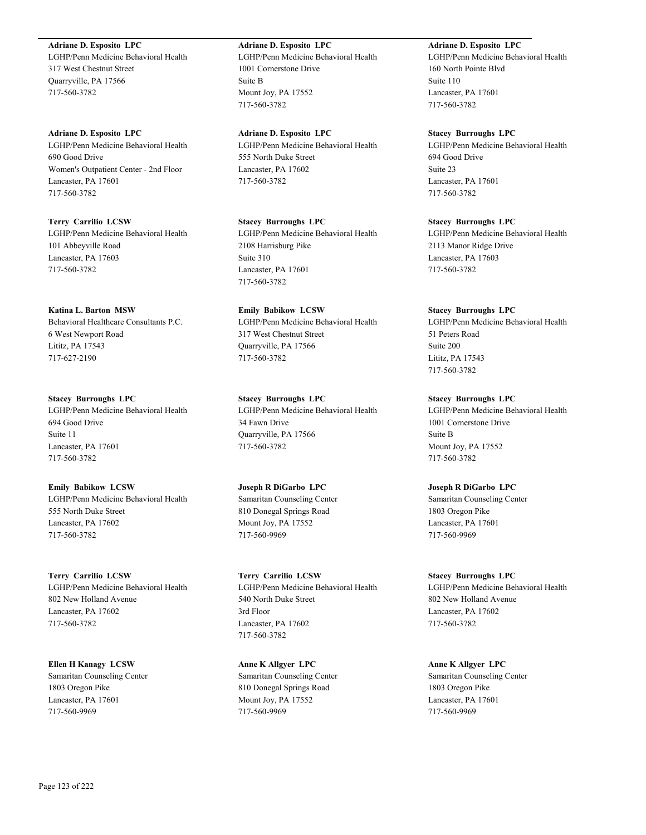**Adriane D. Esposito LPC** LGHP/Penn Medicine Behavioral Health 317 West Chestnut Street Quarryville, PA 17566 717-560-3782

**Adriane D. Esposito LPC** LGHP/Penn Medicine Behavioral Health 690 Good Drive Women's Outpatient Center - 2nd Floor Lancaster, PA 17601 717-560-3782

**Terry Carrilio LCSW** LGHP/Penn Medicine Behavioral Health 101 Abbeyville Road Lancaster, PA 17603 717-560-3782

**Katina L. Barton MSW** Behavioral Healthcare Consultants P.C. 6 West Newport Road Lititz, PA 17543 717-627-2190

**Stacey Burroughs LPC** LGHP/Penn Medicine Behavioral Health 694 Good Drive Suite 11 Lancaster, PA 17601 717-560-3782

**Emily Babikow LCSW** LGHP/Penn Medicine Behavioral Health 555 North Duke Street Lancaster, PA 17602 717-560-3782

**Terry Carrilio LCSW** LGHP/Penn Medicine Behavioral Health 802 New Holland Avenue Lancaster, PA 17602 717-560-3782

**Ellen H Kanagy LCSW** Samaritan Counseling Center 1803 Oregon Pike Lancaster, PA 17601 717-560-9969

**Adriane D. Esposito LPC** LGHP/Penn Medicine Behavioral Health 1001 Cornerstone Drive Suite B Mount Joy, PA 17552 717-560-3782

**Adriane D. Esposito LPC** LGHP/Penn Medicine Behavioral Health 555 North Duke Street Lancaster, PA 17602 717-560-3782

**Stacey Burroughs LPC** LGHP/Penn Medicine Behavioral Health 2108 Harrisburg Pike Suite 310 Lancaster, PA 17601 717-560-3782

**Emily Babikow LCSW** LGHP/Penn Medicine Behavioral Health 317 West Chestnut Street Quarryville, PA 17566 717-560-3782

**Stacey Burroughs LPC** LGHP/Penn Medicine Behavioral Health 34 Fawn Drive Quarryville, PA 17566 717-560-3782

**Joseph R DiGarbo LPC** Samaritan Counseling Center 810 Donegal Springs Road Mount Joy, PA 17552 717-560-9969

**Terry Carrilio LCSW** LGHP/Penn Medicine Behavioral Health 540 North Duke Street 3rd Floor Lancaster, PA 17602 717-560-3782

**Anne K Allgyer LPC** Samaritan Counseling Center 810 Donegal Springs Road Mount Joy, PA 17552 717-560-9969

**Adriane D. Esposito LPC**

LGHP/Penn Medicine Behavioral Health 160 North Pointe Blvd Suite 110 Lancaster, PA 17601 717-560-3782

**Stacey Burroughs LPC** LGHP/Penn Medicine Behavioral Health 694 Good Drive Suite 23 Lancaster, PA 17601 717-560-3782

**Stacey Burroughs LPC** LGHP/Penn Medicine Behavioral Health 2113 Manor Ridge Drive Lancaster, PA 17603 717-560-3782

**Stacey Burroughs LPC** LGHP/Penn Medicine Behavioral Health 51 Peters Road Suite 200 Lititz, PA 17543 717-560-3782

**Stacey Burroughs LPC** LGHP/Penn Medicine Behavioral Health 1001 Cornerstone Drive Suite B Mount Joy, PA 17552 717-560-3782

**Joseph R DiGarbo LPC** Samaritan Counseling Center 1803 Oregon Pike Lancaster, PA 17601 717-560-9969

**Stacey Burroughs LPC** LGHP/Penn Medicine Behavioral Health 802 New Holland Avenue Lancaster, PA 17602 717-560-3782

**Anne K Allgyer LPC** Samaritan Counseling Center 1803 Oregon Pike Lancaster, PA 17601 717-560-9969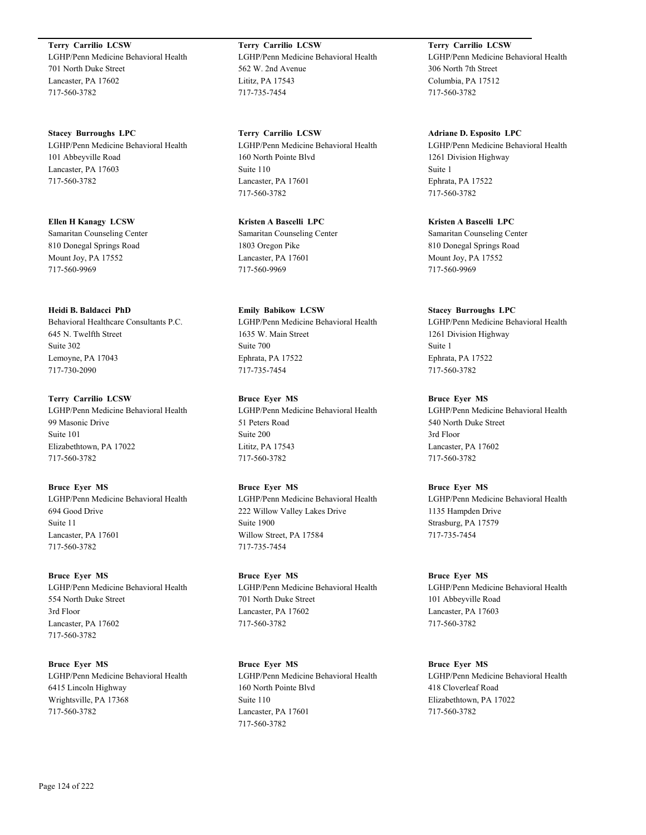**Terry Carrilio LCSW** LGHP/Penn Medicine Behavioral Health 701 North Duke Street Lancaster, PA 17602 717-560-3782

**Stacey Burroughs LPC** LGHP/Penn Medicine Behavioral Health 101 Abbeyville Road Lancaster, PA 17603 717-560-3782

**Ellen H Kanagy LCSW** Samaritan Counseling Center 810 Donegal Springs Road Mount Joy, PA 17552 717-560-9969

**Heidi B. Baldacci PhD** Behavioral Healthcare Consultants P.C. 645 N. Twelfth Street Suite 302 Lemoyne, PA 17043

717-730-2090

**Terry Carrilio LCSW** LGHP/Penn Medicine Behavioral Health 99 Masonic Drive Suite 101 Elizabethtown, PA 17022 717-560-3782

**Bruce Eyer MS** LGHP/Penn Medicine Behavioral Health 694 Good Drive Suite 11 Lancaster, PA 17601 717-560-3782

**Bruce Eyer MS** LGHP/Penn Medicine Behavioral Health 554 North Duke Street 3rd Floor Lancaster, PA 17602 717-560-3782

**Bruce Eyer MS** LGHP/Penn Medicine Behavioral Health 6415 Lincoln Highway Wrightsville, PA 17368 717-560-3782

**Terry Carrilio LCSW** LGHP/Penn Medicine Behavioral Health 562 W. 2nd Avenue Lititz, PA 17543 717-735-7454

**Terry Carrilio LCSW** LGHP/Penn Medicine Behavioral Health 160 North Pointe Blvd Suite 110 Lancaster, PA 17601 717-560-3782

**Kristen A Bascelli LPC** Samaritan Counseling Center 1803 Oregon Pike Lancaster, PA 17601 717-560-9969

**Emily Babikow LCSW** LGHP/Penn Medicine Behavioral Health 1635 W. Main Street Suite 700 Ephrata, PA 17522 717-735-7454

**Bruce Eyer MS** LGHP/Penn Medicine Behavioral Health 51 Peters Road Suite 200 Lititz, PA 17543 717-560-3782

**Bruce Eyer MS** LGHP/Penn Medicine Behavioral Health 222 Willow Valley Lakes Drive Suite 1900 Willow Street, PA 17584 717-735-7454

**Bruce Eyer MS** LGHP/Penn Medicine Behavioral Health 701 North Duke Street Lancaster, PA 17602 717-560-3782

**Bruce Eyer MS** LGHP/Penn Medicine Behavioral Health 160 North Pointe Blvd Suite 110 Lancaster, PA 17601 717-560-3782

**Terry Carrilio LCSW** LGHP/Penn Medicine Behavioral Health 306 North 7th Street Columbia, PA 17512 717-560-3782

**Adriane D. Esposito LPC** LGHP/Penn Medicine Behavioral Health 1261 Division Highway Suite 1 Ephrata, PA 17522 717-560-3782

**Kristen A Bascelli LPC** Samaritan Counseling Center 810 Donegal Springs Road Mount Joy, PA 17552 717-560-9969

**Stacey Burroughs LPC** LGHP/Penn Medicine Behavioral Health 1261 Division Highway Suite 1 Ephrata, PA 17522 717-560-3782

**Bruce Eyer MS** LGHP/Penn Medicine Behavioral Health 540 North Duke Street 3rd Floor Lancaster, PA 17602 717-560-3782

**Bruce Eyer MS** LGHP/Penn Medicine Behavioral Health 1135 Hampden Drive Strasburg, PA 17579 717-735-7454

**Bruce Eyer MS** LGHP/Penn Medicine Behavioral Health 101 Abbeyville Road Lancaster, PA 17603 717-560-3782

**Bruce Eyer MS** LGHP/Penn Medicine Behavioral Health 418 Cloverleaf Road Elizabethtown, PA 17022 717-560-3782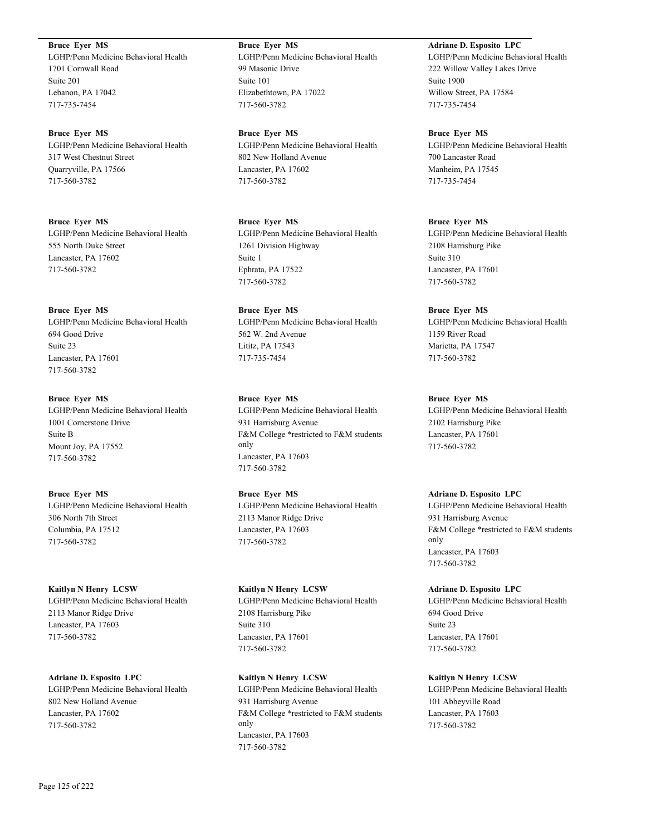**Bruce Eyer MS** LGHP/Penn Medicine Behavioral Health 1701 Cornwall Road Suite 201 Lebanon, PA 17042 717-735-7454

**Bruce Eyer MS** LGHP/Penn Medicine Behavioral Health 317 West Chestnut Street Quarryville, PA 17566 717-560-3782

**Bruce Eyer MS** LGHP/Penn Medicine Behavioral Health 555 North Duke Street Lancaster, PA 17602 717-560-3782

**Bruce Eyer MS** LGHP/Penn Medicine Behavioral Health 694 Good Drive Suite 23 Lancaster, PA 17601 717-560-3782

**Bruce Eyer MS** LGHP/Penn Medicine Behavioral Health 1001 Cornerstone Drive Suite B Mount Joy, PA 17552 717-560-3782

**Bruce Eyer MS** LGHP/Penn Medicine Behavioral Health 306 North 7th Street Columbia, PA 17512 717-560-3782

**Kaitlyn N Henry LCSW** LGHP/Penn Medicine Behavioral Health 2113 Manor Ridge Drive Lancaster, PA 17603 717-560-3782

**Adriane D. Esposito LPC** LGHP/Penn Medicine Behavioral Health 802 New Holland Avenue Lancaster, PA 17602 717-560-3782

**Bruce Eyer MS** LGHP/Penn Medicine Behavioral Health 99 Masonic Drive Suite 101 Elizabethtown, PA 17022 717-560-3782

**Bruce Eyer MS** LGHP/Penn Medicine Behavioral Health 802 New Holland Avenue Lancaster, PA 17602 717-560-3782

**Bruce Eyer MS** LGHP/Penn Medicine Behavioral Health 1261 Division Highway Suite 1 Ephrata, PA 17522 717-560-3782

**Bruce Eyer MS** LGHP/Penn Medicine Behavioral Health 562 W. 2nd Avenue Lititz, PA 17543 717-735-7454

**Bruce Eyer MS** LGHP/Penn Medicine Behavioral Health 931 Harrisburg Avenue F&M College \*restricted to F&M students only Lancaster, PA 17603 717-560-3782

**Bruce Eyer MS** LGHP/Penn Medicine Behavioral Health 2113 Manor Ridge Drive Lancaster, PA 17603 717-560-3782

**Kaitlyn N Henry LCSW** LGHP/Penn Medicine Behavioral Health 2108 Harrisburg Pike Suite 310 Lancaster, PA 17601 717-560-3782

**Kaitlyn N Henry LCSW** LGHP/Penn Medicine Behavioral Health 931 Harrisburg Avenue F&M College \*restricted to F&M students only Lancaster, PA 17603 717-560-3782

**Adriane D. Esposito LPC** LGHP/Penn Medicine Behavioral Health 222 Willow Valley Lakes Drive Suite 1900 Willow Street, PA 17584 717-735-7454

**Bruce Eyer MS** LGHP/Penn Medicine Behavioral Health 700 Lancaster Road Manheim, PA 17545 717-735-7454

**Bruce Eyer MS** LGHP/Penn Medicine Behavioral Health 2108 Harrisburg Pike Suite 310 Lancaster, PA 17601 717-560-3782

**Bruce Eyer MS** LGHP/Penn Medicine Behavioral Health 1159 River Road Marietta, PA 17547 717-560-3782

**Bruce Eyer MS** LGHP/Penn Medicine Behavioral Health 2102 Harrisburg Pike Lancaster, PA 17601 717-560-3782

**Adriane D. Esposito LPC** LGHP/Penn Medicine Behavioral Health 931 Harrisburg Avenue F&M College \*restricted to F&M students only Lancaster, PA 17603 717-560-3782

**Adriane D. Esposito LPC** LGHP/Penn Medicine Behavioral Health 694 Good Drive Suite 23 Lancaster, PA 17601 717-560-3782

**Kaitlyn N Henry LCSW** LGHP/Penn Medicine Behavioral Health 101 Abbeyville Road Lancaster, PA 17603 717-560-3782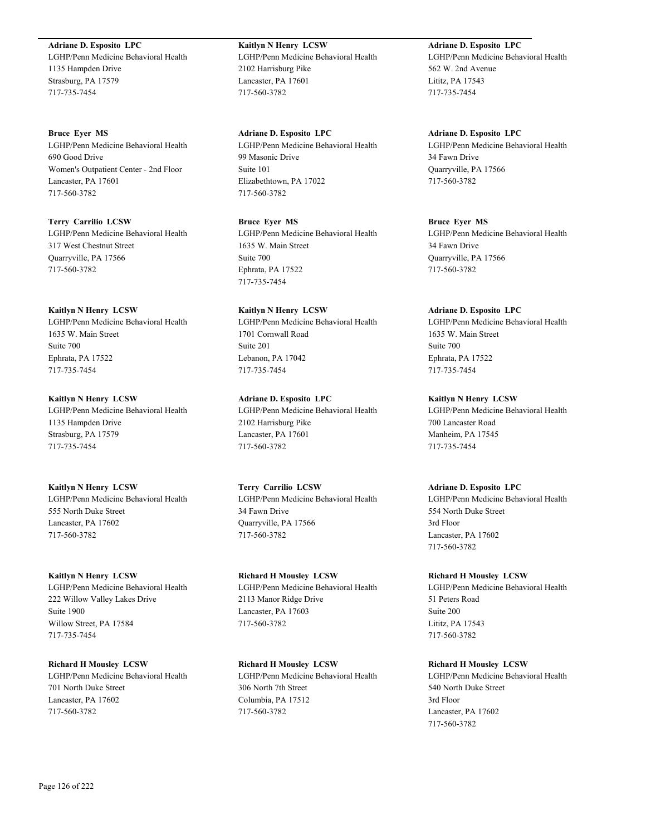#### **Adriane D. Esposito LPC**

LGHP/Penn Medicine Behavioral Health 1135 Hampden Drive Strasburg, PA 17579 717-735-7454

**Bruce Eyer MS**

LGHP/Penn Medicine Behavioral Health 690 Good Drive Women's Outpatient Center - 2nd Floor Lancaster, PA 17601 717-560-3782

**Terry Carrilio LCSW** LGHP/Penn Medicine Behavioral Health 317 West Chestnut Street Quarryville, PA 17566 717-560-3782

#### **Kaitlyn N Henry LCSW**

LGHP/Penn Medicine Behavioral Health 1635 W. Main Street Suite 700 Ephrata, PA 17522 717-735-7454

**Kaitlyn N Henry LCSW** LGHP/Penn Medicine Behavioral Health 1135 Hampden Drive Strasburg, PA 17579

717-735-7454

**Kaitlyn N Henry LCSW** LGHP/Penn Medicine Behavioral Health 555 North Duke Street Lancaster, PA 17602 717-560-3782

**Kaitlyn N Henry LCSW** LGHP/Penn Medicine Behavioral Health

222 Willow Valley Lakes Drive Suite 1900 Willow Street, PA 17584 717-735-7454

**Richard H Mousley LCSW** LGHP/Penn Medicine Behavioral Health 701 North Duke Street Lancaster, PA 17602 717-560-3782

**Kaitlyn N Henry LCSW** LGHP/Penn Medicine Behavioral Health 2102 Harrisburg Pike Lancaster, PA 17601 717-560-3782

**Adriane D. Esposito LPC** LGHP/Penn Medicine Behavioral Health 99 Masonic Drive Suite 101 Elizabethtown, PA 17022 717-560-3782

**Bruce Eyer MS** LGHP/Penn Medicine Behavioral Health 1635 W. Main Street Suite 700 Ephrata, PA 17522 717-735-7454

**Kaitlyn N Henry LCSW** LGHP/Penn Medicine Behavioral Health 1701 Cornwall Road Suite 201 Lebanon, PA 17042 717-735-7454

**Adriane D. Esposito LPC** LGHP/Penn Medicine Behavioral Health 2102 Harrisburg Pike Lancaster, PA 17601 717-560-3782

**Terry Carrilio LCSW** LGHP/Penn Medicine Behavioral Health 34 Fawn Drive Quarryville, PA 17566 717-560-3782

**Richard H Mousley LCSW** LGHP/Penn Medicine Behavioral Health 2113 Manor Ridge Drive Lancaster, PA 17603 717-560-3782

**Richard H Mousley LCSW** LGHP/Penn Medicine Behavioral Health 306 North 7th Street Columbia, PA 17512 717-560-3782

**Adriane D. Esposito LPC** LGHP/Penn Medicine Behavioral Health 562 W. 2nd Avenue Lititz, PA 17543 717-735-7454

**Adriane D. Esposito LPC** LGHP/Penn Medicine Behavioral Health 34 Fawn Drive Quarryville, PA 17566 717-560-3782

**Bruce Eyer MS** LGHP/Penn Medicine Behavioral Health 34 Fawn Drive Quarryville, PA 17566 717-560-3782

**Adriane D. Esposito LPC**

LGHP/Penn Medicine Behavioral Health 1635 W. Main Street Suite 700 Ephrata, PA 17522 717-735-7454

**Kaitlyn N Henry LCSW** LGHP/Penn Medicine Behavioral Health 700 Lancaster Road Manheim, PA 17545 717-735-7454

**Adriane D. Esposito LPC** LGHP/Penn Medicine Behavioral Health 554 North Duke Street 3rd Floor Lancaster, PA 17602 717-560-3782

**Richard H Mousley LCSW** LGHP/Penn Medicine Behavioral Health 51 Peters Road Suite 200 Lititz, PA 17543 717-560-3782

**Richard H Mousley LCSW** LGHP/Penn Medicine Behavioral Health 540 North Duke Street 3rd Floor Lancaster, PA 17602 717-560-3782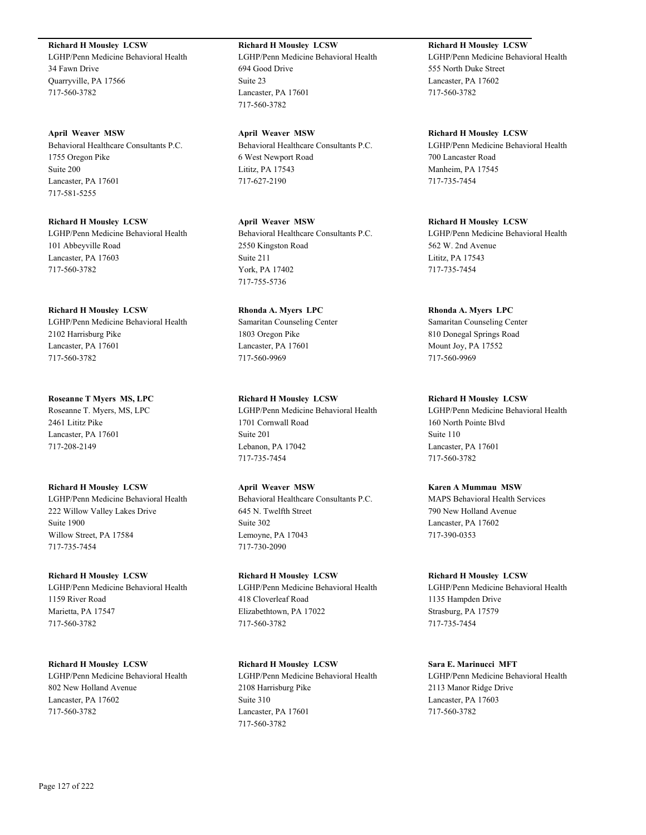**Richard H Mousley LCSW**

LGHP/Penn Medicine Behavioral Health 34 Fawn Drive Quarryville, PA 17566 717-560-3782

**April Weaver MSW** Behavioral Healthcare Consultants P.C. 1755 Oregon Pike Suite 200 Lancaster, PA 17601 717-581-5255

**Richard H Mousley LCSW** LGHP/Penn Medicine Behavioral Health 101 Abbeyville Road Lancaster, PA 17603 717-560-3782

**Richard H Mousley LCSW** LGHP/Penn Medicine Behavioral Health 2102 Harrisburg Pike Lancaster, PA 17601 717-560-3782

**Roseanne T Myers MS, LPC** Roseanne T. Myers, MS, LPC 2461 Lititz Pike Lancaster, PA 17601 717-208-2149

**Richard H Mousley LCSW** LGHP/Penn Medicine Behavioral Health 222 Willow Valley Lakes Drive Suite 1900 Willow Street, PA 17584 717-735-7454

**Richard H Mousley LCSW** LGHP/Penn Medicine Behavioral Health 1159 River Road Marietta, PA 17547 717-560-3782

**Richard H Mousley LCSW** LGHP/Penn Medicine Behavioral Health 802 New Holland Avenue Lancaster, PA 17602 717-560-3782

**Richard H Mousley LCSW** LGHP/Penn Medicine Behavioral Health 694 Good Drive Suite 23 Lancaster, PA 17601 717-560-3782

**April Weaver MSW** Behavioral Healthcare Consultants P.C. 6 West Newport Road Lititz, PA 17543 717-627-2190

**April Weaver MSW** Behavioral Healthcare Consultants P.C. 2550 Kingston Road Suite 211 York, PA 17402 717-755-5736

**Rhonda A. Myers LPC** Samaritan Counseling Center 1803 Oregon Pike Lancaster, PA 17601 717-560-9969

**Richard H Mousley LCSW** LGHP/Penn Medicine Behavioral Health 1701 Cornwall Road Suite 201 Lebanon, PA 17042 717-735-7454

**April Weaver MSW** Behavioral Healthcare Consultants P.C. 645 N. Twelfth Street Suite 302 Lemoyne, PA 17043 717-730-2090

**Richard H Mousley LCSW** LGHP/Penn Medicine Behavioral Health 418 Cloverleaf Road Elizabethtown, PA 17022 717-560-3782

**Richard H Mousley LCSW** LGHP/Penn Medicine Behavioral Health 2108 Harrisburg Pike Suite 310 Lancaster, PA 17601 717-560-3782

**Richard H Mousley LCSW** LGHP/Penn Medicine Behavioral Health 555 North Duke Street Lancaster, PA 17602 717-560-3782

**Richard H Mousley LCSW** LGHP/Penn Medicine Behavioral Health 700 Lancaster Road Manheim, PA 17545 717-735-7454

**Richard H Mousley LCSW** LGHP/Penn Medicine Behavioral Health 562 W. 2nd Avenue Lititz, PA 17543 717-735-7454

**Rhonda A. Myers LPC** Samaritan Counseling Center 810 Donegal Springs Road Mount Joy, PA 17552 717-560-9969

**Richard H Mousley LCSW** LGHP/Penn Medicine Behavioral Health 160 North Pointe Blvd Suite 110 Lancaster, PA 17601 717-560-3782

**Karen A Mummau MSW** MAPS Behavioral Health Services 790 New Holland Avenue Lancaster, PA 17602 717-390-0353

**Richard H Mousley LCSW** LGHP/Penn Medicine Behavioral Health 1135 Hampden Drive Strasburg, PA 17579 717-735-7454

**Sara E. Marinucci MFT** LGHP/Penn Medicine Behavioral Health 2113 Manor Ridge Drive Lancaster, PA 17603 717-560-3782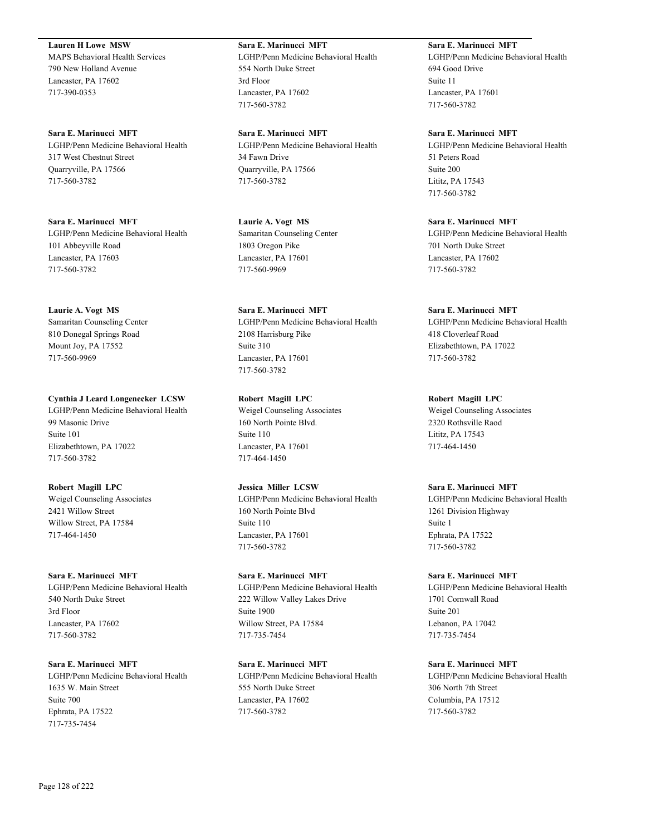**Lauren H Lowe MSW** MAPS Behavioral Health Services 790 New Holland Avenue Lancaster, PA 17602 717-390-0353

**Sara E. Marinucci MFT** LGHP/Penn Medicine Behavioral Health 317 West Chestnut Street Quarryville, PA 17566 717-560-3782

**Sara E. Marinucci MFT** LGHP/Penn Medicine Behavioral Health 101 Abbeyville Road Lancaster, PA 17603 717-560-3782

**Laurie A. Vogt MS** Samaritan Counseling Center 810 Donegal Springs Road Mount Joy, PA 17552 717-560-9969

**Cynthia J Leard Longenecker LCSW** LGHP/Penn Medicine Behavioral Health 99 Masonic Drive Suite 101 Elizabethtown, PA 17022 717-560-3782

**Robert Magill LPC** Weigel Counseling Associates 2421 Willow Street Willow Street, PA 17584 717-464-1450

**Sara E. Marinucci MFT** LGHP/Penn Medicine Behavioral Health 540 North Duke Street 3rd Floor Lancaster, PA 17602 717-560-3782

**Sara E. Marinucci MFT** LGHP/Penn Medicine Behavioral Health 1635 W. Main Street Suite 700 Ephrata, PA 17522 717-735-7454

**Sara E. Marinucci MFT** LGHP/Penn Medicine Behavioral Health 554 North Duke Street 3rd Floor Lancaster, PA 17602 717-560-3782

**Sara E. Marinucci MFT** LGHP/Penn Medicine Behavioral Health 34 Fawn Drive Quarryville, PA 17566 717-560-3782

**Laurie A. Vogt MS** Samaritan Counseling Center 1803 Oregon Pike Lancaster, PA 17601 717-560-9969

**Sara E. Marinucci MFT** LGHP/Penn Medicine Behavioral Health 2108 Harrisburg Pike Suite 310 Lancaster, PA 17601 717-560-3782

**Robert Magill LPC** Weigel Counseling Associates 160 North Pointe Blvd. Suite 110 Lancaster, PA 17601 717-464-1450

**Jessica Miller LCSW** LGHP/Penn Medicine Behavioral Health 160 North Pointe Blvd Suite 110 Lancaster, PA 17601 717-560-3782

**Sara E. Marinucci MFT** LGHP/Penn Medicine Behavioral Health 222 Willow Valley Lakes Drive Suite 1900 Willow Street, PA 17584 717-735-7454

**Sara E. Marinucci MFT** LGHP/Penn Medicine Behavioral Health 555 North Duke Street Lancaster, PA 17602 717-560-3782

**Sara E. Marinucci MFT** LGHP/Penn Medicine Behavioral Health 694 Good Drive Suite 11 Lancaster, PA 17601 717-560-3782

**Sara E. Marinucci MFT** LGHP/Penn Medicine Behavioral Health 51 Peters Road Suite 200 Lititz, PA 17543 717-560-3782

**Sara E. Marinucci MFT** LGHP/Penn Medicine Behavioral Health 701 North Duke Street Lancaster, PA 17602 717-560-3782

**Sara E. Marinucci MFT** LGHP/Penn Medicine Behavioral Health 418 Cloverleaf Road Elizabethtown, PA 17022 717-560-3782

**Robert Magill LPC** Weigel Counseling Associates 2320 Rothsville Raod Lititz, PA 17543 717-464-1450

**Sara E. Marinucci MFT** LGHP/Penn Medicine Behavioral Health 1261 Division Highway Suite 1 Ephrata, PA 17522 717-560-3782

**Sara E. Marinucci MFT** LGHP/Penn Medicine Behavioral Health 1701 Cornwall Road Suite 201 Lebanon, PA 17042 717-735-7454

**Sara E. Marinucci MFT** LGHP/Penn Medicine Behavioral Health 306 North 7th Street Columbia, PA 17512 717-560-3782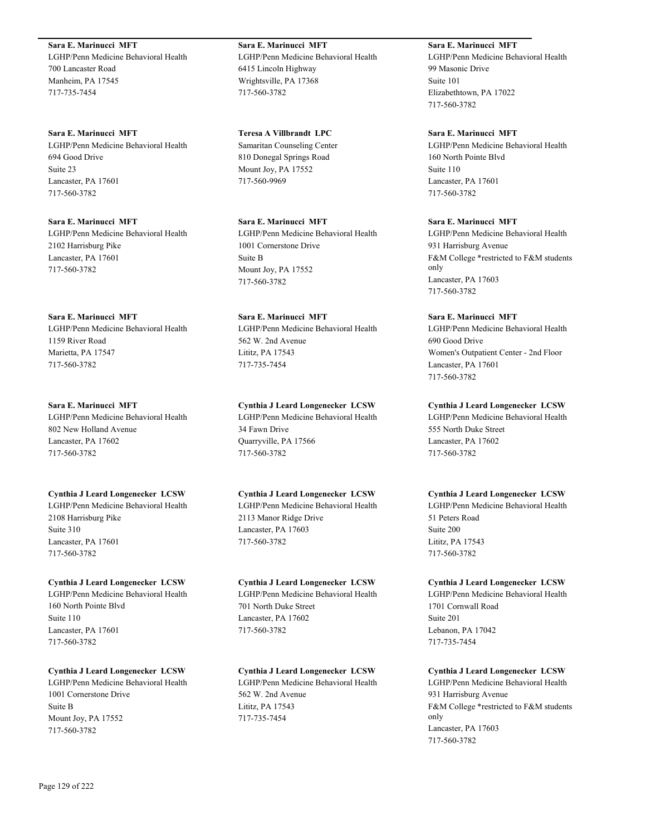**Sara E. Marinucci MFT** LGHP/Penn Medicine Behavioral Health 700 Lancaster Road Manheim, PA 17545 717-735-7454

**Sara E. Marinucci MFT** LGHP/Penn Medicine Behavioral Health 694 Good Drive Suite 23 Lancaster, PA 17601 717-560-3782

**Sara E. Marinucci MFT** LGHP/Penn Medicine Behavioral Health 2102 Harrisburg Pike Lancaster, PA 17601 717-560-3782

**Sara E. Marinucci MFT** LGHP/Penn Medicine Behavioral Health 1159 River Road Marietta, PA 17547 717-560-3782

**Sara E. Marinucci MFT** LGHP/Penn Medicine Behavioral Health 802 New Holland Avenue Lancaster, PA 17602 717-560-3782

**Cynthia J Leard Longenecker LCSW** LGHP/Penn Medicine Behavioral Health 2108 Harrisburg Pike Suite 310 Lancaster, PA 17601 717-560-3782

**Cynthia J Leard Longenecker LCSW** LGHP/Penn Medicine Behavioral Health 160 North Pointe Blvd Suite 110 Lancaster, PA 17601 717-560-3782

**Cynthia J Leard Longenecker LCSW** LGHP/Penn Medicine Behavioral Health 1001 Cornerstone Drive Suite B Mount Joy, PA 17552 717-560-3782

**Sara E. Marinucci MFT** LGHP/Penn Medicine Behavioral Health 6415 Lincoln Highway Wrightsville, PA 17368 717-560-3782

**Teresa A Villbrandt LPC** Samaritan Counseling Center 810 Donegal Springs Road Mount Joy, PA 17552 717-560-9969

**Sara E. Marinucci MFT** LGHP/Penn Medicine Behavioral Health 1001 Cornerstone Drive Suite B Mount Joy, PA 17552 717-560-3782

**Sara E. Marinucci MFT** LGHP/Penn Medicine Behavioral Health 562 W. 2nd Avenue Lititz, PA 17543 717-735-7454

**Cynthia J Leard Longenecker LCSW** LGHP/Penn Medicine Behavioral Health 34 Fawn Drive Quarryville, PA 17566 717-560-3782

**Cynthia J Leard Longenecker LCSW** LGHP/Penn Medicine Behavioral Health

2113 Manor Ridge Drive Lancaster, PA 17603 717-560-3782

**Cynthia J Leard Longenecker LCSW**

LGHP/Penn Medicine Behavioral Health 701 North Duke Street Lancaster, PA 17602 717-560-3782

**Cynthia J Leard Longenecker LCSW**

LGHP/Penn Medicine Behavioral Health 562 W. 2nd Avenue Lititz, PA 17543 717-735-7454

**Sara E. Marinucci MFT** LGHP/Penn Medicine Behavioral Health 99 Masonic Drive Suite 101 Elizabethtown, PA 17022 717-560-3782

**Sara E. Marinucci MFT** LGHP/Penn Medicine Behavioral Health 160 North Pointe Blvd Suite 110 Lancaster, PA 17601 717-560-3782

**Sara E. Marinucci MFT**

LGHP/Penn Medicine Behavioral Health 931 Harrisburg Avenue F&M College \*restricted to F&M students only Lancaster, PA 17603 717-560-3782

**Sara E. Marinucci MFT** LGHP/Penn Medicine Behavioral Health 690 Good Drive Women's Outpatient Center - 2nd Floor Lancaster, PA 17601 717-560-3782

**Cynthia J Leard Longenecker LCSW**

LGHP/Penn Medicine Behavioral Health 555 North Duke Street Lancaster, PA 17602 717-560-3782

**Cynthia J Leard Longenecker LCSW**

LGHP/Penn Medicine Behavioral Health 51 Peters Road Suite 200 Lititz, PA 17543 717-560-3782

**Cynthia J Leard Longenecker LCSW** LGHP/Penn Medicine Behavioral Health 1701 Cornwall Road Suite 201 Lebanon, PA 17042 717-735-7454

**Cynthia J Leard Longenecker LCSW** LGHP/Penn Medicine Behavioral Health 931 Harrisburg Avenue F&M College \*restricted to F&M students only Lancaster, PA 17603 717-560-3782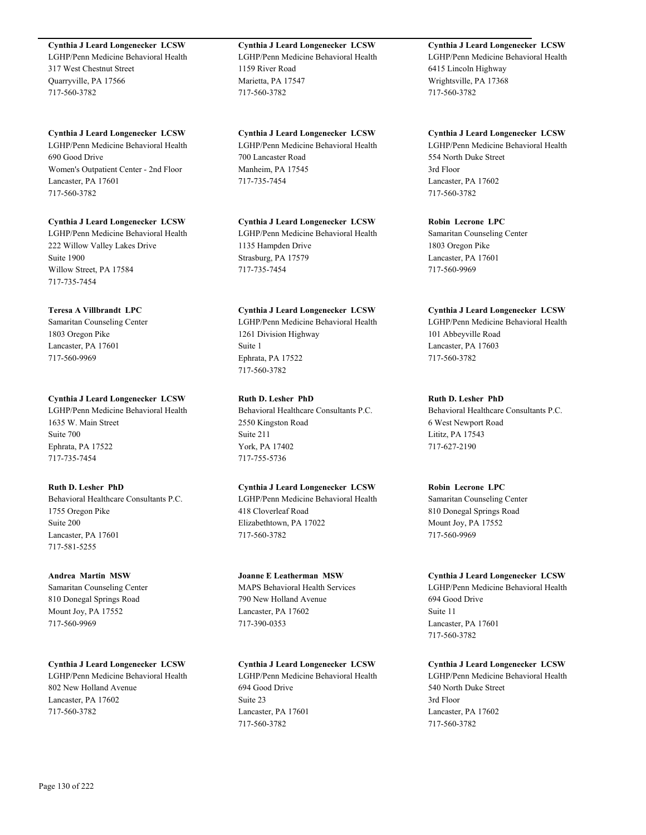**Cynthia J Leard Longenecker LCSW** LGHP/Penn Medicine Behavioral Health 317 West Chestnut Street Quarryville, PA 17566 717-560-3782

**Cynthia J Leard Longenecker LCSW** LGHP/Penn Medicine Behavioral Health 690 Good Drive Women's Outpatient Center - 2nd Floor Lancaster, PA 17601 717-560-3782

**Cynthia J Leard Longenecker LCSW** LGHP/Penn Medicine Behavioral Health 222 Willow Valley Lakes Drive Suite 1900 Willow Street, PA 17584 717-735-7454

#### **Teresa A Villbrandt LPC**

Samaritan Counseling Center 1803 Oregon Pike Lancaster, PA 17601 717-560-9969

# **Cynthia J Leard Longenecker LCSW**

LGHP/Penn Medicine Behavioral Health 1635 W. Main Street Suite 700 Ephrata, PA 17522 717-735-7454

## **Ruth D. Lesher PhD**

Behavioral Healthcare Consultants P.C. 1755 Oregon Pike Suite 200 Lancaster, PA 17601 717-581-5255

#### **Andrea Martin MSW**

Samaritan Counseling Center 810 Donegal Springs Road Mount Joy, PA 17552 717-560-9969

**Cynthia J Leard Longenecker LCSW**

LGHP/Penn Medicine Behavioral Health 802 New Holland Avenue Lancaster, PA 17602 717-560-3782

**Cynthia J Leard Longenecker LCSW** LGHP/Penn Medicine Behavioral Health 1159 River Road Marietta, PA 17547 717-560-3782

**Cynthia J Leard Longenecker LCSW** LGHP/Penn Medicine Behavioral Health 700 Lancaster Road Manheim, PA 17545 717-735-7454

**Cynthia J Leard Longenecker LCSW** LGHP/Penn Medicine Behavioral Health

1135 Hampden Drive Strasburg, PA 17579 717-735-7454

#### **Cynthia J Leard Longenecker LCSW**

LGHP/Penn Medicine Behavioral Health 1261 Division Highway Suite 1 Ephrata, PA 17522 717-560-3782

# **Ruth D. Lesher PhD**

Behavioral Healthcare Consultants P.C. 2550 Kingston Road Suite 211 York, PA 17402 717-755-5736

# **Cynthia J Leard Longenecker LCSW**

LGHP/Penn Medicine Behavioral Health 418 Cloverleaf Road Elizabethtown, PA 17022 717-560-3782

#### **Joanne E Leatherman MSW**

MAPS Behavioral Health Services 790 New Holland Avenue Lancaster, PA 17602 717-390-0353

#### **Cynthia J Leard Longenecker LCSW**

LGHP/Penn Medicine Behavioral Health 694 Good Drive Suite 23 Lancaster, PA 17601 717-560-3782

# **Cynthia J Leard Longenecker LCSW**

LGHP/Penn Medicine Behavioral Health 6415 Lincoln Highway Wrightsville, PA 17368 717-560-3782

**Cynthia J Leard Longenecker LCSW** LGHP/Penn Medicine Behavioral Health 554 North Duke Street 3rd Floor Lancaster, PA 17602 717-560-3782

#### **Robin Lecrone LPC**

Samaritan Counseling Center 1803 Oregon Pike Lancaster, PA 17601 717-560-9969

#### **Cynthia J Leard Longenecker LCSW**

LGHP/Penn Medicine Behavioral Health 101 Abbeyville Road Lancaster, PA 17603 717-560-3782

# **Ruth D. Lesher PhD**

Behavioral Healthcare Consultants P.C. 6 West Newport Road Lititz, PA 17543 717-627-2190

#### **Robin Lecrone LPC**

Samaritan Counseling Center 810 Donegal Springs Road Mount Joy, PA 17552 717-560-9969

#### **Cynthia J Leard Longenecker LCSW**

LGHP/Penn Medicine Behavioral Health 694 Good Drive Suite 11 Lancaster, PA 17601 717-560-3782

#### **Cynthia J Leard Longenecker LCSW**

LGHP/Penn Medicine Behavioral Health 540 North Duke Street 3rd Floor Lancaster, PA 17602 717-560-3782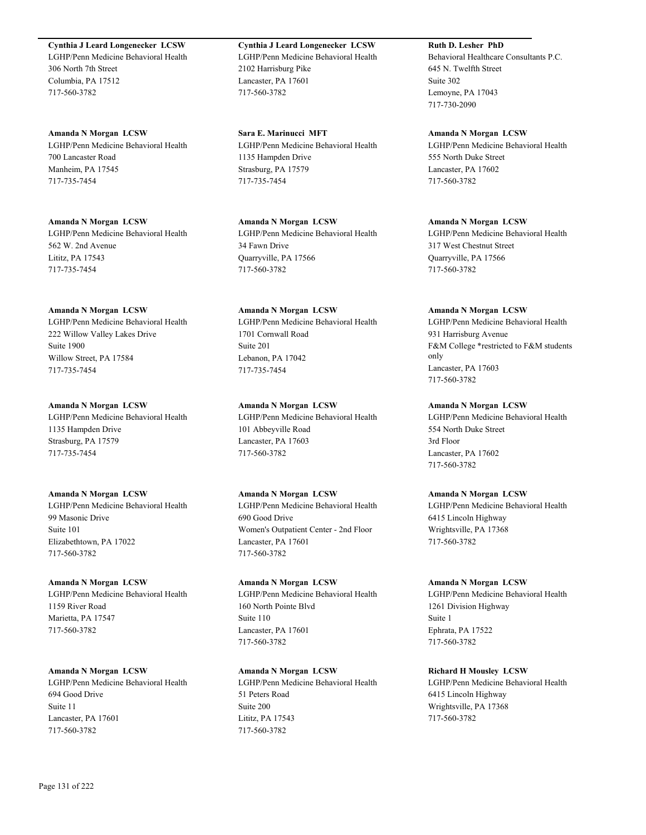**Cynthia J Leard Longenecker LCSW** LGHP/Penn Medicine Behavioral Health 306 North 7th Street Columbia, PA 17512 717-560-3782

**Amanda N Morgan LCSW** LGHP/Penn Medicine Behavioral Health 700 Lancaster Road Manheim, PA 17545 717-735-7454

**Amanda N Morgan LCSW** LGHP/Penn Medicine Behavioral Health 562 W. 2nd Avenue Lititz, PA 17543 717-735-7454

**Amanda N Morgan LCSW** LGHP/Penn Medicine Behavioral Health 222 Willow Valley Lakes Drive Suite 1900 Willow Street, PA 17584 717-735-7454

**Amanda N Morgan LCSW** LGHP/Penn Medicine Behavioral Health 1135 Hampden Drive Strasburg, PA 17579 717-735-7454

**Amanda N Morgan LCSW** LGHP/Penn Medicine Behavioral Health 99 Masonic Drive Suite 101 Elizabethtown, PA 17022 717-560-3782

**Amanda N Morgan LCSW** LGHP/Penn Medicine Behavioral Health 1159 River Road Marietta, PA 17547 717-560-3782

**Amanda N Morgan LCSW** LGHP/Penn Medicine Behavioral Health 694 Good Drive Suite 11 Lancaster, PA 17601 717-560-3782

**Cynthia J Leard Longenecker LCSW** LGHP/Penn Medicine Behavioral Health 2102 Harrisburg Pike Lancaster, PA 17601 717-560-3782

**Sara E. Marinucci MFT** LGHP/Penn Medicine Behavioral Health 1135 Hampden Drive Strasburg, PA 17579 717-735-7454

**Amanda N Morgan LCSW** LGHP/Penn Medicine Behavioral Health 34 Fawn Drive Quarryville, PA 17566 717-560-3782

**Amanda N Morgan LCSW** LGHP/Penn Medicine Behavioral Health 1701 Cornwall Road Suite 201 Lebanon, PA 17042 717-735-7454

**Amanda N Morgan LCSW** LGHP/Penn Medicine Behavioral Health 101 Abbeyville Road Lancaster, PA 17603 717-560-3782

**Amanda N Morgan LCSW** LGHP/Penn Medicine Behavioral Health 690 Good Drive Women's Outpatient Center - 2nd Floor Lancaster, PA 17601 717-560-3782

**Amanda N Morgan LCSW** LGHP/Penn Medicine Behavioral Health 160 North Pointe Blvd Suite 110 Lancaster, PA 17601 717-560-3782

**Amanda N Morgan LCSW** LGHP/Penn Medicine Behavioral Health 51 Peters Road Suite 200 Lititz, PA 17543 717-560-3782

**Ruth D. Lesher PhD** Behavioral Healthcare Consultants P.C. 645 N. Twelfth Street Suite 302 Lemoyne, PA 17043 717-730-2090

**Amanda N Morgan LCSW** LGHP/Penn Medicine Behavioral Health 555 North Duke Street Lancaster, PA 17602 717-560-3782

**Amanda N Morgan LCSW** LGHP/Penn Medicine Behavioral Health 317 West Chestnut Street Quarryville, PA 17566 717-560-3782

#### **Amanda N Morgan LCSW** LGHP/Penn Medicine Behavioral Health 931 Harrisburg Avenue F&M College \*restricted to F&M students only Lancaster, PA 17603

717-560-3782 **Amanda N Morgan LCSW**

LGHP/Penn Medicine Behavioral Health 554 North Duke Street 3rd Floor Lancaster, PA 17602 717-560-3782

**Amanda N Morgan LCSW**

LGHP/Penn Medicine Behavioral Health 6415 Lincoln Highway Wrightsville, PA 17368 717-560-3782

**Amanda N Morgan LCSW**

LGHP/Penn Medicine Behavioral Health 1261 Division Highway Suite 1 Ephrata, PA 17522 717-560-3782

**Richard H Mousley LCSW** LGHP/Penn Medicine Behavioral Health 6415 Lincoln Highway Wrightsville, PA 17368 717-560-3782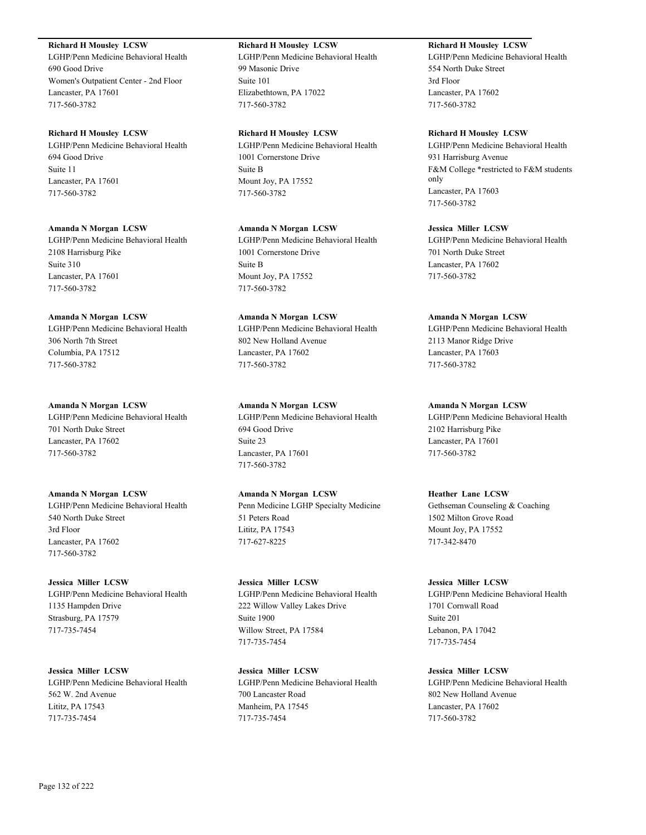## **Richard H Mousley LCSW**

LGHP/Penn Medicine Behavioral Health 690 Good Drive Women's Outpatient Center - 2nd Floor Lancaster, PA 17601 717-560-3782

#### **Richard H Mousley LCSW**

LGHP/Penn Medicine Behavioral Health 694 Good Drive Suite 11 Lancaster, PA 17601 717-560-3782

#### **Amanda N Morgan LCSW**

LGHP/Penn Medicine Behavioral Health 2108 Harrisburg Pike Suite 310 Lancaster, PA 17601 717-560-3782

#### **Amanda N Morgan LCSW**

LGHP/Penn Medicine Behavioral Health 306 North 7th Street Columbia, PA 17512 717-560-3782

#### **Amanda N Morgan LCSW**

LGHP/Penn Medicine Behavioral Health 701 North Duke Street Lancaster, PA 17602 717-560-3782

#### **Amanda N Morgan LCSW** LGHP/Penn Medicine Behavioral Health

540 North Duke Street 3rd Floor Lancaster, PA 17602 717-560-3782

# **Jessica Miller LCSW** LGHP/Penn Medicine Behavioral Health

1135 Hampden Drive Strasburg, PA 17579 717-735-7454

**Jessica Miller LCSW** LGHP/Penn Medicine Behavioral Health 562 W. 2nd Avenue Lititz, PA 17543 717-735-7454

# **Richard H Mousley LCSW**

LGHP/Penn Medicine Behavioral Health 99 Masonic Drive Suite 101 Elizabethtown, PA 17022 717-560-3782

#### **Richard H Mousley LCSW**

LGHP/Penn Medicine Behavioral Health 1001 Cornerstone Drive Suite B Mount Joy, PA 17552 717-560-3782

#### **Amanda N Morgan LCSW**

LGHP/Penn Medicine Behavioral Health 1001 Cornerstone Drive Suite B Mount Joy, PA 17552 717-560-3782

# **Amanda N Morgan LCSW** LGHP/Penn Medicine Behavioral Health

802 New Holland Avenue Lancaster, PA 17602 717-560-3782

# **Amanda N Morgan LCSW**

LGHP/Penn Medicine Behavioral Health 694 Good Drive Suite 23 Lancaster, PA 17601 717-560-3782

# **Amanda N Morgan LCSW** Penn Medicine LGHP Specialty Medicine 51 Peters Road Lititz, PA 17543 717-627-8225

**Jessica Miller LCSW** LGHP/Penn Medicine Behavioral Health 222 Willow Valley Lakes Drive Suite 1900 Willow Street, PA 17584 717-735-7454

# **Jessica Miller LCSW** LGHP/Penn Medicine Behavioral Health 700 Lancaster Road Manheim, PA 17545 717-735-7454

# **Richard H Mousley LCSW**

LGHP/Penn Medicine Behavioral Health 554 North Duke Street 3rd Floor Lancaster, PA 17602 717-560-3782

#### **Richard H Mousley LCSW**

LGHP/Penn Medicine Behavioral Health 931 Harrisburg Avenue F&M College \*restricted to F&M students only Lancaster, PA 17603 717-560-3782

# **Jessica Miller LCSW**

LGHP/Penn Medicine Behavioral Health 701 North Duke Street Lancaster, PA 17602 717-560-3782

#### **Amanda N Morgan LCSW**

LGHP/Penn Medicine Behavioral Health 2113 Manor Ridge Drive Lancaster, PA 17603 717-560-3782

#### **Amanda N Morgan LCSW**

LGHP/Penn Medicine Behavioral Health 2102 Harrisburg Pike Lancaster, PA 17601 717-560-3782

# **Heather Lane LCSW**

Gethseman Counseling & Coaching 1502 Milton Grove Road Mount Joy, PA 17552 717-342-8470

#### **Jessica Miller LCSW**

LGHP/Penn Medicine Behavioral Health 1701 Cornwall Road Suite 201 Lebanon, PA 17042 717-735-7454

#### **Jessica Miller LCSW**

LGHP/Penn Medicine Behavioral Health 802 New Holland Avenue Lancaster, PA 17602 717-560-3782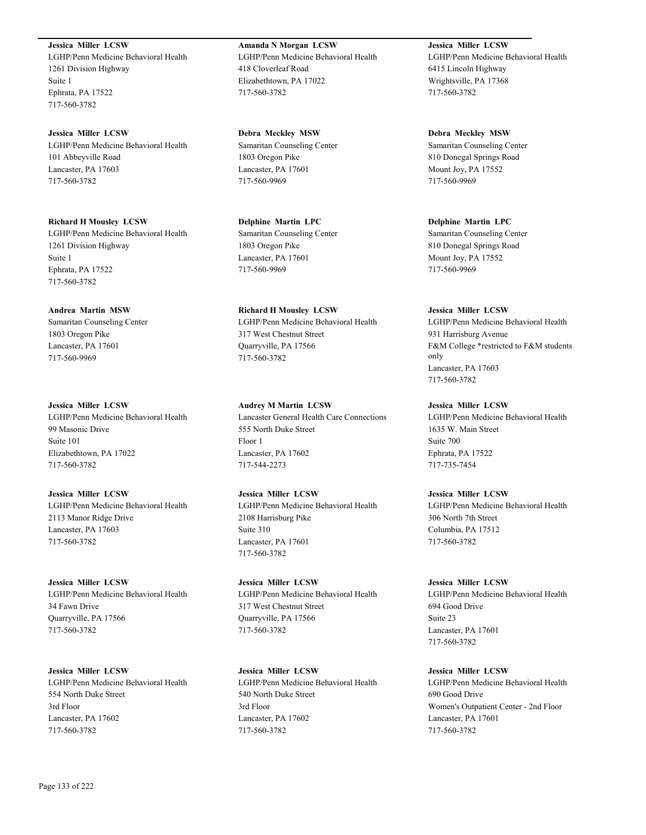**Jessica Miller LCSW** LGHP/Penn Medicine Behavioral Health 1261 Division Highway Suite 1 Ephrata, PA 17522 717-560-3782

**Jessica Miller LCSW** LGHP/Penn Medicine Behavioral Health 101 Abbeyville Road Lancaster, PA 17603 717-560-3782

**Richard H Mousley LCSW** LGHP/Penn Medicine Behavioral Health 1261 Division Highway Suite 1 Ephrata, PA 17522 717-560-3782

**Andrea Martin MSW** Samaritan Counseling Center 1803 Oregon Pike Lancaster, PA 17601 717-560-9969

**Jessica Miller LCSW** LGHP/Penn Medicine Behavioral Health 99 Masonic Drive Suite 101 Elizabethtown, PA 17022 717-560-3782

**Jessica Miller LCSW** LGHP/Penn Medicine Behavioral Health 2113 Manor Ridge Drive Lancaster, PA 17603 717-560-3782

**Jessica Miller LCSW** LGHP/Penn Medicine Behavioral Health 34 Fawn Drive Quarryville, PA 17566 717-560-3782

**Jessica Miller LCSW** LGHP/Penn Medicine Behavioral Health 554 North Duke Street 3rd Floor Lancaster, PA 17602 717-560-3782

**Amanda N Morgan LCSW** LGHP/Penn Medicine Behavioral Health 418 Cloverleaf Road Elizabethtown, PA 17022 717-560-3782

**Debra Meckley MSW** Samaritan Counseling Center 1803 Oregon Pike Lancaster, PA 17601 717-560-9969

**Delphine Martin LPC** Samaritan Counseling Center 1803 Oregon Pike Lancaster, PA 17601 717-560-9969

**Richard H Mousley LCSW** LGHP/Penn Medicine Behavioral Health 317 West Chestnut Street Quarryville, PA 17566 717-560-3782

**Audrey M Martin LCSW** Lancaster General Health Care Connections 555 North Duke Street Floor 1 Lancaster, PA 17602 717-544-2273

**Jessica Miller LCSW** LGHP/Penn Medicine Behavioral Health 2108 Harrisburg Pike Suite 310 Lancaster, PA 17601 717-560-3782

**Jessica Miller LCSW** LGHP/Penn Medicine Behavioral Health 317 West Chestnut Street Quarryville, PA 17566 717-560-3782

**Jessica Miller LCSW** LGHP/Penn Medicine Behavioral Health 540 North Duke Street 3rd Floor Lancaster, PA 17602 717-560-3782

**Jessica Miller LCSW** LGHP/Penn Medicine Behavioral Health 6415 Lincoln Highway Wrightsville, PA 17368 717-560-3782

**Debra Meckley MSW** Samaritan Counseling Center 810 Donegal Springs Road Mount Joy, PA 17552 717-560-9969

**Delphine Martin LPC** Samaritan Counseling Center 810 Donegal Springs Road Mount Joy, PA 17552 717-560-9969

**Jessica Miller LCSW** LGHP/Penn Medicine Behavioral Health 931 Harrisburg Avenue F&M College \*restricted to F&M students only Lancaster, PA 17603

717-560-3782

**Jessica Miller LCSW** LGHP/Penn Medicine Behavioral Health 1635 W. Main Street Suite 700 Ephrata, PA 17522 717-735-7454

**Jessica Miller LCSW** LGHP/Penn Medicine Behavioral Health 306 North 7th Street Columbia, PA 17512 717-560-3782

**Jessica Miller LCSW** LGHP/Penn Medicine Behavioral Health 694 Good Drive Suite 23 Lancaster, PA 17601 717-560-3782

**Jessica Miller LCSW** LGHP/Penn Medicine Behavioral Health 690 Good Drive Women's Outpatient Center - 2nd Floor Lancaster, PA 17601 717-560-3782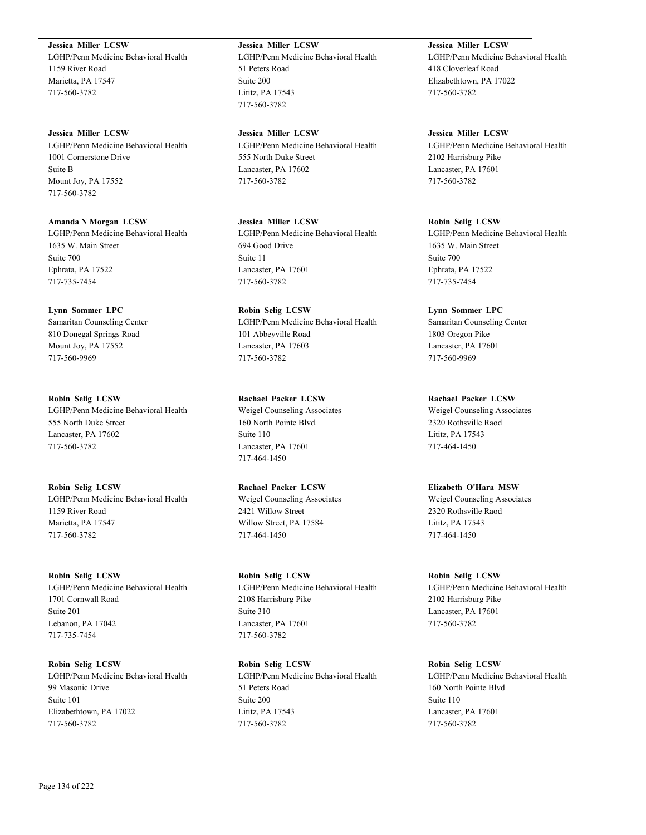**Jessica Miller LCSW** LGHP/Penn Medicine Behavioral Health 1159 River Road Marietta, PA 17547 717-560-3782

**Jessica Miller LCSW** LGHP/Penn Medicine Behavioral Health 1001 Cornerstone Drive Suite B Mount Joy, PA 17552 717-560-3782

**Amanda N Morgan LCSW** LGHP/Penn Medicine Behavioral Health 1635 W. Main Street Suite 700 Ephrata, PA 17522 717-735-7454

**Lynn Sommer LPC** Samaritan Counseling Center 810 Donegal Springs Road Mount Joy, PA 17552 717-560-9969

**Robin Selig LCSW** LGHP/Penn Medicine Behavioral Health 555 North Duke Street Lancaster, PA 17602 717-560-3782

**Robin Selig LCSW** LGHP/Penn Medicine Behavioral Health 1159 River Road Marietta, PA 17547 717-560-3782

**Robin Selig LCSW** LGHP/Penn Medicine Behavioral Health 1701 Cornwall Road Suite 201 Lebanon, PA 17042 717-735-7454

**Robin Selig LCSW** LGHP/Penn Medicine Behavioral Health 99 Masonic Drive Suite 101 Elizabethtown, PA 17022 717-560-3782

**Jessica Miller LCSW** LGHP/Penn Medicine Behavioral Health 51 Peters Road Suite 200 Lititz, PA 17543 717-560-3782

**Jessica Miller LCSW** LGHP/Penn Medicine Behavioral Health 555 North Duke Street Lancaster, PA 17602 717-560-3782

**Jessica Miller LCSW** LGHP/Penn Medicine Behavioral Health 694 Good Drive Suite 11 Lancaster, PA 17601 717-560-3782

**Robin Selig LCSW** LGHP/Penn Medicine Behavioral Health 101 Abbeyville Road Lancaster, PA 17603 717-560-3782

**Rachael Packer LCSW** Weigel Counseling Associates 160 North Pointe Blvd. Suite 110 Lancaster, PA 17601 717-464-1450

**Rachael Packer LCSW** Weigel Counseling Associates 2421 Willow Street Willow Street, PA 17584 717-464-1450

**Robin Selig LCSW** LGHP/Penn Medicine Behavioral Health 2108 Harrisburg Pike Suite 310 Lancaster, PA 17601 717-560-3782

**Robin Selig LCSW** LGHP/Penn Medicine Behavioral Health 51 Peters Road Suite 200 Lititz, PA 17543 717-560-3782

**Jessica Miller LCSW** LGHP/Penn Medicine Behavioral Health 418 Cloverleaf Road Elizabethtown, PA 17022 717-560-3782

**Jessica Miller LCSW** LGHP/Penn Medicine Behavioral Health 2102 Harrisburg Pike Lancaster, PA 17601 717-560-3782

**Robin Selig LCSW** LGHP/Penn Medicine Behavioral Health 1635 W. Main Street Suite 700 Ephrata, PA 17522 717-735-7454

**Lynn Sommer LPC** Samaritan Counseling Center 1803 Oregon Pike Lancaster, PA 17601 717-560-9969

**Rachael Packer LCSW** Weigel Counseling Associates 2320 Rothsville Raod Lititz, PA 17543 717-464-1450

**Elizabeth O'Hara MSW** Weigel Counseling Associates 2320 Rothsville Raod Lititz, PA 17543 717-464-1450

**Robin Selig LCSW** LGHP/Penn Medicine Behavioral Health 2102 Harrisburg Pike Lancaster, PA 17601 717-560-3782

**Robin Selig LCSW** LGHP/Penn Medicine Behavioral Health 160 North Pointe Blvd Suite 110 Lancaster, PA 17601 717-560-3782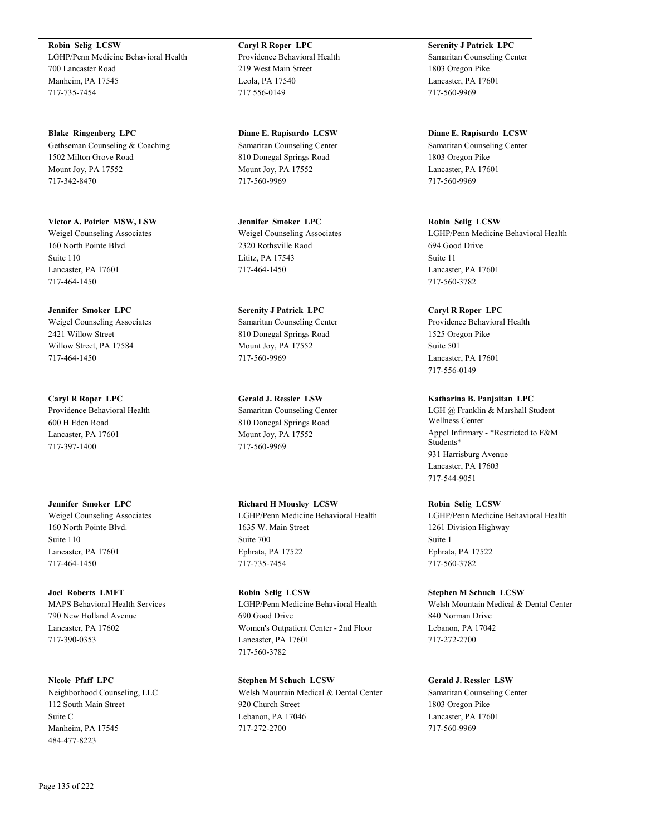**Robin Selig LCSW** LGHP/Penn Medicine Behavioral Health 700 Lancaster Road Manheim, PA 17545 717-735-7454

**Blake Ringenberg LPC** Gethseman Counseling & Coaching 1502 Milton Grove Road Mount Joy, PA 17552 717-342-8470

**Victor A. Poirier MSW, LSW** Weigel Counseling Associates 160 North Pointe Blvd. Suite 110 Lancaster, PA 17601 717-464-1450

**Jennifer Smoker LPC** Weigel Counseling Associates 2421 Willow Street Willow Street, PA 17584 717-464-1450

**Caryl R Roper LPC** Providence Behavioral Health 600 H Eden Road Lancaster, PA 17601 717-397-1400

**Jennifer Smoker LPC** Weigel Counseling Associates 160 North Pointe Blvd. Suite 110 Lancaster, PA 17601 717-464-1450

**Joel Roberts LMFT** MAPS Behavioral Health Services 790 New Holland Avenue Lancaster, PA 17602 717-390-0353

**Nicole Pfaff LPC** Neighborhood Counseling, LLC 112 South Main Street Suite C Manheim, PA 17545 484-477-8223

**Caryl R Roper LPC** Providence Behavioral Health 219 West Main Street Leola, PA 17540 717 556-0149

**Diane E. Rapisardo LCSW** Samaritan Counseling Center 810 Donegal Springs Road Mount Joy, PA 17552 717-560-9969

**Jennifer Smoker LPC** Weigel Counseling Associates 2320 Rothsville Raod Lititz, PA 17543 717-464-1450

**Serenity J Patrick LPC** Samaritan Counseling Center 810 Donegal Springs Road Mount Joy, PA 17552 717-560-9969

**Gerald J. Ressler LSW** Samaritan Counseling Center 810 Donegal Springs Road Mount Joy, PA 17552 717-560-9969

**Richard H Mousley LCSW** LGHP/Penn Medicine Behavioral Health 1635 W. Main Street Suite 700 Ephrata, PA 17522 717-735-7454

**Robin Selig LCSW** LGHP/Penn Medicine Behavioral Health 690 Good Drive Women's Outpatient Center - 2nd Floor Lancaster, PA 17601 717-560-3782

**Stephen M Schuch LCSW** Welsh Mountain Medical & Dental Center 920 Church Street Lebanon, PA 17046 717-272-2700

**Serenity J Patrick LPC** Samaritan Counseling Center 1803 Oregon Pike Lancaster, PA 17601 717-560-9969

**Diane E. Rapisardo LCSW** Samaritan Counseling Center 1803 Oregon Pike Lancaster, PA 17601 717-560-9969

**Robin Selig LCSW** LGHP/Penn Medicine Behavioral Health 694 Good Drive Suite 11 Lancaster, PA 17601 717-560-3782

**Caryl R Roper LPC** Providence Behavioral Health 1525 Oregon Pike Suite 501 Lancaster, PA 17601 717-556-0149

**Katharina B. Panjaitan LPC** LGH @ Franklin & Marshall Student Wellness Center Appel Infirmary - \*Restricted to F&M Students\* 931 Harrisburg Avenue Lancaster, PA 17603 717-544-9051

**Robin Selig LCSW** LGHP/Penn Medicine Behavioral Health 1261 Division Highway Suite 1 Ephrata, PA 17522 717-560-3782

**Stephen M Schuch LCSW** Welsh Mountain Medical & Dental Center 840 Norman Drive Lebanon, PA 17042 717-272-2700

**Gerald J. Ressler LSW** Samaritan Counseling Center 1803 Oregon Pike Lancaster, PA 17601 717-560-9969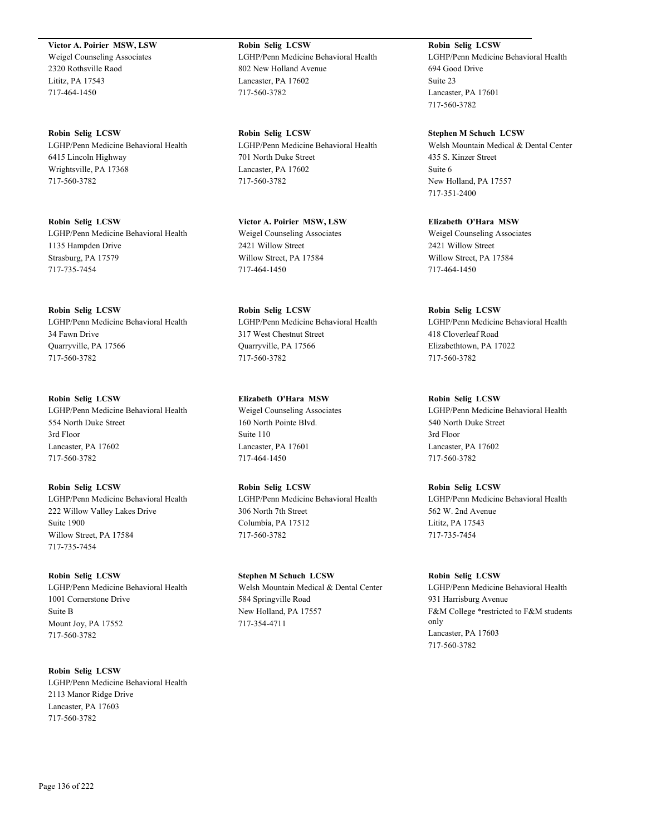**Victor A. Poirier MSW, LSW** Weigel Counseling Associates 2320 Rothsville Raod Lititz, PA 17543 717-464-1450

**Robin Selig LCSW** LGHP/Penn Medicine Behavioral Health 6415 Lincoln Highway Wrightsville, PA 17368 717-560-3782

**Robin Selig LCSW** LGHP/Penn Medicine Behavioral Health 1135 Hampden Drive Strasburg, PA 17579 717-735-7454

**Robin Selig LCSW** LGHP/Penn Medicine Behavioral Health 34 Fawn Drive Quarryville, PA 17566 717-560-3782

**Robin Selig LCSW** LGHP/Penn Medicine Behavioral Health 554 North Duke Street 3rd Floor Lancaster, PA 17602 717-560-3782

**Robin Selig LCSW** LGHP/Penn Medicine Behavioral Health 222 Willow Valley Lakes Drive Suite 1900 Willow Street, PA 17584 717-735-7454

**Robin Selig LCSW** LGHP/Penn Medicine Behavioral Health 1001 Cornerstone Drive Suite B Mount Joy, PA 17552 717-560-3782

**Robin Selig LCSW** LGHP/Penn Medicine Behavioral Health 2113 Manor Ridge Drive Lancaster, PA 17603 717-560-3782

**Robin Selig LCSW** LGHP/Penn Medicine Behavioral Health 802 New Holland Avenue Lancaster, PA 17602 717-560-3782

**Robin Selig LCSW** LGHP/Penn Medicine Behavioral Health 701 North Duke Street Lancaster, PA 17602 717-560-3782

**Victor A. Poirier MSW, LSW** Weigel Counseling Associates 2421 Willow Street Willow Street, PA 17584 717-464-1450

**Robin Selig LCSW** LGHP/Penn Medicine Behavioral Health 317 West Chestnut Street Quarryville, PA 17566 717-560-3782

**Elizabeth O'Hara MSW** Weigel Counseling Associates 160 North Pointe Blvd. Suite 110 Lancaster, PA 17601 717-464-1450

**Robin Selig LCSW** LGHP/Penn Medicine Behavioral Health 306 North 7th Street Columbia, PA 17512 717-560-3782

**Stephen M Schuch LCSW** Welsh Mountain Medical & Dental Center 584 Springville Road New Holland, PA 17557 717-354-4711

**Robin Selig LCSW** LGHP/Penn Medicine Behavioral Health 694 Good Drive Suite 23 Lancaster, PA 17601 717-560-3782

**Stephen M Schuch LCSW** Welsh Mountain Medical & Dental Center 435 S. Kinzer Street Suite 6 New Holland, PA 17557 717-351-2400

**Elizabeth O'Hara MSW** Weigel Counseling Associates 2421 Willow Street Willow Street, PA 17584 717-464-1450

**Robin Selig LCSW** LGHP/Penn Medicine Behavioral Health 418 Cloverleaf Road Elizabethtown, PA 17022 717-560-3782

**Robin Selig LCSW** LGHP/Penn Medicine Behavioral Health 540 North Duke Street 3rd Floor Lancaster, PA 17602 717-560-3782

**Robin Selig LCSW** LGHP/Penn Medicine Behavioral Health 562 W. 2nd Avenue Lititz, PA 17543 717-735-7454

**Robin Selig LCSW** LGHP/Penn Medicine Behavioral Health 931 Harrisburg Avenue F&M College \*restricted to F&M students only Lancaster, PA 17603 717-560-3782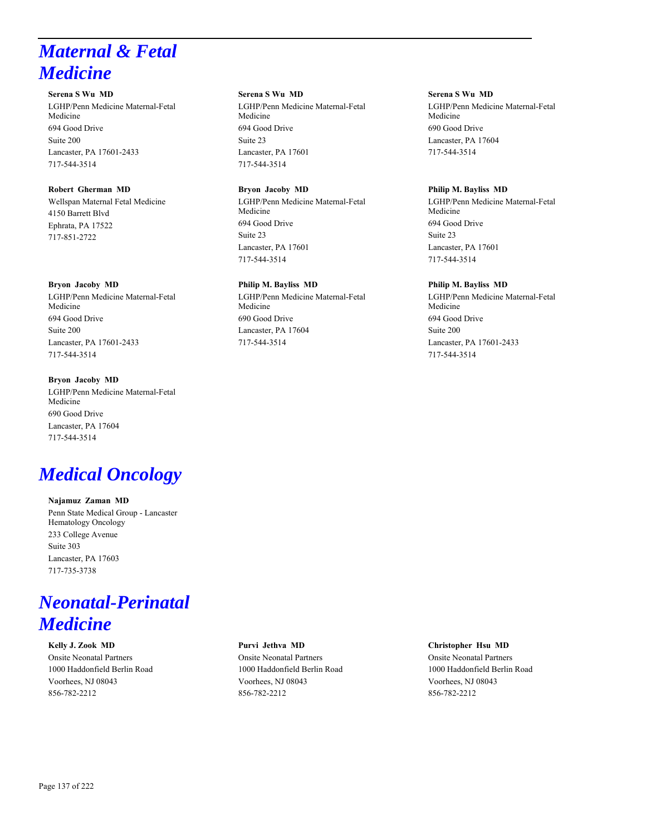# *Maternal & Fetal Medicine*

**Serena S Wu MD** LGHP/Penn Medicine Maternal-Fetal Medicine 694 Good Drive Suite 200 Lancaster, PA 17601-2433 717-544-3514

#### **Robert Gherman MD** Wellspan Maternal Fetal Medicine

4150 Barrett Blvd Ephrata, PA 17522 717-851-2722

# **Bryon Jacoby MD**

LGHP/Penn Medicine Maternal-Fetal Medicine 694 Good Drive Suite 200 Lancaster, PA 17601-2433 717-544-3514

# **Bryon Jacoby MD**

LGHP/Penn Medicine Maternal-Fetal Medicine 690 Good Drive Lancaster, PA 17604 717-544-3514

# *Medical Oncology*

**Najamuz Zaman MD** Penn State Medical Group - Lancaster Hematology Oncology 233 College Avenue Suite 303 Lancaster, PA 17603 717-735-3738

# *Neonatal-Perinatal Medicine*

**Kelly J. Zook MD** Onsite Neonatal Partners 1000 Haddonfield Berlin Road Voorhees, NJ 08043 856-782-2212

# Onsite Neonatal Partners 1000 Haddonfield Berlin Road Voorhees, NJ 08043 856-782-2212

**Serena S Wu MD**

Lancaster, PA 17601 717-544-3514

**Bryon Jacoby MD**

Lancaster, PA 17601 717-544-3514

**Philip M. Bayliss MD**

Medicine 694 Good Drive Suite 23

Medicine 694 Good Drive Suite 23

Medicine 690 Good Drive Lancaster, PA 17604 717-544-3514

LGHP/Penn Medicine Maternal-Fetal

LGHP/Penn Medicine Maternal-Fetal

LGHP/Penn Medicine Maternal-Fetal

# **Purvi Jethva MD**

# **Serena S Wu MD**

LGHP/Penn Medicine Maternal-Fetal Medicine 690 Good Drive Lancaster, PA 17604 717-544-3514

# **Philip M. Bayliss MD**

LGHP/Penn Medicine Maternal-Fetal Medicine 694 Good Drive Suite 23 Lancaster, PA 17601 717-544-3514

# **Philip M. Bayliss MD**

LGHP/Penn Medicine Maternal-Fetal Medicine 694 Good Drive Suite 200 Lancaster, PA 17601-2433 717-544-3514

**Christopher Hsu MD**

Onsite Neonatal Partners 1000 Haddonfield Berlin Road Voorhees, NJ 08043 856-782-2212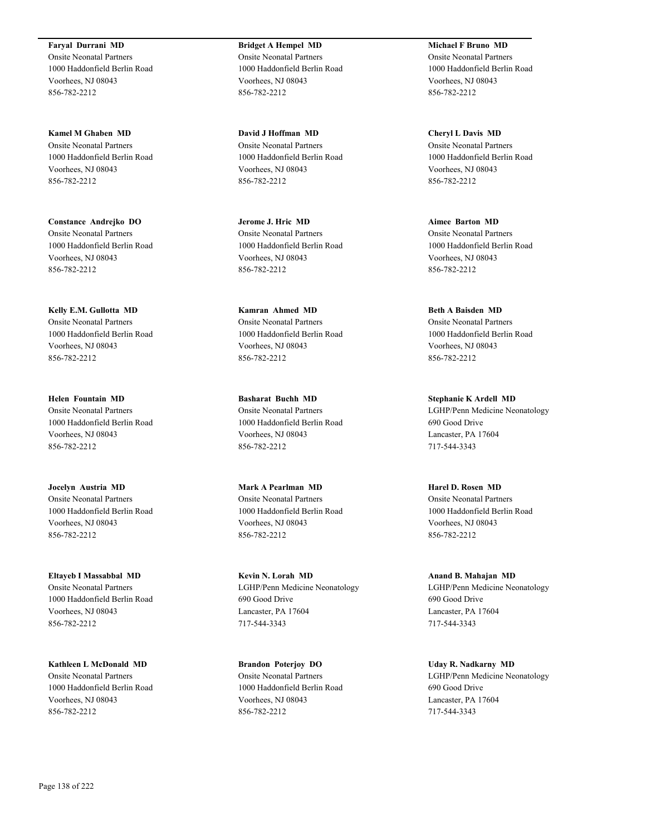**Faryal Durrani MD** Onsite Neonatal Partners 1000 Haddonfield Berlin Road Voorhees, NJ 08043 856-782-2212

**Kamel M Ghaben MD** Onsite Neonatal Partners 1000 Haddonfield Berlin Road Voorhees, NJ 08043 856-782-2212

**Constance Andrejko DO** Onsite Neonatal Partners 1000 Haddonfield Berlin Road Voorhees, NJ 08043 856-782-2212

**Kelly E.M. Gullotta MD** Onsite Neonatal Partners 1000 Haddonfield Berlin Road Voorhees, NJ 08043 856-782-2212

**Helen Fountain MD** Onsite Neonatal Partners 1000 Haddonfield Berlin Road Voorhees, NJ 08043 856-782-2212

**Jocelyn Austria MD** Onsite Neonatal Partners 1000 Haddonfield Berlin Road Voorhees, NJ 08043 856-782-2212

**Eltayeb I Massabbal MD** Onsite Neonatal Partners 1000 Haddonfield Berlin Road Voorhees, NJ 08043 856-782-2212

**Kathleen L McDonald MD** Onsite Neonatal Partners 1000 Haddonfield Berlin Road Voorhees, NJ 08043 856-782-2212

**Bridget A Hempel MD** Onsite Neonatal Partners 1000 Haddonfield Berlin Road Voorhees, NJ 08043 856-782-2212

**David J Hoffman MD** Onsite Neonatal Partners 1000 Haddonfield Berlin Road Voorhees, NJ 08043 856-782-2212

**Jerome J. Hric MD** Onsite Neonatal Partners 1000 Haddonfield Berlin Road Voorhees, NJ 08043 856-782-2212

**Kamran Ahmed MD** Onsite Neonatal Partners 1000 Haddonfield Berlin Road Voorhees, NJ 08043 856-782-2212

**Basharat Buchh MD** Onsite Neonatal Partners 1000 Haddonfield Berlin Road Voorhees, NJ 08043 856-782-2212

**Mark A Pearlman MD** Onsite Neonatal Partners 1000 Haddonfield Berlin Road Voorhees, NJ 08043 856-782-2212

**Kevin N. Lorah MD** LGHP/Penn Medicine Neonatology 690 Good Drive Lancaster, PA 17604 717-544-3343

**Brandon Poterjoy DO** Onsite Neonatal Partners 1000 Haddonfield Berlin Road Voorhees, NJ 08043 856-782-2212

**Michael F Bruno MD** Onsite Neonatal Partners 1000 Haddonfield Berlin Road Voorhees, NJ 08043 856-782-2212

**Cheryl L Davis MD** Onsite Neonatal Partners 1000 Haddonfield Berlin Road Voorhees, NJ 08043 856-782-2212

**Aimee Barton MD** Onsite Neonatal Partners 1000 Haddonfield Berlin Road Voorhees, NJ 08043 856-782-2212

**Beth A Baisden MD** Onsite Neonatal Partners 1000 Haddonfield Berlin Road Voorhees, NJ 08043 856-782-2212

**Stephanie K Ardell MD** LGHP/Penn Medicine Neonatology 690 Good Drive Lancaster, PA 17604 717-544-3343

**Harel D. Rosen MD** Onsite Neonatal Partners 1000 Haddonfield Berlin Road Voorhees, NJ 08043 856-782-2212

**Anand B. Mahajan MD** LGHP/Penn Medicine Neonatology 690 Good Drive Lancaster, PA 17604 717-544-3343

**Uday R. Nadkarny MD** LGHP/Penn Medicine Neonatology 690 Good Drive Lancaster, PA 17604 717-544-3343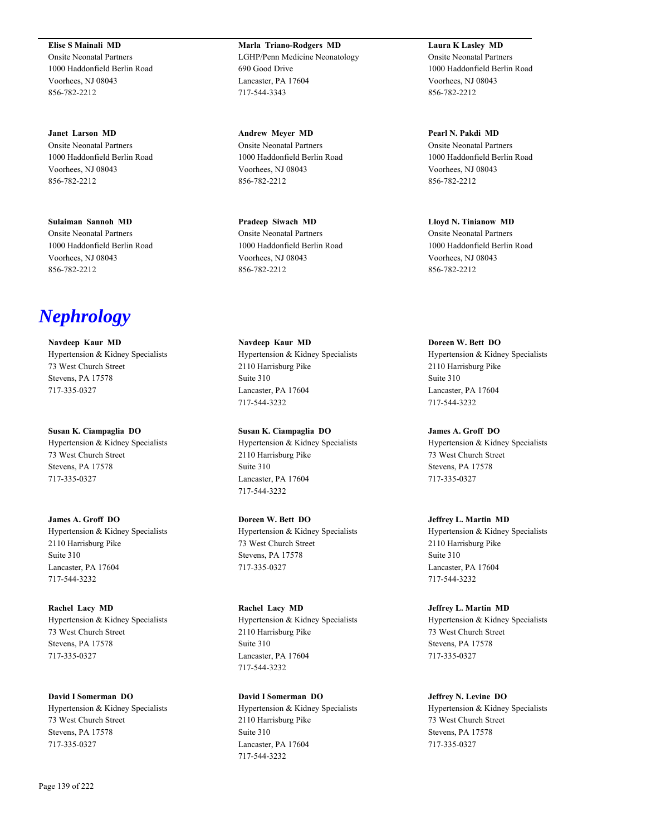**Elise S Mainali MD** Onsite Neonatal Partners 1000 Haddonfield Berlin Road Voorhees, NJ 08043 856-782-2212

**Janet Larson MD** Onsite Neonatal Partners 1000 Haddonfield Berlin Road Voorhees, NJ 08043 856-782-2212

**Sulaiman Sannoh MD** Onsite Neonatal Partners 1000 Haddonfield Berlin Road Voorhees, NJ 08043 856-782-2212

*Nephrology*

**Navdeep Kaur MD** Hypertension & Kidney Specialists 73 West Church Street Stevens, PA 17578 717-335-0327

**Susan K. Ciampaglia DO** Hypertension & Kidney Specialists 73 West Church Street Stevens, PA 17578 717-335-0327

**James A. Groff DO** Hypertension & Kidney Specialists 2110 Harrisburg Pike Suite 310 Lancaster, PA 17604 717-544-3232

**Rachel Lacy MD** Hypertension & Kidney Specialists 73 West Church Street Stevens, PA 17578 717-335-0327

**David I Somerman DO** Hypertension & Kidney Specialists 73 West Church Street Stevens, PA 17578 717-335-0327

**Marla Triano-Rodgers MD** LGHP/Penn Medicine Neonatology 690 Good Drive Lancaster, PA 17604 717-544-3343

**Andrew Meyer MD** Onsite Neonatal Partners 1000 Haddonfield Berlin Road Voorhees, NJ 08043 856-782-2212

**Pradeep Siwach MD** Onsite Neonatal Partners 1000 Haddonfield Berlin Road Voorhees, NJ 08043 856-782-2212

**Navdeep Kaur MD** Hypertension & Kidney Specialists 2110 Harrisburg Pike Suite 310 Lancaster, PA 17604 717-544-3232

**Susan K. Ciampaglia DO** Hypertension & Kidney Specialists 2110 Harrisburg Pike Suite 310 Lancaster, PA 17604 717-544-3232

**Doreen W. Bett DO** Hypertension & Kidney Specialists 73 West Church Street Stevens, PA 17578 717-335-0327

**Rachel Lacy MD** Hypertension & Kidney Specialists 2110 Harrisburg Pike Suite 310 Lancaster, PA 17604 717-544-3232

**David I Somerman DO** Hypertension & Kidney Specialists 2110 Harrisburg Pike Suite 310 Lancaster, PA 17604 717-544-3232

**Laura K Lasley MD** Onsite Neonatal Partners 1000 Haddonfield Berlin Road Voorhees, NJ 08043 856-782-2212

**Pearl N. Pakdi MD** Onsite Neonatal Partners 1000 Haddonfield Berlin Road Voorhees, NJ 08043 856-782-2212

**Lloyd N. Tinianow MD** Onsite Neonatal Partners 1000 Haddonfield Berlin Road Voorhees, NJ 08043 856-782-2212

**Doreen W. Bett DO** Hypertension & Kidney Specialists 2110 Harrisburg Pike Suite 310 Lancaster, PA 17604 717-544-3232

**James A. Groff DO** Hypertension & Kidney Specialists 73 West Church Street Stevens, PA 17578 717-335-0327

**Jeffrey L. Martin MD** Hypertension & Kidney Specialists 2110 Harrisburg Pike Suite 310 Lancaster, PA 17604 717-544-3232

**Jeffrey L. Martin MD** Hypertension & Kidney Specialists 73 West Church Street Stevens, PA 17578 717-335-0327

**Jeffrey N. Levine DO** Hypertension & Kidney Specialists 73 West Church Street Stevens, PA 17578 717-335-0327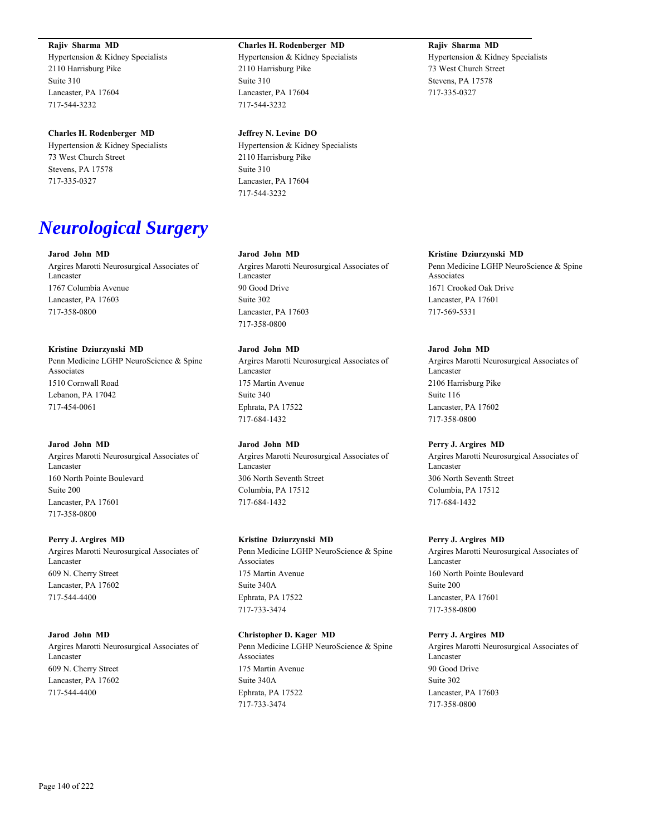#### **Rajiv Sharma MD**

Hypertension & Kidney Specialists 2110 Harrisburg Pike Suite 310 Lancaster, PA 17604 717-544-3232

#### **Charles H. Rodenberger MD**

Hypertension & Kidney Specialists 73 West Church Street Stevens, PA 17578 717-335-0327

# *Neurological Surgery*

## **Jarod John MD**

Argires Marotti Neurosurgical Associates of Lancaster 1767 Columbia Avenue Lancaster, PA 17603 717-358-0800

#### **Kristine Dziurzynski MD**

Penn Medicine LGHP NeuroScience & Spine Associates 1510 Cornwall Road Lebanon, PA 17042 717-454-0061

#### **Jarod John MD**

Argires Marotti Neurosurgical Associates of Lancaster 160 North Pointe Boulevard Suite 200 Lancaster, PA 17601 717-358-0800

#### **Perry J. Argires MD**

Argires Marotti Neurosurgical Associates of Lancaster 609 N. Cherry Street Lancaster, PA 17602 717-544-4400

#### **Jarod John MD**

Argires Marotti Neurosurgical Associates of Lancaster 609 N. Cherry Street Lancaster, PA 17602 717-544-4400

#### **Charles H. Rodenberger MD**

Hypertension & Kidney Specialists 2110 Harrisburg Pike Suite 310 Lancaster, PA 17604 717-544-3232

#### **Jeffrey N. Levine DO**

Hypertension & Kidney Specialists 2110 Harrisburg Pike Suite 310 Lancaster, PA 17604 717-544-3232

#### **Jarod John MD**

Argires Marotti Neurosurgical Associates of Lancaster 90 Good Drive Suite 302 Lancaster, PA 17603 717-358-0800

#### **Jarod John MD**

Argires Marotti Neurosurgical Associates of Lancaster 175 Martin Avenue Suite 340 Ephrata, PA 17522 717-684-1432

#### **Jarod John MD**

Argires Marotti Neurosurgical Associates of Lancaster 306 North Seventh Street Columbia, PA 17512 717-684-1432

# **Kristine Dziurzynski MD**

Penn Medicine LGHP NeuroScience & Spine Associates 175 Martin Avenue Suite 340A Ephrata, PA 17522 717-733-3474

#### **Christopher D. Kager MD**

Penn Medicine LGHP NeuroScience & Spine Associates 175 Martin Avenue Suite 340A Ephrata, PA 17522 717-733-3474

# **Rajiv Sharma MD**

Hypertension & Kidney Specialists 73 West Church Street Stevens, PA 17578 717-335-0327

#### **Kristine Dziurzynski MD**

Penn Medicine LGHP NeuroScience & Spine Associates 1671 Crooked Oak Drive Lancaster, PA 17601 717-569-5331

#### **Jarod John MD**

Argires Marotti Neurosurgical Associates of Lancaster 2106 Harrisburg Pike Suite 116 Lancaster, PA 17602 717-358-0800

#### **Perry J. Argires MD**

Argires Marotti Neurosurgical Associates of Lancaster 306 North Seventh Street Columbia, PA 17512 717-684-1432

#### **Perry J. Argires MD**

Argires Marotti Neurosurgical Associates of Lancaster 160 North Pointe Boulevard Suite 200 Lancaster, PA 17601 717-358-0800

#### **Perry J. Argires MD**

Argires Marotti Neurosurgical Associates of Lancaster 90 Good Drive Suite 302 Lancaster, PA 17603 717-358-0800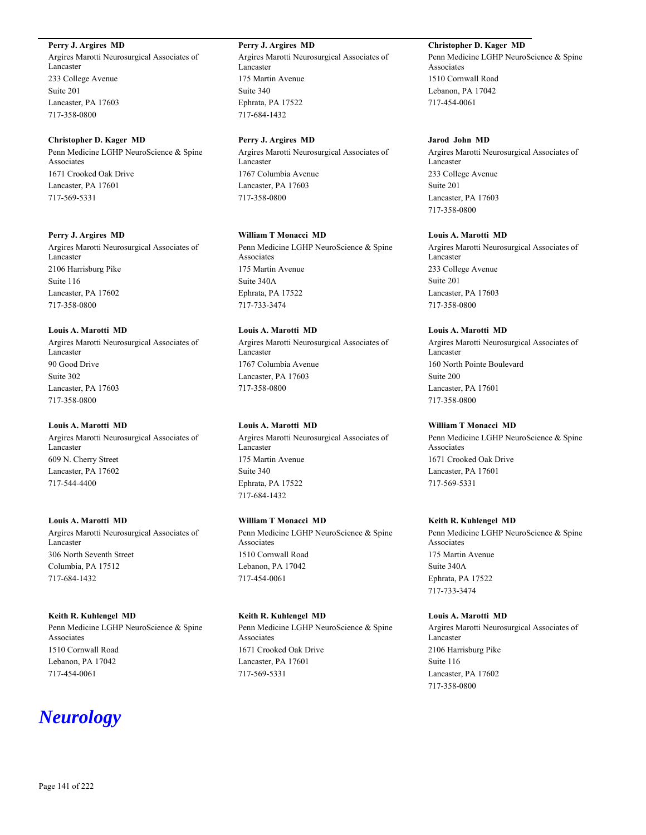# **Perry J. Argires MD**

Argires Marotti Neurosurgical Associates of Lancaster 233 College Avenue Suite 201 Lancaster, PA 17603 717-358-0800

#### **Christopher D. Kager MD**

Penn Medicine LGHP NeuroScience & Spine Associates 1671 Crooked Oak Drive Lancaster, PA 17601 717-569-5331

#### **Perry J. Argires MD**

Argires Marotti Neurosurgical Associates of Lancaster 2106 Harrisburg Pike Suite 116 Lancaster, PA 17602 717-358-0800

#### **Louis A. Marotti MD**

Argires Marotti Neurosurgical Associates of Lancaster 90 Good Drive Suite 302 Lancaster, PA 17603 717-358-0800

#### **Louis A. Marotti MD**

Argires Marotti Neurosurgical Associates of Lancaster 609 N. Cherry Street Lancaster, PA 17602 717-544-4400

# **Louis A. Marotti MD**

Argires Marotti Neurosurgical Associates of Lancaster 306 North Seventh Street Columbia, PA 17512 717-684-1432

#### **Keith R. Kuhlengel MD**

Penn Medicine LGHP NeuroScience & Spine Associates 1510 Cornwall Road Lebanon, PA 17042 717-454-0061

# *Neurology*

**Perry J. Argires MD** Argires Marotti Neurosurgical Associates of Lancaster 175 Martin Avenue Suite 340 Ephrata, PA 17522 717-684-1432

#### **Perry J. Argires MD**

Argires Marotti Neurosurgical Associates of Lancaster 1767 Columbia Avenue Lancaster, PA 17603 717-358-0800

# **William T Monacci MD**

Penn Medicine LGHP NeuroScience & Spine Associates 175 Martin Avenue Suite 340A Ephrata, PA 17522 717-733-3474

## **Louis A. Marotti MD**

Argires Marotti Neurosurgical Associates of Lancaster 1767 Columbia Avenue Lancaster, PA 17603 717-358-0800

#### **Louis A. Marotti MD**

Argires Marotti Neurosurgical Associates of Lancaster 175 Martin Avenue Suite 340 Ephrata, PA 17522 717-684-1432

# **William T Monacci MD**

Penn Medicine LGHP NeuroScience & Spine Associates 1510 Cornwall Road Lebanon, PA 17042 717-454-0061

#### **Keith R. Kuhlengel MD**

Penn Medicine LGHP NeuroScience & Spine Associates 1671 Crooked Oak Drive Lancaster, PA 17601 717-569-5331

# **Christopher D. Kager MD**

Penn Medicine LGHP NeuroScience & Spine Associates 1510 Cornwall Road Lebanon, PA 17042 717-454-0061

#### **Jarod John MD**

Argires Marotti Neurosurgical Associates of Lancaster 233 College Avenue Suite 201 Lancaster, PA 17603 717-358-0800

#### **Louis A. Marotti MD**

Argires Marotti Neurosurgical Associates of Lancaster 233 College Avenue Suite 201 Lancaster, PA 17603 717-358-0800

#### **Louis A. Marotti MD**

Argires Marotti Neurosurgical Associates of Lancaster 160 North Pointe Boulevard Suite 200 Lancaster, PA 17601 717-358-0800

#### **William T Monacci MD**

Penn Medicine LGHP NeuroScience & Spine Associates 1671 Crooked Oak Drive Lancaster, PA 17601 717-569-5331

# **Keith R. Kuhlengel MD**

Penn Medicine LGHP NeuroScience & Spine Associates 175 Martin Avenue Suite 340A Ephrata, PA 17522 717-733-3474

#### **Louis A. Marotti MD**

Argires Marotti Neurosurgical Associates of Lancaster 2106 Harrisburg Pike Suite 116 Lancaster, PA 17602 717-358-0800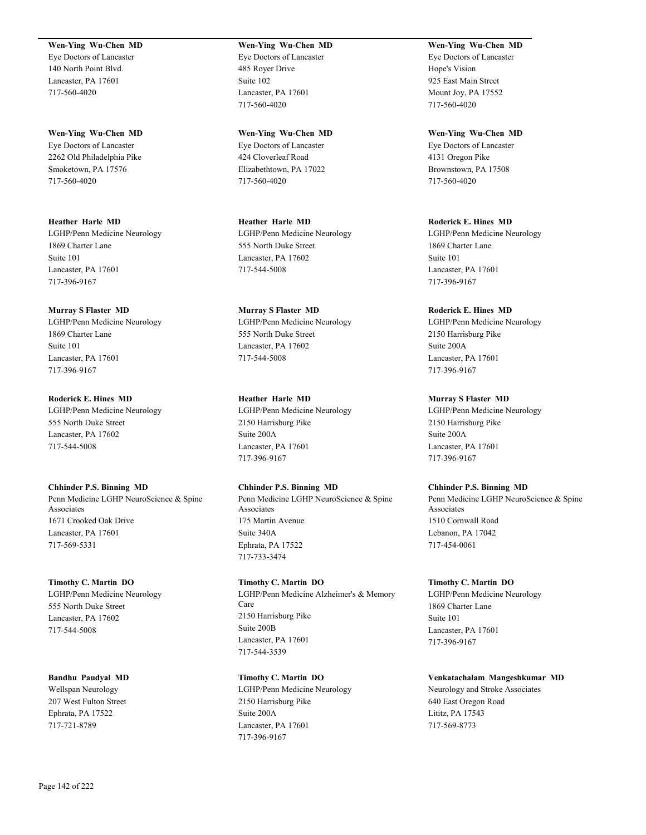#### **Wen-Ying Wu-Chen MD**

Eye Doctors of Lancaster 140 North Point Blvd. Lancaster, PA 17601 717-560-4020

**Wen-Ying Wu-Chen MD** Eye Doctors of Lancaster 2262 Old Philadelphia Pike Smoketown, PA 17576 717-560-4020

**Heather Harle MD** LGHP/Penn Medicine Neurology 1869 Charter Lane Suite 101 Lancaster, PA 17601 717-396-9167

**Murray S Flaster MD** LGHP/Penn Medicine Neurology 1869 Charter Lane Suite 101 Lancaster, PA 17601 717-396-9167

**Roderick E. Hines MD** LGHP/Penn Medicine Neurology 555 North Duke Street Lancaster, PA 17602 717-544-5008

**Chhinder P.S. Binning MD** Penn Medicine LGHP NeuroScience & Spine Associates 1671 Crooked Oak Drive Lancaster, PA 17601 717-569-5331

**Timothy C. Martin DO** LGHP/Penn Medicine Neurology 555 North Duke Street Lancaster, PA 17602 717-544-5008

**Bandhu Paudyal MD** Wellspan Neurology 207 West Fulton Street Ephrata, PA 17522 717-721-8789

# **Wen-Ying Wu-Chen MD** Eye Doctors of Lancaster

485 Royer Drive Suite 102 Lancaster, PA 17601 717-560-4020

**Wen-Ying Wu-Chen MD** Eye Doctors of Lancaster 424 Cloverleaf Road Elizabethtown, PA 17022 717-560-4020

**Heather Harle MD** LGHP/Penn Medicine Neurology 555 North Duke Street Lancaster, PA 17602 717-544-5008

**Murray S Flaster MD** LGHP/Penn Medicine Neurology 555 North Duke Street Lancaster, PA 17602 717-544-5008

**Heather Harle MD** LGHP/Penn Medicine Neurology 2150 Harrisburg Pike Suite 200A Lancaster, PA 17601 717-396-9167

**Chhinder P.S. Binning MD** Penn Medicine LGHP NeuroScience & Spine Associates 175 Martin Avenue Suite 340A Ephrata, PA 17522 717-733-3474

**Timothy C. Martin DO** LGHP/Penn Medicine Alzheimer's & Memory Care 2150 Harrisburg Pike Suite 200B Lancaster, PA 17601 717-544-3539

**Timothy C. Martin DO** LGHP/Penn Medicine Neurology 2150 Harrisburg Pike Suite 200A Lancaster, PA 17601 717-396-9167

**Wen-Ying Wu-Chen MD** Eye Doctors of Lancaster Hope's Vision 925 East Main Street Mount Joy, PA 17552 717-560-4020

**Wen-Ying Wu-Chen MD** Eye Doctors of Lancaster 4131 Oregon Pike Brownstown, PA 17508 717-560-4020

**Roderick E. Hines MD** LGHP/Penn Medicine Neurology 1869 Charter Lane Suite 101 Lancaster, PA 17601 717-396-9167

**Roderick E. Hines MD** LGHP/Penn Medicine Neurology 2150 Harrisburg Pike Suite 200A Lancaster, PA 17601 717-396-9167

**Murray S Flaster MD** LGHP/Penn Medicine Neurology 2150 Harrisburg Pike Suite 200A Lancaster, PA 17601 717-396-9167

**Chhinder P.S. Binning MD** Penn Medicine LGHP NeuroScience & Spine Associates 1510 Cornwall Road Lebanon, PA 17042 717-454-0061

**Timothy C. Martin DO** LGHP/Penn Medicine Neurology 1869 Charter Lane Suite 101 Lancaster, PA 17601 717-396-9167

**Venkatachalam Mangeshkumar MD** Neurology and Stroke Associates 640 East Oregon Road Lititz, PA 17543 717-569-8773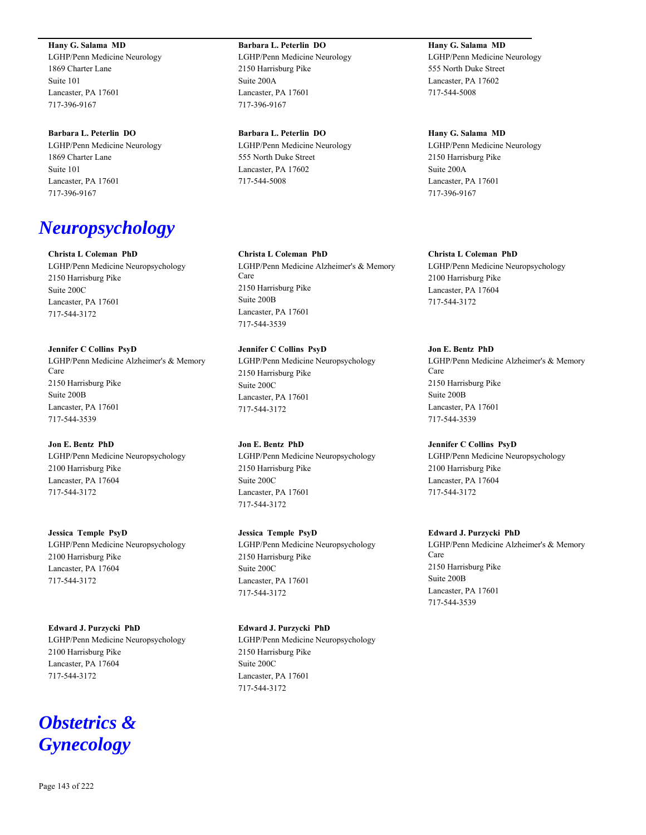**Hany G. Salama MD**

LGHP/Penn Medicine Neurology 1869 Charter Lane Suite 101 Lancaster, PA 17601 717-396-9167

#### **Barbara L. Peterlin DO**

LGHP/Penn Medicine Neurology 1869 Charter Lane Suite 101 Lancaster, PA 17601 717-396-9167

# *Neuropsychology*

**Christa L Coleman PhD** LGHP/Penn Medicine Neuropsychology 2150 Harrisburg Pike Suite 200C Lancaster, PA 17601 717-544-3172

**Jennifer C Collins PsyD** LGHP/Penn Medicine Alzheimer's & Memory Care 2150 Harrisburg Pike Suite 200B Lancaster, PA 17601 717-544-3539

**Jon E. Bentz PhD** LGHP/Penn Medicine Neuropsychology 2100 Harrisburg Pike Lancaster, PA 17604 717-544-3172

**Jessica Temple PsyD** LGHP/Penn Medicine Neuropsychology 2100 Harrisburg Pike Lancaster, PA 17604 717-544-3172

**Edward J. Purzycki PhD** LGHP/Penn Medicine Neuropsychology 2100 Harrisburg Pike Lancaster, PA 17604 717-544-3172

# *Obstetrics & Gynecology*

**Barbara L. Peterlin DO** LGHP/Penn Medicine Neurology 2150 Harrisburg Pike Suite 200A Lancaster, PA 17601 717-396-9167

**Barbara L. Peterlin DO** LGHP/Penn Medicine Neurology 555 North Duke Street Lancaster, PA 17602 717-544-5008

**Christa L Coleman PhD** LGHP/Penn Medicine Alzheimer's & Memory Care 2150 Harrisburg Pike Suite 200B Lancaster, PA 17601 717-544-3539

**Jennifer C Collins PsyD** LGHP/Penn Medicine Neuropsychology 2150 Harrisburg Pike Suite 200C Lancaster, PA 17601 717-544-3172

**Jon E. Bentz PhD** LGHP/Penn Medicine Neuropsychology 2150 Harrisburg Pike Suite 200C Lancaster, PA 17601 717-544-3172

**Jessica Temple PsyD** LGHP/Penn Medicine Neuropsychology 2150 Harrisburg Pike Suite 200C Lancaster, PA 17601 717-544-3172

**Edward J. Purzycki PhD** LGHP/Penn Medicine Neuropsychology 2150 Harrisburg Pike Suite 200C Lancaster, PA 17601 717-544-3172

**Hany G. Salama MD** LGHP/Penn Medicine Neurology 555 North Duke Street Lancaster, PA 17602 717-544-5008

**Hany G. Salama MD** LGHP/Penn Medicine Neurology 2150 Harrisburg Pike Suite 200A Lancaster, PA 17601 717-396-9167

**Christa L Coleman PhD** LGHP/Penn Medicine Neuropsychology 2100 Harrisburg Pike Lancaster, PA 17604 717-544-3172

**Jon E. Bentz PhD** LGHP/Penn Medicine Alzheimer's & Memory Care 2150 Harrisburg Pike Suite 200B Lancaster, PA 17601 717-544-3539

**Jennifer C Collins PsyD** LGHP/Penn Medicine Neuropsychology 2100 Harrisburg Pike Lancaster, PA 17604 717-544-3172

**Edward J. Purzycki PhD** LGHP/Penn Medicine Alzheimer's & Memory Care 2150 Harrisburg Pike Suite 200B Lancaster, PA 17601 717-544-3539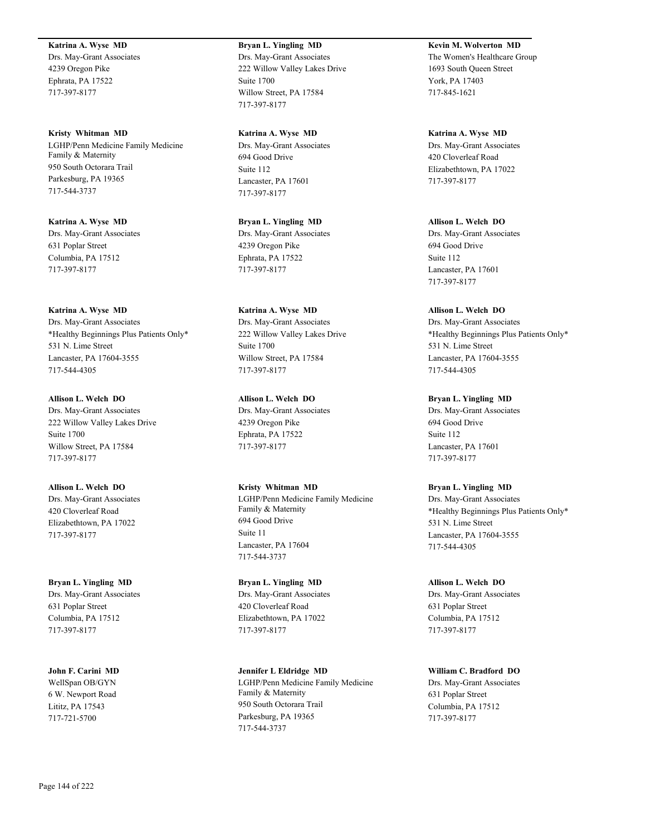#### **Katrina A. Wyse MD**

Drs. May-Grant Associates 4239 Oregon Pike Ephrata, PA 17522 717-397-8177

**Kristy Whitman MD** LGHP/Penn Medicine Family Medicine Family & Maternity 950 South Octorara Trail Parkesburg, PA 19365 717-544-3737

**Katrina A. Wyse MD** Drs. May-Grant Associates 631 Poplar Street Columbia, PA 17512 717-397-8177

#### **Katrina A. Wyse MD**

Drs. May-Grant Associates \*Healthy Beginnings Plus Patients Only\* 531 N. Lime Street Lancaster, PA 17604-3555 717-544-4305

**Allison L. Welch DO** Drs. May-Grant Associates 222 Willow Valley Lakes Drive Suite 1700 Willow Street, PA 17584 717-397-8177

**Allison L. Welch DO** Drs. May-Grant Associates 420 Cloverleaf Road Elizabethtown, PA 17022 717-397-8177

**Bryan L. Yingling MD** Drs. May-Grant Associates 631 Poplar Street Columbia, PA 17512 717-397-8177

**John F. Carini MD** WellSpan OB/GYN 6 W. Newport Road Lititz, PA 17543 717-721-5700

# **Bryan L. Yingling MD** Drs. May-Grant Associates 222 Willow Valley Lakes Drive Suite 1700 Willow Street, PA 17584 717-397-8177

**Katrina A. Wyse MD** Drs. May-Grant Associates 694 Good Drive Suite 112 Lancaster, PA 17601 717-397-8177

**Bryan L. Yingling MD** Drs. May-Grant Associates 4239 Oregon Pike Ephrata, PA 17522 717-397-8177

**Katrina A. Wyse MD** Drs. May-Grant Associates 222 Willow Valley Lakes Drive Suite 1700 Willow Street, PA 17584 717-397-8177

**Allison L. Welch DO** Drs. May-Grant Associates 4239 Oregon Pike Ephrata, PA 17522 717-397-8177

**Kristy Whitman MD** LGHP/Penn Medicine Family Medicine Family & Maternity 694 Good Drive Suite 11 Lancaster, PA 17604 717-544-3737

**Bryan L. Yingling MD** Drs. May-Grant Associates 420 Cloverleaf Road Elizabethtown, PA 17022 717-397-8177

**Jennifer L Eldridge MD** LGHP/Penn Medicine Family Medicine Family & Maternity 950 South Octorara Trail Parkesburg, PA 19365 717-544-3737

**Kevin M. Wolverton MD** The Women's Healthcare Group 1693 South Queen Street York, PA 17403 717-845-1621

**Katrina A. Wyse MD** Drs. May-Grant Associates 420 Cloverleaf Road Elizabethtown, PA 17022 717-397-8177

**Allison L. Welch DO** Drs. May-Grant Associates 694 Good Drive Suite 112 Lancaster, PA 17601 717-397-8177

**Allison L. Welch DO** Drs. May-Grant Associates \*Healthy Beginnings Plus Patients Only\* 531 N. Lime Street Lancaster, PA 17604-3555 717-544-4305

**Bryan L. Yingling MD** Drs. May-Grant Associates 694 Good Drive Suite 112 Lancaster, PA 17601 717-397-8177

**Bryan L. Yingling MD** Drs. May-Grant Associates \*Healthy Beginnings Plus Patients Only\* 531 N. Lime Street Lancaster, PA 17604-3555 717-544-4305

**Allison L. Welch DO** Drs. May-Grant Associates 631 Poplar Street Columbia, PA 17512 717-397-8177

**William C. Bradford DO** Drs. May-Grant Associates 631 Poplar Street Columbia, PA 17512 717-397-8177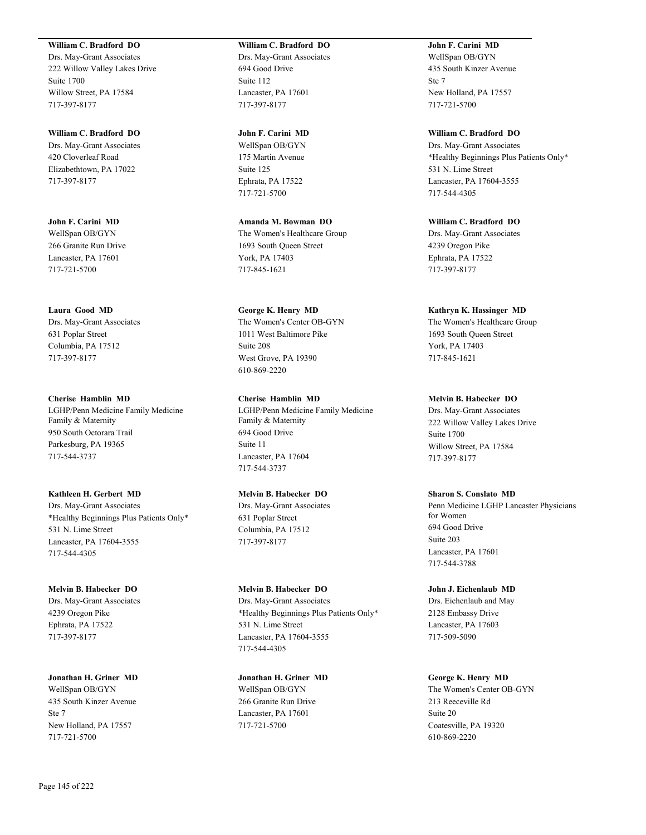#### **William C. Bradford DO**

Drs. May-Grant Associates 222 Willow Valley Lakes Drive Suite 1700 Willow Street, PA 17584 717-397-8177

**William C. Bradford DO** Drs. May-Grant Associates 420 Cloverleaf Road Elizabethtown, PA 17022 717-397-8177

**John F. Carini MD** WellSpan OB/GYN 266 Granite Run Drive Lancaster, PA 17601 717-721-5700

**Laura Good MD**

Drs. May-Grant Associates 631 Poplar Street Columbia, PA 17512 717-397-8177

**Cherise Hamblin MD** LGHP/Penn Medicine Family Medicine Family & Maternity 950 South Octorara Trail Parkesburg, PA 19365 717-544-3737

**Kathleen H. Gerbert MD** Drs. May-Grant Associates \*Healthy Beginnings Plus Patients Only\* 531 N. Lime Street Lancaster, PA 17604-3555 717-544-4305

**Melvin B. Habecker DO** Drs. May-Grant Associates 4239 Oregon Pike Ephrata, PA 17522 717-397-8177

**Jonathan H. Griner MD** WellSpan OB/GYN 435 South Kinzer Avenue Ste 7 New Holland, PA 17557 717-721-5700

#### **William C. Bradford DO** Drs. May-Grant Associates

694 Good Drive Suite 112 Lancaster, PA 17601 717-397-8177

**John F. Carini MD**

WellSpan OB/GYN 175 Martin Avenue Suite 125 Ephrata, PA 17522 717-721-5700

**Amanda M. Bowman DO** The Women's Healthcare Group 1693 South Queen Street York, PA 17403 717-845-1621

**George K. Henry MD** The Women's Center OB-GYN 1011 West Baltimore Pike Suite 208 West Grove, PA 19390 610-869-2220

**Cherise Hamblin MD** LGHP/Penn Medicine Family Medicine Family & Maternity 694 Good Drive Suite 11 Lancaster, PA 17604 717-544-3737

**Melvin B. Habecker DO**

Drs. May-Grant Associates 631 Poplar Street Columbia, PA 17512 717-397-8177

**Melvin B. Habecker DO** Drs. May-Grant Associates \*Healthy Beginnings Plus Patients Only\* 531 N. Lime Street Lancaster, PA 17604-3555 717-544-4305

**Jonathan H. Griner MD** WellSpan OB/GYN 266 Granite Run Drive Lancaster, PA 17601 717-721-5700

**John F. Carini MD** WellSpan OB/GYN 435 South Kinzer Avenue Ste 7 New Holland, PA 17557 717-721-5700

**William C. Bradford DO** Drs. May-Grant Associates \*Healthy Beginnings Plus Patients Only\* 531 N. Lime Street Lancaster, PA 17604-3555 717-544-4305

**William C. Bradford DO** Drs. May-Grant Associates 4239 Oregon Pike Ephrata, PA 17522 717-397-8177

**Kathryn K. Hassinger MD**

The Women's Healthcare Group 1693 South Queen Street York, PA 17403 717-845-1621

**Melvin B. Habecker DO**

Drs. May-Grant Associates 222 Willow Valley Lakes Drive Suite 1700 Willow Street, PA 17584 717-397-8177

**Sharon S. Conslato MD**

Penn Medicine LGHP Lancaster Physicians for Women 694 Good Drive Suite 203 Lancaster, PA 17601 717-544-3788

**John J. Eichenlaub MD** Drs. Eichenlaub and May 2128 Embassy Drive Lancaster, PA 17603 717-509-5090

**George K. Henry MD** The Women's Center OB-GYN 213 Reeceville Rd Suite 20 Coatesville, PA 19320 610-869-2220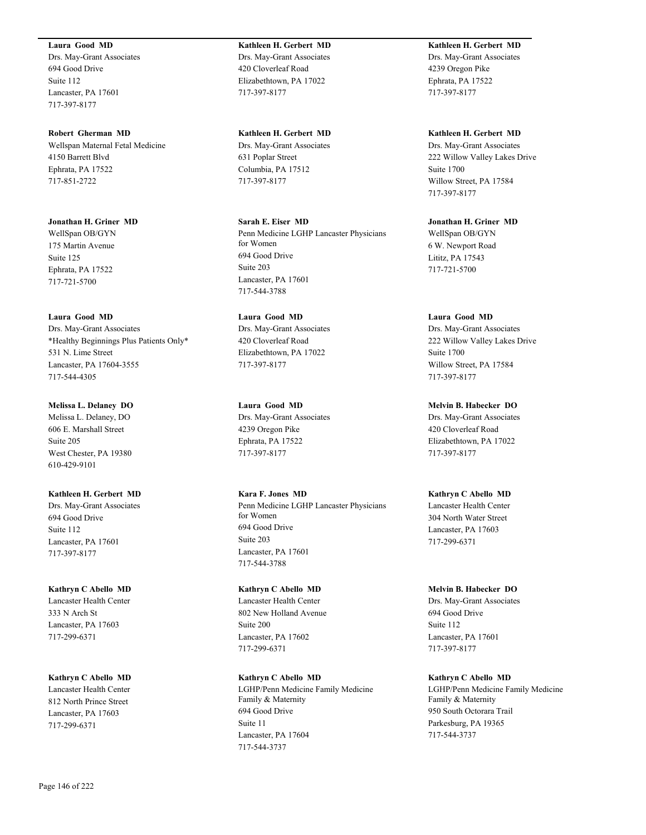#### **Laura Good MD**

Drs. May-Grant Associates 694 Good Drive Suite 112 Lancaster, PA 17601 717-397-8177

**Robert Gherman MD** Wellspan Maternal Fetal Medicine 4150 Barrett Blvd Ephrata, PA 17522 717-851-2722

**Jonathan H. Griner MD** WellSpan OB/GYN 175 Martin Avenue Suite 125 Ephrata, PA 17522 717-721-5700

**Laura Good MD** Drs. May-Grant Associates \*Healthy Beginnings Plus Patients Only\* 531 N. Lime Street Lancaster, PA 17604-3555

**Melissa L. Delaney DO**

717-544-4305

Melissa L. Delaney, DO 606 E. Marshall Street Suite 205 West Chester, PA 19380 610-429-9101

**Kathleen H. Gerbert MD** Drs. May-Grant Associates 694 Good Drive Suite 112 Lancaster, PA 17601 717-397-8177

**Kathryn C Abello MD** Lancaster Health Center 333 N Arch St Lancaster, PA 17603 717-299-6371

**Kathryn C Abello MD** Lancaster Health Center 812 North Prince Street Lancaster, PA 17603 717-299-6371

**Kathleen H. Gerbert MD** Drs. May-Grant Associates 420 Cloverleaf Road Elizabethtown, PA 17022 717-397-8177

**Kathleen H. Gerbert MD** Drs. May-Grant Associates 631 Poplar Street Columbia, PA 17512 717-397-8177

**Sarah E. Eiser MD** Penn Medicine LGHP Lancaster Physicians for Women 694 Good Drive Suite 203 Lancaster, PA 17601 717-544-3788

**Laura Good MD** Drs. May-Grant Associates 420 Cloverleaf Road Elizabethtown, PA 17022 717-397-8177

**Laura Good MD** Drs. May-Grant Associates 4239 Oregon Pike Ephrata, PA 17522 717-397-8177

**Kara F. Jones MD** Penn Medicine LGHP Lancaster Physicians for Women 694 Good Drive Suite 203 Lancaster, PA 17601 717-544-3788

**Kathryn C Abello MD** Lancaster Health Center 802 New Holland Avenue Suite 200 Lancaster, PA 17602 717-299-6371

**Kathryn C Abello MD** LGHP/Penn Medicine Family Medicine Family & Maternity 694 Good Drive Suite 11 Lancaster, PA 17604 717-544-3737

**Kathleen H. Gerbert MD** Drs. May-Grant Associates 4239 Oregon Pike Ephrata, PA 17522 717-397-8177

**Kathleen H. Gerbert MD** Drs. May-Grant Associates 222 Willow Valley Lakes Drive Suite 1700 Willow Street, PA 17584 717-397-8177

**Jonathan H. Griner MD** WellSpan OB/GYN 6 W. Newport Road Lititz, PA 17543 717-721-5700

**Laura Good MD** Drs. May-Grant Associates 222 Willow Valley Lakes Drive Suite 1700 Willow Street, PA 17584 717-397-8177

**Melvin B. Habecker DO** Drs. May-Grant Associates 420 Cloverleaf Road Elizabethtown, PA 17022 717-397-8177

**Kathryn C Abello MD** Lancaster Health Center 304 North Water Street Lancaster, PA 17603 717-299-6371

**Melvin B. Habecker DO** Drs. May-Grant Associates 694 Good Drive Suite 112 Lancaster, PA 17601 717-397-8177

**Kathryn C Abello MD** LGHP/Penn Medicine Family Medicine Family & Maternity 950 South Octorara Trail Parkesburg, PA 19365 717-544-3737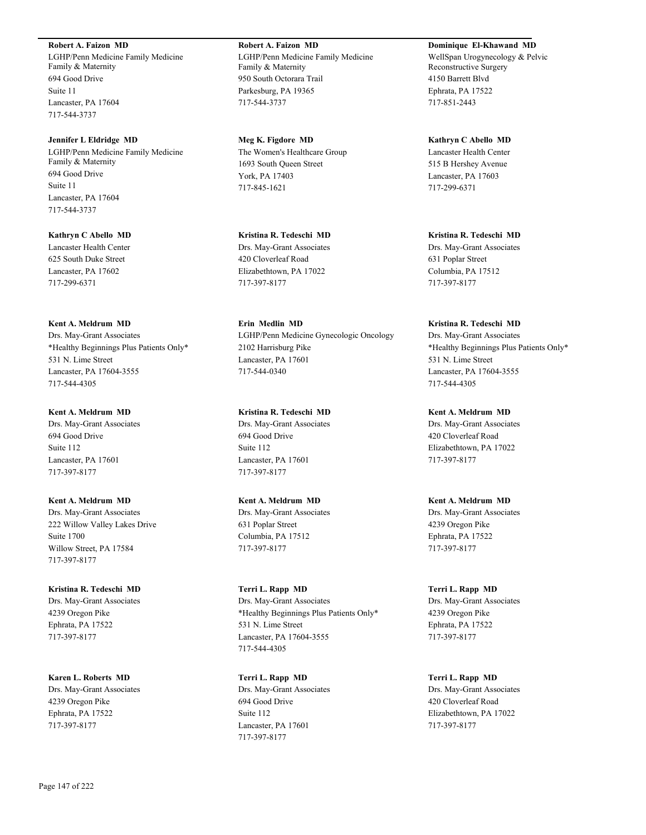#### **Robert A. Faizon MD**

LGHP/Penn Medicine Family Medicine Family & Maternity 694 Good Drive Suite 11 Lancaster, PA 17604 717-544-3737

**Jennifer L Eldridge MD** LGHP/Penn Medicine Family Medicine Family & Maternity 694 Good Drive Suite 11 Lancaster, PA 17604 717-544-3737

**Kathryn C Abello MD** Lancaster Health Center 625 South Duke Street Lancaster, PA 17602 717-299-6371

## **Kent A. Meldrum MD**

Drs. May-Grant Associates \*Healthy Beginnings Plus Patients Only\* 531 N. Lime Street Lancaster, PA 17604-3555 717-544-4305

#### **Kent A. Meldrum MD**

Drs. May-Grant Associates 694 Good Drive Suite 112 Lancaster, PA 17601 717-397-8177

**Kent A. Meldrum MD** Drs. May-Grant Associates 222 Willow Valley Lakes Drive Suite 1700 Willow Street, PA 17584 717-397-8177

**Kristina R. Tedeschi MD** Drs. May-Grant Associates 4239 Oregon Pike Ephrata, PA 17522 717-397-8177

**Karen L. Roberts MD** Drs. May-Grant Associates 4239 Oregon Pike Ephrata, PA 17522 717-397-8177

**Robert A. Faizon MD** LGHP/Penn Medicine Family Medicine Family & Maternity 950 South Octorara Trail Parkesburg, PA 19365 717-544-3737

**Meg K. Figdore MD** The Women's Healthcare Group 1693 South Queen Street York, PA 17403 717-845-1621

**Kristina R. Tedeschi MD** Drs. May-Grant Associates 420 Cloverleaf Road Elizabethtown, PA 17022 717-397-8177

**Erin Medlin MD** LGHP/Penn Medicine Gynecologic Oncology 2102 Harrisburg Pike Lancaster, PA 17601 717-544-0340

**Kristina R. Tedeschi MD** Drs. May-Grant Associates 694 Good Drive Suite 112 Lancaster, PA 17601 717-397-8177

**Kent A. Meldrum MD** Drs. May-Grant Associates 631 Poplar Street Columbia, PA 17512 717-397-8177

**Terri L. Rapp MD** Drs. May-Grant Associates \*Healthy Beginnings Plus Patients Only\* 531 N. Lime Street Lancaster, PA 17604-3555 717-544-4305

**Terri L. Rapp MD** Drs. May-Grant Associates 694 Good Drive Suite 112 Lancaster, PA 17601 717-397-8177

**Dominique El-Khawand MD** WellSpan Urogynecology & Pelvic Reconstructive Surgery 4150 Barrett Blvd Ephrata, PA 17522 717-851-2443

**Kathryn C Abello MD** Lancaster Health Center 515 B Hershey Avenue Lancaster, PA 17603 717-299-6371

**Kristina R. Tedeschi MD** Drs. May-Grant Associates 631 Poplar Street Columbia, PA 17512 717-397-8177

#### **Kristina R. Tedeschi MD**

Drs. May-Grant Associates \*Healthy Beginnings Plus Patients Only\* 531 N. Lime Street Lancaster, PA 17604-3555 717-544-4305

**Kent A. Meldrum MD** Drs. May-Grant Associates 420 Cloverleaf Road Elizabethtown, PA 17022 717-397-8177

**Kent A. Meldrum MD** Drs. May-Grant Associates 4239 Oregon Pike Ephrata, PA 17522 717-397-8177

**Terri L. Rapp MD** Drs. May-Grant Associates 4239 Oregon Pike Ephrata, PA 17522 717-397-8177

**Terri L. Rapp MD** Drs. May-Grant Associates 420 Cloverleaf Road Elizabethtown, PA 17022 717-397-8177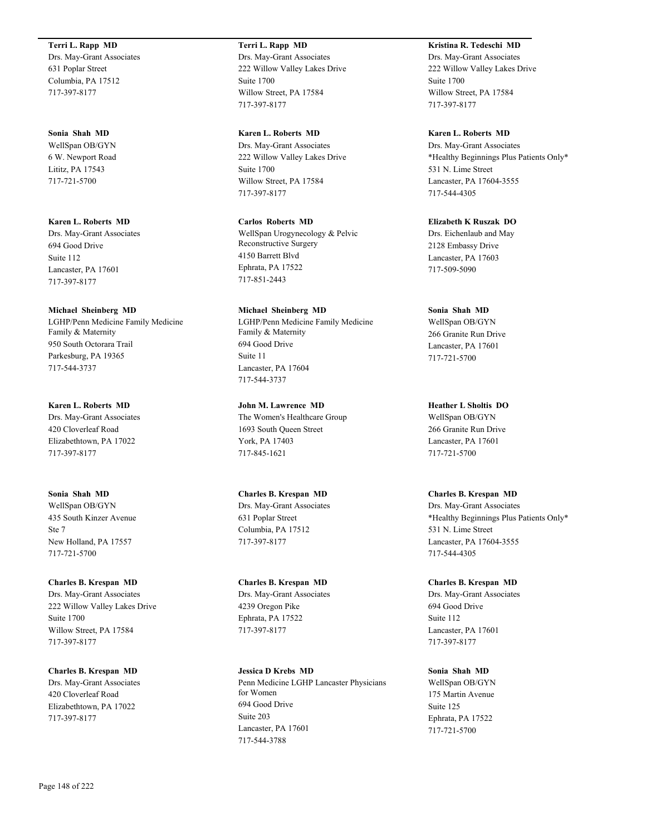#### **Terri L. Rapp MD**

Drs. May-Grant Associates 631 Poplar Street Columbia, PA 17512 717-397-8177

#### **Sonia Shah MD**

WellSpan OB/GYN 6 W. Newport Road Lititz, PA 17543 717-721-5700

#### **Karen L. Roberts MD**

Drs. May-Grant Associates 694 Good Drive Suite 112 Lancaster, PA 17601 717-397-8177

#### **Michael Sheinberg MD**

LGHP/Penn Medicine Family Medicine Family & Maternity 950 South Octorara Trail Parkesburg, PA 19365 717-544-3737

#### **Karen L. Roberts MD**

Drs. May-Grant Associates 420 Cloverleaf Road Elizabethtown, PA 17022 717-397-8177

### **Sonia Shah MD** WellSpan OB/GYN 435 South Kinzer Avenue Ste 7 New Holland, PA 17557 717-721-5700

**Charles B. Krespan MD** Drs. May-Grant Associates 222 Willow Valley Lakes Drive Suite 1700 Willow Street, PA 17584 717-397-8177

**Charles B. Krespan MD** Drs. May-Grant Associates 420 Cloverleaf Road Elizabethtown, PA 17022 717-397-8177

### **Terri L. Rapp MD**

Drs. May-Grant Associates 222 Willow Valley Lakes Drive Suite 1700 Willow Street, PA 17584 717-397-8177

#### **Karen L. Roberts MD**

Drs. May-Grant Associates 222 Willow Valley Lakes Drive Suite 1700 Willow Street, PA 17584 717-397-8177

#### **Carlos Roberts MD**

WellSpan Urogynecology & Pelvic Reconstructive Surgery 4150 Barrett Blvd Ephrata, PA 17522 717-851-2443

## **Michael Sheinberg MD**

LGHP/Penn Medicine Family Medicine Family & Maternity 694 Good Drive Suite 11 Lancaster, PA 17604 717-544-3737

### **John M. Lawrence MD** The Women's Healthcare Group 1693 South Queen Street York, PA 17403 717-845-1621

**Charles B. Krespan MD** Drs. May-Grant Associates 631 Poplar Street Columbia, PA 17512 717-397-8177

#### **Charles B. Krespan MD** Drs. May-Grant Associates 4239 Oregon Pike Ephrata, PA 17522 717-397-8177

**Jessica D Krebs MD** Penn Medicine LGHP Lancaster Physicians for Women 694 Good Drive Suite 203 Lancaster, PA 17601 717-544-3788

## **Kristina R. Tedeschi MD**

Drs. May-Grant Associates 222 Willow Valley Lakes Drive Suite 1700 Willow Street, PA 17584 717-397-8177

#### **Karen L. Roberts MD**

Drs. May-Grant Associates \*Healthy Beginnings Plus Patients Only\* 531 N. Lime Street Lancaster, PA 17604-3555 717-544-4305

#### **Elizabeth K Ruszak DO**

Drs. Eichenlaub and May 2128 Embassy Drive Lancaster, PA 17603 717-509-5090

#### **Sonia Shah MD**

WellSpan OB/GYN 266 Granite Run Drive Lancaster, PA 17601 717-721-5700

**Heather L Sholtis DO** WellSpan OB/GYN 266 Granite Run Drive Lancaster, PA 17601 717-721-5700

## **Charles B. Krespan MD**

Drs. May-Grant Associates \*Healthy Beginnings Plus Patients Only\* 531 N. Lime Street Lancaster, PA 17604-3555 717-544-4305

## **Charles B. Krespan MD**

Drs. May-Grant Associates 694 Good Drive Suite 112 Lancaster, PA 17601 717-397-8177

#### **Sonia Shah MD**

WellSpan OB/GYN 175 Martin Avenue Suite 125 Ephrata, PA 17522 717-721-5700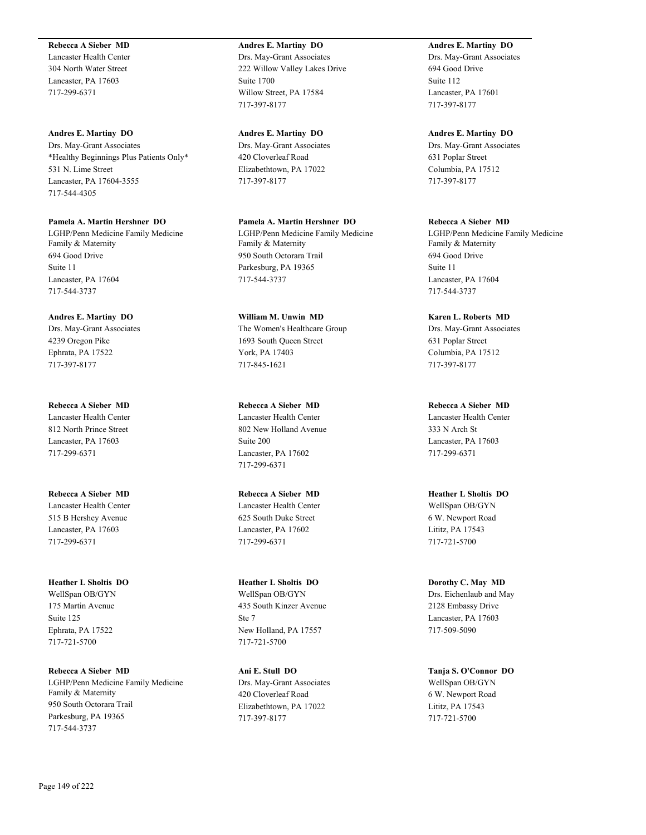#### **Rebecca A Sieber MD**

Lancaster Health Center 304 North Water Street Lancaster, PA 17603 717-299-6371

#### **Andres E. Martiny DO**

Drs. May-Grant Associates \*Healthy Beginnings Plus Patients Only\* 531 N. Lime Street Lancaster, PA 17604-3555 717-544-4305

#### **Pamela A. Martin Hershner DO**

LGHP/Penn Medicine Family Medicine Family & Maternity 694 Good Drive Suite 11 Lancaster, PA 17604 717-544-3737

#### **Andres E. Martiny DO**

Drs. May-Grant Associates 4239 Oregon Pike Ephrata, PA 17522 717-397-8177

## **Rebecca A Sieber MD**

Lancaster Health Center 812 North Prince Street Lancaster, PA 17603 717-299-6371

**Rebecca A Sieber MD** Lancaster Health Center 515 B Hershey Avenue Lancaster, PA 17603 717-299-6371

### **Heather L Sholtis DO** WellSpan OB/GYN 175 Martin Avenue Suite 125 Ephrata, PA 17522 717-721-5700

**Rebecca A Sieber MD** LGHP/Penn Medicine Family Medicine Family & Maternity 950 South Octorara Trail Parkesburg, PA 19365 717-544-3737

### **Andres E. Martiny DO** Drs. May-Grant Associates 222 Willow Valley Lakes Drive Suite 1700

**Andres E. Martiny DO** Drs. May-Grant Associates 420 Cloverleaf Road Elizabethtown, PA 17022

Willow Street, PA 17584

717-397-8177

717-397-8177

717-544-3737

**Pamela A. Martin Hershner DO** LGHP/Penn Medicine Family Medicine Family & Maternity 950 South Octorara Trail Parkesburg, PA 19365

**William M. Unwin MD** The Women's Healthcare Group 1693 South Queen Street York, PA 17403 717-845-1621

**Rebecca A Sieber MD** Lancaster Health Center 802 New Holland Avenue Suite 200 Lancaster, PA 17602 717-299-6371

### **Rebecca A Sieber MD** Lancaster Health Center 625 South Duke Street Lancaster, PA 17602 717-299-6371

### **Heather L Sholtis DO** WellSpan OB/GYN 435 South Kinzer Avenue Ste 7 New Holland, PA 17557 717-721-5700

**Ani E. Stull DO** Drs. May-Grant Associates 420 Cloverleaf Road Elizabethtown, PA 17022 717-397-8177

**Andres E. Martiny DO** Drs. May-Grant Associates 694 Good Drive Suite 112 Lancaster, PA 17601 717-397-8177

#### **Andres E. Martiny DO**

Drs. May-Grant Associates 631 Poplar Street Columbia, PA 17512 717-397-8177

#### **Rebecca A Sieber MD**

LGHP/Penn Medicine Family Medicine Family & Maternity 694 Good Drive Suite 11 Lancaster, PA 17604 717-544-3737

#### **Karen L. Roberts MD** Drs. May-Grant Associates 631 Poplar Street

Columbia, PA 17512 717-397-8177

**Rebecca A Sieber MD** Lancaster Health Center 333 N Arch St Lancaster, PA 17603 717-299-6371

**Heather L Sholtis DO** WellSpan OB/GYN 6 W. Newport Road Lititz, PA 17543 717-721-5700

### **Dorothy C. May MD** Drs. Eichenlaub and May 2128 Embassy Drive Lancaster, PA 17603 717-509-5090

**Tanja S. O'Connor DO** WellSpan OB/GYN 6 W. Newport Road Lititz, PA 17543 717-721-5700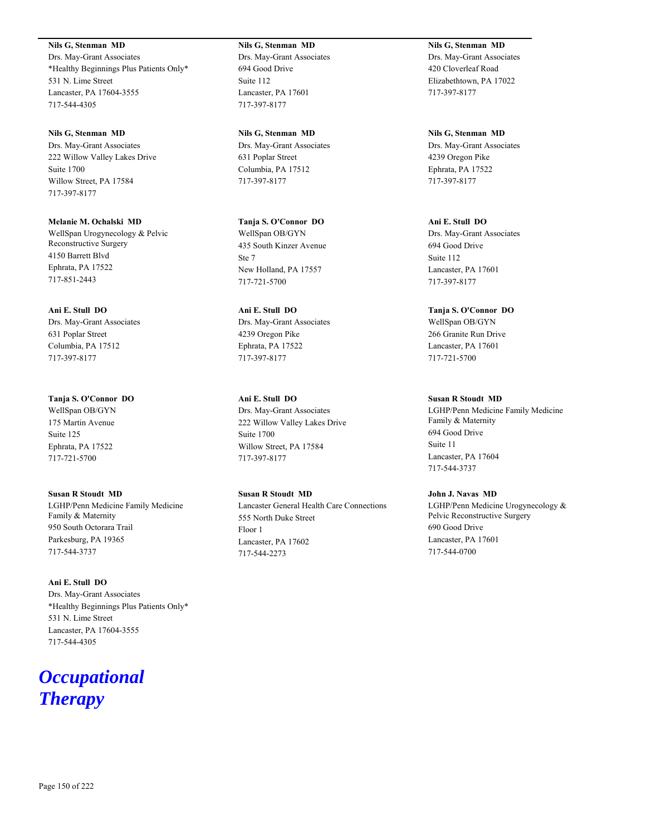**Nils G, Stenman MD** Drs. May-Grant Associates \*Healthy Beginnings Plus Patients Only\* 531 N. Lime Street Lancaster, PA 17604-3555 717-544-4305

**Nils G, Stenman MD** Drs. May-Grant Associates 222 Willow Valley Lakes Drive Suite 1700 Willow Street, PA 17584 717-397-8177

**Melanie M. Ochalski MD** WellSpan Urogynecology & Pelvic Reconstructive Surgery 4150 Barrett Blvd Ephrata, PA 17522 717-851-2443

**Ani E. Stull DO** Drs. May-Grant Associates 631 Poplar Street Columbia, PA 17512 717-397-8177

**Tanja S. O'Connor DO** WellSpan OB/GYN 175 Martin Avenue Suite 125 Ephrata, PA 17522 717-721-5700

**Susan R Stoudt MD** LGHP/Penn Medicine Family Medicine Family & Maternity 950 South Octorara Trail Parkesburg, PA 19365 717-544-3737

**Ani E. Stull DO** Drs. May-Grant Associates \*Healthy Beginnings Plus Patients Only\* 531 N. Lime Street Lancaster, PA 17604-3555 717-544-4305

## *Occupational Therapy*

**Nils G, Stenman MD** Drs. May-Grant Associates 694 Good Drive Suite 112 Lancaster, PA 17601 717-397-8177

**Nils G, Stenman MD** Drs. May-Grant Associates 631 Poplar Street Columbia, PA 17512 717-397-8177

**Tanja S. O'Connor DO** WellSpan OB/GYN 435 South Kinzer Avenue Ste 7 New Holland, PA 17557 717-721-5700

**Ani E. Stull DO** Drs. May-Grant Associates 4239 Oregon Pike Ephrata, PA 17522 717-397-8177

**Ani E. Stull DO** Drs. May-Grant Associates 222 Willow Valley Lakes Drive Suite 1700 Willow Street, PA 17584 717-397-8177

**Susan R Stoudt MD** Lancaster General Health Care Connections 555 North Duke Street Floor 1 Lancaster, PA 17602 717-544-2273

**Nils G, Stenman MD** Drs. May-Grant Associates 420 Cloverleaf Road Elizabethtown, PA 17022 717-397-8177

**Nils G, Stenman MD** Drs. May-Grant Associates 4239 Oregon Pike Ephrata, PA 17522 717-397-8177

**Ani E. Stull DO** Drs. May-Grant Associates 694 Good Drive Suite 112 Lancaster, PA 17601 717-397-8177

**Tanja S. O'Connor DO** WellSpan OB/GYN 266 Granite Run Drive Lancaster, PA 17601 717-721-5700

**Susan R Stoudt MD** LGHP/Penn Medicine Family Medicine Family & Maternity 694 Good Drive Suite 11 Lancaster, PA 17604 717-544-3737

**John J. Navas MD** LGHP/Penn Medicine Urogynecology & Pelvic Reconstructive Surgery 690 Good Drive Lancaster, PA 17601 717-544-0700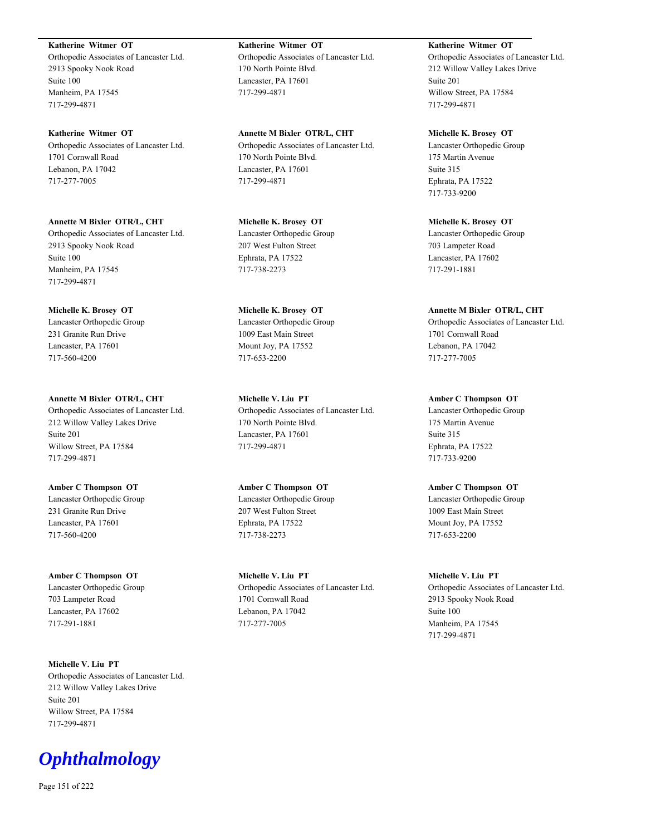**Katherine Witmer OT** Orthopedic Associates of Lancaster Ltd. 2913 Spooky Nook Road Suite 100 Manheim, PA 17545 717-299-4871

**Katherine Witmer OT** Orthopedic Associates of Lancaster Ltd. 1701 Cornwall Road Lebanon, PA 17042 717-277-7005

**Annette M Bixler OTR/L, CHT** Orthopedic Associates of Lancaster Ltd. 2913 Spooky Nook Road Suite 100 Manheim, PA 17545 717-299-4871

**Michelle K. Brosey OT** Lancaster Orthopedic Group 231 Granite Run Drive Lancaster, PA 17601 717-560-4200

**Annette M Bixler OTR/L, CHT** Orthopedic Associates of Lancaster Ltd. 212 Willow Valley Lakes Drive Suite 201 Willow Street, PA 17584 717-299-4871

**Amber C Thompson OT** Lancaster Orthopedic Group 231 Granite Run Drive Lancaster, PA 17601 717-560-4200

**Amber C Thompson OT** Lancaster Orthopedic Group 703 Lampeter Road Lancaster, PA 17602 717-291-1881

**Michelle V. Liu PT** Orthopedic Associates of Lancaster Ltd. 212 Willow Valley Lakes Drive Suite 201 Willow Street, PA 17584 717-299-4871

*Ophthalmology*

Page 151 of 222

**Katherine Witmer OT** Orthopedic Associates of Lancaster Ltd. 170 North Pointe Blvd. Lancaster, PA 17601 717-299-4871

**Annette M Bixler OTR/L, CHT** Orthopedic Associates of Lancaster Ltd. 170 North Pointe Blvd. Lancaster, PA 17601 717-299-4871

**Michelle K. Brosey OT** Lancaster Orthopedic Group 207 West Fulton Street Ephrata, PA 17522 717-738-2273

**Michelle K. Brosey OT** Lancaster Orthopedic Group 1009 East Main Street Mount Joy, PA 17552 717-653-2200

**Michelle V. Liu PT** Orthopedic Associates of Lancaster Ltd. 170 North Pointe Blvd. Lancaster, PA 17601 717-299-4871

**Amber C Thompson OT** Lancaster Orthopedic Group 207 West Fulton Street Ephrata, PA 17522 717-738-2273

**Michelle V. Liu PT** Orthopedic Associates of Lancaster Ltd. 1701 Cornwall Road Lebanon, PA 17042 717-277-7005

**Katherine Witmer OT** Orthopedic Associates of Lancaster Ltd. 212 Willow Valley Lakes Drive Suite 201 Willow Street, PA 17584 717-299-4871

**Michelle K. Brosey OT** Lancaster Orthopedic Group 175 Martin Avenue Suite 315 Ephrata, PA 17522 717-733-9200

**Michelle K. Brosey OT** Lancaster Orthopedic Group 703 Lampeter Road Lancaster, PA 17602 717-291-1881

**Annette M Bixler OTR/L, CHT** Orthopedic Associates of Lancaster Ltd. 1701 Cornwall Road Lebanon, PA 17042 717-277-7005

**Amber C Thompson OT** Lancaster Orthopedic Group 175 Martin Avenue Suite 315 Ephrata, PA 17522 717-733-9200

**Amber C Thompson OT** Lancaster Orthopedic Group 1009 East Main Street Mount Joy, PA 17552 717-653-2200

**Michelle V. Liu PT** Orthopedic Associates of Lancaster Ltd. 2913 Spooky Nook Road Suite 100 Manheim, PA 17545 717-299-4871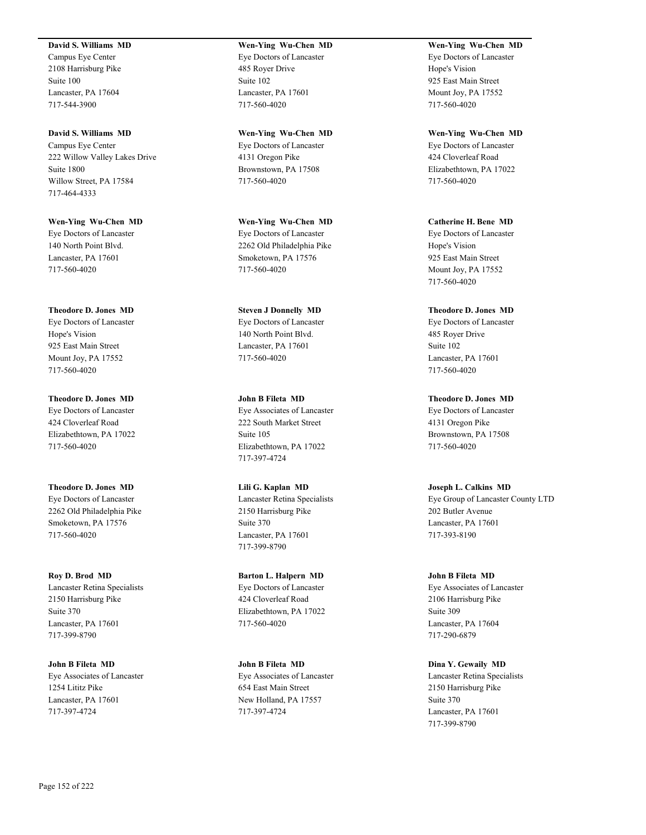#### **David S. Williams MD**

Campus Eye Center 2108 Harrisburg Pike Suite 100 Lancaster, PA 17604 717-544-3900

**David S. Williams MD** Campus Eye Center 222 Willow Valley Lakes Drive Suite 1800 Willow Street, PA 17584 717-464-4333

**Wen-Ying Wu-Chen MD** Eye Doctors of Lancaster 140 North Point Blvd. Lancaster, PA 17601 717-560-4020

**Theodore D. Jones MD** Eye Doctors of Lancaster Hope's Vision 925 East Main Street Mount Joy, PA 17552 717-560-4020

**Theodore D. Jones MD** Eye Doctors of Lancaster 424 Cloverleaf Road Elizabethtown, PA 17022 717-560-4020

**Theodore D. Jones MD** Eye Doctors of Lancaster 2262 Old Philadelphia Pike Smoketown, PA 17576 717-560-4020

**Roy D. Brod MD** Lancaster Retina Specialists 2150 Harrisburg Pike Suite 370 Lancaster, PA 17601 717-399-8790

**John B Fileta MD** Eye Associates of Lancaster 1254 Lititz Pike Lancaster, PA 17601 717-397-4724

**Wen-Ying Wu-Chen MD** Eye Doctors of Lancaster 485 Royer Drive Suite 102 Lancaster, PA 17601 717-560-4020

**Wen-Ying Wu-Chen MD** Eye Doctors of Lancaster 4131 Oregon Pike Brownstown, PA 17508 717-560-4020

**Wen-Ying Wu-Chen MD** Eye Doctors of Lancaster 2262 Old Philadelphia Pike Smoketown, PA 17576 717-560-4020

**Steven J Donnelly MD** Eye Doctors of Lancaster 140 North Point Blvd. Lancaster, PA 17601 717-560-4020

**John B Fileta MD** Eye Associates of Lancaster 222 South Market Street Suite 105 Elizabethtown, PA 17022 717-397-4724

**Lili G. Kaplan MD** Lancaster Retina Specialists 2150 Harrisburg Pike Suite 370 Lancaster, PA 17601 717-399-8790

**Barton L. Halpern MD** Eye Doctors of Lancaster 424 Cloverleaf Road Elizabethtown, PA 17022 717-560-4020

**John B Fileta MD** Eye Associates of Lancaster 654 East Main Street New Holland, PA 17557 717-397-4724

**Wen-Ying Wu-Chen MD** Eye Doctors of Lancaster Hope's Vision 925 East Main Street Mount Joy, PA 17552 717-560-4020

**Wen-Ying Wu-Chen MD** Eye Doctors of Lancaster 424 Cloverleaf Road Elizabethtown, PA 17022 717-560-4020

**Catherine H. Bene MD** Eye Doctors of Lancaster Hope's Vision 925 East Main Street Mount Joy, PA 17552 717-560-4020

**Theodore D. Jones MD** Eye Doctors of Lancaster 485 Royer Drive Suite 102 Lancaster, PA 17601 717-560-4020

**Theodore D. Jones MD** Eye Doctors of Lancaster 4131 Oregon Pike Brownstown, PA 17508 717-560-4020

**Joseph L. Calkins MD** Eye Group of Lancaster County LTD 202 Butler Avenue Lancaster, PA 17601 717-393-8190

**John B Fileta MD** Eye Associates of Lancaster 2106 Harrisburg Pike Suite 309 Lancaster, PA 17604 717-290-6879

**Dina Y. Gewaily MD** Lancaster Retina Specialists 2150 Harrisburg Pike Suite 370 Lancaster, PA 17601 717-399-8790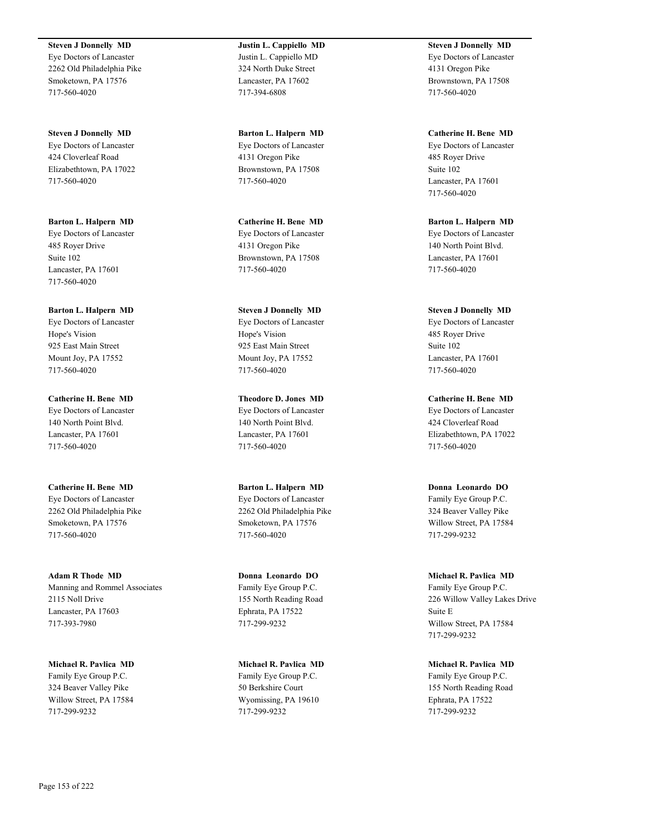**Steven J Donnelly MD** Eye Doctors of Lancaster 2262 Old Philadelphia Pike Smoketown, PA 17576 717-560-4020

**Steven J Donnelly MD** Eye Doctors of Lancaster 424 Cloverleaf Road Elizabethtown, PA 17022 717-560-4020

**Barton L. Halpern MD** Eye Doctors of Lancaster 485 Royer Drive Suite 102 Lancaster, PA 17601 717-560-4020

**Barton L. Halpern MD** Eye Doctors of Lancaster Hope's Vision 925 East Main Street Mount Joy, PA 17552 717-560-4020

**Catherine H. Bene MD** Eye Doctors of Lancaster 140 North Point Blvd. Lancaster, PA 17601 717-560-4020

**Catherine H. Bene MD** Eye Doctors of Lancaster 2262 Old Philadelphia Pike Smoketown, PA 17576 717-560-4020

**Adam R Thode MD** Manning and Rommel Associates 2115 Noll Drive Lancaster, PA 17603 717-393-7980

**Michael R. Pavlica MD** Family Eye Group P.C. 324 Beaver Valley Pike Willow Street, PA 17584 717-299-9232

**Justin L. Cappiello MD** Justin L. Cappiello MD 324 North Duke Street Lancaster, PA 17602 717-394-6808

**Barton L. Halpern MD** Eye Doctors of Lancaster 4131 Oregon Pike Brownstown, PA 17508 717-560-4020

**Catherine H. Bene MD** Eye Doctors of Lancaster 4131 Oregon Pike Brownstown, PA 17508 717-560-4020

**Steven J Donnelly MD** Eye Doctors of Lancaster Hope's Vision 925 East Main Street Mount Joy, PA 17552 717-560-4020

**Theodore D. Jones MD** Eye Doctors of Lancaster 140 North Point Blvd. Lancaster, PA 17601 717-560-4020

**Barton L. Halpern MD** Eye Doctors of Lancaster 2262 Old Philadelphia Pike Smoketown, PA 17576 717-560-4020

**Donna Leonardo DO** Family Eye Group P.C. 155 North Reading Road Ephrata, PA 17522 717-299-9232

**Michael R. Pavlica MD** Family Eye Group P.C. 50 Berkshire Court Wyomissing, PA 19610 717-299-9232

**Steven J Donnelly MD** Eye Doctors of Lancaster 4131 Oregon Pike Brownstown, PA 17508 717-560-4020

**Catherine H. Bene MD** Eye Doctors of Lancaster 485 Royer Drive Suite 102 Lancaster, PA 17601 717-560-4020

**Barton L. Halpern MD** Eye Doctors of Lancaster 140 North Point Blvd. Lancaster, PA 17601 717-560-4020

**Steven J Donnelly MD** Eye Doctors of Lancaster 485 Royer Drive Suite 102 Lancaster, PA 17601 717-560-4020

**Catherine H. Bene MD** Eye Doctors of Lancaster 424 Cloverleaf Road Elizabethtown, PA 17022 717-560-4020

**Donna Leonardo DO** Family Eye Group P.C. 324 Beaver Valley Pike Willow Street, PA 17584 717-299-9232

**Michael R. Pavlica MD** Family Eye Group P.C. 226 Willow Valley Lakes Drive Suite E Willow Street, PA 17584 717-299-9232

**Michael R. Pavlica MD** Family Eye Group P.C. 155 North Reading Road Ephrata, PA 17522 717-299-9232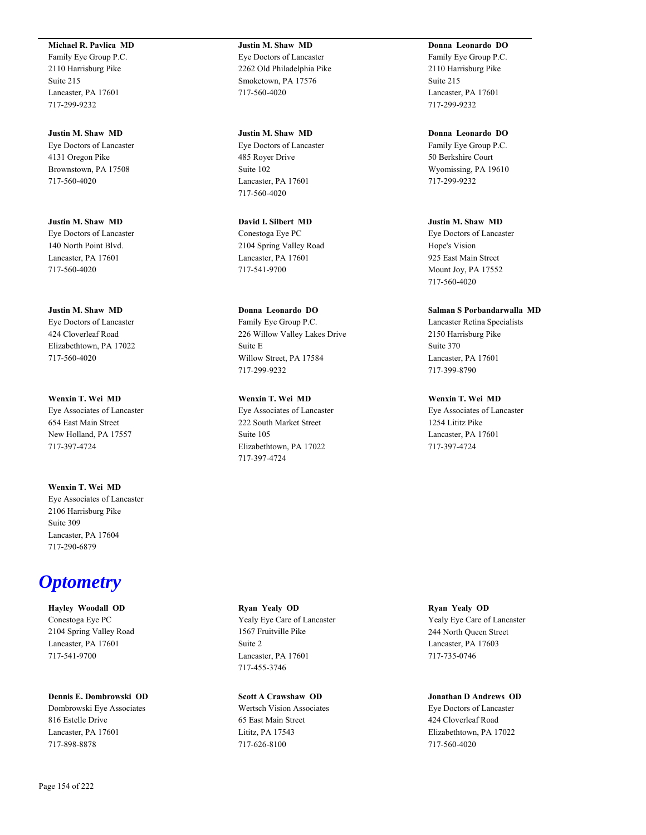#### **Michael R. Pavlica MD**

Family Eye Group P.C. 2110 Harrisburg Pike Suite 215 Lancaster, PA 17601 717-299-9232

**Justin M. Shaw MD** Eye Doctors of Lancaster 4131 Oregon Pike Brownstown, PA 17508 717-560-4020

**Justin M. Shaw MD** Eye Doctors of Lancaster 140 North Point Blvd. Lancaster, PA 17601 717-560-4020

**Justin M. Shaw MD** Eye Doctors of Lancaster 424 Cloverleaf Road Elizabethtown, PA 17022 717-560-4020

**Wenxin T. Wei MD** Eye Associates of Lancaster 654 East Main Street New Holland, PA 17557 717-397-4724

**Wenxin T. Wei MD** Eye Associates of Lancaster 2106 Harrisburg Pike Suite 309 Lancaster, PA 17604 717-290-6879

## *Optometry*

**Hayley Woodall OD** Conestoga Eye PC 2104 Spring Valley Road Lancaster, PA 17601 717-541-9700

**Dennis E. Dombrowski OD**

Dombrowski Eye Associates 816 Estelle Drive Lancaster, PA 17601 717-898-8878

**Justin M. Shaw MD** Eye Doctors of Lancaster 2262 Old Philadelphia Pike Smoketown, PA 17576 717-560-4020

**Justin M. Shaw MD** Eye Doctors of Lancaster 485 Royer Drive Suite 102 Lancaster, PA 17601 717-560-4020

**David I. Silbert MD** Conestoga Eye PC 2104 Spring Valley Road Lancaster, PA 17601 717-541-9700

**Donna Leonardo DO** Family Eye Group P.C. 226 Willow Valley Lakes Drive Suite E Willow Street, PA 17584 717-299-9232

**Wenxin T. Wei MD** Eye Associates of Lancaster 222 South Market Street Suite 105 Elizabethtown, PA 17022 717-397-4724

**Donna Leonardo DO** Family Eye Group P.C. 2110 Harrisburg Pike Suite 215 Lancaster, PA 17601 717-299-9232

**Donna Leonardo DO** Family Eye Group P.C. 50 Berkshire Court Wyomissing, PA 19610 717-299-9232

**Justin M. Shaw MD** Eye Doctors of Lancaster Hope's Vision 925 East Main Street Mount Joy, PA 17552 717-560-4020

**Salman S Porbandarwalla MD** Lancaster Retina Specialists 2150 Harrisburg Pike Suite 370 Lancaster, PA 17601 717-399-8790

**Wenxin T. Wei MD** Eye Associates of Lancaster 1254 Lititz Pike Lancaster, PA 17601 717-397-4724

**Ryan Yealy OD** Yealy Eye Care of Lancaster 1567 Fruitville Pike Suite 2 Lancaster, PA 17601 717-455-3746

**Scott A Crawshaw OD** Wertsch Vision Associates 65 East Main Street Lititz, PA 17543 717-626-8100

**Ryan Yealy OD** Yealy Eye Care of Lancaster 244 North Queen Street Lancaster, PA 17603 717-735-0746

**Jonathan D Andrews OD** Eye Doctors of Lancaster 424 Cloverleaf Road Elizabethtown, PA 17022 717-560-4020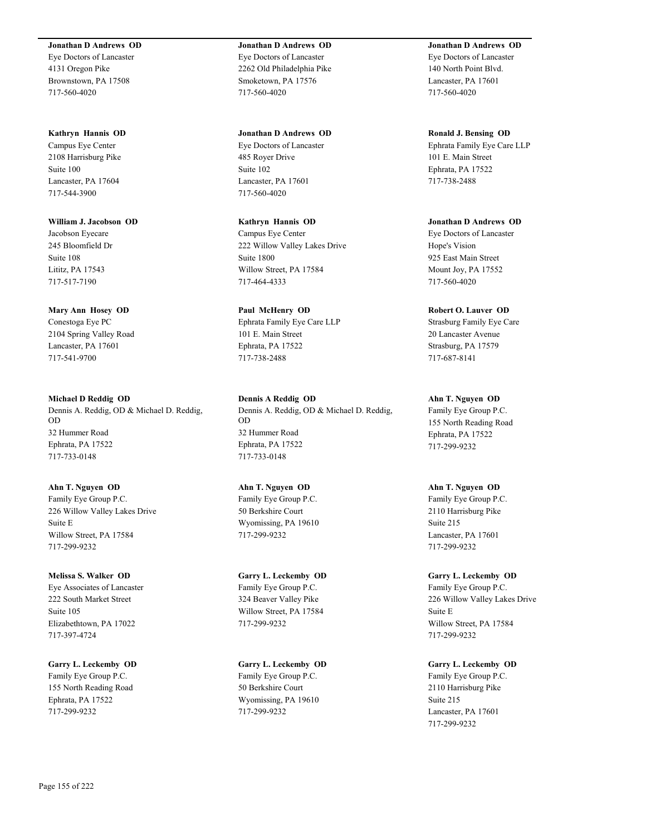#### **Jonathan D Andrews OD**

Eye Doctors of Lancaster 4131 Oregon Pike Brownstown, PA 17508 717-560-4020

#### **Kathryn Hannis OD**

Campus Eye Center 2108 Harrisburg Pike Suite 100 Lancaster, PA 17604 717-544-3900

**William J. Jacobson OD** Jacobson Eyecare 245 Bloomfield Dr Suite 108 Lititz, PA 17543 717-517-7190

#### **Mary Ann Hosey OD**

Conestoga Eye PC 2104 Spring Valley Road Lancaster, PA 17601 717-541-9700

**Michael D Reddig OD** Dennis A. Reddig, OD & Michael D. Reddig, OD 32 Hummer Road Ephrata, PA 17522 717-733-0148

**Ahn T. Nguyen OD** Family Eye Group P.C. 226 Willow Valley Lakes Drive Suite E Willow Street, PA 17584 717-299-9232

**Melissa S. Walker OD** Eye Associates of Lancaster 222 South Market Street Suite 105 Elizabethtown, PA 17022 717-397-4724

**Garry L. Leckemby OD** Family Eye Group P.C. 155 North Reading Road Ephrata, PA 17522 717-299-9232

**Jonathan D Andrews OD** Eye Doctors of Lancaster 2262 Old Philadelphia Pike Smoketown, PA 17576 717-560-4020

**Jonathan D Andrews OD** Eye Doctors of Lancaster 485 Royer Drive Suite 102 Lancaster, PA 17601 717-560-4020

**Kathryn Hannis OD** Campus Eye Center 222 Willow Valley Lakes Drive Suite 1800 Willow Street, PA 17584 717-464-4333

**Paul McHenry OD** Ephrata Family Eye Care LLP 101 E. Main Street Ephrata, PA 17522 717-738-2488

**Dennis A Reddig OD** Dennis A. Reddig, OD & Michael D. Reddig, OD 32 Hummer Road Ephrata, PA 17522 717-733-0148

**Ahn T. Nguyen OD** Family Eye Group P.C. 50 Berkshire Court Wyomissing, PA 19610 717-299-9232

**Garry L. Leckemby OD** Family Eye Group P.C. 324 Beaver Valley Pike Willow Street, PA 17584 717-299-9232

**Garry L. Leckemby OD** Family Eye Group P.C. 50 Berkshire Court Wyomissing, PA 19610 717-299-9232

**Jonathan D Andrews OD** Eye Doctors of Lancaster 140 North Point Blvd. Lancaster, PA 17601 717-560-4020

**Ronald J. Bensing OD** Ephrata Family Eye Care LLP 101 E. Main Street Ephrata, PA 17522 717-738-2488

**Jonathan D Andrews OD** Eye Doctors of Lancaster Hope's Vision 925 East Main Street Mount Joy, PA 17552 717-560-4020

**Robert O. Lauver OD**

Strasburg Family Eye Care 20 Lancaster Avenue Strasburg, PA 17579 717-687-8141

**Ahn T. Nguyen OD** Family Eye Group P.C. 155 North Reading Road Ephrata, PA 17522 717-299-9232

**Ahn T. Nguyen OD** Family Eye Group P.C. 2110 Harrisburg Pike Suite 215 Lancaster, PA 17601 717-299-9232

**Garry L. Leckemby OD** Family Eye Group P.C. 226 Willow Valley Lakes Drive Suite E Willow Street, PA 17584 717-299-9232

**Garry L. Leckemby OD** Family Eye Group P.C. 2110 Harrisburg Pike Suite 215 Lancaster, PA 17601 717-299-9232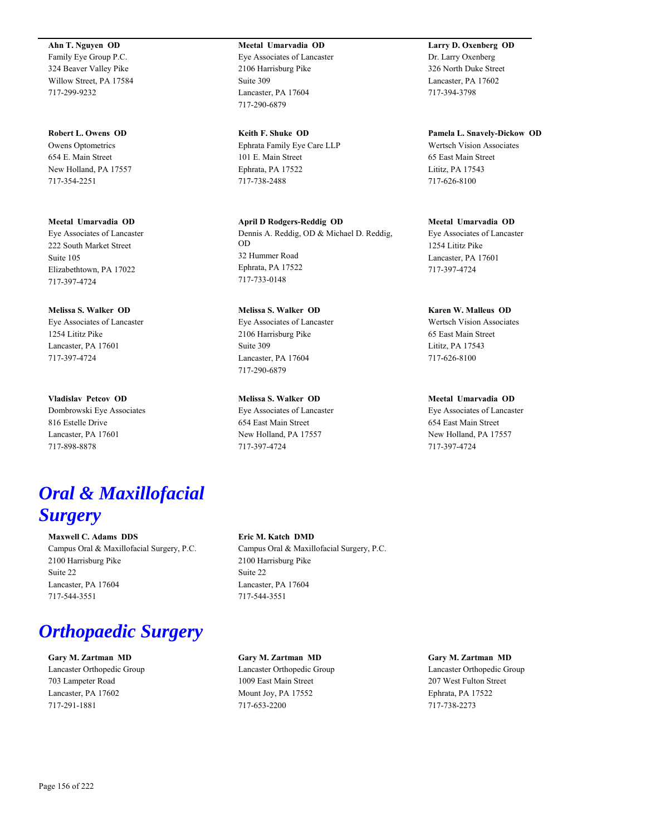**Ahn T. Nguyen OD** Family Eye Group P.C. 324 Beaver Valley Pike Willow Street, PA 17584 717-299-9232

**Robert L. Owens OD** Owens Optometrics 654 E. Main Street New Holland, PA 17557 717-354-2251

**Meetal Umarvadia OD** Eye Associates of Lancaster 222 South Market Street Suite 105 Elizabethtown, PA 17022 717-397-4724

**Melissa S. Walker OD** Eye Associates of Lancaster 1254 Lititz Pike Lancaster, PA 17601 717-397-4724

**Vladislav Petcov OD** Dombrowski Eye Associates 816 Estelle Drive Lancaster, PA 17601 717-898-8878

### **Meetal Umarvadia OD** Eye Associates of Lancaster 2106 Harrisburg Pike Suite 309 Lancaster, PA 17604 717-290-6879

**Keith F. Shuke OD** Ephrata Family Eye Care LLP 101 E. Main Street Ephrata, PA 17522 717-738-2488

**April D Rodgers-Reddig OD** Dennis A. Reddig, OD & Michael D. Reddig, OD 32 Hummer Road Ephrata, PA 17522 717-733-0148

**Melissa S. Walker OD** Eye Associates of Lancaster 2106 Harrisburg Pike Suite 309 Lancaster, PA 17604 717-290-6879

**Melissa S. Walker OD** Eye Associates of Lancaster 654 East Main Street New Holland, PA 17557 717-397-4724

**Larry D. Oxenberg OD** Dr. Larry Oxenberg 326 North Duke Street Lancaster, PA 17602 717-394-3798

**Pamela L. Snavely-Dickow OD** Wertsch Vision Associates 65 East Main Street Lititz, PA 17543 717-626-8100

**Meetal Umarvadia OD** Eye Associates of Lancaster 1254 Lititz Pike Lancaster, PA 17601 717-397-4724

**Karen W. Malleus OD** Wertsch Vision Associates 65 East Main Street Lititz, PA 17543 717-626-8100

**Meetal Umarvadia OD** Eye Associates of Lancaster 654 East Main Street New Holland, PA 17557 717-397-4724

## *Oral & Maxillofacial Surgery*

**Maxwell C. Adams DDS** Campus Oral & Maxillofacial Surgery, P.C. 2100 Harrisburg Pike Suite 22 Lancaster, PA 17604 717-544-3551

# *Orthopaedic Surgery*

**Gary M. Zartman MD** Lancaster Orthopedic Group 703 Lampeter Road Lancaster, PA 17602 717-291-1881

## **Eric M. Katch DMD**

Campus Oral & Maxillofacial Surgery, P.C. 2100 Harrisburg Pike Suite 22 Lancaster, PA 17604 717-544-3551

**Gary M. Zartman MD** Lancaster Orthopedic Group 1009 East Main Street Mount Joy, PA 17552 717-653-2200

**Gary M. Zartman MD** Lancaster Orthopedic Group 207 West Fulton Street Ephrata, PA 17522 717-738-2273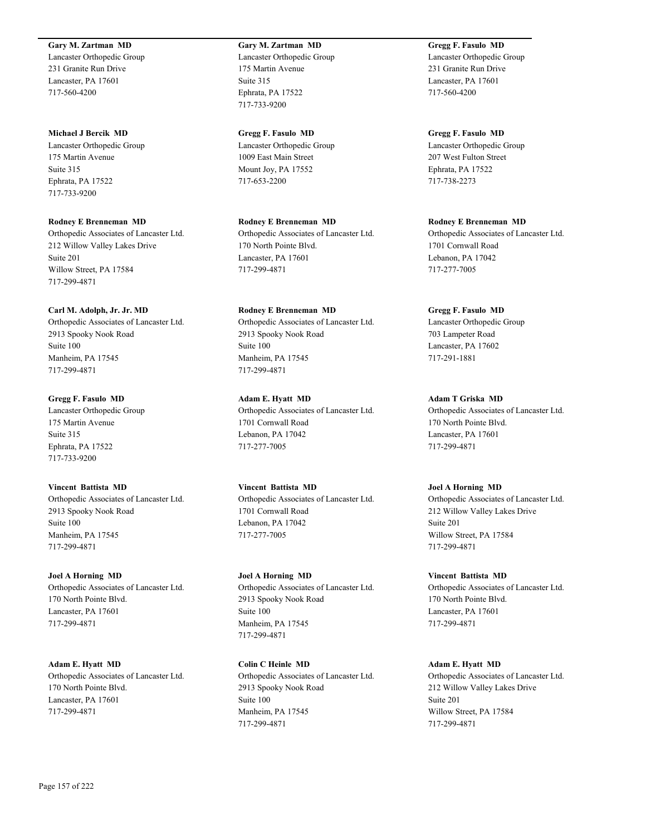#### **Gary M. Zartman MD**

Lancaster Orthopedic Group 231 Granite Run Drive Lancaster, PA 17601 717-560-4200

**Michael J Bercik MD** Lancaster Orthopedic Group 175 Martin Avenue Suite 315 Ephrata, PA 17522

717-733-9200

**Rodney E Brenneman MD** Orthopedic Associates of Lancaster Ltd. 212 Willow Valley Lakes Drive Suite 201 Willow Street, PA 17584 717-299-4871

#### **Carl M. Adolph, Jr. Jr. MD**

Orthopedic Associates of Lancaster Ltd. 2913 Spooky Nook Road Suite 100 Manheim, PA 17545 717-299-4871

**Gregg F. Fasulo MD** Lancaster Orthopedic Group 175 Martin Avenue Suite 315 Ephrata, PA 17522 717-733-9200

**Vincent Battista MD**

Orthopedic Associates of Lancaster Ltd. 2913 Spooky Nook Road Suite 100 Manheim, PA 17545 717-299-4871

**Joel A Horning MD**

Orthopedic Associates of Lancaster Ltd. 170 North Pointe Blvd. Lancaster, PA 17601 717-299-4871

**Adam E. Hyatt MD** Orthopedic Associates of Lancaster Ltd. 170 North Pointe Blvd. Lancaster, PA 17601 717-299-4871

**Gary M. Zartman MD** Lancaster Orthopedic Group 175 Martin Avenue Suite 315 Ephrata, PA 17522 717-733-9200

**Gregg F. Fasulo MD** Lancaster Orthopedic Group 1009 East Main Street Mount Joy, PA 17552 717-653-2200

**Rodney E Brenneman MD** Orthopedic Associates of Lancaster Ltd. 170 North Pointe Blvd. Lancaster, PA 17601 717-299-4871

**Rodney E Brenneman MD** Orthopedic Associates of Lancaster Ltd. 2913 Spooky Nook Road Suite 100 Manheim, PA 17545 717-299-4871

**Adam E. Hyatt MD** Orthopedic Associates of Lancaster Ltd. 1701 Cornwall Road Lebanon, PA 17042 717-277-7005

**Vincent Battista MD** Orthopedic Associates of Lancaster Ltd. 1701 Cornwall Road Lebanon, PA 17042 717-277-7005

**Joel A Horning MD** Orthopedic Associates of Lancaster Ltd. 2913 Spooky Nook Road Suite 100 Manheim, PA 17545 717-299-4871

**Colin C Heinle MD** Orthopedic Associates of Lancaster Ltd. 2913 Spooky Nook Road Suite 100 Manheim, PA 17545 717-299-4871

**Gregg F. Fasulo MD** Lancaster Orthopedic Group 231 Granite Run Drive Lancaster, PA 17601 717-560-4200

**Gregg F. Fasulo MD** Lancaster Orthopedic Group 207 West Fulton Street Ephrata, PA 17522 717-738-2273

**Rodney E Brenneman MD** Orthopedic Associates of Lancaster Ltd. 1701 Cornwall Road Lebanon, PA 17042 717-277-7005

**Gregg F. Fasulo MD** Lancaster Orthopedic Group 703 Lampeter Road Lancaster, PA 17602 717-291-1881

**Adam T Griska MD** Orthopedic Associates of Lancaster Ltd. 170 North Pointe Blvd. Lancaster, PA 17601 717-299-4871

**Joel A Horning MD** Orthopedic Associates of Lancaster Ltd. 212 Willow Valley Lakes Drive Suite 201 Willow Street, PA 17584 717-299-4871

**Vincent Battista MD** Orthopedic Associates of Lancaster Ltd. 170 North Pointe Blvd. Lancaster, PA 17601 717-299-4871

**Adam E. Hyatt MD** Orthopedic Associates of Lancaster Ltd. 212 Willow Valley Lakes Drive Suite 201 Willow Street, PA 17584 717-299-4871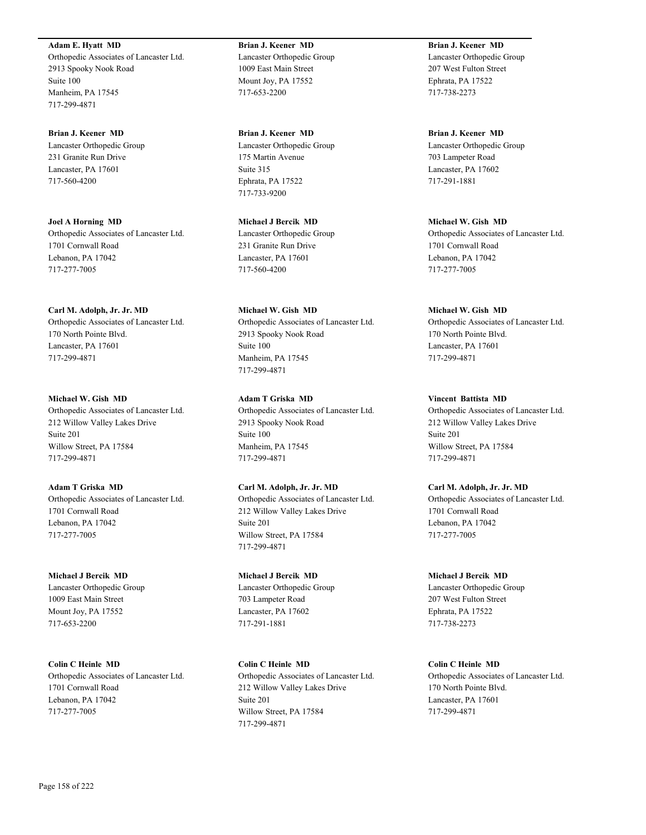**Adam E. Hyatt MD** Orthopedic Associates of Lancaster Ltd. 2913 Spooky Nook Road Suite 100 Manheim, PA 17545 717-299-4871

**Brian J. Keener MD** Lancaster Orthopedic Group 231 Granite Run Drive Lancaster, PA 17601 717-560-4200

**Joel A Horning MD** Orthopedic Associates of Lancaster Ltd. 1701 Cornwall Road Lebanon, PA 17042 717-277-7005

**Carl M. Adolph, Jr. Jr. MD** Orthopedic Associates of Lancaster Ltd. 170 North Pointe Blvd. Lancaster, PA 17601 717-299-4871

**Michael W. Gish MD** Orthopedic Associates of Lancaster Ltd. 212 Willow Valley Lakes Drive Suite 201 Willow Street, PA 17584 717-299-4871

**Adam T Griska MD** Orthopedic Associates of Lancaster Ltd. 1701 Cornwall Road Lebanon, PA 17042 717-277-7005

**Michael J Bercik MD** Lancaster Orthopedic Group 1009 East Main Street Mount Joy, PA 17552 717-653-2200

**Colin C Heinle MD** Orthopedic Associates of Lancaster Ltd. 1701 Cornwall Road Lebanon, PA 17042 717-277-7005

**Brian J. Keener MD** Lancaster Orthopedic Group 1009 East Main Street Mount Joy, PA 17552 717-653-2200

**Brian J. Keener MD** Lancaster Orthopedic Group 175 Martin Avenue Suite 315 Ephrata, PA 17522 717-733-9200

**Michael J Bercik MD** Lancaster Orthopedic Group 231 Granite Run Drive Lancaster, PA 17601 717-560-4200

**Michael W. Gish MD** Orthopedic Associates of Lancaster Ltd. 2913 Spooky Nook Road Suite 100 Manheim, PA 17545 717-299-4871

**Adam T Griska MD** Orthopedic Associates of Lancaster Ltd. 2913 Spooky Nook Road Suite 100 Manheim, PA 17545 717-299-4871

**Carl M. Adolph, Jr. Jr. MD** Orthopedic Associates of Lancaster Ltd. 212 Willow Valley Lakes Drive Suite 201 Willow Street, PA 17584 717-299-4871

**Michael J Bercik MD** Lancaster Orthopedic Group 703 Lampeter Road Lancaster, PA 17602 717-291-1881

**Colin C Heinle MD** Orthopedic Associates of Lancaster Ltd. 212 Willow Valley Lakes Drive Suite 201 Willow Street, PA 17584 717-299-4871

**Brian J. Keener MD** Lancaster Orthopedic Group 207 West Fulton Street Ephrata, PA 17522 717-738-2273

**Brian J. Keener MD** Lancaster Orthopedic Group 703 Lampeter Road Lancaster, PA 17602 717-291-1881

**Michael W. Gish MD** Orthopedic Associates of Lancaster Ltd. 1701 Cornwall Road Lebanon, PA 17042 717-277-7005

**Michael W. Gish MD** Orthopedic Associates of Lancaster Ltd. 170 North Pointe Blvd. Lancaster, PA 17601 717-299-4871

**Vincent Battista MD** Orthopedic Associates of Lancaster Ltd. 212 Willow Valley Lakes Drive Suite 201 Willow Street, PA 17584 717-299-4871

**Carl M. Adolph, Jr. Jr. MD** Orthopedic Associates of Lancaster Ltd. 1701 Cornwall Road Lebanon, PA 17042 717-277-7005

**Michael J Bercik MD** Lancaster Orthopedic Group 207 West Fulton Street Ephrata, PA 17522 717-738-2273

**Colin C Heinle MD** Orthopedic Associates of Lancaster Ltd. 170 North Pointe Blvd. Lancaster, PA 17601 717-299-4871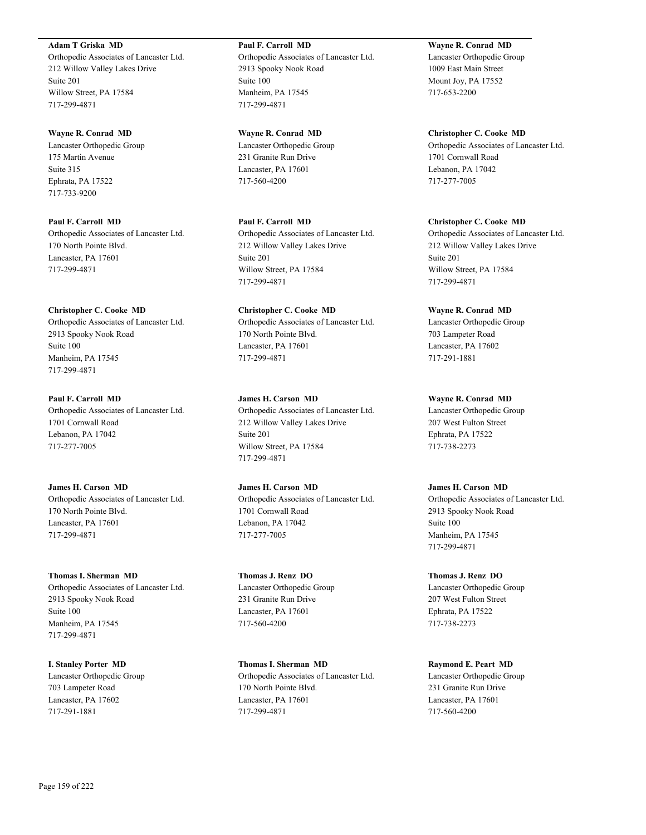**Adam T Griska MD**

Orthopedic Associates of Lancaster Ltd. 212 Willow Valley Lakes Drive Suite 201 Willow Street, PA 17584 717-299-4871

**Wayne R. Conrad MD** Lancaster Orthopedic Group 175 Martin Avenue Suite 315 Ephrata, PA 17522 717-733-9200

**Paul F. Carroll MD** Orthopedic Associates of Lancaster Ltd. 170 North Pointe Blvd. Lancaster, PA 17601 717-299-4871

#### **Christopher C. Cooke MD**

Orthopedic Associates of Lancaster Ltd. 2913 Spooky Nook Road Suite 100 Manheim, PA 17545 717-299-4871

**Paul F. Carroll MD** Orthopedic Associates of Lancaster Ltd. 1701 Cornwall Road Lebanon, PA 17042 717-277-7005

**James H. Carson MD** Orthopedic Associates of Lancaster Ltd. 170 North Pointe Blvd. Lancaster, PA 17601 717-299-4871

**Thomas I. Sherman MD** Orthopedic Associates of Lancaster Ltd. 2913 Spooky Nook Road Suite 100 Manheim, PA 17545 717-299-4871

**I. Stanley Porter MD** Lancaster Orthopedic Group 703 Lampeter Road Lancaster, PA 17602 717-291-1881

**Paul F. Carroll MD** Orthopedic Associates of Lancaster Ltd. 2913 Spooky Nook Road Suite 100 Manheim, PA 17545 717-299-4871

**Wayne R. Conrad MD** Lancaster Orthopedic Group 231 Granite Run Drive Lancaster, PA 17601 717-560-4200

**Paul F. Carroll MD** Orthopedic Associates of Lancaster Ltd. 212 Willow Valley Lakes Drive Suite 201 Willow Street, PA 17584 717-299-4871

**Christopher C. Cooke MD** Orthopedic Associates of Lancaster Ltd. 170 North Pointe Blvd. Lancaster, PA 17601 717-299-4871

**James H. Carson MD** Orthopedic Associates of Lancaster Ltd. 212 Willow Valley Lakes Drive Suite 201 Willow Street, PA 17584 717-299-4871

**James H. Carson MD** Orthopedic Associates of Lancaster Ltd. 1701 Cornwall Road Lebanon, PA 17042 717-277-7005

**Thomas J. Renz DO** Lancaster Orthopedic Group 231 Granite Run Drive Lancaster, PA 17601 717-560-4200

**Thomas I. Sherman MD** Orthopedic Associates of Lancaster Ltd. 170 North Pointe Blvd. Lancaster, PA 17601 717-299-4871

**Wayne R. Conrad MD** Lancaster Orthopedic Group 1009 East Main Street Mount Joy, PA 17552 717-653-2200

**Christopher C. Cooke MD** Orthopedic Associates of Lancaster Ltd. 1701 Cornwall Road Lebanon, PA 17042 717-277-7005

**Christopher C. Cooke MD** Orthopedic Associates of Lancaster Ltd. 212 Willow Valley Lakes Drive Suite 201 Willow Street, PA 17584 717-299-4871

**Wayne R. Conrad MD** Lancaster Orthopedic Group 703 Lampeter Road Lancaster, PA 17602 717-291-1881

**Wayne R. Conrad MD** Lancaster Orthopedic Group 207 West Fulton Street Ephrata, PA 17522

717-738-2273

**James H. Carson MD** Orthopedic Associates of Lancaster Ltd. 2913 Spooky Nook Road Suite 100 Manheim, PA 17545 717-299-4871

**Thomas J. Renz DO** Lancaster Orthopedic Group 207 West Fulton Street Ephrata, PA 17522 717-738-2273

**Raymond E. Peart MD** Lancaster Orthopedic Group 231 Granite Run Drive Lancaster, PA 17601 717-560-4200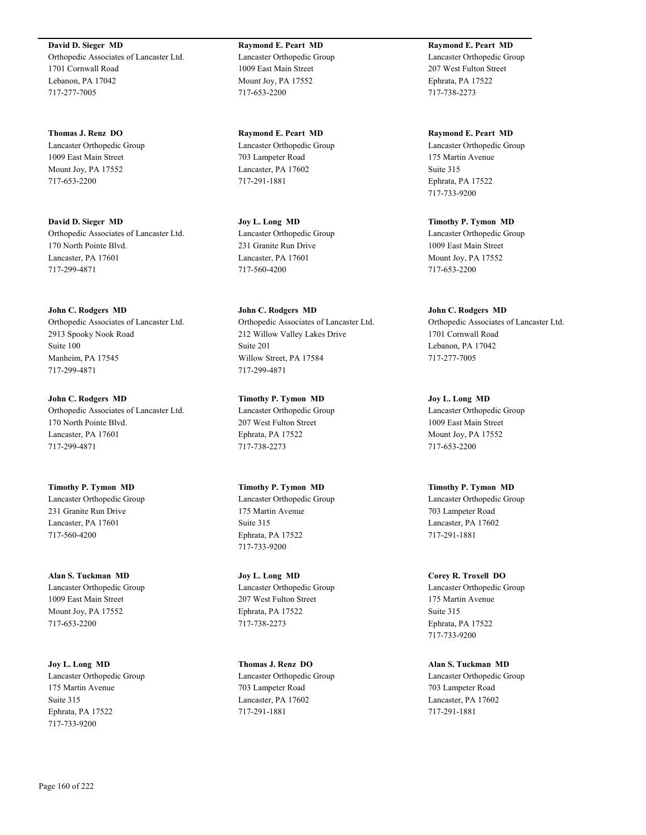**David D. Sieger MD** Orthopedic Associates of Lancaster Ltd. 1701 Cornwall Road Lebanon, PA 17042 717-277-7005

**Thomas J. Renz DO** Lancaster Orthopedic Group 1009 East Main Street Mount Joy, PA 17552 717-653-2200

**David D. Sieger MD** Orthopedic Associates of Lancaster Ltd. 170 North Pointe Blvd. Lancaster, PA 17601 717-299-4871

**John C. Rodgers MD** Orthopedic Associates of Lancaster Ltd. 2913 Spooky Nook Road Suite 100 Manheim, PA 17545 717-299-4871

**John C. Rodgers MD** Orthopedic Associates of Lancaster Ltd. 170 North Pointe Blvd. Lancaster, PA 17601 717-299-4871

**Timothy P. Tymon MD** Lancaster Orthopedic Group 231 Granite Run Drive Lancaster, PA 17601 717-560-4200

**Alan S. Tuckman MD** Lancaster Orthopedic Group 1009 East Main Street Mount Joy, PA 17552 717-653-2200

**Joy L. Long MD** Lancaster Orthopedic Group 175 Martin Avenue Suite 315 Ephrata, PA 17522 717-733-9200

**Raymond E. Peart MD** Lancaster Orthopedic Group 1009 East Main Street Mount Joy, PA 17552 717-653-2200

**Raymond E. Peart MD** Lancaster Orthopedic Group 703 Lampeter Road Lancaster, PA 17602 717-291-1881

**Joy L. Long MD** Lancaster Orthopedic Group 231 Granite Run Drive Lancaster, PA 17601 717-560-4200

**John C. Rodgers MD** Orthopedic Associates of Lancaster Ltd. 212 Willow Valley Lakes Drive Suite 201 Willow Street, PA 17584 717-299-4871

**Timothy P. Tymon MD** Lancaster Orthopedic Group 207 West Fulton Street Ephrata, PA 17522 717-738-2273

**Timothy P. Tymon MD** Lancaster Orthopedic Group 175 Martin Avenue Suite 315 Ephrata, PA 17522 717-733-9200

**Joy L. Long MD** Lancaster Orthopedic Group 207 West Fulton Street Ephrata, PA 17522 717-738-2273

**Thomas J. Renz DO** Lancaster Orthopedic Group 703 Lampeter Road Lancaster, PA 17602 717-291-1881

**Raymond E. Peart MD** Lancaster Orthopedic Group 207 West Fulton Street Ephrata, PA 17522 717-738-2273

**Raymond E. Peart MD** Lancaster Orthopedic Group 175 Martin Avenue Suite 315 Ephrata, PA 17522 717-733-9200

**Timothy P. Tymon MD** Lancaster Orthopedic Group 1009 East Main Street Mount Joy, PA 17552 717-653-2200

**John C. Rodgers MD** Orthopedic Associates of Lancaster Ltd. 1701 Cornwall Road Lebanon, PA 17042 717-277-7005

**Joy L. Long MD** Lancaster Orthopedic Group 1009 East Main Street Mount Joy, PA 17552 717-653-2200

**Timothy P. Tymon MD** Lancaster Orthopedic Group 703 Lampeter Road Lancaster, PA 17602 717-291-1881

**Corey R. Troxell DO** Lancaster Orthopedic Group 175 Martin Avenue Suite 315 Ephrata, PA 17522 717-733-9200

**Alan S. Tuckman MD** Lancaster Orthopedic Group 703 Lampeter Road Lancaster, PA 17602 717-291-1881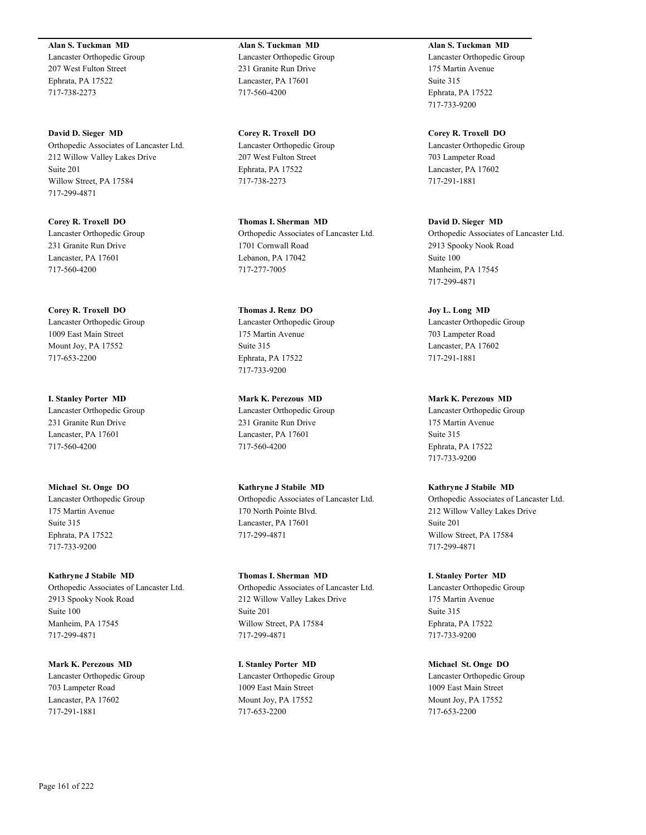**Alan S. Tuckman MD** Lancaster Orthopedic Group 207 West Fulton Street Ephrata, PA 17522 717-738-2273

**David D. Sieger MD** Orthopedic Associates of Lancaster Ltd. 212 Willow Valley Lakes Drive Suite 201 Willow Street, PA 17584 717-299-4871

**Corey R. Troxell DO** Lancaster Orthopedic Group 231 Granite Run Drive Lancaster, PA 17601 717-560-4200

**Corey R. Troxell DO** Lancaster Orthopedic Group 1009 East Main Street Mount Joy, PA 17552 717-653-2200

**I. Stanley Porter MD** Lancaster Orthopedic Group 231 Granite Run Drive Lancaster, PA 17601 717-560-4200

**Michael St. Onge DO** Lancaster Orthopedic Group 175 Martin Avenue Suite 315 Ephrata, PA 17522 717-733-9200

**Kathryne J Stabile MD** Orthopedic Associates of Lancaster Ltd. 2913 Spooky Nook Road Suite 100 Manheim, PA 17545 717-299-4871

**Mark K. Perezous MD** Lancaster Orthopedic Group 703 Lampeter Road Lancaster, PA 17602 717-291-1881

**Alan S. Tuckman MD** Lancaster Orthopedic Group 231 Granite Run Drive Lancaster, PA 17601 717-560-4200

**Corey R. Troxell DO** Lancaster Orthopedic Group 207 West Fulton Street Ephrata, PA 17522 717-738-2273

**Thomas I. Sherman MD** Orthopedic Associates of Lancaster Ltd. 1701 Cornwall Road Lebanon, PA 17042 717-277-7005

**Thomas J. Renz DO** Lancaster Orthopedic Group 175 Martin Avenue Suite 315 Ephrata, PA 17522 717-733-9200

**Mark K. Perezous MD** Lancaster Orthopedic Group 231 Granite Run Drive Lancaster, PA 17601 717-560-4200

**Kathryne J Stabile MD** Orthopedic Associates of Lancaster Ltd. 170 North Pointe Blvd. Lancaster, PA 17601 717-299-4871

**Thomas I. Sherman MD** Orthopedic Associates of Lancaster Ltd. 212 Willow Valley Lakes Drive Suite 201 Willow Street, PA 17584 717-299-4871

**I. Stanley Porter MD** Lancaster Orthopedic Group 1009 East Main Street Mount Joy, PA 17552 717-653-2200

**Alan S. Tuckman MD** Lancaster Orthopedic Group 175 Martin Avenue Suite 315 Ephrata, PA 17522 717-733-9200

**Corey R. Troxell DO** Lancaster Orthopedic Group 703 Lampeter Road Lancaster, PA 17602 717-291-1881

**David D. Sieger MD** Orthopedic Associates of Lancaster Ltd. 2913 Spooky Nook Road Suite 100 Manheim, PA 17545 717-299-4871

**Joy L. Long MD** Lancaster Orthopedic Group 703 Lampeter Road Lancaster, PA 17602 717-291-1881

**Mark K. Perezous MD** Lancaster Orthopedic Group 175 Martin Avenue Suite 315 Ephrata, PA 17522 717-733-9200

**Kathryne J Stabile MD** Orthopedic Associates of Lancaster Ltd. 212 Willow Valley Lakes Drive Suite 201 Willow Street, PA 17584 717-299-4871

**I. Stanley Porter MD** Lancaster Orthopedic Group 175 Martin Avenue Suite 315 Ephrata, PA 17522 717-733-9200

**Michael St. Onge DO** Lancaster Orthopedic Group 1009 East Main Street Mount Joy, PA 17552 717-653-2200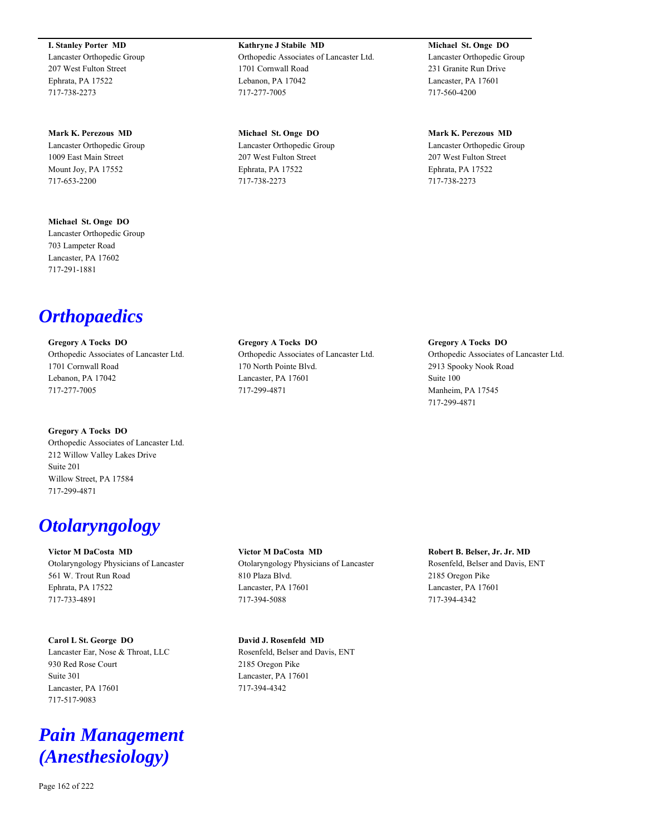**I. Stanley Porter MD** Lancaster Orthopedic Group 207 West Fulton Street Ephrata, PA 17522 717-738-2273

**Mark K. Perezous MD** Lancaster Orthopedic Group 1009 East Main Street Mount Joy, PA 17552 717-653-2200

**Michael St. Onge DO** Lancaster Orthopedic Group 703 Lampeter Road Lancaster, PA 17602 717-291-1881

*Orthopaedics*

**Gregory A Tocks DO** Orthopedic Associates of Lancaster Ltd. 1701 Cornwall Road Lebanon, PA 17042 717-277-7005

**Gregory A Tocks DO** Orthopedic Associates of Lancaster Ltd. 212 Willow Valley Lakes Drive Suite 201 Willow Street, PA 17584 717-299-4871

## *Otolaryngology*

**Victor M DaCosta MD** Otolaryngology Physicians of Lancaster 561 W. Trout Run Road Ephrata, PA 17522 717-733-4891

**Carol L St. George DO** Lancaster Ear, Nose & Throat, LLC 930 Red Rose Court Suite 301 Lancaster, PA 17601 717-517-9083

## *Pain Management (Anesthesiology)*

**Kathryne J Stabile MD** Orthopedic Associates of Lancaster Ltd. 1701 Cornwall Road Lebanon, PA 17042 717-277-7005

**Michael St. Onge DO** Lancaster Orthopedic Group 207 West Fulton Street Ephrata, PA 17522 717-738-2273

**Michael St. Onge DO** Lancaster Orthopedic Group 231 Granite Run Drive Lancaster, PA 17601 717-560-4200

**Mark K. Perezous MD** Lancaster Orthopedic Group 207 West Fulton Street Ephrata, PA 17522 717-738-2273

**Gregory A Tocks DO** Orthopedic Associates of Lancaster Ltd. 170 North Pointe Blvd. Lancaster, PA 17601 717-299-4871

**Gregory A Tocks DO** Orthopedic Associates of Lancaster Ltd. 2913 Spooky Nook Road Suite 100 Manheim, PA 17545 717-299-4871

**Victor M DaCosta MD** Otolaryngology Physicians of Lancaster 810 Plaza Blvd. Lancaster, PA 17601 717-394-5088

**David J. Rosenfeld MD** Rosenfeld, Belser and Davis, ENT 2185 Oregon Pike

Lancaster, PA 17601 717-394-4342

**Robert B. Belser, Jr. Jr. MD** Rosenfeld, Belser and Davis, ENT 2185 Oregon Pike Lancaster, PA 17601 717-394-4342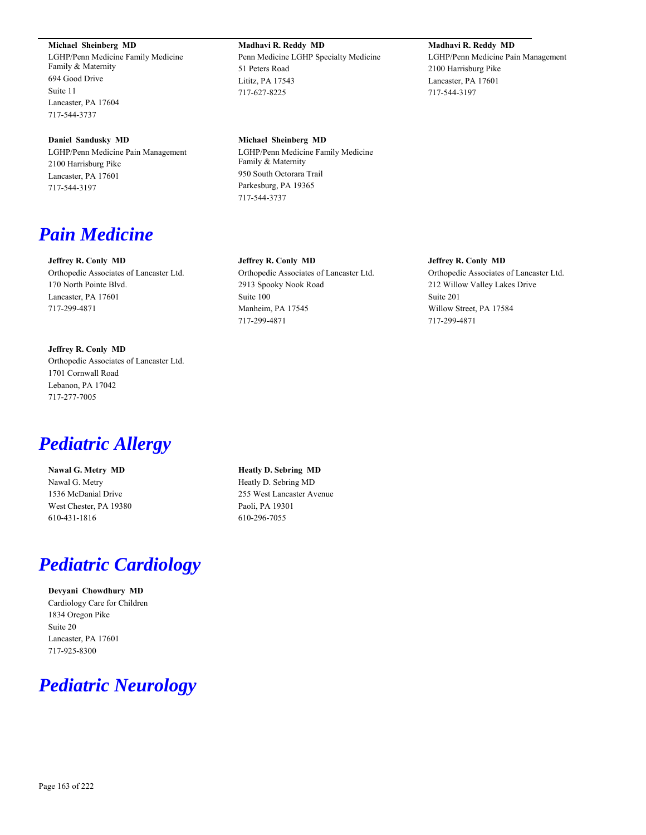#### **Michael Sheinberg MD**

LGHP/Penn Medicine Family Medicine Family & Maternity 694 Good Drive Suite 11 Lancaster, PA 17604 717-544-3737

#### **Daniel Sandusky MD**

LGHP/Penn Medicine Pain Management 2100 Harrisburg Pike Lancaster, PA 17601 717-544-3197

## *Pain Medicine*

#### **Jeffrey R. Conly MD**

Orthopedic Associates of Lancaster Ltd. 170 North Pointe Blvd. Lancaster, PA 17601 717-299-4871

**Jeffrey R. Conly MD** Orthopedic Associates of Lancaster Ltd. 1701 Cornwall Road Lebanon, PA 17042 717-277-7005

## *Pediatric Allergy*

**Nawal G. Metry MD** Nawal G. Metry 1536 McDanial Drive West Chester, PA 19380 610-431-1816

## *Pediatric Cardiology*

**Devyani Chowdhury MD** Cardiology Care for Children 1834 Oregon Pike Suite 20 Lancaster, PA 17601 717-925-8300

## *Pediatric Neurology*

**Madhavi R. Reddy MD** Penn Medicine LGHP Specialty Medicine 51 Peters Road Lititz, PA 17543 717-627-8225

#### **Michael Sheinberg MD**

LGHP/Penn Medicine Family Medicine Family & Maternity 950 South Octorara Trail Parkesburg, PA 19365 717-544-3737

#### **Jeffrey R. Conly MD**

Orthopedic Associates of Lancaster Ltd. 2913 Spooky Nook Road Suite 100 Manheim, PA 17545 717-299-4871

#### **Jeffrey R. Conly MD**

Orthopedic Associates of Lancaster Ltd. 212 Willow Valley Lakes Drive Suite 201 Willow Street, PA 17584 717-299-4871

**Heatly D. Sebring MD** Heatly D. Sebring MD 255 West Lancaster Avenue Paoli, PA 19301 610-296-7055

## **Madhavi R. Reddy MD**

LGHP/Penn Medicine Pain Management 2100 Harrisburg Pike Lancaster, PA 17601 717-544-3197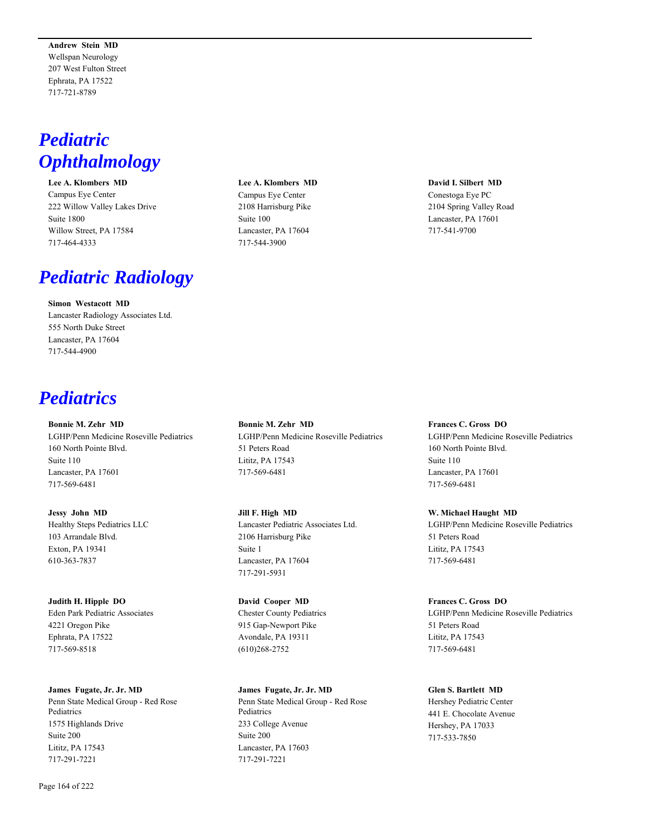**Andrew Stein MD** Wellspan Neurology 207 West Fulton Street Ephrata, PA 17522 717-721-8789

## *Pediatric Ophthalmology*

**Lee A. Klombers MD** Campus Eye Center 222 Willow Valley Lakes Drive Suite 1800 Willow Street, PA 17584 717-464-4333

## *Pediatric Radiology*

**Simon Westacott MD** Lancaster Radiology Associates Ltd. 555 North Duke Street Lancaster, PA 17604 717-544-4900

## *Pediatrics*

**Bonnie M. Zehr MD**

LGHP/Penn Medicine Roseville Pediatrics 160 North Pointe Blvd. Suite 110 Lancaster, PA 17601 717-569-6481

**Jessy John MD** Healthy Steps Pediatrics LLC 103 Arrandale Blvd. Exton, PA 19341 610-363-7837

**Judith H. Hipple DO** Eden Park Pediatric Associates 4221 Oregon Pike Ephrata, PA 17522 717-569-8518

**James Fugate, Jr. Jr. MD** Penn State Medical Group - Red Rose Pediatrics 1575 Highlands Drive Suite 200 Lititz, PA 17543 717-291-7221

**Lee A. Klombers MD** Campus Eye Center 2108 Harrisburg Pike Suite 100 Lancaster, PA 17604 717-544-3900

**David I. Silbert MD** Conestoga Eye PC 2104 Spring Valley Road

Lancaster, PA 17601 717-541-9700

**Bonnie M. Zehr MD** LGHP/Penn Medicine Roseville Pediatrics 51 Peters Road Lititz, PA 17543 717-569-6481

**Jill F. High MD** Lancaster Pediatric Associates Ltd. 2106 Harrisburg Pike Suite 1 Lancaster, PA 17604 717-291-5931

**David Cooper MD** Chester County Pediatrics 915 Gap-Newport Pike Avondale, PA 19311 (610)268-2752

**James Fugate, Jr. Jr. MD** Penn State Medical Group - Red Rose Pediatrics 233 College Avenue Suite 200 Lancaster, PA 17603 717-291-7221

#### **Frances C. Gross DO**

LGHP/Penn Medicine Roseville Pediatrics 160 North Pointe Blvd. Suite 110 Lancaster, PA 17601 717-569-6481

**W. Michael Haught MD**

LGHP/Penn Medicine Roseville Pediatrics 51 Peters Road Lititz, PA 17543 717-569-6481

**Frances C. Gross DO** LGHP/Penn Medicine Roseville Pediatrics 51 Peters Road Lititz, PA 17543 717-569-6481

**Glen S. Bartlett MD**

Hershey Pediatric Center 441 E. Chocolate Avenue Hershey, PA 17033 717-533-7850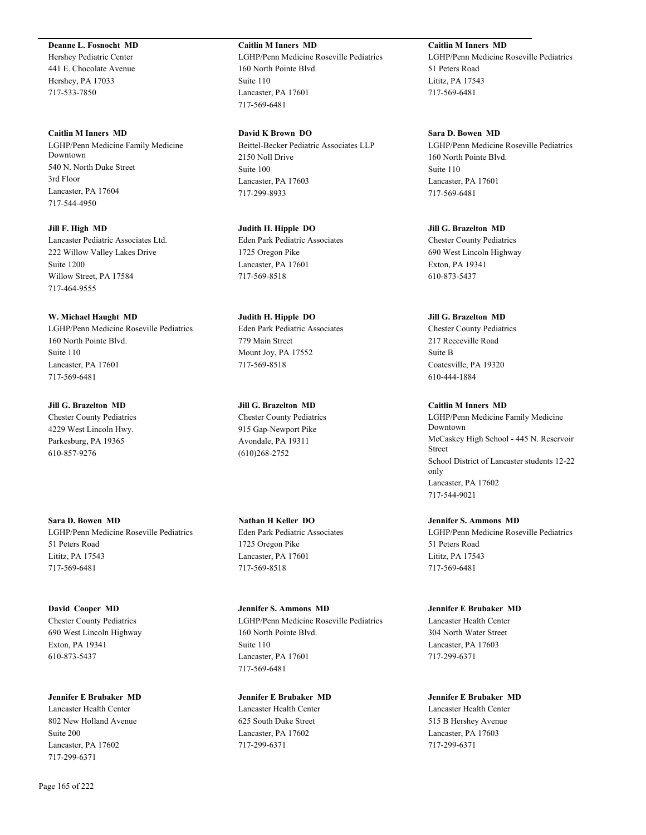#### **Deanne L. Fosnocht MD**

Hershey Pediatric Center 441 E. Chocolate Avenue Hershey, PA 17033 717-533-7850

**Caitlin M Inners MD** LGHP/Penn Medicine Family Medicine Downtown 540 N. North Duke Street 3rd Floor Lancaster, PA 17604 717-544-4950

**Jill F. High MD** Lancaster Pediatric Associates Ltd. 222 Willow Valley Lakes Drive Suite 1200 Willow Street, PA 17584 717-464-9555

**W. Michael Haught MD** LGHP/Penn Medicine Roseville Pediatrics 160 North Pointe Blvd. Suite 110 Lancaster, PA 17601 717-569-6481

## **Jill G. Brazelton MD** Chester County Pediatrics 4229 West Lincoln Hwy.

Parkesburg, PA 19365 610-857-9276

**Sara D. Bowen MD** LGHP/Penn Medicine Roseville Pediatrics 51 Peters Road Lititz, PA 17543 717-569-6481

**David Cooper MD** Chester County Pediatrics 690 West Lincoln Highway Exton, PA 19341 610-873-5437

**Jennifer E Brubaker MD** Lancaster Health Center

802 New Holland Avenue Suite 200 Lancaster, PA 17602 717-299-6371

#### **Caitlin M Inners MD**

LGHP/Penn Medicine Roseville Pediatrics 160 North Pointe Blvd. Suite 110 Lancaster, PA 17601 717-569-6481

**David K Brown DO** Beittel-Becker Pediatric Associates LLP 2150 Noll Drive Suite 100 Lancaster, PA 17603 717-299-8933

**Judith H. Hipple DO** Eden Park Pediatric Associates 1725 Oregon Pike Lancaster, PA 17601 717-569-8518

**Judith H. Hipple DO** Eden Park Pediatric Associates 779 Main Street Mount Joy, PA 17552 717-569-8518

**Jill G. Brazelton MD** Chester County Pediatrics 915 Gap-Newport Pike Avondale, PA 19311 (610)268-2752

**Nathan H Keller DO** Eden Park Pediatric Associates 1725 Oregon Pike Lancaster, PA 17601 717-569-8518

**Jennifer S. Ammons MD** LGHP/Penn Medicine Roseville Pediatrics 160 North Pointe Blvd. Suite 110 Lancaster, PA 17601 717-569-6481

**Jennifer E Brubaker MD** Lancaster Health Center 625 South Duke Street Lancaster, PA 17602 717-299-6371

#### **Caitlin M Inners MD**

LGHP/Penn Medicine Roseville Pediatrics 51 Peters Road Lititz, PA 17543 717-569-6481

**Sara D. Bowen MD** LGHP/Penn Medicine Roseville Pediatrics 160 North Pointe Blvd. Suite 110 Lancaster, PA 17601 717-569-6481

**Jill G. Brazelton MD** Chester County Pediatrics 690 West Lincoln Highway Exton, PA 19341 610-873-5437

**Jill G. Brazelton MD**

Chester County Pediatrics 217 Reeceville Road Suite B Coatesville, PA 19320 610-444-1884

**Caitlin M Inners MD**

LGHP/Penn Medicine Family Medicine Downtown McCaskey High School - 445 N. Reservoir Street School District of Lancaster students 12-22 only Lancaster, PA 17602 717-544-9021

**Jennifer S. Ammons MD**

LGHP/Penn Medicine Roseville Pediatrics 51 Peters Road Lititz, PA 17543 717-569-6481

**Jennifer E Brubaker MD**

Lancaster Health Center 304 North Water Street Lancaster, PA 17603 717-299-6371

**Jennifer E Brubaker MD** Lancaster Health Center 515 B Hershey Avenue Lancaster, PA 17603 717-299-6371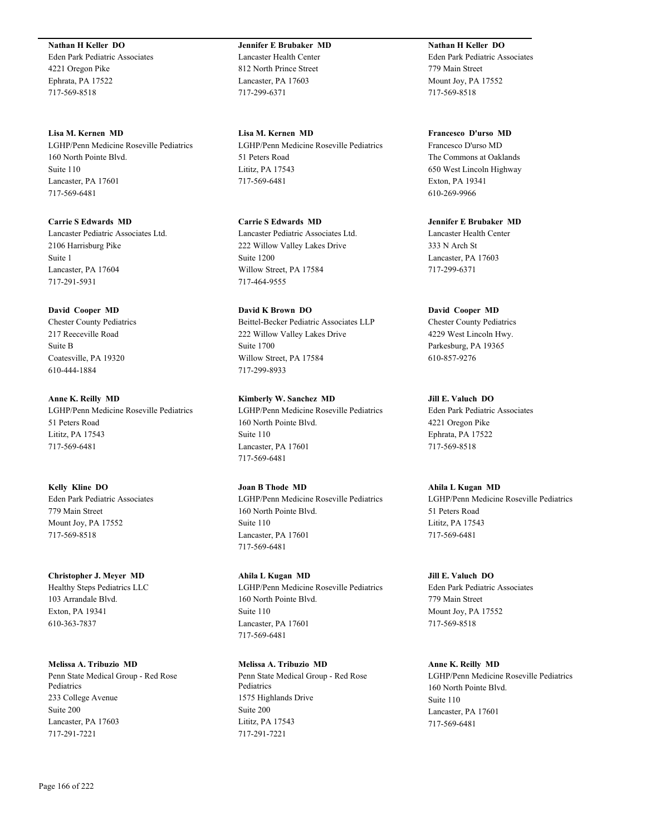**Nathan H Keller DO** Eden Park Pediatric Associates 4221 Oregon Pike Ephrata, PA 17522

717-569-8518

**Lisa M. Kernen MD** LGHP/Penn Medicine Roseville Pediatrics 160 North Pointe Blvd. Suite 110 Lancaster, PA 17601 717-569-6481

**Carrie S Edwards MD** Lancaster Pediatric Associates Ltd. 2106 Harrisburg Pike Suite 1 Lancaster, PA 17604 717-291-5931

## **David Cooper MD**

Chester County Pediatrics 217 Reeceville Road Suite B Coatesville, PA 19320 610-444-1884

#### **Anne K. Reilly MD**

LGHP/Penn Medicine Roseville Pediatrics 51 Peters Road Lititz, PA 17543 717-569-6481

**Kelly Kline DO** Eden Park Pediatric Associates 779 Main Street Mount Joy, PA 17552 717-569-8518

**Christopher J. Meyer MD** Healthy Steps Pediatrics LLC 103 Arrandale Blvd. Exton, PA 19341 610-363-7837

**Melissa A. Tribuzio MD** Penn State Medical Group - Red Rose Pediatrics 233 College Avenue Suite 200 Lancaster, PA 17603 717-291-7221

**Jennifer E Brubaker MD** Lancaster Health Center 812 North Prince Street Lancaster, PA 17603 717-299-6371

**Lisa M. Kernen MD** LGHP/Penn Medicine Roseville Pediatrics 51 Peters Road Lititz, PA 17543 717-569-6481

**Carrie S Edwards MD** Lancaster Pediatric Associates Ltd. 222 Willow Valley Lakes Drive Suite 1200 Willow Street, PA 17584 717-464-9555

**David K Brown DO** Beittel-Becker Pediatric Associates LLP 222 Willow Valley Lakes Drive Suite 1700 Willow Street, PA 17584 717-299-8933

**Kimberly W. Sanchez MD** LGHP/Penn Medicine Roseville Pediatrics 160 North Pointe Blvd. Suite 110 Lancaster, PA 17601 717-569-6481

**Joan B Thode MD** LGHP/Penn Medicine Roseville Pediatrics 160 North Pointe Blvd. Suite 110 Lancaster, PA 17601 717-569-6481

**Ahila L Kugan MD** LGHP/Penn Medicine Roseville Pediatrics 160 North Pointe Blvd. Suite 110 Lancaster, PA 17601 717-569-6481

**Melissa A. Tribuzio MD** Penn State Medical Group - Red Rose Pediatrics 1575 Highlands Drive Suite 200 Lititz, PA 17543 717-291-7221

**Nathan H Keller DO** Eden Park Pediatric Associates 779 Main Street Mount Joy, PA 17552 717-569-8518

**Francesco D'urso MD** Francesco D'urso MD The Commons at Oaklands 650 West Lincoln Highway Exton, PA 19341 610-269-9966

**Jennifer E Brubaker MD** Lancaster Health Center 333 N Arch St Lancaster, PA 17603 717-299-6371

**David Cooper MD**

Chester County Pediatrics 4229 West Lincoln Hwy. Parkesburg, PA 19365 610-857-9276

**Jill E. Valuch DO** Eden Park Pediatric Associates 4221 Oregon Pike Ephrata, PA 17522 717-569-8518

**Ahila L Kugan MD** LGHP/Penn Medicine Roseville Pediatrics 51 Peters Road Lititz, PA 17543 717-569-6481

**Jill E. Valuch DO** Eden Park Pediatric Associates 779 Main Street Mount Joy, PA 17552 717-569-8518

**Anne K. Reilly MD** LGHP/Penn Medicine Roseville Pediatrics 160 North Pointe Blvd. Suite 110 Lancaster, PA 17601 717-569-6481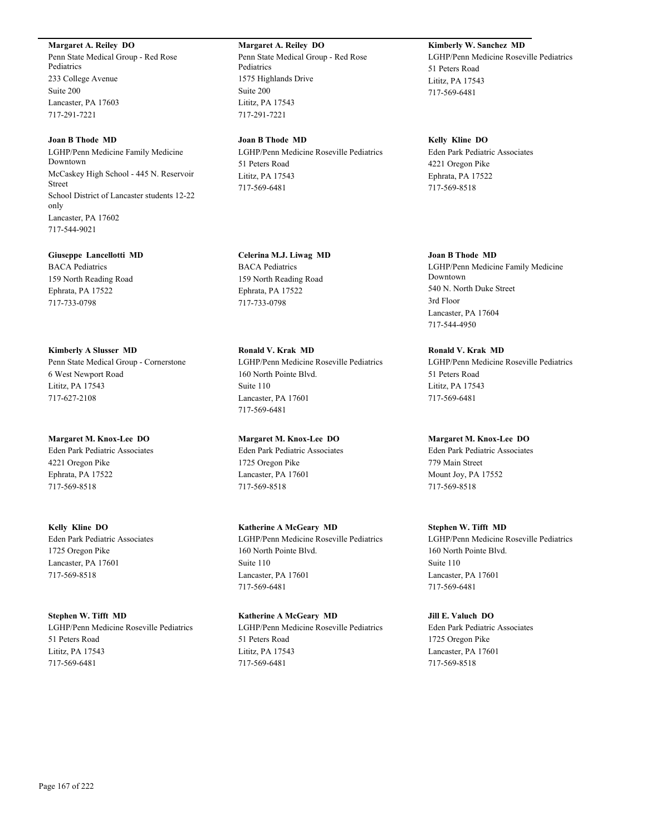#### **Margaret A. Reiley DO**

Penn State Medical Group - Red Rose Pediatrics 233 College Avenue Suite 200 Lancaster, PA 17603 717-291-7221

#### **Joan B Thode MD**

LGHP/Penn Medicine Family Medicine Downtown McCaskey High School - 445 N. Reservoir Street School District of Lancaster students 12-22 only Lancaster, PA 17602 717-544-9021

#### **Giuseppe Lancellotti MD**

BACA Pediatrics 159 North Reading Road Ephrata, PA 17522 717-733-0798

**Kimberly A Slusser MD** Penn State Medical Group - Cornerstone 6 West Newport Road Lititz, PA 17543 717-627-2108

**Margaret M. Knox-Lee DO** Eden Park Pediatric Associates 4221 Oregon Pike Ephrata, PA 17522 717-569-8518

**Kelly Kline DO** Eden Park Pediatric Associates 1725 Oregon Pike Lancaster, PA 17601 717-569-8518

**Stephen W. Tifft MD** LGHP/Penn Medicine Roseville Pediatrics 51 Peters Road Lititz, PA 17543 717-569-6481

**Margaret A. Reiley DO** Penn State Medical Group - Red Rose Pediatrics 1575 Highlands Drive Suite 200 Lititz, PA 17543 717-291-7221

**Joan B Thode MD** LGHP/Penn Medicine Roseville Pediatrics 51 Peters Road Lititz, PA 17543 717-569-6481

**Celerina M.J. Liwag MD** BACA Pediatrics 159 North Reading Road Ephrata, PA 17522 717-733-0798

**Ronald V. Krak MD** LGHP/Penn Medicine Roseville Pediatrics 160 North Pointe Blvd. Suite 110 Lancaster, PA 17601 717-569-6481

**Margaret M. Knox-Lee DO** Eden Park Pediatric Associates 1725 Oregon Pike Lancaster, PA 17601 717-569-8518

**Katherine A McGeary MD** LGHP/Penn Medicine Roseville Pediatrics 160 North Pointe Blvd. Suite 110 Lancaster, PA 17601 717-569-6481

**Katherine A McGeary MD** LGHP/Penn Medicine Roseville Pediatrics 51 Peters Road Lititz, PA 17543 717-569-6481

### **Kimberly W. Sanchez MD**

LGHP/Penn Medicine Roseville Pediatrics 51 Peters Road Lititz, PA 17543 717-569-6481

**Kelly Kline DO**

Eden Park Pediatric Associates 4221 Oregon Pike Ephrata, PA 17522 717-569-8518

**Joan B Thode MD** LGHP/Penn Medicine Family Medicine Downtown 540 N. North Duke Street 3rd Floor Lancaster, PA 17604 717-544-4950

**Ronald V. Krak MD** LGHP/Penn Medicine Roseville Pediatrics 51 Peters Road Lititz, PA 17543 717-569-6481

**Margaret M. Knox-Lee DO**

Eden Park Pediatric Associates 779 Main Street Mount Joy, PA 17552 717-569-8518

**Stephen W. Tifft MD** LGHP/Penn Medicine Roseville Pediatrics 160 North Pointe Blvd. Suite 110 Lancaster, PA 17601 717-569-6481

**Jill E. Valuch DO** Eden Park Pediatric Associates 1725 Oregon Pike Lancaster, PA 17601 717-569-8518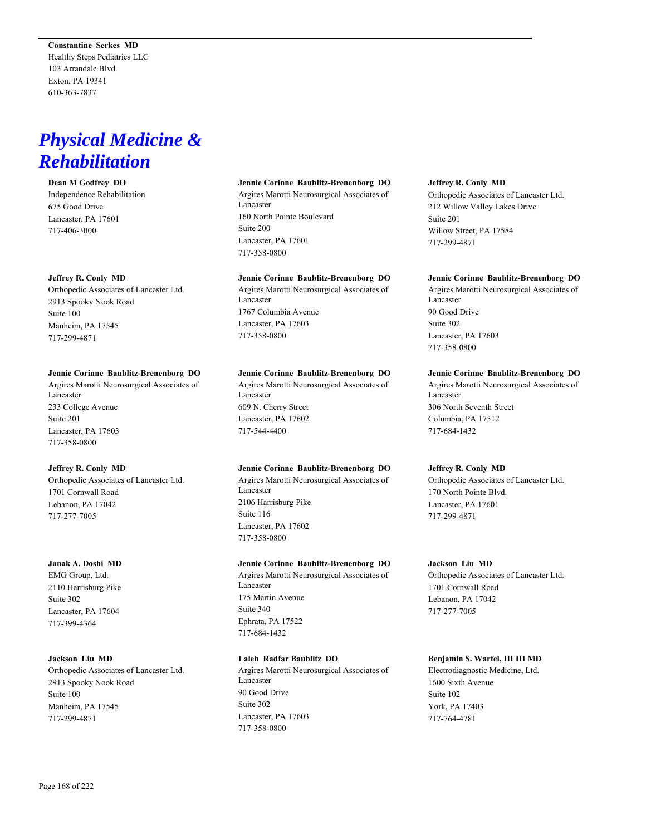**Constantine Serkes MD** Healthy Steps Pediatrics LLC 103 Arrandale Blvd. Exton, PA 19341 610-363-7837

## *Physical Medicine & Rehabilitation*

#### **Dean M Godfrey DO**

Independence Rehabilitation 675 Good Drive Lancaster, PA 17601 717-406-3000

#### **Jeffrey R. Conly MD**

Orthopedic Associates of Lancaster Ltd. 2913 Spooky Nook Road Suite 100 Manheim, PA 17545 717-299-4871

#### **Jennie Corinne Baublitz-Brenenborg DO**

Argires Marotti Neurosurgical Associates of Lancaster 233 College Avenue Suite 201 Lancaster, PA 17603 717-358-0800

#### **Jeffrey R. Conly MD**

Orthopedic Associates of Lancaster Ltd. 1701 Cornwall Road Lebanon, PA 17042 717-277-7005

#### **Janak A. Doshi MD**

EMG Group, Ltd. 2110 Harrisburg Pike Suite 302 Lancaster, PA 17604 717-399-4364

#### **Jackson Liu MD**

Orthopedic Associates of Lancaster Ltd. 2913 Spooky Nook Road Suite 100 Manheim, PA 17545 717-299-4871

#### **Jennie Corinne Baublitz-Brenenborg DO**

Argires Marotti Neurosurgical Associates of Lancaster 160 North Pointe Boulevard Suite 200 Lancaster, PA 17601 717-358-0800

#### **Jennie Corinne Baublitz-Brenenborg DO**

Argires Marotti Neurosurgical Associates of Lancaster 1767 Columbia Avenue Lancaster, PA 17603 717-358-0800

#### **Jennie Corinne Baublitz-Brenenborg DO**

Argires Marotti Neurosurgical Associates of Lancaster 609 N. Cherry Street Lancaster, PA 17602 717-544-4400

### **Jennie Corinne Baublitz-Brenenborg DO**

Argires Marotti Neurosurgical Associates of Lancaster 2106 Harrisburg Pike Suite 116 Lancaster, PA 17602 717-358-0800

#### **Jennie Corinne Baublitz-Brenenborg DO**

Argires Marotti Neurosurgical Associates of Lancaster 175 Martin Avenue Suite 340 Ephrata, PA 17522 717-684-1432

#### **Laleh Radfar Baublitz DO**

Argires Marotti Neurosurgical Associates of Lancaster 90 Good Drive Suite 302 Lancaster, PA 17603 717-358-0800

#### **Jeffrey R. Conly MD**

Orthopedic Associates of Lancaster Ltd. 212 Willow Valley Lakes Drive Suite 201 Willow Street, PA 17584 717-299-4871

#### **Jennie Corinne Baublitz-Brenenborg DO**

Argires Marotti Neurosurgical Associates of Lancaster 90 Good Drive Suite 302 Lancaster, PA 17603 717-358-0800

#### **Jennie Corinne Baublitz-Brenenborg DO**

Argires Marotti Neurosurgical Associates of Lancaster 306 North Seventh Street Columbia, PA 17512 717-684-1432

#### **Jeffrey R. Conly MD**

Orthopedic Associates of Lancaster Ltd. 170 North Pointe Blvd. Lancaster, PA 17601 717-299-4871

#### **Jackson Liu MD**

Orthopedic Associates of Lancaster Ltd. 1701 Cornwall Road Lebanon, PA 17042 717-277-7005

#### **Benjamin S. Warfel, III III MD**

Electrodiagnostic Medicine, Ltd. 1600 Sixth Avenue Suite 102 York, PA 17403 717-764-4781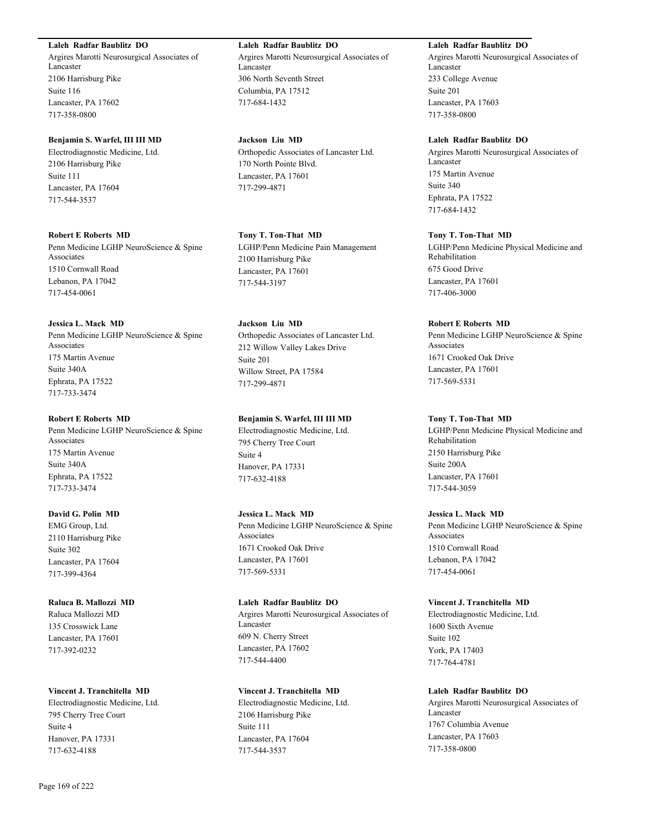#### **Laleh Radfar Baublitz DO**

Argires Marotti Neurosurgical Associates of Lancaster 2106 Harrisburg Pike Suite 116 Lancaster, PA 17602 717-358-0800

#### **Benjamin S. Warfel, III III MD**

Electrodiagnostic Medicine, Ltd. 2106 Harrisburg Pike Suite 111 Lancaster, PA 17604 717-544-3537

#### **Robert E Roberts MD**

Penn Medicine LGHP NeuroScience & Spine Associates 1510 Cornwall Road Lebanon, PA 17042 717-454-0061

#### **Jessica L. Mack MD**

Penn Medicine LGHP NeuroScience & Spine Associates 175 Martin Avenue Suite 340A Ephrata, PA 17522 717-733-3474

#### **Robert E Roberts MD**

Penn Medicine LGHP NeuroScience & Spine Associates 175 Martin Avenue Suite 340A Ephrata, PA 17522 717-733-3474

#### **David G. Polin MD**

EMG Group, Ltd. 2110 Harrisburg Pike Suite 302 Lancaster, PA 17604 717-399-4364

#### **Raluca B. Mallozzi MD**

Raluca Mallozzi MD 135 Crosswick Lane Lancaster, PA 17601 717-392-0232

#### **Vincent J. Tranchitella MD**

Electrodiagnostic Medicine, Ltd. 795 Cherry Tree Court Suite 4 Hanover, PA 17331 717-632-4188

**Laleh Radfar Baublitz DO** Argires Marotti Neurosurgical Associates of Lancaster 306 North Seventh Street Columbia, PA 17512 717-684-1432

### **Jackson Liu MD**

Orthopedic Associates of Lancaster Ltd. 170 North Pointe Blvd. Lancaster, PA 17601 717-299-4871

#### **Tony T. Ton-That MD**

LGHP/Penn Medicine Pain Management 2100 Harrisburg Pike Lancaster, PA 17601 717-544-3197

### **Jackson Liu MD** Orthopedic Associates of Lancaster Ltd. 212 Willow Valley Lakes Drive Suite 201 Willow Street, PA 17584 717-299-4871

### **Benjamin S. Warfel, III III MD**

Electrodiagnostic Medicine, Ltd. 795 Cherry Tree Court Suite 4 Hanover, PA 17331 717-632-4188

#### **Jessica L. Mack MD**

Penn Medicine LGHP NeuroScience & Spine Associates 1671 Crooked Oak Drive Lancaster, PA 17601 717-569-5331

#### **Laleh Radfar Baublitz DO**

Argires Marotti Neurosurgical Associates of Lancaster 609 N. Cherry Street Lancaster, PA 17602 717-544-4400

#### **Vincent J. Tranchitella MD**

Electrodiagnostic Medicine, Ltd. 2106 Harrisburg Pike Suite 111 Lancaster, PA 17604 717-544-3537

#### **Laleh Radfar Baublitz DO**

Argires Marotti Neurosurgical Associates of Lancaster 233 College Avenue Suite 201 Lancaster, PA 17603 717-358-0800

#### **Laleh Radfar Baublitz DO**

Argires Marotti Neurosurgical Associates of Lancaster 175 Martin Avenue Suite 340 Ephrata, PA 17522 717-684-1432

#### **Tony T. Ton-That MD**

LGHP/Penn Medicine Physical Medicine and Rehabilitation 675 Good Drive Lancaster, PA 17601 717-406-3000

#### **Robert E Roberts MD**

Penn Medicine LGHP NeuroScience & Spine Associates 1671 Crooked Oak Drive Lancaster, PA 17601 717-569-5331

#### **Tony T. Ton-That MD**

LGHP/Penn Medicine Physical Medicine and Rehabilitation 2150 Harrisburg Pike Suite 200A Lancaster, PA 17601 717-544-3059

#### **Jessica L. Mack MD**

Penn Medicine LGHP NeuroScience & Spine Associates 1510 Cornwall Road Lebanon, PA 17042 717-454-0061

#### **Vincent J. Tranchitella MD**

Electrodiagnostic Medicine, Ltd. 1600 Sixth Avenue Suite 102 York, PA 17403 717-764-4781

#### **Laleh Radfar Baublitz DO**

Argires Marotti Neurosurgical Associates of Lancaster 1767 Columbia Avenue Lancaster, PA 17603 717-358-0800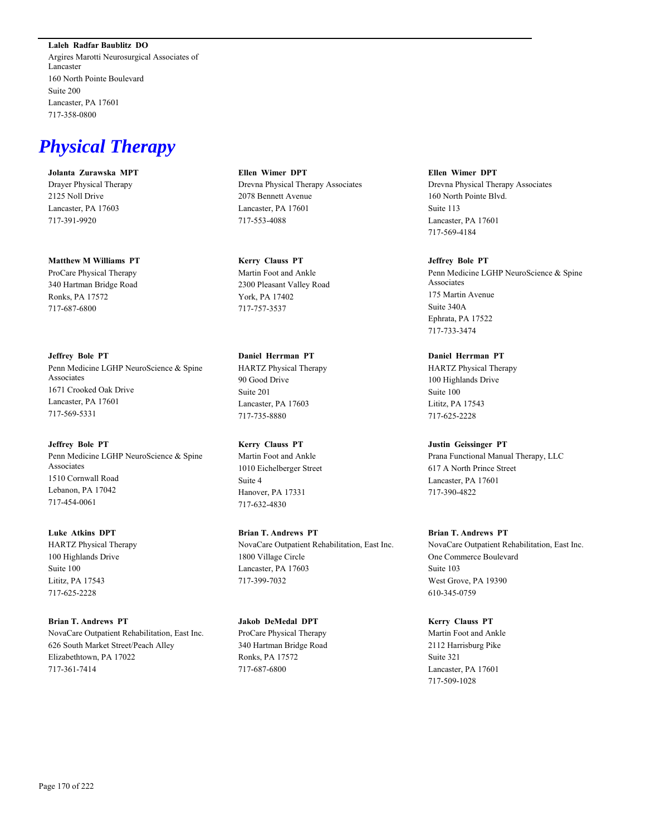**Laleh Radfar Baublitz DO** Argires Marotti Neurosurgical Associates of Lancaster 160 North Pointe Boulevard Suite 200 Lancaster, PA 17601 717-358-0800

## *Physical Therapy*

**Jolanta Zurawska MPT** Drayer Physical Therapy 2125 Noll Drive Lancaster, PA 17603 717-391-9920

**Matthew M Williams PT** ProCare Physical Therapy 340 Hartman Bridge Road Ronks, PA 17572 717-687-6800

**Jeffrey Bole PT** Penn Medicine LGHP NeuroScience & Spine Associates 1671 Crooked Oak Drive Lancaster, PA 17601 717-569-5331

**Jeffrey Bole PT** Penn Medicine LGHP NeuroScience & Spine Associates 1510 Cornwall Road Lebanon, PA 17042 717-454-0061

**Luke Atkins DPT** HARTZ Physical Therapy 100 Highlands Drive Suite 100 Lititz, PA 17543 717-625-2228

**Brian T. Andrews PT** NovaCare Outpatient Rehabilitation, East Inc. 626 South Market Street/Peach Alley Elizabethtown, PA 17022 717-361-7414

**Ellen Wimer DPT** Drevna Physical Therapy Associates 2078 Bennett Avenue Lancaster, PA 17601 717-553-4088

**Kerry Clauss PT** Martin Foot and Ankle 2300 Pleasant Valley Road York, PA 17402 717-757-3537

**Daniel Herrman PT** HARTZ Physical Therapy 90 Good Drive Suite 201 Lancaster, PA 17603 717-735-8880

**Kerry Clauss PT** Martin Foot and Ankle 1010 Eichelberger Street Suite 4 Hanover, PA 17331 717-632-4830

**Brian T. Andrews PT** NovaCare Outpatient Rehabilitation, East Inc. 1800 Village Circle Lancaster, PA 17603 717-399-7032

**Jakob DeMedal DPT** ProCare Physical Therapy 340 Hartman Bridge Road Ronks, PA 17572 717-687-6800

**Ellen Wimer DPT** Drevna Physical Therapy Associates 160 North Pointe Blvd. Suite 113 Lancaster, PA 17601 717-569-4184

**Jeffrey Bole PT** Penn Medicine LGHP NeuroScience & Spine Associates 175 Martin Avenue Suite 340A Ephrata, PA 17522 717-733-3474

**Daniel Herrman PT** HARTZ Physical Therapy 100 Highlands Drive Suite 100 Lititz, PA 17543 717-625-2228

**Justin Geissinger PT** Prana Functional Manual Therapy, LLC 617 A North Prince Street Lancaster, PA 17601 717-390-4822

**Brian T. Andrews PT** NovaCare Outpatient Rehabilitation, East Inc. One Commerce Boulevard Suite 103 West Grove, PA 19390 610-345-0759

**Kerry Clauss PT** Martin Foot and Ankle 2112 Harrisburg Pike Suite 321 Lancaster, PA 17601 717-509-1028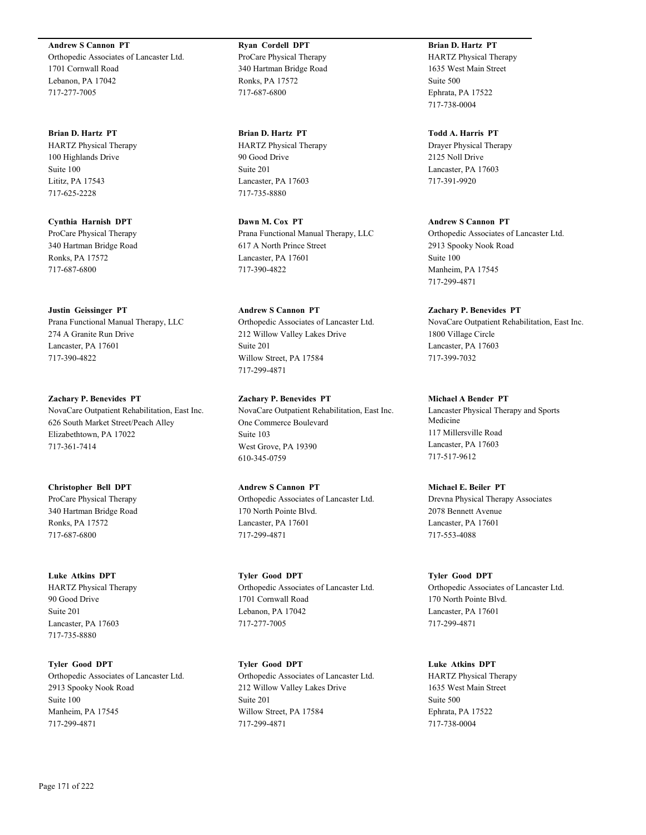**Andrew S Cannon PT** Orthopedic Associates of Lancaster Ltd. 1701 Cornwall Road Lebanon, PA 17042 717-277-7005

**Brian D. Hartz PT** HARTZ Physical Therapy 100 Highlands Drive Suite 100 Lititz, PA 17543 717-625-2228

**Cynthia Harnish DPT** ProCare Physical Therapy 340 Hartman Bridge Road Ronks, PA 17572 717-687-6800

**Justin Geissinger PT**

Prana Functional Manual Therapy, LLC 274 A Granite Run Drive Lancaster, PA 17601 717-390-4822

**Zachary P. Benevides PT** NovaCare Outpatient Rehabilitation, East Inc. 626 South Market Street/Peach Alley Elizabethtown, PA 17022 717-361-7414

**Christopher Bell DPT** ProCare Physical Therapy 340 Hartman Bridge Road Ronks, PA 17572 717-687-6800

**Luke Atkins DPT** HARTZ Physical Therapy 90 Good Drive Suite 201 Lancaster, PA 17603 717-735-8880

**Tyler Good DPT** Orthopedic Associates of Lancaster Ltd. 2913 Spooky Nook Road Suite 100 Manheim, PA 17545 717-299-4871

**Ryan Cordell DPT** ProCare Physical Therapy 340 Hartman Bridge Road Ronks, PA 17572 717-687-6800

**Brian D. Hartz PT** HARTZ Physical Therapy 90 Good Drive Suite 201 Lancaster, PA 17603 717-735-8880

**Dawn M. Cox PT** Prana Functional Manual Therapy, LLC 617 A North Prince Street Lancaster, PA 17601 717-390-4822

**Andrew S Cannon PT** Orthopedic Associates of Lancaster Ltd. 212 Willow Valley Lakes Drive Suite 201 Willow Street, PA 17584 717-299-4871

**Zachary P. Benevides PT** NovaCare Outpatient Rehabilitation, East Inc. One Commerce Boulevard Suite 103 West Grove, PA 19390 610-345-0759

**Andrew S Cannon PT** Orthopedic Associates of Lancaster Ltd. 170 North Pointe Blvd. Lancaster, PA 17601 717-299-4871

**Tyler Good DPT** Orthopedic Associates of Lancaster Ltd. 1701 Cornwall Road Lebanon, PA 17042 717-277-7005

**Tyler Good DPT** Orthopedic Associates of Lancaster Ltd. 212 Willow Valley Lakes Drive Suite 201 Willow Street, PA 17584 717-299-4871

**Brian D. Hartz PT** HARTZ Physical Therapy 1635 West Main Street Suite 500 Ephrata, PA 17522 717-738-0004

**Todd A. Harris PT** Drayer Physical Therapy 2125 Noll Drive Lancaster, PA 17603 717-391-9920

**Andrew S Cannon PT** Orthopedic Associates of Lancaster Ltd. 2913 Spooky Nook Road Suite 100 Manheim, PA 17545 717-299-4871

**Zachary P. Benevides PT** NovaCare Outpatient Rehabilitation, East Inc. 1800 Village Circle Lancaster, PA 17603 717-399-7032

**Michael A Bender PT** Lancaster Physical Therapy and Sports Medicine 117 Millersville Road Lancaster, PA 17603 717-517-9612

**Michael E. Beiler PT** Drevna Physical Therapy Associates 2078 Bennett Avenue Lancaster, PA 17601 717-553-4088

**Tyler Good DPT** Orthopedic Associates of Lancaster Ltd. 170 North Pointe Blvd. Lancaster, PA 17601 717-299-4871

**Luke Atkins DPT** HARTZ Physical Therapy 1635 West Main Street Suite 500 Ephrata, PA 17522 717-738-0004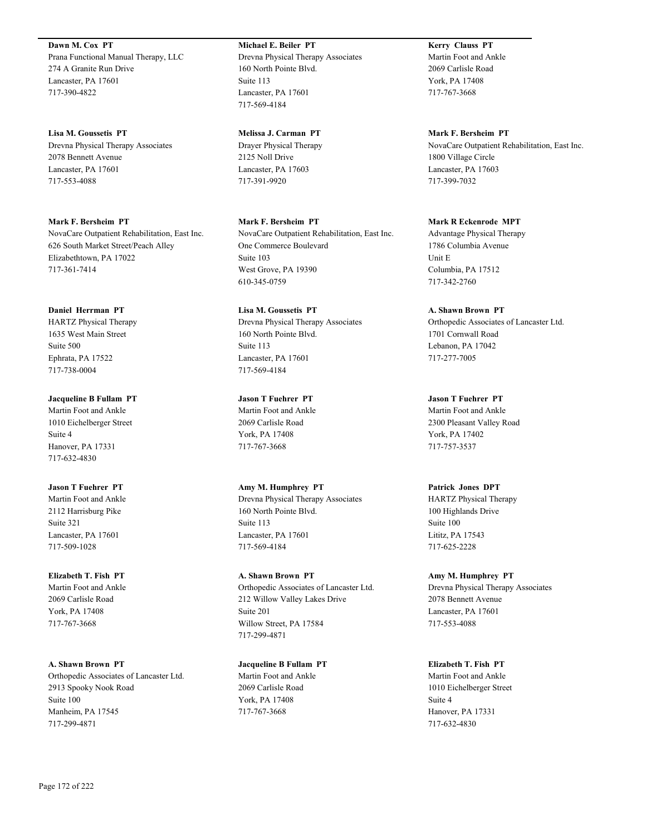**Dawn M. Cox PT** Prana Functional Manual Therapy, LLC 274 A Granite Run Drive Lancaster, PA 17601 717-390-4822

**Lisa M. Goussetis PT** Drevna Physical Therapy Associates 2078 Bennett Avenue Lancaster, PA 17601 717-553-4088

**Mark F. Bersheim PT** NovaCare Outpatient Rehabilitation, East Inc. 626 South Market Street/Peach Alley Elizabethtown, PA 17022 717-361-7414

**Daniel Herrman PT** HARTZ Physical Therapy 1635 West Main Street Suite 500 Ephrata, PA 17522 717-738-0004

**Jacqueline B Fullam PT** Martin Foot and Ankle 1010 Eichelberger Street Suite 4 Hanover, PA 17331 717-632-4830

**Jason T Fuehrer PT** Martin Foot and Ankle 2112 Harrisburg Pike Suite 321 Lancaster, PA 17601 717-509-1028

**Elizabeth T. Fish PT** Martin Foot and Ankle 2069 Carlisle Road York, PA 17408 717-767-3668

**A. Shawn Brown PT** Orthopedic Associates of Lancaster Ltd. 2913 Spooky Nook Road Suite 100 Manheim, PA 17545 717-299-4871

**Michael E. Beiler PT** Drevna Physical Therapy Associates 160 North Pointe Blvd. Suite 113 Lancaster, PA 17601 717-569-4184

**Melissa J. Carman PT** Drayer Physical Therapy 2125 Noll Drive Lancaster, PA 17603 717-391-9920

**Mark F. Bersheim PT** NovaCare Outpatient Rehabilitation, East Inc. One Commerce Boulevard Suite 103 West Grove, PA 19390 610-345-0759

**Lisa M. Goussetis PT** Drevna Physical Therapy Associates 160 North Pointe Blvd. Suite 113 Lancaster, PA 17601 717-569-4184

**Jason T Fuehrer PT** Martin Foot and Ankle 2069 Carlisle Road York, PA 17408 717-767-3668

**Amy M. Humphrey PT** Drevna Physical Therapy Associates 160 North Pointe Blvd. Suite 113 Lancaster, PA 17601 717-569-4184

**A. Shawn Brown PT** Orthopedic Associates of Lancaster Ltd. 212 Willow Valley Lakes Drive Suite 201 Willow Street, PA 17584 717-299-4871

**Jacqueline B Fullam PT** Martin Foot and Ankle 2069 Carlisle Road York, PA 17408 717-767-3668

**Kerry Clauss PT** Martin Foot and Ankle 2069 Carlisle Road York, PA 17408 717-767-3668

**Mark F. Bersheim PT** NovaCare Outpatient Rehabilitation, East Inc. 1800 Village Circle Lancaster, PA 17603 717-399-7032

**Mark R Eckenrode MPT** Advantage Physical Therapy 1786 Columbia Avenue Unit E Columbia, PA 17512 717-342-2760

**A. Shawn Brown PT** Orthopedic Associates of Lancaster Ltd. 1701 Cornwall Road Lebanon, PA 17042 717-277-7005

**Jason T Fuehrer PT** Martin Foot and Ankle 2300 Pleasant Valley Road York, PA 17402 717-757-3537

**Patrick Jones DPT** HARTZ Physical Therapy 100 Highlands Drive Suite 100 Lititz, PA 17543 717-625-2228

**Amy M. Humphrey PT** Drevna Physical Therapy Associates 2078 Bennett Avenue Lancaster, PA 17601 717-553-4088

**Elizabeth T. Fish PT** Martin Foot and Ankle 1010 Eichelberger Street Suite 4 Hanover, PA 17331 717-632-4830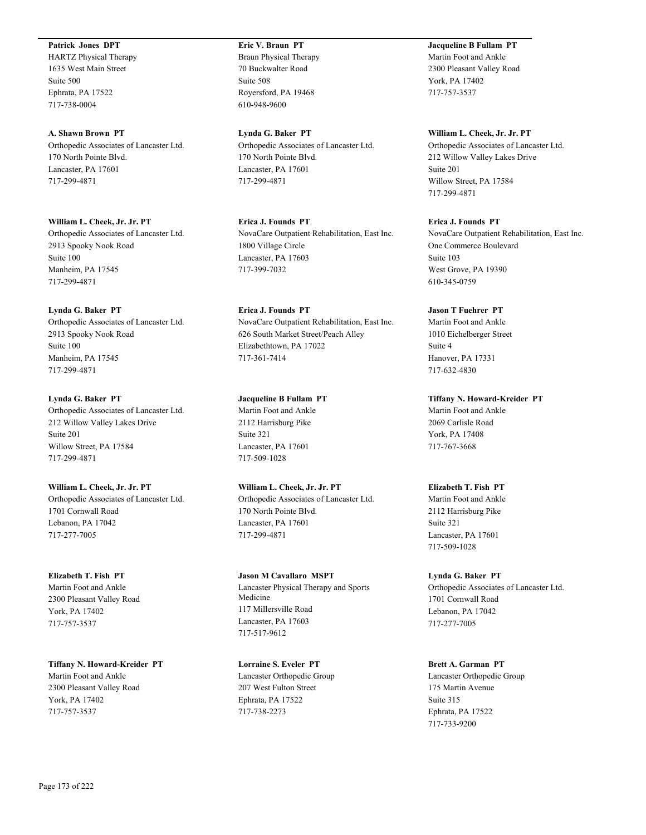#### **Patrick Jones DPT**

HARTZ Physical Therapy 1635 West Main Street Suite 500 Ephrata, PA 17522 717-738-0004

**A. Shawn Brown PT** Orthopedic Associates of Lancaster Ltd. 170 North Pointe Blvd. Lancaster, PA 17601 717-299-4871

**William L. Cheek, Jr. Jr. PT** Orthopedic Associates of Lancaster Ltd. 2913 Spooky Nook Road Suite 100 Manheim, PA 17545 717-299-4871

#### **Lynda G. Baker PT**

Orthopedic Associates of Lancaster Ltd. 2913 Spooky Nook Road Suite 100 Manheim, PA 17545 717-299-4871

**Lynda G. Baker PT** Orthopedic Associates of Lancaster Ltd. 212 Willow Valley Lakes Drive Suite 201 Willow Street, PA 17584 717-299-4871

**William L. Cheek, Jr. Jr. PT** Orthopedic Associates of Lancaster Ltd. 1701 Cornwall Road Lebanon, PA 17042 717-277-7005

**Elizabeth T. Fish PT** Martin Foot and Ankle 2300 Pleasant Valley Road York, PA 17402 717-757-3537

**Tiffany N. Howard-Kreider PT** Martin Foot and Ankle 2300 Pleasant Valley Road York, PA 17402 717-757-3537

**Eric V. Braun PT** Braun Physical Therapy 70 Buckwalter Road Suite 508 Royersford, PA 19468 610-948-9600

**Lynda G. Baker PT** Orthopedic Associates of Lancaster Ltd. 170 North Pointe Blvd. Lancaster, PA 17601 717-299-4871

**Erica J. Founds PT** NovaCare Outpatient Rehabilitation, East Inc. 1800 Village Circle Lancaster, PA 17603 717-399-7032

**Erica J. Founds PT** NovaCare Outpatient Rehabilitation, East Inc. 626 South Market Street/Peach Alley Elizabethtown, PA 17022 717-361-7414

**Jacqueline B Fullam PT** Martin Foot and Ankle 2112 Harrisburg Pike Suite 321 Lancaster, PA 17601 717-509-1028

**William L. Cheek, Jr. Jr. PT** Orthopedic Associates of Lancaster Ltd. 170 North Pointe Blvd. Lancaster, PA 17601 717-299-4871

**Jason M Cavallaro MSPT** Lancaster Physical Therapy and Sports Medicine 117 Millersville Road Lancaster, PA 17603 717-517-9612

**Lorraine S. Eveler PT** Lancaster Orthopedic Group 207 West Fulton Street Ephrata, PA 17522 717-738-2273

**Jacqueline B Fullam PT** Martin Foot and Ankle 2300 Pleasant Valley Road York, PA 17402 717-757-3537

**William L. Cheek, Jr. Jr. PT** Orthopedic Associates of Lancaster Ltd. 212 Willow Valley Lakes Drive Suite 201 Willow Street, PA 17584 717-299-4871

**Erica J. Founds PT** NovaCare Outpatient Rehabilitation, East Inc. One Commerce Boulevard Suite 103 West Grove, PA 19390 610-345-0759

**Jason T Fuehrer PT** Martin Foot and Ankle 1010 Eichelberger Street Suite 4 Hanover, PA 17331 717-632-4830

**Tiffany N. Howard-Kreider PT** Martin Foot and Ankle 2069 Carlisle Road York, PA 17408 717-767-3668

**Elizabeth T. Fish PT** Martin Foot and Ankle 2112 Harrisburg Pike Suite 321 Lancaster, PA 17601 717-509-1028

**Lynda G. Baker PT** Orthopedic Associates of Lancaster Ltd. 1701 Cornwall Road Lebanon, PA 17042 717-277-7005

**Brett A. Garman PT** Lancaster Orthopedic Group 175 Martin Avenue Suite 315 Ephrata, PA 17522 717-733-9200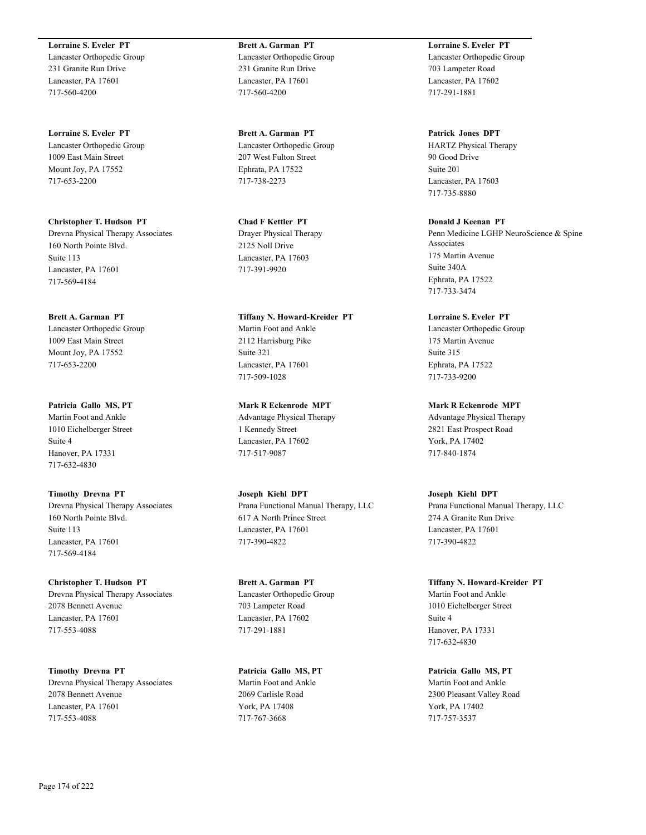**Lorraine S. Eveler PT** Lancaster Orthopedic Group 231 Granite Run Drive Lancaster, PA 17601 717-560-4200

**Lorraine S. Eveler PT** Lancaster Orthopedic Group 1009 East Main Street Mount Joy, PA 17552 717-653-2200

**Christopher T. Hudson PT** Drevna Physical Therapy Associates 160 North Pointe Blvd. Suite 113 Lancaster, PA 17601 717-569-4184

**Brett A. Garman PT** Lancaster Orthopedic Group 1009 East Main Street Mount Joy, PA 17552 717-653-2200

**Patricia Gallo MS, PT** Martin Foot and Ankle 1010 Eichelberger Street Suite 4 Hanover, PA 17331 717-632-4830

**Timothy Drevna PT** Drevna Physical Therapy Associates 160 North Pointe Blvd. Suite 113 Lancaster, PA 17601 717-569-4184

**Christopher T. Hudson PT** Drevna Physical Therapy Associates 2078 Bennett Avenue Lancaster, PA 17601 717-553-4088

**Timothy Drevna PT** Drevna Physical Therapy Associates 2078 Bennett Avenue Lancaster, PA 17601 717-553-4088

**Brett A. Garman PT** Lancaster Orthopedic Group 231 Granite Run Drive Lancaster, PA 17601 717-560-4200

**Brett A. Garman PT** Lancaster Orthopedic Group 207 West Fulton Street Ephrata, PA 17522 717-738-2273

**Chad F Kettler PT** Drayer Physical Therapy 2125 Noll Drive Lancaster, PA 17603 717-391-9920

**Tiffany N. Howard-Kreider PT** Martin Foot and Ankle 2112 Harrisburg Pike Suite 321 Lancaster, PA 17601 717-509-1028

**Mark R Eckenrode MPT** Advantage Physical Therapy 1 Kennedy Street Lancaster, PA 17602 717-517-9087

**Joseph Kiehl DPT** Prana Functional Manual Therapy, LLC 617 A North Prince Street Lancaster, PA 17601 717-390-4822

**Brett A. Garman PT** Lancaster Orthopedic Group 703 Lampeter Road Lancaster, PA 17602 717-291-1881

**Patricia Gallo MS, PT** Martin Foot and Ankle 2069 Carlisle Road York, PA 17408 717-767-3668

**Lorraine S. Eveler PT** Lancaster Orthopedic Group 703 Lampeter Road Lancaster, PA 17602 717-291-1881

**Patrick Jones DPT** HARTZ Physical Therapy 90 Good Drive Suite 201 Lancaster, PA 17603 717-735-8880

**Donald J Keenan PT** Penn Medicine LGHP NeuroScience & Spine Associates 175 Martin Avenue Suite 340A Ephrata, PA 17522 717-733-3474

**Lorraine S. Eveler PT** Lancaster Orthopedic Group 175 Martin Avenue Suite 315 Ephrata, PA 17522 717-733-9200

**Mark R Eckenrode MPT** Advantage Physical Therapy 2821 East Prospect Road York, PA 17402 717-840-1874

**Joseph Kiehl DPT** Prana Functional Manual Therapy, LLC 274 A Granite Run Drive Lancaster, PA 17601 717-390-4822

**Tiffany N. Howard-Kreider PT** Martin Foot and Ankle 1010 Eichelberger Street Suite 4 Hanover, PA 17331 717-632-4830

**Patricia Gallo MS, PT** Martin Foot and Ankle 2300 Pleasant Valley Road York, PA 17402 717-757-3537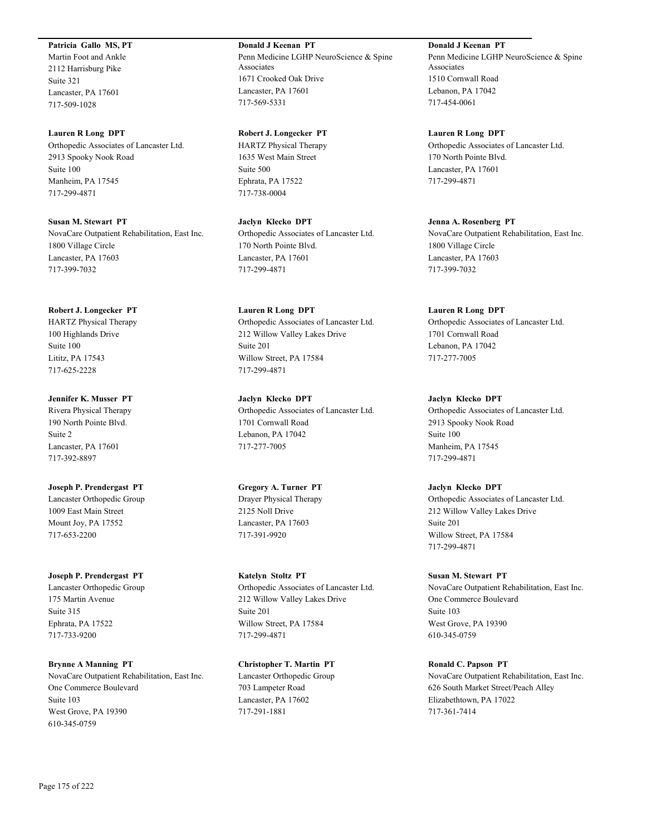#### **Patricia Gallo MS, PT**

Martin Foot and Ankle 2112 Harrisburg Pike Suite 321 Lancaster, PA 17601 717-509-1028

#### **Lauren R Long DPT**

Orthopedic Associates of Lancaster Ltd. 2913 Spooky Nook Road Suite 100 Manheim, PA 17545 717-299-4871

**Susan M. Stewart PT** NovaCare Outpatient Rehabilitation, East Inc. 1800 Village Circle Lancaster, PA 17603 717-399-7032

#### **Robert J. Longecker PT**

HARTZ Physical Therapy 100 Highlands Drive Suite 100 Lititz, PA 17543 717-625-2228

**Jennifer K. Musser PT** Rivera Physical Therapy 190 North Pointe Blvd. Suite 2 Lancaster, PA 17601 717-392-8897

**Joseph P. Prendergast PT** Lancaster Orthopedic Group 1009 East Main Street Mount Joy, PA 17552 717-653-2200

**Joseph P. Prendergast PT**

Lancaster Orthopedic Group 175 Martin Avenue Suite 315 Ephrata, PA 17522 717-733-9200

**Brynne A Manning PT** NovaCare Outpatient Rehabilitation, East Inc. One Commerce Boulevard Suite 103 West Grove, PA 19390 610-345-0759

**Donald J Keenan PT** Penn Medicine LGHP NeuroScience & Spine Associates 1671 Crooked Oak Drive Lancaster, PA 17601 717-569-5331

**Robert J. Longecker PT** HARTZ Physical Therapy 1635 West Main Street Suite 500 Ephrata, PA 17522 717-738-0004

**Jaclyn Klecko DPT** Orthopedic Associates of Lancaster Ltd. 170 North Pointe Blvd. Lancaster, PA 17601 717-299-4871

**Lauren R Long DPT** Orthopedic Associates of Lancaster Ltd. 212 Willow Valley Lakes Drive Suite 201 Willow Street, PA 17584 717-299-4871

**Jaclyn Klecko DPT** Orthopedic Associates of Lancaster Ltd. 1701 Cornwall Road Lebanon, PA 17042 717-277-7005

**Gregory A. Turner PT** Drayer Physical Therapy 2125 Noll Drive Lancaster, PA 17603 717-391-9920

**Katelyn Stoltz PT** Orthopedic Associates of Lancaster Ltd. 212 Willow Valley Lakes Drive Suite 201 Willow Street, PA 17584 717-299-4871

**Christopher T. Martin PT** Lancaster Orthopedic Group 703 Lampeter Road Lancaster, PA 17602 717-291-1881

**Donald J Keenan PT** Penn Medicine LGHP NeuroScience & Spine Associates 1510 Cornwall Road Lebanon, PA 17042 717-454-0061

**Lauren R Long DPT** Orthopedic Associates of Lancaster Ltd. 170 North Pointe Blvd. Lancaster, PA 17601 717-299-4871

**Jenna A. Rosenberg PT** NovaCare Outpatient Rehabilitation, East Inc. 1800 Village Circle Lancaster, PA 17603 717-399-7032

#### **Lauren R Long DPT**

Orthopedic Associates of Lancaster Ltd. 1701 Cornwall Road Lebanon, PA 17042 717-277-7005

#### **Jaclyn Klecko DPT**

Orthopedic Associates of Lancaster Ltd. 2913 Spooky Nook Road Suite 100 Manheim, PA 17545 717-299-4871

**Jaclyn Klecko DPT**

Orthopedic Associates of Lancaster Ltd. 212 Willow Valley Lakes Drive Suite 201 Willow Street, PA 17584 717-299-4871

**Susan M. Stewart PT** NovaCare Outpatient Rehabilitation, East Inc. One Commerce Boulevard Suite 103 West Grove, PA 19390 610-345-0759

**Ronald C. Papson PT** NovaCare Outpatient Rehabilitation, East Inc. 626 South Market Street/Peach Alley Elizabethtown, PA 17022 717-361-7414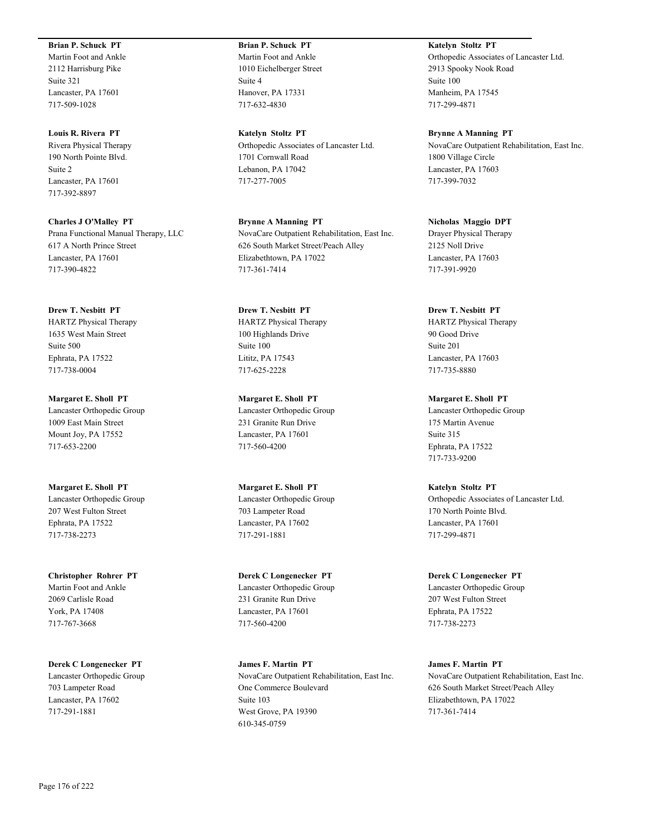#### **Brian P. Schuck PT**

Martin Foot and Ankle 2112 Harrisburg Pike Suite 321 Lancaster, PA 17601 717-509-1028

**Louis R. Rivera PT** Rivera Physical Therapy 190 North Pointe Blvd. Suite 2 Lancaster, PA 17601 717-392-8897

**Charles J O'Malley PT** Prana Functional Manual Therapy, LLC 617 A North Prince Street Lancaster, PA 17601 717-390-4822

**Drew T. Nesbitt PT** HARTZ Physical Therapy 1635 West Main Street Suite 500 Ephrata, PA 17522 717-738-0004

**Margaret E. Sholl PT** Lancaster Orthopedic Group 1009 East Main Street Mount Joy, PA 17552 717-653-2200

**Margaret E. Sholl PT** Lancaster Orthopedic Group 207 West Fulton Street Ephrata, PA 17522 717-738-2273

**Christopher Rohrer PT** Martin Foot and Ankle 2069 Carlisle Road York, PA 17408 717-767-3668

**Derek C Longenecker PT** Lancaster Orthopedic Group 703 Lampeter Road Lancaster, PA 17602 717-291-1881

**Brian P. Schuck PT** Martin Foot and Ankle 1010 Eichelberger Street Suite 4 Hanover, PA 17331 717-632-4830

**Katelyn Stoltz PT** Orthopedic Associates of Lancaster Ltd. 1701 Cornwall Road Lebanon, PA 17042 717-277-7005

**Brynne A Manning PT** NovaCare Outpatient Rehabilitation, East Inc. 626 South Market Street/Peach Alley Elizabethtown, PA 17022 717-361-7414

**Drew T. Nesbitt PT** HARTZ Physical Therapy 100 Highlands Drive Suite 100 Lititz, PA 17543 717-625-2228

**Margaret E. Sholl PT** Lancaster Orthopedic Group 231 Granite Run Drive Lancaster, PA 17601 717-560-4200

**Margaret E. Sholl PT** Lancaster Orthopedic Group 703 Lampeter Road Lancaster, PA 17602 717-291-1881

**Derek C Longenecker PT** Lancaster Orthopedic Group 231 Granite Run Drive Lancaster, PA 17601 717-560-4200

**James F. Martin PT** NovaCare Outpatient Rehabilitation, East Inc. One Commerce Boulevard Suite 103 West Grove, PA 19390 610-345-0759

**Katelyn Stoltz PT** Orthopedic Associates of Lancaster Ltd. 2913 Spooky Nook Road Suite 100 Manheim, PA 17545 717-299-4871

**Brynne A Manning PT** NovaCare Outpatient Rehabilitation, East Inc. 1800 Village Circle Lancaster, PA 17603 717-399-7032

**Nicholas Maggio DPT** Drayer Physical Therapy 2125 Noll Drive Lancaster, PA 17603 717-391-9920

**Drew T. Nesbitt PT** HARTZ Physical Therapy 90 Good Drive Suite 201 Lancaster, PA 17603 717-735-8880

**Margaret E. Sholl PT** Lancaster Orthopedic Group 175 Martin Avenue Suite 315 Ephrata, PA 17522 717-733-9200

**Katelyn Stoltz PT** Orthopedic Associates of Lancaster Ltd. 170 North Pointe Blvd. Lancaster, PA 17601 717-299-4871

**Derek C Longenecker PT** Lancaster Orthopedic Group 207 West Fulton Street Ephrata, PA 17522 717-738-2273

**James F. Martin PT** NovaCare Outpatient Rehabilitation, East Inc. 626 South Market Street/Peach Alley Elizabethtown, PA 17022 717-361-7414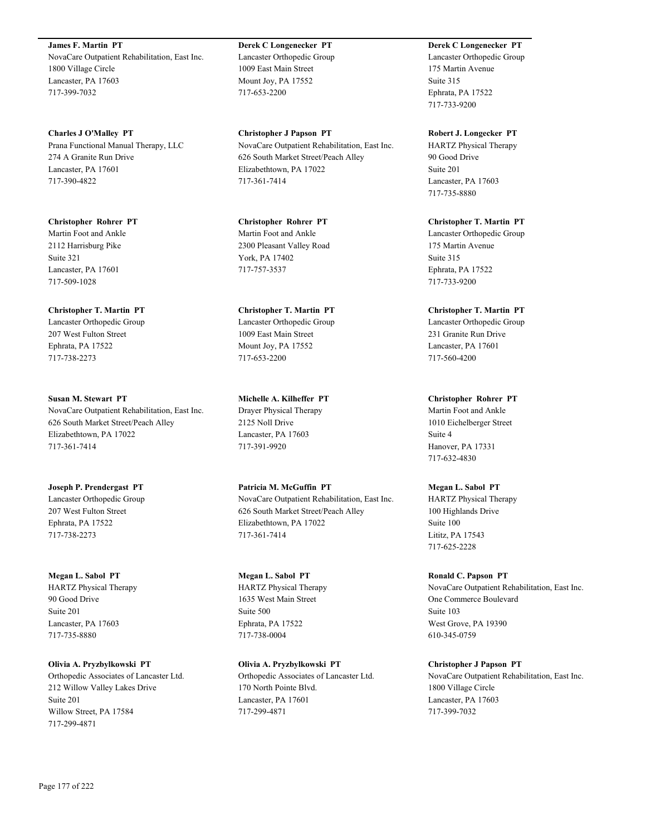**James F. Martin PT** NovaCare Outpatient Rehabilitation, East Inc. 1800 Village Circle Lancaster, PA 17603 717-399-7032

**Charles J O'Malley PT** Prana Functional Manual Therapy, LLC 274 A Granite Run Drive Lancaster, PA 17601 717-390-4822

**Christopher Rohrer PT** Martin Foot and Ankle 2112 Harrisburg Pike Suite 321 Lancaster, PA 17601 717-509-1028

**Christopher T. Martin PT** Lancaster Orthopedic Group 207 West Fulton Street Ephrata, PA 17522 717-738-2273

**Susan M. Stewart PT** NovaCare Outpatient Rehabilitation, East Inc. 626 South Market Street/Peach Alley Elizabethtown, PA 17022 717-361-7414

**Joseph P. Prendergast PT** Lancaster Orthopedic Group 207 West Fulton Street Ephrata, PA 17522 717-738-2273

**Megan L. Sabol PT** HARTZ Physical Therapy 90 Good Drive Suite 201 Lancaster, PA 17603 717-735-8880

**Olivia A. Pryzbylkowski PT** Orthopedic Associates of Lancaster Ltd. 212 Willow Valley Lakes Drive Suite 201 Willow Street, PA 17584 717-299-4871

**Derek C Longenecker PT** Lancaster Orthopedic Group 1009 East Main Street Mount Joy, PA 17552 717-653-2200

**Christopher J Papson PT** NovaCare Outpatient Rehabilitation, East Inc. 626 South Market Street/Peach Alley Elizabethtown, PA 17022 717-361-7414

**Christopher Rohrer PT** Martin Foot and Ankle 2300 Pleasant Valley Road York, PA 17402 717-757-3537

**Christopher T. Martin PT** Lancaster Orthopedic Group 1009 East Main Street Mount Joy, PA 17552 717-653-2200

**Michelle A. Kilheffer PT** Drayer Physical Therapy 2125 Noll Drive Lancaster, PA 17603 717-391-9920

**Patricia M. McGuffin PT** NovaCare Outpatient Rehabilitation, East Inc. 626 South Market Street/Peach Alley Elizabethtown, PA 17022 717-361-7414

**Megan L. Sabol PT** HARTZ Physical Therapy 1635 West Main Street Suite 500 Ephrata, PA 17522 717-738-0004

**Olivia A. Pryzbylkowski PT** Orthopedic Associates of Lancaster Ltd. 170 North Pointe Blvd. Lancaster, PA 17601 717-299-4871

**Derek C Longenecker PT** Lancaster Orthopedic Group 175 Martin Avenue Suite 315 Ephrata, PA 17522 717-733-9200

**Robert J. Longecker PT** HARTZ Physical Therapy 90 Good Drive Suite 201 Lancaster, PA 17603 717-735-8880

**Christopher T. Martin PT** Lancaster Orthopedic Group 175 Martin Avenue Suite 315 Ephrata, PA 17522 717-733-9200

**Christopher T. Martin PT** Lancaster Orthopedic Group 231 Granite Run Drive Lancaster, PA 17601 717-560-4200

**Christopher Rohrer PT** Martin Foot and Ankle 1010 Eichelberger Street Suite 4 Hanover, PA 17331 717-632-4830

**Megan L. Sabol PT** HARTZ Physical Therapy 100 Highlands Drive Suite 100 Lititz, PA 17543 717-625-2228

**Ronald C. Papson PT** NovaCare Outpatient Rehabilitation, East Inc. One Commerce Boulevard Suite 103 West Grove, PA 19390 610-345-0759

**Christopher J Papson PT** NovaCare Outpatient Rehabilitation, East Inc. 1800 Village Circle Lancaster, PA 17603 717-399-7032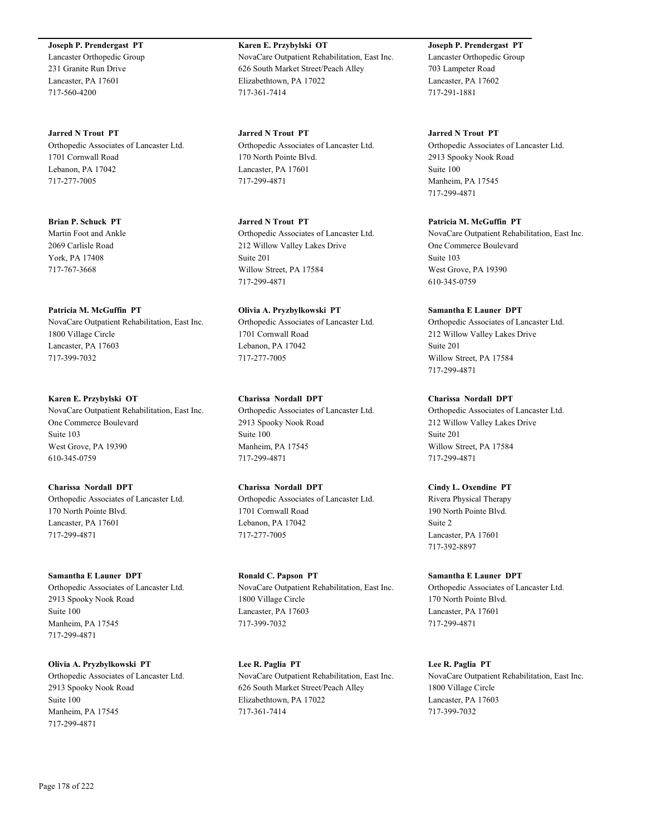## **Joseph P. Prendergast PT**

Lancaster Orthopedic Group 231 Granite Run Drive Lancaster, PA 17601 717-560-4200

**Jarred N Trout PT** Orthopedic Associates of Lancaster Ltd. 1701 Cornwall Road Lebanon, PA 17042 717-277-7005

**Brian P. Schuck PT** Martin Foot and Ankle 2069 Carlisle Road York, PA 17408 717-767-3668

#### **Patricia M. McGuffin PT**

NovaCare Outpatient Rehabilitation, East Inc. 1800 Village Circle Lancaster, PA 17603 717-399-7032

#### **Karen E. Przybylski OT**

NovaCare Outpatient Rehabilitation, East Inc. One Commerce Boulevard Suite 103 West Grove, PA 19390 610-345-0759

## **Charissa Nordall DPT**

Orthopedic Associates of Lancaster Ltd. 170 North Pointe Blvd. Lancaster, PA 17601 717-299-4871

#### **Samantha E Launer DPT**

Orthopedic Associates of Lancaster Ltd. 2913 Spooky Nook Road Suite 100 Manheim, PA 17545 717-299-4871

**Olivia A. Pryzbylkowski PT** Orthopedic Associates of Lancaster Ltd.

2913 Spooky Nook Road Suite 100 Manheim, PA 17545 717-299-4871

**Karen E. Przybylski OT** NovaCare Outpatient Rehabilitation, East Inc. 626 South Market Street/Peach Alley Elizabethtown, PA 17022 717-361-7414

**Jarred N Trout PT** Orthopedic Associates of Lancaster Ltd. 170 North Pointe Blvd. Lancaster, PA 17601 717-299-4871

**Jarred N Trout PT** Orthopedic Associates of Lancaster Ltd. 212 Willow Valley Lakes Drive Suite 201 Willow Street, PA 17584 717-299-4871

**Olivia A. Pryzbylkowski PT** Orthopedic Associates of Lancaster Ltd. 1701 Cornwall Road Lebanon, PA 17042 717-277-7005

**Charissa Nordall DPT** Orthopedic Associates of Lancaster Ltd. 2913 Spooky Nook Road Suite 100 Manheim, PA 17545 717-299-4871

**Charissa Nordall DPT** Orthopedic Associates of Lancaster Ltd. 1701 Cornwall Road Lebanon, PA 17042 717-277-7005

**Ronald C. Papson PT** NovaCare Outpatient Rehabilitation, East Inc. 1800 Village Circle Lancaster, PA 17603 717-399-7032

**Lee R. Paglia PT** NovaCare Outpatient Rehabilitation, East Inc. 626 South Market Street/Peach Alley Elizabethtown, PA 17022 717-361-7414

**Joseph P. Prendergast PT** Lancaster Orthopedic Group 703 Lampeter Road Lancaster, PA 17602 717-291-1881

#### **Jarred N Trout PT**

Orthopedic Associates of Lancaster Ltd. 2913 Spooky Nook Road Suite 100 Manheim, PA 17545 717-299-4871

**Patricia M. McGuffin PT**

NovaCare Outpatient Rehabilitation, East Inc. One Commerce Boulevard Suite 103 West Grove, PA 19390 610-345-0759

#### **Samantha E Launer DPT**

Orthopedic Associates of Lancaster Ltd. 212 Willow Valley Lakes Drive Suite 201 Willow Street, PA 17584 717-299-4871

#### **Charissa Nordall DPT**

Orthopedic Associates of Lancaster Ltd. 212 Willow Valley Lakes Drive Suite 201 Willow Street, PA 17584 717-299-4871

#### **Cindy L. Oxendine PT**

Rivera Physical Therapy 190 North Pointe Blvd. Suite 2 Lancaster, PA 17601 717-392-8897

#### **Samantha E Launer DPT**

Orthopedic Associates of Lancaster Ltd. 170 North Pointe Blvd. Lancaster, PA 17601 717-299-4871

**Lee R. Paglia PT**

NovaCare Outpatient Rehabilitation, East Inc. 1800 Village Circle Lancaster, PA 17603 717-399-7032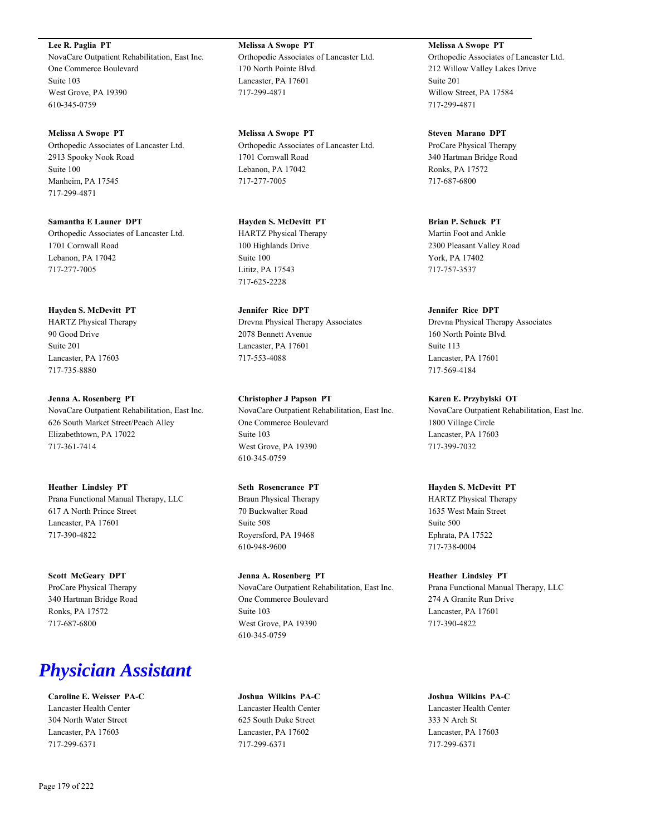**Lee R. Paglia PT** NovaCare Outpatient Rehabilitation, East Inc. One Commerce Boulevard Suite 103 West Grove, PA 19390 610-345-0759

**Melissa A Swope PT** Orthopedic Associates of Lancaster Ltd. 2913 Spooky Nook Road Suite 100 Manheim, PA 17545 717-299-4871

**Samantha E Launer DPT** Orthopedic Associates of Lancaster Ltd. 1701 Cornwall Road Lebanon, PA 17042 717-277-7005

**Hayden S. McDevitt PT** HARTZ Physical Therapy 90 Good Drive Suite 201 Lancaster, PA 17603 717-735-8880

**Jenna A. Rosenberg PT** NovaCare Outpatient Rehabilitation, East Inc. 626 South Market Street/Peach Alley Elizabethtown, PA 17022 717-361-7414

**Heather Lindsley PT** Prana Functional Manual Therapy, LLC 617 A North Prince Street Lancaster, PA 17601 717-390-4822

**Scott McGeary DPT** ProCare Physical Therapy 340 Hartman Bridge Road Ronks, PA 17572 717-687-6800

## *Physician Assistant*

**Caroline E. Weisser PA-C** Lancaster Health Center 304 North Water Street Lancaster, PA 17603 717-299-6371

**Melissa A Swope PT** Orthopedic Associates of Lancaster Ltd. 170 North Pointe Blvd. Lancaster, PA 17601 717-299-4871

**Melissa A Swope PT** Orthopedic Associates of Lancaster Ltd. 1701 Cornwall Road Lebanon, PA 17042 717-277-7005

**Hayden S. McDevitt PT** HARTZ Physical Therapy 100 Highlands Drive Suite 100 Lititz, PA 17543 717-625-2228

**Jennifer Rice DPT** Drevna Physical Therapy Associates 2078 Bennett Avenue Lancaster, PA 17601 717-553-4088

**Christopher J Papson PT** NovaCare Outpatient Rehabilitation, East Inc. One Commerce Boulevard Suite 103 West Grove, PA 19390 610-345-0759

**Seth Rosencrance PT** Braun Physical Therapy 70 Buckwalter Road Suite 508 Royersford, PA 19468 610-948-9600

**Jenna A. Rosenberg PT** NovaCare Outpatient Rehabilitation, East Inc. One Commerce Boulevard Suite 103 West Grove, PA 19390 610-345-0759

**Joshua Wilkins PA-C** Lancaster Health Center 625 South Duke Street Lancaster, PA 17602 717-299-6371

**Melissa A Swope PT** Orthopedic Associates of Lancaster Ltd. 212 Willow Valley Lakes Drive Suite 201 Willow Street, PA 17584 717-299-4871

**Steven Marano DPT** ProCare Physical Therapy 340 Hartman Bridge Road Ronks, PA 17572 717-687-6800

**Brian P. Schuck PT** Martin Foot and Ankle 2300 Pleasant Valley Road York, PA 17402 717-757-3537

**Jennifer Rice DPT** Drevna Physical Therapy Associates 160 North Pointe Blvd. Suite 113 Lancaster, PA 17601 717-569-4184

**Karen E. Przybylski OT** NovaCare Outpatient Rehabilitation, East Inc. 1800 Village Circle Lancaster, PA 17603 717-399-7032

**Hayden S. McDevitt PT** HARTZ Physical Therapy 1635 West Main Street Suite 500 Ephrata, PA 17522 717-738-0004

**Heather Lindsley PT** Prana Functional Manual Therapy, LLC 274 A Granite Run Drive Lancaster, PA 17601 717-390-4822

**Joshua Wilkins PA-C** Lancaster Health Center 333 N Arch St Lancaster, PA 17603 717-299-6371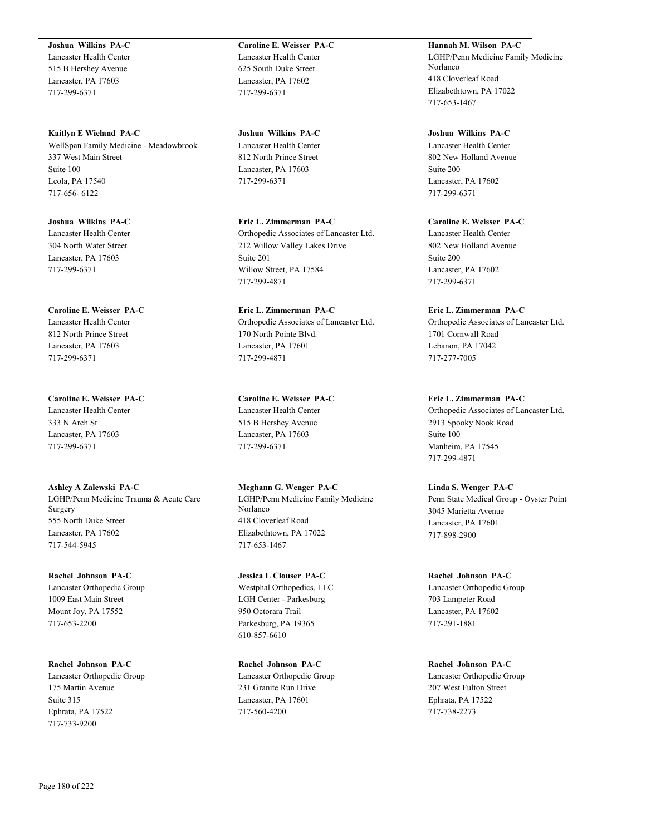**Joshua Wilkins PA-C** Lancaster Health Center 515 B Hershey Avenue Lancaster, PA 17603 717-299-6371

**Kaitlyn E Wieland PA-C** WellSpan Family Medicine - Meadowbrook 337 West Main Street Suite 100 Leola, PA 17540 717-656- 6122

**Joshua Wilkins PA-C** Lancaster Health Center 304 North Water Street Lancaster, PA 17603 717-299-6371

**Caroline E. Weisser PA-C** Lancaster Health Center 812 North Prince Street Lancaster, PA 17603 717-299-6371

**Caroline E. Weisser PA-C** Lancaster Health Center 333 N Arch St Lancaster, PA 17603 717-299-6371

**Ashley A Zalewski PA-C** LGHP/Penn Medicine Trauma & Acute Care Surgery 555 North Duke Street Lancaster, PA 17602 717-544-5945

**Rachel Johnson PA-C** Lancaster Orthopedic Group 1009 East Main Street Mount Joy, PA 17552 717-653-2200

**Rachel Johnson PA-C** Lancaster Orthopedic Group 175 Martin Avenue Suite 315 Ephrata, PA 17522 717-733-9200

**Caroline E. Weisser PA-C** Lancaster Health Center 625 South Duke Street Lancaster, PA 17602 717-299-6371

**Joshua Wilkins PA-C** Lancaster Health Center 812 North Prince Street Lancaster, PA 17603 717-299-6371

**Eric L. Zimmerman PA-C** Orthopedic Associates of Lancaster Ltd. 212 Willow Valley Lakes Drive Suite 201 Willow Street, PA 17584 717-299-4871

**Eric L. Zimmerman PA-C** Orthopedic Associates of Lancaster Ltd. 170 North Pointe Blvd. Lancaster, PA 17601 717-299-4871

**Caroline E. Weisser PA-C** Lancaster Health Center 515 B Hershey Avenue Lancaster, PA 17603 717-299-6371

**Meghann G. Wenger PA-C** LGHP/Penn Medicine Family Medicine Norlanco 418 Cloverleaf Road Elizabethtown, PA 17022 717-653-1467

**Jessica L Clouser PA-C** Westphal Orthopedics, LLC LGH Center - Parkesburg 950 Octorara Trail Parkesburg, PA 19365 610-857-6610

**Rachel Johnson PA-C** Lancaster Orthopedic Group 231 Granite Run Drive Lancaster, PA 17601 717-560-4200

**Hannah M. Wilson PA-C** LGHP/Penn Medicine Family Medicine Norlanco 418 Cloverleaf Road Elizabethtown, PA 17022 717-653-1467

**Joshua Wilkins PA-C** Lancaster Health Center 802 New Holland Avenue Suite 200 Lancaster, PA 17602 717-299-6371

**Caroline E. Weisser PA-C** Lancaster Health Center 802 New Holland Avenue Suite 200 Lancaster, PA 17602 717-299-6371

**Eric L. Zimmerman PA-C** Orthopedic Associates of Lancaster Ltd. 1701 Cornwall Road Lebanon, PA 17042 717-277-7005

**Eric L. Zimmerman PA-C** Orthopedic Associates of Lancaster Ltd. 2913 Spooky Nook Road Suite 100 Manheim, PA 17545 717-299-4871

**Linda S. Wenger PA-C** Penn State Medical Group - Oyster Point 3045 Marietta Avenue Lancaster, PA 17601 717-898-2900

**Rachel Johnson PA-C** Lancaster Orthopedic Group 703 Lampeter Road Lancaster, PA 17602 717-291-1881

**Rachel Johnson PA-C** Lancaster Orthopedic Group 207 West Fulton Street Ephrata, PA 17522 717-738-2273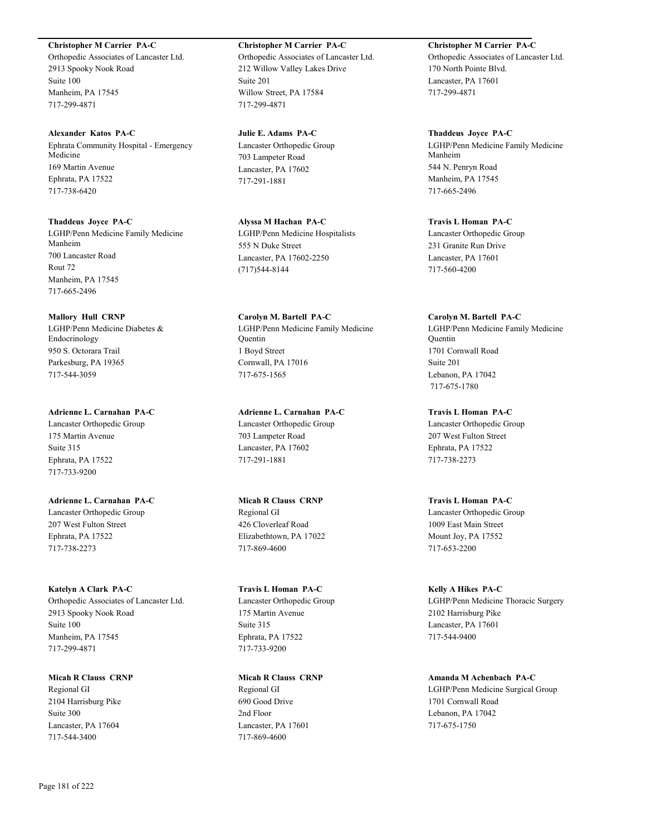# **Christopher M Carrier PA-C**

Orthopedic Associates of Lancaster Ltd. 2913 Spooky Nook Road Suite 100 Manheim, PA 17545 717-299-4871

**Alexander Katos PA-C** Ephrata Community Hospital - Emergency Medicine 169 Martin Avenue Ephrata, PA 17522 717-738-6420

**Thaddeus Joyce PA-C** LGHP/Penn Medicine Family Medicine Manheim 700 Lancaster Road Rout 72 Manheim, PA 17545 717-665-2496

**Mallory Hull CRNP** LGHP/Penn Medicine Diabetes & Endocrinology 950 S. Octorara Trail Parkesburg, PA 19365 717-544-3059

**Adrienne L. Carnahan PA-C** Lancaster Orthopedic Group 175 Martin Avenue Suite 315 Ephrata, PA 17522 717-733-9200

**Adrienne L. Carnahan PA-C** Lancaster Orthopedic Group 207 West Fulton Street Ephrata, PA 17522 717-738-2273

**Katelyn A Clark PA-C** Orthopedic Associates of Lancaster Ltd. 2913 Spooky Nook Road Suite 100 Manheim, PA 17545 717-299-4871

**Micah R Clauss CRNP** Regional GI 2104 Harrisburg Pike Suite 300 Lancaster, PA 17604 717-544-3400

**Christopher M Carrier PA-C** Orthopedic Associates of Lancaster Ltd. 212 Willow Valley Lakes Drive Suite 201 Willow Street, PA 17584 717-299-4871

**Julie E. Adams PA-C** Lancaster Orthopedic Group 703 Lampeter Road Lancaster, PA 17602 717-291-1881

**Alyssa M Hachan PA-C** LGHP/Penn Medicine Hospitalists 555 N Duke Street Lancaster, PA 17602-2250 (717)544-8144

**Carolyn M. Bartell PA-C** LGHP/Penn Medicine Family Medicine Quentin 1 Boyd Street Cornwall, PA 17016 717-675-1565

**Adrienne L. Carnahan PA-C** Lancaster Orthopedic Group 703 Lampeter Road Lancaster, PA 17602 717-291-1881

**Micah R Clauss CRNP** Regional GI 426 Cloverleaf Road Elizabethtown, PA 17022 717-869-4600

**Travis L Homan PA-C** Lancaster Orthopedic Group 175 Martin Avenue Suite 315 Ephrata, PA 17522 717-733-9200

**Micah R Clauss CRNP** Regional GI 690 Good Drive 2nd Floor Lancaster, PA 17601 717-869-4600

**Christopher M Carrier PA-C** Orthopedic Associates of Lancaster Ltd. 170 North Pointe Blvd. Lancaster, PA 17601 717-299-4871

**Thaddeus Joyce PA-C** LGHP/Penn Medicine Family Medicine Manheim 544 N. Penryn Road Manheim, PA 17545 717-665-2496

**Travis L Homan PA-C** Lancaster Orthopedic Group 231 Granite Run Drive Lancaster, PA 17601 717-560-4200

**Carolyn M. Bartell PA-C** LGHP/Penn Medicine Family Medicine Quentin 1701 Cornwall Road Suite 201 Lebanon, PA 17042 717-675-1780

**Travis L Homan PA-C** Lancaster Orthopedic Group 207 West Fulton Street Ephrata, PA 17522 717-738-2273

**Travis L Homan PA-C** Lancaster Orthopedic Group 1009 East Main Street Mount Joy, PA 17552 717-653-2200

**Kelly A Hikes PA-C** LGHP/Penn Medicine Thoracic Surgery 2102 Harrisburg Pike Lancaster, PA 17601 717-544-9400

**Amanda M Achenbach PA-C** LGHP/Penn Medicine Surgical Group 1701 Cornwall Road Lebanon, PA 17042 717-675-1750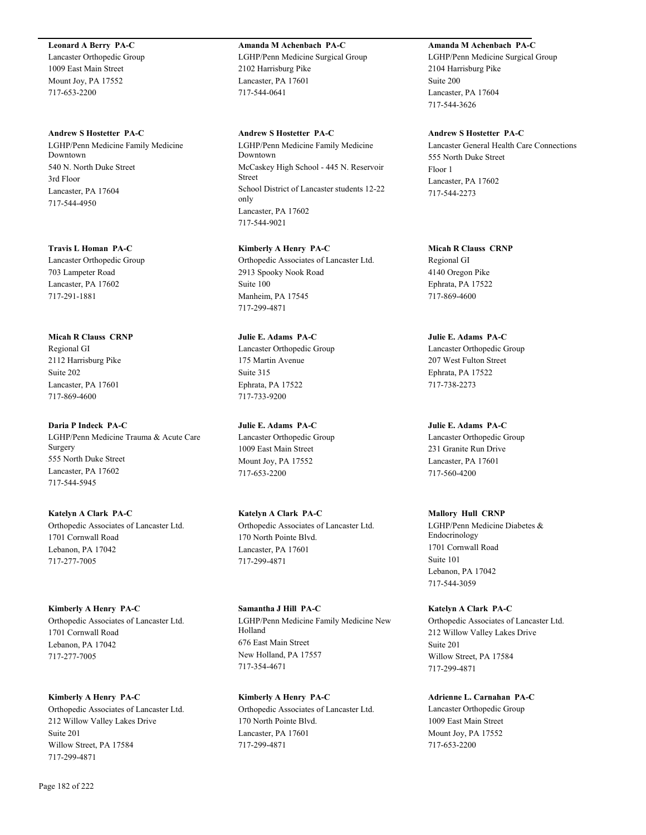#### **Leonard A Berry PA-C**

Lancaster Orthopedic Group 1009 East Main Street Mount Joy, PA 17552 717-653-2200

#### **Andrew S Hostetter PA-C**

LGHP/Penn Medicine Family Medicine Downtown 540 N. North Duke Street 3rd Floor Lancaster, PA 17604 717-544-4950

**Travis L Homan PA-C**

Lancaster Orthopedic Group 703 Lampeter Road Lancaster, PA 17602 717-291-1881

#### **Micah R Clauss CRNP**

Regional GI 2112 Harrisburg Pike Suite 202 Lancaster, PA 17601 717-869-4600

# **Daria P Indeck PA-C**

LGHP/Penn Medicine Trauma & Acute Care Surgery 555 North Duke Street Lancaster, PA 17602 717-544-5945

# **Katelyn A Clark PA-C**

Orthopedic Associates of Lancaster Ltd. 1701 Cornwall Road Lebanon, PA 17042 717-277-7005

#### **Kimberly A Henry PA-C**

Orthopedic Associates of Lancaster Ltd. 1701 Cornwall Road Lebanon, PA 17042 717-277-7005

# **Kimberly A Henry PA-C**

Orthopedic Associates of Lancaster Ltd. 212 Willow Valley Lakes Drive Suite 201 Willow Street, PA 17584 717-299-4871

# **Amanda M Achenbach PA-C** LGHP/Penn Medicine Surgical Group 2102 Harrisburg Pike Lancaster, PA 17601 717-544-0641

# **Andrew S Hostetter PA-C**

LGHP/Penn Medicine Family Medicine Downtown McCaskey High School - 445 N. Reservoir Street School District of Lancaster students 12-22 only Lancaster, PA 17602 717-544-9021

# **Kimberly A Henry PA-C**

Orthopedic Associates of Lancaster Ltd. 2913 Spooky Nook Road Suite 100 Manheim, PA 17545 717-299-4871

# **Julie E. Adams PA-C**

Lancaster Orthopedic Group 175 Martin Avenue Suite 315 Ephrata, PA 17522 717-733-9200

#### **Julie E. Adams PA-C**

Lancaster Orthopedic Group 1009 East Main Street Mount Joy, PA 17552 717-653-2200

# **Katelyn A Clark PA-C** Orthopedic Associates of Lancaster Ltd. 170 North Pointe Blvd. Lancaster, PA 17601 717-299-4871

**Samantha J Hill PA-C** LGHP/Penn Medicine Family Medicine New Holland 676 East Main Street New Holland, PA 17557 717-354-4671

# **Kimberly A Henry PA-C** Orthopedic Associates of Lancaster Ltd. 170 North Pointe Blvd. Lancaster, PA 17601 717-299-4871

# **Amanda M Achenbach PA-C**

LGHP/Penn Medicine Surgical Group 2104 Harrisburg Pike Suite 200 Lancaster, PA 17604 717-544-3626

#### **Andrew S Hostetter PA-C**

Lancaster General Health Care Connections 555 North Duke Street Floor 1 Lancaster, PA 17602 717-544-2273

# **Micah R Clauss CRNP** Regional GI 4140 Oregon Pike

Ephrata, PA 17522 717-869-4600

#### **Julie E. Adams PA-C**

Lancaster Orthopedic Group 207 West Fulton Street Ephrata, PA 17522 717-738-2273

#### **Julie E. Adams PA-C**

Lancaster Orthopedic Group 231 Granite Run Drive Lancaster, PA 17601 717-560-4200

# **Mallory Hull CRNP**

LGHP/Penn Medicine Diabetes & Endocrinology 1701 Cornwall Road Suite 101 Lebanon, PA 17042 717-544-3059

#### **Katelyn A Clark PA-C**

Orthopedic Associates of Lancaster Ltd. 212 Willow Valley Lakes Drive Suite 201 Willow Street, PA 17584 717-299-4871

# **Adrienne L. Carnahan PA-C**

Lancaster Orthopedic Group 1009 East Main Street Mount Joy, PA 17552 717-653-2200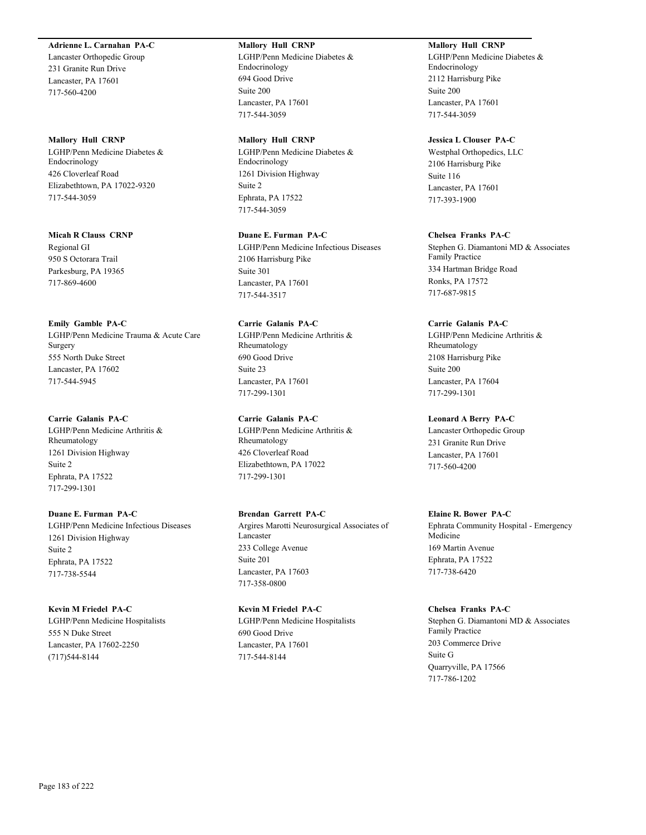# **Adrienne L. Carnahan PA-C**

Lancaster Orthopedic Group 231 Granite Run Drive Lancaster, PA 17601 717-560-4200

#### **Mallory Hull CRNP**

LGHP/Penn Medicine Diabetes & Endocrinology 426 Cloverleaf Road Elizabethtown, PA 17022-9320 717-544-3059

#### **Micah R Clauss CRNP**

Regional GI 950 S Octorara Trail Parkesburg, PA 19365 717-869-4600

#### **Emily Gamble PA-C**

LGHP/Penn Medicine Trauma & Acute Care Surgery 555 North Duke Street Lancaster, PA 17602 717-544-5945

# **Carrie Galanis PA-C**

LGHP/Penn Medicine Arthritis & Rheumatology 1261 Division Highway Suite 2 Ephrata, PA 17522 717-299-1301

# **Duane E. Furman PA-C**

LGHP/Penn Medicine Infectious Diseases 1261 Division Highway Suite 2 Ephrata, PA 17522 717-738-5544

#### **Kevin M Friedel PA-C**

LGHP/Penn Medicine Hospitalists 555 N Duke Street Lancaster, PA 17602-2250 (717)544-8144

#### **Mallory Hull CRNP**

LGHP/Penn Medicine Diabetes & Endocrinology 694 Good Drive Suite 200 Lancaster, PA 17601 717-544-3059

# **Mallory Hull CRNP**

LGHP/Penn Medicine Diabetes & Endocrinology 1261 Division Highway Suite 2 Ephrata, PA 17522 717-544-3059

# **Duane E. Furman PA-C**

LGHP/Penn Medicine Infectious Diseases 2106 Harrisburg Pike Suite 301 Lancaster, PA 17601 717-544-3517

# **Carrie Galanis PA-C** LGHP/Penn Medicine Arthritis & Rheumatology 690 Good Drive Suite 23

Lancaster, PA 17601 717-299-1301

# **Carrie Galanis PA-C**

LGHP/Penn Medicine Arthritis & Rheumatology 426 Cloverleaf Road Elizabethtown, PA 17022 717-299-1301

#### **Brendan Garrett PA-C**

Argires Marotti Neurosurgical Associates of Lancaster 233 College Avenue Suite 201 Lancaster, PA 17603 717-358-0800

# **Kevin M Friedel PA-C**

LGHP/Penn Medicine Hospitalists 690 Good Drive Lancaster, PA 17601 717-544-8144

# **Mallory Hull CRNP**

LGHP/Penn Medicine Diabetes & Endocrinology 2112 Harrisburg Pike Suite 200 Lancaster, PA 17601 717-544-3059

#### **Jessica L Clouser PA-C**

Westphal Orthopedics, LLC 2106 Harrisburg Pike Suite 116 Lancaster, PA 17601 717-393-1900

# **Chelsea Franks PA-C**

Stephen G. Diamantoni MD & Associates Family Practice 334 Hartman Bridge Road Ronks, PA 17572 717-687-9815

#### **Carrie Galanis PA-C**

LGHP/Penn Medicine Arthritis & Rheumatology 2108 Harrisburg Pike Suite 200 Lancaster, PA 17604 717-299-1301

#### **Leonard A Berry PA-C**

Lancaster Orthopedic Group 231 Granite Run Drive Lancaster, PA 17601 717-560-4200

# **Elaine R. Bower PA-C**

Ephrata Community Hospital - Emergency Medicine 169 Martin Avenue Ephrata, PA 17522 717-738-6420

#### **Chelsea Franks PA-C**

Stephen G. Diamantoni MD & Associates Family Practice 203 Commerce Drive Suite G Quarryville, PA 17566 717-786-1202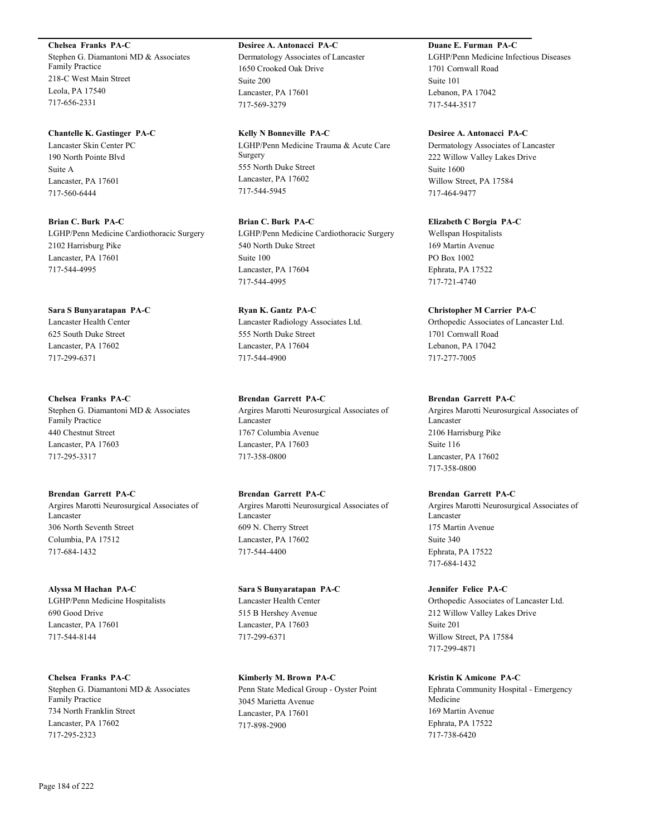#### **Chelsea Franks PA-C**

Stephen G. Diamantoni MD & Associates Family Practice 218-C West Main Street Leola, PA 17540 717-656-2331

#### **Chantelle K. Gastinger PA-C**

Lancaster Skin Center PC 190 North Pointe Blvd Suite A Lancaster, PA 17601 717-560-6444

**Brian C. Burk PA-C** LGHP/Penn Medicine Cardiothoracic Surgery 2102 Harrisburg Pike Lancaster, PA 17601 717-544-4995

**Sara S Bunyaratapan PA-C** Lancaster Health Center 625 South Duke Street Lancaster, PA 17602 717-299-6371

**Chelsea Franks PA-C** Stephen G. Diamantoni MD & Associates Family Practice 440 Chestnut Street Lancaster, PA 17603 717-295-3317

**Brendan Garrett PA-C** Argires Marotti Neurosurgical Associates of Lancaster 306 North Seventh Street Columbia, PA 17512 717-684-1432

**Alyssa M Hachan PA-C** LGHP/Penn Medicine Hospitalists 690 Good Drive Lancaster, PA 17601 717-544-8144

**Chelsea Franks PA-C** Stephen G. Diamantoni MD & Associates Family Practice 734 North Franklin Street Lancaster, PA 17602 717-295-2323

# **Desiree A. Antonacci PA-C** Dermatology Associates of Lancaster

1650 Crooked Oak Drive Suite 200 Lancaster, PA 17601 717-569-3279

**Kelly N Bonneville PA-C** LGHP/Penn Medicine Trauma & Acute Care Surgery 555 North Duke Street Lancaster, PA 17602 717-544-5945

**Brian C. Burk PA-C** LGHP/Penn Medicine Cardiothoracic Surgery 540 North Duke Street Suite 100 Lancaster, PA 17604 717-544-4995

**Ryan K. Gantz PA-C** Lancaster Radiology Associates Ltd. 555 North Duke Street Lancaster, PA 17604 717-544-4900

**Brendan Garrett PA-C** Argires Marotti Neurosurgical Associates of Lancaster 1767 Columbia Avenue Lancaster, PA 17603 717-358-0800

**Brendan Garrett PA-C** Argires Marotti Neurosurgical Associates of Lancaster 609 N. Cherry Street Lancaster, PA 17602 717-544-4400

**Sara S Bunyaratapan PA-C** Lancaster Health Center 515 B Hershey Avenue Lancaster, PA 17603 717-299-6371

**Kimberly M. Brown PA-C** Penn State Medical Group - Oyster Point 3045 Marietta Avenue Lancaster, PA 17601 717-898-2900

# **Duane E. Furman PA-C**

LGHP/Penn Medicine Infectious Diseases 1701 Cornwall Road Suite 101 Lebanon, PA 17042 717-544-3517

**Desiree A. Antonacci PA-C**

Dermatology Associates of Lancaster 222 Willow Valley Lakes Drive Suite 1600 Willow Street, PA 17584 717-464-9477

**Elizabeth C Borgia PA-C** Wellspan Hospitalists 169 Martin Avenue PO Box 1002 Ephrata, PA 17522 717-721-4740

# **Christopher M Carrier PA-C**

Orthopedic Associates of Lancaster Ltd. 1701 Cornwall Road Lebanon, PA 17042 717-277-7005

# **Brendan Garrett PA-C**

Argires Marotti Neurosurgical Associates of Lancaster 2106 Harrisburg Pike Suite 116 Lancaster, PA 17602 717-358-0800

**Brendan Garrett PA-C**

Argires Marotti Neurosurgical Associates of Lancaster 175 Martin Avenue Suite 340 Ephrata, PA 17522 717-684-1432

**Jennifer Felice PA-C** Orthopedic Associates of Lancaster Ltd. 212 Willow Valley Lakes Drive Suite 201 Willow Street, PA 17584 717-299-4871

**Kristin K Amicone PA-C** Ephrata Community Hospital - Emergency Medicine 169 Martin Avenue Ephrata, PA 17522 717-738-6420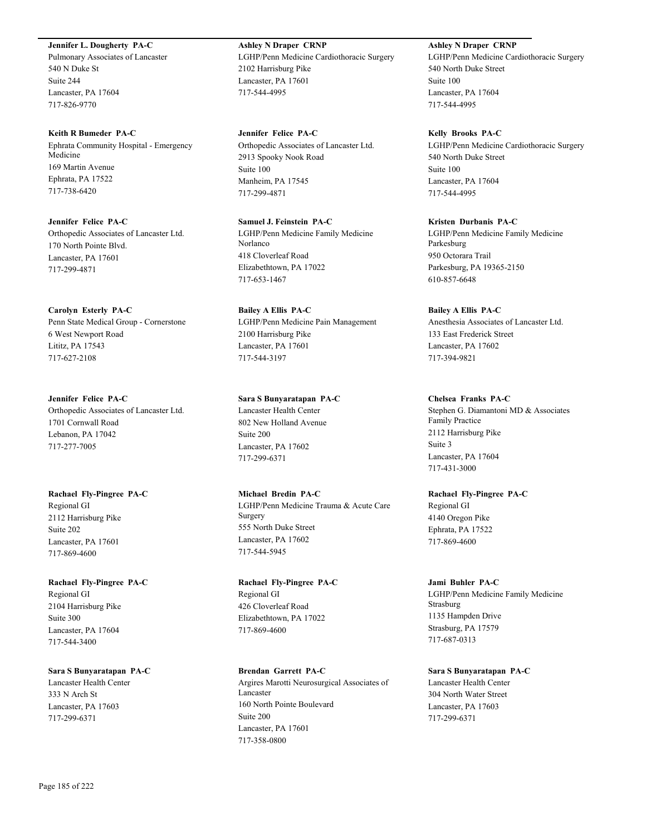**Jennifer L. Dougherty PA-C**

Pulmonary Associates of Lancaster 540 N Duke St Suite 244 Lancaster, PA 17604 717-826-9770

**Keith R Bumeder PA-C** Ephrata Community Hospital - Emergency Medicine 169 Martin Avenue Ephrata, PA 17522 717-738-6420

**Jennifer Felice PA-C** Orthopedic Associates of Lancaster Ltd. 170 North Pointe Blvd. Lancaster, PA 17601 717-299-4871

**Carolyn Esterly PA-C** Penn State Medical Group - Cornerstone 6 West Newport Road Lititz, PA 17543 717-627-2108

**Jennifer Felice PA-C** Orthopedic Associates of Lancaster Ltd. 1701 Cornwall Road Lebanon, PA 17042 717-277-7005

**Rachael Fly-Pingree PA-C** Regional GI 2112 Harrisburg Pike Suite 202 Lancaster, PA 17601 717-869-4600

**Rachael Fly-Pingree PA-C** Regional GI 2104 Harrisburg Pike Suite 300 Lancaster, PA 17604 717-544-3400

**Sara S Bunyaratapan PA-C** Lancaster Health Center 333 N Arch St Lancaster, PA 17603 717-299-6371

**Ashley N Draper CRNP** LGHP/Penn Medicine Cardiothoracic Surgery 2102 Harrisburg Pike Lancaster, PA 17601 717-544-4995

**Jennifer Felice PA-C** Orthopedic Associates of Lancaster Ltd. 2913 Spooky Nook Road Suite 100 Manheim, PA 17545 717-299-4871

**Samuel J. Feinstein PA-C** LGHP/Penn Medicine Family Medicine Norlanco 418 Cloverleaf Road Elizabethtown, PA 17022 717-653-1467

**Bailey A Ellis PA-C** LGHP/Penn Medicine Pain Management 2100 Harrisburg Pike Lancaster, PA 17601 717-544-3197

**Sara S Bunyaratapan PA-C** Lancaster Health Center 802 New Holland Avenue Suite 200 Lancaster, PA 17602 717-299-6371

**Michael Bredin PA-C** LGHP/Penn Medicine Trauma & Acute Care Surgery 555 North Duke Street Lancaster, PA 17602 717-544-5945

**Rachael Fly-Pingree PA-C** Regional GI 426 Cloverleaf Road Elizabethtown, PA 17022 717-869-4600

**Brendan Garrett PA-C** Argires Marotti Neurosurgical Associates of Lancaster 160 North Pointe Boulevard Suite 200 Lancaster, PA 17601 717-358-0800

**Ashley N Draper CRNP** LGHP/Penn Medicine Cardiothoracic Surgery 540 North Duke Street Suite 100 Lancaster, PA 17604 717-544-4995

**Kelly Brooks PA-C** LGHP/Penn Medicine Cardiothoracic Surgery 540 North Duke Street Suite 100 Lancaster, PA 17604 717-544-4995

**Kristen Durbanis PA-C** LGHP/Penn Medicine Family Medicine Parkesburg 950 Octorara Trail Parkesburg, PA 19365-2150 610-857-6648

**Bailey A Ellis PA-C** Anesthesia Associates of Lancaster Ltd. 133 East Frederick Street Lancaster, PA 17602 717-394-9821

**Chelsea Franks PA-C** Stephen G. Diamantoni MD & Associates Family Practice 2112 Harrisburg Pike Suite 3 Lancaster, PA 17604 717-431-3000

**Rachael Fly-Pingree PA-C** Regional GI 4140 Oregon Pike Ephrata, PA 17522 717-869-4600

**Jami Buhler PA-C** LGHP/Penn Medicine Family Medicine Strasburg 1135 Hampden Drive Strasburg, PA 17579 717-687-0313

**Sara S Bunyaratapan PA-C** Lancaster Health Center 304 North Water Street Lancaster, PA 17603 717-299-6371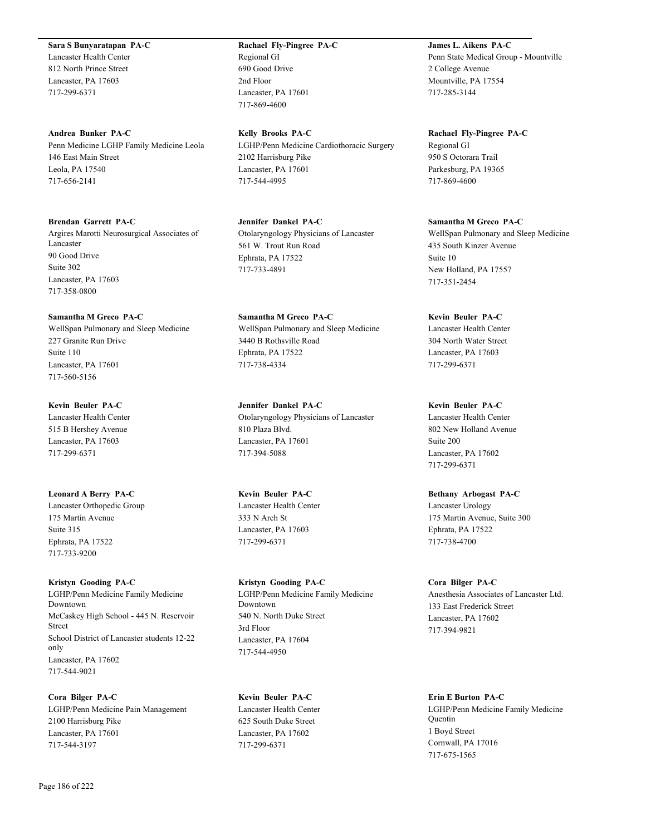**Sara S Bunyaratapan PA-C**

Lancaster Health Center 812 North Prince Street Lancaster, PA 17603 717-299-6371

**Andrea Bunker PA-C** Penn Medicine LGHP Family Medicine Leola 146 East Main Street Leola, PA 17540 717-656-2141

**Brendan Garrett PA-C** Argires Marotti Neurosurgical Associates of Lancaster 90 Good Drive Suite 302 Lancaster, PA 17603

**Samantha M Greco PA-C** WellSpan Pulmonary and Sleep Medicine 227 Granite Run Drive Suite 110 Lancaster, PA 17601 717-560-5156

**Kevin Beuler PA-C** Lancaster Health Center 515 B Hershey Avenue Lancaster, PA 17603

717-299-6371

717-358-0800

**Leonard A Berry PA-C** Lancaster Orthopedic Group 175 Martin Avenue Suite 315 Ephrata, PA 17522 717-733-9200

**Kristyn Gooding PA-C** LGHP/Penn Medicine Family Medicine Downtown McCaskey High School - 445 N. Reservoir Street School District of Lancaster students 12-22 only Lancaster, PA 17602 717-544-9021

**Cora Bilger PA-C** LGHP/Penn Medicine Pain Management 2100 Harrisburg Pike Lancaster, PA 17601 717-544-3197

**Rachael Fly-Pingree PA-C** Regional GI 690 Good Drive 2nd Floor Lancaster, PA 17601 717-869-4600

**Kelly Brooks PA-C** LGHP/Penn Medicine Cardiothoracic Surgery 2102 Harrisburg Pike Lancaster, PA 17601 717-544-4995

**Jennifer Dankel PA-C** Otolaryngology Physicians of Lancaster 561 W. Trout Run Road Ephrata, PA 17522 717-733-4891

**Samantha M Greco PA-C** WellSpan Pulmonary and Sleep Medicine 3440 B Rothsville Road Ephrata, PA 17522 717-738-4334

**Jennifer Dankel PA-C** Otolaryngology Physicians of Lancaster 810 Plaza Blvd. Lancaster, PA 17601 717-394-5088

**Kevin Beuler PA-C** Lancaster Health Center 333 N Arch St Lancaster, PA 17603 717-299-6371

**Kristyn Gooding PA-C** LGHP/Penn Medicine Family Medicine Downtown 540 N. North Duke Street 3rd Floor Lancaster, PA 17604 717-544-4950

**Kevin Beuler PA-C** Lancaster Health Center 625 South Duke Street Lancaster, PA 17602 717-299-6371

**James L. Aikens PA-C** Penn State Medical Group - Mountville 2 College Avenue Mountville, PA 17554 717-285-3144

**Rachael Fly-Pingree PA-C** Regional GI 950 S Octorara Trail Parkesburg, PA 19365 717-869-4600

**Samantha M Greco PA-C** WellSpan Pulmonary and Sleep Medicine 435 South Kinzer Avenue Suite 10 New Holland, PA 17557 717-351-2454

**Kevin Beuler PA-C** Lancaster Health Center 304 North Water Street Lancaster, PA 17603 717-299-6371

**Kevin Beuler PA-C** Lancaster Health Center 802 New Holland Avenue Suite 200 Lancaster, PA 17602 717-299-6371

**Bethany Arbogast PA-C** Lancaster Urology 175 Martin Avenue, Suite 300 Ephrata, PA 17522 717-738-4700

**Cora Bilger PA-C** Anesthesia Associates of Lancaster Ltd. 133 East Frederick Street Lancaster, PA 17602 717-394-9821

**Erin E Burton PA-C** LGHP/Penn Medicine Family Medicine **Ouentin** 1 Boyd Street Cornwall, PA 17016 717-675-1565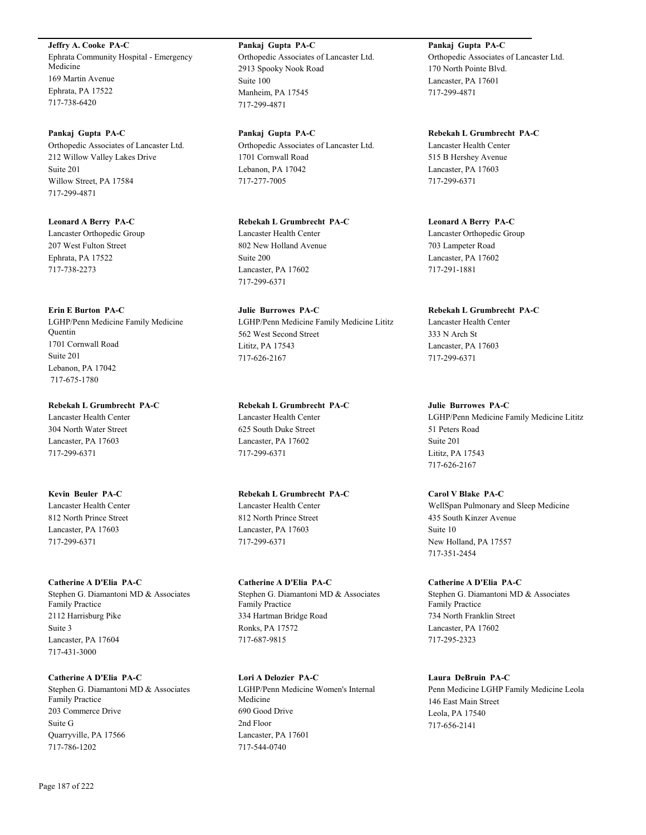**Jeffry A. Cooke PA-C** Ephrata Community Hospital - Emergency Medicine 169 Martin Avenue Ephrata, PA 17522 717-738-6420

**Pankaj Gupta PA-C** Orthopedic Associates of Lancaster Ltd. 212 Willow Valley Lakes Drive Suite 201 Willow Street, PA 17584 717-299-4871

**Leonard A Berry PA-C** Lancaster Orthopedic Group 207 West Fulton Street Ephrata, PA 17522 717-738-2273

**Erin E Burton PA-C** LGHP/Penn Medicine Family Medicine **Ouentin** 1701 Cornwall Road Suite 201 Lebanon, PA 17042 717-675-1780

**Rebekah L Grumbrecht PA-C** Lancaster Health Center

304 North Water Street Lancaster, PA 17603 717-299-6371

**Kevin Beuler PA-C** Lancaster Health Center 812 North Prince Street Lancaster, PA 17603 717-299-6371

**Catherine A D'Elia PA-C** Stephen G. Diamantoni MD & Associates Family Practice 2112 Harrisburg Pike Suite 3 Lancaster, PA 17604 717-431-3000

**Catherine A D'Elia PA-C** Stephen G. Diamantoni MD & Associates Family Practice 203 Commerce Drive Suite G Quarryville, PA 17566 717-786-1202

**Pankaj Gupta PA-C** Orthopedic Associates of Lancaster Ltd. 2913 Spooky Nook Road Suite 100 Manheim, PA 17545 717-299-4871

**Pankaj Gupta PA-C** Orthopedic Associates of Lancaster Ltd. 1701 Cornwall Road Lebanon, PA 17042 717-277-7005

**Rebekah L Grumbrecht PA-C** Lancaster Health Center 802 New Holland Avenue Suite 200 Lancaster, PA 17602 717-299-6371

**Julie Burrowes PA-C** LGHP/Penn Medicine Family Medicine Lititz 562 West Second Street Lititz, PA 17543 717-626-2167

**Rebekah L Grumbrecht PA-C** Lancaster Health Center 625 South Duke Street Lancaster, PA 17602 717-299-6371

**Rebekah L Grumbrecht PA-C** Lancaster Health Center 812 North Prince Street Lancaster, PA 17603 717-299-6371

**Catherine A D'Elia PA-C** Stephen G. Diamantoni MD & Associates Family Practice 334 Hartman Bridge Road Ronks, PA 17572 717-687-9815

**Lori A Delozier PA-C** LGHP/Penn Medicine Women's Internal Medicine 690 Good Drive 2nd Floor Lancaster, PA 17601 717-544-0740

**Pankaj Gupta PA-C** Orthopedic Associates of Lancaster Ltd. 170 North Pointe Blvd. Lancaster, PA 17601 717-299-4871

**Rebekah L Grumbrecht PA-C** Lancaster Health Center 515 B Hershey Avenue Lancaster, PA 17603 717-299-6371

**Leonard A Berry PA-C** Lancaster Orthopedic Group 703 Lampeter Road Lancaster, PA 17602 717-291-1881

**Rebekah L Grumbrecht PA-C** Lancaster Health Center

333 N Arch St Lancaster, PA 17603 717-299-6371

**Julie Burrowes PA-C** LGHP/Penn Medicine Family Medicine Lititz 51 Peters Road Suite 201 Lititz, PA 17543 717-626-2167

**Carol V Blake PA-C** WellSpan Pulmonary and Sleep Medicine 435 South Kinzer Avenue Suite 10 New Holland, PA 17557 717-351-2454

**Catherine A D'Elia PA-C** Stephen G. Diamantoni MD & Associates Family Practice 734 North Franklin Street Lancaster, PA 17602 717-295-2323

**Laura DeBruin PA-C** Penn Medicine LGHP Family Medicine Leola 146 East Main Street Leola, PA 17540 717-656-2141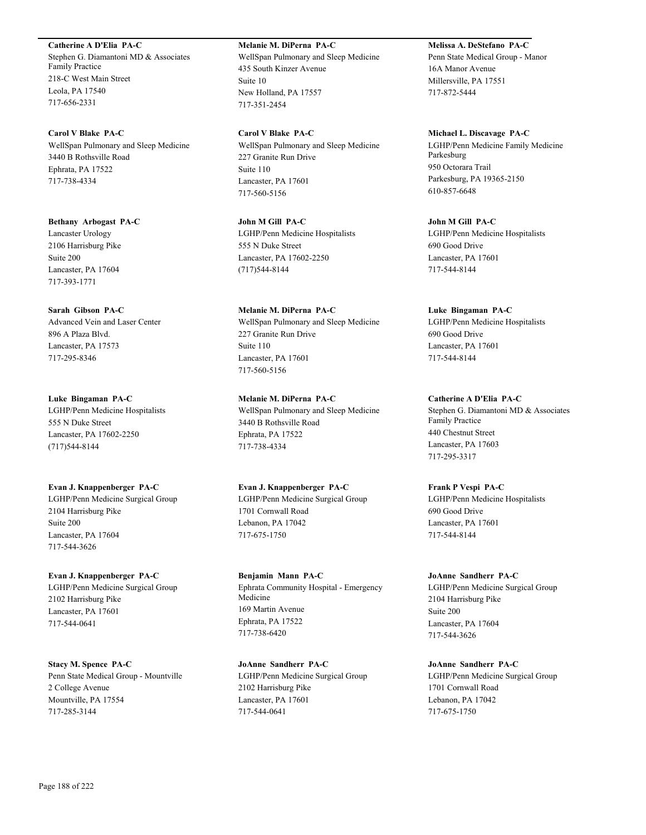**Catherine A D'Elia PA-C** Stephen G. Diamantoni MD & Associates Family Practice 218-C West Main Street Leola, PA 17540 717-656-2331

**Carol V Blake PA-C** WellSpan Pulmonary and Sleep Medicine 3440 B Rothsville Road Ephrata, PA 17522 717-738-4334

**Bethany Arbogast PA-C** Lancaster Urology 2106 Harrisburg Pike Suite 200 Lancaster, PA 17604 717-393-1771

**Sarah Gibson PA-C** Advanced Vein and Laser Center 896 A Plaza Blvd. Lancaster, PA 17573 717-295-8346

**Luke Bingaman PA-C** LGHP/Penn Medicine Hospitalists 555 N Duke Street Lancaster, PA 17602-2250 (717)544-8144

**Evan J. Knappenberger PA-C** LGHP/Penn Medicine Surgical Group 2104 Harrisburg Pike Suite 200 Lancaster, PA 17604 717-544-3626

**Evan J. Knappenberger PA-C** LGHP/Penn Medicine Surgical Group 2102 Harrisburg Pike Lancaster, PA 17601 717-544-0641

**Stacy M. Spence PA-C** Penn State Medical Group - Mountville 2 College Avenue Mountville, PA 17554 717-285-3144

**Melanie M. DiPerna PA-C** WellSpan Pulmonary and Sleep Medicine 435 South Kinzer Avenue Suite 10 New Holland, PA 17557 717-351-2454

**Carol V Blake PA-C** WellSpan Pulmonary and Sleep Medicine 227 Granite Run Drive Suite 110 Lancaster, PA 17601 717-560-5156

**John M Gill PA-C** LGHP/Penn Medicine Hospitalists 555 N Duke Street Lancaster, PA 17602-2250 (717)544-8144

**Melanie M. DiPerna PA-C** WellSpan Pulmonary and Sleep Medicine 227 Granite Run Drive Suite 110 Lancaster, PA 17601 717-560-5156

**Melanie M. DiPerna PA-C** WellSpan Pulmonary and Sleep Medicine 3440 B Rothsville Road Ephrata, PA 17522 717-738-4334

**Evan J. Knappenberger PA-C** LGHP/Penn Medicine Surgical Group 1701 Cornwall Road Lebanon, PA 17042 717-675-1750

**Benjamin Mann PA-C** Ephrata Community Hospital - Emergency Medicine 169 Martin Avenue Ephrata, PA 17522 717-738-6420

**JoAnne Sandherr PA-C** LGHP/Penn Medicine Surgical Group 2102 Harrisburg Pike Lancaster, PA 17601 717-544-0641

**Melissa A. DeStefano PA-C** Penn State Medical Group - Manor 16A Manor Avenue Millersville, PA 17551 717-872-5444

**Michael L. Discavage PA-C** LGHP/Penn Medicine Family Medicine Parkesburg 950 Octorara Trail Parkesburg, PA 19365-2150 610-857-6648

**John M Gill PA-C** LGHP/Penn Medicine Hospitalists 690 Good Drive Lancaster, PA 17601 717-544-8144

**Luke Bingaman PA-C** LGHP/Penn Medicine Hospitalists 690 Good Drive Lancaster, PA 17601 717-544-8144

**Catherine A D'Elia PA-C** Stephen G. Diamantoni MD & Associates Family Practice 440 Chestnut Street Lancaster, PA 17603 717-295-3317

**Frank P Vespi PA-C** LGHP/Penn Medicine Hospitalists 690 Good Drive Lancaster, PA 17601 717-544-8144

**JoAnne Sandherr PA-C** LGHP/Penn Medicine Surgical Group 2104 Harrisburg Pike Suite 200 Lancaster, PA 17604 717-544-3626

**JoAnne Sandherr PA-C** LGHP/Penn Medicine Surgical Group 1701 Cornwall Road Lebanon, PA 17042 717-675-1750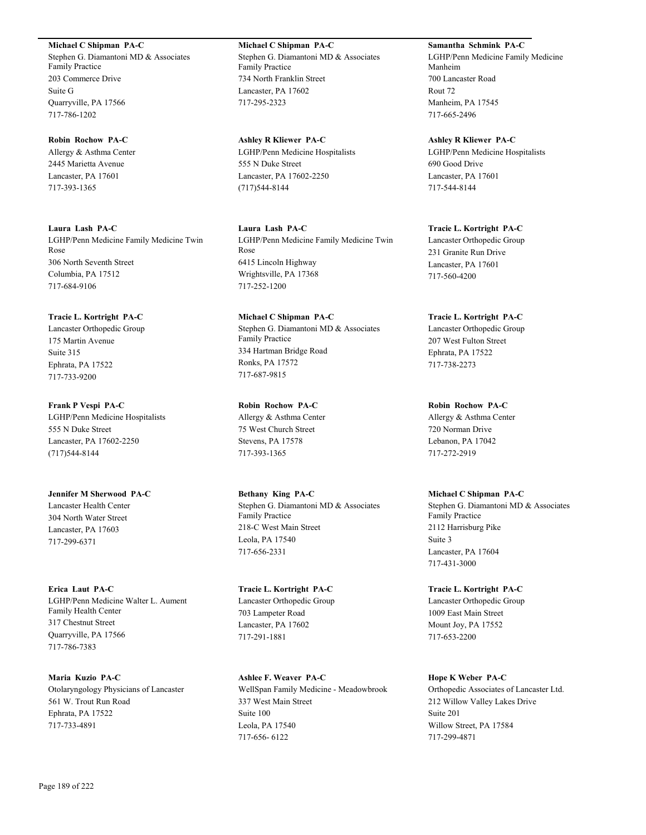**Michael C Shipman PA-C**

Stephen G. Diamantoni MD & Associates Family Practice 203 Commerce Drive Suite G Quarryville, PA 17566 717-786-1202

**Robin Rochow PA-C** Allergy & Asthma Center 2445 Marietta Avenue Lancaster, PA 17601 717-393-1365

**Laura Lash PA-C** LGHP/Penn Medicine Family Medicine Twin Rose 306 North Seventh Street Columbia, PA 17512 717-684-9106

**Tracie L. Kortright PA-C** Lancaster Orthopedic Group 175 Martin Avenue Suite 315 Ephrata, PA 17522 717-733-9200

**Frank P Vespi PA-C** LGHP/Penn Medicine Hospitalists 555 N Duke Street Lancaster, PA 17602-2250 (717)544-8144

**Jennifer M Sherwood PA-C** Lancaster Health Center 304 North Water Street Lancaster, PA 17603 717-299-6371

**Erica Laut PA-C** LGHP/Penn Medicine Walter L. Aument Family Health Center 317 Chestnut Street Quarryville, PA 17566 717-786-7383

**Maria Kuzio PA-C** Otolaryngology Physicians of Lancaster 561 W. Trout Run Road Ephrata, PA 17522 717-733-4891

**Michael C Shipman PA-C** Stephen G. Diamantoni MD & Associates Family Practice 734 North Franklin Street Lancaster, PA 17602 717-295-2323

**Ashley R Kliewer PA-C** LGHP/Penn Medicine Hospitalists 555 N Duke Street Lancaster, PA 17602-2250 (717)544-8144

**Laura Lash PA-C** LGHP/Penn Medicine Family Medicine Twin Rose 6415 Lincoln Highway Wrightsville, PA 17368 717-252-1200

**Michael C Shipman PA-C** Stephen G. Diamantoni MD & Associates Family Practice 334 Hartman Bridge Road Ronks, PA 17572 717-687-9815

**Robin Rochow PA-C** Allergy & Asthma Center 75 West Church Street Stevens, PA 17578 717-393-1365

**Bethany King PA-C** Stephen G. Diamantoni MD & Associates Family Practice 218-C West Main Street Leola, PA 17540 717-656-2331

**Tracie L. Kortright PA-C** Lancaster Orthopedic Group 703 Lampeter Road Lancaster, PA 17602 717-291-1881

**Ashlee F. Weaver PA-C** WellSpan Family Medicine - Meadowbrook 337 West Main Street Suite 100 Leola, PA 17540 717-656- 6122

**Samantha Schmink PA-C** LGHP/Penn Medicine Family Medicine Manheim 700 Lancaster Road Rout 72 Manheim, PA 17545 717-665-2496

**Ashley R Kliewer PA-C** LGHP/Penn Medicine Hospitalists 690 Good Drive Lancaster, PA 17601 717-544-8144

**Tracie L. Kortright PA-C** Lancaster Orthopedic Group 231 Granite Run Drive Lancaster, PA 17601 717-560-4200

**Tracie L. Kortright PA-C** Lancaster Orthopedic Group 207 West Fulton Street Ephrata, PA 17522 717-738-2273

**Robin Rochow PA-C** Allergy & Asthma Center 720 Norman Drive Lebanon, PA 17042 717-272-2919

**Michael C Shipman PA-C** Stephen G. Diamantoni MD & Associates Family Practice 2112 Harrisburg Pike Suite 3 Lancaster, PA 17604 717-431-3000

**Tracie L. Kortright PA-C** Lancaster Orthopedic Group 1009 East Main Street Mount Joy, PA 17552 717-653-2200

**Hope K Weber PA-C** Orthopedic Associates of Lancaster Ltd. 212 Willow Valley Lakes Drive Suite 201 Willow Street, PA 17584 717-299-4871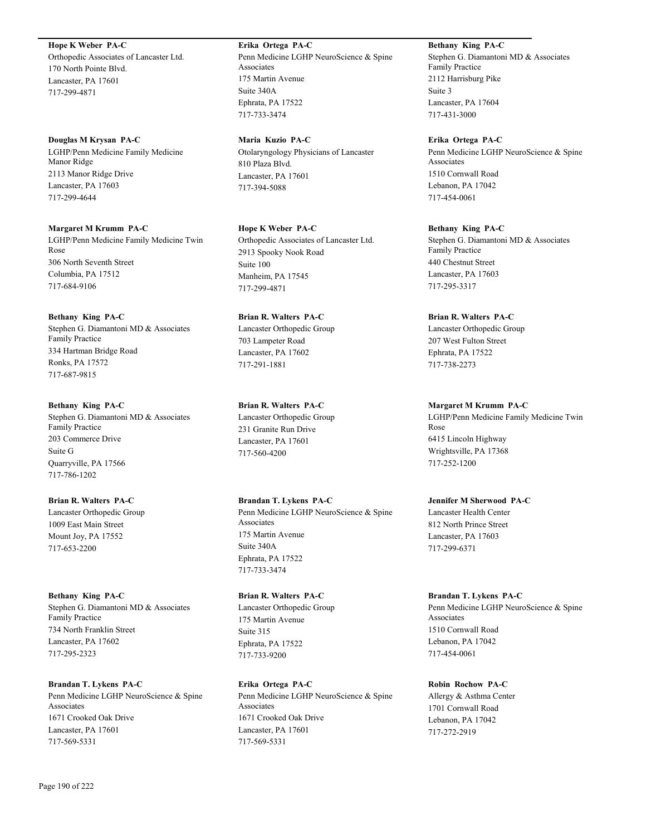# **Hope K Weber PA-C**

Orthopedic Associates of Lancaster Ltd. 170 North Pointe Blvd. Lancaster, PA 17601 717-299-4871

#### **Douglas M Krysan PA-C**

LGHP/Penn Medicine Family Medicine Manor Ridge 2113 Manor Ridge Drive Lancaster, PA 17603 717-299-4644

**Margaret M Krumm PA-C** LGHP/Penn Medicine Family Medicine Twin Rose 306 North Seventh Street Columbia, PA 17512 717-684-9106

**Bethany King PA-C** Stephen G. Diamantoni MD & Associates Family Practice 334 Hartman Bridge Road Ronks, PA 17572 717-687-9815

# **Bethany King PA-C** Stephen G. Diamantoni MD & Associates Family Practice 203 Commerce Drive Suite G Quarryville, PA 17566 717-786-1202

# **Brian R. Walters PA-C** Lancaster Orthopedic Group 1009 East Main Street Mount Joy, PA 17552 717-653-2200

**Bethany King PA-C** Stephen G. Diamantoni MD & Associates Family Practice 734 North Franklin Street Lancaster, PA 17602 717-295-2323

**Brandan T. Lykens PA-C** Penn Medicine LGHP NeuroScience & Spine Associates 1671 Crooked Oak Drive Lancaster, PA 17601 717-569-5331

**Erika Ortega PA-C** Penn Medicine LGHP NeuroScience & Spine Associates 175 Martin Avenue Suite 340A Ephrata, PA 17522 717-733-3474

**Maria Kuzio PA-C** Otolaryngology Physicians of Lancaster 810 Plaza Blvd. Lancaster, PA 17601 717-394-5088

**Hope K Weber PA-C** Orthopedic Associates of Lancaster Ltd. 2913 Spooky Nook Road Suite 100 Manheim, PA 17545 717-299-4871

**Brian R. Walters PA-C** Lancaster Orthopedic Group 703 Lampeter Road Lancaster, PA 17602 717-291-1881

**Brian R. Walters PA-C** Lancaster Orthopedic Group 231 Granite Run Drive Lancaster, PA 17601 717-560-4200

**Brandan T. Lykens PA-C** Penn Medicine LGHP NeuroScience & Spine Associates 175 Martin Avenue Suite 340A Ephrata, PA 17522 717-733-3474

**Brian R. Walters PA-C** Lancaster Orthopedic Group 175 Martin Avenue Suite 315 Ephrata, PA 17522 717-733-9200

**Erika Ortega PA-C** Penn Medicine LGHP NeuroScience & Spine Associates 1671 Crooked Oak Drive Lancaster, PA 17601 717-569-5331

**Bethany King PA-C** Stephen G. Diamantoni MD & Associates Family Practice 2112 Harrisburg Pike Suite 3 Lancaster, PA 17604 717-431-3000

**Erika Ortega PA-C** Penn Medicine LGHP NeuroScience & Spine Associates 1510 Cornwall Road Lebanon, PA 17042 717-454-0061

**Bethany King PA-C** Stephen G. Diamantoni MD & Associates Family Practice 440 Chestnut Street Lancaster, PA 17603 717-295-3317

**Brian R. Walters PA-C** Lancaster Orthopedic Group 207 West Fulton Street Ephrata, PA 17522 717-738-2273

**Margaret M Krumm PA-C** LGHP/Penn Medicine Family Medicine Twin Rose 6415 Lincoln Highway Wrightsville, PA 17368 717-252-1200

**Jennifer M Sherwood PA-C** Lancaster Health Center 812 North Prince Street Lancaster, PA 17603 717-299-6371

**Brandan T. Lykens PA-C** Penn Medicine LGHP NeuroScience & Spine Associates 1510 Cornwall Road Lebanon, PA 17042 717-454-0061

**Robin Rochow PA-C** Allergy & Asthma Center 1701 Cornwall Road Lebanon, PA 17042 717-272-2919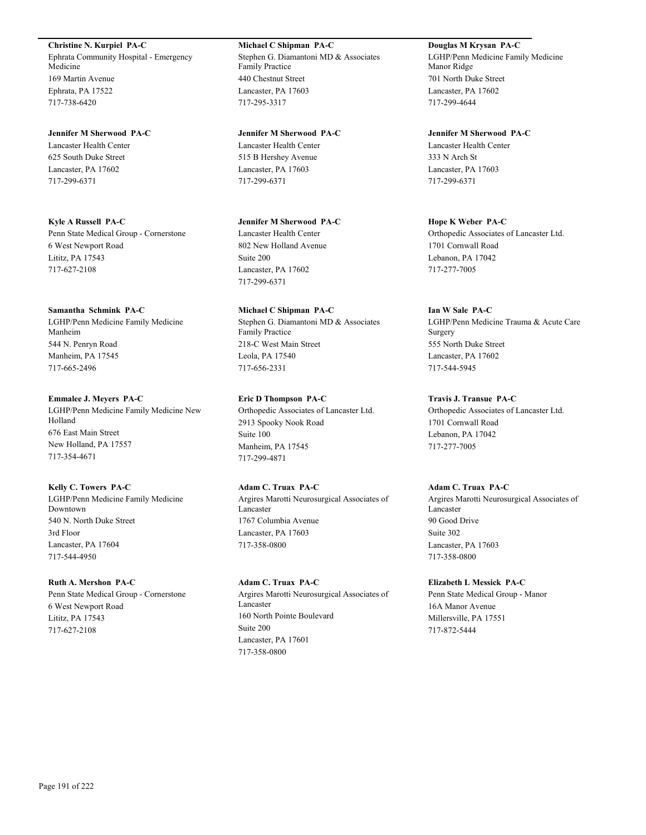**Christine N. Kurpiel PA-C**

Ephrata Community Hospital - Emergency Medicine 169 Martin Avenue Ephrata, PA 17522 717-738-6420

**Jennifer M Sherwood PA-C** Lancaster Health Center 625 South Duke Street Lancaster, PA 17602 717-299-6371

**Kyle A Russell PA-C** Penn State Medical Group - Cornerstone 6 West Newport Road Lititz, PA 17543 717-627-2108

**Samantha Schmink PA-C** LGHP/Penn Medicine Family Medicine Manheim 544 N. Penryn Road Manheim, PA 17545 717-665-2496

**Emmalee J. Meyers PA-C** LGHP/Penn Medicine Family Medicine New Holland 676 East Main Street New Holland, PA 17557 717-354-4671

**Kelly C. Towers PA-C** LGHP/Penn Medicine Family Medicine Downtown 540 N. North Duke Street 3rd Floor Lancaster, PA 17604 717-544-4950

**Ruth A. Mershon PA-C** Penn State Medical Group - Cornerstone 6 West Newport Road Lititz, PA 17543 717-627-2108

**Michael C Shipman PA-C** Stephen G. Diamantoni MD & Associates Family Practice 440 Chestnut Street Lancaster, PA 17603 717-295-3317

**Jennifer M Sherwood PA-C** Lancaster Health Center 515 B Hershey Avenue Lancaster, PA 17603 717-299-6371

**Jennifer M Sherwood PA-C** Lancaster Health Center 802 New Holland Avenue Suite 200 Lancaster, PA 17602 717-299-6371

**Michael C Shipman PA-C** Stephen G. Diamantoni MD & Associates Family Practice 218-C West Main Street Leola, PA 17540 717-656-2331

**Eric D Thompson PA-C** Orthopedic Associates of Lancaster Ltd. 2913 Spooky Nook Road Suite 100 Manheim, PA 17545 717-299-4871

**Adam C. Truax PA-C** Argires Marotti Neurosurgical Associates of Lancaster 1767 Columbia Avenue Lancaster, PA 17603 717-358-0800

**Adam C. Truax PA-C** Argires Marotti Neurosurgical Associates of Lancaster 160 North Pointe Boulevard Suite 200 Lancaster, PA 17601 717-358-0800

**Douglas M Krysan PA-C** LGHP/Penn Medicine Family Medicine Manor Ridge 701 North Duke Street Lancaster, PA 17602 717-299-4644

**Jennifer M Sherwood PA-C** Lancaster Health Center 333 N Arch St Lancaster, PA 17603 717-299-6371

**Hope K Weber PA-C** Orthopedic Associates of Lancaster Ltd. 1701 Cornwall Road Lebanon, PA 17042 717-277-7005

**Ian W Sale PA-C** LGHP/Penn Medicine Trauma & Acute Care Surgery 555 North Duke Street Lancaster, PA 17602 717-544-5945

**Travis J. Transue PA-C** Orthopedic Associates of Lancaster Ltd. 1701 Cornwall Road Lebanon, PA 17042 717-277-7005

**Adam C. Truax PA-C** Argires Marotti Neurosurgical Associates of Lancaster 90 Good Drive Suite 302 Lancaster, PA 17603 717-358-0800

**Elizabeth L Messick PA-C** Penn State Medical Group - Manor 16A Manor Avenue Millersville, PA 17551 717-872-5444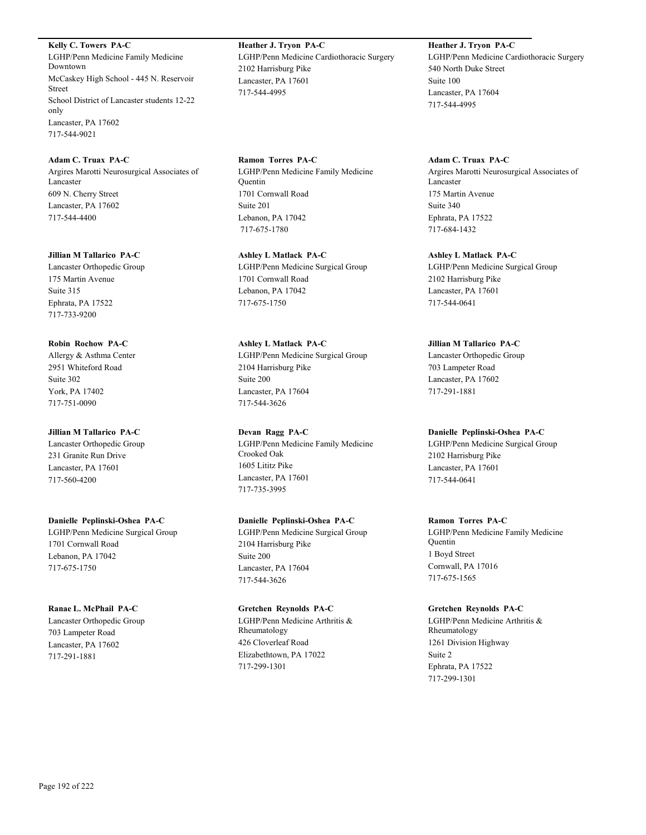**Kelly C. Towers PA-C** LGHP/Penn Medicine Family Medicine Downtown McCaskey High School - 445 N. Reservoir Street School District of Lancaster students 12-22 only Lancaster, PA 17602 717-544-9021

**Adam C. Truax PA-C** Argires Marotti Neurosurgical Associates of Lancaster 609 N. Cherry Street Lancaster, PA 17602 717-544-4400

**Jillian M Tallarico PA-C** Lancaster Orthopedic Group 175 Martin Avenue Suite 315 Ephrata, PA 17522 717-733-9200

**Robin Rochow PA-C** Allergy & Asthma Center 2951 Whiteford Road Suite 302 York, PA 17402 717-751-0090

**Jillian M Tallarico PA-C** Lancaster Orthopedic Group 231 Granite Run Drive Lancaster, PA 17601 717-560-4200

**Danielle Peplinski-Oshea PA-C** LGHP/Penn Medicine Surgical Group 1701 Cornwall Road Lebanon, PA 17042 717-675-1750

**Ranae L. McPhail PA-C** Lancaster Orthopedic Group 703 Lampeter Road Lancaster, PA 17602 717-291-1881

**Heather J. Tryon PA-C** LGHP/Penn Medicine Cardiothoracic Surgery 2102 Harrisburg Pike Lancaster, PA 17601 717-544-4995

**Ramon Torres PA-C** LGHP/Penn Medicine Family Medicine **Ouentin** 1701 Cornwall Road Suite 201 Lebanon, PA 17042 717-675-1780

**Ashley L Matlack PA-C** LGHP/Penn Medicine Surgical Group 1701 Cornwall Road Lebanon, PA 17042 717-675-1750

**Ashley L Matlack PA-C** LGHP/Penn Medicine Surgical Group 2104 Harrisburg Pike Suite 200 Lancaster, PA 17604 717-544-3626

**Devan Ragg PA-C** LGHP/Penn Medicine Family Medicine Crooked Oak 1605 Lititz Pike Lancaster, PA 17601 717-735-3995

**Danielle Peplinski-Oshea PA-C** LGHP/Penn Medicine Surgical Group 2104 Harrisburg Pike Suite 200 Lancaster, PA 17604 717-544-3626

**Gretchen Reynolds PA-C** LGHP/Penn Medicine Arthritis & Rheumatology 426 Cloverleaf Road Elizabethtown, PA 17022 717-299-1301

**Heather J. Tryon PA-C** LGHP/Penn Medicine Cardiothoracic Surgery 540 North Duke Street Suite 100 Lancaster, PA 17604 717-544-4995

**Adam C. Truax PA-C** Argires Marotti Neurosurgical Associates of Lancaster 175 Martin Avenue Suite 340 Ephrata, PA 17522 717-684-1432

**Ashley L Matlack PA-C** LGHP/Penn Medicine Surgical Group 2102 Harrisburg Pike Lancaster, PA 17601 717-544-0641

**Jillian M Tallarico PA-C** Lancaster Orthopedic Group 703 Lampeter Road Lancaster, PA 17602 717-291-1881

**Danielle Peplinski-Oshea PA-C**

LGHP/Penn Medicine Surgical Group 2102 Harrisburg Pike Lancaster, PA 17601 717-544-0641

**Ramon Torres PA-C**

LGHP/Penn Medicine Family Medicine Quentin 1 Boyd Street Cornwall, PA 17016 717-675-1565

**Gretchen Reynolds PA-C** LGHP/Penn Medicine Arthritis & Rheumatology 1261 Division Highway Suite 2 Ephrata, PA 17522 717-299-1301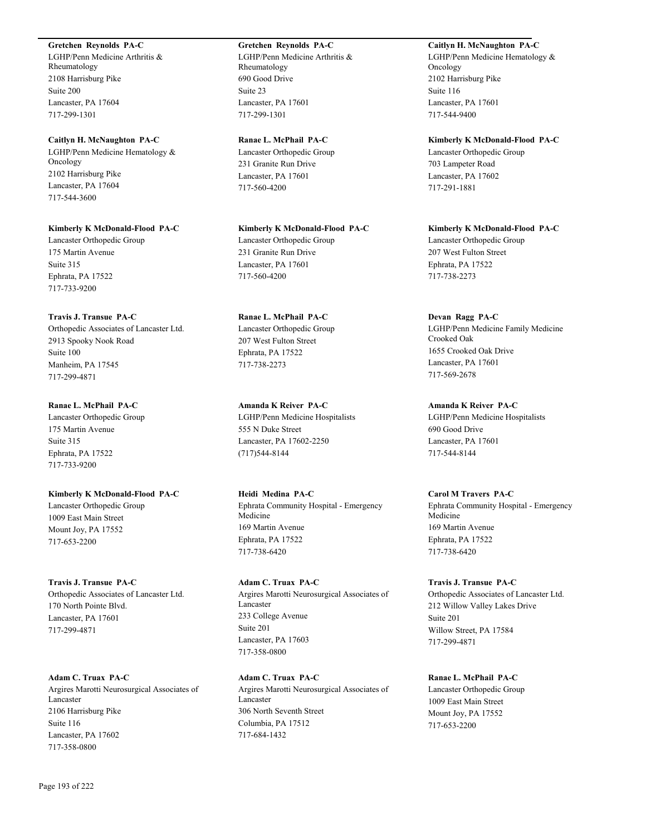# **Gretchen Reynolds PA-C**

LGHP/Penn Medicine Arthritis & Rheumatology 2108 Harrisburg Pike Suite 200 Lancaster, PA 17604 717-299-1301

#### **Caitlyn H. McNaughton PA-C**

LGHP/Penn Medicine Hematology & Oncology 2102 Harrisburg Pike Lancaster, PA 17604 717-544-3600

#### **Kimberly K McDonald-Flood PA-C**

Lancaster Orthopedic Group 175 Martin Avenue Suite 315 Ephrata, PA 17522 717-733-9200

#### **Travis J. Transue PA-C**

Orthopedic Associates of Lancaster Ltd. 2913 Spooky Nook Road Suite 100 Manheim, PA 17545 717-299-4871

# **Ranae L. McPhail PA-C**

Lancaster Orthopedic Group 175 Martin Avenue Suite 315 Ephrata, PA 17522 717-733-9200

# **Kimberly K McDonald-Flood PA-C** Lancaster Orthopedic Group 1009 East Main Street Mount Joy, PA 17552 717-653-2200

# **Travis J. Transue PA-C** Orthopedic Associates of Lancaster Ltd. 170 North Pointe Blvd. Lancaster, PA 17601 717-299-4871

**Adam C. Truax PA-C** Argires Marotti Neurosurgical Associates of Lancaster 2106 Harrisburg Pike Suite 116 Lancaster, PA 17602 717-358-0800

# **Gretchen Reynolds PA-C**

LGHP/Penn Medicine Arthritis & Rheumatology 690 Good Drive Suite 23 Lancaster, PA 17601 717-299-1301

# **Ranae L. McPhail PA-C**

Lancaster Orthopedic Group 231 Granite Run Drive Lancaster, PA 17601 717-560-4200

# **Kimberly K McDonald-Flood PA-C** Lancaster Orthopedic Group 231 Granite Run Drive Lancaster, PA 17601 717-560-4200

**Ranae L. McPhail PA-C** Lancaster Orthopedic Group 207 West Fulton Street Ephrata, PA 17522 717-738-2273

# **Amanda K Reiver PA-C** LGHP/Penn Medicine Hospitalists 555 N Duke Street Lancaster, PA 17602-2250 (717)544-8144

**Heidi Medina PA-C** Ephrata Community Hospital - Emergency Medicine 169 Martin Avenue Ephrata, PA 17522 717-738-6420

# **Adam C. Truax PA-C** Argires Marotti Neurosurgical Associates of Lancaster 233 College Avenue Suite 201 Lancaster, PA 17603 717-358-0800

**Adam C. Truax PA-C** Argires Marotti Neurosurgical Associates of Lancaster 306 North Seventh Street Columbia, PA 17512 717-684-1432

# **Caitlyn H. McNaughton PA-C** LGHP/Penn Medicine Hematology & Oncology

2102 Harrisburg Pike Suite 116 Lancaster, PA 17601 717-544-9400

# **Kimberly K McDonald-Flood PA-C** Lancaster Orthopedic Group 703 Lampeter Road Lancaster, PA 17602 717-291-1881

**Kimberly K McDonald-Flood PA-C** Lancaster Orthopedic Group 207 West Fulton Street Ephrata, PA 17522 717-738-2273

# **Devan Ragg PA-C**

LGHP/Penn Medicine Family Medicine Crooked Oak 1655 Crooked Oak Drive Lancaster, PA 17601 717-569-2678

# **Amanda K Reiver PA-C**

LGHP/Penn Medicine Hospitalists 690 Good Drive Lancaster, PA 17601 717-544-8144

# **Carol M Travers PA-C**

Ephrata Community Hospital - Emergency Medicine 169 Martin Avenue Ephrata, PA 17522 717-738-6420

# **Travis J. Transue PA-C** Orthopedic Associates of Lancaster Ltd. 212 Willow Valley Lakes Drive Suite 201 Willow Street, PA 17584 717-299-4871

**Ranae L. McPhail PA-C** Lancaster Orthopedic Group 1009 East Main Street Mount Joy, PA 17552 717-653-2200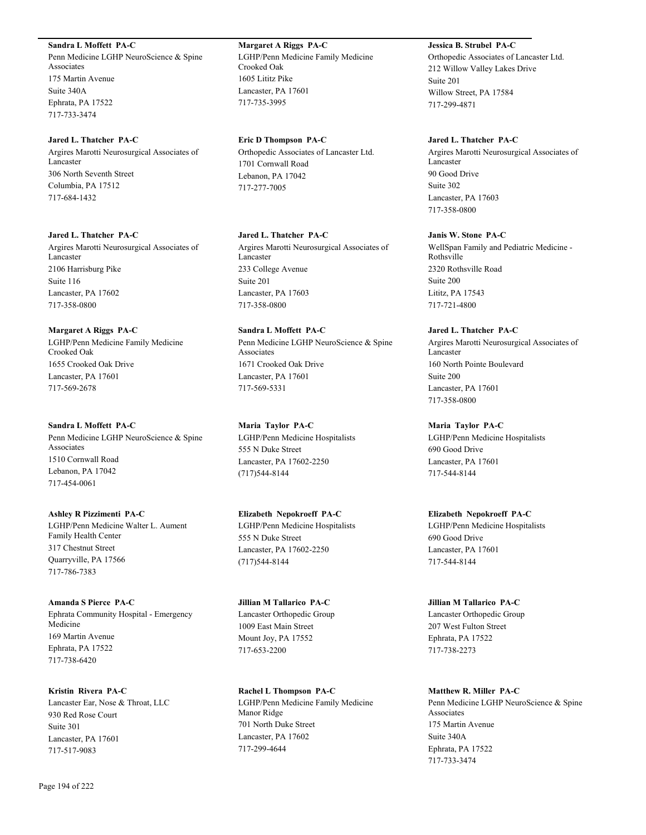#### **Sandra L Moffett PA-C**

Penn Medicine LGHP NeuroScience & Spine Associates 175 Martin Avenue Suite 340A Ephrata, PA 17522 717-733-3474

#### **Jared L. Thatcher PA-C**

Argires Marotti Neurosurgical Associates of Lancaster 306 North Seventh Street Columbia, PA 17512 717-684-1432

# **Jared L. Thatcher PA-C**

Argires Marotti Neurosurgical Associates of Lancaster 2106 Harrisburg Pike Suite 116 Lancaster, PA 17602 717-358-0800

#### **Margaret A Riggs PA-C**

LGHP/Penn Medicine Family Medicine Crooked Oak 1655 Crooked Oak Drive Lancaster, PA 17601 717-569-2678

#### **Sandra L Moffett PA-C**

Penn Medicine LGHP NeuroScience & Spine Associates 1510 Cornwall Road Lebanon, PA 17042 717-454-0061

# **Ashley R Pizzimenti PA-C**

LGHP/Penn Medicine Walter L. Aument Family Health Center 317 Chestnut Street Quarryville, PA 17566 717-786-7383

**Amanda S Pierce PA-C** Ephrata Community Hospital - Emergency Medicine 169 Martin Avenue Ephrata, PA 17522 717-738-6420

#### **Kristin Rivera PA-C**

Lancaster Ear, Nose & Throat, LLC 930 Red Rose Court Suite 301 Lancaster, PA 17601 717-517-9083

#### **Eric D Thompson PA-C**

Orthopedic Associates of Lancaster Ltd. 1701 Cornwall Road Lebanon, PA 17042 717-277-7005

# **Jared L. Thatcher PA-C**

Argires Marotti Neurosurgical Associates of Lancaster 233 College Avenue Suite 201 Lancaster, PA 17603 717-358-0800

# **Sandra L Moffett PA-C** Penn Medicine LGHP NeuroScience & Spine Associates 1671 Crooked Oak Drive Lancaster, PA 17601 717-569-5331

**Maria Taylor PA-C** LGHP/Penn Medicine Hospitalists 555 N Duke Street Lancaster, PA 17602-2250 (717)544-8144

# **Elizabeth Nepokroeff PA-C** LGHP/Penn Medicine Hospitalists 555 N Duke Street Lancaster, PA 17602-2250 (717)544-8144

# **Jillian M Tallarico PA-C** Lancaster Orthopedic Group 1009 East Main Street Mount Joy, PA 17552 717-653-2200

**Rachel L Thompson PA-C** LGHP/Penn Medicine Family Medicine Manor Ridge 701 North Duke Street Lancaster, PA 17602 717-299-4644

# **Jessica B. Strubel PA-C**

Orthopedic Associates of Lancaster Ltd. 212 Willow Valley Lakes Drive Suite 201 Willow Street, PA 17584 717-299-4871

# **Jared L. Thatcher PA-C**

Argires Marotti Neurosurgical Associates of Lancaster 90 Good Drive Suite 302 Lancaster, PA 17603 717-358-0800

# **Janis W. Stone PA-C**

WellSpan Family and Pediatric Medicine - Rothsville 2320 Rothsville Road Suite 200 Lititz, PA 17543 717-721-4800

#### **Jared L. Thatcher PA-C**

Argires Marotti Neurosurgical Associates of Lancaster 160 North Pointe Boulevard Suite 200 Lancaster, PA 17601 717-358-0800

# **Maria Taylor PA-C**

LGHP/Penn Medicine Hospitalists 690 Good Drive Lancaster, PA 17601 717-544-8144

#### **Elizabeth Nepokroeff PA-C**

LGHP/Penn Medicine Hospitalists 690 Good Drive Lancaster, PA 17601 717-544-8144

#### **Jillian M Tallarico PA-C**

Lancaster Orthopedic Group 207 West Fulton Street Ephrata, PA 17522 717-738-2273

# **Matthew R. Miller PA-C**

Penn Medicine LGHP NeuroScience & Spine Associates 175 Martin Avenue Suite 340A Ephrata, PA 17522 717-733-3474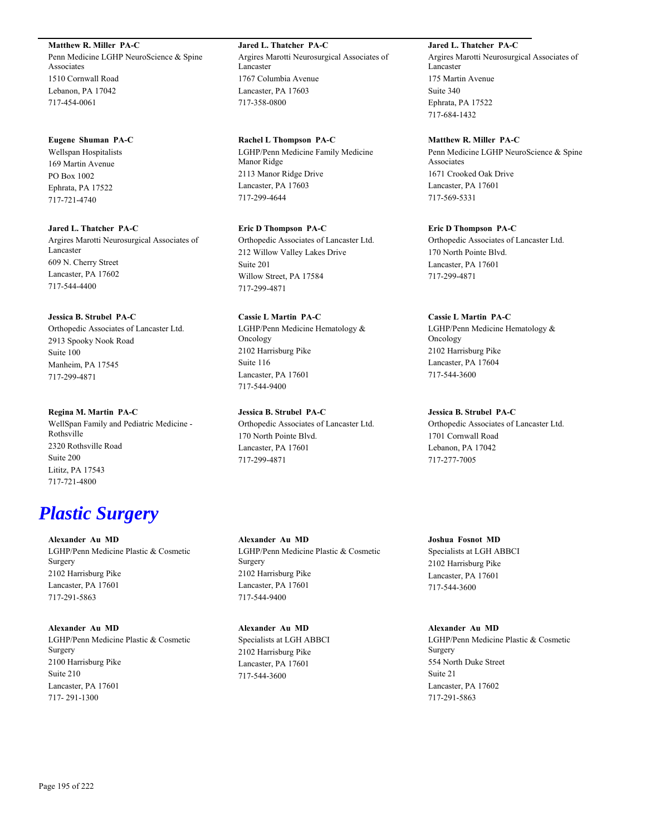**Matthew R. Miller PA-C**

Penn Medicine LGHP NeuroScience & Spine Associates 1510 Cornwall Road Lebanon, PA 17042 717-454-0061

# **Eugene Shuman PA-C**

Wellspan Hospitalists 169 Martin Avenue PO Box 1002 Ephrata, PA 17522 717-721-4740

#### **Jared L. Thatcher PA-C**

Argires Marotti Neurosurgical Associates of Lancaster 609 N. Cherry Street Lancaster, PA 17602 717-544-4400

#### **Jessica B. Strubel PA-C**

Orthopedic Associates of Lancaster Ltd. 2913 Spooky Nook Road Suite 100 Manheim, PA 17545 717-299-4871

#### **Regina M. Martin PA-C**

WellSpan Family and Pediatric Medicine - Rothsville 2320 Rothsville Road Suite 200 Lititz, PA 17543 717-721-4800

# *Plastic Surgery*

**Alexander Au MD** LGHP/Penn Medicine Plastic & Cosmetic Surgery 2102 Harrisburg Pike Lancaster, PA 17601 717-291-5863

# **Alexander Au MD** LGHP/Penn Medicine Plastic & Cosmetic Surgery 2100 Harrisburg Pike Suite 210 Lancaster, PA 17601 717- 291-1300

**Jared L. Thatcher PA-C** Argires Marotti Neurosurgical Associates of Lancaster 1767 Columbia Avenue Lancaster, PA 17603 717-358-0800

#### **Rachel L Thompson PA-C**

LGHP/Penn Medicine Family Medicine Manor Ridge 2113 Manor Ridge Drive Lancaster, PA 17603 717-299-4644

# **Eric D Thompson PA-C**

Orthopedic Associates of Lancaster Ltd. 212 Willow Valley Lakes Drive Suite 201 Willow Street, PA 17584 717-299-4871

# **Cassie L Martin PA-C**

LGHP/Penn Medicine Hematology & Oncology 2102 Harrisburg Pike Suite 116 Lancaster, PA 17601 717-544-9400

# **Jessica B. Strubel PA-C**

Orthopedic Associates of Lancaster Ltd. 170 North Pointe Blvd. Lancaster, PA 17601 717-299-4871

**Alexander Au MD** LGHP/Penn Medicine Plastic & Cosmetic Surgery 2102 Harrisburg Pike Lancaster, PA 17601 717-544-9400

**Alexander Au MD** Specialists at LGH ABBCI 2102 Harrisburg Pike Lancaster, PA 17601 717-544-3600

# **Jared L. Thatcher PA-C**

Argires Marotti Neurosurgical Associates of Lancaster 175 Martin Avenue Suite 340 Ephrata, PA 17522 717-684-1432

#### **Matthew R. Miller PA-C**

Penn Medicine LGHP NeuroScience & Spine Associates 1671 Crooked Oak Drive Lancaster, PA 17601 717-569-5331

#### **Eric D Thompson PA-C**

Orthopedic Associates of Lancaster Ltd. 170 North Pointe Blvd. Lancaster, PA 17601 717-299-4871

#### **Cassie L Martin PA-C**

LGHP/Penn Medicine Hematology & Oncology 2102 Harrisburg Pike Lancaster, PA 17604 717-544-3600

# **Jessica B. Strubel PA-C**

Orthopedic Associates of Lancaster Ltd. 1701 Cornwall Road Lebanon, PA 17042 717-277-7005

# **Joshua Fosnot MD**

Specialists at LGH ABBCI 2102 Harrisburg Pike Lancaster, PA 17601 717-544-3600

# **Alexander Au MD**

LGHP/Penn Medicine Plastic & Cosmetic Surgery 554 North Duke Street Suite 21 Lancaster, PA 17602 717-291-5863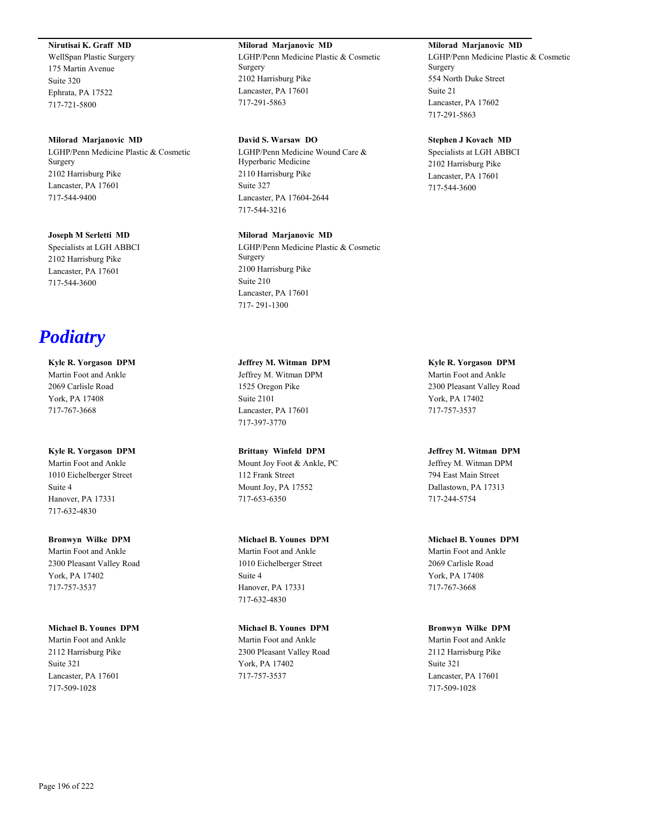# **Nirutisai K. Graff MD**

WellSpan Plastic Surgery 175 Martin Avenue Suite 320 Ephrata, PA 17522 717-721-5800

#### **Milorad Marjanovic MD**

LGHP/Penn Medicine Plastic & Cosmetic Surgery 2102 Harrisburg Pike Lancaster, PA 17601 717-544-9400

#### **Joseph M Serletti MD**

Specialists at LGH ABBCI 2102 Harrisburg Pike Lancaster, PA 17601 717-544-3600

# *Podiatry*

# **Kyle R. Yorgason DPM**

Martin Foot and Ankle 2069 Carlisle Road York, PA 17408 717-767-3668

#### **Kyle R. Yorgason DPM**

Martin Foot and Ankle 1010 Eichelberger Street Suite 4 Hanover, PA 17331 717-632-4830

# **Bronwyn Wilke DPM**

Martin Foot and Ankle 2300 Pleasant Valley Road York, PA 17402 717-757-3537

#### **Michael B. Younes DPM**

Martin Foot and Ankle 2112 Harrisburg Pike Suite 321 Lancaster, PA 17601 717-509-1028

#### **Milorad Marjanovic MD**

LGHP/Penn Medicine Plastic & Cosmetic Surgery 2102 Harrisburg Pike Lancaster, PA 17601 717-291-5863

# **David S. Warsaw DO**

LGHP/Penn Medicine Wound Care & Hyperbaric Medicine 2110 Harrisburg Pike Suite 327 Lancaster, PA 17604-2644 717-544-3216

#### **Milorad Marjanovic MD**

LGHP/Penn Medicine Plastic & Cosmetic Surgery 2100 Harrisburg Pike Suite 210 Lancaster, PA 17601 717- 291-1300

**Jeffrey M. Witman DPM** Jeffrey M. Witman DPM 1525 Oregon Pike Suite 2101 Lancaster, PA 17601 717-397-3770

**Brittany Winfeld DPM** Mount Joy Foot & Ankle, PC 112 Frank Street Mount Joy, PA 17552 717-653-6350

# **Michael B. Younes DPM**

Martin Foot and Ankle 1010 Eichelberger Street Suite 4 Hanover, PA 17331 717-632-4830

**Michael B. Younes DPM** Martin Foot and Ankle 2300 Pleasant Valley Road York, PA 17402 717-757-3537

# **Milorad Marjanovic MD**

LGHP/Penn Medicine Plastic & Cosmetic Surgery 554 North Duke Street Suite 21 Lancaster, PA 17602 717-291-5863

#### **Stephen J Kovach MD**

Specialists at LGH ABBCI 2102 Harrisburg Pike Lancaster, PA 17601 717-544-3600

**Kyle R. Yorgason DPM** Martin Foot and Ankle 2300 Pleasant Valley Road York, PA 17402 717-757-3537

# **Jeffrey M. Witman DPM**

Jeffrey M. Witman DPM 794 East Main Street Dallastown, PA 17313 717-244-5754

**Michael B. Younes DPM** Martin Foot and Ankle 2069 Carlisle Road York, PA 17408 717-767-3668

**Bronwyn Wilke DPM** Martin Foot and Ankle 2112 Harrisburg Pike Suite 321 Lancaster, PA 17601 717-509-1028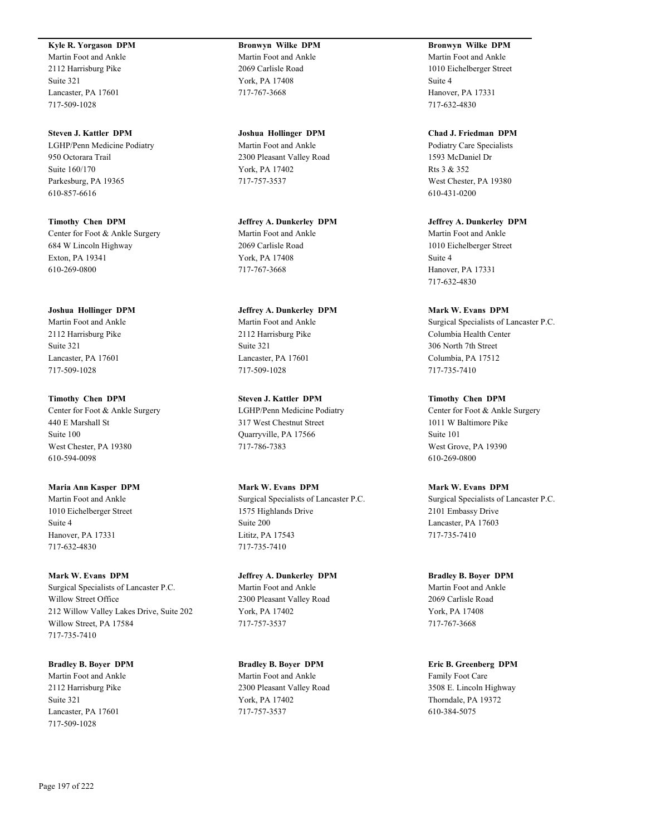#### **Kyle R. Yorgason DPM**

Martin Foot and Ankle 2112 Harrisburg Pike Suite 321 Lancaster, PA 17601 717-509-1028

**Steven J. Kattler DPM** LGHP/Penn Medicine Podiatry 950 Octorara Trail Suite 160/170 Parkesburg, PA 19365 610-857-6616

**Timothy Chen DPM** Center for Foot & Ankle Surgery 684 W Lincoln Highway Exton, PA 19341 610-269-0800

**Joshua Hollinger DPM** Martin Foot and Ankle 2112 Harrisburg Pike Suite 321 Lancaster, PA 17601 717-509-1028

**Timothy Chen DPM** Center for Foot & Ankle Surgery 440 E Marshall St Suite 100 West Chester, PA 19380 610-594-0098

**Maria Ann Kasper DPM** Martin Foot and Ankle 1010 Eichelberger Street Suite 4 Hanover, PA 17331 717-632-4830

**Mark W. Evans DPM** Surgical Specialists of Lancaster P.C. Willow Street Office 212 Willow Valley Lakes Drive, Suite 202 Willow Street, PA 17584 717-735-7410

**Bradley B. Boyer DPM** Martin Foot and Ankle 2112 Harrisburg Pike Suite 321 Lancaster, PA 17601 717-509-1028

**Bronwyn Wilke DPM** Martin Foot and Ankle 2069 Carlisle Road York, PA 17408 717-767-3668

**Joshua Hollinger DPM** Martin Foot and Ankle 2300 Pleasant Valley Road York, PA 17402 717-757-3537

**Jeffrey A. Dunkerley DPM** Martin Foot and Ankle 2069 Carlisle Road York, PA 17408 717-767-3668

**Jeffrey A. Dunkerley DPM** Martin Foot and Ankle 2112 Harrisburg Pike Suite 321 Lancaster, PA 17601 717-509-1028

**Steven J. Kattler DPM** LGHP/Penn Medicine Podiatry 317 West Chestnut Street Quarryville, PA 17566 717-786-7383

**Mark W. Evans DPM** Surgical Specialists of Lancaster P.C. 1575 Highlands Drive Suite 200 Lititz, PA 17543 717-735-7410

**Jeffrey A. Dunkerley DPM** Martin Foot and Ankle 2300 Pleasant Valley Road York, PA 17402 717-757-3537

**Bradley B. Boyer DPM** Martin Foot and Ankle 2300 Pleasant Valley Road York, PA 17402 717-757-3537

**Bronwyn Wilke DPM** Martin Foot and Ankle 1010 Eichelberger Street Suite 4 Hanover, PA 17331 717-632-4830

**Chad J. Friedman DPM** Podiatry Care Specialists 1593 McDaniel Dr Rts 3 & 352 West Chester, PA 19380 610-431-0200

**Jeffrey A. Dunkerley DPM** Martin Foot and Ankle 1010 Eichelberger Street Suite 4 Hanover, PA 17331 717-632-4830

**Mark W. Evans DPM** Surgical Specialists of Lancaster P.C. Columbia Health Center 306 North 7th Street Columbia, PA 17512 717-735-7410

**Timothy Chen DPM** Center for Foot & Ankle Surgery 1011 W Baltimore Pike Suite 101 West Grove, PA 19390 610-269-0800

**Mark W. Evans DPM** Surgical Specialists of Lancaster P.C. 2101 Embassy Drive Lancaster, PA 17603 717-735-7410

**Bradley B. Boyer DPM** Martin Foot and Ankle 2069 Carlisle Road York, PA 17408 717-767-3668

**Eric B. Greenberg DPM** Family Foot Care 3508 E. Lincoln Highway Thorndale, PA 19372 610-384-5075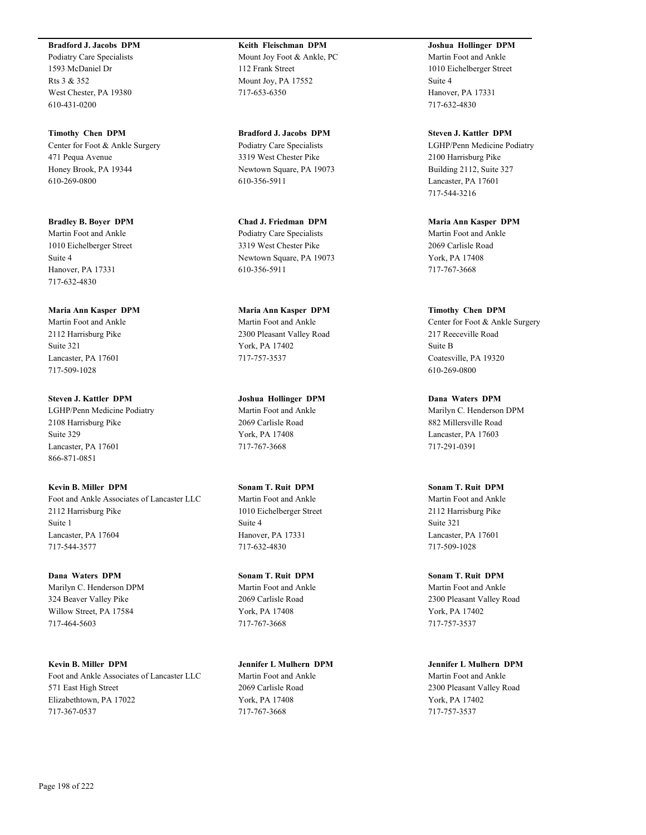#### **Bradford J. Jacobs DPM**

Podiatry Care Specialists 1593 McDaniel Dr Rts 3 & 352 West Chester, PA 19380 610-431-0200

**Timothy Chen DPM** Center for Foot & Ankle Surgery 471 Pequa Avenue Honey Brook, PA 19344 610-269-0800

**Bradley B. Boyer DPM** Martin Foot and Ankle 1010 Eichelberger Street Suite 4 Hanover, PA 17331 717-632-4830

**Maria Ann Kasper DPM** Martin Foot and Ankle 2112 Harrisburg Pike Suite 321 Lancaster, PA 17601 717-509-1028

**Steven J. Kattler DPM** LGHP/Penn Medicine Podiatry 2108 Harrisburg Pike Suite 329 Lancaster, PA 17601 866-871-0851

**Kevin B. Miller DPM** Foot and Ankle Associates of Lancaster LLC 2112 Harrisburg Pike Suite 1 Lancaster, PA 17604 717-544-3577

**Dana Waters DPM** Marilyn C. Henderson DPM 324 Beaver Valley Pike Willow Street, PA 17584 717-464-5603

**Kevin B. Miller DPM** Foot and Ankle Associates of Lancaster LLC 571 East High Street Elizabethtown, PA 17022 717-367-0537

**Keith Fleischman DPM** Mount Joy Foot & Ankle, PC 112 Frank Street Mount Joy, PA 17552 717-653-6350

**Bradford J. Jacobs DPM** Podiatry Care Specialists 3319 West Chester Pike Newtown Square, PA 19073 610-356-5911

**Chad J. Friedman DPM** Podiatry Care Specialists 3319 West Chester Pike Newtown Square, PA 19073 610-356-5911

**Maria Ann Kasper DPM** Martin Foot and Ankle 2300 Pleasant Valley Road York, PA 17402 717-757-3537

**Joshua Hollinger DPM** Martin Foot and Ankle 2069 Carlisle Road York, PA 17408 717-767-3668

**Sonam T. Ruit DPM** Martin Foot and Ankle 1010 Eichelberger Street Suite 4 Hanover, PA 17331 717-632-4830

**Sonam T. Ruit DPM** Martin Foot and Ankle 2069 Carlisle Road York, PA 17408 717-767-3668

**Jennifer L Mulhern DPM** Martin Foot and Ankle 2069 Carlisle Road York, PA 17408 717-767-3668

**Joshua Hollinger DPM** Martin Foot and Ankle 1010 Eichelberger Street Suite 4 Hanover, PA 17331 717-632-4830

**Steven J. Kattler DPM** LGHP/Penn Medicine Podiatry 2100 Harrisburg Pike Building 2112, Suite 327 Lancaster, PA 17601 717-544-3216

**Maria Ann Kasper DPM** Martin Foot and Ankle 2069 Carlisle Road York, PA 17408 717-767-3668

**Timothy Chen DPM** Center for Foot & Ankle Surgery 217 Reeceville Road Suite B Coatesville, PA 19320 610-269-0800

**Dana Waters DPM** Marilyn C. Henderson DPM 882 Millersville Road Lancaster, PA 17603 717-291-0391

**Sonam T. Ruit DPM** Martin Foot and Ankle 2112 Harrisburg Pike Suite 321 Lancaster, PA 17601 717-509-1028

**Sonam T. Ruit DPM** Martin Foot and Ankle 2300 Pleasant Valley Road York, PA 17402 717-757-3537

**Jennifer L Mulhern DPM** Martin Foot and Ankle 2300 Pleasant Valley Road York, PA 17402 717-757-3537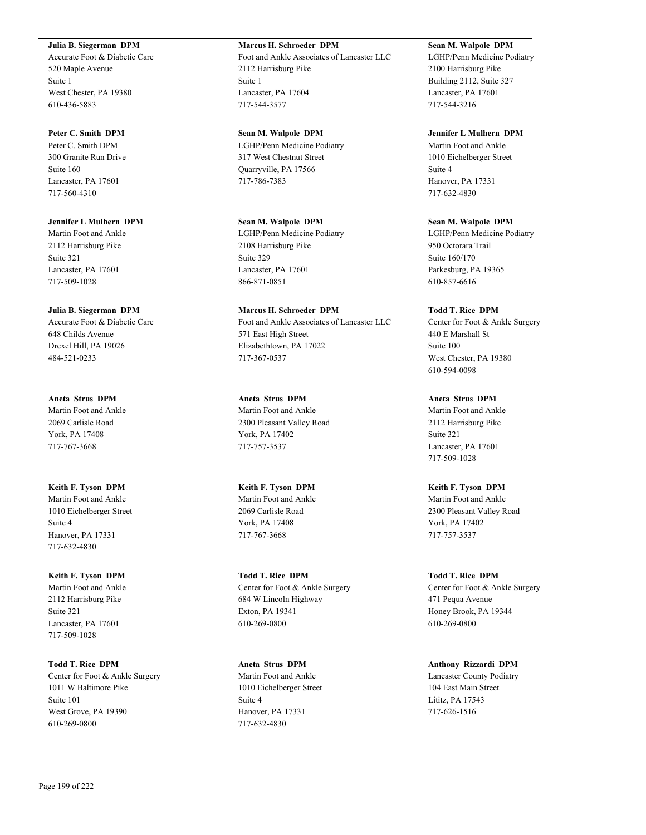# **Julia B. Siegerman DPM**

Accurate Foot & Diabetic Care 520 Maple Avenue Suite 1 West Chester, PA 19380 610-436-5883

# **Peter C. Smith DPM**

Peter C. Smith DPM 300 Granite Run Drive Suite 160 Lancaster, PA 17601 717-560-4310

**Jennifer L Mulhern DPM** Martin Foot and Ankle 2112 Harrisburg Pike Suite 321 Lancaster, PA 17601 717-509-1028

#### **Julia B. Siegerman DPM**

Accurate Foot & Diabetic Care 648 Childs Avenue Drexel Hill, PA 19026 484-521-0233

**Aneta Strus DPM** Martin Foot and Ankle 2069 Carlisle Road York, PA 17408 717-767-3668

**Keith F. Tyson DPM** Martin Foot and Ankle 1010 Eichelberger Street Suite 4 Hanover, PA 17331 717-632-4830

**Keith F. Tyson DPM** Martin Foot and Ankle 2112 Harrisburg Pike Suite 321 Lancaster, PA 17601 717-509-1028

**Todd T. Rice DPM** Center for Foot & Ankle Surgery 1011 W Baltimore Pike Suite 101 West Grove, PA 19390 610-269-0800

# **Marcus H. Schroeder DPM** Foot and Ankle Associates of Lancaster LLC 2112 Harrisburg Pike Suite 1 Lancaster, PA 17604 717-544-3577

**Sean M. Walpole DPM** LGHP/Penn Medicine Podiatry 317 West Chestnut Street Quarryville, PA 17566 717-786-7383

**Sean M. Walpole DPM** LGHP/Penn Medicine Podiatry 2108 Harrisburg Pike Suite 329 Lancaster, PA 17601 866-871-0851

**Marcus H. Schroeder DPM** Foot and Ankle Associates of Lancaster LLC 571 East High Street Elizabethtown, PA 17022 717-367-0537

**Aneta Strus DPM** Martin Foot and Ankle 2300 Pleasant Valley Road York, PA 17402 717-757-3537

**Keith F. Tyson DPM** Martin Foot and Ankle 2069 Carlisle Road York, PA 17408 717-767-3668

**Todd T. Rice DPM** Center for Foot & Ankle Surgery 684 W Lincoln Highway Exton, PA 19341 610-269-0800

**Aneta Strus DPM** Martin Foot and Ankle 1010 Eichelberger Street Suite 4 Hanover, PA 17331 717-632-4830

**Sean M. Walpole DPM** LGHP/Penn Medicine Podiatry 2100 Harrisburg Pike Building 2112, Suite 327 Lancaster, PA 17601 717-544-3216

**Jennifer L Mulhern DPM** Martin Foot and Ankle 1010 Eichelberger Street Suite 4 Hanover, PA 17331 717-632-4830

**Sean M. Walpole DPM** LGHP/Penn Medicine Podiatry 950 Octorara Trail Suite 160/170 Parkesburg, PA 19365 610-857-6616

**Todd T. Rice DPM** Center for Foot & Ankle Surgery 440 E Marshall St Suite 100 West Chester, PA 19380 610-594-0098

**Aneta Strus DPM** Martin Foot and Ankle 2112 Harrisburg Pike Suite 321 Lancaster, PA 17601 717-509-1028

**Keith F. Tyson DPM** Martin Foot and Ankle 2300 Pleasant Valley Road York, PA 17402 717-757-3537

**Todd T. Rice DPM** Center for Foot & Ankle Surgery 471 Pequa Avenue Honey Brook, PA 19344 610-269-0800

**Anthony Rizzardi DPM** Lancaster County Podiatry 104 East Main Street Lititz, PA 17543 717-626-1516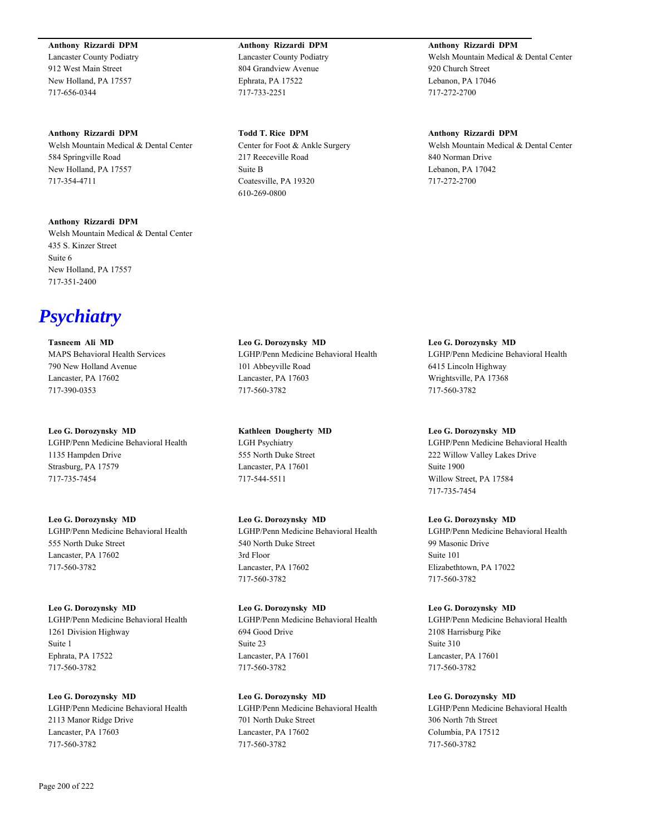#### **Anthony Rizzardi DPM**

Lancaster County Podiatry 912 West Main Street New Holland, PA 17557 717-656-0344

#### **Anthony Rizzardi DPM**

Welsh Mountain Medical & Dental Center 584 Springville Road New Holland, PA 17557 717-354-4711

**Anthony Rizzardi DPM** Welsh Mountain Medical & Dental Center 435 S. Kinzer Street Suite 6 New Holland, PA 17557 717-351-2400

*Psychiatry*

**Tasneem Ali MD** MAPS Behavioral Health Services 790 New Holland Avenue Lancaster, PA 17602 717-390-0353

**Leo G. Dorozynsky MD** LGHP/Penn Medicine Behavioral Health 1135 Hampden Drive Strasburg, PA 17579 717-735-7454

**Leo G. Dorozynsky MD** LGHP/Penn Medicine Behavioral Health 555 North Duke Street Lancaster, PA 17602 717-560-3782

**Leo G. Dorozynsky MD** LGHP/Penn Medicine Behavioral Health 1261 Division Highway Suite 1 Ephrata, PA 17522 717-560-3782

**Leo G. Dorozynsky MD** LGHP/Penn Medicine Behavioral Health 2113 Manor Ridge Drive Lancaster, PA 17603 717-560-3782

**Anthony Rizzardi DPM** Lancaster County Podiatry 804 Grandview Avenue Ephrata, PA 17522 717-733-2251

**Todd T. Rice DPM** Center for Foot & Ankle Surgery 217 Reeceville Road Suite B Coatesville, PA 19320 610-269-0800

**Leo G. Dorozynsky MD** LGHP/Penn Medicine Behavioral Health 101 Abbeyville Road Lancaster, PA 17603 717-560-3782

**Kathleen Dougherty MD** LGH Psychiatry 555 North Duke Street Lancaster, PA 17601 717-544-5511

**Leo G. Dorozynsky MD** LGHP/Penn Medicine Behavioral Health 540 North Duke Street 3rd Floor Lancaster, PA 17602 717-560-3782

**Leo G. Dorozynsky MD** LGHP/Penn Medicine Behavioral Health 694 Good Drive Suite 23 Lancaster, PA 17601 717-560-3782

**Leo G. Dorozynsky MD** LGHP/Penn Medicine Behavioral Health 701 North Duke Street Lancaster, PA 17602 717-560-3782

**Anthony Rizzardi DPM**

Welsh Mountain Medical & Dental Center 920 Church Street Lebanon, PA 17046 717-272-2700

**Anthony Rizzardi DPM**

Welsh Mountain Medical & Dental Center 840 Norman Drive Lebanon, PA 17042 717-272-2700

**Leo G. Dorozynsky MD** LGHP/Penn Medicine Behavioral Health 6415 Lincoln Highway Wrightsville, PA 17368 717-560-3782

**Leo G. Dorozynsky MD** LGHP/Penn Medicine Behavioral Health 222 Willow Valley Lakes Drive Suite 1900 Willow Street, PA 17584

717-735-7454

**Leo G. Dorozynsky MD** LGHP/Penn Medicine Behavioral Health 99 Masonic Drive Suite 101 Elizabethtown, PA 17022 717-560-3782

**Leo G. Dorozynsky MD** LGHP/Penn Medicine Behavioral Health 2108 Harrisburg Pike Suite 310 Lancaster, PA 17601 717-560-3782

**Leo G. Dorozynsky MD** LGHP/Penn Medicine Behavioral Health 306 North 7th Street Columbia, PA 17512 717-560-3782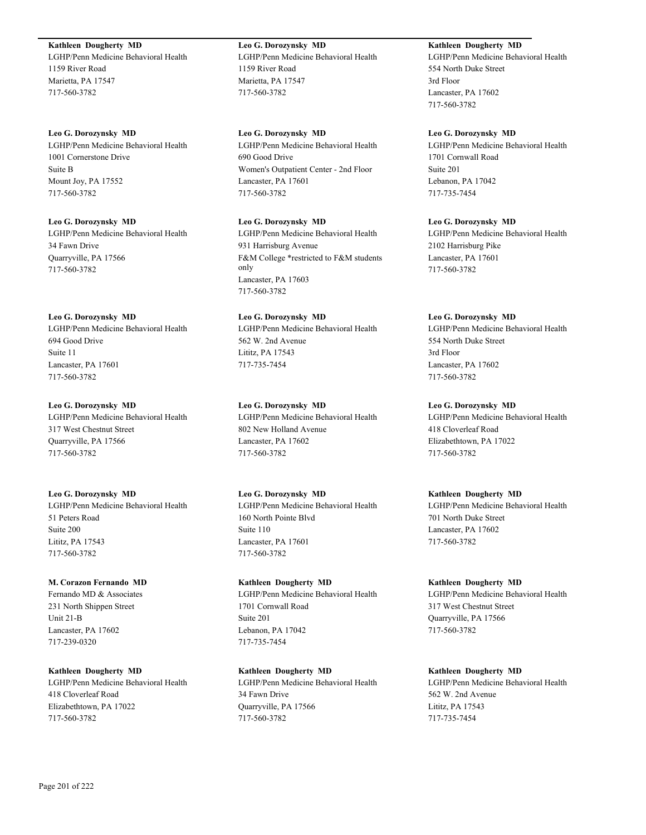#### **Kathleen Dougherty MD**

LGHP/Penn Medicine Behavioral Health 1159 River Road Marietta, PA 17547 717-560-3782

#### **Leo G. Dorozynsky MD**

LGHP/Penn Medicine Behavioral Health 1001 Cornerstone Drive Suite B Mount Joy, PA 17552 717-560-3782

#### **Leo G. Dorozynsky MD**

LGHP/Penn Medicine Behavioral Health 34 Fawn Drive Quarryville, PA 17566 717-560-3782

#### **Leo G. Dorozynsky MD**

LGHP/Penn Medicine Behavioral Health 694 Good Drive Suite 11 Lancaster, PA 17601 717-560-3782

#### **Leo G. Dorozynsky MD**

LGHP/Penn Medicine Behavioral Health 317 West Chestnut Street Quarryville, PA 17566 717-560-3782

#### **Leo G. Dorozynsky MD**

LGHP/Penn Medicine Behavioral Health 51 Peters Road Suite 200 Lititz, PA 17543 717-560-3782

#### **M. Corazon Fernando MD**

Fernando MD & Associates 231 North Shippen Street Unit 21-B Lancaster, PA 17602 717-239-0320

**Kathleen Dougherty MD** LGHP/Penn Medicine Behavioral Health 418 Cloverleaf Road Elizabethtown, PA 17022 717-560-3782

**Leo G. Dorozynsky MD** LGHP/Penn Medicine Behavioral Health 1159 River Road Marietta, PA 17547 717-560-3782

**Leo G. Dorozynsky MD** LGHP/Penn Medicine Behavioral Health 690 Good Drive Women's Outpatient Center - 2nd Floor Lancaster, PA 17601 717-560-3782

# **Leo G. Dorozynsky MD**

LGHP/Penn Medicine Behavioral Health 931 Harrisburg Avenue F&M College \*restricted to F&M students only Lancaster, PA 17603 717-560-3782

**Leo G. Dorozynsky MD** LGHP/Penn Medicine Behavioral Health 562 W. 2nd Avenue Lititz, PA 17543 717-735-7454

# **Leo G. Dorozynsky MD**

LGHP/Penn Medicine Behavioral Health 802 New Holland Avenue Lancaster, PA 17602 717-560-3782

# **Leo G. Dorozynsky MD**

LGHP/Penn Medicine Behavioral Health 160 North Pointe Blvd Suite 110 Lancaster, PA 17601 717-560-3782

**Kathleen Dougherty MD** LGHP/Penn Medicine Behavioral Health 1701 Cornwall Road Suite 201 Lebanon, PA 17042 717-735-7454

**Kathleen Dougherty MD** LGHP/Penn Medicine Behavioral Health 34 Fawn Drive Quarryville, PA 17566 717-560-3782

# **Kathleen Dougherty MD**

LGHP/Penn Medicine Behavioral Health 554 North Duke Street 3rd Floor Lancaster, PA 17602 717-560-3782

#### **Leo G. Dorozynsky MD**

LGHP/Penn Medicine Behavioral Health 1701 Cornwall Road Suite 201 Lebanon, PA 17042 717-735-7454

# **Leo G. Dorozynsky MD**

LGHP/Penn Medicine Behavioral Health 2102 Harrisburg Pike Lancaster, PA 17601 717-560-3782

# **Leo G. Dorozynsky MD**

LGHP/Penn Medicine Behavioral Health 554 North Duke Street 3rd Floor Lancaster, PA 17602 717-560-3782

# **Leo G. Dorozynsky MD**

LGHP/Penn Medicine Behavioral Health 418 Cloverleaf Road Elizabethtown, PA 17022 717-560-3782

# **Kathleen Dougherty MD**

LGHP/Penn Medicine Behavioral Health 701 North Duke Street Lancaster, PA 17602 717-560-3782

#### **Kathleen Dougherty MD**

LGHP/Penn Medicine Behavioral Health 317 West Chestnut Street Quarryville, PA 17566 717-560-3782

# **Kathleen Dougherty MD**

LGHP/Penn Medicine Behavioral Health 562 W. 2nd Avenue Lititz, PA 17543 717-735-7454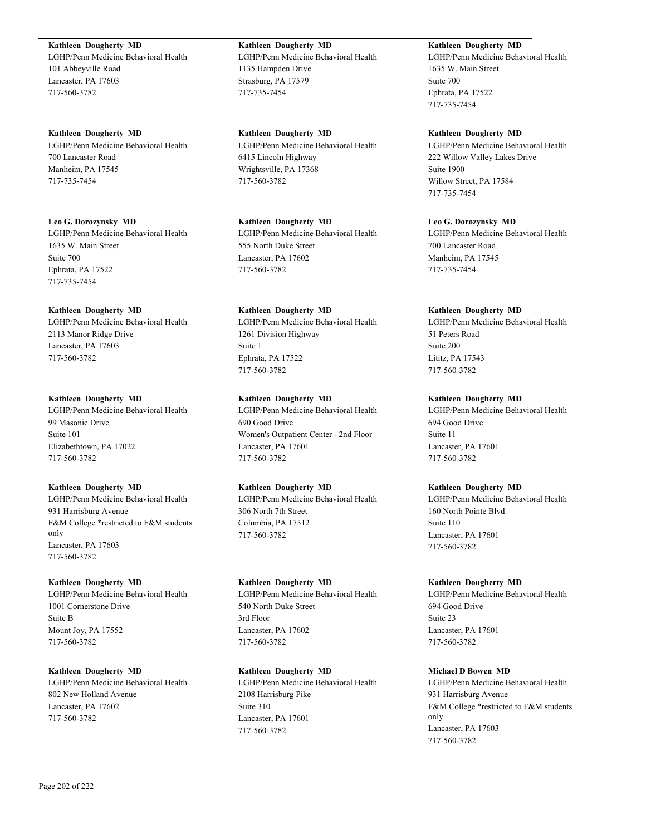**Kathleen Dougherty MD** LGHP/Penn Medicine Behavioral Health 101 Abbeyville Road Lancaster, PA 17603 717-560-3782

**Kathleen Dougherty MD** LGHP/Penn Medicine Behavioral Health 700 Lancaster Road Manheim, PA 17545 717-735-7454

**Leo G. Dorozynsky MD** LGHP/Penn Medicine Behavioral Health 1635 W. Main Street Suite 700 Ephrata, PA 17522 717-735-7454

**Kathleen Dougherty MD** LGHP/Penn Medicine Behavioral Health 2113 Manor Ridge Drive Lancaster, PA 17603 717-560-3782

**Kathleen Dougherty MD** LGHP/Penn Medicine Behavioral Health 99 Masonic Drive Suite 101 Elizabethtown, PA 17022 717-560-3782

**Kathleen Dougherty MD** LGHP/Penn Medicine Behavioral Health 931 Harrisburg Avenue F&M College \*restricted to F&M students only Lancaster, PA 17603 717-560-3782

**Kathleen Dougherty MD** LGHP/Penn Medicine Behavioral Health 1001 Cornerstone Drive Suite B Mount Joy, PA 17552 717-560-3782

**Kathleen Dougherty MD** LGHP/Penn Medicine Behavioral Health 802 New Holland Avenue Lancaster, PA 17602 717-560-3782

1135 Hampden Drive Strasburg, PA 17579 717-735-7454

**Kathleen Dougherty MD**

**Kathleen Dougherty MD** LGHP/Penn Medicine Behavioral Health 6415 Lincoln Highway Wrightsville, PA 17368 717-560-3782

LGHP/Penn Medicine Behavioral Health

**Kathleen Dougherty MD** LGHP/Penn Medicine Behavioral Health 555 North Duke Street Lancaster, PA 17602 717-560-3782

**Kathleen Dougherty MD** LGHP/Penn Medicine Behavioral Health 1261 Division Highway Suite 1 Ephrata, PA 17522 717-560-3782

**Kathleen Dougherty MD** LGHP/Penn Medicine Behavioral Health 690 Good Drive Women's Outpatient Center - 2nd Floor Lancaster, PA 17601 717-560-3782

**Kathleen Dougherty MD** LGHP/Penn Medicine Behavioral Health 306 North 7th Street Columbia, PA 17512 717-560-3782

**Kathleen Dougherty MD** LGHP/Penn Medicine Behavioral Health 540 North Duke Street 3rd Floor Lancaster, PA 17602 717-560-3782

**Kathleen Dougherty MD** LGHP/Penn Medicine Behavioral Health 2108 Harrisburg Pike Suite 310 Lancaster, PA 17601 717-560-3782

**Kathleen Dougherty MD** LGHP/Penn Medicine Behavioral Health 1635 W. Main Street Suite 700 Ephrata, PA 17522 717-735-7454

**Kathleen Dougherty MD** LGHP/Penn Medicine Behavioral Health 222 Willow Valley Lakes Drive Suite 1900 Willow Street, PA 17584 717-735-7454

**Leo G. Dorozynsky MD** LGHP/Penn Medicine Behavioral Health 700 Lancaster Road Manheim, PA 17545 717-735-7454

**Kathleen Dougherty MD** LGHP/Penn Medicine Behavioral Health 51 Peters Road Suite 200 Lititz, PA 17543 717-560-3782

**Kathleen Dougherty MD** LGHP/Penn Medicine Behavioral Health 694 Good Drive Suite 11 Lancaster, PA 17601 717-560-3782

**Kathleen Dougherty MD** LGHP/Penn Medicine Behavioral Health 160 North Pointe Blvd Suite 110 Lancaster, PA 17601 717-560-3782

**Kathleen Dougherty MD** LGHP/Penn Medicine Behavioral Health 694 Good Drive Suite 23 Lancaster, PA 17601 717-560-3782

**Michael D Bowen MD** LGHP/Penn Medicine Behavioral Health 931 Harrisburg Avenue F&M College \*restricted to F&M students only Lancaster, PA 17603 717-560-3782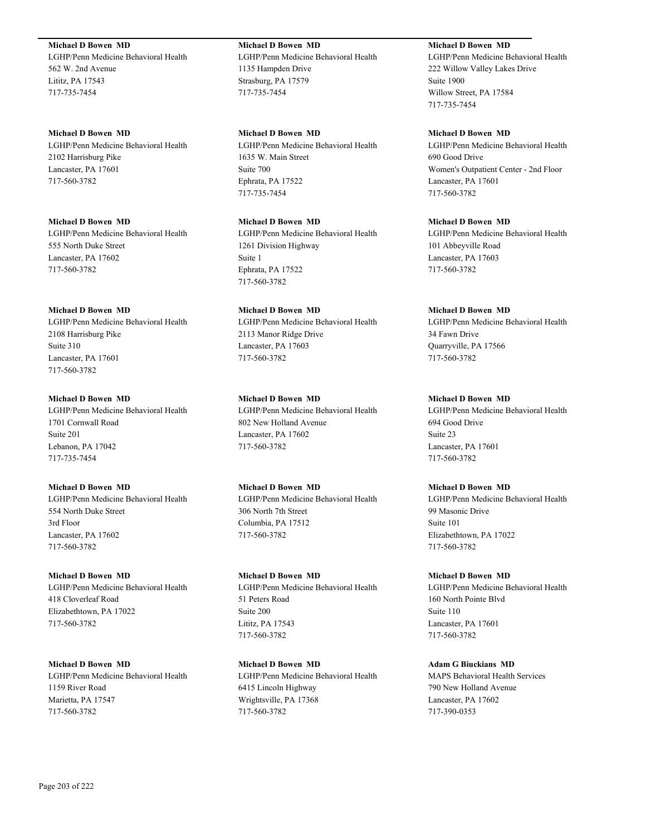**Michael D Bowen MD**

LGHP/Penn Medicine Behavioral Health 562 W. 2nd Avenue Lititz, PA 17543 717-735-7454

**Michael D Bowen MD** LGHP/Penn Medicine Behavioral Health 2102 Harrisburg Pike Lancaster, PA 17601 717-560-3782

**Michael D Bowen MD** LGHP/Penn Medicine Behavioral Health 555 North Duke Street Lancaster, PA 17602 717-560-3782

#### **Michael D Bowen MD**

LGHP/Penn Medicine Behavioral Health 2108 Harrisburg Pike Suite 310 Lancaster, PA 17601 717-560-3782

**Michael D Bowen MD**

LGHP/Penn Medicine Behavioral Health 1701 Cornwall Road Suite 201 Lebanon, PA 17042 717-735-7454

**Michael D Bowen MD**

LGHP/Penn Medicine Behavioral Health 554 North Duke Street 3rd Floor Lancaster, PA 17602 717-560-3782

**Michael D Bowen MD**

LGHP/Penn Medicine Behavioral Health 418 Cloverleaf Road Elizabethtown, PA 17022 717-560-3782

**Michael D Bowen MD** LGHP/Penn Medicine Behavioral Health 1159 River Road Marietta, PA 17547 717-560-3782

**Michael D Bowen MD** LGHP/Penn Medicine Behavioral Health 1135 Hampden Drive Strasburg, PA 17579 717-735-7454

**Michael D Bowen MD** LGHP/Penn Medicine Behavioral Health 1635 W. Main Street Suite 700 Ephrata, PA 17522 717-735-7454

**Michael D Bowen MD** LGHP/Penn Medicine Behavioral Health 1261 Division Highway Suite 1 Ephrata, PA 17522 717-560-3782

**Michael D Bowen MD** LGHP/Penn Medicine Behavioral Health 2113 Manor Ridge Drive Lancaster, PA 17603 717-560-3782

**Michael D Bowen MD** LGHP/Penn Medicine Behavioral Health 802 New Holland Avenue Lancaster, PA 17602 717-560-3782

**Michael D Bowen MD** LGHP/Penn Medicine Behavioral Health 306 North 7th Street Columbia, PA 17512 717-560-3782

**Michael D Bowen MD** LGHP/Penn Medicine Behavioral Health 51 Peters Road Suite 200 Lititz, PA 17543 717-560-3782

**Michael D Bowen MD** LGHP/Penn Medicine Behavioral Health 6415 Lincoln Highway Wrightsville, PA 17368 717-560-3782

**Michael D Bowen MD**

LGHP/Penn Medicine Behavioral Health 222 Willow Valley Lakes Drive Suite 1900 Willow Street, PA 17584 717-735-7454

**Michael D Bowen MD**

LGHP/Penn Medicine Behavioral Health 690 Good Drive Women's Outpatient Center - 2nd Floor Lancaster, PA 17601 717-560-3782

**Michael D Bowen MD** LGHP/Penn Medicine Behavioral Health 101 Abbeyville Road Lancaster, PA 17603 717-560-3782

**Michael D Bowen MD**

LGHP/Penn Medicine Behavioral Health 34 Fawn Drive Quarryville, PA 17566 717-560-3782

**Michael D Bowen MD**

717-560-3782

LGHP/Penn Medicine Behavioral Health 694 Good Drive Suite 23 Lancaster, PA 17601 717-560-3782

**Michael D Bowen MD** LGHP/Penn Medicine Behavioral Health 99 Masonic Drive Suite 101 Elizabethtown, PA 17022

**Michael D Bowen MD** LGHP/Penn Medicine Behavioral Health 160 North Pointe Blvd Suite 110 Lancaster, PA 17601 717-560-3782

**Adam G Biuckians MD** MAPS Behavioral Health Services 790 New Holland Avenue Lancaster, PA 17602 717-390-0353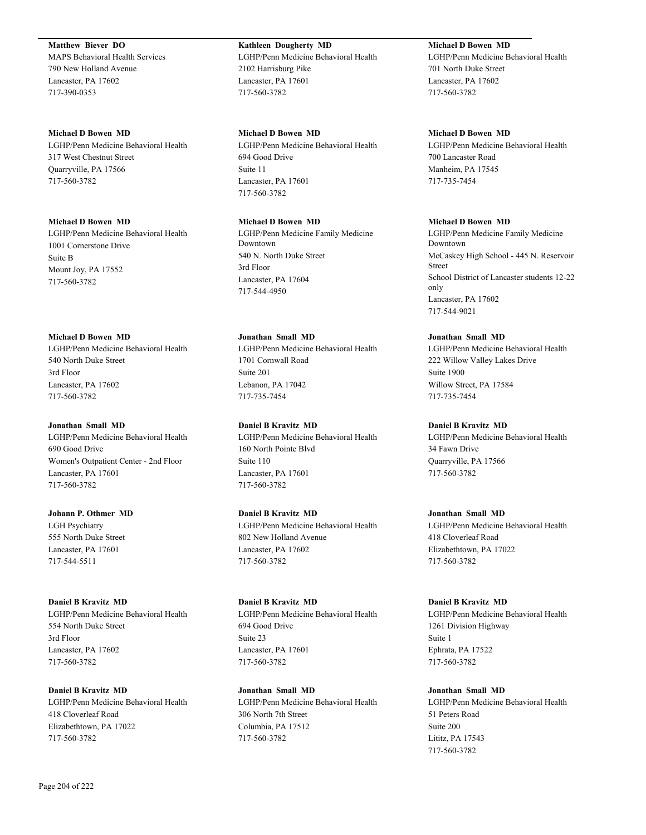**Matthew Biever DO** MAPS Behavioral Health Services 790 New Holland Avenue Lancaster, PA 17602 717-390-0353

#### **Michael D Bowen MD**

LGHP/Penn Medicine Behavioral Health 317 West Chestnut Street Quarryville, PA 17566 717-560-3782

#### **Michael D Bowen MD**

LGHP/Penn Medicine Behavioral Health 1001 Cornerstone Drive Suite B Mount Joy, PA 17552 717-560-3782

#### **Michael D Bowen MD**

LGHP/Penn Medicine Behavioral Health 540 North Duke Street 3rd Floor Lancaster, PA 17602 717-560-3782

#### **Jonathan Small MD**

LGHP/Penn Medicine Behavioral Health 690 Good Drive Women's Outpatient Center - 2nd Floor Lancaster, PA 17601 717-560-3782

#### **Johann P. Othmer MD**

LGH Psychiatry 555 North Duke Street Lancaster, PA 17601 717-544-5511

### **Daniel B Kravitz MD**

LGHP/Penn Medicine Behavioral Health 554 North Duke Street 3rd Floor Lancaster, PA 17602 717-560-3782

#### **Daniel B Kravitz MD**

LGHP/Penn Medicine Behavioral Health 418 Cloverleaf Road Elizabethtown, PA 17022 717-560-3782

# **Kathleen Dougherty MD** LGHP/Penn Medicine Behavioral Health 2102 Harrisburg Pike Lancaster, PA 17601 717-560-3782

**Michael D Bowen MD** LGHP/Penn Medicine Behavioral Health 694 Good Drive Suite 11 Lancaster, PA 17601 717-560-3782

# **Michael D Bowen MD**

LGHP/Penn Medicine Family Medicine Downtown 540 N. North Duke Street 3rd Floor Lancaster, PA 17604 717-544-4950

# **Jonathan Small MD**

LGHP/Penn Medicine Behavioral Health 1701 Cornwall Road Suite 201 Lebanon, PA 17042 717-735-7454

#### **Daniel B Kravitz MD**

LGHP/Penn Medicine Behavioral Health 160 North Pointe Blvd Suite 110 Lancaster, PA 17601 717-560-3782

#### **Daniel B Kravitz MD**

LGHP/Penn Medicine Behavioral Health 802 New Holland Avenue Lancaster, PA 17602 717-560-3782

### **Daniel B Kravitz MD**

LGHP/Penn Medicine Behavioral Health 694 Good Drive Suite 23 Lancaster, PA 17601 717-560-3782

# **Jonathan Small MD**

LGHP/Penn Medicine Behavioral Health 306 North 7th Street Columbia, PA 17512 717-560-3782

# **Michael D Bowen MD**

LGHP/Penn Medicine Behavioral Health 701 North Duke Street Lancaster, PA 17602 717-560-3782

#### **Michael D Bowen MD**

LGHP/Penn Medicine Behavioral Health 700 Lancaster Road Manheim, PA 17545 717-735-7454

#### **Michael D Bowen MD**

LGHP/Penn Medicine Family Medicine Downtown McCaskey High School - 445 N. Reservoir Street School District of Lancaster students 12-22 only Lancaster, PA 17602 717-544-9021

# **Jonathan Small MD**

LGHP/Penn Medicine Behavioral Health 222 Willow Valley Lakes Drive Suite 1900 Willow Street, PA 17584 717-735-7454

#### **Daniel B Kravitz MD**

LGHP/Penn Medicine Behavioral Health 34 Fawn Drive Quarryville, PA 17566 717-560-3782

#### **Jonathan Small MD**

LGHP/Penn Medicine Behavioral Health 418 Cloverleaf Road Elizabethtown, PA 17022 717-560-3782

#### **Daniel B Kravitz MD**

LGHP/Penn Medicine Behavioral Health 1261 Division Highway Suite 1 Ephrata, PA 17522 717-560-3782

#### **Jonathan Small MD**

LGHP/Penn Medicine Behavioral Health 51 Peters Road Suite 200 Lititz, PA 17543 717-560-3782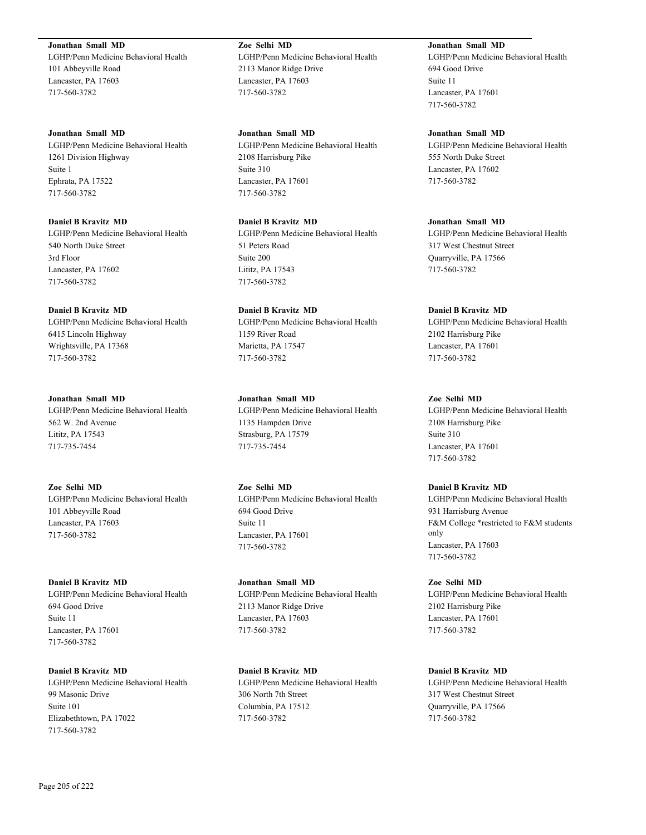**Jonathan Small MD** LGHP/Penn Medicine Behavioral Health 101 Abbeyville Road Lancaster, PA 17603 717-560-3782

**Jonathan Small MD** LGHP/Penn Medicine Behavioral Health 1261 Division Highway Suite 1 Ephrata, PA 17522 717-560-3782

**Daniel B Kravitz MD** LGHP/Penn Medicine Behavioral Health 540 North Duke Street 3rd Floor Lancaster, PA 17602 717-560-3782

**Daniel B Kravitz MD** LGHP/Penn Medicine Behavioral Health 6415 Lincoln Highway Wrightsville, PA 17368 717-560-3782

**Jonathan Small MD** LGHP/Penn Medicine Behavioral Health 562 W. 2nd Avenue Lititz, PA 17543 717-735-7454

**Zoe Selhi MD** LGHP/Penn Medicine Behavioral Health 101 Abbeyville Road Lancaster, PA 17603 717-560-3782

**Daniel B Kravitz MD** LGHP/Penn Medicine Behavioral Health 694 Good Drive Suite 11 Lancaster, PA 17601 717-560-3782

**Daniel B Kravitz MD** LGHP/Penn Medicine Behavioral Health 99 Masonic Drive Suite 101 Elizabethtown, PA 17022 717-560-3782

**Zoe Selhi MD** LGHP/Penn Medicine Behavioral Health 2113 Manor Ridge Drive Lancaster, PA 17603 717-560-3782

**Jonathan Small MD** LGHP/Penn Medicine Behavioral Health 2108 Harrisburg Pike Suite 310 Lancaster, PA 17601 717-560-3782

**Daniel B Kravitz MD** LGHP/Penn Medicine Behavioral Health 51 Peters Road Suite 200 Lititz, PA 17543 717-560-3782

**Daniel B Kravitz MD** LGHP/Penn Medicine Behavioral Health 1159 River Road Marietta, PA 17547 717-560-3782

**Jonathan Small MD** LGHP/Penn Medicine Behavioral Health 1135 Hampden Drive Strasburg, PA 17579 717-735-7454

**Zoe Selhi MD** LGHP/Penn Medicine Behavioral Health 694 Good Drive Suite 11 Lancaster, PA 17601 717-560-3782

**Jonathan Small MD** LGHP/Penn Medicine Behavioral Health 2113 Manor Ridge Drive Lancaster, PA 17603 717-560-3782

**Daniel B Kravitz MD** LGHP/Penn Medicine Behavioral Health 306 North 7th Street Columbia, PA 17512 717-560-3782

**Jonathan Small MD** LGHP/Penn Medicine Behavioral Health 694 Good Drive Suite 11 Lancaster, PA 17601 717-560-3782

**Jonathan Small MD** LGHP/Penn Medicine Behavioral Health 555 North Duke Street Lancaster, PA 17602 717-560-3782

**Jonathan Small MD** LGHP/Penn Medicine Behavioral Health 317 West Chestnut Street Quarryville, PA 17566 717-560-3782

**Daniel B Kravitz MD** LGHP/Penn Medicine Behavioral Health 2102 Harrisburg Pike Lancaster, PA 17601 717-560-3782

**Zoe Selhi MD** LGHP/Penn Medicine Behavioral Health 2108 Harrisburg Pike Suite 310 Lancaster, PA 17601 717-560-3782

**Daniel B Kravitz MD** LGHP/Penn Medicine Behavioral Health 931 Harrisburg Avenue F&M College \*restricted to F&M students only Lancaster, PA 17603 717-560-3782

**Zoe Selhi MD** LGHP/Penn Medicine Behavioral Health 2102 Harrisburg Pike Lancaster, PA 17601 717-560-3782

**Daniel B Kravitz MD** LGHP/Penn Medicine Behavioral Health 317 West Chestnut Street Quarryville, PA 17566 717-560-3782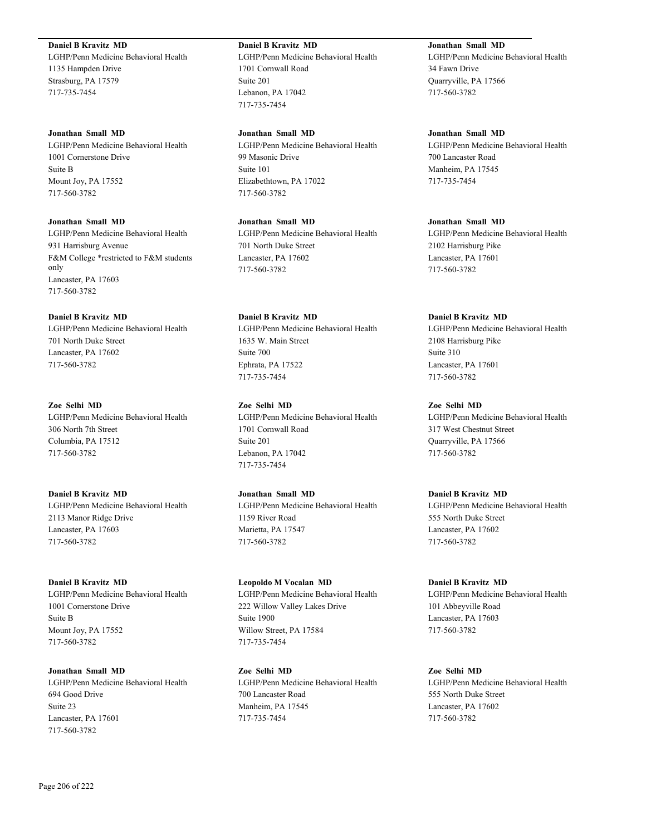**Daniel B Kravitz MD**

LGHP/Penn Medicine Behavioral Health 1135 Hampden Drive Strasburg, PA 17579 717-735-7454

#### **Jonathan Small MD**

LGHP/Penn Medicine Behavioral Health 1001 Cornerstone Drive Suite B Mount Joy, PA 17552 717-560-3782

#### **Jonathan Small MD**

LGHP/Penn Medicine Behavioral Health 931 Harrisburg Avenue F&M College \*restricted to F&M students only Lancaster, PA 17603 717-560-3782

#### **Daniel B Kravitz MD**

LGHP/Penn Medicine Behavioral Health 701 North Duke Street Lancaster, PA 17602 717-560-3782

# **Zoe Selhi MD**

LGHP/Penn Medicine Behavioral Health 306 North 7th Street Columbia, PA 17512 717-560-3782

**Daniel B Kravitz MD** LGHP/Penn Medicine Behavioral Health 2113 Manor Ridge Drive Lancaster, PA 17603 717-560-3782

#### **Daniel B Kravitz MD**

LGHP/Penn Medicine Behavioral Health 1001 Cornerstone Drive Suite B Mount Joy, PA 17552 717-560-3782

**Jonathan Small MD** LGHP/Penn Medicine Behavioral Health 694 Good Drive Suite 23 Lancaster, PA 17601 717-560-3782

# **Daniel B Kravitz MD**

LGHP/Penn Medicine Behavioral Health 1701 Cornwall Road Suite 201 Lebanon, PA 17042 717-735-7454

#### **Jonathan Small MD**

LGHP/Penn Medicine Behavioral Health 99 Masonic Drive Suite 101 Elizabethtown, PA 17022 717-560-3782

# **Jonathan Small MD**

LGHP/Penn Medicine Behavioral Health 701 North Duke Street Lancaster, PA 17602 717-560-3782

# **Daniel B Kravitz MD**

LGHP/Penn Medicine Behavioral Health 1635 W. Main Street Suite 700 Ephrata, PA 17522 717-735-7454

# **Zoe Selhi MD**

LGHP/Penn Medicine Behavioral Health 1701 Cornwall Road Suite 201 Lebanon, PA 17042 717-735-7454

# **Jonathan Small MD** LGHP/Penn Medicine Behavioral Health 1159 River Road Marietta, PA 17547 717-560-3782

**Leopoldo M Vocalan MD** LGHP/Penn Medicine Behavioral Health 222 Willow Valley Lakes Drive Suite 1900 Willow Street, PA 17584 717-735-7454

# **Zoe Selhi MD** LGHP/Penn Medicine Behavioral Health 700 Lancaster Road Manheim, PA 17545 717-735-7454

# **Jonathan Small MD** LGHP/Penn Medicine Behavioral Health 34 Fawn Drive Quarryville, PA 17566 717-560-3782

**Jonathan Small MD** LGHP/Penn Medicine Behavioral Health 700 Lancaster Road Manheim, PA 17545 717-735-7454

#### **Jonathan Small MD**

LGHP/Penn Medicine Behavioral Health 2102 Harrisburg Pike Lancaster, PA 17601 717-560-3782

# **Daniel B Kravitz MD**

LGHP/Penn Medicine Behavioral Health 2108 Harrisburg Pike Suite 310 Lancaster, PA 17601 717-560-3782

# **Zoe Selhi MD**

LGHP/Penn Medicine Behavioral Health 317 West Chestnut Street Quarryville, PA 17566 717-560-3782

# **Daniel B Kravitz MD**

LGHP/Penn Medicine Behavioral Health 555 North Duke Street Lancaster, PA 17602 717-560-3782

# **Daniel B Kravitz MD**

LGHP/Penn Medicine Behavioral Health 101 Abbeyville Road Lancaster, PA 17603 717-560-3782

# **Zoe Selhi MD**

LGHP/Penn Medicine Behavioral Health 555 North Duke Street Lancaster, PA 17602 717-560-3782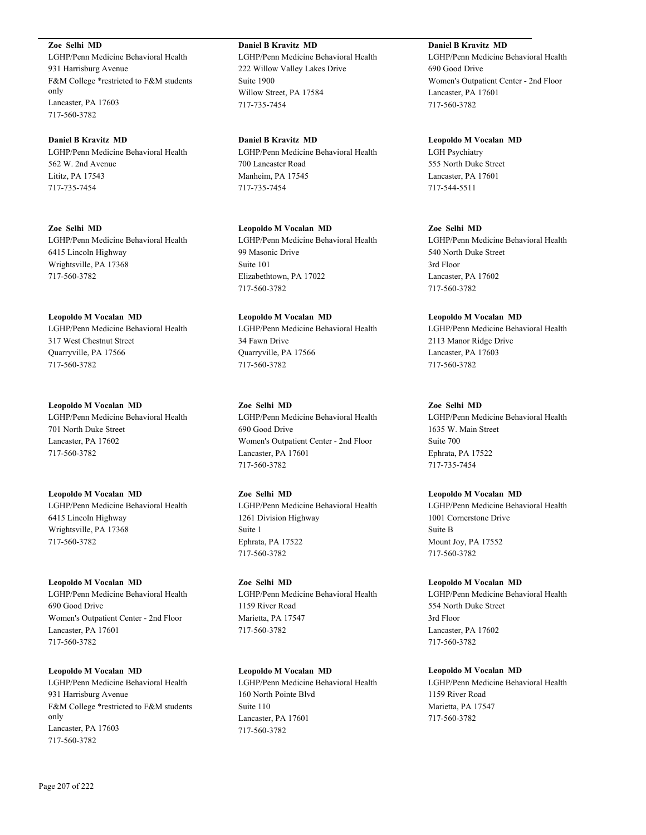**Zoe Selhi MD**

LGHP/Penn Medicine Behavioral Health 931 Harrisburg Avenue F&M College \*restricted to F&M students only Lancaster, PA 17603 717-560-3782

**Daniel B Kravitz MD** LGHP/Penn Medicine Behavioral Health 562 W. 2nd Avenue Lititz, PA 17543 717-735-7454

**Zoe Selhi MD** LGHP/Penn Medicine Behavioral Health 6415 Lincoln Highway Wrightsville, PA 17368 717-560-3782

**Leopoldo M Vocalan MD** LGHP/Penn Medicine Behavioral Health 317 West Chestnut Street Quarryville, PA 17566 717-560-3782

**Leopoldo M Vocalan MD** LGHP/Penn Medicine Behavioral Health 701 North Duke Street Lancaster, PA 17602 717-560-3782

**Leopoldo M Vocalan MD** LGHP/Penn Medicine Behavioral Health 6415 Lincoln Highway Wrightsville, PA 17368 717-560-3782

**Leopoldo M Vocalan MD** LGHP/Penn Medicine Behavioral Health 690 Good Drive Women's Outpatient Center - 2nd Floor Lancaster, PA 17601 717-560-3782

**Leopoldo M Vocalan MD** LGHP/Penn Medicine Behavioral Health 931 Harrisburg Avenue F&M College \*restricted to F&M students only Lancaster, PA 17603 717-560-3782

**Daniel B Kravitz MD** LGHP/Penn Medicine Behavioral Health 222 Willow Valley Lakes Drive Suite 1900 Willow Street, PA 17584 717-735-7454

**Daniel B Kravitz MD** LGHP/Penn Medicine Behavioral Health 700 Lancaster Road Manheim, PA 17545 717-735-7454

**Leopoldo M Vocalan MD** LGHP/Penn Medicine Behavioral Health 99 Masonic Drive Suite 101 Elizabethtown, PA 17022 717-560-3782

**Leopoldo M Vocalan MD** LGHP/Penn Medicine Behavioral Health 34 Fawn Drive Quarryville, PA 17566 717-560-3782

**Zoe Selhi MD** LGHP/Penn Medicine Behavioral Health 690 Good Drive Women's Outpatient Center - 2nd Floor Lancaster, PA 17601 717-560-3782

**Zoe Selhi MD** LGHP/Penn Medicine Behavioral Health 1261 Division Highway Suite 1 Ephrata, PA 17522 717-560-3782

**Zoe Selhi MD** LGHP/Penn Medicine Behavioral Health 1159 River Road Marietta, PA 17547 717-560-3782

**Leopoldo M Vocalan MD** LGHP/Penn Medicine Behavioral Health 160 North Pointe Blvd Suite 110 Lancaster, PA 17601 717-560-3782

**Daniel B Kravitz MD** LGHP/Penn Medicine Behavioral Health 690 Good Drive Women's Outpatient Center - 2nd Floor Lancaster, PA 17601 717-560-3782

**Leopoldo M Vocalan MD** LGH Psychiatry 555 North Duke Street Lancaster, PA 17601 717-544-5511

**Zoe Selhi MD** LGHP/Penn Medicine Behavioral Health 540 North Duke Street 3rd Floor Lancaster, PA 17602 717-560-3782

**Leopoldo M Vocalan MD** LGHP/Penn Medicine Behavioral Health 2113 Manor Ridge Drive Lancaster, PA 17603 717-560-3782

# **Zoe Selhi MD**

LGHP/Penn Medicine Behavioral Health 1635 W. Main Street Suite 700 Ephrata, PA 17522 717-735-7454

**Leopoldo M Vocalan MD**

LGHP/Penn Medicine Behavioral Health 1001 Cornerstone Drive Suite B Mount Joy, PA 17552 717-560-3782

**Leopoldo M Vocalan MD** LGHP/Penn Medicine Behavioral Health 554 North Duke Street 3rd Floor Lancaster, PA 17602 717-560-3782

**Leopoldo M Vocalan MD** LGHP/Penn Medicine Behavioral Health 1159 River Road Marietta, PA 17547 717-560-3782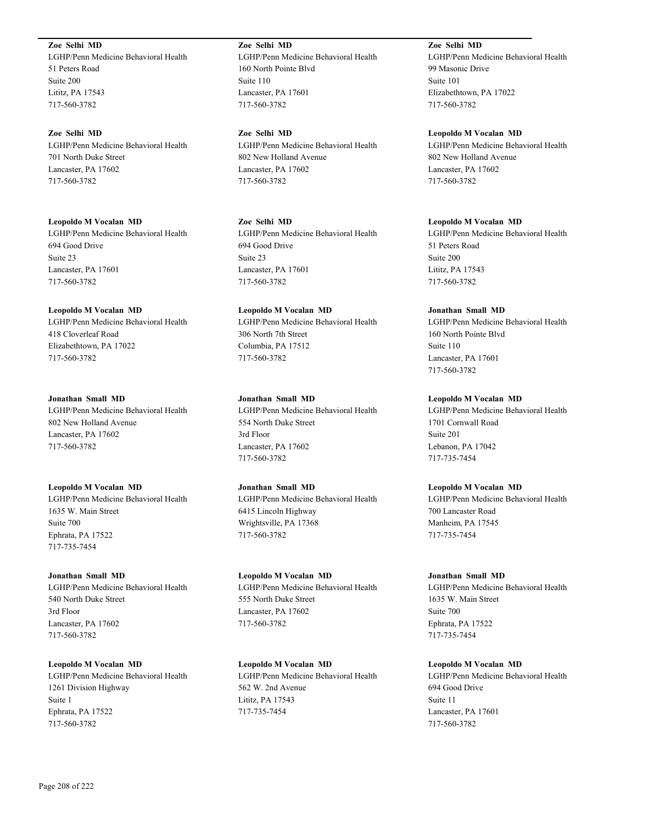**Zoe Selhi MD** LGHP/Penn Medicine Behavioral Health 51 Peters Road Suite 200 Lititz, PA 17543 717-560-3782

**Zoe Selhi MD** LGHP/Penn Medicine Behavioral Health 701 North Duke Street Lancaster, PA 17602 717-560-3782

**Leopoldo M Vocalan MD** LGHP/Penn Medicine Behavioral Health 694 Good Drive Suite 23 Lancaster, PA 17601 717-560-3782

**Leopoldo M Vocalan MD** LGHP/Penn Medicine Behavioral Health 418 Cloverleaf Road Elizabethtown, PA 17022 717-560-3782

**Jonathan Small MD** LGHP/Penn Medicine Behavioral Health 802 New Holland Avenue Lancaster, PA 17602 717-560-3782

**Leopoldo M Vocalan MD** LGHP/Penn Medicine Behavioral Health 1635 W. Main Street Suite 700 Ephrata, PA 17522 717-735-7454

**Jonathan Small MD** LGHP/Penn Medicine Behavioral Health 540 North Duke Street 3rd Floor Lancaster, PA 17602 717-560-3782

**Leopoldo M Vocalan MD** LGHP/Penn Medicine Behavioral Health 1261 Division Highway Suite 1 Ephrata, PA 17522 717-560-3782

**Zoe Selhi MD** LGHP/Penn Medicine Behavioral Health 160 North Pointe Blvd Suite 110 Lancaster, PA 17601 717-560-3782

**Zoe Selhi MD** LGHP/Penn Medicine Behavioral Health 802 New Holland Avenue Lancaster, PA 17602 717-560-3782

**Zoe Selhi MD** LGHP/Penn Medicine Behavioral Health 694 Good Drive Suite 23 Lancaster, PA 17601 717-560-3782

**Leopoldo M Vocalan MD** LGHP/Penn Medicine Behavioral Health 306 North 7th Street Columbia, PA 17512 717-560-3782

**Jonathan Small MD** LGHP/Penn Medicine Behavioral Health 554 North Duke Street 3rd Floor Lancaster, PA 17602 717-560-3782

**Jonathan Small MD** LGHP/Penn Medicine Behavioral Health 6415 Lincoln Highway Wrightsville, PA 17368 717-560-3782

**Leopoldo M Vocalan MD** LGHP/Penn Medicine Behavioral Health 555 North Duke Street Lancaster, PA 17602 717-560-3782

**Leopoldo M Vocalan MD** LGHP/Penn Medicine Behavioral Health 562 W. 2nd Avenue Lititz, PA 17543 717-735-7454

**Zoe Selhi MD** LGHP/Penn Medicine Behavioral Health 99 Masonic Drive Suite 101 Elizabethtown, PA 17022 717-560-3782

**Leopoldo M Vocalan MD** LGHP/Penn Medicine Behavioral Health 802 New Holland Avenue Lancaster, PA 17602 717-560-3782

**Leopoldo M Vocalan MD** LGHP/Penn Medicine Behavioral Health 51 Peters Road Suite 200 Lititz, PA 17543 717-560-3782

**Jonathan Small MD** LGHP/Penn Medicine Behavioral Health 160 North Pointe Blvd Suite 110 Lancaster, PA 17601 717-560-3782

**Leopoldo M Vocalan MD** LGHP/Penn Medicine Behavioral Health 1701 Cornwall Road Suite 201 Lebanon, PA 17042 717-735-7454

**Leopoldo M Vocalan MD** LGHP/Penn Medicine Behavioral Health 700 Lancaster Road Manheim, PA 17545 717-735-7454

**Jonathan Small MD** LGHP/Penn Medicine Behavioral Health 1635 W. Main Street Suite 700 Ephrata, PA 17522 717-735-7454

**Leopoldo M Vocalan MD** LGHP/Penn Medicine Behavioral Health 694 Good Drive Suite 11 Lancaster, PA 17601 717-560-3782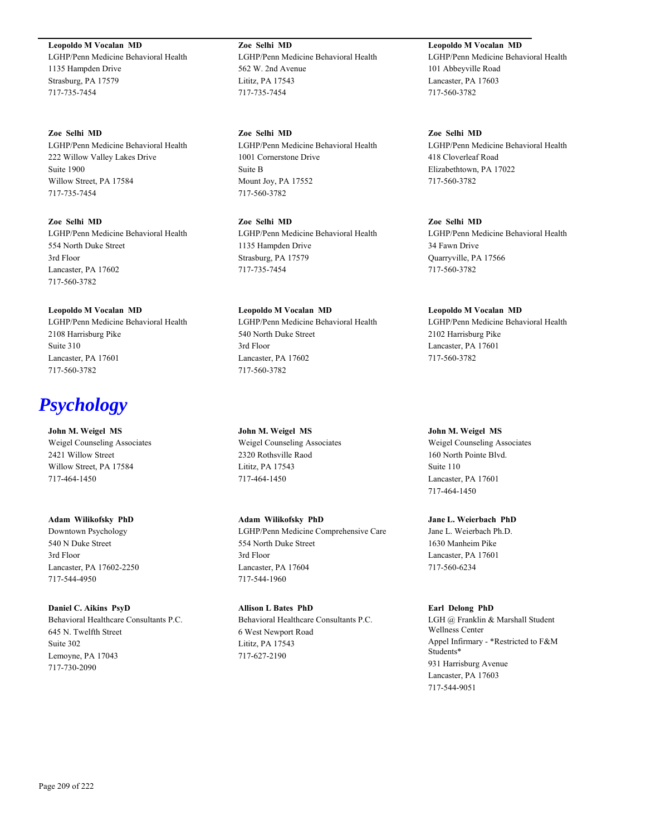**Leopoldo M Vocalan MD** LGHP/Penn Medicine Behavioral Health 1135 Hampden Drive Strasburg, PA 17579 717-735-7454

**Zoe Selhi MD** LGHP/Penn Medicine Behavioral Health 222 Willow Valley Lakes Drive Suite 1900 Willow Street, PA 17584 717-735-7454

**Zoe Selhi MD** LGHP/Penn Medicine Behavioral Health 554 North Duke Street 3rd Floor Lancaster, PA 17602 717-560-3782

**Leopoldo M Vocalan MD** LGHP/Penn Medicine Behavioral Health 2108 Harrisburg Pike Suite 310 Lancaster, PA 17601 717-560-3782

# *Psychology*

**John M. Weigel MS** Weigel Counseling Associates 2421 Willow Street Willow Street, PA 17584 717-464-1450

**Adam Wilikofsky PhD** Downtown Psychology 540 N Duke Street 3rd Floor Lancaster, PA 17602-2250 717-544-4950

**Daniel C. Aikins PsyD** Behavioral Healthcare Consultants P.C. 645 N. Twelfth Street Suite 302 Lemoyne, PA 17043 717-730-2090

**Zoe Selhi MD** LGHP/Penn Medicine Behavioral Health 562 W. 2nd Avenue Lititz, PA 17543 717-735-7454

**Zoe Selhi MD** LGHP/Penn Medicine Behavioral Health 1001 Cornerstone Drive Suite B Mount Joy, PA 17552 717-560-3782

**Zoe Selhi MD** LGHP/Penn Medicine Behavioral Health 1135 Hampden Drive Strasburg, PA 17579 717-735-7454

**Leopoldo M Vocalan MD** LGHP/Penn Medicine Behavioral Health 540 North Duke Street 3rd Floor Lancaster, PA 17602 717-560-3782

**John M. Weigel MS** Weigel Counseling Associates 2320 Rothsville Raod Lititz, PA 17543 717-464-1450

**Adam Wilikofsky PhD** LGHP/Penn Medicine Comprehensive Care 554 North Duke Street 3rd Floor Lancaster, PA 17604 717-544-1960

**Allison L Bates PhD** Behavioral Healthcare Consultants P.C. 6 West Newport Road Lititz, PA 17543 717-627-2190

**Leopoldo M Vocalan MD** LGHP/Penn Medicine Behavioral Health 101 Abbeyville Road Lancaster, PA 17603 717-560-3782

**Zoe Selhi MD** LGHP/Penn Medicine Behavioral Health 418 Cloverleaf Road Elizabethtown, PA 17022 717-560-3782

**Zoe Selhi MD** LGHP/Penn Medicine Behavioral Health 34 Fawn Drive Quarryville, PA 17566 717-560-3782

**Leopoldo M Vocalan MD** LGHP/Penn Medicine Behavioral Health 2102 Harrisburg Pike Lancaster, PA 17601 717-560-3782

**John M. Weigel MS** Weigel Counseling Associates 160 North Pointe Blvd. Suite 110 Lancaster, PA 17601 717-464-1450

**Jane L. Weierbach PhD** Jane L. Weierbach Ph.D. 1630 Manheim Pike Lancaster, PA 17601 717-560-6234

**Earl Delong PhD** LGH @ Franklin & Marshall Student Wellness Center Appel Infirmary - \*Restricted to F&M Students\* 931 Harrisburg Avenue Lancaster, PA 17603 717-544-9051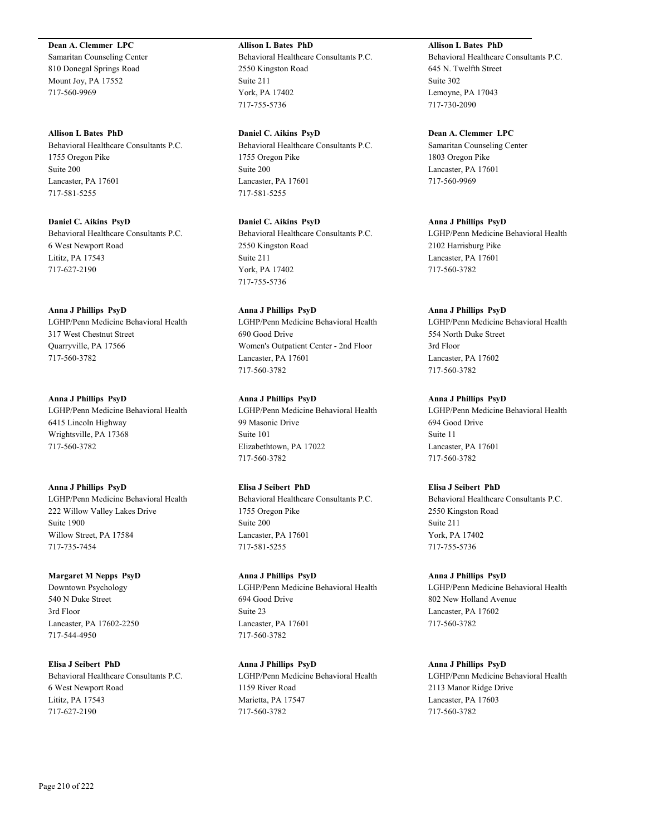## **Dean A. Clemmer LPC**

Samaritan Counseling Center 810 Donegal Springs Road Mount Joy, PA 17552 717-560-9969

#### **Allison L Bates PhD**

Behavioral Healthcare Consultants P.C. 1755 Oregon Pike Suite 200 Lancaster, PA 17601 717-581-5255

**Daniel C. Aikins PsyD** Behavioral Healthcare Consultants P.C. 6 West Newport Road Lititz, PA 17543 717-627-2190

#### **Anna J Phillips PsyD**

LGHP/Penn Medicine Behavioral Health 317 West Chestnut Street Quarryville, PA 17566 717-560-3782

# **Anna J Phillips PsyD**

LGHP/Penn Medicine Behavioral Health 6415 Lincoln Highway Wrightsville, PA 17368 717-560-3782

#### **Anna J Phillips PsyD**

LGHP/Penn Medicine Behavioral Health 222 Willow Valley Lakes Drive Suite 1900 Willow Street, PA 17584 717-735-7454

# **Margaret M Nepps PsyD**

Downtown Psychology 540 N Duke Street 3rd Floor Lancaster, PA 17602-2250 717-544-4950

**Elisa J Seibert PhD** Behavioral Healthcare Consultants P.C. 6 West Newport Road Lititz, PA 17543 717-627-2190

# **Allison L Bates PhD**

Behavioral Healthcare Consultants P.C. 2550 Kingston Road Suite 211 York, PA 17402 717-755-5736

**Daniel C. Aikins PsyD** Behavioral Healthcare Consultants P.C. 1755 Oregon Pike Suite 200 Lancaster, PA 17601 717-581-5255

**Daniel C. Aikins PsyD** Behavioral Healthcare Consultants P.C. 2550 Kingston Road Suite 211 York, PA 17402 717-755-5736

# **Anna J Phillips PsyD** LGHP/Penn Medicine Behavioral Health 690 Good Drive Women's Outpatient Center - 2nd Floor

Lancaster, PA 17601 717-560-3782

# **Anna J Phillips PsyD**

LGHP/Penn Medicine Behavioral Health 99 Masonic Drive Suite 101 Elizabethtown, PA 17022 717-560-3782

#### **Elisa J Seibert PhD**

Behavioral Healthcare Consultants P.C. 1755 Oregon Pike Suite 200 Lancaster, PA 17601 717-581-5255

# **Anna J Phillips PsyD** LGHP/Penn Medicine Behavioral Health 694 Good Drive Suite 23 Lancaster, PA 17601 717-560-3782

**Anna J Phillips PsyD** LGHP/Penn Medicine Behavioral Health 1159 River Road Marietta, PA 17547 717-560-3782

# **Allison L Bates PhD**

Behavioral Healthcare Consultants P.C. 645 N. Twelfth Street Suite 302 Lemoyne, PA 17043 717-730-2090

# **Dean A. Clemmer LPC**

Samaritan Counseling Center 1803 Oregon Pike Lancaster, PA 17601 717-560-9969

#### **Anna J Phillips PsyD**

LGHP/Penn Medicine Behavioral Health 2102 Harrisburg Pike Lancaster, PA 17601 717-560-3782

# **Anna J Phillips PsyD**

LGHP/Penn Medicine Behavioral Health 554 North Duke Street 3rd Floor Lancaster, PA 17602 717-560-3782

# **Anna J Phillips PsyD**

LGHP/Penn Medicine Behavioral Health 694 Good Drive Suite 11 Lancaster, PA 17601 717-560-3782

# **Elisa J Seibert PhD**

Behavioral Healthcare Consultants P.C. 2550 Kingston Road Suite 211 York, PA 17402 717-755-5736

#### **Anna J Phillips PsyD**

LGHP/Penn Medicine Behavioral Health 802 New Holland Avenue Lancaster, PA 17602 717-560-3782

#### **Anna J Phillips PsyD**

LGHP/Penn Medicine Behavioral Health 2113 Manor Ridge Drive Lancaster, PA 17603 717-560-3782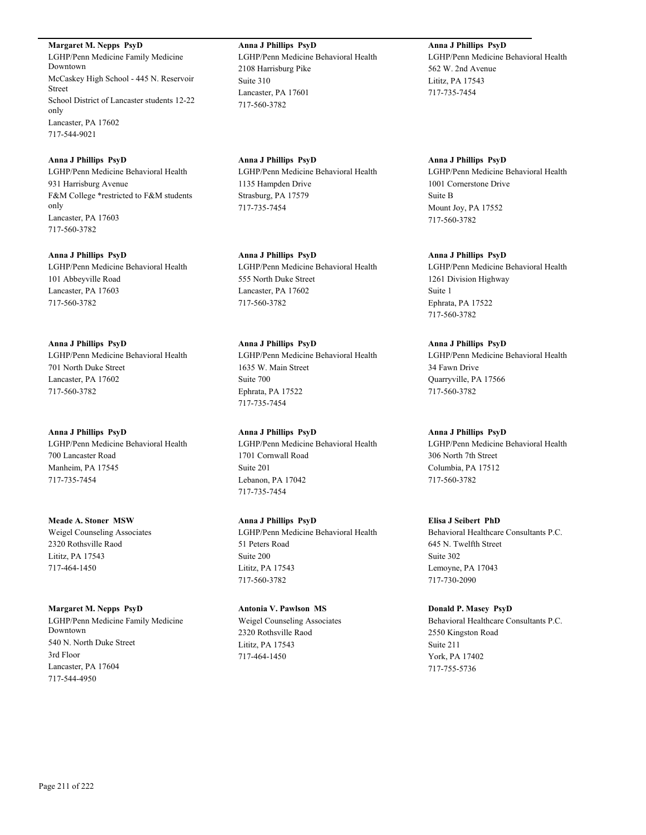**Margaret M. Nepps PsyD** LGHP/Penn Medicine Family Medicine Downtown McCaskey High School - 445 N. Reservoir Street School District of Lancaster students 12-22 only Lancaster, PA 17602 717-544-9021

**Anna J Phillips PsyD** LGHP/Penn Medicine Behavioral Health 931 Harrisburg Avenue F&M College \*restricted to F&M students only Lancaster, PA 17603 717-560-3782

**Anna J Phillips PsyD** LGHP/Penn Medicine Behavioral Health 101 Abbeyville Road Lancaster, PA 17603 717-560-3782

**Anna J Phillips PsyD** LGHP/Penn Medicine Behavioral Health 701 North Duke Street Lancaster, PA 17602 717-560-3782

**Anna J Phillips PsyD** LGHP/Penn Medicine Behavioral Health 700 Lancaster Road Manheim, PA 17545 717-735-7454

**Meade A. Stoner MSW** Weigel Counseling Associates 2320 Rothsville Raod Lititz, PA 17543 717-464-1450

**Margaret M. Nepps PsyD** LGHP/Penn Medicine Family Medicine Downtown 540 N. North Duke Street 3rd Floor Lancaster, PA 17604 717-544-4950

**Anna J Phillips PsyD** LGHP/Penn Medicine Behavioral Health 2108 Harrisburg Pike Suite 310 Lancaster, PA 17601 717-560-3782

**Anna J Phillips PsyD** LGHP/Penn Medicine Behavioral Health 1135 Hampden Drive Strasburg, PA 17579 717-735-7454

**Anna J Phillips PsyD** LGHP/Penn Medicine Behavioral Health 555 North Duke Street Lancaster, PA 17602 717-560-3782

**Anna J Phillips PsyD** LGHP/Penn Medicine Behavioral Health 1635 W. Main Street Suite 700 Ephrata, PA 17522 717-735-7454

**Anna J Phillips PsyD** LGHP/Penn Medicine Behavioral Health 1701 Cornwall Road Suite 201 Lebanon, PA 17042 717-735-7454

**Anna J Phillips PsyD** LGHP/Penn Medicine Behavioral Health 51 Peters Road Suite 200 Lititz, PA 17543 717-560-3782

**Antonia V. Pawlson MS** Weigel Counseling Associates 2320 Rothsville Raod Lititz, PA 17543 717-464-1450

**Anna J Phillips PsyD** LGHP/Penn Medicine Behavioral Health 562 W. 2nd Avenue Lititz, PA 17543 717-735-7454

**Anna J Phillips PsyD** LGHP/Penn Medicine Behavioral Health 1001 Cornerstone Drive Suite B Mount Joy, PA 17552 717-560-3782

**Anna J Phillips PsyD** LGHP/Penn Medicine Behavioral Health 1261 Division Highway Suite 1 Ephrata, PA 17522 717-560-3782

**Anna J Phillips PsyD** LGHP/Penn Medicine Behavioral Health 34 Fawn Drive Quarryville, PA 17566 717-560-3782

**Anna J Phillips PsyD** LGHP/Penn Medicine Behavioral Health 306 North 7th Street Columbia, PA 17512 717-560-3782

**Elisa J Seibert PhD** Behavioral Healthcare Consultants P.C. 645 N. Twelfth Street Suite 302 Lemoyne, PA 17043 717-730-2090

**Donald P. Masey PsyD** Behavioral Healthcare Consultants P.C. 2550 Kingston Road Suite 211 York, PA 17402 717-755-5736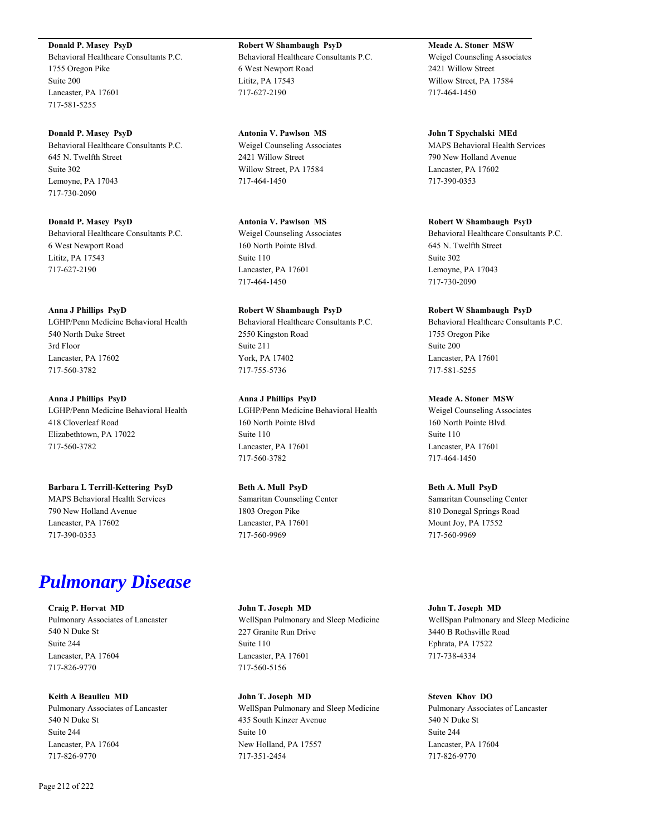**Donald P. Masey PsyD** Behavioral Healthcare Consultants P.C. 1755 Oregon Pike Suite 200 Lancaster, PA 17601 717-581-5255

**Donald P. Masey PsyD** Behavioral Healthcare Consultants P.C. 645 N. Twelfth Street Suite 302 Lemoyne, PA 17043 717-730-2090

**Donald P. Masey PsyD** Behavioral Healthcare Consultants P.C. 6 West Newport Road Lititz, PA 17543 717-627-2190

#### **Anna J Phillips PsyD**

LGHP/Penn Medicine Behavioral Health 540 North Duke Street 3rd Floor Lancaster, PA 17602 717-560-3782

**Anna J Phillips PsyD** LGHP/Penn Medicine Behavioral Health 418 Cloverleaf Road Elizabethtown, PA 17022 717-560-3782

**Barbara L Terrill-Kettering PsyD** MAPS Behavioral Health Services 790 New Holland Avenue Lancaster, PA 17602 717-390-0353

# *Pulmonary Disease*

**Craig P. Horvat MD** Pulmonary Associates of Lancaster 540 N Duke St Suite 244 Lancaster, PA 17604 717-826-9770

**Keith A Beaulieu MD** Pulmonary Associates of Lancaster 540 N Duke St Suite 244 Lancaster, PA 17604 717-826-9770

**Robert W Shambaugh PsyD** Behavioral Healthcare Consultants P.C. 6 West Newport Road Lititz, PA 17543 717-627-2190

**Antonia V. Pawlson MS** Weigel Counseling Associates 2421 Willow Street Willow Street, PA 17584 717-464-1450

**Antonia V. Pawlson MS** Weigel Counseling Associates 160 North Pointe Blvd. Suite 110 Lancaster, PA 17601 717-464-1450

**Robert W Shambaugh PsyD** Behavioral Healthcare Consultants P.C. 2550 Kingston Road Suite 211 York, PA 17402 717-755-5736

**Anna J Phillips PsyD** LGHP/Penn Medicine Behavioral Health 160 North Pointe Blvd Suite 110 Lancaster, PA 17601 717-560-3782

**Beth A. Mull PsyD** Samaritan Counseling Center 1803 Oregon Pike Lancaster, PA 17601 717-560-9969

**John T. Joseph MD** WellSpan Pulmonary and Sleep Medicine 227 Granite Run Drive Suite 110 Lancaster, PA 17601 717-560-5156

**John T. Joseph MD** WellSpan Pulmonary and Sleep Medicine 435 South Kinzer Avenue Suite 10 New Holland, PA 17557 717-351-2454

**Meade A. Stoner MSW** Weigel Counseling Associates 2421 Willow Street Willow Street, PA 17584 717-464-1450

**John T Spychalski MEd** MAPS Behavioral Health Services 790 New Holland Avenue Lancaster, PA 17602 717-390-0353

**Robert W Shambaugh PsyD** Behavioral Healthcare Consultants P.C. 645 N. Twelfth Street Suite 302 Lemoyne, PA 17043 717-730-2090

**Robert W Shambaugh PsyD** Behavioral Healthcare Consultants P.C. 1755 Oregon Pike Suite 200 Lancaster, PA 17601 717-581-5255

**Meade A. Stoner MSW** Weigel Counseling Associates 160 North Pointe Blvd. Suite 110 Lancaster, PA 17601 717-464-1450

**Beth A. Mull PsyD** Samaritan Counseling Center 810 Donegal Springs Road Mount Joy, PA 17552 717-560-9969

**John T. Joseph MD** WellSpan Pulmonary and Sleep Medicine 3440 B Rothsville Road Ephrata, PA 17522 717-738-4334

**Steven Khov DO** Pulmonary Associates of Lancaster 540 N Duke St Suite 244 Lancaster, PA 17604 717-826-9770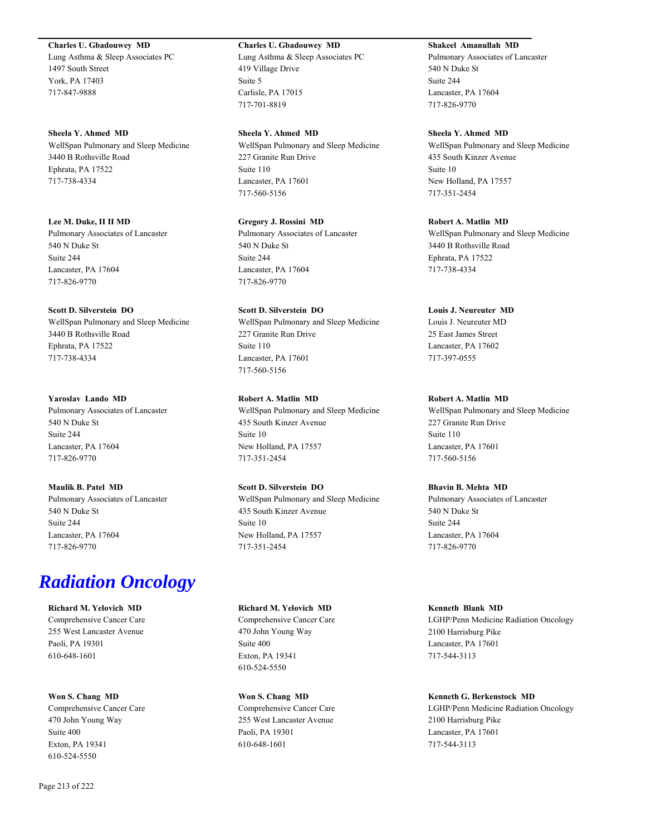#### **Charles U. Gbadouwey MD**

Lung Asthma & Sleep Associates PC 1497 South Street York, PA 17403 717-847-9888

#### **Sheela Y. Ahmed MD**

WellSpan Pulmonary and Sleep Medicine 3440 B Rothsville Road Ephrata, PA 17522 717-738-4334

#### **Lee M. Duke, II II MD**

Pulmonary Associates of Lancaster 540 N Duke St Suite 244 Lancaster, PA 17604 717-826-9770

#### **Scott D. Silverstein DO**

WellSpan Pulmonary and Sleep Medicine 3440 B Rothsville Road Ephrata, PA 17522 717-738-4334

# **Yaroslav Lando MD**

Pulmonary Associates of Lancaster 540 N Duke St Suite 244 Lancaster, PA 17604 717-826-9770

# **Maulik B. Patel MD**

Pulmonary Associates of Lancaster 540 N Duke St Suite 244 Lancaster, PA 17604 717-826-9770

# *Radiation Oncology*

# **Richard M. Yelovich MD**

Comprehensive Cancer Care 255 West Lancaster Avenue Paoli, PA 19301 610-648-1601

# **Won S. Chang MD**

Comprehensive Cancer Care 470 John Young Way Suite 400 Exton, PA 19341 610-524-5550

#### **Charles U. Gbadouwey MD**

Lung Asthma & Sleep Associates PC 419 Village Drive Suite 5 Carlisle, PA 17015 717-701-8819

#### **Sheela Y. Ahmed MD**

WellSpan Pulmonary and Sleep Medicine 227 Granite Run Drive Suite 110 Lancaster, PA 17601 717-560-5156

# **Gregory J. Rossini MD** Pulmonary Associates of Lancaster 540 N Duke St Suite 244 Lancaster, PA 17604 717-826-9770

# **Scott D. Silverstein DO** WellSpan Pulmonary and Sleep Medicine 227 Granite Run Drive Suite 110 Lancaster, PA 17601 717-560-5156

**Robert A. Matlin MD** WellSpan Pulmonary and Sleep Medicine 435 South Kinzer Avenue Suite 10 New Holland, PA 17557 717-351-2454

# **Scott D. Silverstein DO**

WellSpan Pulmonary and Sleep Medicine 435 South Kinzer Avenue Suite 10 New Holland, PA 17557 717-351-2454

#### **Richard M. Yelovich MD**

Comprehensive Cancer Care 470 John Young Way Suite 400 Exton, PA 19341 610-524-5550

#### **Won S. Chang MD** Comprehensive Cancer Care

255 West Lancaster Avenue Paoli, PA 19301 610-648-1601

# **Shakeel Amanullah MD**

Pulmonary Associates of Lancaster 540 N Duke St Suite 244 Lancaster, PA 17604 717-826-9770

#### **Sheela Y. Ahmed MD**

WellSpan Pulmonary and Sleep Medicine 435 South Kinzer Avenue Suite 10 New Holland, PA 17557 717-351-2454

#### **Robert A. Matlin MD**

WellSpan Pulmonary and Sleep Medicine 3440 B Rothsville Road Ephrata, PA 17522 717-738-4334

#### **Louis J. Neureuter MD**

Louis J. Neureuter MD 25 East James Street Lancaster, PA 17602 717-397-0555

#### **Robert A. Matlin MD**

WellSpan Pulmonary and Sleep Medicine 227 Granite Run Drive Suite 110 Lancaster, PA 17601 717-560-5156

# **Bhavin B. Mehta MD**

Pulmonary Associates of Lancaster 540 N Duke St Suite 244 Lancaster, PA 17604 717-826-9770

#### **Kenneth Blank MD**

LGHP/Penn Medicine Radiation Oncology 2100 Harrisburg Pike Lancaster, PA 17601 717-544-3113

#### **Kenneth G. Berkenstock MD**

LGHP/Penn Medicine Radiation Oncology 2100 Harrisburg Pike Lancaster, PA 17601 717-544-3113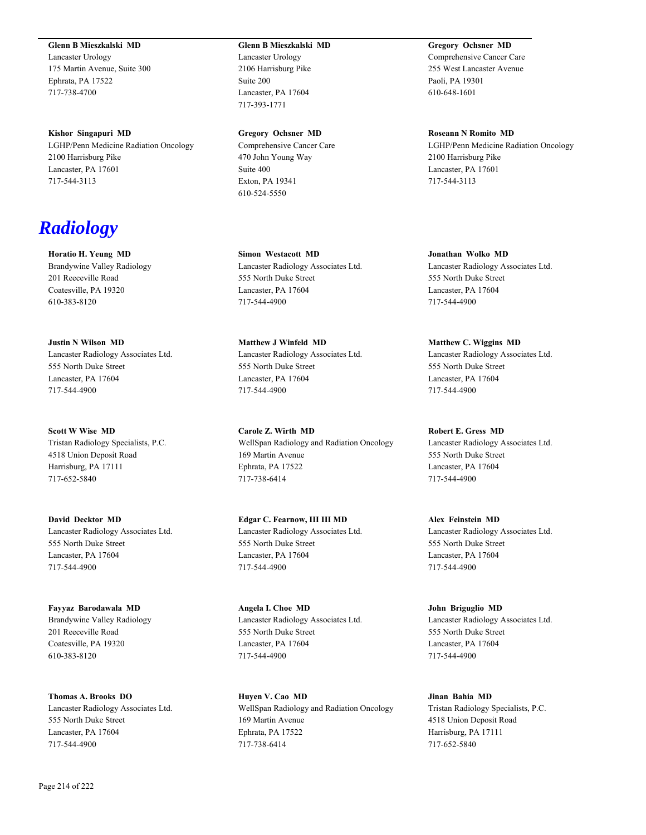**Glenn B Mieszkalski MD**

Lancaster Urology 175 Martin Avenue, Suite 300 Ephrata, PA 17522 717-738-4700

**Kishor Singapuri MD** LGHP/Penn Medicine Radiation Oncology 2100 Harrisburg Pike Lancaster, PA 17601 717-544-3113

# *Radiology*

**Horatio H. Yeung MD** Brandywine Valley Radiology 201 Reeceville Road Coatesville, PA 19320 610-383-8120

**Justin N Wilson MD** Lancaster Radiology Associates Ltd. 555 North Duke Street Lancaster, PA 17604 717-544-4900

**Scott W Wise MD** Tristan Radiology Specialists, P.C. 4518 Union Deposit Road Harrisburg, PA 17111 717-652-5840

**David Decktor MD** Lancaster Radiology Associates Ltd. 555 North Duke Street Lancaster, PA 17604 717-544-4900

**Fayyaz Barodawala MD** Brandywine Valley Radiology 201 Reeceville Road Coatesville, PA 19320 610-383-8120

**Thomas A. Brooks DO** Lancaster Radiology Associates Ltd. 555 North Duke Street Lancaster, PA 17604 717-544-4900

# **Glenn B Mieszkalski MD**

Lancaster Urology 2106 Harrisburg Pike Suite 200 Lancaster, PA 17604 717-393-1771

**Gregory Ochsner MD** Comprehensive Cancer Care 470 John Young Way Suite 400 Exton, PA 19341 610-524-5550

**Simon Westacott MD** Lancaster Radiology Associates Ltd. 555 North Duke Street Lancaster, PA 17604 717-544-4900

**Matthew J Winfeld MD** Lancaster Radiology Associates Ltd. 555 North Duke Street Lancaster, PA 17604 717-544-4900

**Carole Z. Wirth MD** WellSpan Radiology and Radiation Oncology 169 Martin Avenue Ephrata, PA 17522 717-738-6414

**Edgar C. Fearnow, III III MD** Lancaster Radiology Associates Ltd. 555 North Duke Street Lancaster, PA 17604 717-544-4900

**Angela I. Choe MD** Lancaster Radiology Associates Ltd. 555 North Duke Street Lancaster, PA 17604 717-544-4900

**Huyen V. Cao MD** WellSpan Radiology and Radiation Oncology 169 Martin Avenue Ephrata, PA 17522 717-738-6414

**Gregory Ochsner MD** Comprehensive Cancer Care 255 West Lancaster Avenue Paoli, PA 19301 610-648-1601

**Roseann N Romito MD** LGHP/Penn Medicine Radiation Oncology 2100 Harrisburg Pike Lancaster, PA 17601 717-544-3113

**Jonathan Wolko MD** Lancaster Radiology Associates Ltd. 555 North Duke Street Lancaster, PA 17604 717-544-4900

**Matthew C. Wiggins MD** Lancaster Radiology Associates Ltd. 555 North Duke Street Lancaster, PA 17604 717-544-4900

**Robert E. Gress MD** Lancaster Radiology Associates Ltd. 555 North Duke Street Lancaster, PA 17604 717-544-4900

**Alex Feinstein MD** Lancaster Radiology Associates Ltd. 555 North Duke Street Lancaster, PA 17604 717-544-4900

**John Briguglio MD** Lancaster Radiology Associates Ltd. 555 North Duke Street Lancaster, PA 17604 717-544-4900

**Jinan Bahia MD** Tristan Radiology Specialists, P.C. 4518 Union Deposit Road Harrisburg, PA 17111 717-652-5840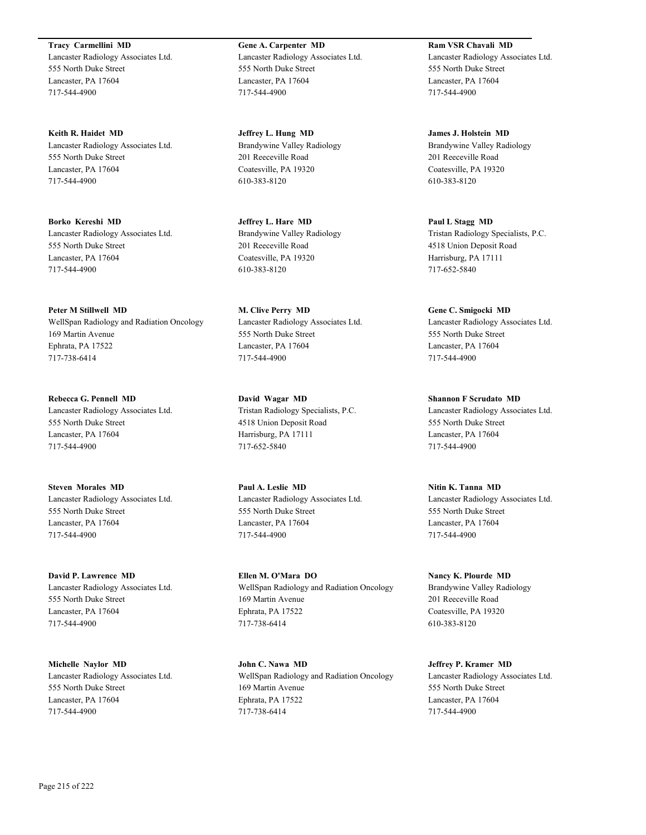**Tracy Carmellini MD** Lancaster Radiology Associates Ltd. 555 North Duke Street Lancaster, PA 17604 717-544-4900

**Keith R. Haidet MD** Lancaster Radiology Associates Ltd. 555 North Duke Street Lancaster, PA 17604 717-544-4900

**Borko Kereshi MD** Lancaster Radiology Associates Ltd. 555 North Duke Street Lancaster, PA 17604 717-544-4900

**Peter M Stillwell MD** WellSpan Radiology and Radiation Oncology 169 Martin Avenue Ephrata, PA 17522 717-738-6414

**Rebecca G. Pennell MD** Lancaster Radiology Associates Ltd. 555 North Duke Street Lancaster, PA 17604 717-544-4900

**Steven Morales MD** Lancaster Radiology Associates Ltd. 555 North Duke Street Lancaster, PA 17604 717-544-4900

**David P. Lawrence MD** Lancaster Radiology Associates Ltd. 555 North Duke Street Lancaster, PA 17604 717-544-4900

**Michelle Naylor MD** Lancaster Radiology Associates Ltd. 555 North Duke Street Lancaster, PA 17604 717-544-4900

**Gene A. Carpenter MD** Lancaster Radiology Associates Ltd. 555 North Duke Street Lancaster, PA 17604 717-544-4900

**Jeffrey L. Hung MD** Brandywine Valley Radiology 201 Reeceville Road Coatesville, PA 19320 610-383-8120

**Jeffrey L. Hare MD** Brandywine Valley Radiology 201 Reeceville Road Coatesville, PA 19320 610-383-8120

**M. Clive Perry MD** Lancaster Radiology Associates Ltd. 555 North Duke Street Lancaster, PA 17604 717-544-4900

**David Wagar MD** Tristan Radiology Specialists, P.C. 4518 Union Deposit Road Harrisburg, PA 17111 717-652-5840

**Paul A. Leslie MD** Lancaster Radiology Associates Ltd. 555 North Duke Street Lancaster, PA 17604 717-544-4900

**Ellen M. O'Mara DO** WellSpan Radiology and Radiation Oncology 169 Martin Avenue Ephrata, PA 17522 717-738-6414

**John C. Nawa MD** WellSpan Radiology and Radiation Oncology 169 Martin Avenue Ephrata, PA 17522 717-738-6414

**Ram VSR Chavali MD** Lancaster Radiology Associates Ltd. 555 North Duke Street Lancaster, PA 17604 717-544-4900

**James J. Holstein MD** Brandywine Valley Radiology 201 Reeceville Road Coatesville, PA 19320 610-383-8120

**Paul L Stagg MD** Tristan Radiology Specialists, P.C. 4518 Union Deposit Road Harrisburg, PA 17111 717-652-5840

**Gene C. Smigocki MD** Lancaster Radiology Associates Ltd. 555 North Duke Street Lancaster, PA 17604 717-544-4900

**Shannon F Scrudato MD** Lancaster Radiology Associates Ltd. 555 North Duke Street Lancaster, PA 17604 717-544-4900

**Nitin K. Tanna MD** Lancaster Radiology Associates Ltd. 555 North Duke Street Lancaster, PA 17604 717-544-4900

**Nancy K. Plourde MD** Brandywine Valley Radiology 201 Reeceville Road Coatesville, PA 19320 610-383-8120

**Jeffrey P. Kramer MD** Lancaster Radiology Associates Ltd. 555 North Duke Street Lancaster, PA 17604 717-544-4900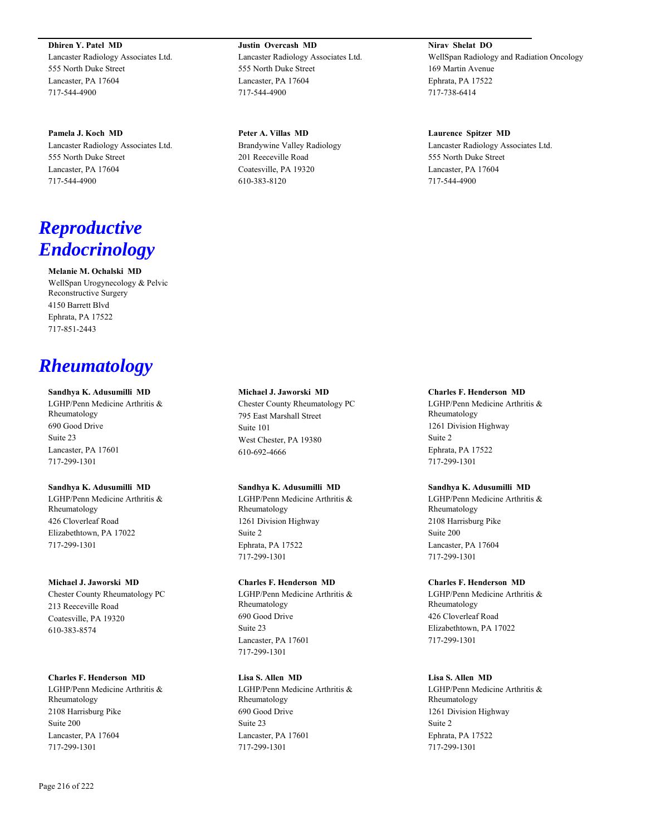**Dhiren Y. Patel MD** Lancaster Radiology Associates Ltd. 555 North Duke Street Lancaster, PA 17604 717-544-4900

**Pamela J. Koch MD** Lancaster Radiology Associates Ltd. 555 North Duke Street Lancaster, PA 17604 717-544-4900

# *Reproductive Endocrinology*

**Melanie M. Ochalski MD** WellSpan Urogynecology & Pelvic Reconstructive Surgery 4150 Barrett Blvd Ephrata, PA 17522

# *Rheumatology*

717-851-2443

#### **Sandhya K. Adusumilli MD**

LGHP/Penn Medicine Arthritis & Rheumatology 690 Good Drive Suite 23 Lancaster, PA 17601 717-299-1301

#### **Sandhya K. Adusumilli MD**

LGHP/Penn Medicine Arthritis & Rheumatology 426 Cloverleaf Road Elizabethtown, PA 17022 717-299-1301

#### **Michael J. Jaworski MD**

Chester County Rheumatology PC 213 Reeceville Road Coatesville, PA 19320 610-383-8574

# **Charles F. Henderson MD**

LGHP/Penn Medicine Arthritis & Rheumatology 2108 Harrisburg Pike Suite 200 Lancaster, PA 17604 717-299-1301

**Justin Overcash MD** Lancaster Radiology Associates Ltd. 555 North Duke Street Lancaster, PA 17604 717-544-4900

**Peter A. Villas MD** Brandywine Valley Radiology 201 Reeceville Road Coatesville, PA 19320 610-383-8120

**Nirav Shelat DO** WellSpan Radiology and Radiation Oncology 169 Martin Avenue Ephrata, PA 17522 717-738-6414

#### **Laurence Spitzer MD**

Lancaster Radiology Associates Ltd. 555 North Duke Street Lancaster, PA 17604 717-544-4900

#### **Michael J. Jaworski MD**

Chester County Rheumatology PC 795 East Marshall Street Suite 101 West Chester, PA 19380 610-692-4666

#### **Sandhya K. Adusumilli MD**

LGHP/Penn Medicine Arthritis & Rheumatology 1261 Division Highway Suite 2 Ephrata, PA 17522 717-299-1301

# **Charles F. Henderson MD**

LGHP/Penn Medicine Arthritis & Rheumatology 690 Good Drive Suite 23 Lancaster, PA 17601 717-299-1301

# **Lisa S. Allen MD**

LGHP/Penn Medicine Arthritis & Rheumatology 690 Good Drive Suite 23 Lancaster, PA 17601 717-299-1301

#### **Charles F. Henderson MD**

LGHP/Penn Medicine Arthritis & Rheumatology 1261 Division Highway Suite 2 Ephrata, PA 17522 717-299-1301

# **Sandhya K. Adusumilli MD**

LGHP/Penn Medicine Arthritis & Rheumatology 2108 Harrisburg Pike Suite 200 Lancaster, PA 17604 717-299-1301

#### **Charles F. Henderson MD**

LGHP/Penn Medicine Arthritis & Rheumatology 426 Cloverleaf Road Elizabethtown, PA 17022 717-299-1301

# **Lisa S. Allen MD**

LGHP/Penn Medicine Arthritis & Rheumatology 1261 Division Highway Suite 2 Ephrata, PA 17522 717-299-1301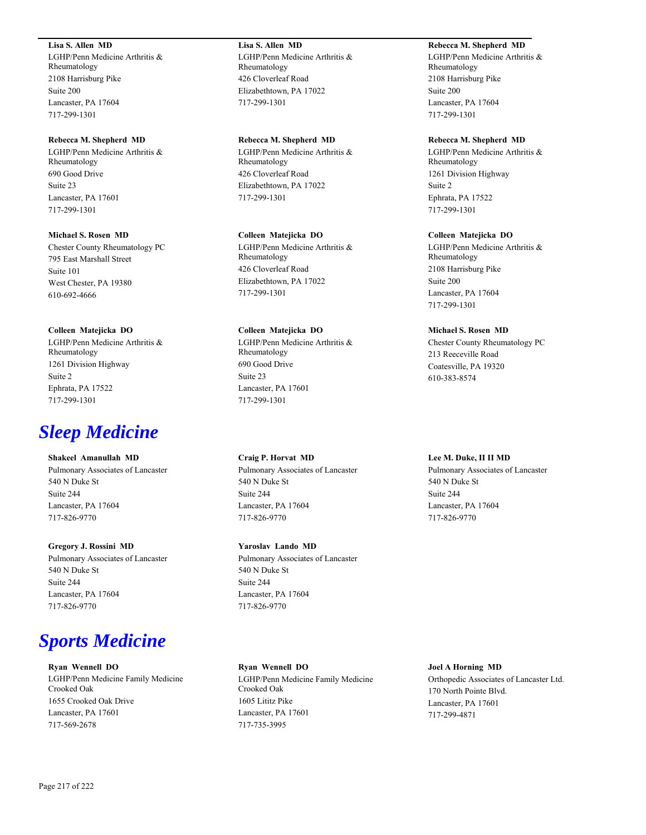### **Lisa S. Allen MD**

LGHP/Penn Medicine Arthritis & Rheumatology 2108 Harrisburg Pike Suite 200 Lancaster, PA 17604 717-299-1301

#### **Rebecca M. Shepherd MD**

LGHP/Penn Medicine Arthritis & Rheumatology 690 Good Drive Suite 23 Lancaster, PA 17601 717-299-1301

## **Michael S. Rosen MD**

Chester County Rheumatology PC 795 East Marshall Street Suite 101 West Chester, PA 19380 610-692-4666

### **Colleen Matejicka DO**

LGHP/Penn Medicine Arthritis & Rheumatology 1261 Division Highway Suite 2 Ephrata, PA 17522 717-299-1301

## *Sleep Medicine*

## **Shakeel Amanullah MD**

Pulmonary Associates of Lancaster 540 N Duke St Suite 244 Lancaster, PA 17604 717-826-9770

### **Gregory J. Rossini MD**

Pulmonary Associates of Lancaster 540 N Duke St Suite 244 Lancaster, PA 17604 717-826-9770

## *Sports Medicine*

## **Ryan Wennell DO** LGHP/Penn Medicine Family Medicine Crooked Oak 1655 Crooked Oak Drive Lancaster, PA 17601 717-569-2678

**Lisa S. Allen MD** LGHP/Penn Medicine Arthritis & Rheumatology 426 Cloverleaf Road Elizabethtown, PA 17022 717-299-1301

### **Rebecca M. Shepherd MD**

LGHP/Penn Medicine Arthritis & Rheumatology 426 Cloverleaf Road Elizabethtown, PA 17022 717-299-1301

### **Colleen Matejicka DO**

LGHP/Penn Medicine Arthritis & Rheumatology 426 Cloverleaf Road Elizabethtown, PA 17022 717-299-1301

### **Colleen Matejicka DO**

LGHP/Penn Medicine Arthritis & Rheumatology 690 Good Drive Suite 23 Lancaster, PA 17601 717-299-1301

### **Craig P. Horvat MD**

Pulmonary Associates of Lancaster 540 N Duke St Suite 244 Lancaster, PA 17604 717-826-9770

## **Yaroslav Lando MD**

Pulmonary Associates of Lancaster 540 N Duke St Suite 244 Lancaster, PA 17604 717-826-9770

#### **Ryan Wennell DO**

LGHP/Penn Medicine Family Medicine Crooked Oak 1605 Lititz Pike Lancaster, PA 17601 717-735-3995

## **Rebecca M. Shepherd MD**

LGHP/Penn Medicine Arthritis & Rheumatology 2108 Harrisburg Pike Suite 200 Lancaster, PA 17604 717-299-1301

#### **Rebecca M. Shepherd MD**

LGHP/Penn Medicine Arthritis & Rheumatology 1261 Division Highway Suite 2 Ephrata, PA 17522 717-299-1301

#### **Colleen Matejicka DO**

LGHP/Penn Medicine Arthritis & Rheumatology 2108 Harrisburg Pike Suite 200 Lancaster, PA 17604 717-299-1301

### **Michael S. Rosen MD**

Chester County Rheumatology PC 213 Reeceville Road Coatesville, PA 19320 610-383-8574

#### **Lee M. Duke, II II MD**

Pulmonary Associates of Lancaster 540 N Duke St Suite 244 Lancaster, PA 17604 717-826-9770

#### **Joel A Horning MD**

Orthopedic Associates of Lancaster Ltd. 170 North Pointe Blvd. Lancaster, PA 17601 717-299-4871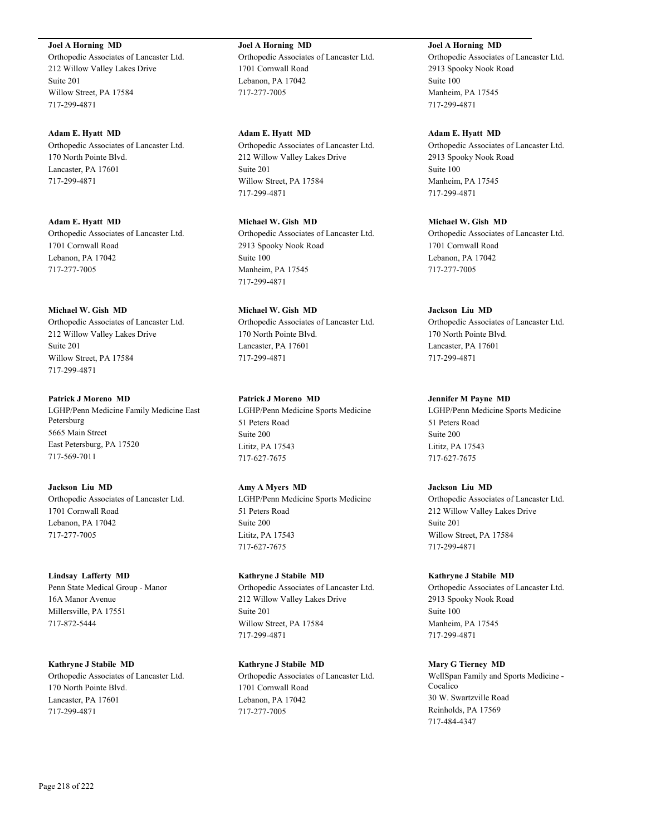**Joel A Horning MD**

Orthopedic Associates of Lancaster Ltd. 212 Willow Valley Lakes Drive Suite 201 Willow Street, PA 17584 717-299-4871

**Adam E. Hyatt MD** Orthopedic Associates of Lancaster Ltd. 170 North Pointe Blvd. Lancaster, PA 17601 717-299-4871

**Adam E. Hyatt MD** Orthopedic Associates of Lancaster Ltd. 1701 Cornwall Road Lebanon, PA 17042 717-277-7005

## **Michael W. Gish MD**

Orthopedic Associates of Lancaster Ltd. 212 Willow Valley Lakes Drive Suite 201 Willow Street, PA 17584 717-299-4871

## **Patrick J Moreno MD**

LGHP/Penn Medicine Family Medicine East Petersburg 5665 Main Street East Petersburg, PA 17520 717-569-7011

## **Jackson Liu MD**

Orthopedic Associates of Lancaster Ltd. 1701 Cornwall Road Lebanon, PA 17042 717-277-7005

## **Lindsay Lafferty MD**

Penn State Medical Group - Manor 16A Manor Avenue Millersville, PA 17551 717-872-5444

**Kathryne J Stabile MD** Orthopedic Associates of Lancaster Ltd. 170 North Pointe Blvd. Lancaster, PA 17601 717-299-4871

**Joel A Horning MD** Orthopedic Associates of Lancaster Ltd. 1701 Cornwall Road Lebanon, PA 17042 717-277-7005

**Adam E. Hyatt MD** Orthopedic Associates of Lancaster Ltd. 212 Willow Valley Lakes Drive Suite 201 Willow Street, PA 17584 717-299-4871

**Michael W. Gish MD** Orthopedic Associates of Lancaster Ltd. 2913 Spooky Nook Road Suite 100 Manheim, PA 17545 717-299-4871

**Michael W. Gish MD** Orthopedic Associates of Lancaster Ltd. 170 North Pointe Blvd. Lancaster, PA 17601 717-299-4871

**Patrick J Moreno MD** LGHP/Penn Medicine Sports Medicine 51 Peters Road Suite 200 Lititz, PA 17543

717-627-7675

**Amy A Myers MD** LGHP/Penn Medicine Sports Medicine 51 Peters Road Suite 200 Lititz, PA 17543 717-627-7675

**Kathryne J Stabile MD** Orthopedic Associates of Lancaster Ltd. 212 Willow Valley Lakes Drive Suite 201 Willow Street, PA 17584 717-299-4871

**Kathryne J Stabile MD** Orthopedic Associates of Lancaster Ltd. 1701 Cornwall Road Lebanon, PA 17042 717-277-7005

**Joel A Horning MD** Orthopedic Associates of Lancaster Ltd. 2913 Spooky Nook Road Suite 100 Manheim, PA 17545 717-299-4871

**Adam E. Hyatt MD** Orthopedic Associates of Lancaster Ltd. 2913 Spooky Nook Road

Suite 100 Manheim, PA 17545 717-299-4871

**Michael W. Gish MD** Orthopedic Associates of Lancaster Ltd. 1701 Cornwall Road Lebanon, PA 17042 717-277-7005

## **Jackson Liu MD**

Orthopedic Associates of Lancaster Ltd. 170 North Pointe Blvd. Lancaster, PA 17601 717-299-4871

## **Jennifer M Payne MD**

LGHP/Penn Medicine Sports Medicine 51 Peters Road Suite 200 Lititz, PA 17543 717-627-7675

## **Jackson Liu MD**

Orthopedic Associates of Lancaster Ltd. 212 Willow Valley Lakes Drive Suite 201 Willow Street, PA 17584 717-299-4871

## **Kathryne J Stabile MD**

Orthopedic Associates of Lancaster Ltd. 2913 Spooky Nook Road Suite 100 Manheim, PA 17545 717-299-4871

## **Mary G Tierney MD**

WellSpan Family and Sports Medicine - Cocalico 30 W. Swartzville Road Reinholds, PA 17569 717-484-4347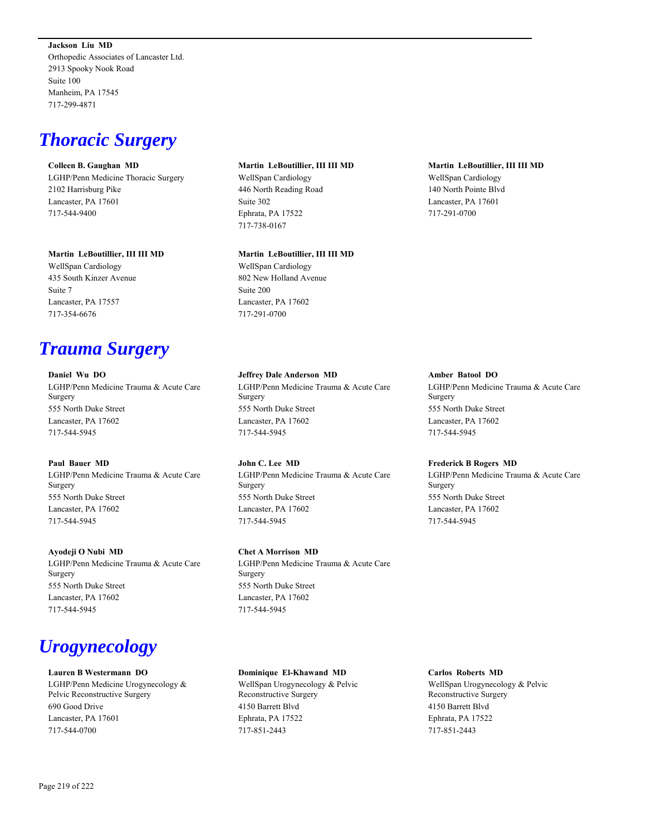**Jackson Liu MD** Orthopedic Associates of Lancaster Ltd. 2913 Spooky Nook Road Suite 100 Manheim, PA 17545 717-299-4871

## *Thoracic Surgery*

#### **Colleen B. Gaughan MD**

LGHP/Penn Medicine Thoracic Surgery 2102 Harrisburg Pike Lancaster, PA 17601 717-544-9400

## **Martin LeBoutillier, III III MD**

WellSpan Cardiology 435 South Kinzer Avenue Suite 7 Lancaster, PA 17557 717-354-6676

## *Trauma Surgery*

**Daniel Wu DO** LGHP/Penn Medicine Trauma & Acute Care Surgery 555 North Duke Street Lancaster, PA 17602 717-544-5945

## **Paul Bauer MD**

LGHP/Penn Medicine Trauma & Acute Care Surgery 555 North Duke Street Lancaster, PA 17602 717-544-5945

### **Ayodeji O Nubi MD**

LGHP/Penn Medicine Trauma & Acute Care Surgery 555 North Duke Street Lancaster, PA 17602 717-544-5945

# *Urogynecology*

### **Lauren B Westermann DO**

LGHP/Penn Medicine Urogynecology & Pelvic Reconstructive Surgery 690 Good Drive Lancaster, PA 17601 717-544-0700

**Martin LeBoutillier, III III MD** WellSpan Cardiology 446 North Reading Road Suite 302 Ephrata, PA 17522 717-738-0167

#### **Martin LeBoutillier, III III MD**

WellSpan Cardiology 802 New Holland Avenue Suite 200 Lancaster, PA 17602 717-291-0700

### **Jeffrey Dale Anderson MD**

LGHP/Penn Medicine Trauma & Acute Care Surgery 555 North Duke Street Lancaster, PA 17602 717-544-5945

## **John C. Lee MD**

LGHP/Penn Medicine Trauma & Acute Care Surgery 555 North Duke Street Lancaster, PA 17602 717-544-5945

## **Chet A Morrison MD**

LGHP/Penn Medicine Trauma & Acute Care Surgery 555 North Duke Street Lancaster, PA 17602 717-544-5945

### **Dominique El-Khawand MD**

WellSpan Urogynecology & Pelvic Reconstructive Surgery 4150 Barrett Blvd Ephrata, PA 17522 717-851-2443

## **Martin LeBoutillier, III III MD**

WellSpan Cardiology 140 North Pointe Blvd Lancaster, PA 17601 717-291-0700

### **Amber Batool DO**

LGHP/Penn Medicine Trauma & Acute Care Surgery 555 North Duke Street Lancaster, PA 17602 717-544-5945

### **Frederick B Rogers MD**

LGHP/Penn Medicine Trauma & Acute Care Surgery 555 North Duke Street Lancaster, PA 17602 717-544-5945

#### **Carlos Roberts MD**

WellSpan Urogynecology & Pelvic Reconstructive Surgery 4150 Barrett Blvd Ephrata, PA 17522 717-851-2443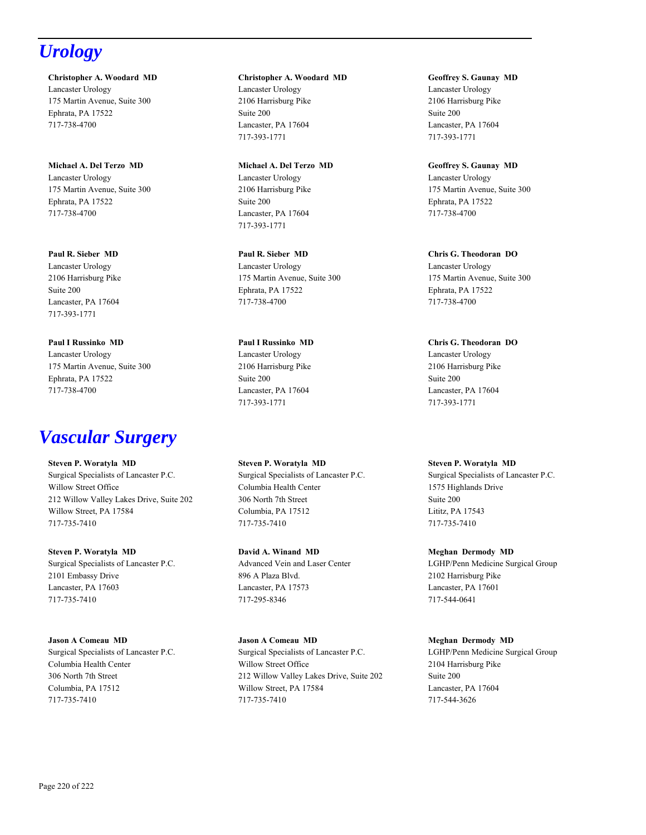# *Urology*

**Christopher A. Woodard MD** Lancaster Urology 175 Martin Avenue, Suite 300 Ephrata, PA 17522 717-738-4700

**Michael A. Del Terzo MD** Lancaster Urology 175 Martin Avenue, Suite 300 Ephrata, PA 17522 717-738-4700

**Paul R. Sieber MD** Lancaster Urology 2106 Harrisburg Pike Suite 200 Lancaster, PA 17604 717-393-1771

**Paul I Russinko MD** Lancaster Urology 175 Martin Avenue, Suite 300 Ephrata, PA 17522 717-738-4700

# *Vascular Surgery*

**Steven P. Woratyla MD** Surgical Specialists of Lancaster P.C. Willow Street Office 212 Willow Valley Lakes Drive, Suite 202 Willow Street, PA 17584 717-735-7410

**Steven P. Woratyla MD** Surgical Specialists of Lancaster P.C. 2101 Embassy Drive Lancaster, PA 17603 717-735-7410

**Jason A Comeau MD** Surgical Specialists of Lancaster P.C. Columbia Health Center 306 North 7th Street Columbia, PA 17512 717-735-7410

**Christopher A. Woodard MD** Lancaster Urology 2106 Harrisburg Pike Suite 200 Lancaster, PA 17604 717-393-1771

**Michael A. Del Terzo MD** Lancaster Urology 2106 Harrisburg Pike Suite 200 Lancaster, PA 17604 717-393-1771

**Paul R. Sieber MD** Lancaster Urology 175 Martin Avenue, Suite 300 Ephrata, PA 17522 717-738-4700

**Paul I Russinko MD** Lancaster Urology 2106 Harrisburg Pike Suite 200 Lancaster, PA 17604 717-393-1771

**Steven P. Woratyla MD** Surgical Specialists of Lancaster P.C. Columbia Health Center 306 North 7th Street Columbia, PA 17512 717-735-7410

**David A. Winand MD** Advanced Vein and Laser Center 896 A Plaza Blvd. Lancaster, PA 17573 717-295-8346

**Jason A Comeau MD** Surgical Specialists of Lancaster P.C. Willow Street Office 212 Willow Valley Lakes Drive, Suite 202 Willow Street, PA 17584 717-735-7410

**Geoffrey S. Gaunay MD** Lancaster Urology 2106 Harrisburg Pike Suite 200 Lancaster, PA 17604 717-393-1771

**Geoffrey S. Gaunay MD** Lancaster Urology 175 Martin Avenue, Suite 300 Ephrata, PA 17522 717-738-4700

**Chris G. Theodoran DO** Lancaster Urology 175 Martin Avenue, Suite 300 Ephrata, PA 17522 717-738-4700

**Chris G. Theodoran DO** Lancaster Urology 2106 Harrisburg Pike Suite 200 Lancaster, PA 17604 717-393-1771

**Steven P. Woratyla MD** Surgical Specialists of Lancaster P.C. 1575 Highlands Drive Suite 200 Lititz, PA 17543 717-735-7410

**Meghan Dermody MD** LGHP/Penn Medicine Surgical Group 2102 Harrisburg Pike Lancaster, PA 17601 717-544-0641

**Meghan Dermody MD** LGHP/Penn Medicine Surgical Group 2104 Harrisburg Pike Suite 200 Lancaster, PA 17604 717-544-3626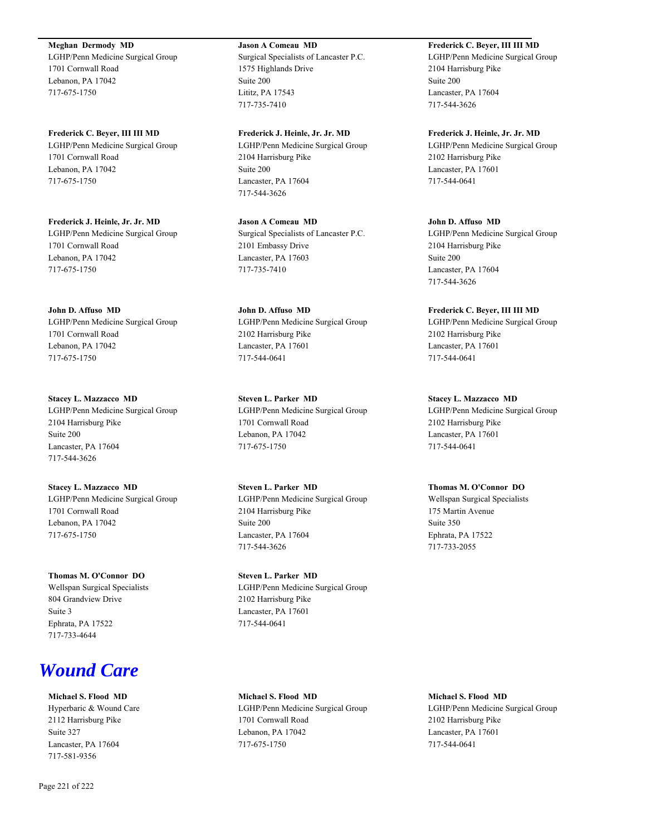**Meghan Dermody MD**

LGHP/Penn Medicine Surgical Group 1701 Cornwall Road Lebanon, PA 17042 717-675-1750

**Frederick C. Beyer, III III MD** LGHP/Penn Medicine Surgical Group 1701 Cornwall Road Lebanon, PA 17042 717-675-1750

**Frederick J. Heinle, Jr. Jr. MD** LGHP/Penn Medicine Surgical Group 1701 Cornwall Road Lebanon, PA 17042 717-675-1750

**John D. Affuso MD** LGHP/Penn Medicine Surgical Group 1701 Cornwall Road Lebanon, PA 17042 717-675-1750

**Stacey L. Mazzacco MD** LGHP/Penn Medicine Surgical Group 2104 Harrisburg Pike Suite 200 Lancaster, PA 17604 717-544-3626

**Stacey L. Mazzacco MD** LGHP/Penn Medicine Surgical Group 1701 Cornwall Road Lebanon, PA 17042 717-675-1750

**Thomas M. O'Connor DO** Wellspan Surgical Specialists 804 Grandview Drive Suite 3 Ephrata, PA 17522 717-733-4644

## *Wound Care*

**Michael S. Flood MD** Hyperbaric & Wound Care 2112 Harrisburg Pike Suite 327 Lancaster, PA 17604 717-581-9356

Page 221 of 222

**Jason A Comeau MD** Surgical Specialists of Lancaster P.C. 1575 Highlands Drive Suite 200

Lititz, PA 17543 717-735-7410

**Frederick J. Heinle, Jr. Jr. MD** LGHP/Penn Medicine Surgical Group 2104 Harrisburg Pike Suite 200 Lancaster, PA 17604 717-544-3626

**Jason A Comeau MD** Surgical Specialists of Lancaster P.C. 2101 Embassy Drive Lancaster, PA 17603 717-735-7410

**John D. Affuso MD** LGHP/Penn Medicine Surgical Group 2102 Harrisburg Pike Lancaster, PA 17601 717-544-0641

**Steven L. Parker MD** LGHP/Penn Medicine Surgical Group 1701 Cornwall Road Lebanon, PA 17042 717-675-1750

**Steven L. Parker MD** LGHP/Penn Medicine Surgical Group 2104 Harrisburg Pike Suite 200 Lancaster, PA 17604 717-544-3626

**Steven L. Parker MD** LGHP/Penn Medicine Surgical Group 2102 Harrisburg Pike Lancaster, PA 17601 717-544-0641

**Michael S. Flood MD** LGHP/Penn Medicine Surgical Group 1701 Cornwall Road Lebanon, PA 17042 717-675-1750

**Frederick C. Beyer, III III MD**

LGHP/Penn Medicine Surgical Group 2104 Harrisburg Pike Suite 200 Lancaster, PA 17604 717-544-3626

**Frederick J. Heinle, Jr. Jr. MD** LGHP/Penn Medicine Surgical Group 2102 Harrisburg Pike Lancaster, PA 17601 717-544-0641

**John D. Affuso MD** LGHP/Penn Medicine Surgical Group 2104 Harrisburg Pike Suite 200 Lancaster, PA 17604 717-544-3626

**Frederick C. Beyer, III III MD** LGHP/Penn Medicine Surgical Group 2102 Harrisburg Pike Lancaster, PA 17601 717-544-0641

**Stacey L. Mazzacco MD** LGHP/Penn Medicine Surgical Group 2102 Harrisburg Pike Lancaster, PA 17601 717-544-0641

**Thomas M. O'Connor DO** Wellspan Surgical Specialists 175 Martin Avenue Suite 350 Ephrata, PA 17522 717-733-2055

**Michael S. Flood MD** LGHP/Penn Medicine Surgical Group 2102 Harrisburg Pike Lancaster, PA 17601 717-544-0641